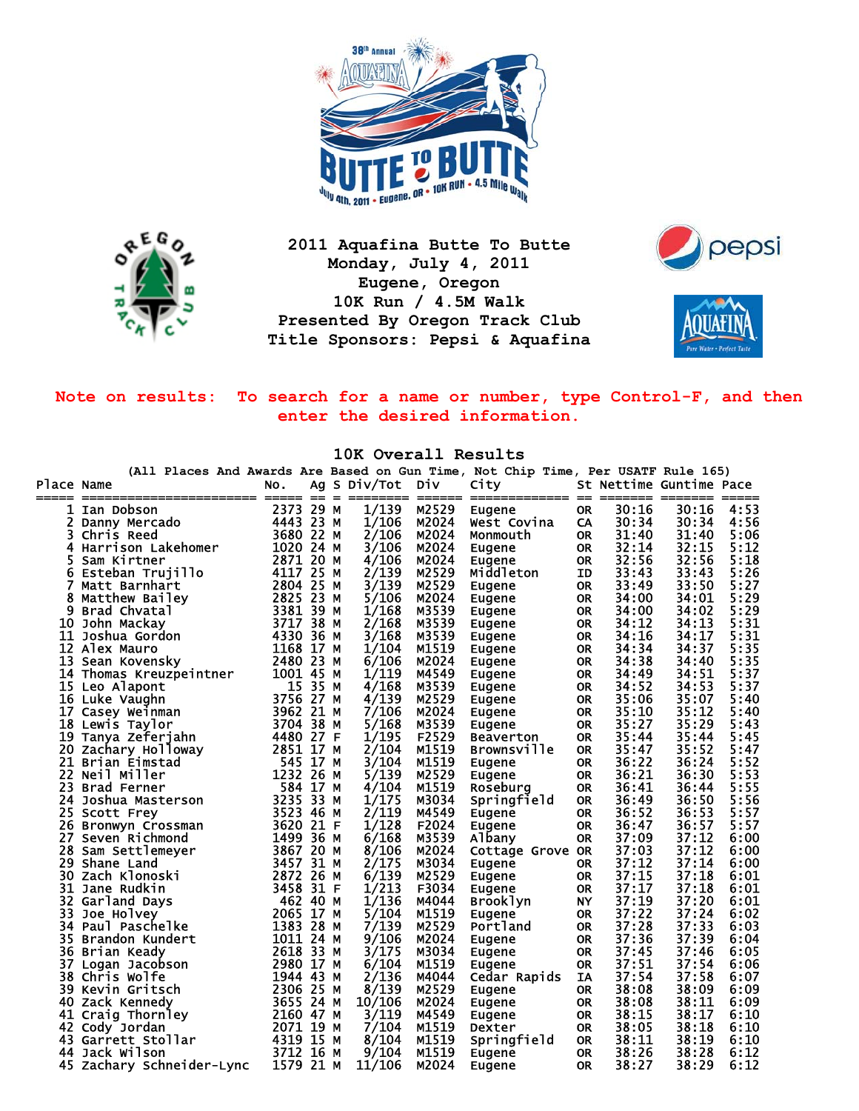



**2011 Aquafina Butte To Butte Monday, July 4, 2011 Eugene, Oregon 10K Run / 4.5M Walk Presented By Oregon Track Club Title Sponsors: Pepsi & Aquafina** 





**Note on results: To search for a name or number, type Control-F, and then enter the desired information.** 

**10K Overall Results** 

**(All Places And Awards Are Based on Gun Time, Not Chip Time, Per USATF Rule 165)** Place Name The No. Ag S Div/Tot Div City St Nettime Guntime Pace ===== ======================= ===== == = ======== ====== ============= == ======= ======= ===== 1 Ian Dobson 2373 29 M 1/139 M2529 Eugene OR 30:16 30:16 4:53<br>
2 Danny Mercado 4443 23 M 1/106 M2024 West Covina CA 30:34 30:34 4:56<br>
3 Chris Reed 3680 22 M 2/106 M2024 Monmouth OR 31:40 31:40 5:06<br>
4 Harrison Lakehomer 10 2 Danny Mercado 4443 23 M 1/106 M2024 West Covina CA 30:34 30:34 4:56 3 Chris Reed 3680 22 M 2/106 M2024 Monmouth OR 31:40 31:40 5:06 4 Harrison Lakehomer 1020 24 M 3/106 M2024 Eugene OR 32:14 32:15 5:12 5 Sam Kirtner 2871 20 M 4/106 M2024 Eugene OR 32:56 32:56 5:18 6 Esteban Trujillo 4117 25 M 2/139 M2529 Middleton ID 33:43 33:43 5:26 7 Matt Barnhart 2804 25 M 3/139 M2529 Eugene OR 33:49 33:50 5:27 8 Matthew Bailey 2825 23 M 5/106 M2024 Eugene OR 34:00 34:01 5:29 9 Brad Chvatal 3381 39 M 1/168 M3539 Eugene OR 34:00 34:02 5:29 10 John Mackay 3717 38 M 2/168 M3539 Eugene OR 34:12 34:13 5:31 11 Joshua Gordon 4330 36 M 3/168 M3539 Eugene OR 34:16 34:17 5:31 12 Alex Mauro 1168 17 M 1/104 M1519 Eugene OR 34:34 34:37 5:35 13 Sean Kovensky 2480 23 M 6/106 M2024 Eugene 0R 34:38 34:40 5:35<br>
16 Luke Vaughn 16/119 M4549 Eugene 0R 34:49 34:53 5:37<br>
15 Leo Alapont 15 35 M 4/168 M3539 Eugene 0R 34:42 34:53 5:37<br>
16 Luke Vaughn 3756 27 M 4/139 M2529 14 Thomas Kreuzpeintner 1001 45 M 1/119 M4549 Eugene OR 34:49 34:51 5:37 15 Leo Alapont 15 35 M 4/168 M3539 Eugene OR 34:52 34:53 5:37 16 Luke Vaughn 3756 27 M 4/139 M2529 Eugene OR 35:06 35:07 5:40 17 Casey Weinman 3962 21 M 7/106 M2024 Eugene OR 35:10 35:12 5:40 18 Lewis Taylor 3704 38 M 5/168 M3539 Eugene OR 35:27 35:29 5:43 19 Tanya Zeferjahn 4480 27 F 1/195 F2529 Beaverton OR 35:44 35:44 5:45 20 Zachary Holloway 2851 17 M 2/104 M1519 Brownsville OR 35:47 35:52 5:47 21 Brian Eimstad 545 17 M 3/104 M1519 Eugene OR 36:22 36:24 5:52 21 Brian Eimstad – 22 Neil Miller – 22 Neil Miller – 22 Neil Miller – 22 Neil Miller – 22 Neil Miller – 22 Nei<br>22 Neil Miller – 23 Strad Ferner – 23 Brad Ferner – 23 Brad Ferner – 23 Brad Ferner – 23 Brad Ferner – 23 Brad 23 Brad Ferner 584 17 M 4/104 M1519 Roseburg OR 36:41 36:44 5:55 24 Joshua Masterson 3235 33 M 1/175 M3034 Springfield OR 36:49 36:50 5:56 25 Scott Frey 3523 46 M 2/119 M4549 Eugene OR 36:52 36:53 5:57<br>
2523 46 M 2/119 M4549 Eugene OR 36:47 36:57 5:57<br>
2620 21 F 1/128 F2024 Eugene OR 36:47 36:57 5:57<br>
26:00 Seven Richmond 1499 36 M 6/168 M3539 Albany OR 37:09 26 Bronwyn Crossman 3620 21 F 1/128 F2024 Eugene OR 36:47 36:57 5:57 27 Seven Richmond 1499 36 M 6/168 M3539 Albany OR 37:09 37:12 6:00 28 Sam Settlemeyer 3867 20 M 8/106 M2024 Cottage Grove OR 37:03 37:12 6:00 29 Shane Land 2872 26 M 2024 Eugene 0R 36:47 36:57 5:57<br>
27 Seven Richmond 1499 36 M 6/168 M3539 Albany 0R 37:09 37:12 6:00<br>
28 Sam Settlemeyer 3867 20 M 8/106 M2024 Cottage Grove 0R 37:03 37:12 6:00<br>
29 Shane Land 3457 31 30 Zach Klonoski 2872 26 M 6/139 M2529 Eugene OR 37:15 37:18 6:01 31 Jane Rudkin 3458 31 F 1/213 F3034 Eugene OR 37:17 37:18 6:01 32 Garland Days 462 40 M 1/136 M4044 Brooklyn NY 37:19 37:20 6:01 33 Joe Holvey 2065 17 M 5/104 Brooklyn NY 37:19 37:20 6:01<br>33 Joe Holvey 2065 17 M 5/104 M1519 Eugene OR 37:22 37:24 6:02<br>34 Paul Paschelke 1383 28 M 7/139 M2529 Portland OR 37:28 37:33 6:03<br>35 Brandon Kundert 1011 24 M 9/ 34 Paul Paschelke 1383 28 M 7/139 M2529 Portland OR 37:28 37:33 6:03 35 Brandon Kundert 1011 24 M 9/106 M2024 Eugene OR 37:36 37:39 6:04 36 Brian Keady 2618 33 M 3/175 M3034 Eugene OR 37:45 37:46 6:05 37 Logan Jacobson 2980 17 M 6/104 M1519 Eugene OR 37:51 37:54 6:06 38 Chris Wolfe 1944 43 M 2/136 M4044 Cedar Rapids IA 37:54 37:58 6:07 39 Kevin Gritsch 2306 25 M 8/139 M2529 Eugene OR 38:08 38:09 6:09 40 Zack Kennedy 3655 24 M 10/106 M2024 Eugene OR 38:08 38:11 6:09 41 Craig Thornley 2160 47 M 3/119 M4549 Eugene OR 38:15 38:17 6:10 42 Cody Jordan 2071 19 M 7/104 M1519 Dexter OR 38:05 38:18 6:10 43 Garrett Stollar 4319 15 M 8/104 M1519 Springfield OR 38:11 38:19 6:10 44 Jack Wilson 3712 16 M 9/104 M1519 Eugene OR 38:26 38:28 6:12 Zachary Schneider-Lync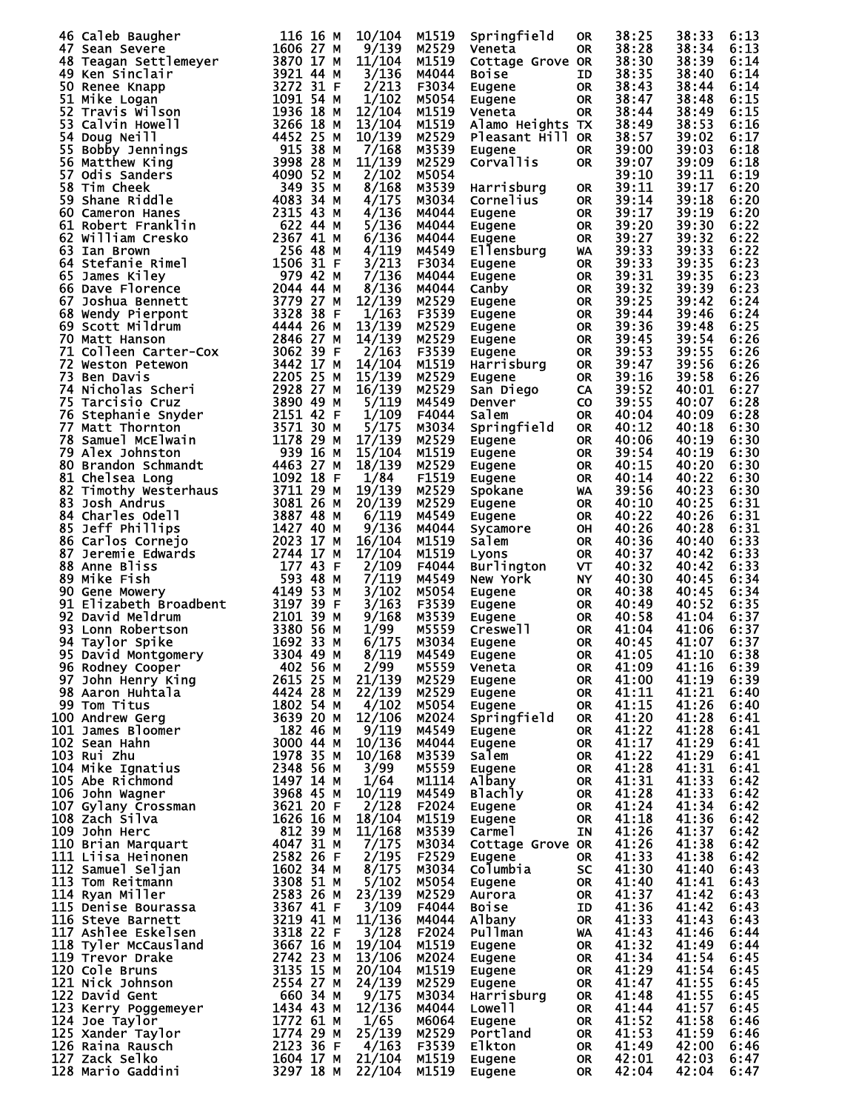|                                                                                                                                                                                                                                                                               |           | 10/104                   | M1519 |                  |           | 38:25          | 38:33          |      |
|-------------------------------------------------------------------------------------------------------------------------------------------------------------------------------------------------------------------------------------------------------------------------------|-----------|--------------------------|-------|------------------|-----------|----------------|----------------|------|
| 46 Caleb Baugher                                                                                                                                                                                                                                                              | 116 16 M  |                          |       | Springfield      | <b>OR</b> |                |                | 6:13 |
| 47 Sean Severe                                                                                                                                                                                                                                                                | 1606 27 M | 9/139                    | M2529 | Veneta           | OR        | 38:28          | 38:34          | 6:13 |
|                                                                                                                                                                                                                                                                               | 3870 17 M | 11/104                   | M1519 | Cottage Grove OR |           | 38:30          | 38:39          | 6:14 |
|                                                                                                                                                                                                                                                                               | 3921 44 M | 3/136                    | M4044 | <b>Boise</b>     | ID        | 38:35          | 38:40          | 6:14 |
|                                                                                                                                                                                                                                                                               | 3272 31 F | 2/213                    |       |                  |           | 38:43          |                | 6:14 |
| <b>+/ sean severe<br/>48 Teagan Settlemeyer<br/>49 Ken Sinclair<br/>50 Renee Knapp<br/>51 Mike Logan<br/>52 Travis Wilson<br/>53 Calvin Howell<br/>54 Doua Neill</b>                                                                                                          |           |                          | F3034 | Eugene           | <b>OR</b> |                | 38:44          |      |
|                                                                                                                                                                                                                                                                               | 1091 54 M | 1/102                    | M5054 | Eugene           | 0R        | 38:47          | 38:48          | 6:15 |
|                                                                                                                                                                                                                                                                               | 1936 18 M | 12/104                   | M1519 | Veneta           | 0R        | 38:44          | 38:49          | 6:15 |
|                                                                                                                                                                                                                                                                               | 3266 18 M | 13/104                   | M1519 | Alamo Heights TX |           | 38:49          | 38:53          | 6:16 |
|                                                                                                                                                                                                                                                                               |           | 10/139                   | M2529 | Pleasant Hill OR |           | 38:57          | 39:02          | 6:17 |
|                                                                                                                                                                                                                                                                               |           |                          |       |                  |           |                |                |      |
|                                                                                                                                                                                                                                                                               |           | 7/168                    | M3539 | Eugene           | 0R        | 39:00          | 39:03          | 6:18 |
|                                                                                                                                                                                                                                                                               |           | 11/139                   | M2529 | Corvallis        | <b>OR</b> | 39:07          | 39:09          | 6:18 |
|                                                                                                                                                                                                                                                                               |           | 2/102                    | M5054 |                  |           | 39:10          | 39:11          | 6:19 |
|                                                                                                                                                                                                                                                                               |           | 8/168                    | M3539 | Harrisburg       | <b>OR</b> | 39:11          | 39:17          | 6:20 |
|                                                                                                                                                                                                                                                                               |           |                          |       |                  |           |                |                |      |
|                                                                                                                                                                                                                                                                               |           | 4/175                    | M3034 | Cornelius        | <b>OR</b> | 39:14          | 39:18          | 6:20 |
|                                                                                                                                                                                                                                                                               |           | 4/136                    | M4044 | Eugene           | OR.       | 39:17          | 39:19          | 6:20 |
|                                                                                                                                                                                                                                                                               |           | 5/136                    | M4044 | Eugene           | OR.       | 39:20          | 39:30          | 6:22 |
|                                                                                                                                                                                                                                                                               |           | 6/136                    | M4044 | Eugene           | 0R        | 39:27          | 39:32          | 6:22 |
|                                                                                                                                                                                                                                                                               |           | 4/119                    | M4549 | Ellensburg       | <b>WA</b> | 39:33          | 39:33          | 6:22 |
|                                                                                                                                                                                                                                                                               |           |                          |       |                  |           |                |                |      |
|                                                                                                                                                                                                                                                                               |           | 3/213                    | F3034 | Eugene           | OR.       | 39:33          | 39:35          | 6:23 |
|                                                                                                                                                                                                                                                                               |           | 7/136                    | M4044 | Eugene           | OR.       | 39:31          | 39:35          | 6:23 |
|                                                                                                                                                                                                                                                                               |           | 8/136                    | M4044 | Canby            | OR.       | 39:32          | 39:39          | 6:23 |
|                                                                                                                                                                                                                                                                               |           | 12/139                   | M2529 | Eugene           | OR.       | 39:25          | 39:42          | 6:24 |
|                                                                                                                                                                                                                                                                               |           | 1/163                    | F3539 | Eugene           | OR.       | 39:44          | 39:46          | 6:24 |
|                                                                                                                                                                                                                                                                               |           |                          |       |                  |           |                |                |      |
| 3266 18 M History<br>13266 18 M Howell<br>53 Calvin Howell<br>54 Doug Neill<br>56 Matthew King<br>56 Matthew King<br>56 Matthew King<br>56 Matthew King<br>56 Same Riddle<br>56 Matthew King<br>59 Shane Riddle<br>59 Shane Riddle<br>60 Cameron Hanes                        |           | 13/139                   | M2529 | Eugene           | OR.       | 39:36          | 39:48          | 6:25 |
|                                                                                                                                                                                                                                                                               |           | 14/139                   | M2529 | Eugene           | OR.       | 39:45          | 39:54          | 6:26 |
|                                                                                                                                                                                                                                                                               |           | 2/163                    | F3539 | Eugene           | 0R        | 39:53          | 39:55          | 6:26 |
|                                                                                                                                                                                                                                                                               |           | 14/104                   | M1519 | Harrisburg       | <b>OR</b> | 39:47          | 39:56          | 6:26 |
|                                                                                                                                                                                                                                                                               |           | 15/139                   | M2529 | Eugene           | <b>OR</b> | 39:16          | 39:58          | 6:26 |
|                                                                                                                                                                                                                                                                               |           |                          |       |                  |           |                |                |      |
|                                                                                                                                                                                                                                                                               |           | 16/139                   | M2529 | San Diego        | CA        | 39:52          | 40:01          | 6:27 |
|                                                                                                                                                                                                                                                                               |           | 5/119                    | M4549 | Denver           | <b>CO</b> | 39:55          | 40:07          | 6:28 |
|                                                                                                                                                                                                                                                                               |           | 1/109                    | F4044 | Salem            | <b>OR</b> | 40:04          | 40:09          | 6:28 |
|                                                                                                                                                                                                                                                                               |           | 5/175                    | M3034 | Springfield      | 0R        | 40:12          | 40:18          | 6:30 |
|                                                                                                                                                                                                                                                                               |           | 17/139                   |       |                  |           |                |                | 6:30 |
|                                                                                                                                                                                                                                                                               |           |                          | M2529 | Eugene           | <b>OR</b> | 40:06          | 40:19          |      |
|                                                                                                                                                                                                                                                                               |           | 15/104                   | M1519 | Eugene           | 0R        | 39:54          | 40:19          | 6:30 |
|                                                                                                                                                                                                                                                                               |           | 18/139                   | M2529 | Eugene           | OR.       | 40:15          | 40:20          | 6:30 |
|                                                                                                                                                                                                                                                                               |           | 1/84                     | F1519 | Eugene           | OR.       | 40:14          | 40:22          | 6:30 |
|                                                                                                                                                                                                                                                                               |           | 19/139                   | M2529 | Spokane          | <b>WA</b> | 39:56          | 40:23          | 6:30 |
|                                                                                                                                                                                                                                                                               |           |                          |       |                  |           |                |                | 6:31 |
|                                                                                                                                                                                                                                                                               |           | 20/139                   | M2529 | Eugene           | 0R        | 40:10          | 40:25          |      |
|                                                                                                                                                                                                                                                                               |           | 6/119                    | M4549 | Eugene           | OR.       | 40:22          | 40:26          | 6:31 |
|                                                                                                                                                                                                                                                                               |           | 9/136                    | M4044 | Sycamore         | OH        | 40:26          | 40:28          | 6:31 |
|                                                                                                                                                                                                                                                                               |           | 16/104                   | M1519 | Salem            | 0R        | 40:36          | 40:40          | 6:33 |
|                                                                                                                                                                                                                                                                               |           | 17/104                   | M1519 | Lyons            | 0R        | 40:37          | 40:42          | 6:33 |
|                                                                                                                                                                                                                                                                               |           |                          |       |                  |           |                |                |      |
|                                                                                                                                                                                                                                                                               |           | 2/109                    | F4044 | Burlington       | <b>VT</b> | 40:32          | 40:42          | 6:33 |
| 79 Alex Johnston<br>80 Brandon Schmandt<br>81 Chelsea Long<br>82 Timothy Westerhaus<br>82 Timothy Westerhaus<br>83 Josh Andrus<br>84 Charles Odell<br>85 Jeff Phillips<br>86 Carlos Cornejo<br>86 Carlos Cornejo<br>86 Carlos Cornejo<br>87 Jeff Phi                          |           | 7/119                    | M4549 | New York         | <b>NY</b> | 40:30          | 40:45          | 6:34 |
|                                                                                                                                                                                                                                                                               |           | 3/102                    | M5054 | Eugene           | 0R        | 40:38          | 40:45          | 6:34 |
|                                                                                                                                                                                                                                                                               |           | 3/163                    | F3539 | Eugene           | OR.       | 40:49          | 40:52          | 6:35 |
|                                                                                                                                                                                                                                                                               |           | 9/168                    | M3539 |                  | OR.       | 40:58          | 41:04          | 6:37 |
|                                                                                                                                                                                                                                                                               |           |                          |       | Eugene           |           |                |                |      |
|                                                                                                                                                                                                                                                                               |           | 1/99                     | M5559 | Creswell         | OR.       | 41:04          | 41:06          | 6:37 |
|                                                                                                                                                                                                                                                                               |           | 6/175                    | M3034 | Eugene           | 0R        | 40:45          | 41:07          | 6:37 |
| 95 David Montgomery 3304 49 M                                                                                                                                                                                                                                                 |           | 8/119                    | M4549 | <b>Eugene</b>    | <b>OR</b> | 41:05          | 41:10          | 6:38 |
|                                                                                                                                                                                                                                                                               |           | 2/99                     | M5559 | Veneta           | 0R        | 41:09          | 41:16          | 6:39 |
|                                                                                                                                                                                                                                                                               |           | 21/139                   | M2529 | Eugene           | OR        | 41:00          | 41:19          | 6:39 |
|                                                                                                                                                                                                                                                                               |           |                          |       |                  |           |                |                |      |
|                                                                                                                                                                                                                                                                               |           | 22/139                   | M2529 | Eugene           | OR.       | 41:11          | 41:21          | 6:40 |
|                                                                                                                                                                                                                                                                               |           | 4/102                    | M5054 | Eugene           | OR        | 41:15          | 41:26          | 6:40 |
|                                                                                                                                                                                                                                                                               |           | 12/106                   | M2024 | Springfield      | <b>OR</b> | 41:20          | 41:28          | 6:41 |
|                                                                                                                                                                                                                                                                               |           | 9/119                    | M4549 | Eugene           | <b>OR</b> | 41:22          | 41:28          | 6:41 |
|                                                                                                                                                                                                                                                                               |           | 10/136                   | M4044 | Eugene           | <b>OR</b> | 41:17          | 41:29          | 6:41 |
|                                                                                                                                                                                                                                                                               |           |                          |       |                  |           |                |                |      |
|                                                                                                                                                                                                                                                                               |           | 10/168                   | M3539 | Salem            | OR        | 41:22          | 41:29          | 6:41 |
|                                                                                                                                                                                                                                                                               |           | 3/99                     | M5559 | Eugene           | OR        | 41:28          | 41:31          | 6:41 |
|                                                                                                                                                                                                                                                                               |           |                          |       |                  |           |                |                |      |
|                                                                                                                                                                                                                                                                               |           | 1/64                     | M1114 |                  | OR        | 41:31          | 41:33          | 6:42 |
|                                                                                                                                                                                                                                                                               |           |                          |       | Albany           | OR        |                |                |      |
|                                                                                                                                                                                                                                                                               |           | 10/119                   | M4549 | <b>Blachly</b>   |           | 41:28          | 41:33          | 6:42 |
|                                                                                                                                                                                                                                                                               |           | 2/128                    | F2024 | Eugene           | OR D      | 41:24          | 41:34          | 6:42 |
|                                                                                                                                                                                                                                                                               |           | 18/104                   | M1519 | Eugene           | OR        | 41:18          | 41:36          | 6:42 |
|                                                                                                                                                                                                                                                                               |           | 11/168                   | M3539 | Carmel           | ΙN        | 41:26          | 41:37          | 6:42 |
|                                                                                                                                                                                                                                                                               |           | 7/175                    | M3034 | Cottage Grove OR |           | 41:26          | 41:38          | 6:42 |
|                                                                                                                                                                                                                                                                               |           |                          |       | Eugene           | OR        |                |                |      |
|                                                                                                                                                                                                                                                                               |           |                          | F2529 |                  |           | 41:33          | 41:38          | 6:42 |
|                                                                                                                                                                                                                                                                               |           | $\frac{2}{195}$<br>8/175 | M3034 | Columbia         | <b>SC</b> | 41:30          | 41:40          | 6:43 |
|                                                                                                                                                                                                                                                                               |           | 5/102                    | M5054 | Eugene           | OR        | 41:40          | 41:41          | 6:43 |
|                                                                                                                                                                                                                                                                               |           | 23/139                   | M2529 | Aurora           | OR        | 41:37          | 41:42          | 6:43 |
|                                                                                                                                                                                                                                                                               |           | 3/109                    | F4044 | <b>Boise</b>     | ID.       | 41:36          | 41:42          | 6:43 |
|                                                                                                                                                                                                                                                                               |           |                          | M4044 |                  | <b>OR</b> |                | 41:43          | 6:43 |
|                                                                                                                                                                                                                                                                               |           | 11/136                   |       | Albany           |           | 41:33          |                |      |
|                                                                                                                                                                                                                                                                               |           | 3/128                    | F2024 | Pullman          | <b>WA</b> | 41:43          | 41:46          | 6:44 |
|                                                                                                                                                                                                                                                                               |           | 19/104                   | M1519 | Eugene           | OR        | 41:32          | 41:49          | 6:44 |
|                                                                                                                                                                                                                                                                               |           | 13/106                   | M2024 | Eugene           | OR D      | 41:34          | 41:54          | 6:45 |
|                                                                                                                                                                                                                                                                               |           | 20/104                   | M1519 | Eugene           | OR        | 41:29          | 41:54          | 6:45 |
|                                                                                                                                                                                                                                                                               |           | 24/139                   | M2529 | Eugene           | OR        | 41:47          | 41:55          | 6:45 |
|                                                                                                                                                                                                                                                                               |           |                          |       |                  |           |                |                |      |
|                                                                                                                                                                                                                                                                               |           | 9/175                    | M3034 | Harrisburg       | OR        | 41:48          | 41:55          | 6:45 |
|                                                                                                                                                                                                                                                                               |           | 12/136                   | M4044 | <b>Lowell</b>    | OR        | 41:44          | 41:57          | 6:45 |
|                                                                                                                                                                                                                                                                               |           | 1/65                     | M6064 | Eugene           | OR        | 41:52          | 41:58          | 6:46 |
|                                                                                                                                                                                                                                                                               |           | 25/139                   | M2529 | Portland         | OR        | 41:53          | 41:59          | 6:46 |
|                                                                                                                                                                                                                                                                               |           | 4/163                    | F3539 | <b>Elkton</b>    | OR.       | 41:49          | 42:00          | 6:46 |
|                                                                                                                                                                                                                                                                               |           |                          |       |                  | OR        |                |                | 6:47 |
| 94 Taylor Spike<br>95 David Montgomery<br>96 Rodney Cooper<br>96 Rodney Cooper<br>97 John Henry King<br>97 John Henry King<br>98 Aaron Huhtala<br>99 Tom Titus<br>99 Tom Titus<br>99 Tom Titus<br>99 Tom Titus<br>99 Tom Titus<br>99 Tom Titus<br>100 An<br>128 Mario Gaddini | 3297 18 M | 21/104 M1519<br>22/104   | M1519 | Eugene<br>Eugene | OR        | 42:01<br>42:04 | 42:03<br>42:04 | 6:47 |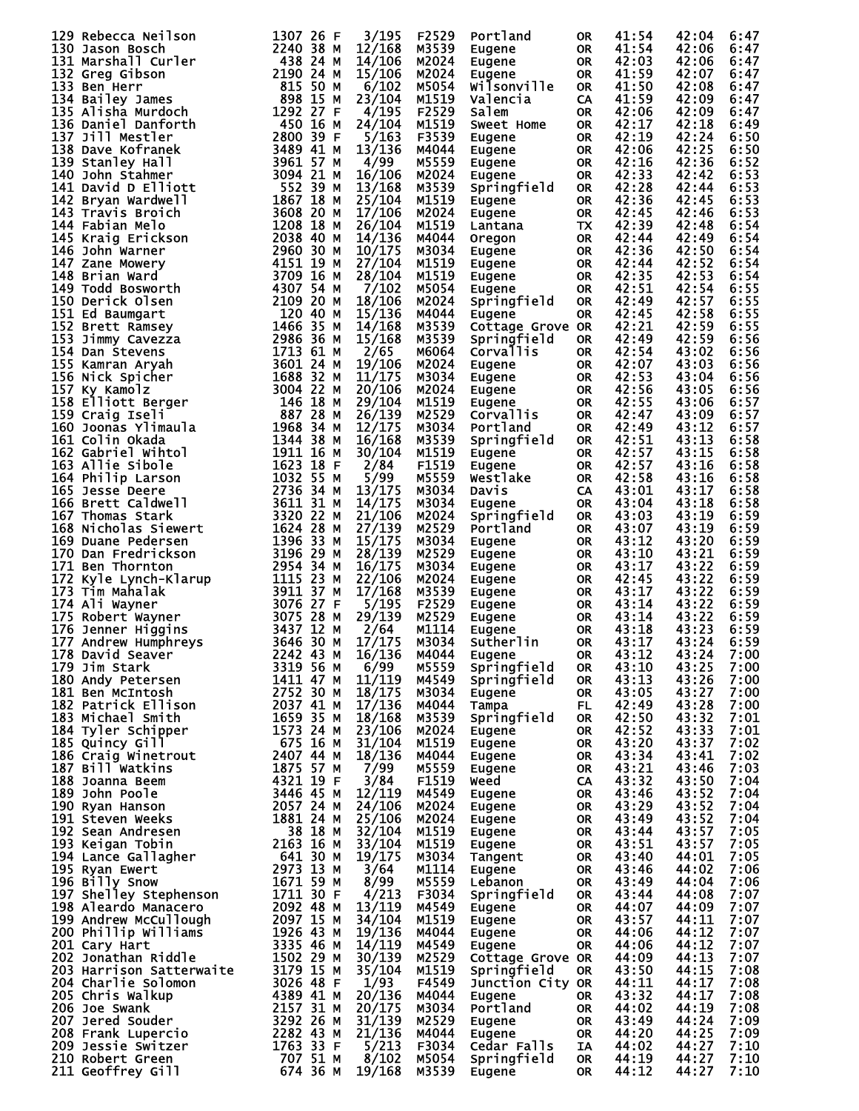|                                                                                                                                                                                                                                                        |             | 3/195  | F2529 | Portland                                          | 0R        | 41:54 | 42:04      | 6:47 |
|--------------------------------------------------------------------------------------------------------------------------------------------------------------------------------------------------------------------------------------------------------|-------------|--------|-------|---------------------------------------------------|-----------|-------|------------|------|
|                                                                                                                                                                                                                                                        |             | 12/168 | M3539 | Eugene                                            | OR.       | 41:54 | 42:06      | 6:47 |
|                                                                                                                                                                                                                                                        |             |        | M2024 |                                                   |           | 42:03 | 42:06      | 6:47 |
| 129 Rebecca Neilson<br>1307 26 Resign (1917)<br>1311 Marshalfi Curler<br>2448 244 MM Marshalfi Curler<br>1313 Greg Gibson<br>1313 Ben Herr (1918)<br>1338 Ban Hey James<br>1338 David Barrotth (1920 127 F. 1920 127 F. 1920 127 F. 1111 M             |             | 14/106 |       | Eugene                                            | OR.       |       |            |      |
|                                                                                                                                                                                                                                                        |             | 15/106 | M2024 | Eugene                                            | OR.       | 41:59 | 42:07      | 6:47 |
|                                                                                                                                                                                                                                                        |             | 6/102  | M5054 | wilsonville                                       | OR.       | 41:50 | 42:08      | 6:47 |
|                                                                                                                                                                                                                                                        |             | 23/104 | M1519 | Valencia                                          | CA.       | 41:59 | 42:09      | 6:47 |
|                                                                                                                                                                                                                                                        |             |        |       |                                                   |           |       |            |      |
|                                                                                                                                                                                                                                                        |             | 4/195  | F2529 | Salem                                             | OR.       | 42:06 | 42:09      | 6:47 |
|                                                                                                                                                                                                                                                        |             | 24/104 | M1519 | Sweet Home                                        | OR.       | 42:17 | 42:18      | 6:49 |
|                                                                                                                                                                                                                                                        |             | 5/163  | F3539 | Eugene                                            | OR.       | 42:19 | 42:24      | 6:50 |
|                                                                                                                                                                                                                                                        |             |        |       |                                                   |           |       |            |      |
|                                                                                                                                                                                                                                                        |             | 13/136 | M4044 | Eugene                                            | OR        | 42:06 | 42:25      | 6:50 |
|                                                                                                                                                                                                                                                        |             | 4/99   | M5559 | Eugene                                            | OR        | 42:16 | 42:36      | 6:52 |
|                                                                                                                                                                                                                                                        |             | 16/106 | M2024 | Eugene                                            | OR        | 42:33 | 42:42      | 6:53 |
|                                                                                                                                                                                                                                                        |             |        |       |                                                   |           |       |            |      |
|                                                                                                                                                                                                                                                        |             | 13/168 | M3539 | Springfield                                       | OR.       | 42:28 | 42:44      | 6:53 |
|                                                                                                                                                                                                                                                        |             | 25/104 | M1519 | Eugene                                            | <b>OR</b> | 42:36 | 42:45      | 6:53 |
|                                                                                                                                                                                                                                                        |             | 17/106 | M2024 | Eugene                                            | <b>OR</b> | 42:45 | 42:46      | 6:53 |
|                                                                                                                                                                                                                                                        |             |        |       |                                                   |           |       |            |      |
|                                                                                                                                                                                                                                                        |             | 26/104 | M1519 | Lantana                                           | TX.       | 42:39 | 42:48      | 6:54 |
|                                                                                                                                                                                                                                                        |             | 14/136 | M4044 | Oregon                                            | OR        | 42:44 | 42:49      | 6:54 |
|                                                                                                                                                                                                                                                        |             | 10/175 | M3034 | Eugene                                            | OR        | 42:36 | 42:50      | 6:54 |
|                                                                                                                                                                                                                                                        |             |        |       |                                                   |           |       |            |      |
|                                                                                                                                                                                                                                                        |             | 27/104 | M1519 | Eugene                                            | OR        | 42:44 | 42:52      | 6:54 |
|                                                                                                                                                                                                                                                        |             | 28/104 | M1519 | Eugene                                            | OR        | 42:35 | 42:53      | 6:54 |
|                                                                                                                                                                                                                                                        |             | 7/102  | M5054 | Eugene                                            | OR        | 42:51 | 42:54      | 6:55 |
|                                                                                                                                                                                                                                                        |             | 18/106 |       |                                                   |           | 42:49 |            |      |
|                                                                                                                                                                                                                                                        |             |        | M2024 | Springfield                                       | OR.       |       | 42:57      | 6:55 |
|                                                                                                                                                                                                                                                        |             | 15/136 | M4044 | Eugene                                            | OR.       | 42:45 | 42:58      | 6:55 |
|                                                                                                                                                                                                                                                        |             | 14/168 | M3539 | Cottage Grove OR                                  |           | 42:21 | 42:59      | 6:55 |
|                                                                                                                                                                                                                                                        |             |        |       |                                                   |           | 42:49 |            |      |
|                                                                                                                                                                                                                                                        |             | 15/168 | M3539 | Springfield                                       | <b>OR</b> |       | 42:59      | 6:56 |
|                                                                                                                                                                                                                                                        |             | 2/65   | M6064 | <b>Corvallis</b>                                  | <b>OR</b> | 42:54 | 43:02      | 6:56 |
|                                                                                                                                                                                                                                                        |             | 19/106 | M2024 | Eugene                                            | OR        | 42:07 | 43:03      | 6:56 |
|                                                                                                                                                                                                                                                        |             | 11/175 | M3034 |                                                   |           | 42:53 | 43:04      | 6:56 |
|                                                                                                                                                                                                                                                        |             |        |       | Eugene                                            | OR        |       |            |      |
|                                                                                                                                                                                                                                                        |             | 20/106 | M2024 | Eugene                                            | OR        | 42:56 | 43:05      | 6:56 |
|                                                                                                                                                                                                                                                        |             | 29/104 | M1519 | Eugene                                            | OR        | 42:55 | 43:06      | 6:57 |
|                                                                                                                                                                                                                                                        |             | 26/139 | M2529 |                                                   | <b>OR</b> | 42:47 | 43:09      | 6:57 |
|                                                                                                                                                                                                                                                        |             |        |       | Corvallis                                         |           |       |            |      |
|                                                                                                                                                                                                                                                        |             | 12/175 | M3034 | Portland                                          | <b>OR</b> | 42:49 | 43:12      | 6:57 |
|                                                                                                                                                                                                                                                        |             | 16/168 | M3539 | Springfield                                       | <b>OR</b> | 42:51 | 43:13      | 6:58 |
|                                                                                                                                                                                                                                                        |             | 30/104 | M1519 | Eugene                                            | <b>OR</b> | 42:57 | 43:15      | 6:58 |
|                                                                                                                                                                                                                                                        |             |        |       |                                                   |           |       |            |      |
|                                                                                                                                                                                                                                                        |             | 2/84   | F1519 | Eugene                                            | <b>OR</b> | 42:57 | 43:16      | 6:58 |
|                                                                                                                                                                                                                                                        |             | 5/99   | M5559 | Westlake                                          | OR.       | 42:58 | 43:16      | 6:58 |
|                                                                                                                                                                                                                                                        |             | 13/175 | M3034 | Davis                                             | <b>CA</b> | 43:01 | 43:17      | 6:58 |
|                                                                                                                                                                                                                                                        |             |        |       |                                                   |           |       |            |      |
|                                                                                                                                                                                                                                                        |             | 14/175 | M3034 | Eugene                                            | OR.       | 43:04 | 43:18      | 6:58 |
|                                                                                                                                                                                                                                                        |             | 21/106 | M2024 | Springfield                                       | <b>OR</b> | 43:03 | 43:19      | 6:59 |
|                                                                                                                                                                                                                                                        |             | 27/139 | M2529 | Portland                                          | OR.       | 43:07 | 43:19      | 6:59 |
|                                                                                                                                                                                                                                                        |             |        |       |                                                   |           |       |            |      |
|                                                                                                                                                                                                                                                        |             | 15/175 | M3034 | Eugene                                            | <b>OR</b> | 43:12 | 43:20      | 6:59 |
|                                                                                                                                                                                                                                                        |             | 28/139 | M2529 | Eugene                                            | OR        | 43:10 | 43:21      | 6:59 |
|                                                                                                                                                                                                                                                        |             | 16/175 | M3034 | Eugene                                            | OR.       | 43:17 | 43:22      | 6:59 |
|                                                                                                                                                                                                                                                        |             |        |       |                                                   |           |       |            |      |
|                                                                                                                                                                                                                                                        |             | 22/106 | M2024 | Eugene                                            | OR.       | 42:45 | 43:22      | 6:59 |
|                                                                                                                                                                                                                                                        |             | 17/168 | M3539 |                                                   | OR        | 43:17 | 43:22      | 6:59 |
|                                                                                                                                                                                                                                                        |             | 5/195  | F2529 |                                                   | OR        | 43:14 | 43:22      | 6:59 |
|                                                                                                                                                                                                                                                        |             | 29/139 | M2529 |                                                   |           |       |            |      |
|                                                                                                                                                                                                                                                        |             |        |       |                                                   | OR        | 43:14 | 43:22      | 6:59 |
|                                                                                                                                                                                                                                                        |             | 2/64   | M1114 | Eugene<br>Eugene<br>Eugene<br>Eugene<br>Sutherlin | OR        | 43:18 | 43:23      | 6:59 |
|                                                                                                                                                                                                                                                        |             | 17/175 | M3034 |                                                   | <b>OR</b> | 43:17 | 43:24      | 6:59 |
| 178 David Seaver                                                                                                                                                                                                                                       | $2242$ 43 M | 16/136 | M4044 | OR 43:12                                          |           |       | 43:24 7:00 |      |
|                                                                                                                                                                                                                                                        |             |        |       | Eugene                                            |           |       |            |      |
| 179 Jim Stark                                                                                                                                                                                                                                          | 3319 56 M   | 6/99   | M5559 | Springfield                                       | 0R        | 43:10 | 43:25      | 7:00 |
|                                                                                                                                                                                                                                                        |             | 11/119 | M4549 | Springfield                                       | OR.       | 43:13 | 43:26      | 7:00 |
|                                                                                                                                                                                                                                                        |             | 18/175 | M3034 | Eugene                                            | OR.       | 43:05 | 43:27      | 7:00 |
|                                                                                                                                                                                                                                                        |             |        |       |                                                   |           |       |            |      |
|                                                                                                                                                                                                                                                        |             | 17/136 | M4044 | Tampa                                             | FL.       | 42:49 | 43:28      | 7:00 |
|                                                                                                                                                                                                                                                        |             | 18/168 | M3539 | Springfield                                       | OR.       | 42:50 | 43:32      | 7:01 |
|                                                                                                                                                                                                                                                        |             | 23/106 | M2024 | Eugene                                            | OR.       | 42:52 | 43:33      | 7:01 |
| 178 David Seaver<br>179 Jim Stark<br>180 Andy Petersen<br>181 Ben McIntosh<br>182 Patrick Ellison<br>182 Patrick Ellison<br>183 Michael Smith<br>1659 35 41 M<br>185 Quincy Gill<br>186 Craig Winetrout<br>187 Bill Watkins<br>187 Bill Watkins<br>187 |             | 31/104 | M1519 | Eugene                                            | OR.       | 43:20 | 43:37      | 7:02 |
|                                                                                                                                                                                                                                                        |             |        |       |                                                   |           |       |            |      |
|                                                                                                                                                                                                                                                        |             | 18/136 | M4044 | Eugene                                            | OR        | 43:34 | 43:41      | 7:02 |
|                                                                                                                                                                                                                                                        |             | 7/99   | M5559 | <b>Eugene</b>                                     | OR        | 43:21 | 43:46      | 7:03 |
|                                                                                                                                                                                                                                                        |             | 3/84   | F1519 | weed                                              | <b>CA</b> | 43:32 | 43:50      | 7:04 |
|                                                                                                                                                                                                                                                        |             |        |       |                                                   |           |       | 43:52      |      |
|                                                                                                                                                                                                                                                        |             | 12/119 | M4549 | Eugene                                            | OR        | 43:46 |            | 7:04 |
|                                                                                                                                                                                                                                                        |             | 24/106 | M2024 | Eugene                                            | OR D      | 43:29 | 43:52      | 7:04 |
|                                                                                                                                                                                                                                                        |             | 25/106 | M2024 | Eugene                                            | OR        | 43:49 | 43:52      | 7:04 |
|                                                                                                                                                                                                                                                        |             | 32/104 | M1519 | Eugene                                            | OR D      | 43:44 | 43:57      | 7:05 |
|                                                                                                                                                                                                                                                        |             |        |       |                                                   |           |       |            |      |
|                                                                                                                                                                                                                                                        |             | 33/104 | M1519 | Eugene                                            | OR        | 43:51 | 43:57      | 7:05 |
|                                                                                                                                                                                                                                                        |             | 19/175 | M3034 | Tangent                                           | OR D      | 43:40 | 44:01      | 7:05 |
|                                                                                                                                                                                                                                                        |             | 3/64   | M1114 | Eugene                                            | OR D      | 43:46 | 44:02      | 7:06 |
|                                                                                                                                                                                                                                                        |             |        |       |                                                   |           |       |            |      |
|                                                                                                                                                                                                                                                        |             | 8/99   | M5559 | Lebanon                                           | OR        | 43:49 | 44:04      | 7:06 |
|                                                                                                                                                                                                                                                        |             | 4/213  | F3034 | Springfield                                       | OR        | 43:44 | 44:08      | 7:07 |
|                                                                                                                                                                                                                                                        |             | 13/119 | M4549 | Eugene                                            | OR        | 44:07 | 44:09      | 7:07 |
|                                                                                                                                                                                                                                                        |             |        |       |                                                   |           |       |            |      |
| <b>199 Andrew McCullough 2097 15 M</b><br>200 Phillip Williams 1926 43 M<br>201 Cary Hart 3335 46 M<br>202 Jonathan Riddle 1502 29 M                                                                                                                   |             | 34/104 | M1519 | Eugene                                            | OR.       | 43:57 | 44:11      | 7:07 |
|                                                                                                                                                                                                                                                        |             | 19/136 | M4044 | Eugene                                            | OR.       | 44:06 | 44:12      | 7:07 |
|                                                                                                                                                                                                                                                        |             | 14/119 | M4549 | Eugene                                            | OR.       | 44:06 | 44:12      | 7:07 |
| 202 Jonathan Riddle                                                                                                                                                                                                                                    | 1502 29 M   | 30/139 | M2529 |                                                   |           | 44:09 | 44:13      | 7:07 |
|                                                                                                                                                                                                                                                        |             |        |       | Cottage Grove OR                                  |           |       |            |      |
| 203 Harrison Satterwaite                                                                                                                                                                                                                               | 3179 15 M   | 35/104 | M1519 | Springfield                                       | OR.       | 43:50 | 44:15      | 7:08 |
| 204 Charlie Solomon                                                                                                                                                                                                                                    | 3026 48 F   | 1/93   | F4549 | Junction City OR                                  |           | 44:11 | 44:17      | 7:08 |
| 205 Chris Walkup                                                                                                                                                                                                                                       | 4389 41 M   | 20/136 | M4044 | Eugene                                            | OR.       | 43:32 | 44:17      | 7:08 |
|                                                                                                                                                                                                                                                        |             |        |       |                                                   |           |       |            |      |
| 206 Joe Swank                                                                                                                                                                                                                                          | 2157 31 M   | 20/175 | M3034 | Portland                                          | OR.       | 44:02 | 44:19      | 7:08 |
| 207 Jered Souder                                                                                                                                                                                                                                       | 3292 26 M   | 31/139 | M2529 | Eugene                                            | OR.       | 43:49 | 44:24      | 7:09 |
|                                                                                                                                                                                                                                                        | 2282 43 M   | 21/136 | M4044 | Eugene                                            | OR.       | 44:20 | 44:25      | 7:09 |
| <b>208 Frank Lupercio<br/>209 Jessie Switzer<br/>1088 July Creen</b>                                                                                                                                                                                   | 1763 33 F   |        |       |                                                   |           |       |            |      |
|                                                                                                                                                                                                                                                        |             | 5/213  | F3034 | Cedar Falls                                       | IA.       | 44:02 | 44:27      | 7:10 |
|                                                                                                                                                                                                                                                        | 707 51 M    | 8/102  | M5054 | Springfield                                       | OR.       | 44:19 | 44:27      | 7:10 |
| 211 Geoffrey Gill                                                                                                                                                                                                                                      | 674 36 M    | 19/168 | M3539 | Eugene                                            | 0R        | 44:12 | 44:27      | 7:10 |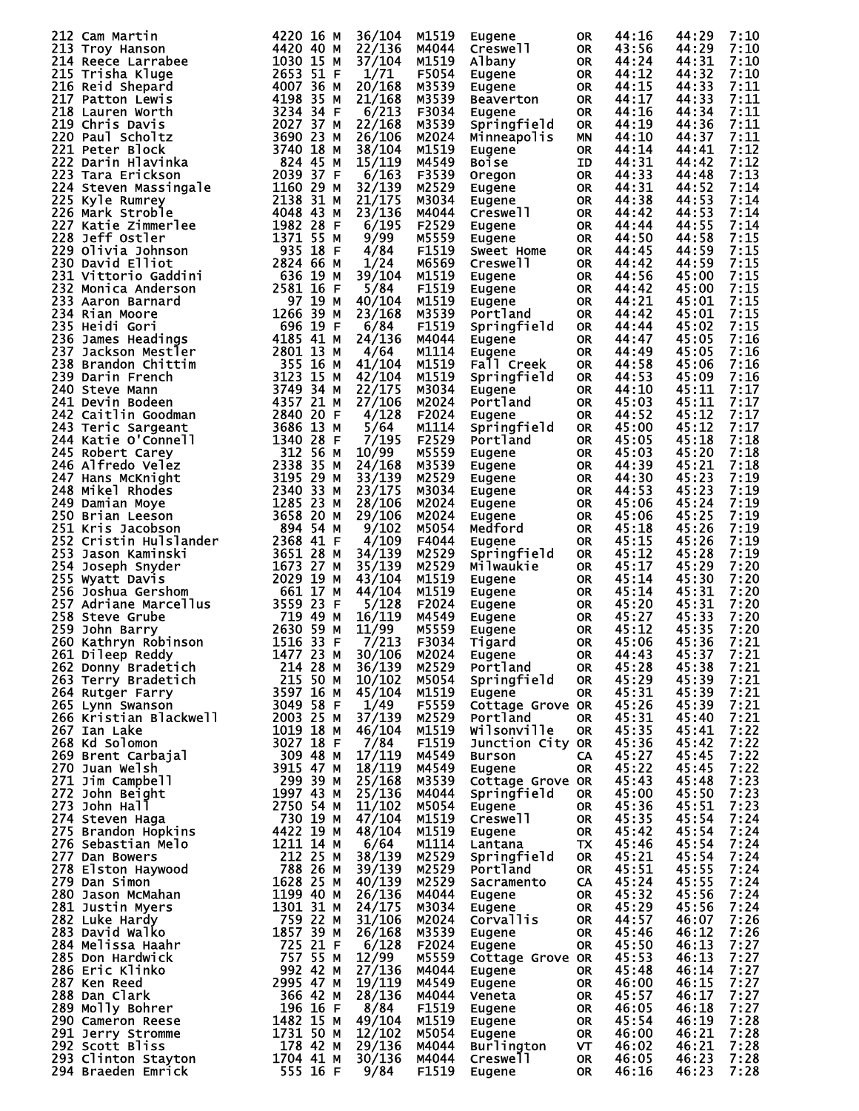|  | 212 Cam Martin         | 4220 16 M             | 36/104 | M1519 | Eugene           | <b>OR</b> | 44:16 | 44:29 | 7:10 |
|--|------------------------|-----------------------|--------|-------|------------------|-----------|-------|-------|------|
|  | 213 Troy Hanson        | 4420 40 M             | 22/136 | M4044 | Creswell         | <b>OR</b> | 43:56 | 44:29 | 7:10 |
|  | 214 Reece Larrabee     | 1030 15 M             | 37/104 | M1519 | Albany           | <b>OR</b> | 44:24 | 44:31 | 7:10 |
|  | 215 Trisha Kluge       | 2653 51 F             | 1/71   | F5054 |                  | <b>OR</b> | 44:12 | 44:32 | 7:10 |
|  |                        |                       |        |       | Eugene           |           |       |       |      |
|  | 216 Reid Shepard       | 4007 36 M             | 20/168 | M3539 | Eugene           | <b>OR</b> | 44:15 | 44:33 | 7:11 |
|  | 217 Patton Lewis       | 4198 35 M             | 21/168 | M3539 | <b>Beaverton</b> | <b>OR</b> | 44:17 | 44:33 | 7:11 |
|  | 218 Lauren Worth       | 3234 34 F             | 6/213  | F3034 | Eugene           | <b>OR</b> | 44:16 | 44:34 | 7:11 |
|  | 219 Chris Davis        | 2027 37 M             | 22/168 | M3539 | Springfield      | <b>OR</b> | 44:19 | 44:36 | 7:11 |
|  |                        |                       |        |       |                  |           |       |       |      |
|  | 220 Paul Scholtz       | 3690 23 M             | 26/106 | M2024 | Minneapolis      | <b>MN</b> | 44:10 | 44:37 | 7:11 |
|  | 221 Peter Block        | 3740 18 M             | 38/104 | M1519 | Eugene           | <b>OR</b> | 44:14 | 44:41 | 7:12 |
|  | 222 Darin Hlavinka     | 824 45 M              | 15/119 | M4549 | <b>Boise</b>     | ID        | 44:31 | 44:42 | 7:12 |
|  | 223 Tara Erickson      | 2039 37 F             | 6/163  | F3539 | Oregon           | 0R        | 44:33 | 44:48 | 7:13 |
|  |                        | 1160 29 M             |        |       |                  |           |       |       | 7:14 |
|  | 224 Steven Massingale  |                       | 32/139 | M2529 | Eugene           | 0R        | 44:31 | 44:52 |      |
|  | 225 Kyle Rumrey        | 2138 31 M             | 21/175 | M3034 | Eugene           | 0R        | 44:38 | 44:53 | 7:14 |
|  | 226 Mark Stroble       | 4048 43 M             | 23/136 | M4044 | Creswell         | <b>OR</b> | 44:42 | 44:53 | 7:14 |
|  | 227 Katie Zimmerlee    | 1982 28 F             | 6/195  | F2529 | Eugene           | <b>OR</b> | 44:44 | 44:55 | 7:14 |
|  | 228 Jeff Ostler        | 1371 55 M             | 9/99   | M5559 |                  | <b>OR</b> | 44:50 | 44:58 | 7:15 |
|  |                        |                       |        |       | Eugene           |           |       |       |      |
|  | 229 Olivia Johnson     | 935 18 F              | 4/84   | F1519 | Sweet Home       | <b>OR</b> | 44:45 | 44:59 | 7:15 |
|  | 230 David Elliot       | 2824 66 M             | 1/24   | M6569 | Creswell         | <b>OR</b> | 44:42 | 44:59 | 7:15 |
|  | 231 Vittorio Gaddini   | 636 19 м              | 39/104 | M1519 | Eugene           | <b>OR</b> | 44:56 | 45:00 | 7:15 |
|  | 232 Monica Anderson    | 2581 16 F             | 5/84   | F1519 | Eugene           | <b>OR</b> | 44:42 | 45:00 | 7:15 |
|  |                        |                       |        |       |                  |           |       |       |      |
|  | 233 Aaron Barnard      | 97 19 M               | 40/104 | M1519 | Eugene           | <b>OR</b> | 44:21 | 45:01 | 7:15 |
|  | 234 Rian Moore         | 1266 39 M             | 23/168 | M3539 | Portland         | <b>OR</b> | 44:42 | 45:01 | 7:15 |
|  | 235 Heidi Gori         | 696 19 F              | 6/84   | F1519 | Springfield      | <b>OR</b> | 44:44 | 45:02 | 7:15 |
|  | 236 James Headings     | 4185 41 M             | 24/136 | M4044 | Eugene           | <b>OR</b> | 44:47 | 45:05 | 7:16 |
|  | 237 Jackson Mestler    |                       |        | M1114 |                  |           |       |       |      |
|  |                        | 2801 13 M             | 4/64   |       | Eugene           | <b>OR</b> | 44:49 | 45:05 | 7:16 |
|  | 238 Brandon Chittim    | 355 16 M              | 41/104 | M1519 | Fall Creek       | <b>OR</b> | 44:58 | 45:06 | 7:16 |
|  | 239 Darin French       | 3123 15 M             | 42/104 | M1519 | Springfield      | <b>OR</b> | 44:53 | 45:09 | 7:16 |
|  | 240 Steve Mann         | 3749<br>34 M          | 22/175 | M3034 | Eugene           | <b>OR</b> | 44:10 | 45:11 | 7:17 |
|  | 241 Devin Bodeen       | 4357 21 M             | 27/106 | M2024 | Portland         | <b>OR</b> | 45:03 | 45:11 | 7:17 |
|  |                        |                       |        |       |                  |           |       |       |      |
|  | 242 Caitlin Goodman    | 2840 20 F             | 4/128  | F2024 | Eugene           | <b>OR</b> | 44:52 | 45:12 | 7:17 |
|  | 243 Teric Sargeant     | 3686 13 M             | 5/64   | M1114 | Springfield      | <b>OR</b> | 45:00 | 45:12 | 7:17 |
|  | 244 Katie O'Connell    | 1340<br>28 F          | 7/195  | F2529 | Portland         | <b>OR</b> | 45:05 | 45:18 | 7:18 |
|  | 245 Robert Carey       | 312 56 M              | 10/99  | M5559 | Eugene           | <b>OR</b> | 45:03 | 45:20 | 7:18 |
|  |                        |                       |        |       |                  |           |       |       | 7:18 |
|  | 246 Alfredo Velez      | 2338<br>35 M          | 24/168 | M3539 | Eugene           | <b>OR</b> | 44:39 | 45:21 |      |
|  | 247 Hans McKnight      | 3195 29 M             | 33/139 | M2529 | Eugene           | 0R        | 44:30 | 45:23 | 7:19 |
|  | 248 Mikel Rhodes       | 2340<br>33 M          | 23/175 | M3034 | Eugene           | <b>OR</b> | 44:53 | 45:23 | 7:19 |
|  | 249 Damian Moye        | 1285 23 M             | 28/106 | M2024 | Eugene           | 0R        | 45:06 | 45:24 | 7:19 |
|  | 250 Brian Leeson       | 3658 20 M             | 29/106 | M2024 |                  | <b>OR</b> | 45:06 | 45:25 | 7:19 |
|  |                        |                       |        |       | Eugene           |           |       |       |      |
|  | 251 Kris Jacobson      | 894 54 M              | 9/102  | M5054 | Medford          | <b>OR</b> | 45:18 | 45:26 | 7:19 |
|  | 252 Cristin Hulslander | 2368 41 F             | 4/109  | F4044 | Eugene           | <b>OR</b> | 45:15 | 45:26 | 7:19 |
|  | 253 Jason Kaminski     | 3651 28 M             | 34/139 | M2529 | Springfield      | <b>OR</b> | 45:12 | 45:28 | 7:19 |
|  | 254 Joseph Snyder      | 1673 27 M             | 35/139 | M2529 | Milwaukie        | <b>OR</b> | 45:17 | 45:29 | 7:20 |
|  |                        |                       |        |       |                  |           |       |       |      |
|  | 255 Wyatt Davis        | 2029 19 M             | 43/104 | M1519 | <b>Eugene</b>    | <b>OR</b> | 45:14 | 45:30 | 7:20 |
|  | 256 Joshua Gershom     | 661 17 M              | 44/104 | M1519 | Eugene           | 0R        | 45:14 | 45:31 | 7:20 |
|  | 257 Adriane Marcellus  | 3559 23 F             | 5/128  | F2024 | Eugene           | 0R        | 45:20 | 45:31 | 7:20 |
|  | 258 Steve Grube        | 719 49 M              | 16/119 | M4549 | Eugene           | 0R        | 45:27 | 45:33 | 7:20 |
|  |                        |                       |        |       |                  |           |       |       |      |
|  | 259 John Barry         | 2630 59 M             | 11/99  | M5559 | Eugene           | <b>OR</b> | 45:12 | 45:35 | 7:20 |
|  | 260 Kathryn Robinson   | 33 F<br>1516          | 7/213  | F3034 | Tigard           | <b>OR</b> | 45:06 | 45:36 | 7:21 |
|  | 261 Dileep Reddy       | 1477 23 M             | 30/106 | M2024 | Eugene           | <b>OR</b> | 44:43 | 45:37 | 7:21 |
|  | 262 Donny Bradetich    | 214 28 M              | 36/139 | M2529 | Portland         | <b>OR</b> | 45:28 | 45:38 | 7:21 |
|  |                        | 215 50 M              | 10/102 | M5054 |                  | <b>OR</b> | 45:29 | 45:39 | 7:21 |
|  | 263 Terry Bradetich    |                       |        |       | Springfield      |           |       |       |      |
|  | 264 Rutger Farry       | 3597 16 M             | 45/104 | M1519 | Eugene           | <b>OR</b> | 45:31 | 45:39 | 7:21 |
|  | 265 Lynn Swanson       | 3049 58 F             | 1/49   | F5559 | Cottage Grove OR |           | 45:26 | 45:39 | 7:21 |
|  | 266 Kristian Blackwell | 2003 25 M             | 37/139 | M2529 | Portland         | <b>OR</b> | 45:31 | 45:40 | 7:21 |
|  | 267 Ian Lake           | 1019 18 M             | 46/104 | M1519 | Wilsonville      | <b>OR</b> | 45:35 | 45:41 | 7:22 |
|  |                        |                       |        |       |                  |           |       |       |      |
|  | 268 Kd Solomon         | 3027 18 F             | 7/84   | F1519 | Junction City OR |           | 45:36 | 45:42 | 7:22 |
|  | 269 Brent Carbajal     | 309 48 M              | 17/119 | M4549 | <b>Burson</b>    | CA        | 45:27 | 45:45 | 7:22 |
|  | 270 Juan Welsh         | 3915 47 M             | 18/119 | M4549 | Eugene           | <b>OR</b> | 45:22 | 45:45 | 7:22 |
|  | 271 Jim Campbell       | 299 39 M              | 25/168 | M3539 | Cottage Grove OR |           | 45:43 | 45:48 | 7:23 |
|  | 272 John Beight        | 1997 43 M             | 25/136 | M4044 | Springfield      | <b>OR</b> | 45:00 | 45:50 | 7:23 |
|  |                        |                       |        |       |                  |           |       |       |      |
|  | 273 John Hall          | 2750 54 M             | 11/102 | M5054 | Eugene           | <b>OR</b> | 45:36 | 45:51 | 7:23 |
|  | 274 Steven Haga        | 730 19 M              | 47/104 | M1519 | Creswell         | <b>OR</b> | 45:35 | 45:54 | 7:24 |
|  | 275 Brandon Hopkins    | 4422 19 M             | 48/104 | M1519 | Eugene           | OR.       | 45:42 | 45:54 | 7:24 |
|  | 276 Sebastian Melo     | 1211 14 M             | 6/64   | M1114 | Lantana          | TX        | 45:46 | 45:54 | 7:24 |
|  | 277 Dan Bowers         | 212 25 M              | 38/139 | M2529 |                  | <b>OR</b> | 45:21 | 45:54 | 7:24 |
|  |                        |                       |        |       | Springfield      |           |       |       |      |
|  | 278 Elston Haywood     | 788 26 M              | 39/139 | M2529 | Portland         | <b>OR</b> | 45:51 | 45:55 | 7:24 |
|  | 279 Dan Simon          | 1628 25 M             | 40/139 | M2529 | Sacramento       | CA        | 45:24 | 45:55 | 7:24 |
|  | 280 Jason McMahan      | 1199 40 M             | 26/136 | M4044 | Eugene           | OR.       | 45:32 | 45:56 | 7:24 |
|  | 281 Justin Myers       | 1301 31 M             | 24/175 | M3034 | Eugene           | 0R        | 45:29 | 45:56 | 7:24 |
|  |                        |                       |        |       |                  |           |       |       |      |
|  | 282 Luke Hardy         | 759 22 M<br>1857 39 M | 31/106 | M2024 | Corvallis        | <b>OR</b> | 44:57 | 46:07 | 7:26 |
|  | 283 David Walko        |                       | 26/168 | M3539 | Eugene           | <b>OR</b> | 45:46 | 46:12 | 7:26 |
|  | 284 Melissa Haahr      | 725 21 F              | 6/128  | F2024 | Eugene           | <b>OR</b> | 45:50 | 46:13 | 7:27 |
|  | 285 Don Hardwick       | 757 55 M              | 12/99  | M5559 | Cottage Grove OR |           | 45:53 | 46:13 | 7:27 |
|  |                        | 992 42 M              | 27/136 |       |                  |           |       |       |      |
|  | 286 Eric Klinko        |                       |        | M4044 | Eugene           | OR.       | 45:48 | 46:14 | 7:27 |
|  | 287 Ken Reed           | 2995 47 M             | 19/119 | M4549 | Eugene           | 0R        | 46:00 | 46:15 | 7:27 |
|  | 288 Dan Clark          | 366 42 M              | 28/136 | M4044 | Veneta           | <b>OR</b> | 45:57 | 46:17 | 7:27 |
|  | 289 Molly Bohrer       | 196 16 F              | 8/84   | F1519 | Eugene           | OR.       | 46:05 | 46:18 | 7:27 |
|  | 290 Cameron Reese      | 1482 15 M             | 49/104 | M1519 | Eugene           | <b>OR</b> | 45:54 | 46:19 | 7:28 |
|  |                        | 1731 50 M             |        |       |                  |           |       |       |      |
|  | 291 Jerry Stromme      |                       | 12/102 | M5054 | Eugene           | 0R        | 46:00 | 46:21 | 7:28 |
|  | 292 Scott Bliss        | 178 42 M              | 29/136 | M4044 | Burlington       | <b>VT</b> | 46:02 | 46:21 | 7:28 |
|  | 293 Clinton Stayton    | 1704 41 M             | 30/136 | M4044 | Creswell         | <b>OR</b> | 46:05 | 46:23 | 7:28 |
|  | 294 Braeden Emrick     | 555 16 F              | 9/84   | F1519 | Eugene           | <b>OR</b> | 46:16 | 46:23 | 7:28 |
|  |                        |                       |        |       |                  |           |       |       |      |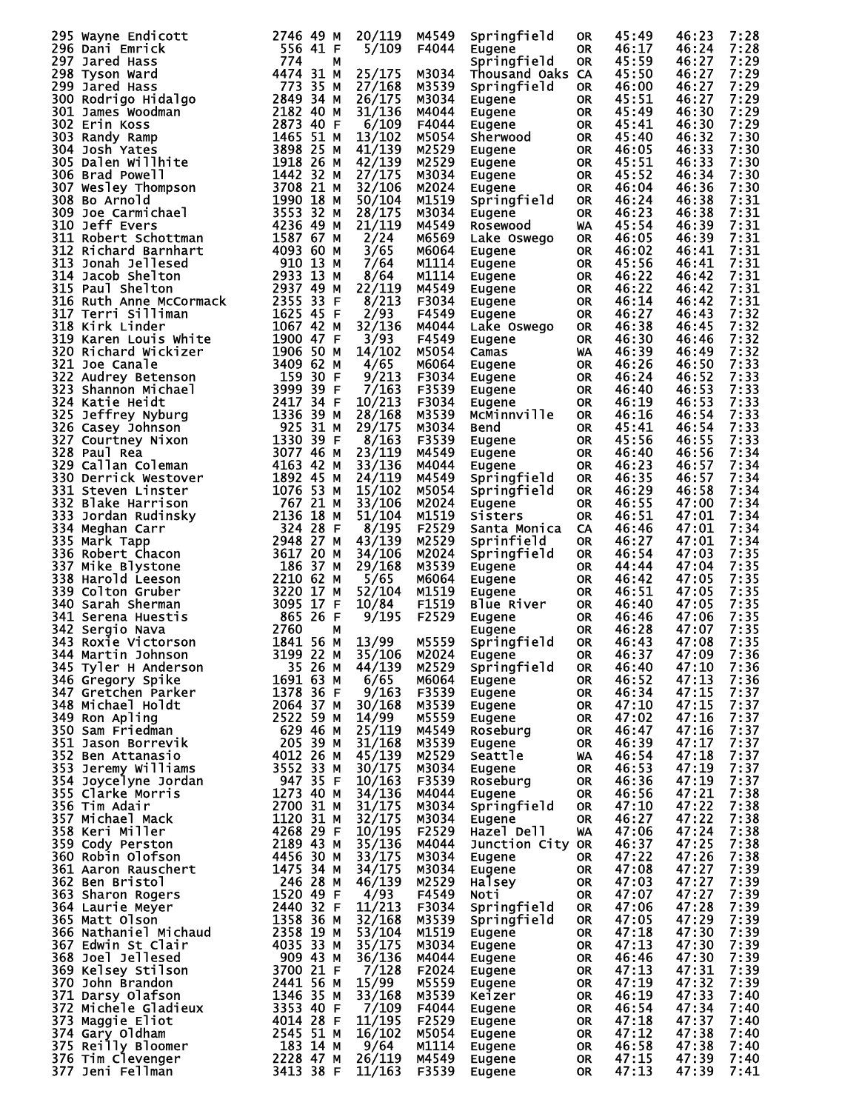|      | 295 Wayne Endicott                                                                                                                                                                                                                                                    | 2746 49 M              | 20/119 | M4549 | Springfield      | <b>OR</b> | 45:49 | 46:23          | 7:28 |
|------|-----------------------------------------------------------------------------------------------------------------------------------------------------------------------------------------------------------------------------------------------------------------------|------------------------|--------|-------|------------------|-----------|-------|----------------|------|
|      |                                                                                                                                                                                                                                                                       | 556 41 F               | 5/109  | F4044 | <b>Eugene</b>    | <b>OR</b> | 46:17 | 46:24          | 7:28 |
|      |                                                                                                                                                                                                                                                                       | 774<br>м               |        |       | Springfield      | <b>OR</b> | 45:59 | 46:27          | 7:29 |
|      |                                                                                                                                                                                                                                                                       | 4474 31 M              | 25/175 | M3034 | Thousand Oaks CA |           | 45:50 | 46:27          | 7:29 |
|      |                                                                                                                                                                                                                                                                       | 773 35 M               |        |       |                  |           |       |                | 7:29 |
|      |                                                                                                                                                                                                                                                                       |                        | 27/168 | M3539 | Springfield      | <b>OR</b> | 46:00 | 46:27          |      |
|      |                                                                                                                                                                                                                                                                       | 2849 34 M              | 26/175 | M3034 | Eugene           | <b>OR</b> | 45:51 | 46:27          | 7:29 |
|      |                                                                                                                                                                                                                                                                       | 2182 40 M              | 31/136 | M4044 | Eugene           | <b>OR</b> | 45:49 | 46:30          | 7:29 |
|      |                                                                                                                                                                                                                                                                       | 2873 40 F              | 6/109  | F4044 | Eugene           | <b>OR</b> | 45:41 | 46:30          | 7:29 |
|      |                                                                                                                                                                                                                                                                       | 1465 51 M              | 13/102 | M5054 | Sherwood         | <b>OR</b> | 45:40 | 46:32          | 7:30 |
|      |                                                                                                                                                                                                                                                                       |                        |        |       |                  |           |       |                |      |
|      |                                                                                                                                                                                                                                                                       | 3898 25 M              | 41/139 | M2529 | Eugene           | <b>OR</b> | 46:05 | 46:33          | 7:30 |
|      |                                                                                                                                                                                                                                                                       | 1918<br>26 M           | 42/139 | M2529 | Eugene           | <b>OR</b> | 45:51 | 46:33          | 7:30 |
|      |                                                                                                                                                                                                                                                                       | 1442 32 M              | 27/175 | M3034 | Eugene           | 0R        | 45:52 | 46:34          | 7:30 |
|      |                                                                                                                                                                                                                                                                       | 3708 21 M              | 32/106 | M2024 | Eugene           | <b>OR</b> | 46:04 | 46:36          | 7:30 |
|      |                                                                                                                                                                                                                                                                       | 1990<br>18 M           | 50/104 | M1519 |                  | <b>OR</b> | 46:24 | 46:38          | 7:31 |
|      |                                                                                                                                                                                                                                                                       |                        |        |       | Springfield      |           |       |                |      |
|      | 295 Wayne Endicott<br>296 Dani Emrick<br>297 Jared Hass<br>298 Tyson Ward<br>299 Jared Hass<br>300 Rodrigo Hidalgo<br>301 James Woodman<br>302 Erin Koss<br>303 Randy Ramp<br>304 Josh Yates<br>305 Dalen Willhite<br>306 Brad Powell<br>307 Wesley Thompson<br>308 B | 3553<br>32 M           | 28/175 | M3034 | Eugene           | <b>OR</b> | 46:23 | 46:38          | 7:31 |
|      | 310 Jeff Evers                                                                                                                                                                                                                                                        | 4236 49 M              | 21/119 | M4549 | <b>Rosewood</b>  | WA        | 45:54 | 46:39          | 7:31 |
|      | 311 Robert Schottman                                                                                                                                                                                                                                                  | 1587 67 M              | 2/24   | M6569 | Lake Oswego      | <b>OR</b> | 46:05 | 46:39          | 7:31 |
|      | 312 Richard Barnhart                                                                                                                                                                                                                                                  | 4093 60 M              | 3/65   | M6064 | Eugene           | <b>OR</b> | 46:02 | 46:41          | 7:31 |
|      |                                                                                                                                                                                                                                                                       |                        |        |       |                  |           |       |                |      |
|      | 313 Jonah Jellesed                                                                                                                                                                                                                                                    | 910 13 M               | 7/64   | M1114 | Eugene           | <b>OR</b> | 45:56 | 46:41          | 7:31 |
|      | 314 Jacob Shelton                                                                                                                                                                                                                                                     | 2933 13 M              | 8/64   | M1114 | Eugene           | 0R        | 46:22 | 46:42          | 7:31 |
|      | 315 Paul Shelton                                                                                                                                                                                                                                                      | 2937 49 M              | 22/119 | M4549 | Eugene           | <b>OR</b> | 46:22 | 46:42          | 7:31 |
|      | 316 Ruth Anne McCormack                                                                                                                                                                                                                                               | 2355 33 F              | 8/213  | F3034 | Eugene           | 0R        | 46:14 | 46:42          | 7:31 |
|      | 317 Terri Silliman                                                                                                                                                                                                                                                    | 1625 45 F              | 2/93   | F4549 |                  | <b>OR</b> | 46:27 | 46:43          | 7:32 |
|      |                                                                                                                                                                                                                                                                       |                        |        |       | Eugene           |           |       |                |      |
|      | 318 Kirk Linder                                                                                                                                                                                                                                                       | 1067 42 M              | 32/136 | M4044 | Lake Oswego      | <b>OR</b> | 46:38 | 46:45          | 7:32 |
|      | 319 Karen Louis White                                                                                                                                                                                                                                                 | 1900 47 F              | 3/93   | F4549 | Eugene           | <b>OR</b> | 46:30 | 46:46          | 7:32 |
|      | 320 Richard Wickizer                                                                                                                                                                                                                                                  | 1906 50 M              | 14/102 | M5054 | Camas            | WA        | 46:39 | 46:49          | 7:32 |
|      | 321 Joe Canale                                                                                                                                                                                                                                                        | 3409<br>62 M           | 4/65   | M6064 | Eugene           | <b>OR</b> | 46:26 | 46:50          | 7:33 |
|      |                                                                                                                                                                                                                                                                       |                        |        |       |                  |           |       |                |      |
|      | 322 Audrey Betenson                                                                                                                                                                                                                                                   | 159 30 F               | 9/213  | F3034 | Eugene           | 0R        | 46:24 | 46:52          | 7:33 |
|      | 323 Shannon Michael                                                                                                                                                                                                                                                   | 3999<br>39 F           | 7/163  | F3539 | Eugene           | <b>OR</b> | 46:40 | 46:53          | 7:33 |
|      | 324 Katie Heidt                                                                                                                                                                                                                                                       | 2417 34 F              | 10/213 | F3034 | Eugene           | <b>OR</b> | 46:19 | 46:53          | 7:33 |
|      | 325 Jeffrey Nyburg                                                                                                                                                                                                                                                    | 1336<br>39 M           | 28/168 | M3539 | MCMinnville      | <b>OR</b> | 46:16 | 46:54          | 7:33 |
|      |                                                                                                                                                                                                                                                                       | 925 31 M               | 29/175 | M3034 | <b>Bend</b>      | <b>OR</b> | 45:41 | 46:54          | 7:33 |
|      | 326 Casey Johnson                                                                                                                                                                                                                                                     |                        |        |       |                  |           |       |                |      |
|      | 327 Courtney Nixon                                                                                                                                                                                                                                                    | 1330 39 F              | 8/163  | F3539 | Eugene           | <b>OR</b> | 45:56 | 46:55          | 7:33 |
|      | 328 Paul Rea                                                                                                                                                                                                                                                          | 3077 46 M              | 23/119 | M4549 | Eugene           | <b>OR</b> | 46:40 | 46:56          | 7:34 |
|      | 329 Callan Coleman                                                                                                                                                                                                                                                    | 4163 42 M              | 33/136 | M4044 | Eugene           | <b>OR</b> | 46:23 | 46:57          | 7:34 |
|      | 330 Derrick Westover                                                                                                                                                                                                                                                  | 1892 45 M              | 24/119 | M4549 | Springfield      | <b>OR</b> | 46:35 | 46:57          | 7:34 |
|      |                                                                                                                                                                                                                                                                       |                        |        |       |                  |           |       |                |      |
|      | 331 Steven Linster                                                                                                                                                                                                                                                    | 1076<br>53 M           | 15/102 | M5054 | Springfield      | <b>OR</b> | 46:29 | 46:58          | 7:34 |
|      | 332 Blake Harrison                                                                                                                                                                                                                                                    | 767 21 M               | 33/106 | M2024 | Eugene           | <b>OR</b> | 46:55 | 47:00          | 7:34 |
| 333  | Jordan Rudinsky                                                                                                                                                                                                                                                       | 2136 18 M              | 51/104 | M1519 | Sisters          | <b>OR</b> | 46:51 | 47:01          | 7:34 |
|      | 334 Meghan Carr                                                                                                                                                                                                                                                       | 324 28 F               | 8/195  | F2529 | Santa Monica     | CA        | 46:46 | 47:01          | 7:34 |
|      |                                                                                                                                                                                                                                                                       | 2948 27 M              |        |       |                  |           |       |                |      |
|      | 335 Mark Tapp                                                                                                                                                                                                                                                         |                        | 43/139 | M2529 | Sprinfield       | <b>OR</b> | 46:27 | 47:01          | 7:34 |
|      | 336 Robert Chacon                                                                                                                                                                                                                                                     | 3617 20 M              | 34/106 | M2024 | Springfield      | <b>OR</b> | 46:54 | 47:03          | 7:35 |
| 337. | Mike Blystone                                                                                                                                                                                                                                                         | 186<br>37 M            | 29/168 | M3539 | Eugene           | <b>OR</b> | 44:44 | 47:04          | 7:35 |
|      | 338 Harold Leeson                                                                                                                                                                                                                                                     | 2210 62 M              | 5/65   | M6064 | Eugene           | <b>OR</b> | 46:42 | 47:05          | 7:35 |
|      | 339 Colton Gruber                                                                                                                                                                                                                                                     | 3220 17 M              | 52/104 | M1519 | Eugene           | <b>OR</b> | 46:51 | 47:05          | 7:35 |
|      |                                                                                                                                                                                                                                                                       |                        |        |       |                  |           |       |                |      |
|      | 340 Sarah Sherman                                                                                                                                                                                                                                                     | 3095 17 F              | 10/84  | F1519 | Blue River       | <b>OR</b> | 46:40 | 47:05          | 7:35 |
|      | 341 Serena Huestis                                                                                                                                                                                                                                                    | 865 26 F               | 9/195  | F2529 | Eugene           | <b>OR</b> | 46:46 | 47:06          | 7:35 |
|      | 342 Sergio Nava                                                                                                                                                                                                                                                       | 2760<br>М              |        |       | Eugene           | <b>OR</b> | 46:28 | 47:07          | 7:35 |
| 343. | Roxie Victorson                                                                                                                                                                                                                                                       | 1841 56 M              | 13/99  | M5559 | Springfield      | <b>OR</b> | 46:43 | 47:08          | 7:35 |
|      | 344 Martin Johnson                                                                                                                                                                                                                                                    | 3199 22 M              | 35/106 | M2024 |                  | OR        | 46:37 |                | 7:36 |
|      |                                                                                                                                                                                                                                                                       |                        |        |       | <b>Eugene</b>    |           |       | 47:09<br>47:10 |      |
|      | 345 Tyler H Anderson                                                                                                                                                                                                                                                  | 35 26 M                | 44/139 | M2529 | Springfield      | <b>OR</b> | 46:40 |                | 7:36 |
|      | 346 Gregory Spike                                                                                                                                                                                                                                                     | 1691 63 M              | 6/65   | M6064 | Eugene           | <b>OR</b> | 46:52 | 47:13          | 7:36 |
|      | 347 Gretchen Parker                                                                                                                                                                                                                                                   | 1378 36 F              | 9/163  | F3539 | Eugene           | <b>OR</b> | 46:34 | 47:15          | 7:37 |
|      | 348 Michael Holdt                                                                                                                                                                                                                                                     | 2064 37 M              | 30/168 | M3539 | Eugene           | <b>OR</b> | 47:10 | 47:15          | 7:37 |
|      | 349 Ron Apling                                                                                                                                                                                                                                                        | 2522 59 M              | 14/99  | M5559 |                  | <b>OR</b> | 47:02 | 47:16          | 7:37 |
|      |                                                                                                                                                                                                                                                                       |                        |        |       | Eugene           |           |       |                |      |
|      | 350 Sam Friedman                                                                                                                                                                                                                                                      | 629 46 м               | 25/119 | M4549 | Roseburg         | <b>OR</b> | 46:47 | 47:16          | 7:37 |
|      | 351 Jason Borrevik                                                                                                                                                                                                                                                    | 205 39 M               | 31/168 | M3539 | Eugene           | <b>OR</b> | 46:39 | 47:17          | 7:37 |
|      | 352 Ben Attanasio                                                                                                                                                                                                                                                     | 4012 26 M              | 45/139 | M2529 | Seattle          | <b>WA</b> | 46:54 | 47:18          | 7:37 |
|      | 353 Jeremy Williams                                                                                                                                                                                                                                                   | 3552 33 M              | 30/175 | M3034 | Eugene           | <b>OR</b> | 46:53 | 47:19          | 7:37 |
|      | 354 Joycelyne Jordan                                                                                                                                                                                                                                                  | 94735F                 | 10/163 | F3539 | Roseburg         | <b>OR</b> | 46:36 | 47:19          | 7:37 |
|      |                                                                                                                                                                                                                                                                       | 1273 40 M              |        |       |                  |           |       | 47:21          | 7:38 |
|      | 355 Clarke Morris                                                                                                                                                                                                                                                     |                        | 34/136 | M4044 | Eugene           | <b>OR</b> | 46:56 |                |      |
|      | 356 Tim Adair                                                                                                                                                                                                                                                         | 2700 31 M              | 31/175 | M3034 | Springfield      | <b>OR</b> | 47:10 | 47:22          | 7:38 |
|      | 357 Michael Mack                                                                                                                                                                                                                                                      | 1120 31 M              | 32/175 | M3034 | Eugene           | <b>OR</b> | 46:27 | 47:22          | 7:38 |
|      | 358 Keri Miller                                                                                                                                                                                                                                                       | 4268 29 F              | 10/195 | F2529 | Hazel Dell       | WA        | 47:06 | 47:24          | 7:38 |
|      | 359 Cody Perston                                                                                                                                                                                                                                                      | 2189 43 M              | 35/136 | M4044 | Junction City OR |           | 46:37 | 47:25          | 7:38 |
|      |                                                                                                                                                                                                                                                                       |                        |        |       |                  |           |       |                |      |
|      | 360 Robin Olofson                                                                                                                                                                                                                                                     | 4456 30 M              | 33/175 | M3034 | Eugene           | OR        | 47:22 | 47:26          | 7:38 |
|      | 361 Aaron Rauschert                                                                                                                                                                                                                                                   | 1475 34 M              | 34/175 | M3034 | Eugene           | <b>OR</b> | 47:08 | 47:27          | 7:39 |
|      | 362 Ben Bristol                                                                                                                                                                                                                                                       | 246 28 M               | 46/139 | M2529 | Halsey           | 0R        | 47:03 | 47:27          | 7:39 |
|      | 363 Sharon Rogers                                                                                                                                                                                                                                                     | 1520 49 F              | 4/93   | F4549 | Noti             | <b>OR</b> | 47:07 | 47:27          | 7:39 |
|      | 364 Laurie Meyer                                                                                                                                                                                                                                                      | 2440 32 F              | 11/213 | F3034 | Springfield      | <b>OR</b> | 47:06 | 47:28          | 7:39 |
|      |                                                                                                                                                                                                                                                                       |                        |        |       |                  |           |       |                |      |
|      | 365 Matt Olson                                                                                                                                                                                                                                                        | 1358 36 M<br>2358 19 M | 32/168 | M3539 | Springfield      | <b>OR</b> | 47:05 | 47:29          | 7:39 |
|      | 366 Nathaniel Michaud                                                                                                                                                                                                                                                 |                        | 53/104 | M1519 | Eugene           | <b>OR</b> | 47:18 | 47:30          | 7:39 |
|      | 367 Edwin St Clair                                                                                                                                                                                                                                                    | 4035 33 M              | 35/175 | M3034 | Eugene           | <b>OR</b> | 47:13 | 47:30          | 7:39 |
|      | 368 Joel Jellesed                                                                                                                                                                                                                                                     | 909 43 M               | 36/136 | M4044 | Eugene           | 0R        | 46:46 | 47:30          | 7:39 |
|      | 369 Kelsey Stilson                                                                                                                                                                                                                                                    | 3700 21 F              | 7/128  | F2024 |                  | <b>OR</b> | 47:13 | 47:31          | 7:39 |
|      |                                                                                                                                                                                                                                                                       |                        |        |       | Eugene           |           |       |                |      |
|      | 370 John Brandon                                                                                                                                                                                                                                                      | 2441 56 M              | 15/99  | M5559 | Eugene           | OR.       | 47:19 | 47:32          | 7:39 |
|      | 371 Darsy Olafson                                                                                                                                                                                                                                                     | 1346 35 M              | 33/168 | M3539 | Keizer           | <b>OR</b> | 46:19 | 47:33          | 7:40 |
|      | 372 Michele Gladieux                                                                                                                                                                                                                                                  | 3353 40 F              | 7/109  | F4044 | Eugene           | <b>OR</b> | 46:54 | 47:34          | 7:40 |
|      | 373 Maggie Eliot                                                                                                                                                                                                                                                      |                        | 11/195 | F2529 | Eugene           | <b>OR</b> | 47:18 | 47:37          | 7:40 |
|      | 374 Gary Oldham                                                                                                                                                                                                                                                       | 4014 28 F<br>2545 51 M | 16/102 | M5054 |                  | OR.       | 47:12 | 47:38          | 7:40 |
|      |                                                                                                                                                                                                                                                                       |                        |        |       | Eugene           |           |       |                |      |
|      | 375 Reilly Bloomer                                                                                                                                                                                                                                                    | 183 14 M               | 9/64   | M1114 | Eugene           | <b>OR</b> | 46:58 | 47:38          | 7:40 |
|      | 376 Tim Clevenger                                                                                                                                                                                                                                                     | 2228 47 M              | 26/119 | M4549 | Eugene           | OR.       | 47:15 | 47:39          | 7:40 |
|      | 377 Jeni Fellman                                                                                                                                                                                                                                                      | 3413 38 F              | 11/163 | F3539 | <b>Eugene</b>    | <b>OR</b> | 47:13 | 47:39          | 7:41 |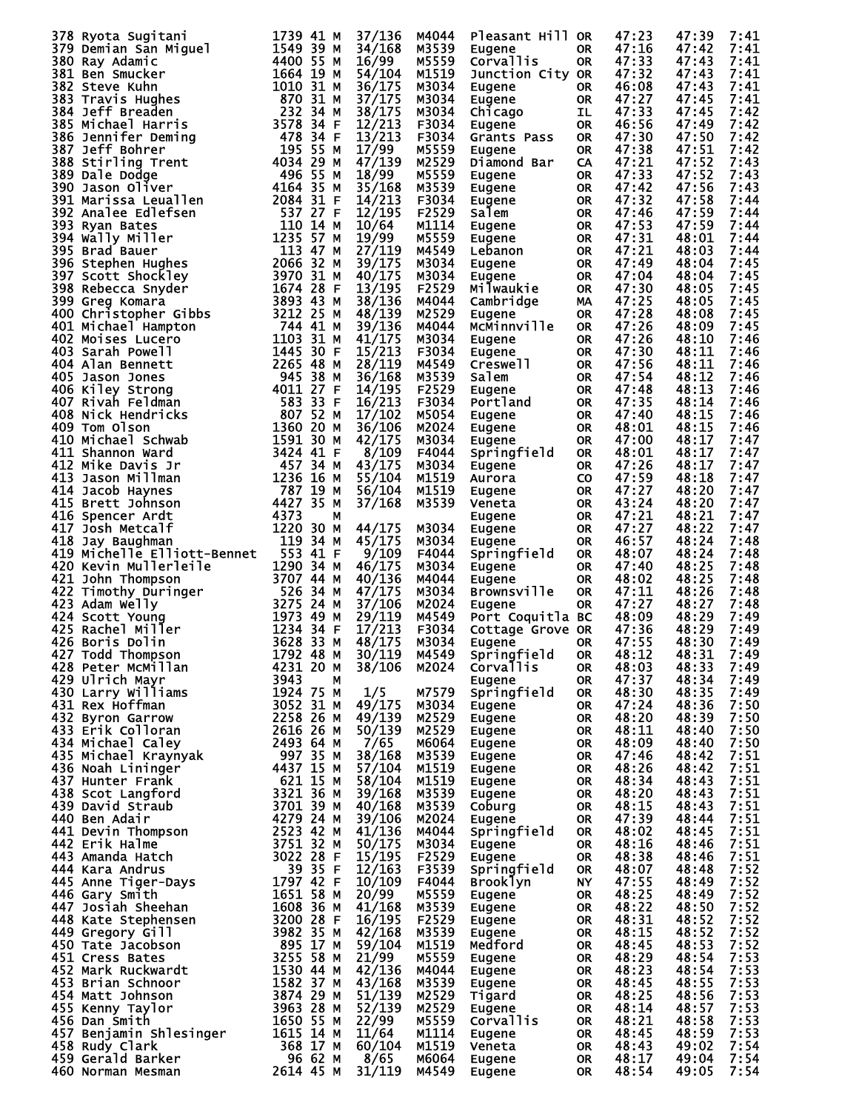|                                                                                                                                                                                                                                                        |                        | 37/136         | M4044          | Pleasant Hill OR   |            | 47:23          | 47:39          | 7:41         |
|--------------------------------------------------------------------------------------------------------------------------------------------------------------------------------------------------------------------------------------------------------|------------------------|----------------|----------------|--------------------|------------|----------------|----------------|--------------|
|                                                                                                                                                                                                                                                        |                        | 34/168         | M3539          | Eugene             | OR.        | 47:16          | 47:42          | 7:41         |
| 378 Ryota Sugitani<br>1739 41 M<br>380 Ray Adamic 1739 41 M<br>380 Ray Adamic 1549 39<br>1818 Ben Smucker 1664 19 M<br>382 Steve Kuhn<br>1863 Travis Hughes 1870 31 M<br>383 Travis Hughes 1870 31 M<br>385 Michael Harris 2578 344 M<br>385 St        |                        | 16/99          | M5559          | <b>Corvallis</b>   | <b>OR</b>  | 47:33          | 47:43          | 7:41         |
|                                                                                                                                                                                                                                                        |                        | 54/104         | M1519          | Junction City OR   |            | 47:32          | 47:43          | 7:41         |
|                                                                                                                                                                                                                                                        |                        | 36/175         | M3034          | Eugene             | OR.        | 46:08          | 47:43          | 7:41         |
|                                                                                                                                                                                                                                                        |                        |                |                |                    |            | 47:27          |                | 7:41         |
|                                                                                                                                                                                                                                                        |                        | 37/175         | M3034          | Eugene             | OR         |                | 47:45          |              |
|                                                                                                                                                                                                                                                        |                        | 38/175         | M3034          | Chicago            | IL.        | 47:33          | 47:45          | 7:42         |
|                                                                                                                                                                                                                                                        |                        | 12/213         | F3034          | Eugene             | OR.        | 46:56          | 47:49          | 7:42         |
|                                                                                                                                                                                                                                                        |                        | 13/213         | F3034          | Grants Pass        | OR.        | 47:30          | 47:50          | 7:42         |
|                                                                                                                                                                                                                                                        |                        | 17/99          | M5559          | Eugene             | OR.        | 47:38          | 47:51          | 7:42         |
|                                                                                                                                                                                                                                                        |                        | 47/139         |                |                    |            | 47:21          |                | 7:43         |
|                                                                                                                                                                                                                                                        |                        |                | M2529          | Diamond Bar        | <b>CA</b>  |                | 47:52          |              |
|                                                                                                                                                                                                                                                        |                        | 18/99          | M5559          | Eugene             | OR.        | 47:33          | 47:52          | 7:43         |
|                                                                                                                                                                                                                                                        |                        | 35/168         | M3539          | Eugene             | OR.        | 47:42          | 47:56          | 7:43         |
|                                                                                                                                                                                                                                                        |                        | 14/213         | F3034          | Eugene             | OR.        | 47:32          | 47:58          | 7:44         |
|                                                                                                                                                                                                                                                        |                        | 12/195         | F2529          | Salem              | OR.        | 47:46          | 47:59          | 7:44         |
|                                                                                                                                                                                                                                                        |                        | 10/64          | M1114          |                    |            | 47:53          | 47:59          | 7:44         |
|                                                                                                                                                                                                                                                        |                        |                |                | Eugene             | OR.        |                |                |              |
|                                                                                                                                                                                                                                                        |                        | 19/99          | M5559          | Eugene             | OR.        | 47:31          | 48:01          | 7:44         |
|                                                                                                                                                                                                                                                        |                        | 27/119         | M4549          | Lebanon            | OR.        | 47:21          | 48:03          | 7:44         |
|                                                                                                                                                                                                                                                        |                        | 39/175         | M3034          | Eugene             | OR.        | 47:49          | 48:04          | 7:45         |
|                                                                                                                                                                                                                                                        |                        | 40/175         | M3034          | Eugene             | OR.        | 47:04          | 48:04          | 7:45         |
|                                                                                                                                                                                                                                                        |                        | 13/195         | F2529          | Milwaukie          |            | 47:30          | 48:05          | 7:45         |
|                                                                                                                                                                                                                                                        |                        |                |                |                    | OR.        |                |                |              |
|                                                                                                                                                                                                                                                        |                        | 38/136         | M4044          | Cambridge          | MA         | 47:25          | 48:05          | 7:45         |
|                                                                                                                                                                                                                                                        |                        | 48/139         | M2529          | Eugene             | <b>OR</b>  | 47:28          | 48:08          | 7:45         |
|                                                                                                                                                                                                                                                        |                        | 39/136         | M4044          | McMinnville        | OR         | 47:26          | 48:09          | 7:45         |
|                                                                                                                                                                                                                                                        |                        | 41/175         | M3034          | Eugene             | <b>OR</b>  | 47:26          | 48:10          | 7:46         |
|                                                                                                                                                                                                                                                        |                        | 15/213         | F3034          | Eugene             | OR .       | 47:30          | 48:11          | 7:46         |
|                                                                                                                                                                                                                                                        |                        |                |                |                    |            |                |                |              |
|                                                                                                                                                                                                                                                        |                        | 28/119         | M4549          | Creswell           | OR.        | 47:56          | 48:11          | 7:46         |
|                                                                                                                                                                                                                                                        |                        | 36/168         | M3539          | Salem              | OR.        | 47:54          | 48:12          | 7:46         |
|                                                                                                                                                                                                                                                        |                        | 14/195         | F2529          | Eugene             | OR.        | 47:48          | 48:13          | 7:46         |
|                                                                                                                                                                                                                                                        |                        | 16/213         | F3034          | Portland           | OR.        | 47:35          | 48:14          | 7:46         |
|                                                                                                                                                                                                                                                        |                        |                |                |                    |            |                |                |              |
|                                                                                                                                                                                                                                                        |                        | 17/102         | M5054          | Eugene             | OR         | 47:40          | 48:15          | 7:46         |
|                                                                                                                                                                                                                                                        |                        | 36/106         | M2024          | Eugene             | OR.        | 48:01          | 48:15          | 7:46         |
|                                                                                                                                                                                                                                                        |                        | 42/175         | M3034          | Eugene             | OR.        | 47:00          | 48:17          | 7:47         |
|                                                                                                                                                                                                                                                        |                        | 8/109          | F4044          | Springfield        | OR.        | 48:01          | 48:17          | 7:47         |
|                                                                                                                                                                                                                                                        |                        | 43/175         | M3034          | Eugene             | OR.        | 47:26          | 48:17          | 7:47         |
|                                                                                                                                                                                                                                                        |                        |                |                |                    |            |                |                | 7:47         |
|                                                                                                                                                                                                                                                        |                        | 55/104         | M1519          | Aurora             | CO.        | 47:59          | 48:18          |              |
|                                                                                                                                                                                                                                                        |                        | 56/104         | M1519          | Eugene             | OR.        | 47:27          | 48:20          | 7:47         |
|                                                                                                                                                                                                                                                        |                        | 37/168         | M3539          | Veneta             | OR.        | 43:24          | 48:20          | 7:47         |
|                                                                                                                                                                                                                                                        |                        |                |                | Eugene             | OR.        | 47:21          | 48:21          | 7:47         |
|                                                                                                                                                                                                                                                        |                        | 44/175         | M3034          | Eugene             | OR.        | 47:27          | 48:22          | 7:47         |
|                                                                                                                                                                                                                                                        |                        |                |                |                    |            | 46:57          | 48:24          | 7:48         |
|                                                                                                                                                                                                                                                        |                        | 45/175         | M3034          | Eugene             | OR.        |                |                |              |
|                                                                                                                                                                                                                                                        |                        | 9/109          | F4044          | Springfield        | OR.        | 48:07          | 48:24          | 7:48         |
| 420 Kevin Mullerleile<br>421 John Thompson<br>422 Timothy Duringer<br>423 Adam Welly<br>423 Adam Welly<br>424 Scott Young<br>425 Rachel Miller<br>426 Boris Dolin<br>426 Rompson<br>427 Todd Thompson<br>427 Todd Thompson<br>427 Todd Thompson<br>427 | 1290 34 M              | 46/175         | M3034          | Eugene             | OR.        | 47:40          | 48:25          | 7:48         |
|                                                                                                                                                                                                                                                        |                        | 40/136         | M4044          | Eugene             | OR.        | 48:02          | 48:25          | 7:48         |
|                                                                                                                                                                                                                                                        |                        | 47/175         | M3034          | <b>Brownsville</b> | OR.        | 47:11          | 48:26          | 7:48         |
|                                                                                                                                                                                                                                                        |                        | 37/106         | M2024          |                    | <b>OR</b>  | 47:27          | 48:27          | 7:48         |
|                                                                                                                                                                                                                                                        |                        |                |                | Eugene             |            |                |                |              |
|                                                                                                                                                                                                                                                        |                        | 29/119         | M4549          | Port Coquitla BC   |            | 48:09          | 48:29          | 7:49         |
|                                                                                                                                                                                                                                                        |                        | 17/213         | F3034          | Cottage Grove OR   |            | 47:36          | 48:29          | 7:49         |
|                                                                                                                                                                                                                                                        |                        | 48/175         | M3034          | Eugene             | OR.        | 47:55          | 48:30          | 7:49         |
| 427 Todd Thompson 1792 48 M                                                                                                                                                                                                                            |                        | 30/119         | M4549          | Springfield OR     |            | 48:12          | 48:31          | 7:49         |
| 428 Peter MCMillan                                                                                                                                                                                                                                     | 4231 20 M              | 38/106         | M2024          | Corvallis          | 0R         | 48:03          | 48:33          | 7:49         |
|                                                                                                                                                                                                                                                        |                        |                |                |                    |            |                |                |              |
| 429 Ulrich Mayr                                                                                                                                                                                                                                        | 3943<br>М              |                |                | Eugene             | OR         | 47:37          | 48:34          | 7:49         |
| 430 Larry Williams                                                                                                                                                                                                                                     | 1924 75 M              | 1/5            | M7579          | Springfield        | OR.        | 48:30          | 48:35          | 7:49         |
| 431 Rex Hoffman                                                                                                                                                                                                                                        | 3052 31 M              | 49/175 M3034   |                | Eugene             | OR.        | 47:24          | 48:36          | 7:50         |
| 432 Byron Garrow                                                                                                                                                                                                                                       | 2258 26 M              | 49/139         | M2529          | Eugene             | OR.        | 48:20          | 48:39          | 7:50         |
| 433 Erik Colloran                                                                                                                                                                                                                                      | 2616 26 M              | 50/139         | M2529          | Eugene             | OR.        | 48:11          | 48:40          | 7:50         |
| 434 Michael Caley                                                                                                                                                                                                                                      | 2493 64 M              |                | M6064          |                    |            | 48:09          | 48:40          | 7:50         |
|                                                                                                                                                                                                                                                        |                        | 7/65           |                | Eugene             | OR         |                |                |              |
| 435 Michael Kraynyak<br>436 Noah Lininger                                                                                                                                                                                                              | 997 35 M               | 38/168         | M3539          | Eugene             | OR         | 47:46          | 48:42          | 7:51         |
|                                                                                                                                                                                                                                                        | 4437 15 M              | 57/104         | M1519          | Eugene             | OR         | 48:26          | 48:42          | 7:51         |
| 437 Hunter Frank                                                                                                                                                                                                                                       | 621 15 M               | 58/104         | M1519          | Eugene             | OR         | 48:34          | 48:43          | 7:51         |
| 438 Scot Langford                                                                                                                                                                                                                                      | 3321 36 M              | 39/168         | M3539          | Eugene             | OR         | 48:20          | 48:43          | 7:51         |
| 439 David Straub                                                                                                                                                                                                                                       | 3701 39 M              | 40/168         | M3539          | Coburg             | OR         | 48:15          | 48:43          | 7:51         |
| 440 Ben Adair                                                                                                                                                                                                                                          |                        |                |                |                    |            |                |                |              |
| 440 Ben Adair<br>441 Devin Thompson<br>442 Erik Halme<br>443 Amanda Hatch                                                                                                                                                                              | 4279 24 M<br>2523 42 M | 39/106         | M2024          | Eugene             | OR         | 47:39          | 48:44          | 7:51         |
|                                                                                                                                                                                                                                                        |                        | 41/136         | M4044          | Springfield        | OR         | 48:02          | 48:45          | 7:51         |
|                                                                                                                                                                                                                                                        | 3751 32 M              | 50/175         | M3034          | Eugene             | OR.        | 48:16          | 48:46          | 7:51         |
|                                                                                                                                                                                                                                                        | 3022 28 F              | 15/195         | F2529          | Eugene             | OR         | 48:38          | 48:46          | 7:51         |
| 444 Kara Andrus                                                                                                                                                                                                                                        | 39 35 F<br>1797 42 F   | 12/163         | F3539          | Springfield        | OR.        | 48:07          | 48:48          | 7:52         |
|                                                                                                                                                                                                                                                        |                        |                |                |                    |            |                |                |              |
| 445 Anne Tiger-Days<br>446 Gary Smith<br>447 Josiah Sheehan                                                                                                                                                                                            |                        | 10/109         | F4044          | <b>Brooklyn</b>    | NY .       | 47:55          | 48:49          | 7:52         |
|                                                                                                                                                                                                                                                        | 1651 58 M              | 20/99          | M5559          | Eugene             | OR.        | 48:25          | 48:49          | 7:52         |
|                                                                                                                                                                                                                                                        | 1608 36 M              | 41/168         | M3539          | Eugene             | OR .       | 48:22          | 48:50          | 7:52         |
| 448 Kate Stephensen                                                                                                                                                                                                                                    | 3200 28 F              | 16/195         | F2529          | Eugene             | OR         | 48:31          | 48:52          | 7:52         |
| 449 Gregory Gill                                                                                                                                                                                                                                       | 3982 35 M              | 42/168         | M3539          | Eugene             | OR .       | 48:15          | 48:52          | 7:52         |
| 450 Tate Jacobson                                                                                                                                                                                                                                      |                        |                | M1519          | Medford            |            | 48:45          | 48:53          | 7:52         |
|                                                                                                                                                                                                                                                        | 895 17 M               | 59/104         |                |                    | OR .       |                |                |              |
| 451 Cress Bates                                                                                                                                                                                                                                        | 3255 58 M              | 21/99          | M5559          | Eugene             | OR         | 48:29          | 48:54          | 7:53         |
| 452 Mark Ruckwardt                                                                                                                                                                                                                                     | 1530 44 M              | 42/136         | M4044          | Eugene             | OR.        | 48:23          | 48:54          | 7:53         |
| 453 Brian Schnoor                                                                                                                                                                                                                                      | 1582 37 M              | 43/168         | M3539          | Eugene             | OR .       | 48:45          | 48:55          | 7:53         |
| 454 Matt Johnson                                                                                                                                                                                                                                       | 3874 29 M              | 51/139         | M2529          | Tigard             | OR.        | 48:25          | 48:56          | 7:53         |
| 455 Kenny Taylor                                                                                                                                                                                                                                       | 3963 28 M              | 52/139         | M2529          |                    | OR .       | 48:14          | 48:57          | 7:53         |
|                                                                                                                                                                                                                                                        |                        |                |                | Eugene             |            |                |                |              |
| 456 Dan Smith                                                                                                                                                                                                                                          | 1650 55 M              | 22/99          | M5559          | Corvallis          | OR.        | 48:21          | 48:58          | 7:53         |
| 457 Benjamin Shlesinger                                                                                                                                                                                                                                | 1615 14 M              | 11/64          | M1114          | Eugene             | OR .       | 48:45          | 48:59          | 7:53         |
|                                                                                                                                                                                                                                                        |                        |                |                |                    |            | 48:43          | 49:02          | 7:54         |
|                                                                                                                                                                                                                                                        |                        |                | M1519          | Veneta             | OR.        |                |                |              |
| 458 Rudy Clark                                                                                                                                                                                                                                         | 368 17 M               | 60/104         |                |                    |            |                |                |              |
| 459 Gerald Barker<br>460 Norman Mesman                                                                                                                                                                                                                 | 96 62 M<br>2614 45 M   | 8/65<br>31/119 | M6064<br>M4549 | Eugene<br>Eugene   | OR.<br>OR. | 48:17<br>48:54 | 49:04<br>49:05 | 7:54<br>7:54 |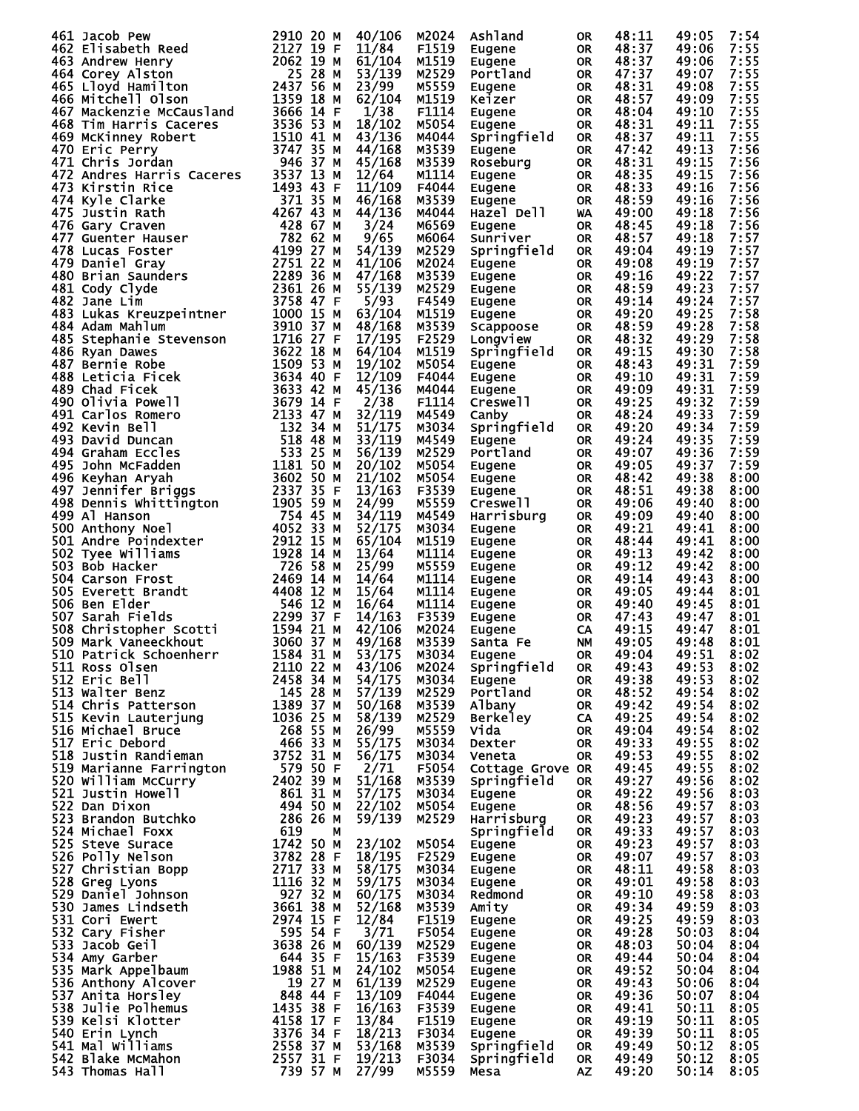| 461 Jacob Pew                                                                                                                                                                                                                                        | 2910 20 M              |        | M2024 | Ashland          |           | 48:11 | 49:05          | 7:54 |
|------------------------------------------------------------------------------------------------------------------------------------------------------------------------------------------------------------------------------------------------------|------------------------|--------|-------|------------------|-----------|-------|----------------|------|
|                                                                                                                                                                                                                                                      |                        | 40/106 |       |                  | <b>OR</b> |       |                |      |
| 462 Elisabeth Reed                                                                                                                                                                                                                                   | 2127 19 F              | 11/84  | F1519 | Eugene           | <b>OR</b> | 48:37 | 49:06          | 7:55 |
| 463 Andrew Henry                                                                                                                                                                                                                                     | 2062 19 M              | 61/104 | M1519 | Eugene           | <b>OR</b> | 48:37 | 49:06          | 7:55 |
| 464 Corey Alston                                                                                                                                                                                                                                     | 25 28 M                | 53/139 | M2529 | Portland         | <b>OR</b> | 47:37 | 49:07          | 7:55 |
| 465 Lloyd Hamilton                                                                                                                                                                                                                                   | 2437 56 M              | 23/99  | M5559 | Eugene           | <b>OR</b> | 48:31 | 49:08          | 7:55 |
| 466 Mitchell Olson                                                                                                                                                                                                                                   | 1359 18 M              | 62/104 | M1519 | Keizer           | <b>OR</b> | 48:57 | 49:09          | 7:55 |
|                                                                                                                                                                                                                                                      | 3666 14 F              |        | F1114 |                  |           | 48:04 | 49:10          |      |
| 467 Mackenzie McCausland                                                                                                                                                                                                                             |                        | 1/38   |       | Eugene           | <b>OR</b> |       |                | 7:55 |
| 468 Tim Harris Caceres                                                                                                                                                                                                                               | 3536 53 M              | 18/102 | M5054 | Eugene           | <b>OR</b> | 48:31 | 49:11          | 7:55 |
| 469 McKinney Robert                                                                                                                                                                                                                                  | 1510 41 M              | 43/136 | M4044 | Springfield      | <b>OR</b> | 48:37 | 49:11          | 7:55 |
| 470 Eric Perry                                                                                                                                                                                                                                       | 3747 35 M              | 44/168 | M3539 | Eugene           | <b>OR</b> | 47:42 | 49:13          | 7:56 |
| 471 Chris Jordan                                                                                                                                                                                                                                     | 946<br>37 M            | 45/168 | M3539 | Roseburg         | <b>OR</b> | 48:31 | 49:15          | 7:56 |
|                                                                                                                                                                                                                                                      |                        |        |       |                  |           |       |                |      |
| 472 Andres Harris Caceres                                                                                                                                                                                                                            | 3537 13 M              | 12/64  | M1114 | Eugene           | <b>OR</b> | 48:35 | 49:15          | 7:56 |
| 473 Kirstin Rice                                                                                                                                                                                                                                     | 1493 43 F              | 11/109 | F4044 | Eugene           | <b>OR</b> | 48:33 | 49:16          | 7:56 |
|                                                                                                                                                                                                                                                      | 371 35 M               | 46/168 | M3539 | Eugene           | <b>OR</b> | 48:59 | 49:16          | 7:56 |
| 473 Kirstin Rice<br>474 Kyle Clarke<br>475 Justin Rath<br>475 Guenter Hauser<br>477 Guenter Hauser<br>478 Lucas Foster<br>479 Daniel Gray<br>480 Brian Saunders<br>481 Cody Clyde<br>482 Julas Limourpointpor                                        | 4267 43 M              | 44/136 | M4044 | Hazel Dell       | WA        | 49:00 | 49:18          | 7:56 |
|                                                                                                                                                                                                                                                      | 428 67 M               | 3/24   | M6569 |                  | <b>OR</b> | 48:45 | 49:18          | 7:56 |
|                                                                                                                                                                                                                                                      |                        |        |       | Eugene           |           |       |                |      |
|                                                                                                                                                                                                                                                      | 782 62 M               | 9/65   | M6064 | Sunriver         | <b>OR</b> | 48:57 | 49:18          | 7:57 |
|                                                                                                                                                                                                                                                      | 4199 27 M              | 54/139 | M2529 | Springfield      | <b>OR</b> | 49:04 | 49:19          | 7:57 |
|                                                                                                                                                                                                                                                      | 2751 22 M              | 41/106 | M2024 | Eugene           | <b>OR</b> | 49:08 | 49:19          | 7:57 |
|                                                                                                                                                                                                                                                      | 2289 36 M              | 47/168 | M3539 | Eugene           | <b>OR</b> | 49:16 | 49:22          | 7:57 |
|                                                                                                                                                                                                                                                      | 2361 26 M              | 55/139 | M2529 | Eugene           | <b>OR</b> | 48:59 | 49:23          | 7:57 |
|                                                                                                                                                                                                                                                      |                        |        |       |                  |           |       |                |      |
|                                                                                                                                                                                                                                                      | 3758 47 F              | 5/93   | F4549 | Eugene           | 0R        | 49:14 | 49:24          | 7:57 |
| 483 Lukas Kreuzpeintner                                                                                                                                                                                                                              | 1000 15 M              | 63/104 | M1519 | Eugene           | <b>OR</b> | 49:20 | 49:25          | 7:58 |
| 484 Adam Mahlum                                                                                                                                                                                                                                      | 3910 37 M              | 48/168 | M3539 | Scappoose        | <b>OR</b> | 48:59 | 49:28          | 7:58 |
| 485 Stephanie Stevenson                                                                                                                                                                                                                              | 1716 27 F              | 17/195 | F2529 | Longview         | <b>OR</b> | 48:32 | 49:29          | 7:58 |
| 486 Ryan Dawes                                                                                                                                                                                                                                       | 3622 18 M              | 64/104 | M1519 | Springfield      | <b>OR</b> | 49:15 | 49:30          | 7:58 |
|                                                                                                                                                                                                                                                      |                        |        |       |                  |           |       |                |      |
| 487 Bernie Robe                                                                                                                                                                                                                                      | 1509 53 M              | 19/102 | M5054 | Eugene           | <b>OR</b> | 48:43 | 49:31          | 7:59 |
| 488 Leticia Ficek                                                                                                                                                                                                                                    | 3634 40 F              | 12/109 | F4044 | Eugene           | <b>OR</b> | 49:10 | 49:31          | 7:59 |
| 489 Chad Ficek                                                                                                                                                                                                                                       | 3633 42 M              | 45/136 | M4044 | Eugene           | <b>OR</b> | 49:09 | 49:31          | 7:59 |
| 490 Olivia Powell                                                                                                                                                                                                                                    | 3679 14 F              | 2/38   | F1114 | Creswell         | <b>OR</b> | 49:25 | 49:32          | 7:59 |
|                                                                                                                                                                                                                                                      | 2133 47 M              |        | M4549 |                  |           |       | 49:33          | 7:59 |
| 491 Carlos Romero                                                                                                                                                                                                                                    |                        | 32/119 |       | Canby            | <b>OR</b> | 48:24 |                |      |
| 492 Kevin Bell                                                                                                                                                                                                                                       | 132 34 M               | 51/175 | M3034 | Springfield      | <b>OR</b> | 49:20 | 49:34          | 7:59 |
| 493 David Duncan                                                                                                                                                                                                                                     | 518 48 M               | 33/119 | M4549 | Eugene           | <b>OR</b> | 49:24 | 49:35          | 7:59 |
| 494 Graham Eccles                                                                                                                                                                                                                                    | 53325M                 | 56/139 | M2529 | Portland         | <b>OR</b> | 49:07 | 49:36          | 7:59 |
| 495 John McFadden                                                                                                                                                                                                                                    | 1181 50 M              | 20/102 | M5054 | Eugene           | <b>OR</b> | 49:05 | 49:37          | 7:59 |
|                                                                                                                                                                                                                                                      | 3602 50 M              |        |       |                  |           |       |                |      |
| 496 Keyhan Aryah                                                                                                                                                                                                                                     |                        | 21/102 | M5054 | Eugene           | <b>OR</b> | 48:42 | 49:38          | 8:00 |
| 497 Jennifer Briggs                                                                                                                                                                                                                                  | 2337 35 F              | 13/163 | F3539 | Eugene           | <b>OR</b> | 48:51 | 49:38          | 8:00 |
| 497 Jennifer Briggs<br>498 Dennis Whittington<br>499 Al Hanson                                                                                                                                                                                       | 1905 59 M              | 24/99  | M5559 | Creswell         | <b>OR</b> | 49:06 | 49:40          | 8:00 |
| 499 Al Hanson                                                                                                                                                                                                                                        | 754 45 M               | 34/119 | M4549 | Harrisburg       | <b>OR</b> | 49:09 | 49:40          | 8:00 |
| 500 Anthony Noel                                                                                                                                                                                                                                     | 4052 33 M              | 52/175 | M3034 | Eugene           | <b>OR</b> | 49:21 | 49:41          | 8:00 |
|                                                                                                                                                                                                                                                      | 2912 15 M              |        | M1519 |                  |           |       |                |      |
| 501 Andre Poindexter                                                                                                                                                                                                                                 |                        | 65/104 |       | Eugene           | <b>OR</b> | 48:44 | 49:41          | 8:00 |
| 502 Tyee Williams                                                                                                                                                                                                                                    | 1928 14 M              | 13/64  | M1114 | Eugene           | OR        | 49:13 | 49:42          | 8:00 |
| 503 Bob Hacker                                                                                                                                                                                                                                       | 726<br>58 M            | 25/99  | M5559 | Eugene           | 0R        | 49:12 | 49:42          | 8:00 |
| 504 Carson Frost                                                                                                                                                                                                                                     | 2469<br>14 M           | 14/64  | M1114 | Eugene           | 0R        | 49:14 | 49:43          | 8:00 |
| 505 Everett Brandt                                                                                                                                                                                                                                   | 4408<br>12 M           | 15/64  | M1114 | Eugene           | 0R        | 49:05 | 49:44          | 8:01 |
| 506 Ben Elder                                                                                                                                                                                                                                        | 546 12 M               | 16/64  | M1114 |                  |           | 49:40 | 49:45          | 8:01 |
|                                                                                                                                                                                                                                                      |                        |        |       | Eugene           | 0R        |       |                |      |
| 507 Sarah Fields<br>508 Christopher Scotti<br>508 Christopher Scotti                                                                                                                                                                                 | 2299<br>37 F           | 14/163 | F3539 | Eugene           | <b>OR</b> | 47:43 | 49:47          | 8:01 |
|                                                                                                                                                                                                                                                      | 1594 21 M              | 42/106 | M2024 | Eugene           | CA        | 49:15 | 49:47          | 8:01 |
| 509 Mark Vaneeckhout                                                                                                                                                                                                                                 | 3060<br>37 M           | 49/168 | M3539 | Santa Fe         | <b>NM</b> | 49:05 | 49:48          | 8:01 |
| 510 Patrick Schoenherr                                                                                                                                                                                                                               |                        | 53/175 | M3034 | <b>Eugene</b>    | OR        | 49:04 |                | 8:02 |
| 511 Ross Olsen                                                                                                                                                                                                                                       | 1584 31 M<br>2110 22 M | 43/106 | M2024 | Springfield      | <b>OR</b> | 49:43 | 49:51<br>49:53 | 8:02 |
|                                                                                                                                                                                                                                                      |                        |        |       |                  |           |       |                |      |
| 311 ROS UISEN<br>512 Eric Bell<br>513 Walter Benz<br>514 Chris Patterson<br>515 Kevin Lauterjung<br>515 Kevin Lauterjung<br>516 Michael Bruce<br>517 Eric Debord<br>518 Justin Randieman<br>518 Justin Randieman<br>518 Justin Randieman<br>518 Just |                        | 54/175 | M3034 | Eugene           | <b>OR</b> | 49:38 | 49:53          | 8:02 |
|                                                                                                                                                                                                                                                      |                        | 57/139 | M2529 | Portland         | <b>OR</b> | 48:52 | 49:54          | 8:02 |
|                                                                                                                                                                                                                                                      |                        | 50/168 | M3539 | Albany           | <b>OR</b> | 49:42 | 49:54          | 8:02 |
|                                                                                                                                                                                                                                                      |                        | 58/139 | M2529 | <b>Berkeley</b>  | CA.       | 49:25 | 49:54          | 8:02 |
|                                                                                                                                                                                                                                                      |                        | 26/99  | M5559 | Vida             | <b>OR</b> | 49:04 | 49:54          | 8:02 |
|                                                                                                                                                                                                                                                      |                        | 55/175 |       |                  |           | 49:33 | 49:55          |      |
|                                                                                                                                                                                                                                                      |                        |        | M3034 | Dexter           | <b>OR</b> |       |                | 8:02 |
|                                                                                                                                                                                                                                                      |                        | 56/175 | M3034 | Veneta           | OR.       | 49:53 | 49:55          | 8:02 |
|                                                                                                                                                                                                                                                      |                        | 2/71   | F5054 | Cottage Grove OR |           | 49:45 | 49:55          | 8:02 |
|                                                                                                                                                                                                                                                      |                        | 51/168 | M3539 | Springfield      | <b>OR</b> | 49:27 | 49:56          | 8:02 |
|                                                                                                                                                                                                                                                      |                        | 57/175 | M3034 | Eugene           | <b>OR</b> | 49:22 | 49:56          | 8:03 |
|                                                                                                                                                                                                                                                      |                        | 22/102 | M5054 | Eugene           | <b>OR</b> | 48:56 | 49:57          | 8:03 |
|                                                                                                                                                                                                                                                      |                        |        |       |                  |           |       |                |      |
|                                                                                                                                                                                                                                                      |                        | 59/139 | M2529 | Harrisburg       | <b>OR</b> | 49:23 | 49:57          | 8:03 |
|                                                                                                                                                                                                                                                      |                        |        |       | Springfield      | OR        | 49:33 | 49:57          | 8:03 |
|                                                                                                                                                                                                                                                      |                        | 23/102 | M5054 | Eugene           | OR        | 49:23 | 49:57          | 8:03 |
|                                                                                                                                                                                                                                                      |                        | 18/195 | F2529 | Eugene           | <b>OR</b> | 49:07 | 49:57          | 8:03 |
|                                                                                                                                                                                                                                                      |                        | 58/175 | M3034 | Eugene           | <b>OR</b> | 48:11 | 49:58          | 8:03 |
|                                                                                                                                                                                                                                                      |                        |        |       |                  |           |       |                |      |
|                                                                                                                                                                                                                                                      |                        | 59/175 | M3034 | Eugene           | <b>OR</b> | 49:01 | 49:58          | 8:03 |
|                                                                                                                                                                                                                                                      |                        | 60/175 | M3034 | Redmond          | OR        | 49:10 | 49:58          | 8:03 |
|                                                                                                                                                                                                                                                      |                        | 52/168 | M3539 | Amity            | <b>OR</b> | 49:34 | 49:59          | 8:03 |
|                                                                                                                                                                                                                                                      |                        | 12/84  | F1519 | Eugene           | OR        | 49:25 | 49:59          | 8:03 |
|                                                                                                                                                                                                                                                      |                        | 3/71   | F5054 | Eugene           | <b>OR</b> | 49:28 | 50:03          | 8:04 |
|                                                                                                                                                                                                                                                      |                        | 60/139 | M2529 |                  | OR        | 48:03 | 50:04          | 8:04 |
|                                                                                                                                                                                                                                                      |                        |        |       | Eugene           |           |       |                |      |
|                                                                                                                                                                                                                                                      |                        | 15/163 | F3539 | Eugene           | OR        | 49:44 | 50:04          | 8:04 |
|                                                                                                                                                                                                                                                      |                        | 24/102 | M5054 | Eugene           | <b>OR</b> | 49:52 | 50:04          | 8:04 |
|                                                                                                                                                                                                                                                      |                        | 61/139 | M2529 | Eugene           | OR        | 49:43 | 50:06          | 8:04 |
|                                                                                                                                                                                                                                                      |                        | 13/109 | F4044 | Eugene           | <b>OR</b> | 49:36 | 50:07          | 8:04 |
|                                                                                                                                                                                                                                                      |                        | 16/163 | F3539 |                  | OR        | 49:41 | 50:11          | 8:05 |
|                                                                                                                                                                                                                                                      |                        |        |       | Eugene           |           |       |                |      |
|                                                                                                                                                                                                                                                      |                        | 13/84  | F1519 | Eugene           | <b>OR</b> | 49:19 | 50:11          | 8:05 |
| 312 Eric Deport<br>18 Justin Randieman a 3752 31 M<br>519 Marianne Farrington 579 50 F M<br>520 William McCurry 2402 39 MM<br>522 Dan Dixon 8461 310 MM<br>523 Brandon Butchko 494 50 MM<br>523 Brandon Butchko 486 19<br>523 State Since 17         |                        | 18/213 | F3034 | Eugene           | OR        | 49:39 | 50:11          | 8:05 |
|                                                                                                                                                                                                                                                      |                        | 53/168 | M3539 | Springfield      | OR        | 49:49 | 50:12          | 8:05 |
|                                                                                                                                                                                                                                                      |                        | 19/213 | F3034 | Springfield      | <b>OR</b> | 49:49 | 50:12          | 8:05 |
|                                                                                                                                                                                                                                                      |                        | 27/99  | M5559 | Mesa             | ΑZ        | 49:20 | 50:14          | 8:05 |
|                                                                                                                                                                                                                                                      |                        |        |       |                  |           |       |                |      |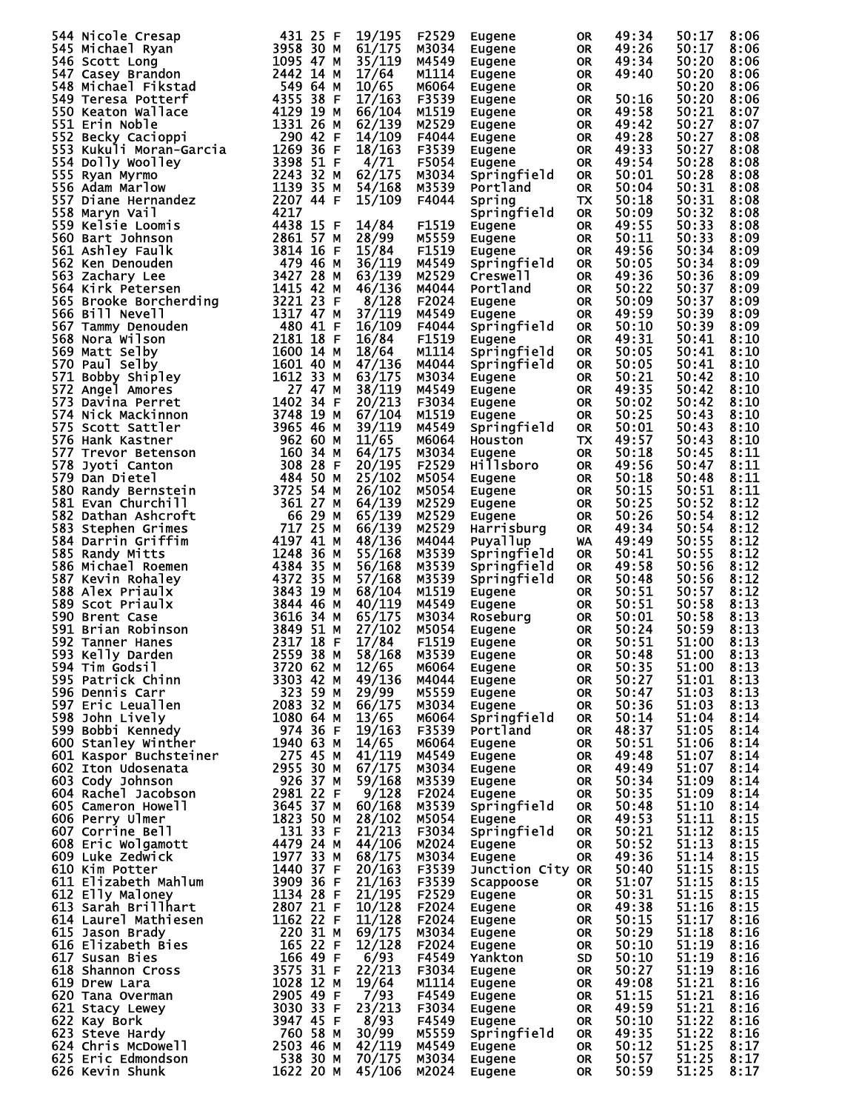| 544 Nicole Cresap                                                                                                                                                                                                                                                           | 431 25 F                            | 19/195 | F2529 | Eugene           | <b>OR</b> | 49:34 | 50:17 | 8:06 |
|-----------------------------------------------------------------------------------------------------------------------------------------------------------------------------------------------------------------------------------------------------------------------------|-------------------------------------|--------|-------|------------------|-----------|-------|-------|------|
| 545 Michael Ryan                                                                                                                                                                                                                                                            | 3958 30 M                           | 61/175 | M3034 | Eugene           | OR        | 49:26 | 50:17 | 8:06 |
|                                                                                                                                                                                                                                                                             | 1095 47 M                           |        |       |                  |           |       |       |      |
| 546 Scott Long                                                                                                                                                                                                                                                              |                                     | 35/119 | M4549 | Eugene           | 0R        | 49:34 | 50:20 | 8:06 |
| 547 Casey Brandon<br>3 Michael Fikstau<br>9 Teresa Potterf<br>50 Keaton Wallace<br>51 Erin Noble<br>52 Becky Cacioppi<br>53 Kukuli Moran-Garcia<br>54 Dolly Woolley<br>555 Ryan Myrmo<br>556 Adam Marlow<br>557 Diane Hernandez<br>558 Maryn Vail<br>714 2207<br>714 4438 1 | 2442 14 M                           | 17/64  | M1114 | Eugene           | OR.       | 49:40 | 50:20 | 8:06 |
|                                                                                                                                                                                                                                                                             |                                     | 10/65  | M6064 | Eugene           | 0R        |       | 50:20 | 8:06 |
|                                                                                                                                                                                                                                                                             |                                     | 17/163 | F3539 | Eugene           | OR.       | 50:16 | 50:20 | 8:06 |
|                                                                                                                                                                                                                                                                             |                                     |        |       |                  |           |       |       |      |
|                                                                                                                                                                                                                                                                             |                                     | 66/104 | M1519 | Eugene           | 0R        | 49:58 | 50:21 | 8:07 |
|                                                                                                                                                                                                                                                                             |                                     | 62/139 | M2529 | Eugene           | 0R        | 49:42 | 50:27 | 8:07 |
|                                                                                                                                                                                                                                                                             |                                     | 14/109 | F4044 | Eugene           | 0R        | 49:28 | 50:27 | 8:08 |
|                                                                                                                                                                                                                                                                             |                                     |        |       |                  |           |       |       |      |
|                                                                                                                                                                                                                                                                             |                                     | 18/163 | F3539 | Eugene           | 0R        | 49:33 | 50:27 | 8:08 |
|                                                                                                                                                                                                                                                                             |                                     | 4/71   | F5054 | Eugene           | <b>OR</b> | 49:54 | 50:28 | 8:08 |
|                                                                                                                                                                                                                                                                             |                                     | 62/175 | M3034 | Springfield      | <b>OR</b> | 50:01 | 50:28 | 8:08 |
|                                                                                                                                                                                                                                                                             |                                     |        |       |                  |           |       |       |      |
|                                                                                                                                                                                                                                                                             |                                     | 54/168 | M3539 | Portland         | <b>OR</b> | 50:04 | 50:31 | 8:08 |
|                                                                                                                                                                                                                                                                             |                                     | 15/109 | F4044 | Spring           | TX        | 50:18 | 50:31 | 8:08 |
|                                                                                                                                                                                                                                                                             |                                     |        |       | Springfield      | <b>OR</b> | 50:09 | 50:32 | 8:08 |
|                                                                                                                                                                                                                                                                             |                                     | 14/84  | F1519 | Eugene           | <b>OR</b> | 49:55 | 50:33 | 8:08 |
|                                                                                                                                                                                                                                                                             |                                     |        |       |                  |           |       |       |      |
|                                                                                                                                                                                                                                                                             |                                     | 28/99  | M5559 | Eugene           | <b>OR</b> | 50:11 | 50:33 | 8:09 |
|                                                                                                                                                                                                                                                                             |                                     | 15/84  | F1519 | Eugene           | <b>OR</b> | 49:56 | 50:34 | 8:09 |
|                                                                                                                                                                                                                                                                             |                                     | 36/119 | M4549 | Springfield      | <b>OR</b> | 50:05 | 50:34 | 8:09 |
|                                                                                                                                                                                                                                                                             |                                     |        |       |                  |           |       |       |      |
|                                                                                                                                                                                                                                                                             |                                     | 63/139 | M2529 | Creswell         | <b>OR</b> | 49:36 | 50:36 | 8:09 |
|                                                                                                                                                                                                                                                                             |                                     | 46/136 | M4044 | Portland         | <b>OR</b> | 50:22 | 50:37 | 8:09 |
|                                                                                                                                                                                                                                                                             |                                     | 8/128  | F2024 | Eugene           | 0R        | 50:09 | 50:37 | 8:09 |
|                                                                                                                                                                                                                                                                             |                                     | 37/119 | M4549 |                  | <b>OR</b> | 49:59 | 50:39 | 8:09 |
|                                                                                                                                                                                                                                                                             |                                     |        |       | Eugene           |           |       |       |      |
|                                                                                                                                                                                                                                                                             |                                     | 16/109 | F4044 | Springfield      | <b>OR</b> | 50:10 | 50:39 | 8:09 |
|                                                                                                                                                                                                                                                                             |                                     | 16/84  | F1519 | Eugene           | <b>OR</b> | 49:31 | 50:41 | 8:10 |
|                                                                                                                                                                                                                                                                             |                                     | 18/64  | M1114 | Springfield      | <b>OR</b> | 50:05 | 50:41 | 8:10 |
|                                                                                                                                                                                                                                                                             |                                     |        |       |                  |           |       |       |      |
|                                                                                                                                                                                                                                                                             |                                     | 47/136 | M4044 | Springfield      | <b>OR</b> | 50:05 | 50:41 | 8:10 |
|                                                                                                                                                                                                                                                                             |                                     | 63/175 | M3034 | Eugene           | <b>OR</b> | 50:21 | 50:42 | 8:10 |
|                                                                                                                                                                                                                                                                             |                                     | 38/119 | M4549 | Eugene           | <b>OR</b> | 49:35 | 50:42 | 8:10 |
|                                                                                                                                                                                                                                                                             |                                     |        |       |                  |           |       |       |      |
|                                                                                                                                                                                                                                                                             |                                     | 20/213 | F3034 | Eugene           | 0R        | 50:02 | 50:42 | 8:10 |
|                                                                                                                                                                                                                                                                             |                                     | 67/104 | M1519 | Eugene           | <b>OR</b> | 50:25 | 50:43 | 8:10 |
|                                                                                                                                                                                                                                                                             |                                     | 39/119 | M4549 | Springfield      | <b>OR</b> | 50:01 | 50:43 | 8:10 |
|                                                                                                                                                                                                                                                                             |                                     | 11/65  | M6064 |                  | TX.       | 49:57 | 50:43 | 8:10 |
|                                                                                                                                                                                                                                                                             |                                     |        |       | <b>Houston</b>   |           |       |       |      |
|                                                                                                                                                                                                                                                                             |                                     | 64/175 | M3034 | Eugene           | <b>OR</b> | 50:18 | 50:45 | 8:11 |
| 359 Kelsie Loomis<br>4438 15 F<br>560 Bart Johnson<br>561 Ashley Faulk<br>562 Ken Denouden<br>479 46 57 M<br>563 Zachary Lee<br>564 Kirk Petersen<br>564 Kirk Petersen<br>564 Kirk Petersen<br>565 Brooke Borcherding<br>3221 23 F<br>566 Bill Nevell<br>                   |                                     | 20/195 | F2529 | Hillsboro        | <b>OR</b> | 49:56 | 50:47 | 8:11 |
|                                                                                                                                                                                                                                                                             |                                     | 25/102 | M5054 | Eugene           | <b>OR</b> | 50:18 | 50:48 | 8:11 |
| 579 Dan Dietel<br>580 Randy Bernstein<br>581 Fvan Churchill                                                                                                                                                                                                                 |                                     |        |       |                  |           |       |       |      |
|                                                                                                                                                                                                                                                                             | 3725 54 M                           | 26/102 | M5054 | Eugene           | 0R        | 50:15 | 50:51 | 8:11 |
| 581 Evan Churchill                                                                                                                                                                                                                                                          | 361 27 M                            | 64/139 | M2529 | Eugene           | 0R        | 50:25 | 50:52 | 8:12 |
| 582 Dathan Ashcroft                                                                                                                                                                                                                                                         | 66 29 M                             | 65/139 | M2529 | Eugene           | <b>OR</b> | 50:26 | 50:54 | 8:12 |
|                                                                                                                                                                                                                                                                             | 717 25 M                            |        |       |                  |           |       |       |      |
| 583 Stephen Grimes                                                                                                                                                                                                                                                          |                                     | 66/139 | M2529 | Harrisburg       | <b>OR</b> | 49:34 | 50:54 | 8:12 |
| 584 Darrin Griffim                                                                                                                                                                                                                                                          | 4197 41 M                           | 48/136 | M4044 | Puyallup         | WA        | 49:49 | 50:55 | 8:12 |
| 585 Randy Mitts                                                                                                                                                                                                                                                             | 1248 36 M                           | 55/168 | M3539 | Springfield      | <b>OR</b> | 50:41 | 50:55 | 8:12 |
| 586 Michael Roemen                                                                                                                                                                                                                                                          | 4384 35 M                           | 56/168 | M3539 |                  | <b>OR</b> | 49:58 | 50:56 | 8:12 |
|                                                                                                                                                                                                                                                                             |                                     |        |       | Springfield      |           |       |       |      |
| 587 Kevin Rohaley                                                                                                                                                                                                                                                           | 4372 35 M                           | 57/168 | M3539 | Springfield      | <b>OR</b> | 50:48 | 50:56 | 8:12 |
| 588 Alex Priaulx                                                                                                                                                                                                                                                            | 3843 19 M                           | 68/104 | M1519 | Eugene           | OR.       | 50:51 | 50:57 | 8:12 |
| 589 Scot Priaulx                                                                                                                                                                                                                                                            | 3844 46 M                           | 40/119 | M4549 | Eugene           | OR.       | 50:51 | 50:58 | 8:13 |
|                                                                                                                                                                                                                                                                             |                                     |        |       |                  |           |       |       |      |
| 590 Brent Case                                                                                                                                                                                                                                                              | 3616 34 M                           | 65/175 | M3034 | Roseburg         | <b>OR</b> | 50:01 | 50:58 | 8:13 |
| 591 Brian Robinson                                                                                                                                                                                                                                                          | 3849 51 M                           | 27/102 | M5054 | Eugene           | <b>OR</b> | 50:24 | 50:59 | 8:13 |
| 592 Tanner Hanes                                                                                                                                                                                                                                                            | 2317 18 F                           | 17/84  | F1519 | Eugene           | <b>OR</b> | 50:51 | 51:00 | 8:13 |
| 2559 38 M<br>593 Kelly Darden                                                                                                                                                                                                                                               |                                     | 58/168 | M3539 | Eugene           | OR        | 50:48 | 51:00 | 8:13 |
|                                                                                                                                                                                                                                                                             |                                     |        |       |                  |           |       |       |      |
| 594 Tim Godsil                                                                                                                                                                                                                                                              | 3720 62 M                           | 12/65  | M6064 | Eugene           | 0R        | 50:35 | 51:00 | 8:13 |
| 595 Patrick Chinn                                                                                                                                                                                                                                                           | 3303 42 M 49/136 M4044              |        |       | Eugene           | OR        | 50:27 | 51:01 | 8:13 |
| 596 Dennis Carr                                                                                                                                                                                                                                                             | 323 59 M                            | 29/99  | M5559 | Eugene           | <b>OR</b> | 50:47 | 51:03 | 8:13 |
| 597 Eric Leuallen                                                                                                                                                                                                                                                           | 2083 32 M                           | 66/175 | M3034 | Eugene           | <b>OR</b> | 50:36 | 51:03 | 8:13 |
|                                                                                                                                                                                                                                                                             |                                     |        |       |                  |           |       |       |      |
| 598 John Lively                                                                                                                                                                                                                                                             | 1080 64 M                           | 13/65  | м6064 | Springfield      | <b>OR</b> | 50:14 | 51:04 | 8:14 |
| 599 Bobbi Kennedy                                                                                                                                                                                                                                                           |                                     | 19/163 | F3539 | Portland         | <b>OR</b> | 48:37 | 51:05 | 8:14 |
| 600 Stanley Winther                                                                                                                                                                                                                                                         |                                     | 14/65  | м6064 | Eugene           | <b>OR</b> | 50:51 | 51:06 | 8:14 |
| 601 Kaspor Buchsteiner                                                                                                                                                                                                                                                      | - 974 36 F<br>1940 63 M<br>275 45 M | 41/119 | M4549 | Eugene           | <b>OR</b> | 49:48 | 51:07 | 8:14 |
|                                                                                                                                                                                                                                                                             |                                     |        |       |                  |           |       |       |      |
| 602 Iton Udosenata                                                                                                                                                                                                                                                          | 2955 30 M                           | 67/175 | M3034 | Eugene           | <b>OR</b> | 49:49 | 51:07 | 8:14 |
| 603 Cody Johnson                                                                                                                                                                                                                                                            | 926 37 M                            | 59/168 | M3539 | Eugene           | OR        | 50:34 | 51:09 | 8:14 |
| 604 Rachel Jacobson<br>ובתוכו Jacobson<br>605 Cameron Howell<br>606 Perry שבייני הייתו                                                                                                                                                                                      | 2981 22 F                           | 9/128  | F2024 | Eugene           | OR        | 50:35 | 51:09 | 8:14 |
|                                                                                                                                                                                                                                                                             | 3645 37 M                           | 60/168 | M3539 | Springfield      | <b>OR</b> | 50:48 | 51:10 | 8:14 |
|                                                                                                                                                                                                                                                                             |                                     |        |       |                  |           |       |       |      |
| 606 Perry Ulmer                                                                                                                                                                                                                                                             | 1823 50 M                           | 28/102 | M5054 | Eugene           | <b>OR</b> | 49:53 | 51:11 | 8:15 |
| 607 Corrine Bell                                                                                                                                                                                                                                                            | 131 33 F                            | 21/213 | F3034 | Springfield      | <b>OR</b> | 50:21 | 51:12 | 8:15 |
|                                                                                                                                                                                                                                                                             |                                     | 44/106 | M2024 | Eugene           | OR.       | 50:52 | 51:13 | 8:15 |
|                                                                                                                                                                                                                                                                             |                                     | 68/175 | M3034 | Eugene           | <b>OR</b> | 49:36 | 51:14 | 8:15 |
| 007 Corrine Bell<br>608 Eric Wolgamott<br>609 Luke Zedwick<br>610 Kim Potter<br>611 Elizabeth Mahlum<br>612 Elly Maloney<br>612 Elly Maloney<br>613 Sarah Brillhart<br>613 Sarah Brillhart<br>613 Sarah Brillhart<br>72807 21 F                                             |                                     |        |       |                  |           |       |       |      |
|                                                                                                                                                                                                                                                                             |                                     | 20/163 | F3539 | Junction City OR |           | 50:40 | 51:15 | 8:15 |
|                                                                                                                                                                                                                                                                             |                                     | 21/163 | F3539 | Scappoose        | OR D      | 51:07 | 51:15 | 8:15 |
|                                                                                                                                                                                                                                                                             |                                     | 21/195 | F2529 | Eugene           | OR D      | 50:31 | 51:15 | 8:15 |
|                                                                                                                                                                                                                                                                             |                                     | 10/128 | F2024 | Eugene           | OR D      | 49:38 | 51:16 | 8:15 |
|                                                                                                                                                                                                                                                                             |                                     |        |       |                  |           |       |       |      |
| 014 Laurel Mathiesen<br>615 Jason Brady<br>615 Jason Brady<br>616 Elizabeth Bies<br>617 Susan Bies<br>618 Shannon Cross<br>619 Drew Lara<br>619 Drew Lara<br>619 Drew Lara<br>619 Drew Lara<br>619 Drew Lara<br>619 Drew Lara<br>619 Drew Lara<br>619 Dr                    |                                     | 11/128 | F2024 | Eugene           | <b>OR</b> | 50:15 | 51:17 | 8:16 |
|                                                                                                                                                                                                                                                                             |                                     | 69/175 | M3034 | Eugene           | OR D      | 50:29 | 51:18 | 8:16 |
|                                                                                                                                                                                                                                                                             |                                     | 12/128 | F2024 | Eugene           | <b>OR</b> | 50:10 | 51:19 | 8:16 |
|                                                                                                                                                                                                                                                                             |                                     |        | F4549 |                  | <b>SD</b> | 50:10 | 51:19 |      |
|                                                                                                                                                                                                                                                                             |                                     | 6/93   |       | Yankton          |           |       |       | 8:16 |
|                                                                                                                                                                                                                                                                             |                                     | 22/213 | F3034 | Eugene           | <b>OR</b> | 50:27 | 51:19 | 8:16 |
| 619 Drew Lara                                                                                                                                                                                                                                                               | 1028 12 M                           | 19/64  | M1114 | Eugene           | OR D      | 49:08 | 51:21 | 8:16 |
|                                                                                                                                                                                                                                                                             | 2905 49 F                           | 7/93   | F4549 | Eugene           | <b>OR</b> | 51:15 | 51:21 | 8:16 |
|                                                                                                                                                                                                                                                                             | 3030 33 F                           | 23/213 |       |                  |           |       |       |      |
|                                                                                                                                                                                                                                                                             |                                     |        | F3034 | Eugene           | <b>OR</b> | 49:59 | 51:21 | 8:16 |
|                                                                                                                                                                                                                                                                             | 3947 45 F                           | 8/93   | F4549 | Eugene           | <b>OR</b> | 50:10 | 51:22 | 8:16 |
| 620 Tana Overman<br>621 Stacy Lewey<br>622 Kay Bork<br>623 Steve Hardy                                                                                                                                                                                                      | 760 58 M                            | 30/99  | M5559 | Springfield      | OR D      | 49:35 | 51:22 | 8:16 |
|                                                                                                                                                                                                                                                                             | 2503 46 M                           | 42/119 | M4549 | Eugene           | <b>OR</b> | 50:12 | 51:25 | 8:17 |
| 624 Chris McDowell<br>625 Eric Edmondson<br>626 Kevin Shunk                                                                                                                                                                                                                 | 538 30 M                            |        | м3034 |                  |           |       | 51:25 |      |
|                                                                                                                                                                                                                                                                             |                                     | 70/175 |       | Eugene           | OR        | 50:57 |       | 8:17 |
|                                                                                                                                                                                                                                                                             | 1622 20 M                           | 45/106 | M2024 | Eugene           | <b>OR</b> | 50:59 | 51:25 | 8:17 |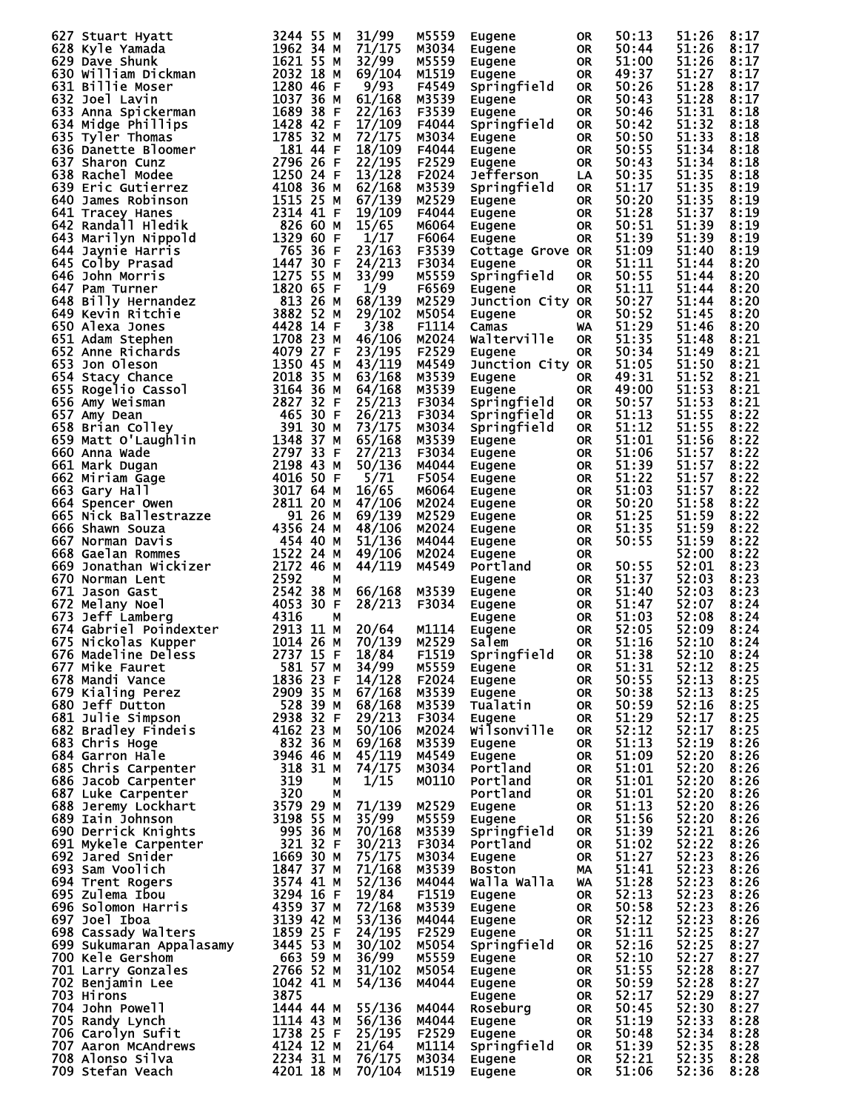| 627 Stuart Hyatt                                                                                                                                                                                                                                                          | 3244 55 M                                                                               | 31/99            | M5559          | Eugene           | <b>OR</b> | 50:13              | 51:26          | 8:17         |
|---------------------------------------------------------------------------------------------------------------------------------------------------------------------------------------------------------------------------------------------------------------------------|-----------------------------------------------------------------------------------------|------------------|----------------|------------------|-----------|--------------------|----------------|--------------|
|                                                                                                                                                                                                                                                                           |                                                                                         | 71/175           | M3034          | Eugene           | 0R        | 50:44              | 51:26          | 8:17         |
|                                                                                                                                                                                                                                                                           |                                                                                         | 32/99            | M5559          | Eugene           | 0R        | 51:00              | 51:26          | 8:17         |
| 628 Kyle Yamada<br>628 Kyle Yamada<br>628 Kyle Yamada<br>628 Kyle Yamada<br>630 will liam Dickmann<br>631 Bill lie Moser<br>632 Dave Shunk<br>631 Bill lie Moser<br>632 Dave Shunk<br>633 Anna Spickermann<br>633 Anna Spickermann<br>633 Anna Spic                       |                                                                                         | 69/104           |                |                  |           | 49:37              | 51:27          | 8:17         |
|                                                                                                                                                                                                                                                                           |                                                                                         |                  | M1519          | Eugene           | <b>OR</b> |                    |                |              |
|                                                                                                                                                                                                                                                                           |                                                                                         | 9/93             | F4549          | Springfield      | <b>OR</b> | 50:26              | 51:28          | 8:17         |
|                                                                                                                                                                                                                                                                           |                                                                                         | 61/168           | M3539          | Eugene           | <b>OR</b> | 50:43              | 51:28          | 8:17         |
|                                                                                                                                                                                                                                                                           |                                                                                         | 22/163           | F3539          | Eugene           | <b>OR</b> | 50:46              | 51:31          | 8:18         |
|                                                                                                                                                                                                                                                                           |                                                                                         | 17/109           | F4044          | Springfield      | <b>OR</b> | 50:42              | 51:32          | 8:18         |
|                                                                                                                                                                                                                                                                           |                                                                                         | 72/175           | M3034          | Eugene           | <b>OR</b> | 50:50              | 51:33          | 8:18         |
|                                                                                                                                                                                                                                                                           |                                                                                         |                  | F4044          |                  |           | 50:55              | 51:34          | 8:18         |
|                                                                                                                                                                                                                                                                           |                                                                                         | 18/109           |                | Eugene           | 0R        |                    |                |              |
|                                                                                                                                                                                                                                                                           |                                                                                         | 22/195           | F2529          | Eugene           | <b>OR</b> | 50:43              | 51:34          | 8:18         |
|                                                                                                                                                                                                                                                                           |                                                                                         | 13/128           | F2024          | Jefferson        | LA        | 50:35              | 51:35          | 8:18         |
|                                                                                                                                                                                                                                                                           |                                                                                         | 62/168           | M3539          | Springfield      | <b>OR</b> | 51:17              | 51:35          | 8:19         |
|                                                                                                                                                                                                                                                                           |                                                                                         | 67/139           | M2529          | Eugene           | 0R        | 50:20              | 51:35          | 8:19         |
|                                                                                                                                                                                                                                                                           |                                                                                         | 19/109           | F4044          | Eugene           | 0R        | 51:28              | 51:37          | 8:19         |
|                                                                                                                                                                                                                                                                           |                                                                                         | 15/65            | M6064          |                  |           | 50:51              | 51:39          | 8:19         |
|                                                                                                                                                                                                                                                                           |                                                                                         |                  |                | Eugene           | 0R        |                    |                |              |
|                                                                                                                                                                                                                                                                           |                                                                                         | 1/17             | F6064          | Eugene           | 0R        | 51:39              | 51:39          | 8:19         |
|                                                                                                                                                                                                                                                                           |                                                                                         | 23/163           | F3539          | Cottage Grove OR |           | 51:09              | 51:40          | 8:19         |
|                                                                                                                                                                                                                                                                           |                                                                                         | 24/213           | F3034          | Eugene           | <b>OR</b> | 51:11              | 51:44          | 8:20         |
|                                                                                                                                                                                                                                                                           |                                                                                         | 33/99            | M5559          | Springfield      | <b>OR</b> | 50:55              | 51:44          | 8:20         |
|                                                                                                                                                                                                                                                                           |                                                                                         | 1/9              | F6569          | Eugene           | <b>OR</b> | 51:11              | 51:44          | 8:20         |
|                                                                                                                                                                                                                                                                           |                                                                                         | 68/139           | M2529          | Junction City OR |           | 50:27              | 51:44          | 8:20         |
|                                                                                                                                                                                                                                                                           |                                                                                         |                  |                |                  |           | 50:52              |                | 8:20         |
|                                                                                                                                                                                                                                                                           |                                                                                         | 29/102           | M5054          | Eugene           | 0R        |                    | 51:45          |              |
|                                                                                                                                                                                                                                                                           |                                                                                         | 3/38             | F1114          | Camas            | WA        | 51:29              | 51:46          | 8:20         |
|                                                                                                                                                                                                                                                                           |                                                                                         | 46/106           | M2024          | Walterville      | <b>OR</b> | 51:35              | 51:48          | 8:21         |
|                                                                                                                                                                                                                                                                           |                                                                                         | 23/195           | F2529          | Eugene           | <b>OR</b> | 50:34              | 51:49          | 8:21         |
|                                                                                                                                                                                                                                                                           |                                                                                         | 43/119           | M4549          | Junction City OR |           | 51:05              | 51:50          | 8:21         |
|                                                                                                                                                                                                                                                                           |                                                                                         | 63/168           | M3539          | Eugene           | 0R        | 49:31              | 51:52          | 8:21         |
|                                                                                                                                                                                                                                                                           |                                                                                         | 64/168           | M3539          | Eugene           | <b>OR</b> | 49:00              | 51:53          | 8:21         |
|                                                                                                                                                                                                                                                                           |                                                                                         |                  |                |                  |           |                    |                |              |
|                                                                                                                                                                                                                                                                           |                                                                                         | 25/213           | F3034          | Springfield      | 0R        | 50:57              | 51:53          | 8:21         |
|                                                                                                                                                                                                                                                                           |                                                                                         | 26/213           | F3034          | Springfield      | <b>OR</b> | 51:13              | 51:55          | 8:22         |
|                                                                                                                                                                                                                                                                           |                                                                                         | 73/175           | M3034          | Springfield      | <b>OR</b> | 51:12              | 51:55          | 8:22         |
|                                                                                                                                                                                                                                                                           |                                                                                         | 65/168           | M3539          | Eugene           | 0R        | 51:01              | 51:56          | 8:22         |
|                                                                                                                                                                                                                                                                           |                                                                                         | 27/213           | F3034          | Eugene           | 0R        | 51:06              | 51:57          | 8:22         |
|                                                                                                                                                                                                                                                                           |                                                                                         | 50/136           | M4044          |                  |           | 51:39              | 51:57          | 8:22         |
|                                                                                                                                                                                                                                                                           |                                                                                         |                  |                | Eugene           | 0R        |                    |                |              |
|                                                                                                                                                                                                                                                                           |                                                                                         | 5/71             | F5054          | Eugene           | 0R        | 51:22              | 51:57          | 8:22         |
|                                                                                                                                                                                                                                                                           |                                                                                         | 16/65            | M6064          | Eugene           | 0R        | 51:03              | 51:57          | 8:22         |
|                                                                                                                                                                                                                                                                           |                                                                                         | 47/106           | M2024          | Eugene           | 0R        | 50:20              | 51:58          | 8:22         |
|                                                                                                                                                                                                                                                                           |                                                                                         | 69/139           | M2529          | Eugene           | 0R        | 51:25              | 51:59          | 8:22         |
|                                                                                                                                                                                                                                                                           |                                                                                         | 48/106           | M2024          | Eugene           | 0R        | 51:35              | 51:59          | 8:22         |
|                                                                                                                                                                                                                                                                           |                                                                                         | 51/136           | M4044          | Eugene           | 0R        | 50:55              | 51:59          | 8:22         |
|                                                                                                                                                                                                                                                                           |                                                                                         |                  |                |                  |           |                    | 52:00          | 8:22         |
|                                                                                                                                                                                                                                                                           |                                                                                         | 49/106           | M2024          | Eugene           | 0R        |                    |                |              |
| 669 Jonathan Wickizer<br>670 Norman Lent                                                                                                                                                                                                                                  | 2172 46 M                                                                               | 44/119           | M4549          | Portland         | OR        | 50:55              | 52:01          | 8:23         |
| 670 Norman Lent                                                                                                                                                                                                                                                           | 2592<br>М                                                                               |                  |                | Eugene           | 0R        | 51:37              | 52:03          | 8:23         |
| 671 Jason Gast                                                                                                                                                                                                                                                            | 2542<br>38 M                                                                            | 66/168           | M3539          | Eugene           | 0R        | 51:40              | 52:03          | 8:23         |
| 672 Melany Noel                                                                                                                                                                                                                                                           | 4053 30 F                                                                               | 28/213           | F3034          | Eugene           | 0R        | 51:47              | 52:07          | 8:24         |
| 673 Jeff Lamberg<br>674 Gabriel Poindexter<br>675 Nickolas Kupper<br>676 Madeline Deless                                                                                                                                                                                  | 4316<br>М                                                                               |                  |                | Eugene           | 0R        | 51:03              | 52:08          | 8:24         |
|                                                                                                                                                                                                                                                                           | 2913 11 M                                                                               | 20/64            | M1114          | Eugene           | 0R        | 52:05              | 52:09          | 8:24         |
|                                                                                                                                                                                                                                                                           | 1014 26 M                                                                               |                  | M2529          |                  |           | 51:16              | 52:10          |              |
|                                                                                                                                                                                                                                                                           |                                                                                         | 70/139           |                | Salem            | <b>OR</b> |                    |                | 8:24         |
| 676 Madeline Deless                                                                                                                                                                                                                                                       | 2737 15 F<br>581 57 M                                                                   | 18/84            | F1519          | Springfield OR   |           | $51:38$<br>$51:31$ | 52:10<br>52:12 | 8:24         |
| 677 Mike Fauret<br>677 Mike Fauret<br>678 Mandi Vance<br>679 Kialing Perez<br>680 Jeff Dutton<br>680 Jeff Dutton<br>681 Julie Simpson<br>682 Bradley Findeis<br>682 Bradley Findeis<br>683 Chris Hoge<br>684 Garron Hale<br>684 Garron Hale<br>885 Chris Hoge<br>882 36 M |                                                                                         | 34/99            | M5559          | Eugene           | OR.       |                    |                | 8:25         |
|                                                                                                                                                                                                                                                                           |                                                                                         | 14/128 F2024     |                | Eugene           | OR        | 50:55              | 52:13          | 8:25         |
|                                                                                                                                                                                                                                                                           | 2909 35 M                                                                               | 67/168           | M3539          | Eugene           | OR        | 50:38              | 52:13          | 8:25         |
|                                                                                                                                                                                                                                                                           |                                                                                         | 68/168           | M3539          | Tualatin         | OR        | 50:59              | 52:16          | 8:25         |
|                                                                                                                                                                                                                                                                           |                                                                                         | 29/213           | F3034          | Eugene           | OR        | 51:29              | 52:17          | 8:25         |
|                                                                                                                                                                                                                                                                           |                                                                                         | 50/106           | M2024          | Wilsonville      |           | 52:12              | 52:17          | 8:25         |
|                                                                                                                                                                                                                                                                           |                                                                                         |                  |                |                  | OR.       |                    |                |              |
|                                                                                                                                                                                                                                                                           |                                                                                         | 69/168           | M3539          | Eugene           | <b>OR</b> | 51:13              | 52:19          | 8:26         |
|                                                                                                                                                                                                                                                                           |                                                                                         | 45/119           | M4549          | Eugene           | OR.       | 51:09              | 52:20          | 8:26         |
|                                                                                                                                                                                                                                                                           |                                                                                         | 74/175           | M3034          | Portland         | OR.       | 51:01              | 52:20          | 8:26         |
|                                                                                                                                                                                                                                                                           |                                                                                         | 1/15             | M0110          | Portland         | OR        | 51:01              | 52:20          | 8:26         |
|                                                                                                                                                                                                                                                                           |                                                                                         |                  |                | Portland         | OR.       | 51:01              | 52:20          | 8:26         |
|                                                                                                                                                                                                                                                                           |                                                                                         | 71/139           | M2529          | Eugene           | OR        | 51:13              | 52:20          | 8:26         |
|                                                                                                                                                                                                                                                                           |                                                                                         | 35/99            | M5559          | Eugene           |           | 51:56              | 52:20          | 8:26         |
|                                                                                                                                                                                                                                                                           |                                                                                         | 70/168           |                |                  | OR        |                    |                |              |
|                                                                                                                                                                                                                                                                           |                                                                                         |                  | M3539          | Springfield      | OR        | 51:39              | 52:21          | 8:26         |
|                                                                                                                                                                                                                                                                           |                                                                                         | 30/213           | F3034          | Portland         | <b>OR</b> | 51:02              | 52:22          | 8:26         |
| 684 Garron Hale 3946 46 M<br>685 Chris Carpenter 318 31 M M<br>686 Jacob Carpenter 318 31 M<br>686 Jacob Carpenter 320 M<br>687 Luke Carpenter 320 M M M<br>689 Iain Johnson 3198 55 M M<br>690 Derrick Knights 995 36 M<br>691 Mykele Carpe                              |                                                                                         | 75/175           | M3034          | Eugene           | <b>OR</b> | 51:27              | 52:23          | 8:26         |
|                                                                                                                                                                                                                                                                           |                                                                                         | 71/168           | M3539          | <b>Boston</b>    | MA        | 51:41              | 52:23          | 8:26         |
|                                                                                                                                                                                                                                                                           |                                                                                         | 52/136           | M4044          | Walla Walla      | <b>WA</b> | 51:28              | 52:23          | 8:26         |
|                                                                                                                                                                                                                                                                           |                                                                                         | 19/84            | F1519          | Eugene           | OR        | 52:13              | 52:23          | 8:26         |
|                                                                                                                                                                                                                                                                           |                                                                                         | 72/168           | M3539          | Eugene           | OR        | 50:58              | 52:23          | 8:26         |
|                                                                                                                                                                                                                                                                           |                                                                                         |                  |                |                  |           | 52:12              |                |              |
| oou נאטע<br>698 Cassady Walters<br>699 Sukumarar (בריי ה                                                                                                                                                                                                                  | 3139 42 M<br>1859 25 F                                                                  | 53/136           | M4044          | Eugene           | OR        |                    | 52:23          | 8:26         |
|                                                                                                                                                                                                                                                                           |                                                                                         | 24/195           | F2529          | Eugene           | OR        | 51:11              | 52:25<br>52:25 | 8:27         |
|                                                                                                                                                                                                                                                                           | 3445 53 M                                                                               | 30/102           | M5054          | Springfield      | OR        | 52:16              |                | 8:27         |
| 700 Kele Gershom                                                                                                                                                                                                                                                          | 663 59 M                                                                                | 36/99            | M5559          | Eugene           | OR        | 52:10              | 52:27          | 8:27         |
| 701 Larry Gonzales                                                                                                                                                                                                                                                        |                                                                                         | 31/102           | M5054          | Eugene           | OR        | 51:55              | 52:28          | 8:27         |
| 702 Benjamin Lee                                                                                                                                                                                                                                                          |                                                                                         | 54/136           | M4044          | Eugene           | OR        | 50:59              | 52:28          | 8:27         |
| 703 Hirons                                                                                                                                                                                                                                                                |                                                                                         |                  |                | Eugene           | OR        | 52:17              | 52:29          | 8:27         |
| 704 John Powell                                                                                                                                                                                                                                                           |                                                                                         | 55/136           | M4044          | Roseburg         | OR        | 50:45              | 52:30          | 8:27         |
|                                                                                                                                                                                                                                                                           |                                                                                         | 56/136           |                |                  |           | 51:19              | 52:33          |              |
| 705 Randy Lynch                                                                                                                                                                                                                                                           |                                                                                         |                  | M4044          | Eugene           | OR        |                    |                | 8:28         |
| 706 Carolyn Sufit                                                                                                                                                                                                                                                         |                                                                                         |                  |                |                  |           |                    |                |              |
|                                                                                                                                                                                                                                                                           |                                                                                         | 25/195 F2529     |                | Eugene           | OR        | 50:48              | 52:34          | 8:28         |
| 707 Aaron McAndrews                                                                                                                                                                                                                                                       | es<br>2766 52 M<br>1042 41 M<br>3875<br>444 44 M<br>1114 43 M<br>1738 25 F<br>4124 12 M | 21/64            | M1114          | Springfield      | OR.       | 51:39              | 52:35          | 8:28         |
| 708 Alonso Silva<br>709 Stefan Veach                                                                                                                                                                                                                                      | 4124 12 M<br>2234 31 M<br>4201 18 M                                                     | 76/175<br>70/104 | M3034<br>M1519 | Eugene           | OR.       | 52:21<br>51:06     | 52:35<br>52:36 | 8:28<br>8:28 |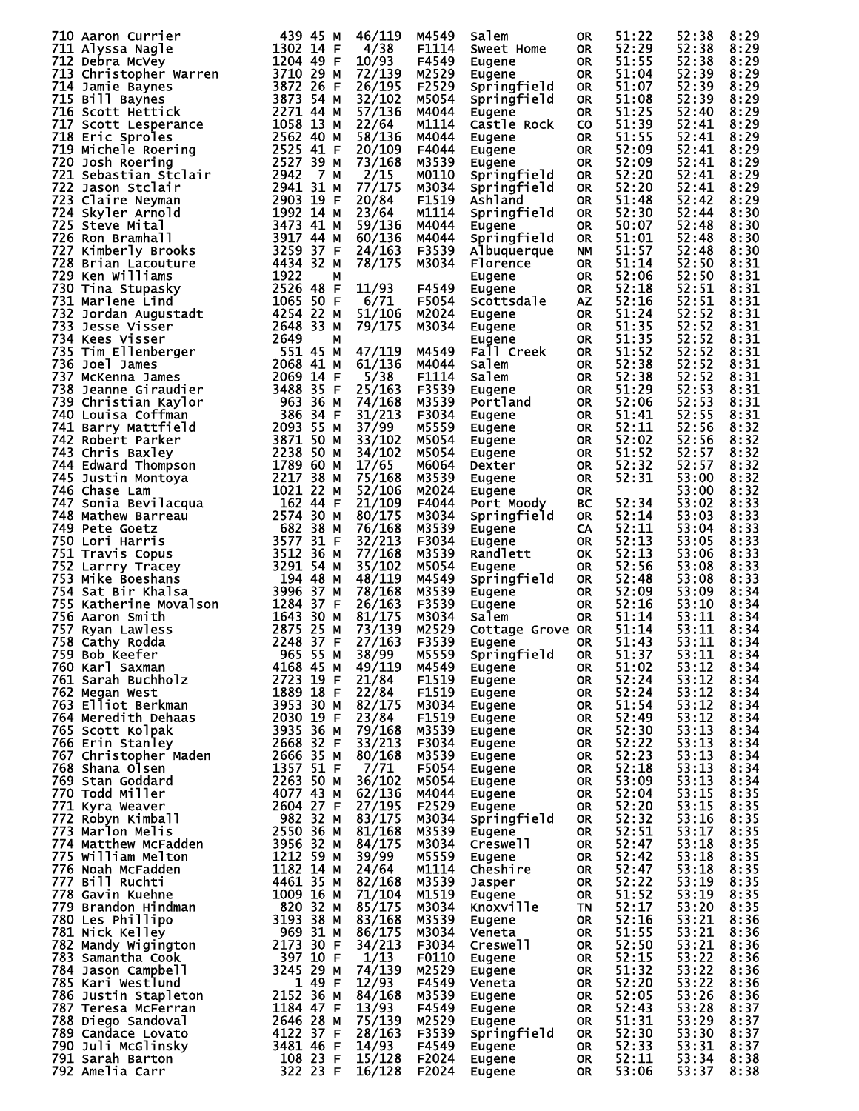| 710 Aaron Currier                                                                                                                                                                                                                                                  | 439 45 M                                    | 46/119           | M4549          | Salem            | 0R               | 51:22          | 52:38          | 8:29         |
|--------------------------------------------------------------------------------------------------------------------------------------------------------------------------------------------------------------------------------------------------------------------|---------------------------------------------|------------------|----------------|------------------|------------------|----------------|----------------|--------------|
| 711 Alyssa Nagle                                                                                                                                                                                                                                                   | 1302 14 F                                   | 4/38             | F1114          | Sweet Home       | OR.              | 52:29          | 52:38          | 8:29         |
|                                                                                                                                                                                                                                                                    | 1204 49 F                                   | 10/93            | F4549          | Eugene           | <b>OR</b>        | 51:55          | 52:38          | 8:29         |
|                                                                                                                                                                                                                                                                    | 3710 29 M                                   |                  |                |                  |                  | 51:04          | 52:39          |              |
| 711 Alyssa Nagle<br>712 Debra McVey<br>713 Christopher Warren<br>714 Jamie Baynes<br>715 Bill Baynes<br>715 Soott Hettick<br>717 Soott Lesperance<br>718 Eric Sproles<br>719 Michele Roering<br>720 Josh Roering<br>721 Sebastian Stclair<br>722 Jason Stclair<br> |                                             | 72/139           | M2529          | Eugene           | OR.              |                |                | 8:29         |
|                                                                                                                                                                                                                                                                    | 3872 26 F                                   | 26/195           | F2529          | Springfield      | <b>OR</b>        | 51:07          | 52:39          | 8:29         |
|                                                                                                                                                                                                                                                                    | 3873 54 M                                   | 32/102           | M5054          | Springfield      | <b>OR</b>        | 51:08          | 52:39          | 8:29         |
|                                                                                                                                                                                                                                                                    | 2271 44 M                                   | 57/136           | M4044          | Eugene           | <b>OR</b>        | 51:25          | 52:40          | 8:29         |
|                                                                                                                                                                                                                                                                    | 1058 13 M                                   |                  | M1114          |                  |                  | 51:39          |                |              |
|                                                                                                                                                                                                                                                                    |                                             | 22/64            |                | Castle Rock      | <b>CO</b>        |                | 52:41          | 8:29         |
|                                                                                                                                                                                                                                                                    | 2562 40 M                                   | 58/136           | M4044          | Eugene           | <b>OR</b>        | 51:55          | 52:41          | 8:29         |
|                                                                                                                                                                                                                                                                    | 2525 41 F                                   | 20/109           | F4044          | Eugene           | <b>OR</b>        | 52:09          | 52:41          | 8:29         |
|                                                                                                                                                                                                                                                                    | 2527 39 M                                   | 73/168           | M3539          | Eugene           | <b>OR</b>        | 52:09          | 52:41          | 8:29         |
|                                                                                                                                                                                                                                                                    |                                             |                  |                |                  |                  |                |                |              |
|                                                                                                                                                                                                                                                                    | 2942<br>7 M                                 | 2/15             | M0110          | Springfield      | <b>OR</b>        | 52:20          | 52:41          | 8:29         |
|                                                                                                                                                                                                                                                                    | 2941 31 M                                   | 77/175           | M3034          | Springfield      | <b>OR</b>        | 52:20          | 52:41          | 8:29         |
|                                                                                                                                                                                                                                                                    | 2903 19 F                                   | 20/84            | F1519          | Ashland          | OR.              | 51:48          | 52:42          | 8:29         |
|                                                                                                                                                                                                                                                                    | 1992 14 M                                   | 23/64            | M1114          | Springfield      | <b>OR</b>        | 52:30          | 52:44          | 8:30         |
|                                                                                                                                                                                                                                                                    |                                             |                  |                |                  |                  |                |                |              |
|                                                                                                                                                                                                                                                                    | 3473 41 M                                   | 59/136           | M4044          | Eugene           | OR.              | 50:07          | 52:48          | 8:30         |
|                                                                                                                                                                                                                                                                    | 3917 44 M                                   | 60/136           | M4044          | Springfield      | OR.              | 51:01          | 52:48          | 8:30         |
|                                                                                                                                                                                                                                                                    | 3259 37 F                                   | 24/163           | F3539          | Albuquerque      | <b>NM</b>        | 51:57          | 52:48          | 8:30         |
|                                                                                                                                                                                                                                                                    | 4434 32 M                                   | 78/175           | M3034          | Florence         | <b>OR</b>        | 51:14          | 52:50          | 8:31         |
|                                                                                                                                                                                                                                                                    |                                             |                  |                |                  |                  |                |                |              |
|                                                                                                                                                                                                                                                                    | 1922<br>М                                   |                  |                | Eugene           | <b>OR</b>        | 52:06          | 52:50          | 8:31         |
| 730 Tina Stupasky                                                                                                                                                                                                                                                  | 2526 48 F                                   | 11/93            | F4549          | Eugene           | <b>OR</b>        | 52:18          | 52:51          | 8:31         |
| 731 Marlene Lind                                                                                                                                                                                                                                                   | 1065 50 F                                   | 6/71             | F5054          | Scottsdale       | <b>AZ</b>        | 52:16          | 52:51          | 8:31         |
| 732 Jordan Augustadt<br>733 Jesse Visser                                                                                                                                                                                                                           | 4254 22 M                                   | 51/106           | M2024          | Eugene           | OR.              | 51:24          | 52:52          | 8:31         |
|                                                                                                                                                                                                                                                                    |                                             |                  |                |                  |                  |                |                |              |
|                                                                                                                                                                                                                                                                    |                                             | 79/175           | M3034          | Eugene           | <b>OR</b>        | 51:35          | 52:52          | 8:31         |
|                                                                                                                                                                                                                                                                    |                                             |                  |                | Eugene           | <b>OR</b>        | 51:35          | 52:52          | 8:31         |
|                                                                                                                                                                                                                                                                    |                                             | 47/119           | M4549          | Fall Creek       | OR.              | 51:52          | 52:52          | 8:31         |
|                                                                                                                                                                                                                                                                    |                                             | 61/136           | M4044          | Salem            | OR.              | 52:38          | 52:52          | 8:31         |
|                                                                                                                                                                                                                                                                    |                                             |                  |                |                  |                  |                |                |              |
|                                                                                                                                                                                                                                                                    |                                             | 5/38             | F1114          | Salem            | <b>OR</b>        | 52:38          | 52:52          | 8:31         |
|                                                                                                                                                                                                                                                                    |                                             | 25/163           | F3539          | Eugene           | <b>OR</b>        | 51:29          | 52:53          | 8:31         |
|                                                                                                                                                                                                                                                                    |                                             | 74/168           | M3539          | Portland         | OR.              | 52:06          | 52:53          | 8:31         |
|                                                                                                                                                                                                                                                                    |                                             |                  |                |                  |                  |                |                |              |
|                                                                                                                                                                                                                                                                    |                                             | 31/213           | F3034          | Eugene           | <b>OR</b>        | 51:41          | 52:55          | 8:31         |
|                                                                                                                                                                                                                                                                    |                                             | 37/99            | M5559          | Eugene           | OR.              | 52:11          | 52:56          | 8:32         |
|                                                                                                                                                                                                                                                                    |                                             | 33/102           | M5054          | Eugene           | OR.              | 52:02          | 52:56          | 8:32         |
|                                                                                                                                                                                                                                                                    |                                             | 34/102           | M5054          | Eugene           | OR.              | 51:52          | 52:57          | 8:32         |
|                                                                                                                                                                                                                                                                    |                                             |                  |                |                  |                  |                |                |              |
|                                                                                                                                                                                                                                                                    |                                             | 17/65            | M6064          | Dexter           | OR.              | 52:32          | 52:57          | 8:32         |
|                                                                                                                                                                                                                                                                    |                                             | 75/168           | M3539          | Eugene           | OR               | 52:31          | 53:00          | 8:32         |
|                                                                                                                                                                                                                                                                    |                                             | 52/106           | M2024          | Eugene           | <b>OR</b>        |                | 53:00          | 8:32         |
|                                                                                                                                                                                                                                                                    |                                             | 21/109           | F4044          | Port Moody       | BC               | 52:34          | 53:02          | 8:33         |
|                                                                                                                                                                                                                                                                    |                                             |                  |                |                  |                  |                |                |              |
|                                                                                                                                                                                                                                                                    |                                             | 80/175           | M3034          | Springfield      | <b>OR</b>        | 52:14          | 53:03          | 8:33         |
| 4254 22<br>734 Kees Visser<br>735 Tim Ellenberger<br>735 Tim Ellenberger<br>736 Joel James<br>736 Joel James<br>737 McKenna James<br>738 Jeanne Giraudier<br>738 Jeanne Giraudier<br>738 Jeanne Giraudier<br>740 Louisa Coffman<br>741 Barry Mattfie               |                                             | 76/168           | M3539          | Eugene           | <b>CA</b>        | 52:11          | 53:04          | 8:33         |
|                                                                                                                                                                                                                                                                    |                                             | 32/213           | F3034          | Eugene           | <b>OR</b>        | 52:13          | 53:05          | 8:33         |
|                                                                                                                                                                                                                                                                    |                                             | 77/168           | M3539          | Randlett         | OK               | 52:13          | 53:06          | 8:33         |
|                                                                                                                                                                                                                                                                    |                                             |                  |                |                  |                  |                |                |              |
|                                                                                                                                                                                                                                                                    |                                             | 35/102           | M5054          | Eugene           | <b>OR</b>        | 52:56          | 53:08          | 8:33         |
|                                                                                                                                                                                                                                                                    | 194 48 M                                    | 48/119           | M4549          | Springfield      | <b>OR</b>        | 52:48          | 53:08          | 8:33         |
| 751 Travis Copus<br>752 Larrry Tracey<br>753 Mike Boeshans<br>754 Sat Bir Khalsa<br>755 Katherine Movalson<br>755 Aaron Smith<br>757 Ryan Lawless<br>758 Cathy Rodda<br>759 Bob Keefer                                                                             | 3996 37 M                                   | 78/168           | M3539          | Eugene           | <b>OR</b>        | 52:09          | 53:09          | 8:34         |
|                                                                                                                                                                                                                                                                    | 1284 37 F                                   |                  | F3539          |                  | <b>OR</b>        | 52:16          | 53:10          | 8:34         |
|                                                                                                                                                                                                                                                                    |                                             | 26/163           |                | Eugene           |                  |                |                |              |
|                                                                                                                                                                                                                                                                    | 1643 30 M                                   | 81/175           | M3034          | Salem            | OR.              | 51:14          | 53:11          | 8:34         |
|                                                                                                                                                                                                                                                                    | 2875 25 M                                   | 73/139           | M2529          | Cottage Grove OR |                  | 51:14          | 53:11          | 8:34         |
|                                                                                                                                                                                                                                                                    | 2248 37 F                                   | 27/163           | F3539          | Eugene           | <b>OR</b>        | 51:43          | 53:11          | 8:34         |
| 759 Bob Keefer                                                                                                                                                                                                                                                     | 965 55 M                                    | 38/99            | M5559          | Springfield OR   |                  | 51:37          | 53:11          | 8:34         |
|                                                                                                                                                                                                                                                                    |                                             |                  |                |                  |                  |                |                |              |
| 760 Karl Saxman                                                                                                                                                                                                                                                    | 4168 45 M                                   | 49/119           | M4549          | Eugene           | 0R               | 51:02          | 53:12          | 8:34         |
| 761 Sarah Buchholz                                                                                                                                                                                                                                                 | $2723$ 19 F                                 | 21/84            | F1519          | Eugene           | <b>OR</b>        | 52:24          | 53:12          | 8:34         |
| 762 Megan West                                                                                                                                                                                                                                                     | 1889 18 F                                   | 22/84            | F1519          | Eugene           | <b>OR</b>        | 52:24          | 53:12          | 8:34         |
| 763 Elliot Berkman                                                                                                                                                                                                                                                 | 3953 30 M                                   | 82/175           | M3034          | Eugene           | <b>OR</b>        | 51:54          | 53:12          | 8:34         |
|                                                                                                                                                                                                                                                                    |                                             |                  |                |                  |                  |                |                |              |
| 764 Meredith Dehaas                                                                                                                                                                                                                                                | 2030 19 F                                   | 23/84            | F1519          | Eugene           | OR               | 52:49          | 53:12          | 8:34         |
| 765 Scott Kolpak                                                                                                                                                                                                                                                   | 3935 36 M                                   | 79/168           | M3539          | Eugene           | OR               | 52:30          | 53:13          | 8:34         |
| 766 Erin Stanley                                                                                                                                                                                                                                                   | 2668 32 F<br>2668 32 F<br>2666 <sup>9</sup> | 33/213           | F3034          | Eugene           | OR               | 52:22          | 53:13          | 8:34         |
| 767 Christopher Maden                                                                                                                                                                                                                                              |                                             | 80/168           | M3539          | Eugene           | <b>OR</b>        | 52:23          | 53:13          | 8:34         |
| 768 Shana Olsen                                                                                                                                                                                                                                                    | 1357 51 F                                   | 7/71             | F5054          | Eugene           | <b>OR</b>        | 52:18          | 53:13          | 8:34         |
|                                                                                                                                                                                                                                                                    |                                             |                  |                |                  |                  |                |                |              |
| 769 Stan Goddard                                                                                                                                                                                                                                                   | 2263 50 M                                   | 36/102           | M5054          | Eugene           | <b>OR</b>        | 53:09          | 53:13          | 8:34         |
| 770 Todd Miller                                                                                                                                                                                                                                                    | 4077 43 M                                   | 62/136           | M4044          | Eugene           | <b>OR</b>        | 52:04          | 53:15          | 8:35         |
| 771 Kyra Weaver                                                                                                                                                                                                                                                    | 2604 27 F                                   | 27/195           | F2529          | Eugene           | OR               | 52:20          | 53:15          | 8:35         |
| 772 Robyn Kimball                                                                                                                                                                                                                                                  | 982 32 M                                    | 83/175           | M3034          | Springfield      | <b>OR</b>        | 52:32          | 53:16          | 8:35         |
| 773 Marlon Melis                                                                                                                                                                                                                                                   | 2550 36 M                                   |                  |                |                  | OR               | 52:51          | 53:17          |              |
|                                                                                                                                                                                                                                                                    |                                             | 81/168           | M3539          | Eugene           |                  |                |                | 8:35         |
| 774 Matthew McFadden                                                                                                                                                                                                                                               | 3956 32 M                                   | 84/175           | M3034          | Creswell         | <b>OR</b>        | 52:47          | 53:18          | 8:35         |
| 775 William Melton                                                                                                                                                                                                                                                 | 1212 59 M                                   | 39/99            | M5559          | Eugene           | <b>OR</b>        | 52:42          | 53:18          | 8:35         |
| 776 Noah McFadden                                                                                                                                                                                                                                                  | 1182 14 M                                   | 24/64            | M1114          | Cheshire         | <b>OR</b>        | 52:47          | 53:18          | 8:35         |
| 777 Bill Ruchti                                                                                                                                                                                                                                                    | 4461 35 M                                   | 82/168           | M3539          | Jasper           | <b>OR</b>        | 52:22          | 53:19          | 8:35         |
|                                                                                                                                                                                                                                                                    |                                             |                  |                |                  |                  |                |                |              |
| 778 Gavin Kuehne                                                                                                                                                                                                                                                   | 1009 16 M                                   | 71/104           | M1519          | Eugene           | <b>OR</b>        | 51:52          | 53:19          | 8:35         |
| 779 Brandon Hindman                                                                                                                                                                                                                                                | 820 32 M                                    | 85/175           | M3034          | Knoxville        | <b>TN</b>        | 52:17          | 53:20          | 8:35         |
| 780 Les Phillipo                                                                                                                                                                                                                                                   | 3193 38 M                                   | 83/168           | M3539          | Eugene           | <b>OR</b>        | 52:16          | 53:21          | 8:36         |
| 781 Nick Kelley                                                                                                                                                                                                                                                    | 969 31 M                                    | 86/175           | M3034          | Veneta           | <b>OR</b>        | 51:55          | 53:21          | 8:36         |
|                                                                                                                                                                                                                                                                    |                                             |                  |                |                  |                  |                |                |              |
| 782 Mandy Wigington                                                                                                                                                                                                                                                | 2173 30 F                                   | 34/213           | F3034          | Creswell         | <b>OR</b>        | 52:50          | 53:21          | 8:36         |
|                                                                                                                                                                                                                                                                    |                                             | 1/13             | F0110          | Eugene           | <b>OR</b>        | 52:15          | 53:22          | 8:36         |
| 783 Samantha Cook                                                                                                                                                                                                                                                  | 397 10 F                                    |                  | M2529          | Eugene           | <b>OR</b>        | 51:32          | 53:22          | 8:36         |
|                                                                                                                                                                                                                                                                    | 3245 29 M                                   | 74/139           |                |                  |                  |                |                |              |
| 784 Jason Campbell                                                                                                                                                                                                                                                 |                                             |                  |                |                  |                  |                |                |              |
| 785 Kari Westlund                                                                                                                                                                                                                                                  | 1 49 F                                      | 12/93            | F4549          | Veneta           | OR               | 52:20          | 53:22          | 8:36         |
| 786 Justin Stapleton                                                                                                                                                                                                                                               | 2152 36 M                                   | 84/168           | M3539          | Eugene           | OR.              | 52:05          | 53:26          | 8:36         |
| 787 Teresa McFerran                                                                                                                                                                                                                                                | 1184 47 F                                   | 13/93            | F4549          | Eugene           | OR               | 52:43          | 53:28          | 8:37         |
| 788 Diego Sandoval                                                                                                                                                                                                                                                 | 2646 28 M                                   | 75/139           | M2529          | Eugene           | OR               | 51:31          | 53:29          | 8:37         |
|                                                                                                                                                                                                                                                                    |                                             | 28/163           |                |                  | OR               |                |                |              |
| 789 Candace Lovato                                                                                                                                                                                                                                                 | 4122 37 F                                   |                  | F3539          | Springfield      |                  | 52:30          | 53:30          | 8:37         |
| 790 Juli McGlinsky                                                                                                                                                                                                                                                 | 3481 46 F                                   | 14/93            | F4549          | Eugene           | OR.              | 52:33          | 53:31          | 8:37         |
| 791 Sarah Barton<br>792 Amelia Carr                                                                                                                                                                                                                                | 108 23 F<br>322 23 F                        | 15/128<br>16/128 | F2024<br>F2024 | Eugene<br>Eugene | OR.<br><b>OR</b> | 52:11<br>53:06 | 53:34<br>53:37 | 8:38<br>8:38 |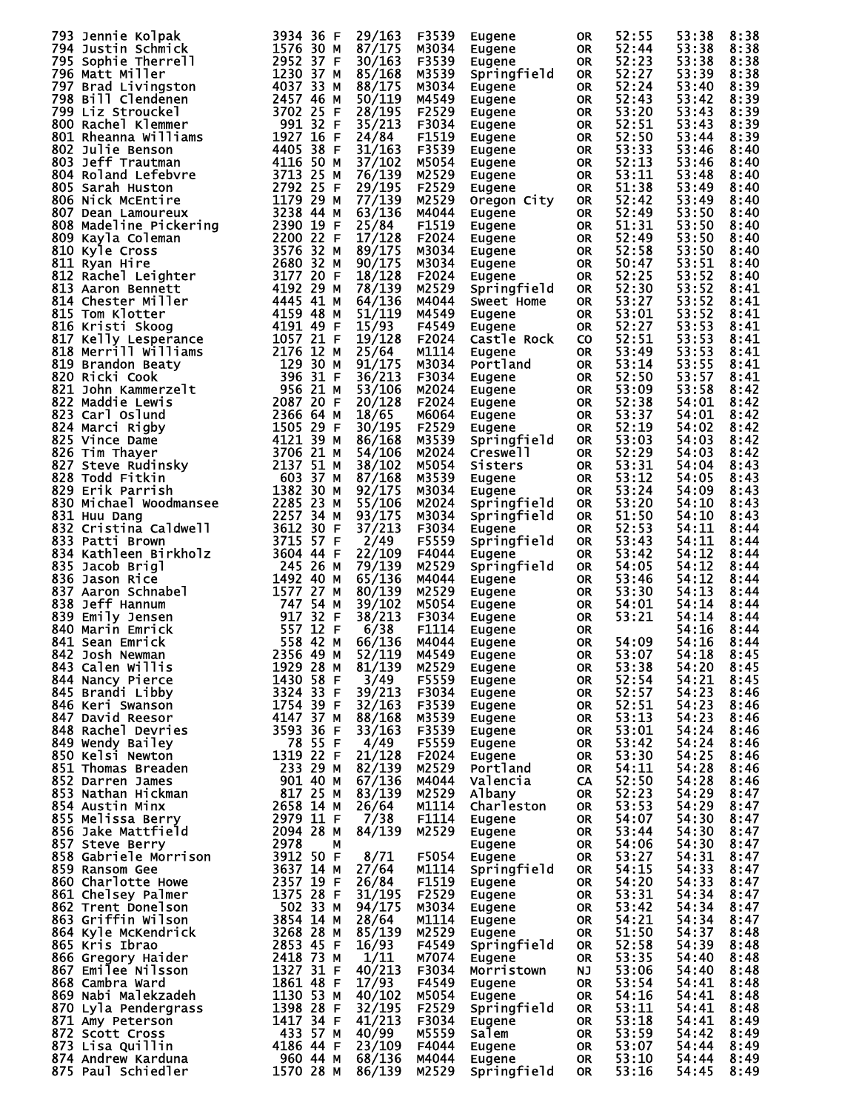| 793 Jennie Kolpak                                                                                                                                                                                                                                             | 3934 36 F                          | 29/163 | F3539 | Eugene      | 0R        | 52:55 | 53:38 | 8:38 |
|---------------------------------------------------------------------------------------------------------------------------------------------------------------------------------------------------------------------------------------------------------------|------------------------------------|--------|-------|-------------|-----------|-------|-------|------|
| 794 Justin Schmick                                                                                                                                                                                                                                            | 1576 30 M                          | 87/175 | м3034 | Eugene      | OR.       | 52:44 | 53:38 | 8:38 |
|                                                                                                                                                                                                                                                               |                                    | 30/163 | F3539 | Eugene      | OR.       | 52:23 | 53:38 | 8:38 |
| 793 Jennie Kolpak and 1934 36 F<br>795 Sophie Thermick 1576 30 M<br>795 Sophie Thermick 1576 30 M<br>795 Sophie Thermick 1576 30 37 M<br>797 Brad Livingston 4037 33 M<br>798 Bill Clendenen 2457 465 M<br>799 Brad Livingston 4037 33 M<br>                  |                                    |        |       |             |           |       |       |      |
|                                                                                                                                                                                                                                                               |                                    | 85/168 | M3539 | Springfield | OR.       | 52:27 | 53:39 | 8:38 |
|                                                                                                                                                                                                                                                               |                                    | 88/175 | M3034 | Eugene      | <b>OR</b> | 52:24 | 53:40 | 8:39 |
|                                                                                                                                                                                                                                                               |                                    | 50/119 | M4549 | Eugene      | <b>OR</b> | 52:43 | 53:42 | 8:39 |
|                                                                                                                                                                                                                                                               |                                    | 28/195 | F2529 | Eugene      | 0R        | 53:20 | 53:43 | 8:39 |
|                                                                                                                                                                                                                                                               |                                    |        |       |             |           |       |       |      |
|                                                                                                                                                                                                                                                               |                                    | 35/213 | F3034 | Eugene      | OR.       | 52:51 | 53:43 | 8:39 |
|                                                                                                                                                                                                                                                               |                                    | 24/84  | F1519 | Eugene      | 0R        | 52:50 | 53:44 | 8:39 |
|                                                                                                                                                                                                                                                               |                                    | 31/163 | F3539 |             | OR.       | 53:33 | 53:46 | 8:40 |
|                                                                                                                                                                                                                                                               |                                    |        |       | Eugene      |           |       |       |      |
|                                                                                                                                                                                                                                                               |                                    | 37/102 | M5054 | Eugene      | 0R        | 52:13 | 53:46 | 8:40 |
|                                                                                                                                                                                                                                                               |                                    | 76/139 | M2529 | Eugene      | OR.       | 53:11 | 53:48 | 8:40 |
|                                                                                                                                                                                                                                                               |                                    | 29/195 | F2529 | Eugene      | 0R        | 51:38 | 53:49 | 8:40 |
|                                                                                                                                                                                                                                                               |                                    | 77/139 | M2529 |             |           | 52:42 |       | 8:40 |
|                                                                                                                                                                                                                                                               |                                    |        |       | Oregon City | OR.       |       | 53:49 |      |
|                                                                                                                                                                                                                                                               |                                    | 63/136 | M4044 | Eugene      | <b>OR</b> | 52:49 | 53:50 | 8:40 |
|                                                                                                                                                                                                                                                               |                                    | 25/84  | F1519 | Eugene      | OR.       | 51:31 | 53:50 | 8:40 |
|                                                                                                                                                                                                                                                               |                                    | 17/128 | F2024 | Eugene      | 0R        | 52:49 | 53:50 | 8:40 |
|                                                                                                                                                                                                                                                               |                                    |        |       |             |           |       |       |      |
|                                                                                                                                                                                                                                                               |                                    | 89/175 | M3034 | Eugene      | OR.       | 52:58 | 53:50 | 8:40 |
|                                                                                                                                                                                                                                                               |                                    | 90/175 | M3034 | Eugene      | 0R        | 50:47 | 53:51 | 8:40 |
|                                                                                                                                                                                                                                                               |                                    | 18/128 | F2024 | Eugene      | <b>OR</b> | 52:25 | 53:52 | 8:40 |
|                                                                                                                                                                                                                                                               |                                    |        |       |             |           | 52:30 | 53:52 | 8:41 |
|                                                                                                                                                                                                                                                               |                                    | 78/139 | M2529 | Springfield | <b>OR</b> |       |       |      |
|                                                                                                                                                                                                                                                               |                                    | 64/136 | M4044 | Sweet Home  | <b>OR</b> | 53:27 | 53:52 | 8:41 |
|                                                                                                                                                                                                                                                               |                                    | 51/119 | M4549 | Eugene      | <b>OR</b> | 53:01 | 53:52 | 8:41 |
|                                                                                                                                                                                                                                                               |                                    | 15/93  | F4549 | Eugene      | <b>OR</b> | 52:27 | 53:53 | 8:41 |
|                                                                                                                                                                                                                                                               |                                    |        |       |             |           |       |       |      |
|                                                                                                                                                                                                                                                               |                                    | 19/128 | F2024 | Castle Rock | <b>CO</b> | 52:51 | 53:53 | 8:41 |
|                                                                                                                                                                                                                                                               |                                    | 25/64  | M1114 | Eugene      | <b>OR</b> | 53:49 | 53:53 | 8:41 |
|                                                                                                                                                                                                                                                               |                                    | 91/175 | M3034 | Portland    | <b>OR</b> | 53:14 | 53:55 | 8:41 |
|                                                                                                                                                                                                                                                               |                                    | 36/213 | F3034 | Eugene      |           | 52:50 | 53:57 | 8:41 |
|                                                                                                                                                                                                                                                               |                                    |        |       |             | OR.       |       |       |      |
|                                                                                                                                                                                                                                                               |                                    | 53/106 | M2024 | Eugene      | 0R        | 53:09 | 53:58 | 8:42 |
|                                                                                                                                                                                                                                                               |                                    | 20/128 | F2024 | Eugene      | OR.       | 52:38 | 54:01 | 8:42 |
|                                                                                                                                                                                                                                                               |                                    | 18/65  | M6064 | Eugene      | 0R        | 53:37 | 54:01 | 8:42 |
|                                                                                                                                                                                                                                                               |                                    |        |       |             |           |       |       |      |
|                                                                                                                                                                                                                                                               |                                    | 30/195 | F2529 | Eugene      | <b>OR</b> | 52:19 | 54:02 | 8:42 |
|                                                                                                                                                                                                                                                               |                                    | 86/168 | M3539 | Springfield | <b>OR</b> | 53:03 | 54:03 | 8:42 |
|                                                                                                                                                                                                                                                               |                                    | 54/106 | M2024 | Creswell    | <b>OR</b> | 52:29 | 54:03 | 8:42 |
|                                                                                                                                                                                                                                                               |                                    |        |       |             |           |       |       |      |
|                                                                                                                                                                                                                                                               |                                    | 38/102 | M5054 | Sisters     | <b>OR</b> | 53:31 | 54:04 | 8:43 |
|                                                                                                                                                                                                                                                               |                                    | 87/168 | M3539 | Eugene      | OR.       | 53:12 | 54:05 | 8:43 |
|                                                                                                                                                                                                                                                               |                                    | 92/175 | M3034 | Eugene      | 0R        | 53:24 | 54:09 | 8:43 |
|                                                                                                                                                                                                                                                               |                                    | 55/106 | M2024 | Springfield | OR.       | 53:20 | 54:10 | 8:43 |
|                                                                                                                                                                                                                                                               |                                    |        |       |             |           |       |       |      |
|                                                                                                                                                                                                                                                               |                                    | 93/175 | M3034 | Springfield | <b>OR</b> | 51:50 | 54:10 | 8:43 |
| 832 Cristina Caldwell<br>833 Patti Brown                                                                                                                                                                                                                      | 3612 30 F                          | 37/213 | F3034 | Eugene      | <b>OR</b> | 52:53 | 54:11 | 8:44 |
| 833 Patti Brown                                                                                                                                                                                                                                               | 3715 57 F                          | 2/49   | F5559 | Springfield | <b>OR</b> | 53:43 | 54:11 | 8:44 |
|                                                                                                                                                                                                                                                               |                                    |        |       |             |           |       |       |      |
|                                                                                                                                                                                                                                                               |                                    | 22/109 | F4044 | Eugene      | <b>OR</b> | 53:42 | 54:12 | 8:44 |
|                                                                                                                                                                                                                                                               |                                    | 79/139 | M2529 | Springfield | <b>OR</b> | 54:05 | 54:12 | 8:44 |
|                                                                                                                                                                                                                                                               |                                    | 65/136 | M4044 | Eugene      | <b>OR</b> | 53:46 | 54:12 | 8:44 |
|                                                                                                                                                                                                                                                               |                                    |        | M2529 |             |           | 53:30 | 54:13 | 8:44 |
| <b>833 Patti Brown<br/> 834 Kathleen Birkholz</b><br>835 Jacob Brigl<br>835 Jacob Brigl<br>836 Jason Rice<br>836 Aaron Schnabel<br>838 Aeff Hannum<br>839 Emily Jensen<br>840 Marin Emrick<br>841 Sean Emrick<br>842 Josh Newman<br>842 Josh Newman<br>842 Jo |                                    | 80/139 |       | Eugene      | 0R        |       |       |      |
|                                                                                                                                                                                                                                                               |                                    | 39/102 | M5054 | Eugene      | OR.       | 54:01 | 54:14 | 8:44 |
|                                                                                                                                                                                                                                                               |                                    | 38/213 | F3034 | Eugene      | OR        | 53:21 | 54:14 | 8:44 |
|                                                                                                                                                                                                                                                               |                                    | 6/38   | F1114 | Eugene      | OR.       |       | 54:16 | 8:44 |
|                                                                                                                                                                                                                                                               |                                    |        | M4044 |             |           | 54:09 | 54:16 |      |
|                                                                                                                                                                                                                                                               |                                    | 66/136 |       | Eugene      | <b>OR</b> |       |       | 8:44 |
| 842 Josh Newman                                                                                                                                                                                                                                               | 2356 49 M                          | 52/119 | M4549 | Eugene      | <b>OR</b> | 53:07 | 54:18 | 8:45 |
| 843 Calen Willis                                                                                                                                                                                                                                              | 1929 28 M                          | 81/139 | M2529 | Eugene      | 0R        | 53:38 | 54:20 | 8:45 |
| 844 Nancy Pierce                                                                                                                                                                                                                                              | 1430 58 F                          | 3/49   | F5559 | Eugene      | OR        | 52:54 | 54:21 | 8:45 |
|                                                                                                                                                                                                                                                               |                                    |        |       |             |           |       |       |      |
| 845 Brandi Libby                                                                                                                                                                                                                                              | 3324 33 F                          | 39/213 | F3034 | Eugene      | OR        | 52:57 | 54:23 | 8:46 |
| 846 Keri Swanson                                                                                                                                                                                                                                              | 1754 39 F                          | 32/163 | F3539 | Eugene      | OR        | 52:51 | 54:23 | 8:46 |
| 847 David Reesor                                                                                                                                                                                                                                              | 4147 37 M<br>3593 36 F             | 88/168 | M3539 | Eugene      | OR        | 53:13 | 54:23 | 8:46 |
| 848 Rachel Devries                                                                                                                                                                                                                                            |                                    | 33/163 | F3539 | Eugene      | OR        | 53:01 | 54:24 | 8:46 |
|                                                                                                                                                                                                                                                               |                                    |        |       |             |           |       |       |      |
| 849 Wendy Bailey                                                                                                                                                                                                                                              | 78 55 F                            | 4/49   | F5559 | Eugene      | OR        | 53:42 | 54:24 | 8:46 |
| 850 Kelsi Newton                                                                                                                                                                                                                                              | 1319 22 F                          | 21/128 | F2024 | Eugene      | OR        | 53:30 | 54:25 | 8:46 |
| 851 Thomas Breaden                                                                                                                                                                                                                                            |                                    |        | M2529 | Portland    | OR        | 54:11 | 54:28 | 8:46 |
| 852 Darren James                                                                                                                                                                                                                                              | 233 29 M 82/139<br>901 40 M 67/136 |        | M4044 | Valencia    | CA.       | 52:50 | 54:28 | 8:46 |
|                                                                                                                                                                                                                                                               |                                    |        |       |             |           |       |       |      |
| 853 Nathan Hickman                                                                                                                                                                                                                                            | 817 25 M<br>2658 14 M              | 83/139 | M2529 | Albany      | OR        | 52:23 | 54:29 | 8:47 |
| 854 Austin Minx                                                                                                                                                                                                                                               |                                    | 26/64  | M1114 | Charleston  | OR D      | 53:53 | 54:29 | 8:47 |
| 855 Melissa Berry                                                                                                                                                                                                                                             | 2979 I1 F<br>2094 28 M             | 7/38   | F1114 | Eugene      | <b>OR</b> | 54:07 | 54:30 | 8:47 |
| 856 Jake Mattfield                                                                                                                                                                                                                                            |                                    | 84/139 | M2529 | Eugene      | OR D      | 53:44 | 54:30 | 8:47 |
|                                                                                                                                                                                                                                                               |                                    |        |       |             |           |       |       |      |
| 358 Gabriele Morrison<br>858 Gabriele Morrison 3912 50 F<br>859 Ransom Gee                                                                                                                                                                                    |                                    |        |       | Eugene      | OR        | 54:06 | 54:30 | 8:47 |
|                                                                                                                                                                                                                                                               |                                    | 8/71   | F5054 | Eugene      | OR        | 53:27 | 54:31 | 8:47 |
|                                                                                                                                                                                                                                                               |                                    | 27/64  | M1114 | Springfield | OR        | 54:15 | 54:33 | 8:47 |
| 860 Charlotte Howe                                                                                                                                                                                                                                            | 2357 19 F                          | 26/84  | F1519 |             | OR D      | 54:20 | 54:33 | 8:47 |
|                                                                                                                                                                                                                                                               |                                    |        |       | Eugene      |           |       |       |      |
| 861 Chelsey Palmer                                                                                                                                                                                                                                            | 1375 28 F                          | 31/195 | F2529 | Eugene      | OR        | 53:31 | 54:34 | 8:47 |
| 862 Trent Donelson                                                                                                                                                                                                                                            | 502 33 M                           | 94/175 | M3034 | Eugene      | OR        | 53:42 | 54:34 | 8:47 |
| 863 Griffin Wilson                                                                                                                                                                                                                                            | 3854 14 M                          | 28/64  | M1114 | Eugene      | OR        | 54:21 | 54:34 | 8:47 |
|                                                                                                                                                                                                                                                               | 3268 28 M                          | 85/139 | M2529 |             | OR.       | 51:50 | 54:37 | 8:48 |
| 864 Kyle McKendrick                                                                                                                                                                                                                                           |                                    |        |       | Eugene      |           |       |       |      |
| 865 Kris Ibrao                                                                                                                                                                                                                                                | 2853 45 F                          | 16/93  | F4549 | Springfield | OR.       | 52:58 | 54:39 | 8:48 |
| 866 Gregory Haider                                                                                                                                                                                                                                            | 2418 73 M                          | 1/11   | M7074 | Eugene      | OR.       | 53:35 | 54:40 | 8:48 |
| 867 Emilee Nilsson                                                                                                                                                                                                                                            | 1327 31 F                          | 40/213 | F3034 | Morristown  | ΝJ        | 53:06 | 54:40 | 8:48 |
|                                                                                                                                                                                                                                                               | 1861 48 F                          |        |       |             |           |       |       |      |
| 868 Cambra Ward                                                                                                                                                                                                                                               |                                    | 17/93  | F4549 | Eugene      | OR .      | 53:54 | 54:41 | 8:48 |
| 869 Nabi Malekzadeh                                                                                                                                                                                                                                           | 1130 53 M                          | 40/102 | M5054 | Eugene      | OR.       | 54:16 | 54:41 | 8:48 |
| 870 Lyla Pendergrass                                                                                                                                                                                                                                          | 1398 28 F                          | 32/195 | F2529 | Springfield | OR        | 53:11 | 54:41 | 8:48 |
| 871 Amy Peterson                                                                                                                                                                                                                                              | 1417 34 F                          | 41/213 | F3034 | Eugene      | OR.       | 53:18 | 54:41 | 8:49 |
|                                                                                                                                                                                                                                                               |                                    |        |       |             |           |       |       |      |
| 872 Scott Cross                                                                                                                                                                                                                                               | 433 57 M                           | 40/99  | M5559 | Salem       | OR.       | 53:59 | 54:42 | 8:49 |
| 873 Lisa Quillin                                                                                                                                                                                                                                              | 4186 44 F                          | 23/109 | F4044 | Eugene      | OR.       | 53:07 | 54:44 | 8:49 |
| 874 Andrew Karduna                                                                                                                                                                                                                                            | 960 44 M                           | 68/136 | M4044 | Eugene      | OR        | 53:10 | 54:44 | 8:49 |
| 875 Paul Schiedler                                                                                                                                                                                                                                            | 1570 28 M                          | 86/139 | M2529 | Springfield | OR.       | 53:16 | 54:45 | 8:49 |
|                                                                                                                                                                                                                                                               |                                    |        |       |             |           |       |       |      |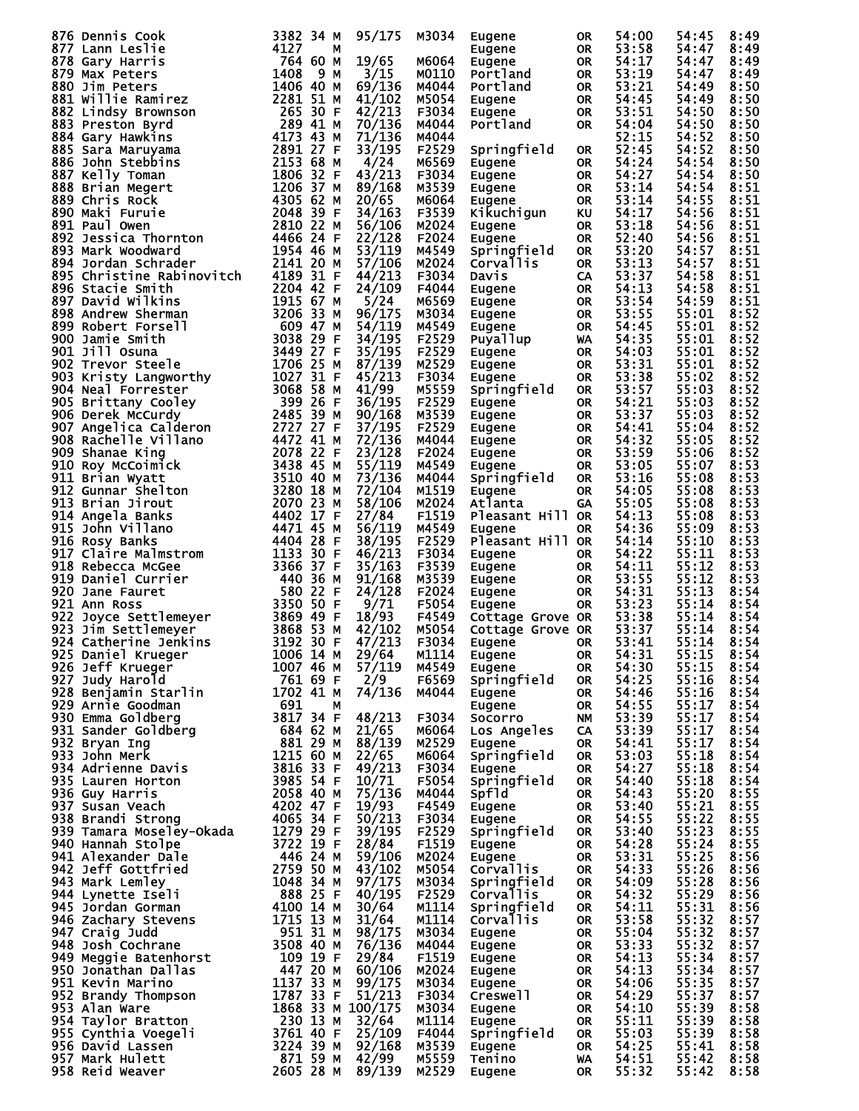| 876 Dennis Cook 3892 34 Here is 4782 34 Here is 4787 Start Leslie 878 Gary Harris 4764 60 MM MET 1764 60 MM MET 1764 60 MM MET 1764 60 MM MET 1764 60 MM MET 1764 60 MM MET 1764 60 MM MET 1764 60 MM MET 1764 60 MM MET 1764 |                       |   | 95/175          | M3034          | Eugene             | 0R              | 54:00          | 54:45          | 8:49         |
|-------------------------------------------------------------------------------------------------------------------------------------------------------------------------------------------------------------------------------|-----------------------|---|-----------------|----------------|--------------------|-----------------|----------------|----------------|--------------|
|                                                                                                                                                                                                                               |                       |   |                 |                | Eugene             | OR.             | 53:58          | 54:47          | 8:49         |
|                                                                                                                                                                                                                               |                       |   |                 |                |                    |                 |                |                |              |
|                                                                                                                                                                                                                               |                       |   | 19/65           | M6064          | Eugene             | OR.             | 54:17          | 54:47          | 8:49         |
|                                                                                                                                                                                                                               |                       |   | 3/15            | M0110          | Portland           | OR.             | 53:19          | 54:47          | 8:49         |
|                                                                                                                                                                                                                               |                       |   |                 |                |                    |                 | 53:21          |                |              |
|                                                                                                                                                                                                                               |                       |   | 69/136          | M4044          | Portland           | OR.             |                | 54:49          | 8:50         |
|                                                                                                                                                                                                                               |                       |   | 41/102          | M5054          | Eugene             | OR.             | 54:45          | 54:49          | 8:50         |
|                                                                                                                                                                                                                               |                       |   | 42/213          | F3034          | Eugene             | OR.             | 53:51          | 54:50          | 8:50         |
|                                                                                                                                                                                                                               |                       |   |                 |                |                    |                 |                |                |              |
|                                                                                                                                                                                                                               |                       |   | 70/136          | M4044          | Portland           | OR.             | 54:04          | 54:50          | 8:50         |
|                                                                                                                                                                                                                               |                       |   | 71/136          | M4044          |                    |                 | 52:15          | 54:52          | 8:50         |
|                                                                                                                                                                                                                               |                       |   |                 |                |                    |                 |                |                |              |
|                                                                                                                                                                                                                               |                       |   | 33/195          | F2529          | Springfield        | OR              | 52:45          | 54:52          | 8:50         |
|                                                                                                                                                                                                                               |                       |   | 4/24            | M6569          | Eugene             | OR.             | 54:24          | 54:54          | 8:50         |
|                                                                                                                                                                                                                               |                       |   | 43/213          |                |                    |                 |                |                |              |
|                                                                                                                                                                                                                               |                       |   |                 | F3034          | Eugene             | OR.             | 54:27          | 54:54          | 8:50         |
|                                                                                                                                                                                                                               |                       |   | 89/168          | M3539          | Eugene             | OR              | 53:14          | 54:54          | 8:51         |
|                                                                                                                                                                                                                               |                       |   | 20/65           | M6064          | Eugene             | OR.             | 53:14          | 54:55          | 8:51         |
|                                                                                                                                                                                                                               |                       |   |                 |                |                    |                 |                |                |              |
|                                                                                                                                                                                                                               |                       |   | 34/163          | F3539          | Kikuchigun         | KU              | 54:17          | 54:56          | 8:51         |
|                                                                                                                                                                                                                               |                       |   | 56/106          | M2024          | Eugene             | OR.             | 53:18          | 54:56          | 8:51         |
|                                                                                                                                                                                                                               |                       |   |                 |                |                    |                 |                |                |              |
|                                                                                                                                                                                                                               |                       |   | 22/128          | F2024          | Eugene             | <b>OR</b>       | 52:40          | 54:56          | 8:51         |
|                                                                                                                                                                                                                               |                       |   | 53/119          | M4549          | Springfield        | OR.             | 53:20          | 54:57          | 8:51         |
|                                                                                                                                                                                                                               |                       |   | 57/106          |                |                    |                 | 53:13          |                |              |
|                                                                                                                                                                                                                               |                       |   |                 | M2024          | Corvallis          | <b>OR</b>       |                | 54:57          | 8:51         |
|                                                                                                                                                                                                                               |                       |   | 44/213          | F3034          | Davis              | CA.             | 53:37          | 54:58          | 8:51         |
|                                                                                                                                                                                                                               |                       |   | 24/109          | F4044          | Eugene             | OR.             | 54:13          | 54:58          | 8:51         |
|                                                                                                                                                                                                                               |                       |   |                 |                |                    |                 |                |                |              |
|                                                                                                                                                                                                                               |                       |   | 5/24            | M6569          | Eugene             | OR              | 53:54          | 54:59          | 8:51         |
|                                                                                                                                                                                                                               |                       |   | 96/175          | M3034          | Eugene             | OR              | 53:55          | 55:01          | 8:52         |
|                                                                                                                                                                                                                               |                       |   |                 |                |                    |                 |                |                |              |
|                                                                                                                                                                                                                               |                       |   | 54/119          | M4549          | Eugene             | OR              | 54:45          | 55:01          | 8:52         |
|                                                                                                                                                                                                                               |                       |   | 34/195          | F2529          | Puyallup           | <b>WA</b>       | 54:35          | 55:01          | 8:52         |
|                                                                                                                                                                                                                               |                       |   | 35/195          | F2529          | Eugene             | OR              | 54:03          | 55:01          | 8:52         |
|                                                                                                                                                                                                                               |                       |   |                 |                |                    |                 |                |                |              |
|                                                                                                                                                                                                                               |                       |   | 87/139          | M2529          | Eugene             | OR              | 53:31          | 55:01          | 8:52         |
|                                                                                                                                                                                                                               |                       |   | 45/213          | F3034          | <b>Eugene</b>      | OR.             | 53:38          | 55:02          | 8:52         |
|                                                                                                                                                                                                                               |                       |   |                 |                |                    |                 |                |                |              |
|                                                                                                                                                                                                                               |                       |   | 41/99           | M5559          | Springfield        | <b>OR</b>       | 53:57          | 55:03          | 8:52         |
|                                                                                                                                                                                                                               |                       |   | 36/195          | F2529          | Eugene             | OR.             | 54:21          | 55:03          | 8:52         |
|                                                                                                                                                                                                                               |                       |   |                 |                |                    |                 | 53:37          |                | 8:52         |
|                                                                                                                                                                                                                               |                       |   | 90/168          | M3539          | Eugene             | <b>OR</b>       |                | 55:03          |              |
|                                                                                                                                                                                                                               |                       |   | 37/195          | F2529          | Eugene             | OR              | 54:41          | 55:04          | 8:52         |
|                                                                                                                                                                                                                               |                       |   | 72/136          | M4044          | Eugene             | OR              | 54:32          | 55:05          | 8:52         |
|                                                                                                                                                                                                                               |                       |   |                 |                |                    |                 |                |                |              |
|                                                                                                                                                                                                                               |                       |   | 23/128          | F2024          | Eugene             | OR              | 53:59          | 55:06          | 8:52         |
|                                                                                                                                                                                                                               |                       |   | 55/119          | M4549          | <b>Eugene</b>      | <b>OR</b>       | 53:05          | 55:07          | 8:53         |
|                                                                                                                                                                                                                               |                       |   |                 |                |                    |                 |                |                |              |
|                                                                                                                                                                                                                               |                       |   | 73/136          | M4044          | Springfield        | <b>OR</b>       | 53:16          | 55:08          | 8:53         |
|                                                                                                                                                                                                                               |                       |   | 72/104          | M1519          | Eugene             | OR.             | 54:05          | 55:08          | 8:53         |
|                                                                                                                                                                                                                               |                       |   |                 |                |                    |                 | 55:05          |                |              |
|                                                                                                                                                                                                                               |                       |   | 58/106          | M2024          | Atlanta            | <b>GA</b>       |                | 55:08          | 8:53         |
|                                                                                                                                                                                                                               |                       |   | 27/84           | F1519          | Pleasant Hill OR   |                 | 54:13          | 55:08          | 8:53         |
|                                                                                                                                                                                                                               |                       |   | 56/119          | M4549          | Eugene             | OR.             | 54:36          | 55:09          | 8:53         |
|                                                                                                                                                                                                                               |                       |   |                 |                |                    |                 |                |                |              |
|                                                                                                                                                                                                                               |                       |   | 38/195          | F2529          | Pleasant Hill OR   |                 | 54:14          | 55:10          | 8:53         |
|                                                                                                                                                                                                                               |                       |   | 46/213          | F3034          | Eugene             | OR.             | 54:22          | 55:11          | 8:53         |
|                                                                                                                                                                                                                               |                       |   |                 |                |                    |                 | 54:11          |                |              |
|                                                                                                                                                                                                                               |                       |   | 35/163          | F3539          | Eugene             | OR.             |                | 55:12          | 8:53         |
|                                                                                                                                                                                                                               |                       |   | 91/168          | M3539          | Eugene             | OR.             | 53:55          | 55:12          | 8:53         |
|                                                                                                                                                                                                                               |                       |   | 24/128          | F2024          | Eugene             | OR              | 54:31          | 55:13          | 8:54         |
|                                                                                                                                                                                                                               |                       |   |                 |                |                    |                 |                |                |              |
|                                                                                                                                                                                                                               |                       |   | 9/71            | F5054          | Eugene             | OR              | 53:23          | 55:14          | 8:54         |
|                                                                                                                                                                                                                               |                       |   | 18/93           | F4549          | Cottage Grove OR   |                 | 53:38          | 55:14          | 8:54         |
|                                                                                                                                                                                                                               |                       |   |                 |                |                    |                 |                |                |              |
|                                                                                                                                                                                                                               |                       |   | 42/102          | M5054          | Cottage Grove OR   |                 | 53:37          | 55:14          | 8:54         |
|                                                                                                                                                                                                                               |                       |   | 47/213          | F3034          | Eugene             | 0R              | 53:41          | 55:14          | 8:54         |
| 1006 14 M<br>925 Daniel Krueger                                                                                                                                                                                               |                       |   | 29/64           | M1114          | Eugene OR          |                 | 54:31          | 55:15          | 8:54         |
|                                                                                                                                                                                                                               |                       |   |                 |                |                    |                 |                |                |              |
| 926 Jeff Krueger                                                                                                                                                                                                              | 1007 46 M             |   | 57/119          | M4549          | Eugene             | OR.             | 54:30          | 55:15          | 8:54         |
|                                                                                                                                                                                                                               | 761 69 F              |   | 2/9             | F6569          | Springfield        | OR              | 54:25          | 55:16          | 8:54         |
|                                                                                                                                                                                                                               | 1702 41 M             |   | 74/136          | M4044          |                    |                 | 54:46          | 55:16          | 8:54         |
| 926 Jeff Krueger<br>927 Judy Harold<br>928 Benjamin Starlin                                                                                                                                                                   |                       |   |                 |                | Eugene             | OR.             |                |                |              |
|                                                                                                                                                                                                                               | 691                   | М |                 |                | <b>Eugene</b>      | OR.             | 54:55          | 55:17          | 8:54         |
|                                                                                                                                                                                                                               | $3817$ 34 F           |   | 48/213          | F3034          | Socorro            | NM.             | 53:39          | 55:17          | 8:54         |
|                                                                                                                                                                                                                               |                       |   |                 |                |                    |                 |                |                |              |
|                                                                                                                                                                                                                               | 684 62 M              |   | 21/65           | M6064          | <b>Los Angeles</b> | CA.             | 53:39          | 55:17          | 8:54         |
|                                                                                                                                                                                                                               | 881 29 M              |   | 88/139          | M2529          | Eugene             | OR.             | 54:41          | 55:17          | 8:54         |
| <b>920 Dunie Goodman<br/>930 Emma Goldberg<br/>931 Sander Goldberg<br/>000 Bryan Ing</b><br>933 John Merk<br>934 Adrienne Davis<br>935 Lauren Horton<br>936 Guy Harris                                                        | 1215 60 M             |   | 22/65           | м6064          | Springfield        | OR.             | 53:03          | 55:18          | 8:54         |
|                                                                                                                                                                                                                               |                       |   |                 |                |                    |                 |                |                |              |
|                                                                                                                                                                                                                               | 3816 33 F             |   | 49/213          | F3034          | Eugene             | OR.             | 54:27          | 55:18          | 8:54         |
|                                                                                                                                                                                                                               | 3985 54 F             |   | 10/71           | F5054          | Springfield        | OR              | 54:40          | 55:18          | 8:54         |
|                                                                                                                                                                                                                               |                       |   | 75/136          | M4044          | <b>Spfld</b>       | OR.             | 54:43          | 55:20          | 8:55         |
|                                                                                                                                                                                                                               |                       |   |                 |                |                    |                 |                |                |              |
|                                                                                                                                                                                                                               |                       |   | 19/93           | F4549          | Eugene             | OR .            | 53:40          | 55:21          | 8:55         |
|                                                                                                                                                                                                                               |                       |   | 50/213          | F3034          | Eugene             | OR.             | 54:55          | 55:22          | 8:55         |
|                                                                                                                                                                                                                               |                       |   |                 | F2529          |                    |                 |                | 55:23          |              |
|                                                                                                                                                                                                                               |                       |   | 39/195          |                | Springfield        | OR              | 53:40          |                | 8:55         |
|                                                                                                                                                                                                                               |                       |   | 28/84           | F1519          | Eugene             | OR.             | 54:28          | 55:24          | 8:55         |
| 936 Guy Hari<br>937 Susan Veach<br>938 Brandi Strong (1958 34 H<br>939 Tamara Moseley-Okada (1979 29 F<br>23722 19 F<br>246 24 M<br>446 24 M                                                                                  |                       |   | 59/106          | M2024          | Eugene             | OR .            | 53:31          | 55:25          | 8:56         |
|                                                                                                                                                                                                                               |                       |   |                 |                |                    |                 |                |                |              |
| 942 Jeff Gottfried                                                                                                                                                                                                            | 2759 50 M             |   | 43/102          | M5054          | <b>Corvallis</b>   | OR.             | 54:33          | 55:26          | 8:56         |
| 943 Mark Lemley                                                                                                                                                                                                               | 1048 34 M             |   | 97/175          | M3034          | Springfield        | OR .            | 54:09          | 55:28          | 8:56         |
| 944 Lynette Iseli                                                                                                                                                                                                             |                       |   | 40/195          | F2529          | <b>Corvallis</b>   |                 | 54:32          | 55:29          | 8:56         |
|                                                                                                                                                                                                                               |                       |   |                 |                |                    | OR.             |                |                |              |
| 945 Jordan Gorman                                                                                                                                                                                                             | 888 25 F<br>4100 14 M |   | 30/64           | M1114          | Springfield        | OR.             | 54:11          | 55:31          | 8:56         |
| 946 Zachary Stevens                                                                                                                                                                                                           | 1715 13 M             |   | 31/64           | M1114          | <b>Corvallis</b>   | OR              | 53:58          | 55:32          | 8:57         |
|                                                                                                                                                                                                                               |                       |   |                 |                |                    |                 |                |                |              |
| 947 Craig Judd                                                                                                                                                                                                                | 951 31 M              |   | 98/175          | M3034          | Eugene             | OR              | 55:04          | 55:32          | 8:57         |
| 948 Josh Cochrane<br>949 Meggie Batenhorst<br>950 Jonathan Dallas                                                                                                                                                             | 3508 40 M             |   | 76/136          | M4044          | Eugene             | OR              | 53:33          | 55:32          | 8:57         |
|                                                                                                                                                                                                                               |                       |   | 29/84           | F1519          | Eugene             | OR              | 54:13          | 55:34          | 8:57         |
|                                                                                                                                                                                                                               |                       |   |                 |                |                    |                 |                |                |              |
|                                                                                                                                                                                                                               |                       |   | 60/106          | M2024          | Eugene             | OR              | 54:13          | 55:34          | 8:57         |
|                                                                                                                                                                                                                               |                       |   | 99/175          | M3034          | Eugene             | OR              | 54:06          | 55:35          | 8:57         |
|                                                                                                                                                                                                                               |                       |   |                 |                |                    |                 |                |                |              |
|                                                                                                                                                                                                                               |                       |   | 51/213          | F3034          | Creswell           | OR              | 54:29          | 55:37          | 8:57         |
|                                                                                                                                                                                                                               | 1868 33 M 100/175     |   |                 | M3034          | Eugene             | OR              | 54:10          | 55:39          | 8:58         |
|                                                                                                                                                                                                                               |                       |   | 32/64           | M1114          | Eugene             | OR              | 55:11          | 55:39          | 8:58         |
|                                                                                                                                                                                                                               |                       |   |                 |                |                    |                 |                |                |              |
|                                                                                                                                                                                                                               |                       |   | 25/109          | F4044          | Springfield        | OR              | 55:03          | 55:39          | 8:58         |
|                                                                                                                                                                                                                               |                       |   |                 |                |                    |                 |                |                |              |
|                                                                                                                                                                                                                               |                       |   |                 |                |                    | OR              |                |                |              |
|                                                                                                                                                                                                                               |                       |   | 92/168          | M3539          | Eugene             |                 | 54:25          | 55:41          | 8:58         |
| 109 19 F<br>109 19 F<br>1137 20 M<br>952 Brandy Thompson<br>953 Alan Ware<br>953 Alan Ware<br>954 Taylor Bratton<br>955 Cynthia Voegeli<br>955 Cynthia Voegeli<br>956 David Lassen<br>957 Mark Hulett<br>958 Reid Waaver      |                       |   | 42/99<br>89/139 | M5559<br>M2529 | Tenino<br>Eugene   | <b>WA</b><br>0R | 54:51<br>55:32 | 55:42<br>55:42 | 8:58<br>8:58 |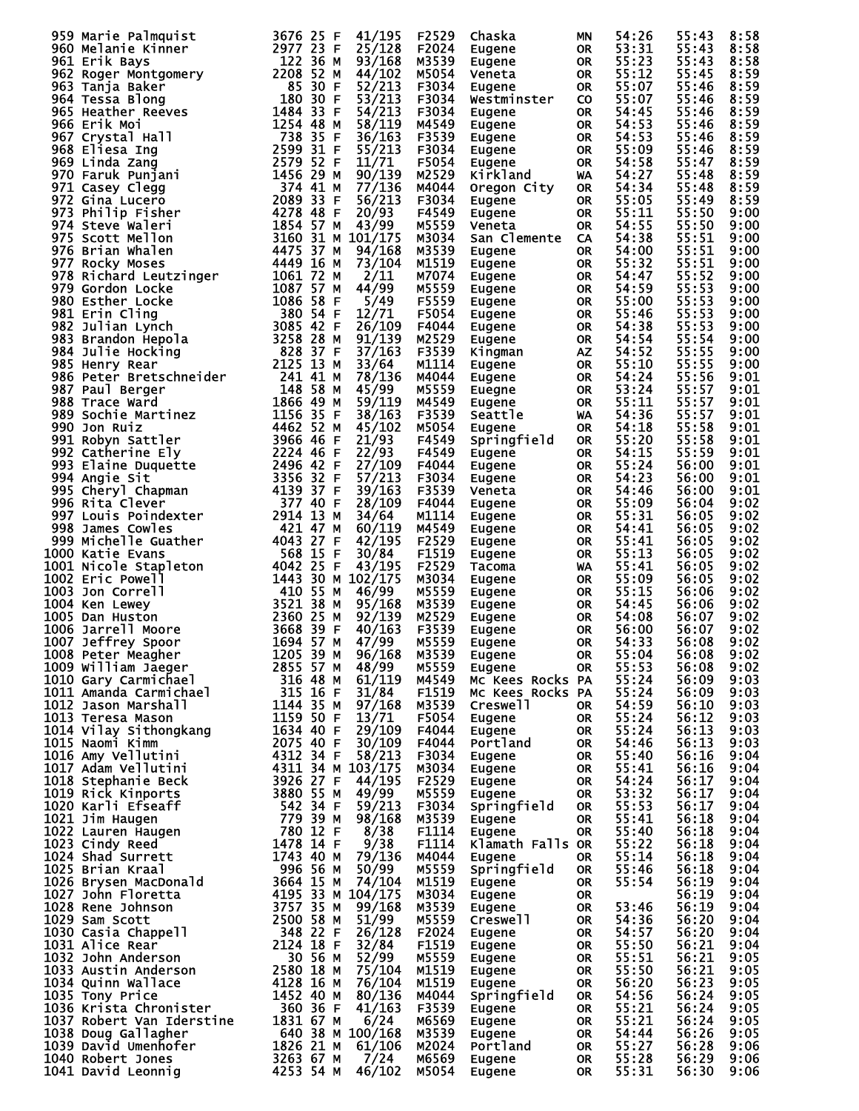|                                                                                                                                                                                                                                                                                   |                        |              | F2529 | Chaska           | ΜN        | 54:26 | 55:43 | 8:58 |
|-----------------------------------------------------------------------------------------------------------------------------------------------------------------------------------------------------------------------------------------------------------------------------------|------------------------|--------------|-------|------------------|-----------|-------|-------|------|
|                                                                                                                                                                                                                                                                                   |                        |              | F2024 | Eugene           | 0R        | 53:31 | 55:43 | 8:58 |
|                                                                                                                                                                                                                                                                                   |                        |              | M3539 | Eugene           | OR.       | 55:23 | 55:43 | 8:58 |
| 959 Marie Palmquist<br>960 Melanie Kinner<br>961 Erik Bays<br>961 Erik Bays<br>961 Erik Bays<br>961 Erik Bays<br>962 Roger Montgomery<br>1222 36 M<br>963 Tanja Baker<br>963 Tanja Baker<br>1888 S10 F $\frac{53/213}{22/213}$<br>966 Erik Montgomery<br>                         |                        |              | M5054 | Veneta           | OR.       | 55:12 | 55:45 | 8:59 |
|                                                                                                                                                                                                                                                                                   |                        |              | F3034 | Eugene           | OR.       | 55:07 | 55:46 | 8:59 |
|                                                                                                                                                                                                                                                                                   |                        |              | F3034 |                  | <b>CO</b> | 55:07 | 55:46 | 8:59 |
|                                                                                                                                                                                                                                                                                   |                        |              |       | Westminster      |           |       |       |      |
|                                                                                                                                                                                                                                                                                   |                        |              | F3034 | Eugene           | <b>OR</b> | 54:45 | 55:46 | 8:59 |
|                                                                                                                                                                                                                                                                                   |                        |              | M4549 | Eugene           | <b>OR</b> | 54:53 | 55:46 | 8:59 |
|                                                                                                                                                                                                                                                                                   |                        |              | F3539 | Eugene           | <b>OR</b> | 54:53 | 55:46 | 8:59 |
|                                                                                                                                                                                                                                                                                   |                        |              | F3034 | Eugene           | <b>OR</b> | 55:09 | 55:46 | 8:59 |
|                                                                                                                                                                                                                                                                                   |                        |              |       |                  |           |       |       |      |
|                                                                                                                                                                                                                                                                                   |                        |              | F5054 | Eugene           | <b>OR</b> | 54:58 | 55:47 | 8:59 |
|                                                                                                                                                                                                                                                                                   |                        |              | M2529 | Kirkland         | WA        | 54:27 | 55:48 | 8:59 |
|                                                                                                                                                                                                                                                                                   |                        |              | M4044 | Oregon City      | <b>OR</b> | 54:34 | 55:48 | 8:59 |
|                                                                                                                                                                                                                                                                                   |                        |              | F3034 | Eugene           | <b>OR</b> | 55:05 | 55:49 | 8:59 |
|                                                                                                                                                                                                                                                                                   |                        |              | F4549 | Eugene           | <b>OR</b> | 55:11 | 55:50 | 9:00 |
|                                                                                                                                                                                                                                                                                   |                        |              |       |                  |           | 54:55 |       |      |
|                                                                                                                                                                                                                                                                                   |                        |              | M5559 | Veneta           | OR.       |       | 55:50 | 9:00 |
|                                                                                                                                                                                                                                                                                   |                        |              | M3034 | San Clemente CA  |           | 54:38 | 55:51 | 9:00 |
|                                                                                                                                                                                                                                                                                   |                        |              | M3539 | Eugene           | <b>OR</b> | 54:00 | 55:51 | 9:00 |
|                                                                                                                                                                                                                                                                                   |                        |              | M1519 | Eugene           | OR        | 55:32 | 55:51 | 9:00 |
|                                                                                                                                                                                                                                                                                   |                        |              | M7074 | Eugene           | <b>OR</b> | 54:47 | 55:52 | 9:00 |
|                                                                                                                                                                                                                                                                                   |                        |              |       |                  |           |       |       |      |
|                                                                                                                                                                                                                                                                                   |                        |              | M5559 | Eugene           | OR        | 54:59 | 55:53 | 9:00 |
|                                                                                                                                                                                                                                                                                   |                        |              | F5559 | Eugene           | OR        | 55:00 | 55:53 | 9:00 |
|                                                                                                                                                                                                                                                                                   |                        |              | F5054 | Eugene           | <b>OR</b> | 55:46 | 55:53 | 9:00 |
|                                                                                                                                                                                                                                                                                   |                        |              | F4044 | Eugene           | <b>OR</b> | 54:38 | 55:53 | 9:00 |
|                                                                                                                                                                                                                                                                                   |                        |              | M2529 | Eugene           | <b>OR</b> | 54:54 | 55:54 | 9:00 |
|                                                                                                                                                                                                                                                                                   |                        |              | F3539 |                  | <b>AZ</b> |       | 55:55 | 9:00 |
|                                                                                                                                                                                                                                                                                   |                        |              |       | Kingman          |           | 54:52 |       |      |
|                                                                                                                                                                                                                                                                                   |                        |              | M1114 | Eugene           | OR        | 55:10 | 55:55 | 9:00 |
|                                                                                                                                                                                                                                                                                   |                        |              | M4044 | Eugene           | OR        | 54:24 | 55:56 | 9:01 |
|                                                                                                                                                                                                                                                                                   |                        |              | M5559 | Euegne           | <b>OR</b> | 53:24 | 55:57 | 9:01 |
|                                                                                                                                                                                                                                                                                   |                        |              | M4549 | Eugene           | <b>OR</b> | 55:11 | 55:57 | 9:01 |
|                                                                                                                                                                                                                                                                                   |                        |              |       |                  |           |       |       |      |
|                                                                                                                                                                                                                                                                                   |                        |              | F3539 | Seattle          | WA        | 54:36 | 55:57 | 9:01 |
|                                                                                                                                                                                                                                                                                   |                        |              | M5054 | Eugene           | <b>OR</b> | 54:18 | 55:58 | 9:01 |
|                                                                                                                                                                                                                                                                                   |                        |              | F4549 | Springfield      | <b>OR</b> | 55:20 | 55:58 | 9:01 |
|                                                                                                                                                                                                                                                                                   |                        |              | F4549 | Eugene           | <b>OR</b> | 54:15 | 55:59 | 9:01 |
|                                                                                                                                                                                                                                                                                   |                        |              | F4044 | Eugene           | <b>OR</b> | 55:24 | 56:00 | 9:01 |
|                                                                                                                                                                                                                                                                                   |                        |              |       |                  |           |       |       |      |
|                                                                                                                                                                                                                                                                                   |                        |              | F3034 | Eugene           | <b>OR</b> | 54:23 | 56:00 | 9:01 |
|                                                                                                                                                                                                                                                                                   |                        |              | F3539 | Veneta           | <b>OR</b> | 54:46 | 56:00 | 9:01 |
|                                                                                                                                                                                                                                                                                   |                        |              | F4044 | Eugene           | OR.       | 55:09 | 56:04 | 9:02 |
|                                                                                                                                                                                                                                                                                   |                        |              | M1114 | Eugene           | <b>OR</b> | 55:31 | 56:05 | 9:02 |
|                                                                                                                                                                                                                                                                                   |                        |              | M4549 | Eugene           | <b>OR</b> | 54:41 | 56:05 | 9:02 |
|                                                                                                                                                                                                                                                                                   |                        |              |       |                  |           |       |       |      |
|                                                                                                                                                                                                                                                                                   |                        |              | F2529 | Eugene           | <b>OR</b> | 55:41 | 56:05 | 9:02 |
| 1000 Katie Evans                                                                                                                                                                                                                                                                  | 568 15 F               | 30/84        | F1519 | Eugene           | OR.       | 55:13 | 56:05 | 9:02 |
| 1000 Katle Evans<br>1001 Nicole Stapleton<br>1002 Eric Powell<br>1003 Jon Correll<br>1004 Ken Lewey<br>1005 Dan Huston<br>1006 Jarrell Moore<br>1006 Jarrell Moore<br>1007 Jeffrey Spoor<br>1007 Jeffrey Spoor<br>1008 Peter Meagher<br>1008 Peter M                              |                        | 43/195       | F2529 | Tacoma           | <b>WA</b> | 55:41 | 56:05 | 9:02 |
|                                                                                                                                                                                                                                                                                   | 1443 30 M 102/175      |              | M3034 | Eugene           | OR.       | 55:09 | 56:05 | 9:02 |
|                                                                                                                                                                                                                                                                                   |                        | 46/99        | M5559 | Eugene           | OR        | 55:15 | 56:06 | 9:02 |
|                                                                                                                                                                                                                                                                                   |                        |              |       |                  |           |       |       |      |
|                                                                                                                                                                                                                                                                                   |                        | 95/168       | M3539 | Eugene           | OR        | 54:45 | 56:06 | 9:02 |
|                                                                                                                                                                                                                                                                                   |                        | 92/139       | M2529 | Eugene           | <b>OR</b> | 54:08 | 56:07 | 9:02 |
|                                                                                                                                                                                                                                                                                   |                        | 40/163       | F3539 | Eugene           | <b>OR</b> | 56:00 | 56:07 | 9:02 |
|                                                                                                                                                                                                                                                                                   |                        | 47/99        | M5559 | Eugene           | <b>OR</b> | 54:33 | 56:08 | 9:02 |
| 1205 39 M<br>1008 Peter Meagher                                                                                                                                                                                                                                                   |                        | 96/168       | M3539 | Eugene           | OR        | 55:04 | 56:08 | 9:02 |
|                                                                                                                                                                                                                                                                                   |                        |              |       | Eugene           | <b>OR</b> | 55:53 | 56:08 | 9:02 |
|                                                                                                                                                                                                                                                                                   |                        |              |       |                  |           |       |       |      |
|                                                                                                                                                                                                                                                                                   |                        |              |       | MC Kees Rocks PA |           | 55:24 | 56:09 | 9:03 |
|                                                                                                                                                                                                                                                                                   |                        |              |       | MC Kees Rocks PA |           | 55:24 | 56:09 | 9:03 |
|                                                                                                                                                                                                                                                                                   |                        |              |       | Creswell         | OR        | 54:59 | 56:10 | 9:03 |
|                                                                                                                                                                                                                                                                                   |                        |              |       | Eugene           | <b>OR</b> | 55:24 | 56:12 | 9:03 |
|                                                                                                                                                                                                                                                                                   |                        |              |       | Eugene           | OR        | 55:24 | 56:13 | 9:03 |
|                                                                                                                                                                                                                                                                                   |                        |              |       |                  |           | 54:46 |       | 9:03 |
|                                                                                                                                                                                                                                                                                   |                        |              |       | Portland         | OR        |       | 56:13 |      |
|                                                                                                                                                                                                                                                                                   |                        |              |       | Eugene           | <b>OR</b> | 55:40 | 56:16 | 9:04 |
|                                                                                                                                                                                                                                                                                   |                        |              |       | Eugene           | <b>OR</b> | 55:41 | 56:16 | 9:04 |
| 1008 Peter Meagher<br>1009 William Jaeger<br>1009 William Jaeger<br>1010 Gary Carmichael<br>1011 Amanda Carmichael<br>1012 Jason Marshall<br>1012 Jason Marshall<br>1012 Jason Marshall<br>1013 Teresa Mason<br>1013 Teresa Mason<br>1013 Teresa M                                |                        |              | F2529 | Eugene           | OR        | 54:24 | 56:17 | 9:04 |
|                                                                                                                                                                                                                                                                                   |                        |              | M5559 | Eugene           | OR        | 53:32 | 56:17 | 9:04 |
|                                                                                                                                                                                                                                                                                   |                        |              | F3034 | Springfield      | <b>OR</b> | 55:53 | 56:17 | 9:04 |
|                                                                                                                                                                                                                                                                                   |                        |              |       |                  |           |       |       |      |
|                                                                                                                                                                                                                                                                                   |                        |              | M3539 | Eugene           | OR.       | 55:41 | 56:18 | 9:04 |
|                                                                                                                                                                                                                                                                                   |                        |              | F1114 | Eugene           | OR.       | 55:40 | 56:18 | 9:04 |
|                                                                                                                                                                                                                                                                                   |                        |              | F1114 | Klamath Falls OR |           | 55:22 | 56:18 | 9:04 |
|                                                                                                                                                                                                                                                                                   |                        | 79/136 M4044 |       | Eugene           | <b>OR</b> | 55:14 | 56:18 | 9:04 |
|                                                                                                                                                                                                                                                                                   |                        |              | M5559 | Springfield      | <b>OR</b> | 55:46 | 56:18 | 9:04 |
|                                                                                                                                                                                                                                                                                   |                        |              | M1519 | Eugene           | <b>OR</b> | 55:54 | 56:19 | 9:04 |
|                                                                                                                                                                                                                                                                                   |                        |              |       |                  |           |       |       |      |
|                                                                                                                                                                                                                                                                                   |                        |              | M3034 | Eugene           | <b>OR</b> |       | 56:19 | 9:04 |
|                                                                                                                                                                                                                                                                                   |                        |              | M3539 | Eugene           | <b>OR</b> | 53:46 | 56:19 | 9:04 |
|                                                                                                                                                                                                                                                                                   |                        |              | M5559 | Creswell         | <b>OR</b> | 54:36 | 56:20 | 9:04 |
|                                                                                                                                                                                                                                                                                   |                        |              | F2024 | Eugene           | <b>OR</b> | 54:57 | 56:20 | 9:04 |
|                                                                                                                                                                                                                                                                                   |                        |              | F1519 | Eugene           | OR        | 55:50 | 56:21 | 9:04 |
|                                                                                                                                                                                                                                                                                   |                        |              |       |                  |           |       |       |      |
|                                                                                                                                                                                                                                                                                   |                        |              | M5559 | Eugene           | OR        | 55:51 | 56:21 | 9:05 |
|                                                                                                                                                                                                                                                                                   |                        | 75/104       | M1519 | Eugene           | OR        | 55:50 | 56:21 | 9:05 |
|                                                                                                                                                                                                                                                                                   |                        |              | M1519 | Eugene           | OR        | 56:20 | 56:23 | 9:05 |
|                                                                                                                                                                                                                                                                                   |                        |              | M4044 | Springfield      | OR        | 54:56 | 56:24 | 9:05 |
|                                                                                                                                                                                                                                                                                   |                        |              | F3539 | Eugene           | <b>OR</b> | 55:21 | 56:24 | 9:05 |
| 1017 Adam Vellutini<br>1017 Adam Vellutini<br>1018 Stephanie Beck<br>1018 Stephanie Beck<br>1020 Karli Efseaff<br>1020 Karli Efseaff<br>1020 Karli Efseaff<br>1021 Jim Haugen<br>1022 Lauren Haugen<br>1022 Lauren Haugen<br>1022 Lauren Haugen<br>1<br>1037 Robert van Iderstine |                        |              |       |                  |           | 55:21 |       |      |
|                                                                                                                                                                                                                                                                                   | 1831 67 M              | 6/24         | M6569 | Eugene           | <b>OR</b> |       | 56:24 | 9:05 |
| 1038 Doug Gallagher                                                                                                                                                                                                                                                               | 640 38 M 100/168 M3539 |              |       | Eugene           | OR        | 54:44 | 56:26 | 9:05 |
| 1039 David Umenhofer                                                                                                                                                                                                                                                              | 1826 21 M              | 61/106       | M2024 | Portland         | OR        | 55:27 | 56:28 | 9:06 |
| 1040 Robert Jones                                                                                                                                                                                                                                                                 | 3263 67 M              | 7/24         | M6569 | Eugene           | OR        | 55:28 | 56:29 | 9:06 |
| 1041 David Leonnig                                                                                                                                                                                                                                                                | 4253 54 M              | 46/102       | M5054 | Eugene           | <b>OR</b> | 55:31 | 56:30 | 9:06 |
|                                                                                                                                                                                                                                                                                   |                        |              |       |                  |           |       |       |      |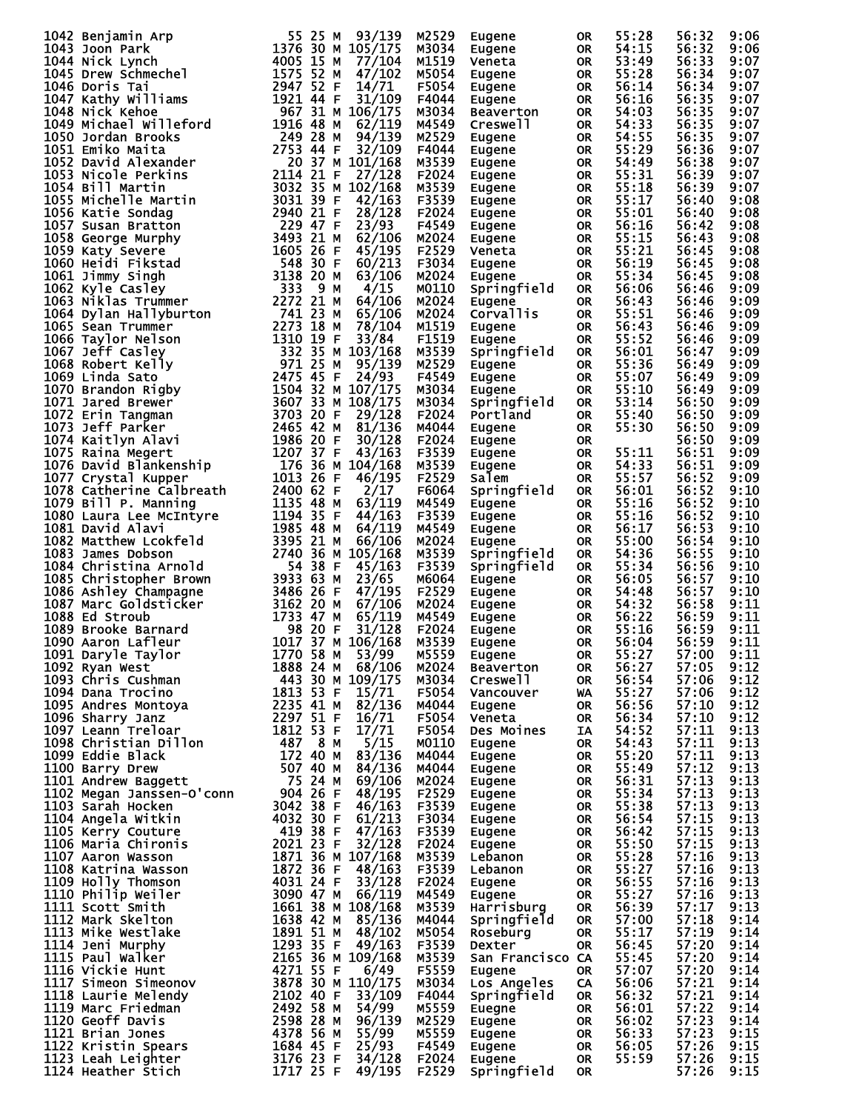|                                                                                                                                                                                                                                                      |  | M2529 | Eugene                     | 0R        | 55:28 | 56:32 | 9:06 |
|------------------------------------------------------------------------------------------------------------------------------------------------------------------------------------------------------------------------------------------------------|--|-------|----------------------------|-----------|-------|-------|------|
|                                                                                                                                                                                                                                                      |  | M3034 | Eugene                     | OR.       | 54:15 | 56:32 | 9:06 |
|                                                                                                                                                                                                                                                      |  | M1519 | Veneta                     | OR.       | 53:49 | 56:33 | 9:07 |
|                                                                                                                                                                                                                                                      |  | M5054 | Eugene                     | OR        | 55:28 | 56:34 | 9:07 |
|                                                                                                                                                                                                                                                      |  |       |                            |           |       |       |      |
|                                                                                                                                                                                                                                                      |  | F5054 | Eugene                     | OR        | 56:14 | 56:34 | 9:07 |
|                                                                                                                                                                                                                                                      |  | F4044 | Eugene                     | OR        | 56:16 | 56:35 | 9:07 |
|                                                                                                                                                                                                                                                      |  | M3034 | Beaverton                  | OR        | 54:03 | 56:35 | 9:07 |
|                                                                                                                                                                                                                                                      |  | M4549 | Creswell                   | <b>OR</b> | 54:33 | 56:35 | 9:07 |
|                                                                                                                                                                                                                                                      |  |       |                            |           |       |       |      |
|                                                                                                                                                                                                                                                      |  | M2529 | Eugene                     | <b>OR</b> | 54:55 | 56:35 | 9:07 |
|                                                                                                                                                                                                                                                      |  | F4044 | Eugene                     | OR        | 55:29 | 56:36 | 9:07 |
|                                                                                                                                                                                                                                                      |  | M3539 | Eugene                     | OR        | 54:49 | 56:38 | 9:07 |
|                                                                                                                                                                                                                                                      |  | F2024 | Eugene                     | OR        | 55:31 | 56:39 | 9:07 |
|                                                                                                                                                                                                                                                      |  | M3539 | Eugene                     | OR        | 55:18 | 56:39 | 9:07 |
|                                                                                                                                                                                                                                                      |  |       |                            |           |       |       |      |
|                                                                                                                                                                                                                                                      |  | F3539 | Eugene                     | OR        | 55:17 | 56:40 | 9:08 |
|                                                                                                                                                                                                                                                      |  | F2024 | Eugene                     | OR        | 55:01 | 56:40 | 9:08 |
|                                                                                                                                                                                                                                                      |  | F4549 | Eugene                     | OR        | 56:16 | 56:42 | 9:08 |
|                                                                                                                                                                                                                                                      |  | M2024 | Eugene                     | OR        | 55:15 | 56:43 | 9:08 |
|                                                                                                                                                                                                                                                      |  | F2529 |                            |           |       |       |      |
|                                                                                                                                                                                                                                                      |  |       | Veneta                     | OR        | 55:21 | 56:45 | 9:08 |
|                                                                                                                                                                                                                                                      |  | F3034 | Eugene                     | OR        | 56:19 | 56:45 | 9:08 |
|                                                                                                                                                                                                                                                      |  | M2024 | Eugene                     | OR.       | 55:34 | 56:45 | 9:08 |
|                                                                                                                                                                                                                                                      |  | M0110 | Springfield                | OR.       | 56:06 | 56:46 | 9:09 |
|                                                                                                                                                                                                                                                      |  | M2024 |                            | OR.       | 56:43 | 56:46 | 9:09 |
|                                                                                                                                                                                                                                                      |  |       | Eugene                     |           |       |       |      |
|                                                                                                                                                                                                                                                      |  | M2024 | Corvallis                  | OR.       | 55:51 | 56:46 | 9:09 |
|                                                                                                                                                                                                                                                      |  | M1519 | Eugene                     | OR.       | 56:43 | 56:46 | 9:09 |
|                                                                                                                                                                                                                                                      |  | F1519 | Eugene                     | <b>OR</b> | 55:52 | 56:46 | 9:09 |
|                                                                                                                                                                                                                                                      |  | M3539 | Springfield                | OR        | 56:01 | 56:47 | 9:09 |
|                                                                                                                                                                                                                                                      |  | M2529 |                            |           | 55:36 | 56:49 |      |
|                                                                                                                                                                                                                                                      |  |       | Eugene                     | OR.       |       |       | 9:09 |
|                                                                                                                                                                                                                                                      |  | F4549 | Eugene                     | OR.       | 55:07 | 56:49 | 9:09 |
|                                                                                                                                                                                                                                                      |  | M3034 | Eugene                     | <b>OR</b> | 55:10 | 56:49 | 9:09 |
|                                                                                                                                                                                                                                                      |  | M3034 | Springfield                | OR        | 53:14 | 56:50 | 9:09 |
|                                                                                                                                                                                                                                                      |  | F2024 | Portland                   | <b>OR</b> | 55:40 | 56:50 | 9:09 |
|                                                                                                                                                                                                                                                      |  |       |                            |           |       |       |      |
|                                                                                                                                                                                                                                                      |  | M4044 | Eugene                     | OR        | 55:30 | 56:50 | 9:09 |
|                                                                                                                                                                                                                                                      |  | F2024 | Eugene                     | OR        |       | 56:50 | 9:09 |
|                                                                                                                                                                                                                                                      |  | F3539 | Eugene                     | <b>OR</b> | 55:11 | 56:51 | 9:09 |
|                                                                                                                                                                                                                                                      |  | M3539 | Eugene                     | OR        | 54:33 | 56:51 | 9:09 |
|                                                                                                                                                                                                                                                      |  | F2529 | Salem                      | OR.       | 55:57 | 56:52 | 9:09 |
|                                                                                                                                                                                                                                                      |  |       |                            |           |       |       |      |
|                                                                                                                                                                                                                                                      |  | F6064 | Springfield                | OR.       | 56:01 | 56:52 | 9:10 |
|                                                                                                                                                                                                                                                      |  | M4549 | Eugene                     | OR.       | 55:16 | 56:52 | 9:10 |
|                                                                                                                                                                                                                                                      |  | F3539 | Eugene                     | <b>OR</b> | 55:16 | 56:52 | 9:10 |
|                                                                                                                                                                                                                                                      |  | M4549 | Eugene                     | OR.       | 56:17 | 56:53 | 9:10 |
|                                                                                                                                                                                                                                                      |  | M2024 |                            | OR.       | 55:00 | 56:54 | 9:10 |
|                                                                                                                                                                                                                                                      |  |       | Eugene                     |           |       |       |      |
|                                                                                                                                                                                                                                                      |  | M3539 | Springfield                | OR.       | 54:36 | 56:55 | 9:10 |
|                                                                                                                                                                                                                                                      |  | F3539 | Springfield                | <b>OR</b> | 55:34 | 56:56 | 9:10 |
|                                                                                                                                                                                                                                                      |  | M6064 | Eugene                     | OR.       | 56:05 | 56:57 | 9:10 |
| 1042 Benjamin Arp<br>1043 Joon Park Pict Lynch<br>1043 Joon Park Pict Lynch<br>1044 Joon Park Pict Lynch<br>1045 Drew Schmechel<br>1050 Six Min (1050 Six Min (17704)<br>1045 Drew Schmechel<br>1050 Dredan Brooks (1871 52 M 47/102<br>1047         |  | F2529 | Eugene                     | OR        | 54:48 | 56:57 | 9:10 |
|                                                                                                                                                                                                                                                      |  | M2024 |                            | OR        | 54:32 | 56:58 | 9:11 |
|                                                                                                                                                                                                                                                      |  |       | Eugene<br>Eugene<br>Eugene |           |       |       | 9:11 |
|                                                                                                                                                                                                                                                      |  | M4549 |                            | OR        | 56:22 | 56:59 |      |
|                                                                                                                                                                                                                                                      |  | F2024 | Eugene<br>Eugene           | OR        | 55:16 | 56:59 | 9:11 |
|                                                                                                                                                                                                                                                      |  | M3539 |                            | <b>OR</b> | 56:04 | 56:59 | 9:11 |
|                                                                                                                                                                                                                                                      |  |       | Eugene                     | <b>OR</b> | 55:27 | 57:00 | 9:11 |
|                                                                                                                                                                                                                                                      |  |       | <b>Beaverton</b>           | OR.       | 56:27 | 57:05 | 9:12 |
|                                                                                                                                                                                                                                                      |  |       | <b>Creswell</b>            | OR        | 56:54 | 57:06 | 9:12 |
|                                                                                                                                                                                                                                                      |  |       |                            |           |       |       |      |
|                                                                                                                                                                                                                                                      |  |       | Vancouver                  | <b>WA</b> | 55:27 | 57:06 | 9:12 |
|                                                                                                                                                                                                                                                      |  |       | Eugene                     | <b>OR</b> | 56:56 | 57:10 | 9:12 |
|                                                                                                                                                                                                                                                      |  |       | Veneta                     | OR        | 56:34 | 57:10 | 9:12 |
|                                                                                                                                                                                                                                                      |  |       | <b>Des Moines</b>          | IA        | 54:52 | 57:11 | 9:13 |
|                                                                                                                                                                                                                                                      |  |       | Eugene                     | <b>OR</b> | 54:43 | 57:11 | 9:13 |
|                                                                                                                                                                                                                                                      |  |       |                            |           |       |       |      |
| 1090 Aaron Lafleur<br>1091 Daryle Taylor<br>1091 Daryle Taylor<br>1092 Ryan West<br>1092 Ryan West<br>1093 Chris Cushman<br>1094 Dana Trocino<br>1084 Dana Trocino<br>1085 Andres Montoya<br>2235 41 M 82/136 M4044<br>1096 Sharry Janz<br>2297 51 F |  |       | Eugene                     | OR D      | 55:20 | 57:11 | 9:13 |
|                                                                                                                                                                                                                                                      |  |       | Eugene                     | <b>OR</b> | 55:49 | 57:12 | 9:13 |
|                                                                                                                                                                                                                                                      |  |       | Eugene                     | OR        | 56:31 | 57:13 | 9:13 |
|                                                                                                                                                                                                                                                      |  |       | Eugene                     | <b>OR</b> | 55:34 | 57:13 | 9:13 |
|                                                                                                                                                                                                                                                      |  |       | Eugene                     | OR        | 55:38 | 57:13 | 9:13 |
|                                                                                                                                                                                                                                                      |  | F3034 |                            | <b>OR</b> | 56:54 | 57:15 | 9:13 |
|                                                                                                                                                                                                                                                      |  |       | Eugene                     |           |       |       |      |
|                                                                                                                                                                                                                                                      |  | F3539 | Eugene                     | OR        | 56:42 | 57:15 | 9:13 |
|                                                                                                                                                                                                                                                      |  | F2024 | Eugene                     | OR        | 55:50 | 57:15 | 9:13 |
|                                                                                                                                                                                                                                                      |  | M3539 | Lebanon                    | OR D      | 55:28 | 57:16 | 9:13 |
|                                                                                                                                                                                                                                                      |  | F3539 | Lebanon                    | OR        | 55:27 | 57:16 | 9:13 |
|                                                                                                                                                                                                                                                      |  | F2024 | Eugene                     | OR D      | 56:55 | 57:16 | 9:13 |
|                                                                                                                                                                                                                                                      |  |       |                            |           |       |       |      |
|                                                                                                                                                                                                                                                      |  | M4549 | Eugene                     | OR        | 55:27 | 57:16 | 9:13 |
|                                                                                                                                                                                                                                                      |  | M3539 | Harrisburg                 | OR D      | 56:39 | 57:17 | 9:13 |
|                                                                                                                                                                                                                                                      |  | M4044 | Springfield                | <b>OR</b> | 57:00 | 57:18 | 9:14 |
|                                                                                                                                                                                                                                                      |  | M5054 | Roseburg                   | OR        | 55:17 | 57:19 | 9:14 |
|                                                                                                                                                                                                                                                      |  | F3539 | Dexter                     | OR.       | 56:45 | 57:20 | 9:14 |
|                                                                                                                                                                                                                                                      |  |       |                            |           |       |       |      |
|                                                                                                                                                                                                                                                      |  | M3539 | San Francisco CA           |           | 55:45 | 57:20 | 9:14 |
|                                                                                                                                                                                                                                                      |  | F5559 | Eugene                     | OR.       | 57:07 | 57:20 | 9:14 |
|                                                                                                                                                                                                                                                      |  | M3034 | <b>Los Angeles CA</b>      |           | 56:06 | 57:21 | 9:14 |
|                                                                                                                                                                                                                                                      |  | F4044 | Springfield                | OR        | 56:32 | 57:21 | 9:14 |
|                                                                                                                                                                                                                                                      |  | M5559 | Euegne                     | OR        | 56:01 | 57:22 | 9:14 |
|                                                                                                                                                                                                                                                      |  |       |                            |           |       | 57:23 |      |
|                                                                                                                                                                                                                                                      |  | M2529 | Eugene                     | OR        | 56:02 |       | 9:14 |
|                                                                                                                                                                                                                                                      |  | M5559 | Eugene                     | OR        | 56:33 | 57:23 | 9:15 |
|                                                                                                                                                                                                                                                      |  | F4549 | Eugene                     | OR        | 56:05 | 57:26 | 9:15 |
|                                                                                                                                                                                                                                                      |  | F2024 | Eugene                     | OR        | 55:59 | 57:26 | 9:15 |
| 1103 Sarah Hocken<br>1103 Sarah Hocken<br>1104 Angela witkin<br>1104 Angela witkin<br>1104 Angela witkin<br>1104 Angela witkin<br>1106 Maria Chironis<br>2021 23 F 32/128<br>1107 Aaron Wasson<br>1871 36 M 107/168<br>1107 Aaron Wasson<br>1871 36  |  | F2529 | Springfield                | <b>OR</b> |       | 57:26 | 9:15 |
|                                                                                                                                                                                                                                                      |  |       |                            |           |       |       |      |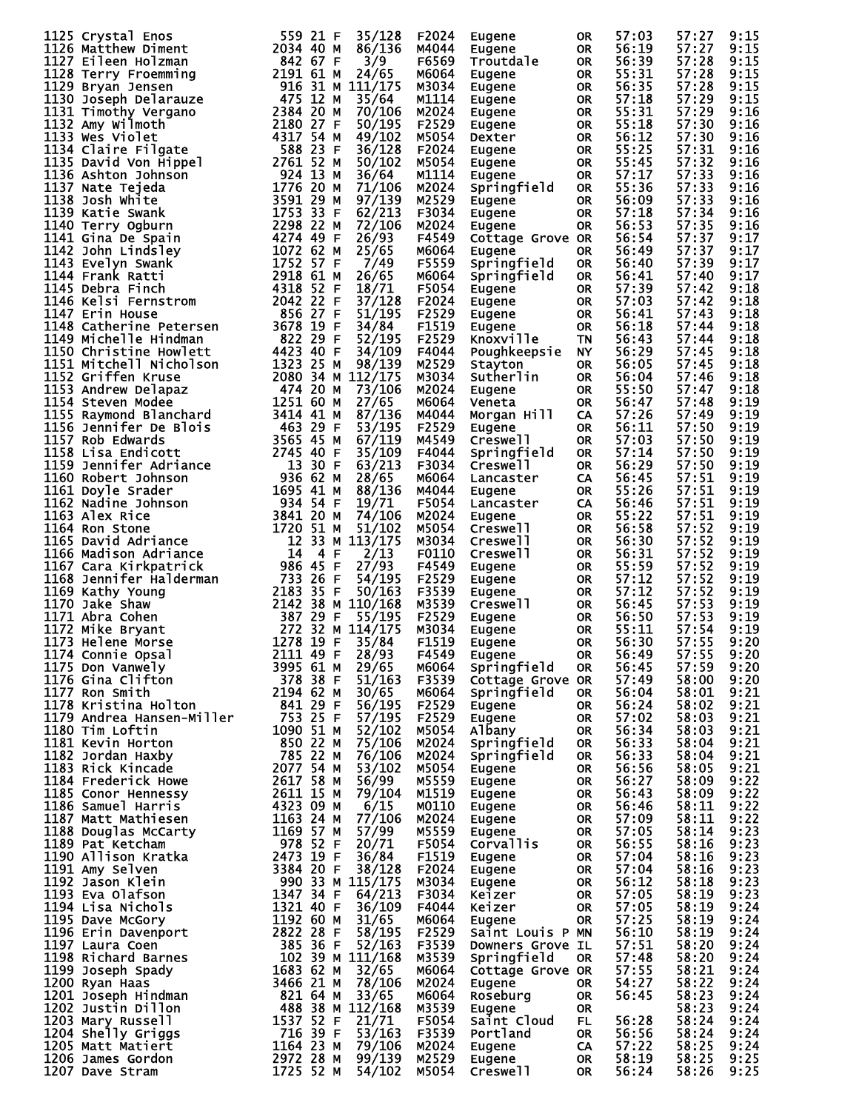| 1125 Crystal Enos<br>1125 Crystal Enos<br>11276 Matthew Diment<br>1276 Matthew Diment<br>1276 Matthew Diment<br>12778 Eileen Holzmann<br>128 Matthew Diment<br>128 Deeph Delarauze<br>129 Deep Delarauze<br>129 Deep Delarauze<br>128 Deep Delarauze<br>128 Amy Wilmot | 559 21 F  | 35/128 | F2024 | Eugene                                                                                                            | 0R        | 57:03 | 57:27      | 9:15 |
|------------------------------------------------------------------------------------------------------------------------------------------------------------------------------------------------------------------------------------------------------------------------|-----------|--------|-------|-------------------------------------------------------------------------------------------------------------------|-----------|-------|------------|------|
| 1123 Crystar Enos<br>1126 Matthew Diment                                                                                                                                                                                                                               | 2034 40 M | 86/136 | M4044 | Eugene                                                                                                            | OR.       | 56:19 | 57:27      | 9:15 |
|                                                                                                                                                                                                                                                                        |           |        |       |                                                                                                                   |           |       |            |      |
|                                                                                                                                                                                                                                                                        |           |        | F6569 | Troutdale                                                                                                         | OR.       | 56:39 | 57:28      | 9:15 |
|                                                                                                                                                                                                                                                                        |           |        | M6064 | Eugene                                                                                                            | <b>OR</b> | 55:31 | 57:28      | 9:15 |
|                                                                                                                                                                                                                                                                        |           |        |       |                                                                                                                   |           |       |            |      |
|                                                                                                                                                                                                                                                                        |           |        | M3034 | Eugene                                                                                                            | <b>OR</b> | 56:35 | 57:28      | 9:15 |
|                                                                                                                                                                                                                                                                        |           |        | M1114 | Eugene                                                                                                            | OR        | 57:18 | 57:29      | 9:15 |
|                                                                                                                                                                                                                                                                        |           |        |       |                                                                                                                   |           |       |            |      |
|                                                                                                                                                                                                                                                                        |           |        | M2024 | Eugene                                                                                                            | OR        | 55:31 | 57:29      | 9:16 |
|                                                                                                                                                                                                                                                                        |           |        | F2529 | Eugene                                                                                                            | OR        | 55:18 | 57:30      | 9:16 |
|                                                                                                                                                                                                                                                                        |           |        |       |                                                                                                                   |           |       |            |      |
|                                                                                                                                                                                                                                                                        |           |        | M5054 | Dexter                                                                                                            | OR.       | 56:12 | 57:30      | 9:16 |
|                                                                                                                                                                                                                                                                        |           |        | F2024 | Eugene                                                                                                            | OR        | 55:25 | 57:31      | 9:16 |
|                                                                                                                                                                                                                                                                        |           |        |       |                                                                                                                   |           |       |            |      |
|                                                                                                                                                                                                                                                                        |           |        | M5054 | Eugene                                                                                                            | <b>OR</b> | 55:45 | 57:32      | 9:16 |
|                                                                                                                                                                                                                                                                        |           |        | M1114 | Eugene                                                                                                            | <b>OR</b> | 57:17 | 57:33      | 9:16 |
|                                                                                                                                                                                                                                                                        |           |        |       |                                                                                                                   |           |       |            |      |
|                                                                                                                                                                                                                                                                        |           |        | M2024 | Springfield                                                                                                       | OR.       | 55:36 | 57:33      | 9:16 |
|                                                                                                                                                                                                                                                                        |           |        | M2529 | Eugene                                                                                                            | <b>OR</b> | 56:09 | 57:33      | 9:16 |
|                                                                                                                                                                                                                                                                        |           |        |       |                                                                                                                   |           |       |            |      |
|                                                                                                                                                                                                                                                                        |           |        | F3034 | Eugene                                                                                                            | <b>OR</b> | 57:18 | 57:34      | 9:16 |
|                                                                                                                                                                                                                                                                        |           |        | M2024 | Eugene                                                                                                            | OR.       | 56:53 | 57:35      | 9:16 |
|                                                                                                                                                                                                                                                                        |           |        | F4549 | Cottage Grove OR                                                                                                  |           | 56:54 | 57:37      | 9:17 |
|                                                                                                                                                                                                                                                                        |           |        |       |                                                                                                                   |           |       |            |      |
|                                                                                                                                                                                                                                                                        |           |        | M6064 | Eugene                                                                                                            | OR        | 56:49 | 57:37      | 9:17 |
|                                                                                                                                                                                                                                                                        |           |        | F5559 | Springfield                                                                                                       | <b>OR</b> | 56:40 | 57:39      | 9:17 |
|                                                                                                                                                                                                                                                                        |           |        |       |                                                                                                                   |           |       |            |      |
|                                                                                                                                                                                                                                                                        |           |        | M6064 | Springfield                                                                                                       | <b>OR</b> | 56:41 | 57:40      | 9:17 |
|                                                                                                                                                                                                                                                                        |           |        | F5054 | Eugene                                                                                                            | <b>OR</b> | 57:39 | 57:42      | 9:18 |
|                                                                                                                                                                                                                                                                        |           |        |       |                                                                                                                   |           |       |            |      |
|                                                                                                                                                                                                                                                                        |           |        | F2024 | Eugene                                                                                                            | OR        | 57:03 | 57:42      | 9:18 |
|                                                                                                                                                                                                                                                                        |           |        | F2529 | Eugene                                                                                                            | <b>OR</b> | 56:41 | 57:43      | 9:18 |
|                                                                                                                                                                                                                                                                        |           |        | F1519 |                                                                                                                   | <b>OR</b> | 56:18 | 57:44      | 9:18 |
|                                                                                                                                                                                                                                                                        |           |        |       | Eugene                                                                                                            |           |       |            |      |
|                                                                                                                                                                                                                                                                        |           |        | F2529 | Knoxville                                                                                                         | <b>TN</b> | 56:43 | 57:44      | 9:18 |
|                                                                                                                                                                                                                                                                        |           |        | F4044 | Poughkeepsie NY                                                                                                   |           | 56:29 | 57:45      | 9:18 |
|                                                                                                                                                                                                                                                                        |           |        |       |                                                                                                                   |           |       |            |      |
|                                                                                                                                                                                                                                                                        |           |        | M2529 | Stayton                                                                                                           | <b>OR</b> | 56:05 | 57:45      | 9:18 |
|                                                                                                                                                                                                                                                                        |           |        | M3034 | Sutherlin                                                                                                         | <b>OR</b> | 56:04 | 57:46      | 9:18 |
|                                                                                                                                                                                                                                                                        |           |        |       |                                                                                                                   |           |       |            |      |
|                                                                                                                                                                                                                                                                        |           |        | M2024 | Eugene                                                                                                            | OR.       | 55:50 | 57:47      | 9:18 |
|                                                                                                                                                                                                                                                                        |           |        | M6064 | Veneta                                                                                                            | OR.       | 56:47 | 57:48      | 9:19 |
|                                                                                                                                                                                                                                                                        |           |        |       |                                                                                                                   |           |       |            |      |
|                                                                                                                                                                                                                                                                        |           |        | M4044 | Morgan Hill                                                                                                       | CA        | 57:26 | 57:49      | 9:19 |
|                                                                                                                                                                                                                                                                        |           |        | F2529 | Eugene                                                                                                            | OR.       | 56:11 | 57:50      | 9:19 |
|                                                                                                                                                                                                                                                                        |           |        | M4549 | Creswell                                                                                                          | OR.       | 57:03 | 57:50      | 9:19 |
|                                                                                                                                                                                                                                                                        |           |        |       |                                                                                                                   |           |       |            |      |
|                                                                                                                                                                                                                                                                        |           |        | F4044 | Springfield                                                                                                       | <b>OR</b> | 57:14 | 57:50      | 9:19 |
|                                                                                                                                                                                                                                                                        |           |        | F3034 | Creswell                                                                                                          | OR.       | 56:29 | 57:50      | 9:19 |
|                                                                                                                                                                                                                                                                        |           |        |       |                                                                                                                   |           |       |            |      |
|                                                                                                                                                                                                                                                                        |           |        | M6064 | Lancaster                                                                                                         | CA        | 56:45 | 57:51      | 9:19 |
|                                                                                                                                                                                                                                                                        |           |        | M4044 | Eugene                                                                                                            | OR.       | 55:26 | 57:51      | 9:19 |
|                                                                                                                                                                                                                                                                        |           |        |       |                                                                                                                   |           |       |            |      |
|                                                                                                                                                                                                                                                                        |           |        | F5054 | Lancaster                                                                                                         | CA.       | 56:46 | 57:51      | 9:19 |
|                                                                                                                                                                                                                                                                        |           |        | M2024 | Eugene                                                                                                            | OR.       | 55:22 | 57:51      | 9:19 |
|                                                                                                                                                                                                                                                                        |           |        | M5054 | Creswell                                                                                                          | OR.       | 56:58 | 57:52      | 9:19 |
|                                                                                                                                                                                                                                                                        |           |        |       |                                                                                                                   |           |       |            |      |
|                                                                                                                                                                                                                                                                        |           |        | M3034 | Creswell                                                                                                          | <b>OR</b> | 56:30 | 57:52      | 9:19 |
|                                                                                                                                                                                                                                                                        |           |        | F0110 | Creswell                                                                                                          | OR.       | 56:31 | 57:52      | 9:19 |
|                                                                                                                                                                                                                                                                        |           |        |       |                                                                                                                   |           |       |            |      |
|                                                                                                                                                                                                                                                                        |           |        | F4549 | Eugene                                                                                                            | OR.       | 55:59 | 57:52      | 9:19 |
|                                                                                                                                                                                                                                                                        |           |        | F2529 | Eugene                                                                                                            | OR.       | 57:12 | 57:52      | 9:19 |
| 1167 Cara Kirkpatrick<br>1168 Jennifer Halderman<br>1168 Jennifer Halderman<br>1168 Mathy Young<br>1169 Kathy Young<br>2183 35 F 54/195<br>1170 Jake Shaw<br>2183 35 F 50/168<br>1171 Abra Cohen<br>1172 Mike Bryant<br>272 32 M 114/175<br>1173 Hel                   |           |        |       |                                                                                                                   |           |       |            |      |
|                                                                                                                                                                                                                                                                        |           |        | F3539 | Eugene                                                                                                            | OR.       | 57:12 | 57:52      | 9:19 |
|                                                                                                                                                                                                                                                                        |           |        | M3539 | <b>Creswell</b>                                                                                                   | OR        | 56:45 | 57:53      | 9:19 |
|                                                                                                                                                                                                                                                                        |           |        |       |                                                                                                                   |           | 56:50 |            |      |
|                                                                                                                                                                                                                                                                        |           |        | F2529 | Eugene                                                                                                            | <b>OR</b> |       | 57:53      | 9:19 |
|                                                                                                                                                                                                                                                                        |           |        | M3034 | Eugene                                                                                                            | <b>OR</b> | 55:11 | 57:54      | 9:19 |
|                                                                                                                                                                                                                                                                        |           |        | F1519 | Eugene                                                                                                            | <b>OR</b> | 56:30 | 57:55      | 9:20 |
|                                                                                                                                                                                                                                                                        |           |        |       |                                                                                                                   |           |       |            |      |
|                                                                                                                                                                                                                                                                        |           |        |       | Eugene                                                                                                            | OR        | 56:49 | 57:55      | 9:20 |
|                                                                                                                                                                                                                                                                        |           |        |       | Springfield                                                                                                       | <b>OR</b> | 56:45 | 57:59      | 9:20 |
|                                                                                                                                                                                                                                                                        |           |        |       |                                                                                                                   |           |       |            |      |
|                                                                                                                                                                                                                                                                        |           |        |       | Cottage Grove OR                                                                                                  |           | 57:49 | 58:00 9:20 |      |
|                                                                                                                                                                                                                                                                        |           |        |       | Springfield                                                                                                       | <b>OR</b> | 56:04 | 58:01      | 9:21 |
|                                                                                                                                                                                                                                                                        |           |        |       | Eugene                                                                                                            | <b>OR</b> | 56:24 | 58:02      | 9:21 |
|                                                                                                                                                                                                                                                                        |           |        |       |                                                                                                                   |           |       |            |      |
|                                                                                                                                                                                                                                                                        |           |        |       | Eugene                                                                                                            | <b>OR</b> | 57:02 | 58:03      | 9:21 |
|                                                                                                                                                                                                                                                                        |           |        |       | Albany                                                                                                            | <b>OR</b> | 56:34 | 58:03      | 9:21 |
|                                                                                                                                                                                                                                                                        |           |        |       | Springfield                                                                                                       |           |       |            |      |
|                                                                                                                                                                                                                                                                        |           |        |       |                                                                                                                   | <b>OR</b> | 56:33 | 58:04      | 9:21 |
|                                                                                                                                                                                                                                                                        |           |        |       | Springfield                                                                                                       | <b>OR</b> | 56:33 | 58:04      | 9:21 |
|                                                                                                                                                                                                                                                                        |           |        |       | Eugene                                                                                                            | <b>OR</b> | 56:56 | 58:05      | 9:21 |
|                                                                                                                                                                                                                                                                        |           |        |       |                                                                                                                   |           |       |            |      |
|                                                                                                                                                                                                                                                                        |           |        |       | Eugene                                                                                                            | <b>OR</b> | 56:27 | 58:09      | 9:22 |
|                                                                                                                                                                                                                                                                        |           |        |       |                                                                                                                   |           | 56:43 | 58:09      | 9:22 |
|                                                                                                                                                                                                                                                                        |           |        |       |                                                                                                                   |           |       |            |      |
|                                                                                                                                                                                                                                                                        |           |        |       |                                                                                                                   |           | 56:46 | 58:11      | 9:22 |
|                                                                                                                                                                                                                                                                        |           |        |       |                                                                                                                   |           | 57:09 | 58:11      | 9:22 |
|                                                                                                                                                                                                                                                                        |           |        |       |                                                                                                                   |           |       |            |      |
|                                                                                                                                                                                                                                                                        |           |        |       | Eugene<br>Eugene OR<br>Eugene OR<br>Eugene OR<br>Corvallis OR<br>Eugene OR<br>Eugene OR<br>Eugene OR<br>Eugene OR |           | 57:05 | 58:14      | 9:23 |
|                                                                                                                                                                                                                                                                        |           |        |       |                                                                                                                   |           | 56:55 | 58:16      | 9:23 |
|                                                                                                                                                                                                                                                                        |           |        |       |                                                                                                                   |           | 57:04 | 58:16      | 9:23 |
|                                                                                                                                                                                                                                                                        |           |        |       |                                                                                                                   |           |       |            |      |
|                                                                                                                                                                                                                                                                        |           |        |       |                                                                                                                   |           | 57:04 | 58:16      | 9:23 |
|                                                                                                                                                                                                                                                                        |           |        |       |                                                                                                                   |           | 56:12 | 58:18      | 9:23 |
|                                                                                                                                                                                                                                                                        |           |        |       |                                                                                                                   |           |       |            |      |
|                                                                                                                                                                                                                                                                        |           |        |       | Keizer                                                                                                            | OR<br>OR  | 57:05 | 58:19      | 9:23 |
|                                                                                                                                                                                                                                                                        |           |        |       | Keizer                                                                                                            |           | 57:05 | 58:19      | 9:24 |
|                                                                                                                                                                                                                                                                        |           |        |       |                                                                                                                   | <b>OR</b> | 57:25 | 58:19      | 9:24 |
|                                                                                                                                                                                                                                                                        |           |        |       | Eugene                                                                                                            |           |       |            |      |
|                                                                                                                                                                                                                                                                        |           |        |       | Saint Louis P MN                                                                                                  |           | 56:10 | 58:19      | 9:24 |
|                                                                                                                                                                                                                                                                        |           |        |       | Downers Grove IL                                                                                                  |           | 57:51 | 58:20      | 9:24 |
|                                                                                                                                                                                                                                                                        |           |        |       |                                                                                                                   |           |       |            |      |
|                                                                                                                                                                                                                                                                        |           |        |       | Springfield                                                                                                       | <b>OR</b> | 57:48 | 58:20      | 9:24 |
|                                                                                                                                                                                                                                                                        |           |        |       | Cottage Grove OR                                                                                                  |           | 57:55 | 58:21      | 9:24 |
|                                                                                                                                                                                                                                                                        |           |        |       |                                                                                                                   |           |       |            |      |
|                                                                                                                                                                                                                                                                        |           |        |       | Eugene                                                                                                            | <b>OR</b> | 54:27 | 58:22      | 9:24 |
|                                                                                                                                                                                                                                                                        |           |        |       | Roseburg                                                                                                          | <b>OR</b> | 56:45 | 58:23      | 9:24 |
|                                                                                                                                                                                                                                                                        |           |        |       |                                                                                                                   | <b>OR</b> |       | 58:23      | 9:24 |
|                                                                                                                                                                                                                                                                        |           |        |       | Eugene                                                                                                            |           |       |            |      |
|                                                                                                                                                                                                                                                                        |           |        |       | Saint Cloud                                                                                                       | FL .      | 56:28 | 58:24      | 9:24 |
|                                                                                                                                                                                                                                                                        |           |        |       | Portland                                                                                                          | <b>OR</b> | 56:56 | 58:24      | 9:24 |
| 1172 Wike Bryant 1272 32 M 114/175 M3034<br>1173 Helene Morse<br>1772 Helene Morse<br>1174 Gominic Opsal<br>1174 Gominic Opsal<br>1175 Gina Cilifton<br>1776 Gina Cilifton<br>1776 Gina Cilifton<br>1776 Gina Cilifton<br>1776 Gina Cilifton<br>1776 Gina C            |           |        |       |                                                                                                                   |           |       |            |      |
|                                                                                                                                                                                                                                                                        |           |        |       | Eugene                                                                                                            | <b>CA</b> | 57:22 | 58:25      | 9:24 |
|                                                                                                                                                                                                                                                                        |           |        |       | Eugene                                                                                                            | OR        | 58:19 | 58:25      | 9:25 |
|                                                                                                                                                                                                                                                                        |           |        |       | <b>Creswell</b>                                                                                                   | OR.       | 56:24 | 58:26      | 9:25 |
|                                                                                                                                                                                                                                                                        |           |        |       |                                                                                                                   |           |       |            |      |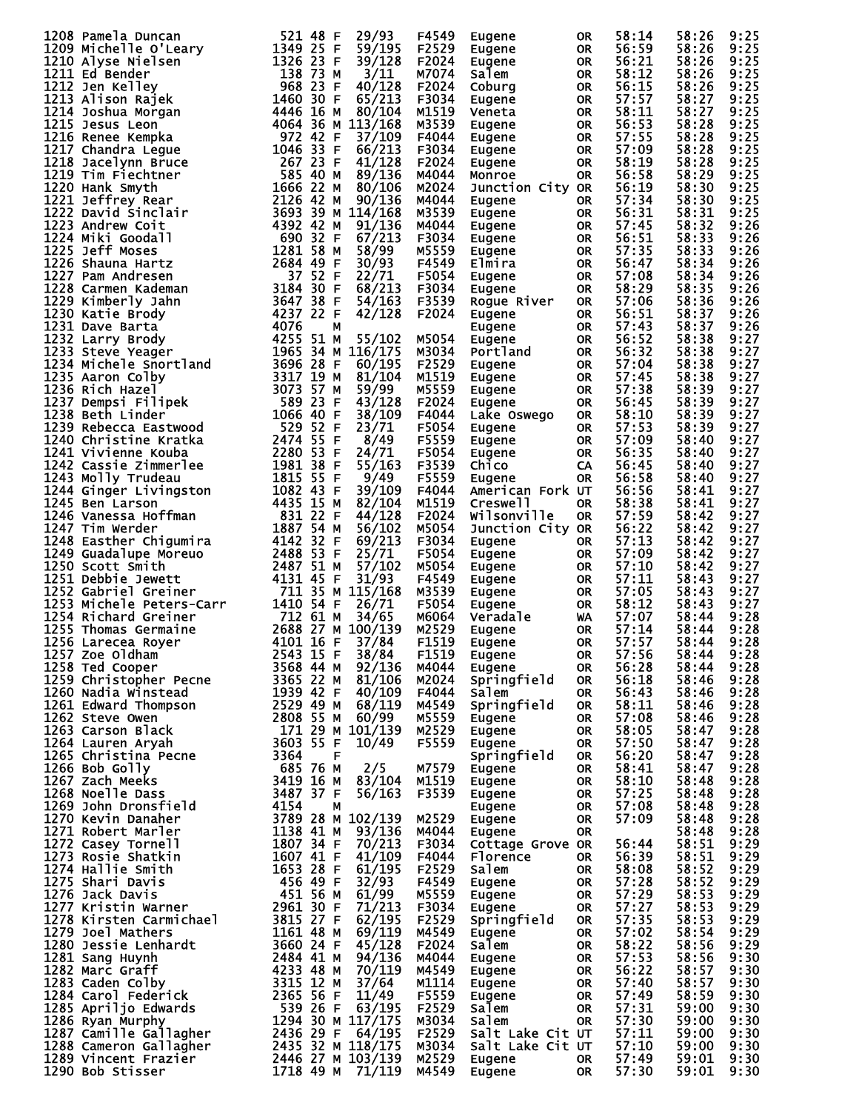| 1208 Pamela Duncan<br>1209 Michel le O'Leary<br>1209 Michel le O'Leary<br>1344 25 F 59/195<br>1210 Alyse Nielley C'Leary<br>1342 25 F 59/128<br>1211 Ed Bender<br>1342 27 R 371128<br>1211 Ed Bender<br>1468 1237 S N 37112<br>1213 Jalison Raigl                        |                                |              | F4549          | Eugene           | 0R              | 58:14          | 58:26          | 9:25         |
|--------------------------------------------------------------------------------------------------------------------------------------------------------------------------------------------------------------------------------------------------------------------------|--------------------------------|--------------|----------------|------------------|-----------------|----------------|----------------|--------------|
|                                                                                                                                                                                                                                                                          |                                |              | F2529          | Eugene           | OR              | 56:59          | 58:26          | 9:25         |
|                                                                                                                                                                                                                                                                          |                                |              |                |                  |                 |                |                |              |
|                                                                                                                                                                                                                                                                          |                                |              | F2024          | Eugene           | <b>OR</b>       | 56:21          | 58:26          | 9:25         |
|                                                                                                                                                                                                                                                                          |                                |              | M7074          | Salem            | <b>OR</b>       | 58:12          | 58:26          | 9:25         |
|                                                                                                                                                                                                                                                                          |                                |              |                |                  |                 |                |                |              |
|                                                                                                                                                                                                                                                                          |                                |              | F2024          | Coburg           | <b>OR</b>       | 56:15          | 58:26          | 9:25         |
|                                                                                                                                                                                                                                                                          |                                |              | F3034          | Eugene           | <b>OR</b>       | 57:57          | 58:27          | 9:25         |
|                                                                                                                                                                                                                                                                          |                                |              |                |                  |                 |                |                |              |
|                                                                                                                                                                                                                                                                          |                                |              | M1519          | Veneta           | OR              | 58:11          | 58:27          | 9:25         |
|                                                                                                                                                                                                                                                                          |                                |              | M3539          | Eugene           | OR              | 56:53          | 58:28          | 9:25         |
|                                                                                                                                                                                                                                                                          |                                |              |                |                  |                 |                |                |              |
|                                                                                                                                                                                                                                                                          |                                |              | F4044          | Eugene           | OR              | 57:55          | 58:28          | 9:25         |
|                                                                                                                                                                                                                                                                          |                                |              | F3034          | Eugene           | OR              | 57:09          | 58:28          | 9:25         |
|                                                                                                                                                                                                                                                                          |                                |              |                |                  |                 |                |                |              |
|                                                                                                                                                                                                                                                                          |                                |              | F2024          | Eugene           | <b>OR</b>       | 58:19          | 58:28          | 9:25         |
|                                                                                                                                                                                                                                                                          |                                |              | M4044          | Monroe           | <b>OR</b>       | 56:58          | 58:29          | 9:25         |
|                                                                                                                                                                                                                                                                          |                                |              |                |                  |                 |                |                |              |
|                                                                                                                                                                                                                                                                          |                                |              | M2024          | Junction City OR |                 | 56:19          | 58:30          | 9:25         |
|                                                                                                                                                                                                                                                                          |                                |              | M4044          | Eugene           | OR D            | 57:34          | 58:30          | 9:25         |
|                                                                                                                                                                                                                                                                          |                                |              |                |                  |                 |                |                |              |
|                                                                                                                                                                                                                                                                          |                                |              | M3539          | Eugene           | <b>OR</b>       | 56:31          | 58:31          | 9:25         |
|                                                                                                                                                                                                                                                                          |                                |              | M4044          | Eugene           | <b>OR</b>       | 57:45          | 58:32          | 9:26         |
|                                                                                                                                                                                                                                                                          |                                |              |                |                  |                 |                |                |              |
|                                                                                                                                                                                                                                                                          |                                |              | F3034          | Eugene           | <b>OR</b>       | 56:51          | 58:33          | 9:26         |
|                                                                                                                                                                                                                                                                          |                                |              | M5559          | Eugene           | OR D            | 57:35          | 58:33          | 9:26         |
|                                                                                                                                                                                                                                                                          |                                |              |                |                  |                 |                |                |              |
|                                                                                                                                                                                                                                                                          |                                |              | F4549          | Elmira           | <b>OR</b>       | 56:47          | 58:34          | 9:26         |
|                                                                                                                                                                                                                                                                          |                                |              | F5054          | Eugene           | <b>OR</b>       | 57:08          | 58:34          | 9:26         |
|                                                                                                                                                                                                                                                                          |                                |              |                |                  |                 |                |                |              |
|                                                                                                                                                                                                                                                                          |                                |              | F3034          | Eugene           | <b>OR</b>       | 58:29          | 58:35          | 9:26         |
|                                                                                                                                                                                                                                                                          |                                |              | F3539          | Rogue River      | <b>OR</b>       | 57:06          | 58:36          | 9:26         |
|                                                                                                                                                                                                                                                                          |                                |              |                |                  |                 |                |                |              |
|                                                                                                                                                                                                                                                                          |                                |              | F2024          | Eugene           | <b>OR</b>       | 56:51          | 58:37          | 9:26         |
|                                                                                                                                                                                                                                                                          |                                |              |                | Eugene           | <b>OR</b>       | 57:43          | 58:37          | 9:26         |
|                                                                                                                                                                                                                                                                          |                                |              |                |                  |                 |                |                |              |
|                                                                                                                                                                                                                                                                          |                                |              | M5054          | Eugene           | <b>OR</b>       | 56:52          | 58:38          | 9:27         |
|                                                                                                                                                                                                                                                                          |                                |              | M3034          | Portland         | <b>OR</b>       | 56:32          | 58:38          | 9:27         |
|                                                                                                                                                                                                                                                                          |                                |              | F2529          |                  |                 | 57:04          |                | 9:27         |
|                                                                                                                                                                                                                                                                          |                                |              |                | Eugene           | <b>OR</b>       |                | 58:38          |              |
|                                                                                                                                                                                                                                                                          |                                |              | M1519          | Eugene           | <b>OR</b>       | 57:45          | 58:38          | 9:27         |
|                                                                                                                                                                                                                                                                          |                                |              |                |                  |                 | 57:38          |                | 9:27         |
|                                                                                                                                                                                                                                                                          |                                |              | M5559          | Eugene           | <b>OR</b>       |                | 58:39          |              |
|                                                                                                                                                                                                                                                                          |                                |              | F2024          | Eugene           | OR              | 56:45          | 58:39          | 9:27         |
|                                                                                                                                                                                                                                                                          |                                |              | F4044          |                  | <b>OR</b>       | 58:10          | 58:39          | 9:27         |
|                                                                                                                                                                                                                                                                          |                                |              |                | Lake Oswego      |                 |                |                |              |
|                                                                                                                                                                                                                                                                          |                                |              | F5054          | Eugene           | <b>OR</b>       | 57:53          | 58:39          | 9:27         |
|                                                                                                                                                                                                                                                                          |                                |              | F5559          |                  | <b>OR</b>       | 57:09          | 58:40          | 9:27         |
|                                                                                                                                                                                                                                                                          |                                |              |                | Eugene           |                 |                |                |              |
|                                                                                                                                                                                                                                                                          |                                |              | F5054          | Eugene           | <b>OR</b>       | 56:35          | 58:40          | 9:27         |
|                                                                                                                                                                                                                                                                          |                                |              | F3539          | Chico            | CA              | 56:45          |                | 9:27         |
|                                                                                                                                                                                                                                                                          |                                |              |                |                  |                 |                | 58:40          |              |
|                                                                                                                                                                                                                                                                          |                                |              | F5559          | Eugene           | <b>OR</b>       | 56:58          | 58:40          | 9:27         |
|                                                                                                                                                                                                                                                                          |                                |              | F4044          | American Fork UT |                 | 56:56          | 58:41          | 9:27         |
|                                                                                                                                                                                                                                                                          |                                |              |                |                  |                 |                |                |              |
|                                                                                                                                                                                                                                                                          |                                |              | M1519          | Creswell         | <b>OR</b>       | 58:38          | 58:41          | 9:27         |
|                                                                                                                                                                                                                                                                          |                                |              | F2024          | Wilsonville      | <b>OR</b>       | 57:59          | 58:42          | 9:27         |
|                                                                                                                                                                                                                                                                          |                                |              |                |                  |                 |                |                |              |
|                                                                                                                                                                                                                                                                          |                                |              | M5054          | Junction City OR |                 | 56:22          | 58:42          | 9:27         |
|                                                                                                                                                                                                                                                                          |                                |              | F3034          | Eugene           | OR.             | 57:13          | 58:42          | 9:27         |
|                                                                                                                                                                                                                                                                          |                                |              |                |                  |                 |                |                |              |
|                                                                                                                                                                                                                                                                          |                                |              | F5054          | Eugene           | OR              | 57:09          | 58:42          | 9:27         |
|                                                                                                                                                                                                                                                                          |                                |              | M5054          | Eugene           | <b>OR</b>       | 57:10          | 58:42          | 9:27         |
|                                                                                                                                                                                                                                                                          |                                |              |                |                  |                 |                |                |              |
|                                                                                                                                                                                                                                                                          |                                |              | F4549          | Eugene           | OR              | 57:11          | 58:43          | 9:27         |
|                                                                                                                                                                                                                                                                          |                                |              | M3539          | Eugene           | <b>OR</b>       | 57:05          | 58:43          | 9:27         |
|                                                                                                                                                                                                                                                                          |                                |              |                |                  |                 |                |                |              |
|                                                                                                                                                                                                                                                                          |                                |              | F5054          | Eugene           | OR              | 58:12          | 58:43          | 9:27         |
|                                                                                                                                                                                                                                                                          |                                |              | M6064          | Veradale         | <b>WA</b>       | 57:07          | 58:44          | 9:28         |
|                                                                                                                                                                                                                                                                          |                                |              |                |                  |                 |                | 58:44          |              |
|                                                                                                                                                                                                                                                                          | 2688 27 M 100/139              |              | M2529          | Eugene           | OR              | 57:14          |                | 9:28         |
|                                                                                                                                                                                                                                                                          |                                |              | F1519          | Eugene           | <b>OR</b>       | 57:57          | 58:44          | 9:28         |
|                                                                                                                                                                                                                                                                          |                                |              |                |                  |                 |                |                |              |
|                                                                                                                                                                                                                                                                          |                                |              | F1519          | Eugene           | <b>OR</b>       | 57:56          | 58:44          | 9:28         |
|                                                                                                                                                                                                                                                                          |                                |              | M4044          | Eugene           | <b>OR</b>       | 56:28          | 58:44          | 9:28         |
|                                                                                                                                                                                                                                                                          |                                |              | M2024          | Springfield      | OR              | 56:18          | 58:46          | 9:28         |
|                                                                                                                                                                                                                                                                          |                                |              |                |                  |                 |                |                |              |
|                                                                                                                                                                                                                                                                          |                                |              | F4044          | <b>Salem</b>     | OR.             | 56:43          | 58:46          | 9:28         |
|                                                                                                                                                                                                                                                                          |                                |              | M4549          | Springfield      | <b>OR</b>       | 58:11          | 58:46          | 9:28         |
|                                                                                                                                                                                                                                                                          |                                |              |                |                  |                 |                |                |              |
|                                                                                                                                                                                                                                                                          |                                |              | M5559          | Eugene           | OR.             | 57:08          | 58:46          | 9:28         |
|                                                                                                                                                                                                                                                                          |                                |              | M2529          | Eugene           | OR              | 58:05          | 58:47          | 9:28         |
|                                                                                                                                                                                                                                                                          |                                |              |                |                  |                 |                |                |              |
|                                                                                                                                                                                                                                                                          |                                |              | F5559          |                  |                 |                |                |              |
|                                                                                                                                                                                                                                                                          |                                |              |                | Eugene           | OR              | 57:50          | 58:47          | 9:28         |
|                                                                                                                                                                                                                                                                          |                                |              |                |                  |                 |                |                |              |
|                                                                                                                                                                                                                                                                          |                                |              |                | Springfield      | <b>OR</b>       | 56:20          | 58:47          | 9:28         |
|                                                                                                                                                                                                                                                                          |                                |              | M7579          | Eugene           | <b>OR</b>       | 58:41          | 58:47          | 9:28         |
|                                                                                                                                                                                                                                                                          |                                |              |                |                  |                 |                |                |              |
|                                                                                                                                                                                                                                                                          |                                |              | M1519          | Eugene           | OR              | 58:10          | 58:48          | 9:28         |
|                                                                                                                                                                                                                                                                          |                                |              | F3539          | Eugene           | OR              | 57:25          | 58:48          | 9:28         |
|                                                                                                                                                                                                                                                                          |                                |              |                |                  |                 |                |                |              |
|                                                                                                                                                                                                                                                                          |                                |              |                | Eugene           | OR              | 57:08          | 58:48          | 9:28         |
|                                                                                                                                                                                                                                                                          |                                |              | M2529          | Eugene           | <b>OR</b>       | 57:09          | 58:48          | 9:28         |
|                                                                                                                                                                                                                                                                          |                                |              |                |                  | <b>OR</b>       |                |                |              |
|                                                                                                                                                                                                                                                                          |                                | 93/136 M4044 |                | Eugene           |                 |                | 58:48          | 9:28         |
|                                                                                                                                                                                                                                                                          |                                |              | F3034          | Cottage Grove OR |                 | 56:44          | 58:51          | 9:29         |
|                                                                                                                                                                                                                                                                          |                                |              | F4044          | Florence         | <b>OR</b>       |                |                |              |
|                                                                                                                                                                                                                                                                          |                                |              |                |                  |                 | 56:39          | 58:51          | 9:29         |
|                                                                                                                                                                                                                                                                          |                                |              | F2529          | Salem            | <b>OR</b>       | 58:08          | 58:52          | 9:29         |
|                                                                                                                                                                                                                                                                          |                                |              | F4549          | Eugene           | OR              | 57:28          | 58:52          | 9:29         |
|                                                                                                                                                                                                                                                                          |                                |              |                |                  |                 |                |                |              |
|                                                                                                                                                                                                                                                                          |                                |              | M5559          | Eugene           | OR              | 57:29          | 58:53          | 9:29         |
|                                                                                                                                                                                                                                                                          |                                |              | F3034          | Eugene           | <b>OR</b>       | 57:27          | 58:53          | 9:29         |
|                                                                                                                                                                                                                                                                          |                                |              |                |                  |                 |                |                |              |
|                                                                                                                                                                                                                                                                          |                                |              | F2529          | Springfield      | <b>OR</b>       | 57:35          | 58:53          | 9:29         |
|                                                                                                                                                                                                                                                                          |                                |              | M4549          | Eugene           | <b>OR</b>       | 57:02          | 58:54          | 9:29         |
|                                                                                                                                                                                                                                                                          |                                |              |                |                  |                 |                |                |              |
| 1256 Larecea Royer<br>1256 Larecea Royer<br>1257 Zoe Oldham<br>1257 Zoe Oldham<br>1257 Zoe Oldham<br>1257 Zoe Oldham<br>1257 Zoe Oldham<br>1257 20e Oldham<br>1262 Steve Owen<br>1386 22 M 81/106<br>1260 Nadia winstead<br>1939 42 F 40/109<br>1262 S                   |                                |              | F2024          | Salem            | <b>OR</b>       | 58:22          | 58:56          | 9:29         |
|                                                                                                                                                                                                                                                                          |                                |              | M4044          | Eugene           | <b>OR</b>       | 57:53          | 58:56          | 9:30         |
|                                                                                                                                                                                                                                                                          |                                |              |                |                  |                 |                |                |              |
|                                                                                                                                                                                                                                                                          |                                |              | M4549          | Eugene           | OR              | 56:22          | 58:57          | 9:30         |
|                                                                                                                                                                                                                                                                          |                                |              | M1114          | Eugene           | OR              | 57:40          | 58:57          | 9:30         |
|                                                                                                                                                                                                                                                                          |                                |              |                | Eugene           | <b>OR</b>       |                |                | 9:30         |
|                                                                                                                                                                                                                                                                          |                                |              | F5559          |                  |                 | 57:49          | 58:59          |              |
|                                                                                                                                                                                                                                                                          |                                |              | F2529          | Salem            | OR.             | 57:31          | 59:00          | 9:30         |
|                                                                                                                                                                                                                                                                          |                                |              | M3034          | Salem            | OR.             |                | 59:00          | 9:30         |
|                                                                                                                                                                                                                                                                          |                                |              |                |                  |                 | 57:30          |                |              |
|                                                                                                                                                                                                                                                                          |                                |              | F2529          | Salt Lake Cit UT |                 | 57:11          | 59:00          | 9:30         |
|                                                                                                                                                                                                                                                                          |                                |              | M3034          | Salt Lake Cit UT |                 | 57:10          | 59:00          | 9:30         |
|                                                                                                                                                                                                                                                                          |                                |              |                |                  |                 |                |                |              |
| 1279 Joel Mathers<br>1280 Jessie Lenhardt<br>1280 Jessie Lenhardt<br>1281 Sang Huynh<br>1281 Sang Huynh<br>1282 Marc Graff<br>1282 Marc Graff<br>1283 Caden Colby<br>1283 Gaden Colby<br>13315 12 M 37/64<br>1285 Apriljo Edwards<br>1355 56 F 11/49<br>1290 Bob Stisser | 2446 27 M 103/139<br>1718 49 M | 71/119       | M2529<br>M4549 | Eugene<br>Eugene | OR<br><b>OR</b> | 57:49<br>57:30 | 59:01<br>59:01 | 9:30<br>9:30 |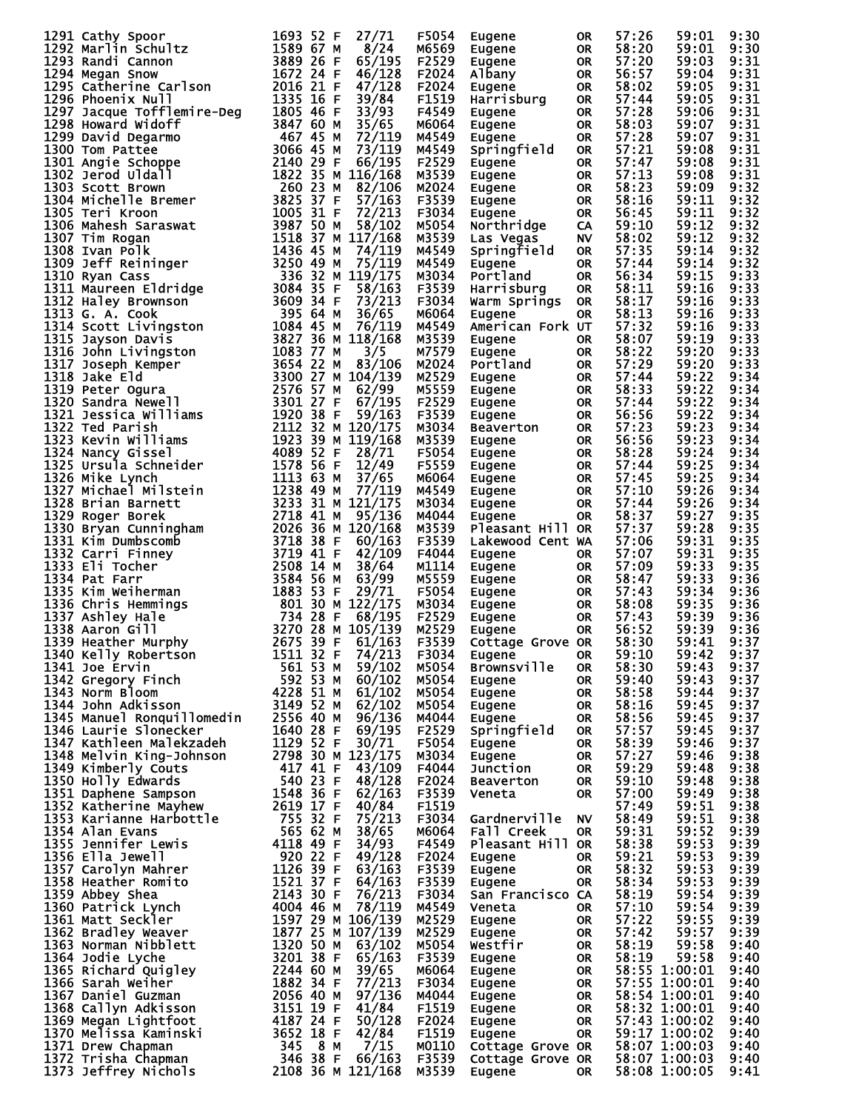|                                                                                                                                                                                                                                                    |                               | 27/71<br>F5054           | Eugene                                         | 0R        | 57:26 | 59:01                          | 9:30         |
|----------------------------------------------------------------------------------------------------------------------------------------------------------------------------------------------------------------------------------------------------|-------------------------------|--------------------------|------------------------------------------------|-----------|-------|--------------------------------|--------------|
|                                                                                                                                                                                                                                                    |                               | 8/24<br>м6569            | Eugene                                         | OR        | 58:20 | 59:01                          | 9:30         |
| 1291 Cathy Spoor<br>1292 Marlin Schultz<br>1293 Randi Cannon<br>1293 Randi Cannon<br>1294 Megan Snow<br>1672 24 F<br>1295 Catherine Carlson<br>1672 24 F<br>1296 Phoenix Null<br>1335 16 F                                                         |                               | 65/195<br>F2529          | Eugene                                         | <b>OR</b> | 57:20 | 59:03                          | 9:31         |
|                                                                                                                                                                                                                                                    |                               | 46/128<br>F2024          | Albany                                         | <b>OR</b> | 56:57 | 59:04                          | 9:31         |
|                                                                                                                                                                                                                                                    |                               |                          |                                                |           |       |                                |              |
|                                                                                                                                                                                                                                                    |                               | 47/128<br>F2024          | Eugene                                         | <b>OR</b> | 58:02 | 59:05                          | 9:31         |
|                                                                                                                                                                                                                                                    |                               | 39/84<br>F1519           | Harrisburg                                     | <b>OR</b> | 57:44 | 59:05                          | 9:31         |
|                                                                                                                                                                                                                                                    |                               | F4549                    | Eugene                                         | <b>OR</b> | 57:28 | 59:06                          | 9:31         |
|                                                                                                                                                                                                                                                    |                               | M6064                    | Eugene                                         | <b>OR</b> | 58:03 | 59:07                          | 9:31         |
|                                                                                                                                                                                                                                                    |                               |                          |                                                |           |       |                                |              |
|                                                                                                                                                                                                                                                    |                               | M4549                    | Eugene                                         | <b>OR</b> | 57:28 | 59:07                          | 9:31         |
|                                                                                                                                                                                                                                                    |                               | M4549                    | Springfield                                    | <b>OR</b> | 57:21 | 59:08                          | 9:31         |
|                                                                                                                                                                                                                                                    |                               | F2529                    | Eugene                                         | <b>OR</b> | 57:47 | 59:08                          | 9:31         |
|                                                                                                                                                                                                                                                    |                               | M3539                    | Eugene                                         | OR        | 57:13 | 59:08                          | 9:31         |
|                                                                                                                                                                                                                                                    |                               | M2024                    | Eugene<br>Eugene                               | <b>OR</b> | 58:23 | 59:09                          | 9:32         |
|                                                                                                                                                                                                                                                    |                               |                          |                                                |           |       |                                |              |
|                                                                                                                                                                                                                                                    |                               | F3539                    |                                                | OR        | 58:16 | 59:11                          | 9:32         |
|                                                                                                                                                                                                                                                    |                               | F3034                    | Eugene                                         | OR        | 56:45 | 59:11                          | 9:32         |
|                                                                                                                                                                                                                                                    |                               | M5054                    | Northridge                                     | CA        | 59:10 | 59:12                          | 9:32         |
|                                                                                                                                                                                                                                                    |                               | M3539                    |                                                | <b>NV</b> | 58:02 | 59:12                          | 9:32         |
|                                                                                                                                                                                                                                                    |                               |                          | Las Vegas                                      |           |       |                                |              |
|                                                                                                                                                                                                                                                    |                               | M4549                    | Springfield                                    | <b>OR</b> | 57:35 | 59:14                          | 9:32         |
|                                                                                                                                                                                                                                                    |                               | M4549                    | Eugene                                         | <b>OR</b> | 57:44 | 59:14                          | 9:32         |
|                                                                                                                                                                                                                                                    |                               | M3034                    | Portland                                       | <b>OR</b> | 56:34 | 59:15                          | 9:33         |
|                                                                                                                                                                                                                                                    |                               | F3539                    | Harrisburg                                     | <b>OR</b> | 58:11 | 59:16                          | 9:33         |
|                                                                                                                                                                                                                                                    |                               |                          |                                                |           |       |                                |              |
|                                                                                                                                                                                                                                                    |                               | F3034                    | Warm Springs OR                                |           | 58:17 | 59:16                          | 9:33         |
|                                                                                                                                                                                                                                                    |                               | M6064                    | Eugene                                         | <b>OR</b> | 58:13 | 59:16                          | 9:33         |
|                                                                                                                                                                                                                                                    |                               | M4549                    | American Fork UT                               |           | 57:32 | 59:16                          | 9:33         |
|                                                                                                                                                                                                                                                    |                               | M3539                    | Eugene                                         | <b>OR</b> | 58:07 | 59:19                          | 9:33         |
|                                                                                                                                                                                                                                                    |                               | M7579                    | Eugene                                         | <b>OR</b> | 58:22 | 59:20                          | 9:33         |
|                                                                                                                                                                                                                                                    |                               |                          |                                                |           |       |                                |              |
|                                                                                                                                                                                                                                                    |                               | M2024                    | Portland                                       | <b>OR</b> | 57:29 | 59:20                          | 9:33         |
|                                                                                                                                                                                                                                                    |                               | M2529                    | Eugene                                         | <b>OR</b> | 57:44 | 59:22                          | 9:34         |
|                                                                                                                                                                                                                                                    |                               | M5559                    | Eugene                                         | <b>OR</b> | 58:33 | 59:22                          | 9:34         |
|                                                                                                                                                                                                                                                    |                               | F2529                    | Eugene                                         | <b>OR</b> | 57:44 | 59:22                          | 9:34         |
|                                                                                                                                                                                                                                                    |                               |                          |                                                |           |       |                                |              |
|                                                                                                                                                                                                                                                    |                               | F3539                    | Eugene                                         | <b>OR</b> | 56:56 | 59:22                          | 9:34         |
|                                                                                                                                                                                                                                                    |                               | M3034                    | Beaverton                                      | <b>OR</b> | 57:23 | 59:23                          | 9:34         |
|                                                                                                                                                                                                                                                    |                               | M3539                    | Eugene                                         | <b>OR</b> | 56:56 | 59:23                          | 9:34         |
|                                                                                                                                                                                                                                                    |                               | F5054                    | Eugene                                         | OR        | 58:28 | 59:24                          | 9:34         |
|                                                                                                                                                                                                                                                    |                               |                          |                                                |           |       |                                |              |
|                                                                                                                                                                                                                                                    |                               | F5559                    | Eugene                                         | <b>OR</b> | 57:44 | 59:25                          | 9:34         |
|                                                                                                                                                                                                                                                    |                               | M6064                    | Eugene                                         | OR        | 57:45 | 59:25                          | 9:34         |
|                                                                                                                                                                                                                                                    |                               | M4549                    | Eugene                                         | OR        | 57:10 | 59:26                          | 9:34         |
|                                                                                                                                                                                                                                                    |                               | M3034                    | Eugene                                         | <b>OR</b> | 57:44 | 59:26                          | 9:34         |
|                                                                                                                                                                                                                                                    |                               | M4044                    | Eugene                                         | OR        | 58:37 | 59:27                          | 9:35         |
|                                                                                                                                                                                                                                                    |                               |                          |                                                |           |       |                                |              |
|                                                                                                                                                                                                                                                    |                               | M3539                    | Pleasant Hill OR                               |           | 57:37 | 59:28                          | 9:35         |
|                                                                                                                                                                                                                                                    |                               | F3539                    | Lakewood Cent WA                               |           | 57:06 | 59:31                          | 9:35         |
|                                                                                                                                                                                                                                                    |                               | F4044                    | Eugene                                         | OR.       | 57:07 | 59:31                          | 9:35         |
|                                                                                                                                                                                                                                                    |                               | M1114                    | Eugene                                         | OR        | 57:09 | 59:33                          | 9:35         |
|                                                                                                                                                                                                                                                    |                               | M5559                    |                                                | OR        | 58:47 | 59:33                          | 9:36         |
|                                                                                                                                                                                                                                                    |                               |                          |                                                |           |       |                                |              |
| 1294 Megan snow<br>1295 Catherine Carlson<br>1295 Catherine Carlson<br>1295 Catherine Carlson<br>1206 Phoenix Null<br>1297 Jacque Tofflemire-Deg<br>1305 46 F 33/94<br>1298 Howard widofflemine-Deg<br>1306 645 M 73/119<br>1299 David Degarmo<br> |                               | F5054                    | –uyene<br>Eugene<br>Eugene<br>™ugene<br>⊔ugene | <b>OR</b> | 57:43 | 59:34                          | 9:36         |
|                                                                                                                                                                                                                                                    |                               | M3034                    |                                                | <b>OR</b> | 58:08 | 59:35                          | 9:36         |
|                                                                                                                                                                                                                                                    |                               | F2529                    |                                                | <b>OR</b> | 57:43 | 59:39                          | 9:36         |
|                                                                                                                                                                                                                                                    |                               | M2529                    |                                                | <b>OR</b> | 56:52 | 59:39                          | 9:36         |
|                                                                                                                                                                                                                                                    |                               | F3539                    | Cottage Grove OR                               |           | 58:30 | 59:41                          | 9:37         |
|                                                                                                                                                                                                                                                    |                               | 74/213                   |                                                |           |       | 59:42 9:37                     |              |
| 1340 Kelly Robertson 1511 32 F                                                                                                                                                                                                                     |                               | F3034                    | <b>Eugene</b>                                  | OR        | 59:10 |                                |              |
| 1341 Joe Ervin                                                                                                                                                                                                                                     | 561 53 M                      | 59/102<br>M5054          | <b>Brownsville</b>                             | 0R        | 58:30 | 59:43                          | 9:37         |
| 1342 Gregory Finch                                                                                                                                                                                                                                 | 592 53 M                      | M5054<br>60/102          | Eugene                                         | <b>OR</b> | 59:40 | 59:43                          | 9:37         |
| 1343 Norm Bloom                                                                                                                                                                                                                                    | 4228 51 M                     | 61/102<br>M5054          | Eugene                                         | <b>OR</b> | 58:58 | 59:44                          | 9:37         |
| 1344 John Adkisson                                                                                                                                                                                                                                 | 3149 52 M                     | 62/102<br>M5054          | Eugene                                         | <b>OR</b> | 58:16 | 59:45                          | 9:37         |
| 1345 Manuel Ronquillomedin                                                                                                                                                                                                                         | 2556 40 M                     | 96/136<br>M4044          | Eugene                                         | <b>OR</b> | 58:56 | 59:45                          | 9:37         |
|                                                                                                                                                                                                                                                    |                               |                          |                                                |           |       |                                |              |
| 1346 Laurie Slonecker                                                                                                                                                                                                                              | 1640 28 F                     | 69/195<br>F2529          | Springfield                                    | OR.       | 57:57 | 59:45                          | 9:37         |
| 1347 Kathleen Malekzadeh                                                                                                                                                                                                                           | 1129 52 F                     | 30/71<br>F5054           | Eugene                                         | <b>OR</b> | 58:39 | 59:46                          | 9:37         |
| 1348 Melvin King-Johnson                                                                                                                                                                                                                           | 2798 30 M 123/175             | M3034                    | Eugene                                         | <b>OR</b> | 57:27 | 59:46                          | 9:38         |
| 1349 Kimberly Couts                                                                                                                                                                                                                                | 417 41 F                      | 43/109<br>F4044          | Junction                                       | <b>OR</b> | 59:29 | 59:48                          | 9:38         |
| 1350 Holly Edwards                                                                                                                                                                                                                                 | 540 23 F                      | 48/128<br>F2024          | <b>Beaverton</b>                               | <b>OR</b> | 59:10 | 59:48                          | 9:38         |
|                                                                                                                                                                                                                                                    |                               |                          |                                                |           |       |                                |              |
| 1351 Daphene Sampson                                                                                                                                                                                                                               | 1548 36 F                     | 62/163<br>F3539          | Veneta                                         | <b>OR</b> | 57:00 | 59:49                          | 9:38         |
| 1352 Katherine Mayhew                                                                                                                                                                                                                              | 2619 17 F                     | 40/84<br>F1519           |                                                |           | 57:49 | 59:51                          | 9:38         |
| 1353 Karianne Harbottle                                                                                                                                                                                                                            | 755 32 F                      | 75/213<br>F3034          | Gardnerville                                   | <b>NV</b> | 58:49 | 59:51                          | 9:38         |
| 1354 Alan Evans                                                                                                                                                                                                                                    | 565 62 M                      | 38/65<br>м6064           | Fall Creek                                     | <b>OR</b> | 59:31 | 59:52                          | 9:39         |
| 1355 Jennifer Lewis                                                                                                                                                                                                                                | 4118 49 F                     | 34/93<br>F4549           | Pleasant Hill OR                               |           | 58:38 | 59:53                          | 9:39         |
| 1356 Ella Jewell                                                                                                                                                                                                                                   | 920 22 F                      | 49/128<br>F2024          |                                                |           | 59:21 | 59:53                          | 9:39         |
|                                                                                                                                                                                                                                                    |                               |                          | Eugene                                         | OR.       |       |                                |              |
| 1357 Carolyn Mahrer                                                                                                                                                                                                                                | 1126 39 F                     | 63/163<br>F3539          | Eugene                                         | <b>OR</b> | 58:32 | 59:53                          | 9:39         |
| 1358 Heather Romito                                                                                                                                                                                                                                | 1521 37 F                     | F3539<br>64/163          | Eugene                                         | <b>OR</b> | 58:34 | 59:53                          | 9:39         |
| 1359 Abbey Shea                                                                                                                                                                                                                                    | 2143 30 F                     | 76/213<br>F3034          | San Francisco CA                               |           | 58:19 | 59:54                          | 9:39         |
| 1360 Patrick Lynch                                                                                                                                                                                                                                 | 4004 46 M                     | 78/119<br>M4549          | Veneta                                         | OR.       | 57:10 | 59:54                          | 9:39         |
|                                                                                                                                                                                                                                                    |                               | M2529                    |                                                | <b>OR</b> | 57:22 | 59:55                          |              |
| 1361 Matt Seckler                                                                                                                                                                                                                                  | 1597 29 M 106/139             |                          | Eugene                                         |           |       |                                | 9:39         |
| 1362 Bradley Weaver                                                                                                                                                                                                                                | 1877 25 M 107/139             | M2529                    | Eugene                                         | <b>OR</b> | 57:42 | 59:57                          | 9:39         |
| 1363 Norman Nibblett                                                                                                                                                                                                                               | 1320 50 M                     | 63/102<br>M5054          | Westfir                                        | <b>OR</b> | 58:19 | 59:58                          | 9:40         |
| 1364 Jodie Lyche                                                                                                                                                                                                                                   | 3201 38 F                     | 65/163<br>F3539          | Eugene                                         | <b>OR</b> | 58:19 | 59:58                          | 9:40         |
| 1365 Richard Quigley                                                                                                                                                                                                                               | 2244 60 M                     | 39/65<br>M6064           | Eugene                                         | OR        |       | 58:55 1:00:01                  | 9:40         |
| 1366 Sarah Weiher                                                                                                                                                                                                                                  | 1882 34 F                     | 77/213<br>F3034          | Eugene                                         | OR        |       | 57:55 1:00:01                  | 9:40         |
|                                                                                                                                                                                                                                                    |                               |                          |                                                |           |       |                                |              |
| 1367 Daniel Guzman                                                                                                                                                                                                                                 | 2056 40 M                     | 97/136<br>M4044          | Eugene                                         | OR        |       | 58:54 1:00:01                  | 9:40         |
|                                                                                                                                                                                                                                                    | 3151 19 F                     | 41/84<br>F1519           | Eugene                                         | OR        |       | 58:32 1:00:01                  | 9:40         |
| 1368 Callyn Adkisson                                                                                                                                                                                                                               |                               |                          | Eugene                                         | <b>OR</b> |       |                                |              |
|                                                                                                                                                                                                                                                    |                               | 50/128<br>F2024          |                                                |           |       |                                | 9:40         |
| 1369 Megan Lightfoot                                                                                                                                                                                                                               | 4187 24 F                     |                          |                                                | OR.       |       | 57:43 1:00:02                  |              |
| 1370 Melissa Kaminski                                                                                                                                                                                                                              | 3652 18 F                     | 42/84<br>F1519           | Eugene                                         |           |       | 59:17 1:00:02                  | 9:40         |
| 1371 Drew Chapman                                                                                                                                                                                                                                  | 345<br>8 M                    | 7/15<br>M0110            | Cottage Grove OR                               |           |       | 58:07 1:00:03                  | 9:40         |
| 1372 Trisha Chapman<br>1373 Jeffrey Nichols                                                                                                                                                                                                        | 346 38 F<br>2108 36 M 121/168 | 66/163<br>F3539<br>M3539 | Cottage Grove OR<br><b>Eugene</b>              | OR        |       | 58:07 1:00:03<br>58:08 1:00:05 | 9:40<br>9:41 |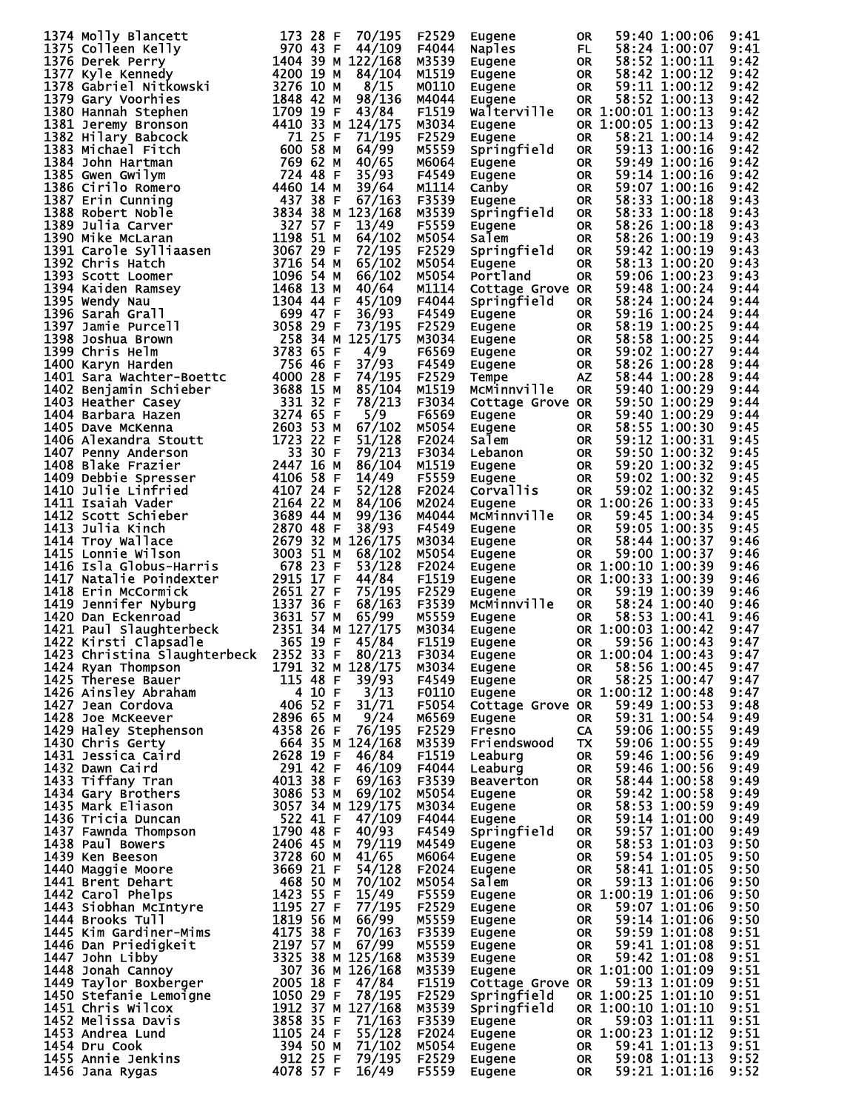| 173 28 F 70/195<br>1375 Colleen Kelly<br>1376 Derek Perry<br>1377 Kyle Kennedy<br>1377 Kyle Kennedy<br>1378 Gabriel Nitkowski<br>1378 Gabriel Nitkowski<br>1379 Gary Voorhies<br>1380 Hannah Stephen<br>1381 Lerewis Lephen                       |              | F2529 | Eugene                                                                                                                  | 0R                     |                    | 59:40 1:00:06                                   | 9:41         |
|---------------------------------------------------------------------------------------------------------------------------------------------------------------------------------------------------------------------------------------------------|--------------|-------|-------------------------------------------------------------------------------------------------------------------------|------------------------|--------------------|-------------------------------------------------|--------------|
|                                                                                                                                                                                                                                                   |              | F4044 | Naples                                                                                                                  | FL.                    |                    | 58:24 1:00:07                                   | 9:41         |
|                                                                                                                                                                                                                                                   |              | M3539 | Eugene                                                                                                                  | OR                     |                    | 58:52 1:00:11                                   | 9:42         |
|                                                                                                                                                                                                                                                   |              | M1519 | Eugene                                                                                                                  | OR.                    |                    | 58:42 1:00:12                                   | 9:42         |
|                                                                                                                                                                                                                                                   |              |       |                                                                                                                         |                        |                    |                                                 |              |
|                                                                                                                                                                                                                                                   |              | M0110 | Eugene                                                                                                                  | OR                     |                    | 59:11 1:00:12                                   | 9:42         |
|                                                                                                                                                                                                                                                   |              | M4044 | Eugene                                                                                                                  | OR.                    |                    | 58:52 1:00:13                                   | 9:42         |
|                                                                                                                                                                                                                                                   |              | F1519 | Walterville                                                                                                             |                        | OR 1:00:01 1:00:13 |                                                 | 9:42         |
|                                                                                                                                                                                                                                                   |              | M3034 | Eugene                                                                                                                  |                        | OR 1:00:05 1:00:13 |                                                 | 9:42         |
|                                                                                                                                                                                                                                                   |              | F2529 | Eugene                                                                                                                  | <b>OR</b>              |                    | 58:21 1:00:14                                   | 9:42         |
|                                                                                                                                                                                                                                                   |              |       |                                                                                                                         |                        |                    |                                                 |              |
|                                                                                                                                                                                                                                                   |              | M5559 | Springfield                                                                                                             | OR.                    |                    | 59:13 1:00:16                                   | 9:42         |
|                                                                                                                                                                                                                                                   |              | M6064 | Eugene                                                                                                                  | <b>OR</b>              |                    | 59:49 1:00:16                                   | 9:42         |
|                                                                                                                                                                                                                                                   |              | F4549 | Eugene                                                                                                                  | OR.                    |                    | 59:14 1:00:16                                   | 9:42         |
|                                                                                                                                                                                                                                                   |              | M1114 | Canby                                                                                                                   | <b>OR</b>              |                    | 59:07 1:00:16                                   | 9:42         |
|                                                                                                                                                                                                                                                   |              |       |                                                                                                                         |                        |                    | 58:33 1:00:18                                   |              |
|                                                                                                                                                                                                                                                   |              | F3539 | Eugene                                                                                                                  | OR.                    |                    |                                                 | 9:43         |
|                                                                                                                                                                                                                                                   |              | M3539 | Springfield                                                                                                             | <b>OR</b>              |                    | 58:33 1:00:18                                   | 9:43         |
|                                                                                                                                                                                                                                                   |              | F5559 | Eugene                                                                                                                  | OR.                    |                    | 58:26 1:00:18                                   | 9:43         |
|                                                                                                                                                                                                                                                   |              | M5054 | Salem                                                                                                                   | <b>OR</b>              |                    | 58:26 1:00:19                                   | 9:43         |
|                                                                                                                                                                                                                                                   |              | F2529 | Springfield                                                                                                             | 0R                     |                    | 59:42 1:00:19                                   | 9:43         |
|                                                                                                                                                                                                                                                   |              | M5054 | Eugene                                                                                                                  | <b>OR</b>              |                    | 58:13 1:00:20                                   | 9:43         |
|                                                                                                                                                                                                                                                   |              |       |                                                                                                                         |                        |                    |                                                 |              |
|                                                                                                                                                                                                                                                   |              | M5054 | Portland                                                                                                                | <b>OR</b>              |                    | 59:06 1:00:23                                   | 9:43         |
|                                                                                                                                                                                                                                                   |              | M1114 | Cottage Grove OR                                                                                                        |                        |                    | 59:48 1:00:24                                   | 9:44         |
|                                                                                                                                                                                                                                                   | 45/109       | F4044 | Springfield                                                                                                             | <b>OR</b>              |                    | 58:24 1:00:24                                   | 9:44         |
|                                                                                                                                                                                                                                                   |              | F4549 | Eugene                                                                                                                  | OR.                    |                    | 59:16 1:00:24                                   | 9:44         |
|                                                                                                                                                                                                                                                   |              | F2529 | Eugene                                                                                                                  | OR                     |                    | 58:19 1:00:25                                   | 9:44         |
|                                                                                                                                                                                                                                                   |              | M3034 |                                                                                                                         |                        |                    | 58:58 1:00:25                                   | 9:44         |
|                                                                                                                                                                                                                                                   |              |       | Eugene                                                                                                                  | OR                     |                    |                                                 |              |
|                                                                                                                                                                                                                                                   |              | F6569 | Eugene                                                                                                                  | OR                     |                    | 59:02 1:00:27                                   | 9:44         |
|                                                                                                                                                                                                                                                   |              | F4549 | Eugene                                                                                                                  | OR.                    |                    | 58:26 1:00:28                                   | 9:44         |
|                                                                                                                                                                                                                                                   |              | F2529 | Tempe                                                                                                                   | AZ.                    |                    | 58:44 1:00:28                                   | 9:44         |
|                                                                                                                                                                                                                                                   |              | M1519 | MCMinnville                                                                                                             | <b>OR</b>              |                    | 59:40 1:00:29                                   | 9:44         |
|                                                                                                                                                                                                                                                   |              | F3034 | Cottage Grove OR                                                                                                        |                        |                    | 59:50 1:00:29                                   | 9:44         |
|                                                                                                                                                                                                                                                   |              |       |                                                                                                                         |                        |                    |                                                 |              |
|                                                                                                                                                                                                                                                   |              | F6569 | Eugene                                                                                                                  | OR.                    |                    | 59:40 1:00:29                                   | 9:44         |
|                                                                                                                                                                                                                                                   |              | M5054 | Eugene                                                                                                                  | <b>OR</b>              |                    | 58:55 1:00:30                                   | 9:45         |
|                                                                                                                                                                                                                                                   |              | F2024 | Salem                                                                                                                   | OR                     |                    | 59:12 1:00:31                                   | 9:45         |
|                                                                                                                                                                                                                                                   |              | F3034 | Lebanon                                                                                                                 | OR                     |                    | 59:50 1:00:32                                   | 9:45         |
|                                                                                                                                                                                                                                                   |              | M1519 | Eugene                                                                                                                  | OR                     |                    | 59:20 1:00:32                                   | 9:45         |
|                                                                                                                                                                                                                                                   |              |       |                                                                                                                         |                        |                    |                                                 |              |
|                                                                                                                                                                                                                                                   |              | F5559 | Eugene                                                                                                                  | OR.                    |                    | 59:02 1:00:32                                   | 9:45         |
|                                                                                                                                                                                                                                                   |              | F2024 | Corvallis                                                                                                               | <b>OR</b>              |                    | 59:02 1:00:32                                   | 9:45         |
|                                                                                                                                                                                                                                                   |              | M2024 | Eugene                                                                                                                  |                        | OR 1:00:26 1:00:33 |                                                 | 9:45         |
|                                                                                                                                                                                                                                                   |              | M4044 | McMinnville                                                                                                             | <b>OR</b>              |                    | 59:45 1:00:34                                   | 9:45         |
|                                                                                                                                                                                                                                                   |              | F4549 | Eugene                                                                                                                  | OR.                    |                    | 59:05 1:00:35                                   | 9:45         |
|                                                                                                                                                                                                                                                   |              | M3034 |                                                                                                                         |                        |                    | 58:44 1:00:37                                   | 9:46         |
|                                                                                                                                                                                                                                                   |              |       | Eugene                                                                                                                  | OR                     |                    |                                                 |              |
|                                                                                                                                                                                                                                                   |              | M5054 | Eugene<br>Eugene<br>Eugene                                                                                              | OR.                    |                    | 59:00 1:00:37                                   | 9:46         |
|                                                                                                                                                                                                                                                   |              | F2024 |                                                                                                                         |                        |                    | OR 1:00:10 1:00:39                              | 9:46         |
|                                                                                                                                                                                                                                                   |              | F1519 |                                                                                                                         |                        |                    | OR 1:00:33 1:00:39                              | 9:46         |
| 1377 Kyle Kennedy<br>1378 Gabriel Nitkowski<br>1378 Gabriel Nitkowski<br>1378 Gabriel Nitkowski<br>1378 Gabriel Nitkowski<br>1378 Gabriel Nitkowski<br>1388 Henemy Bronson<br>1709 19 F 43/84<br>1381 Jeremy Bronson<br>1709 19 F 43/84<br>1383 M |              | F2529 | <b>Eugene</b>                                                                                                           | OR.                    |                    | 59:19 1:00:39                                   | 9:46         |
|                                                                                                                                                                                                                                                   |              | F3539 | McMinnville                                                                                                             | OR.                    |                    | 58:24 1:00:40                                   | 9:46         |
|                                                                                                                                                                                                                                                   |              | M5559 |                                                                                                                         |                        |                    | 58:53 1:00:41                                   | 9:46         |
|                                                                                                                                                                                                                                                   |              |       | Eugene                                                                                                                  | OR.                    |                    |                                                 |              |
|                                                                                                                                                                                                                                                   |              | M3034 | Eugene                                                                                                                  |                        |                    | OR 1:00:03 1:00:42                              | 9:47         |
|                                                                                                                                                                                                                                                   |              | F1519 | Eugene                                                                                                                  | 0R                     |                    | 59:56 1:00:43                                   | 9:47         |
| 1423 Christina Slaughterbeck 2352 33 F 80/213                                                                                                                                                                                                     |              | F3034 |                                                                                                                         |                        |                    | OR 1:00:04 1:00:43                              | 9:47         |
|                                                                                                                                                                                                                                                   |              | M3034 |                                                                                                                         | OR                     |                    | 58:56 1:00:45                                   | 9:47         |
|                                                                                                                                                                                                                                                   |              | F4549 | Eugene<br>Eugene<br>Eugene                                                                                              | <b>OR</b>              |                    | 58:25 1:00:47                                   | 9:47         |
|                                                                                                                                                                                                                                                   |              | F0110 |                                                                                                                         |                        |                    | OR 1:00:12 1:00:48                              | 9:47         |
|                                                                                                                                                                                                                                                   |              |       | Eugene                                                                                                                  |                        |                    |                                                 |              |
|                                                                                                                                                                                                                                                   |              | F5054 | Cottage Grove OR 59:49 1:00:53                                                                                          |                        |                    |                                                 | 9:48         |
|                                                                                                                                                                                                                                                   |              | M6569 | Eugene                                                                                                                  | <b>OR</b>              |                    | 59:31 1:00:54                                   | 9:49         |
|                                                                                                                                                                                                                                                   |              | F2529 | Fresno                                                                                                                  |                        |                    | CA 59:06 1:00:55                                | 9:49         |
|                                                                                                                                                                                                                                                   |              | M3539 | Friendswood TX 59:06 1:00:55<br>Leaburg 0R 59:46 1:00:56                                                                |                        |                    |                                                 | 9:49         |
|                                                                                                                                                                                                                                                   |              | F1519 |                                                                                                                         |                        |                    |                                                 | 9:49         |
|                                                                                                                                                                                                                                                   |              | F4044 |                                                                                                                         |                        |                    |                                                 | 9:49         |
|                                                                                                                                                                                                                                                   |              | F3539 |                                                                                                                         |                        |                    |                                                 |              |
|                                                                                                                                                                                                                                                   |              |       |                                                                                                                         |                        |                    |                                                 | 9:49         |
|                                                                                                                                                                                                                                                   |              |       |                                                                                                                         |                        |                    |                                                 |              |
|                                                                                                                                                                                                                                                   |              | M5054 |                                                                                                                         |                        |                    |                                                 | 9:49         |
|                                                                                                                                                                                                                                                   |              | M3034 |                                                                                                                         |                        |                    | 58:53 1:00:59                                   | 9:49         |
|                                                                                                                                                                                                                                                   |              |       |                                                                                                                         |                        |                    |                                                 |              |
|                                                                                                                                                                                                                                                   |              | F4044 |                                                                                                                         |                        |                    |                                                 | 9:49         |
|                                                                                                                                                                                                                                                   |              | F4549 | Eugene OR 59:42 1:00:58<br>Eugene OR 58:53 1:00:59<br>Eugene OR 58:53 1:00:59<br>Springfield OR 59:57 1:01:00           |                        |                    |                                                 | 9:49         |
|                                                                                                                                                                                                                                                   |              | M4549 | Eugene                                                                                                                  |                        |                    |                                                 | 9:50         |
|                                                                                                                                                                                                                                                   |              | M6064 | Eugene                                                                                                                  |                        |                    | OR 58:53 1:01:03<br>OR 59:54 1:01:05            | 9:50         |
|                                                                                                                                                                                                                                                   |              | F2024 |                                                                                                                         | <b>OR</b>              |                    | 58:41 1:01:05                                   | 9:50         |
|                                                                                                                                                                                                                                                   |              | M5054 |                                                                                                                         | OR<br>OR               |                    | 59:13 1:01:06                                   | 9:50         |
|                                                                                                                                                                                                                                                   |              |       | <sub>⊏</sub> ugene<br>Salem                                                                                             |                        |                    |                                                 |              |
|                                                                                                                                                                                                                                                   |              | F5559 |                                                                                                                         |                        |                    |                                                 | 9:50         |
|                                                                                                                                                                                                                                                   | 77/195       | F2529 |                                                                                                                         |                        |                    |                                                 | 9:50         |
|                                                                                                                                                                                                                                                   |              | M5559 |                                                                                                                         |                        |                    |                                                 | 9:50         |
|                                                                                                                                                                                                                                                   | 70/163       | F3539 | Eugene $\overline{OR}$ 1:00:19 1:01:06<br>Eugene OR 59:07 1:01:06<br>Eugene OR 59:14 1:01:06<br>Eugene OR 59:59 1:01:08 |                        |                    |                                                 | 9:51         |
|                                                                                                                                                                                                                                                   |              | M5559 |                                                                                                                         |                        |                    | 59:41 1:01:08                                   | 9:51         |
|                                                                                                                                                                                                                                                   |              |       | Eugene OR<br>Eugene OR<br>Eugene                                                                                        |                        |                    |                                                 |              |
|                                                                                                                                                                                                                                                   |              | M3539 |                                                                                                                         |                        |                    | 59:42 1:01:08                                   | 9:51         |
|                                                                                                                                                                                                                                                   |              | M3539 | Eugene                                                                                                                  |                        |                    | OR 1:01:00 1:01:09                              | 9:51         |
|                                                                                                                                                                                                                                                   |              | F1519 | Cottage Grove OR                                                                                                        |                        |                    | 59:13 1:01:09                                   | 9:51         |
|                                                                                                                                                                                                                                                   |              | F2529 | Springfield                                                                                                             |                        |                    | OR 1:00:25 1:01:10                              | 9:51         |
|                                                                                                                                                                                                                                                   |              | м3539 | Springfield                                                                                                             |                        |                    | OR 1:00:10 1:01:10                              | 9:51         |
|                                                                                                                                                                                                                                                   |              | F3539 | Eugene                                                                                                                  |                        |                    | 59:03 1:01:11                                   | 9:51         |
|                                                                                                                                                                                                                                                   |              | F2024 | Eugene                                                                                                                  |                        |                    |                                                 |              |
|                                                                                                                                                                                                                                                   |              |       |                                                                                                                         |                        |                    | OR 59:03 1:01:11<br>OR 1: <u>0</u> 0:23 1:01:12 | 9:51         |
|                                                                                                                                                                                                                                                   |              | M5054 | Eugene                                                                                                                  | OR                     |                    | 59:41 1:01:13                                   | 9:51         |
| 1422 Kinsti Clapsadle<br>1423 Christina Slaughterbeck 2352 33 F 48/2413<br>1423 Christina Slaughterbeck 2352 33 F 80/213<br>1424 Ryan Thompson<br>1791 32 M 128/975<br>1425 Therese Bauer<br>1426 Ains ley Abraham<br>1428 Handey Stephenso       | 79/195 F2529 | F5559 | Eugene<br>Eugene                                                                                                        | <b>OR</b><br><b>OR</b> |                    | 59:08 1:01:13<br>59:21 1:01:16                  | 9:52<br>9:52 |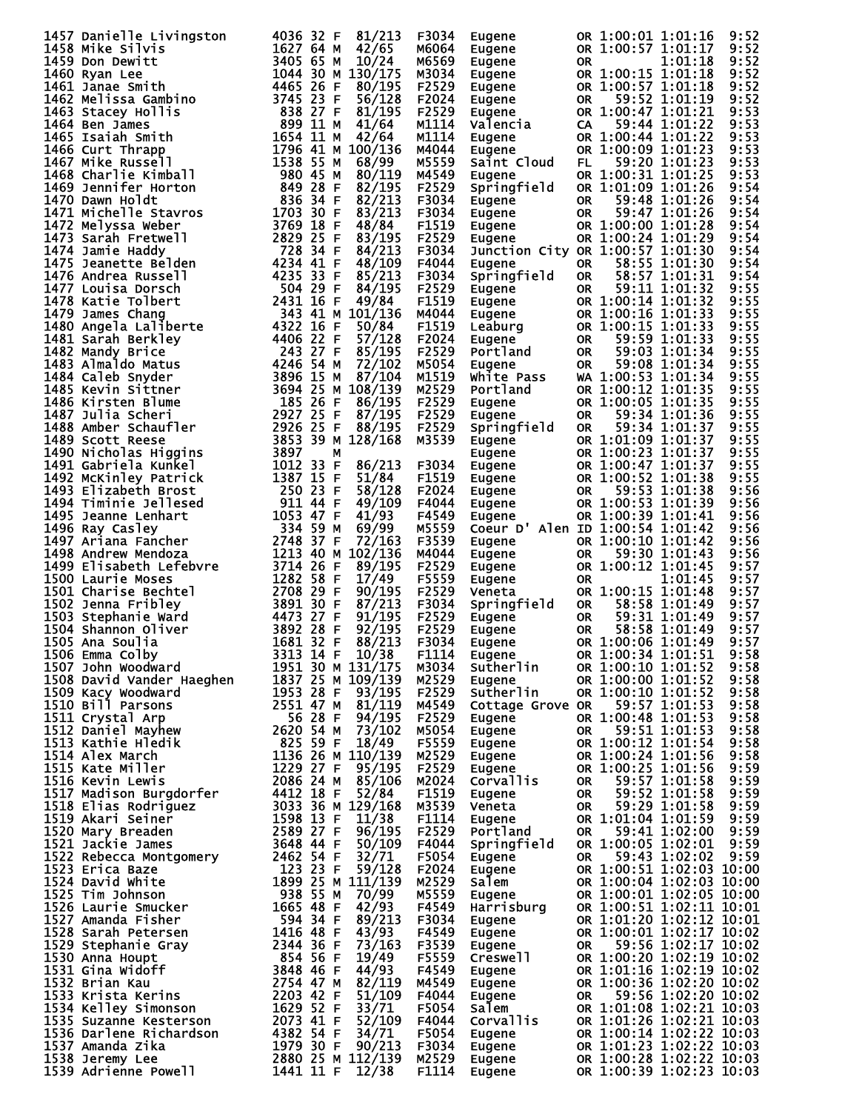|                                                                                                                                                                                                                                                      |                   | F3034 | Eugene                                                                                                                                                    |           |                    | OR 1:00:01 1:01:16       | 9:52 |
|------------------------------------------------------------------------------------------------------------------------------------------------------------------------------------------------------------------------------------------------------|-------------------|-------|-----------------------------------------------------------------------------------------------------------------------------------------------------------|-----------|--------------------|--------------------------|------|
|                                                                                                                                                                                                                                                      |                   | M6064 | Eugene                                                                                                                                                    |           |                    | OR 1:00:57 1:01:17       | 9:52 |
|                                                                                                                                                                                                                                                      |                   | M6569 | Eugene                                                                                                                                                    | OR.       |                    | 1:01:18                  | 9:52 |
|                                                                                                                                                                                                                                                      |                   | M3034 |                                                                                                                                                           |           | OR 1:00:15 1:01:18 |                          | 9:52 |
|                                                                                                                                                                                                                                                      |                   |       | Eugene<br>Eugene<br>Eugene                                                                                                                                |           |                    |                          |      |
|                                                                                                                                                                                                                                                      |                   | F2529 |                                                                                                                                                           |           | OR 1:00:57 1:01:18 |                          | 9:52 |
|                                                                                                                                                                                                                                                      |                   | F2024 |                                                                                                                                                           | OR.       |                    | 59:52 1:01:19            | 9:52 |
|                                                                                                                                                                                                                                                      |                   | F2529 |                                                                                                                                                           |           | OR 1:00:47 1:01:21 |                          | 9:53 |
|                                                                                                                                                                                                                                                      |                   | M1114 | Eugene<br>Valencia<br>Eugene<br>Eugene                                                                                                                    | <b>CA</b> |                    | 59:44 1:01:22            | 9:53 |
|                                                                                                                                                                                                                                                      |                   |       |                                                                                                                                                           |           |                    |                          |      |
|                                                                                                                                                                                                                                                      |                   | M1114 |                                                                                                                                                           |           | OR 1:00:44 1:01:22 |                          | 9:53 |
|                                                                                                                                                                                                                                                      |                   | M4044 | <b>Eugene</b>                                                                                                                                             |           | OR 1:00:09 1:01:23 |                          | 9:53 |
|                                                                                                                                                                                                                                                      |                   | M5559 | Saint Cloud                                                                                                                                               | FL.       |                    | 59:20 1:01:23            | 9:53 |
|                                                                                                                                                                                                                                                      |                   | M4549 |                                                                                                                                                           |           | OR 1:00:31 1:01:25 |                          | 9:53 |
|                                                                                                                                                                                                                                                      |                   |       | Eugene                                                                                                                                                    |           |                    |                          |      |
|                                                                                                                                                                                                                                                      |                   | F2529 | Springfield                                                                                                                                               |           | OR 1:01:09 1:01:26 |                          | 9:54 |
|                                                                                                                                                                                                                                                      |                   | F3034 | Eugene                                                                                                                                                    | <b>OR</b> |                    | 59:48 1:01:26            | 9:54 |
|                                                                                                                                                                                                                                                      |                   | F3034 | cugene<br>Eugene<br>Eugene                                                                                                                                | OR.       |                    | 59:47 1:01:26            | 9:54 |
|                                                                                                                                                                                                                                                      |                   | F1519 |                                                                                                                                                           |           | OR 1:00:00 1:01:28 |                          | 9:54 |
|                                                                                                                                                                                                                                                      |                   |       |                                                                                                                                                           |           |                    |                          |      |
|                                                                                                                                                                                                                                                      |                   | F2529 |                                                                                                                                                           |           |                    | OR 1:00:24 1:01:29       | 9:54 |
|                                                                                                                                                                                                                                                      |                   | F3034 | Junction City OR 1:00:57 1:01:30                                                                                                                          |           |                    |                          | 9:54 |
|                                                                                                                                                                                                                                                      |                   | F4044 | Eugene                                                                                                                                                    | OR.       |                    | 58:55 1:01:30            | 9:54 |
|                                                                                                                                                                                                                                                      |                   | F3034 | Springfield                                                                                                                                               | OR        |                    | 58:57 1:01:31            | 9:54 |
|                                                                                                                                                                                                                                                      |                   | F2529 |                                                                                                                                                           | <b>OR</b> |                    | 59:11 1:01:32            |      |
|                                                                                                                                                                                                                                                      |                   |       | Eugene<br>Eugene                                                                                                                                          |           |                    |                          | 9:55 |
|                                                                                                                                                                                                                                                      |                   | F1519 |                                                                                                                                                           |           | OR 1:00:14 1:01:32 |                          | 9:55 |
|                                                                                                                                                                                                                                                      |                   | M4044 | <b>Eugene<br/>Leaburg<br/>Eugene<br/>Portland</b>                                                                                                         |           | OR 1:00:16 1:01:33 |                          | 9:55 |
|                                                                                                                                                                                                                                                      |                   | F1519 |                                                                                                                                                           |           | OR 1:00:15 1:01:33 |                          | 9:55 |
|                                                                                                                                                                                                                                                      |                   | F2024 |                                                                                                                                                           | OR        |                    | 59:59 1:01:33            | 9:55 |
|                                                                                                                                                                                                                                                      |                   |       |                                                                                                                                                           |           |                    |                          |      |
|                                                                                                                                                                                                                                                      |                   | F2529 |                                                                                                                                                           | OR.       |                    | 59:03 1:01:34            | 9:55 |
|                                                                                                                                                                                                                                                      |                   | M5054 | Eugene                                                                                                                                                    | OR        |                    | 59:08 1:01:34            | 9:55 |
|                                                                                                                                                                                                                                                      |                   | M1519 | White Pass                                                                                                                                                |           |                    | WA 1:00:53 1:01:34       | 9:55 |
|                                                                                                                                                                                                                                                      |                   | M2529 | Portland                                                                                                                                                  |           | OR 1:00:12 1:01:35 |                          | 9:55 |
|                                                                                                                                                                                                                                                      |                   |       |                                                                                                                                                           |           | OR 1:00:05 1:01:35 |                          |      |
|                                                                                                                                                                                                                                                      |                   | F2529 |                                                                                                                                                           |           |                    |                          | 9:55 |
|                                                                                                                                                                                                                                                      |                   | F2529 | Eugene<br>Eugene                                                                                                                                          | OR        |                    | 59:34 1:01:36            | 9:55 |
|                                                                                                                                                                                                                                                      |                   | F2529 | Springfield                                                                                                                                               | OR.       |                    | 59:34 1:01:37            | 9:55 |
|                                                                                                                                                                                                                                                      |                   | M3539 | Eugene                                                                                                                                                    |           |                    | OR 1:01:09 1:01:37       | 9:55 |
|                                                                                                                                                                                                                                                      |                   |       |                                                                                                                                                           |           |                    | OR 1:00:23 1:01:37       | 9:55 |
|                                                                                                                                                                                                                                                      |                   |       | Eugene                                                                                                                                                    |           |                    |                          |      |
|                                                                                                                                                                                                                                                      |                   | F3034 |                                                                                                                                                           |           | OR 1:00:47 1:01:37 |                          | 9:55 |
|                                                                                                                                                                                                                                                      |                   | F1519 |                                                                                                                                                           |           | OR 1:00:52 1:01:38 |                          | 9:55 |
|                                                                                                                                                                                                                                                      |                   | F2024 |                                                                                                                                                           | OR        |                    | 59:53 1:01:38            | 9:56 |
|                                                                                                                                                                                                                                                      |                   | F4044 | Eugene<br>Eugene<br>Eugene<br>Eugene                                                                                                                      |           |                    | OR 1:00:53 1:01:39       | 9:56 |
|                                                                                                                                                                                                                                                      |                   |       |                                                                                                                                                           |           |                    |                          |      |
|                                                                                                                                                                                                                                                      |                   | F4549 | <b>Eugene</b>                                                                                                                                             |           | OR 1:00:39 1:01:41 |                          | 9:56 |
|                                                                                                                                                                                                                                                      |                   | M5559 | Coeur D' Alen ID 1:00:54 1:01:42                                                                                                                          |           |                    |                          | 9:56 |
|                                                                                                                                                                                                                                                      |                   | F3539 | Eugene                                                                                                                                                    |           | OR 1:00:10 1:01:42 |                          | 9:56 |
|                                                                                                                                                                                                                                                      |                   | M4044 |                                                                                                                                                           | OR        |                    | 59:30 1:01:43            | 9:56 |
|                                                                                                                                                                                                                                                      |                   | F2529 |                                                                                                                                                           |           | OR 1:00:12 1:01:45 |                          | 9:57 |
|                                                                                                                                                                                                                                                      |                   |       |                                                                                                                                                           |           |                    |                          |      |
|                                                                                                                                                                                                                                                      |                   | F5559 |                                                                                                                                                           | OR.       |                    | 1:01:45                  | 9:57 |
| 1457 panielle Livingston<br>1458 Mike Silvingston<br>1468 Mike Silvingston<br>1468 Mike Silvingston<br>1462 Mike Silvingston<br>1460 Ryan Lee<br>1460 Ryan Lee<br>1460 Ryan Lee<br>1460 Ryan Lee<br>1460 Ryan Lee<br>1460 Star Helm 1616 4465 26     |                   | F2529 | Eugene<br>Eugene<br>Eugene<br>Veneta                                                                                                                      |           | OR 1:00:15 1:01:48 |                          | 9:57 |
|                                                                                                                                                                                                                                                      |                   | F3034 | Springfield                                                                                                                                               | OR        |                    | 58:58 1:01:49            | 9:57 |
|                                                                                                                                                                                                                                                      |                   | F2529 | Eugene OR<br>Eugene OR<br>Eugene OR<br>Eugene C                                                                                                           |           |                    | 59:31 1:01:49            | 9:57 |
|                                                                                                                                                                                                                                                      |                   | F2529 |                                                                                                                                                           |           |                    | 58:58 1:01:49            | 9:57 |
|                                                                                                                                                                                                                                                      |                   | F3034 |                                                                                                                                                           |           | OR 1:00:06 1:01:49 |                          | 9:57 |
|                                                                                                                                                                                                                                                      |                   |       |                                                                                                                                                           |           |                    |                          |      |
| 1506 Emma Colby                                                                                                                                                                                                                                      | 3313 14 F 10/38   | F1114 | Eugene                                                                                                                                                    |           |                    | OR 1:00:34 1:01:51 9:58  |      |
| 1507 John Woodward                                                                                                                                                                                                                                   | 1951 30 M 131/175 |       | Sutherlin                                                                                                                                                 |           |                    | OR 1:00:10 1:01:52       | 9:58 |
|                                                                                                                                                                                                                                                      |                   |       | Eugene                                                                                                                                                    |           |                    | OR 1:00:00 1:01:52 9:58  |      |
|                                                                                                                                                                                                                                                      |                   |       | Sutherlin                                                                                                                                                 |           |                    | OR 1:00:10 1:01:52       | 9:58 |
|                                                                                                                                                                                                                                                      |                   |       | Cottage Grove OR                                                                                                                                          |           |                    | 59:57 1:01:53            | 9:58 |
|                                                                                                                                                                                                                                                      |                   |       |                                                                                                                                                           |           |                    |                          |      |
|                                                                                                                                                                                                                                                      |                   |       | Eugene                                                                                                                                                    |           |                    | OR 1:00:48 1:01:53       | 9:58 |
|                                                                                                                                                                                                                                                      |                   |       | Eugene                                                                                                                                                    | OR DO     |                    | 59:51 1:01:53            | 9:58 |
|                                                                                                                                                                                                                                                      |                   |       |                                                                                                                                                           |           |                    | OR 1:00:12 1:01:54       | 9:58 |
|                                                                                                                                                                                                                                                      |                   |       |                                                                                                                                                           |           |                    | OR 1:00:24 1:01:56       | 9:58 |
|                                                                                                                                                                                                                                                      |                   |       |                                                                                                                                                           |           |                    | OR 1:00:25 1:01:56       | 9:59 |
|                                                                                                                                                                                                                                                      |                   |       | <b>Eugene<br/>Eugene<br/>Eugene<br/>Corvallis</b>                                                                                                         |           |                    |                          |      |
|                                                                                                                                                                                                                                                      |                   |       |                                                                                                                                                           |           |                    | OR 59:57 1:01:58         | 9:59 |
|                                                                                                                                                                                                                                                      |                   |       | Eugene                                                                                                                                                    | <b>OR</b> |                    | 59:52 1:01:58            | 9:59 |
|                                                                                                                                                                                                                                                      |                   |       | Veneta                                                                                                                                                    | <b>OR</b> |                    | 59:29 1:01:58            | 9:59 |
|                                                                                                                                                                                                                                                      |                   |       | Eugene<br>Portland                                                                                                                                        |           |                    | OR 1:01:04 1:01:59       | 9:59 |
|                                                                                                                                                                                                                                                      |                   |       |                                                                                                                                                           |           |                    | OR 59:41 1:02:00 9:59    |      |
|                                                                                                                                                                                                                                                      |                   |       |                                                                                                                                                           |           |                    | OR 1:00:05 1:02:01       | 9:59 |
|                                                                                                                                                                                                                                                      |                   |       | Springfield                                                                                                                                               |           |                    |                          |      |
|                                                                                                                                                                                                                                                      |                   |       | Eugene                                                                                                                                                    | <b>OR</b> |                    | 59:43 1:02:02 9:59       |      |
|                                                                                                                                                                                                                                                      |                   |       | Eugene                                                                                                                                                    |           |                    | OR 1:00:51 1:02:03 10:00 |      |
|                                                                                                                                                                                                                                                      |                   |       | Salem                                                                                                                                                     |           |                    | OR 1:00:04 1:02:03 10:00 |      |
|                                                                                                                                                                                                                                                      |                   |       |                                                                                                                                                           |           |                    |                          |      |
|                                                                                                                                                                                                                                                      |                   |       |                                                                                                                                                           |           |                    |                          |      |
|                                                                                                                                                                                                                                                      |                   |       | Eugene $\overline{OR}$ 1:00:01 1:02:05 10:00<br>Harrisburg OR 1:00:51 1:02:11 10:01<br>Eugene OR 1:01:20 1:02:12 10:01<br>Eugene OR 1:00:01 1:02:17 10:02 |           |                    |                          |      |
|                                                                                                                                                                                                                                                      |                   |       |                                                                                                                                                           |           |                    |                          |      |
|                                                                                                                                                                                                                                                      |                   |       |                                                                                                                                                           |           |                    |                          |      |
|                                                                                                                                                                                                                                                      |                   |       | Eugene                                                                                                                                                    | OR        |                    | 59:56 1:02:17 10:02      |      |
|                                                                                                                                                                                                                                                      |                   |       | <b>Creswell</b>                                                                                                                                           |           |                    | OR 1:00:20 1:02:19 10:02 |      |
|                                                                                                                                                                                                                                                      |                   |       |                                                                                                                                                           |           |                    |                          |      |
|                                                                                                                                                                                                                                                      |                   |       | <b>Eugene</b>                                                                                                                                             |           |                    | OR 1:01:16 1:02:19 10:02 |      |
|                                                                                                                                                                                                                                                      |                   |       | Eugene                                                                                                                                                    |           |                    | OR 1:00:36 1:02:20 10:02 |      |
|                                                                                                                                                                                                                                                      |                   |       | Eugene                                                                                                                                                    | OR        |                    | 59:56 1:02:20 10:02      |      |
|                                                                                                                                                                                                                                                      |                   |       |                                                                                                                                                           |           |                    |                          |      |
|                                                                                                                                                                                                                                                      |                   |       |                                                                                                                                                           |           |                    |                          |      |
|                                                                                                                                                                                                                                                      |                   |       | Salem                                                                                                                                                     |           |                    | OR 1:01:08 1:02:21 10:03 |      |
|                                                                                                                                                                                                                                                      |                   |       | Corvallis                                                                                                                                                 |           |                    | OR 1:01:26 1:02:21 10:03 |      |
|                                                                                                                                                                                                                                                      |                   |       | Eugene                                                                                                                                                    |           |                    | OR 1:00:14 1:02:22 10:03 |      |
|                                                                                                                                                                                                                                                      |                   |       | Eugene                                                                                                                                                    |           |                    | OR 1:01:23 1:02:22 10:03 |      |
|                                                                                                                                                                                                                                                      |                   |       |                                                                                                                                                           |           |                    | OR 1:00:28 1:02:22 10:03 |      |
| 1506 Fmma Colby<br>1506 Fmma Colby<br>1607 168<br>1507 Demma Colby<br>1507 Demma Colby<br>1507 Demma Colby<br>169<br>169 Navy Woodward<br>169 Navy Woodward<br>169 Navy Woodward<br>169 Navy Woodward<br>169 Navy Woodward<br>169 Navy Press 2551 47 |                   |       | Eugene<br>Eugene                                                                                                                                          |           |                    | OR 1:00:39 1:02:23 10:03 |      |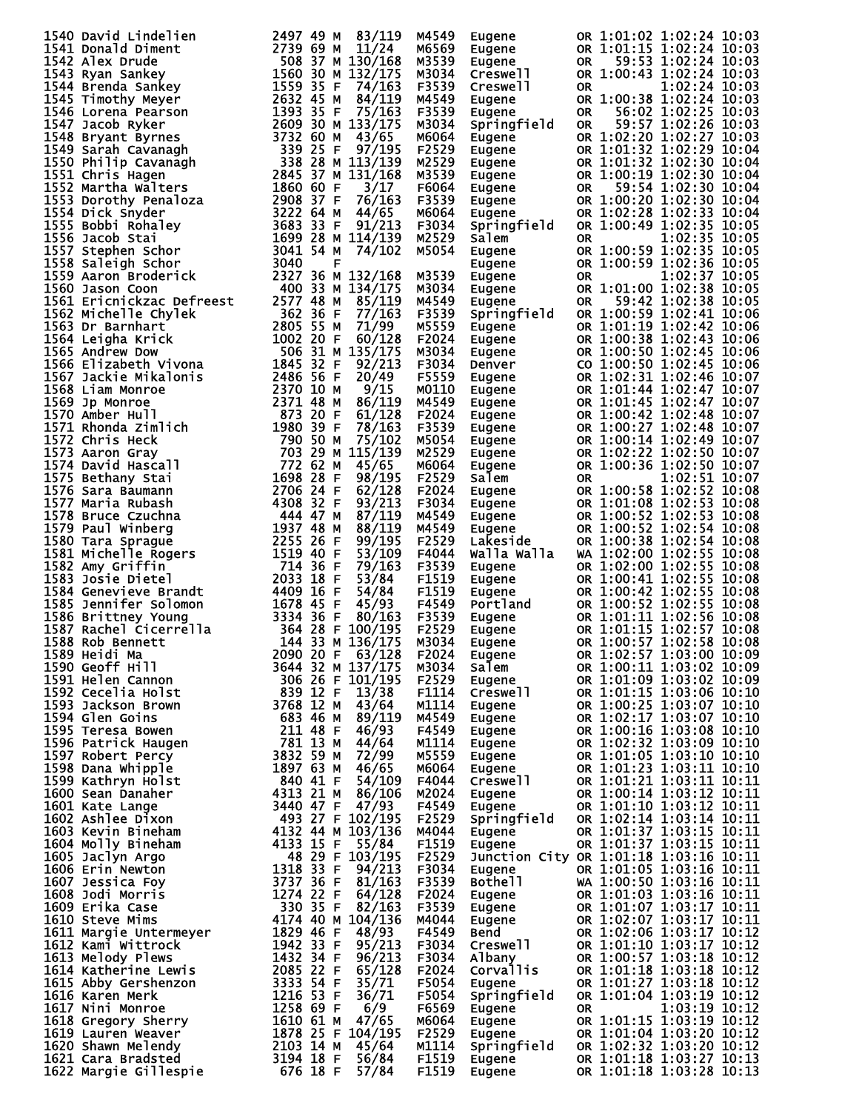| 1540 David Lindelien<br>1541 Donald Diment<br>1541 Donald Diment<br>1724<br>1542 Alex Drude<br>1543 Ryan Sankey<br>1560 30 M 132/168<br>1559 35 F 74/163<br>1559 35 F 74/163<br>1559 35 F 74/163<br>1559 35 F 74/163<br>1547 Jacob Ryker<br>1559 35 F | M4549          | Eugene                                                                                                     |               | OR 1:01:02 1:02:24 10:03                                                                                                                                                                                                                     |
|-------------------------------------------------------------------------------------------------------------------------------------------------------------------------------------------------------------------------------------------------------|----------------|------------------------------------------------------------------------------------------------------------|---------------|----------------------------------------------------------------------------------------------------------------------------------------------------------------------------------------------------------------------------------------------|
|                                                                                                                                                                                                                                                       | M6569          | Eugene                                                                                                     |               | OR 1:01:15 1:02:24 10:03                                                                                                                                                                                                                     |
|                                                                                                                                                                                                                                                       | M3539          | Eugene                                                                                                     |               | 59:53 1:02:24 10:03                                                                                                                                                                                                                          |
|                                                                                                                                                                                                                                                       |                |                                                                                                            | 0R            |                                                                                                                                                                                                                                              |
|                                                                                                                                                                                                                                                       | M3034          | Creswell                                                                                                   |               | OR 1:00:43 1:02:24 10:03                                                                                                                                                                                                                     |
|                                                                                                                                                                                                                                                       | F3539          | Creswell                                                                                                   | 0R            | 1:02:24 10:03                                                                                                                                                                                                                                |
|                                                                                                                                                                                                                                                       | M4549          | Eugene                                                                                                     |               | OR 1:00:38 1:02:24 10:03                                                                                                                                                                                                                     |
|                                                                                                                                                                                                                                                       | F3539          | Eugene                                                                                                     | <b>OR</b>     | 56:02 1:02:25 10:03                                                                                                                                                                                                                          |
|                                                                                                                                                                                                                                                       | M3034          | Springfield                                                                                                | <b>OR</b>     | 59:57 1:02:26 10:03                                                                                                                                                                                                                          |
|                                                                                                                                                                                                                                                       | M6064          | Eugene                                                                                                     |               | OR 1:02:20 1:02:27 10:03                                                                                                                                                                                                                     |
|                                                                                                                                                                                                                                                       | F2529          | Eugene                                                                                                     |               | OR 1:01:32 1:02:29 10:04                                                                                                                                                                                                                     |
|                                                                                                                                                                                                                                                       | M2529          |                                                                                                            |               |                                                                                                                                                                                                                                              |
|                                                                                                                                                                                                                                                       | M3539          |                                                                                                            |               |                                                                                                                                                                                                                                              |
|                                                                                                                                                                                                                                                       | F6064          |                                                                                                            |               | Eugene 6R 1:01:32 1:02:30 10:04<br>Eugene 6R 1:00:19 1:02:30 10:04<br>Eugene 6R 1:00:19 1:02:30 10:04<br>Eugene 6R 1:02:28 1:02:30 10:04<br>Eugene 6R 1:02:28 1:02:33 10:04<br>Eugene 6R 1:02:28 1:02:33 10:04<br>AP 1:00:49 1:02:35 10:05   |
|                                                                                                                                                                                                                                                       | F3539          |                                                                                                            |               |                                                                                                                                                                                                                                              |
|                                                                                                                                                                                                                                                       | M6064          |                                                                                                            |               |                                                                                                                                                                                                                                              |
|                                                                                                                                                                                                                                                       |                |                                                                                                            |               | OR 1:00:49 1:02:35 10:05                                                                                                                                                                                                                     |
|                                                                                                                                                                                                                                                       | F3034          | Springfield                                                                                                |               |                                                                                                                                                                                                                                              |
|                                                                                                                                                                                                                                                       | M2529          | Salem                                                                                                      | 0R            | 1:02:35 10:05                                                                                                                                                                                                                                |
|                                                                                                                                                                                                                                                       | M5054          | Eugene                                                                                                     |               | OR 1:00:59 1:02:35 10:05                                                                                                                                                                                                                     |
|                                                                                                                                                                                                                                                       |                | Eugène<br>Eugène<br>Eugène<br>Eugène                                                                       |               | OR 1:00:59 1:02:36 10:05                                                                                                                                                                                                                     |
|                                                                                                                                                                                                                                                       | M3539          |                                                                                                            | 0R            | 1:02:37 10:05                                                                                                                                                                                                                                |
|                                                                                                                                                                                                                                                       | M3034          |                                                                                                            |               | OR 1:01:00 1:02:38 10:05                                                                                                                                                                                                                     |
|                                                                                                                                                                                                                                                       | M4549          |                                                                                                            | OR.           | 59:42 1:02:38 10:05                                                                                                                                                                                                                          |
|                                                                                                                                                                                                                                                       | F3539          | Springfield                                                                                                |               | OR 1:00:59 1:02:41 10:06                                                                                                                                                                                                                     |
|                                                                                                                                                                                                                                                       | M5559          | Eugene                                                                                                     |               | OR 1:01:19 1:02:42 10:06                                                                                                                                                                                                                     |
|                                                                                                                                                                                                                                                       | F2024          |                                                                                                            |               | OR 1:00:38 1:02:43 10:06                                                                                                                                                                                                                     |
|                                                                                                                                                                                                                                                       | M3034          |                                                                                                            |               | OR 1:00:50 1:02:45 10:06                                                                                                                                                                                                                     |
|                                                                                                                                                                                                                                                       | F3034          |                                                                                                            |               | CO 1:00:50 1:02:45 10:06                                                                                                                                                                                                                     |
|                                                                                                                                                                                                                                                       | F5559          |                                                                                                            |               | OR 1:02:31 1:02:46 10:07                                                                                                                                                                                                                     |
|                                                                                                                                                                                                                                                       | M0110          |                                                                                                            |               | OR 1:01:44 1:02:47 10:07                                                                                                                                                                                                                     |
|                                                                                                                                                                                                                                                       |                |                                                                                                            |               | OR 1:01:45 1:02:47 10:07                                                                                                                                                                                                                     |
|                                                                                                                                                                                                                                                       | M4549          |                                                                                                            |               |                                                                                                                                                                                                                                              |
|                                                                                                                                                                                                                                                       | F2024          |                                                                                                            |               | OR 1:00:42 1:02:48 10:07                                                                                                                                                                                                                     |
|                                                                                                                                                                                                                                                       | F3539          |                                                                                                            |               | OR 1:00:27 1:02:48 10:07                                                                                                                                                                                                                     |
|                                                                                                                                                                                                                                                       | M5054          |                                                                                                            |               | OR 1:00:14 1:02:49 10:07                                                                                                                                                                                                                     |
|                                                                                                                                                                                                                                                       | M2529          |                                                                                                            |               | OR 1:02:22 1:02:50 10:07                                                                                                                                                                                                                     |
|                                                                                                                                                                                                                                                       | M6064          |                                                                                                            |               | OR 1:00:36 1:02:50 10:07                                                                                                                                                                                                                     |
|                                                                                                                                                                                                                                                       | F2529          | Eugene<br>Eugene<br>Eugene<br>Eugene<br>Eugene<br>Eugene<br>Eugene<br>Eugene<br>Salem<br>Salem<br>Salemene | OR.           | 1:02:51 10:07                                                                                                                                                                                                                                |
|                                                                                                                                                                                                                                                       | F2024          | <b>Sureme<br/>Eugene<br/>Eugene<br/>Eugene<br/>Lakeside</b>                                                |               | OR 1:00:58 1:02:52 10:08                                                                                                                                                                                                                     |
|                                                                                                                                                                                                                                                       | F3034          |                                                                                                            |               | OR 1:01:08 1:02:53 10:08                                                                                                                                                                                                                     |
|                                                                                                                                                                                                                                                       | M4549          |                                                                                                            |               | OR 1:00:52 1:02:53 10:08                                                                                                                                                                                                                     |
|                                                                                                                                                                                                                                                       | M4549          |                                                                                                            |               | OR 1:00:52 1:02:54 10:08                                                                                                                                                                                                                     |
|                                                                                                                                                                                                                                                       | F2529          |                                                                                                            |               | OR 1:00:38 1:02:54 10:08                                                                                                                                                                                                                     |
|                                                                                                                                                                                                                                                       | F4044          | walla walla                                                                                                |               | WA 1:02:00 1:02:55 10:08                                                                                                                                                                                                                     |
|                                                                                                                                                                                                                                                       | F3539          | Eugene                                                                                                     |               | OR 1:02:00 1:02:55 10:08                                                                                                                                                                                                                     |
|                                                                                                                                                                                                                                                       | F1519          |                                                                                                            |               | OR 1:00:41 1:02:55 10:08                                                                                                                                                                                                                     |
|                                                                                                                                                                                                                                                       |                |                                                                                                            |               |                                                                                                                                                                                                                                              |
|                                                                                                                                                                                                                                                       | F1519          |                                                                                                            |               | OR 1:00:42 1:02:55 10:08                                                                                                                                                                                                                     |
| 1559 Aaron Broderick 2327 36 M 132/168<br>1569 Jason Coon<br>1660 Ison Coon<br>1660 Ison Coon<br>1660 Ison Coon<br>1662 Michelle chylek 2677 48 M 85/179<br>1563 Dr Barnhart<br>1663 S5 F 77/163<br>1563 Dr Barnhart<br>1602 20 F 60/128<br>1566 E    | F4549          | <b>Eugene<br/>Eugene<br/>Portland<br/>Eugene<br/>Eugene<br/>Eugene</b>                                     |               | OR 1:00:52 1:02:55 10:08                                                                                                                                                                                                                     |
|                                                                                                                                                                                                                                                       | F3539          |                                                                                                            |               | OR 1:01:11 1:02:56 10:08                                                                                                                                                                                                                     |
|                                                                                                                                                                                                                                                       | F2529          |                                                                                                            |               | OR 1:01:15 1:02:57 10:08                                                                                                                                                                                                                     |
|                                                                                                                                                                                                                                                       | M3034          |                                                                                                            |               | OR 1:00:57 1:02:58 10:08                                                                                                                                                                                                                     |
|                                                                                                                                                                                                                                                       | F2024          |                                                                                                            |               | Eugene 0R 1:02:57 1:03:00 10:09<br>Salem 0R 1:00:11 1:03:02 10:09<br>Eugene__ 0R 1:01:09 1:03:02 10:09                                                                                                                                       |
|                                                                                                                                                                                                                                                       | M3034          |                                                                                                            |               |                                                                                                                                                                                                                                              |
|                                                                                                                                                                                                                                                       | F2529          |                                                                                                            |               | OR 1:01:09 1:03:02 10:09                                                                                                                                                                                                                     |
|                                                                                                                                                                                                                                                       | F1114          |                                                                                                            |               |                                                                                                                                                                                                                                              |
|                                                                                                                                                                                                                                                       | M1114          |                                                                                                            |               |                                                                                                                                                                                                                                              |
|                                                                                                                                                                                                                                                       | M4549          |                                                                                                            |               |                                                                                                                                                                                                                                              |
|                                                                                                                                                                                                                                                       | F4549          |                                                                                                            |               |                                                                                                                                                                                                                                              |
|                                                                                                                                                                                                                                                       | M1114          |                                                                                                            |               |                                                                                                                                                                                                                                              |
|                                                                                                                                                                                                                                                       | M5559          |                                                                                                            |               |                                                                                                                                                                                                                                              |
|                                                                                                                                                                                                                                                       | м6064          |                                                                                                            |               |                                                                                                                                                                                                                                              |
|                                                                                                                                                                                                                                                       | F4044          |                                                                                                            |               | Eugene OR 1:01:09 1:03:06 10:10<br>Eugene OR 1:00:25 1:03:06 10:10<br>Eugene OR 1:02:17 1:03:07 10:10<br>Eugene OR 1:02:17 1:03:07 10:10<br>Eugene OR 1:02:32 1:03:08 10:10<br>Eugene OR 1:01:05 1:03:10 10:10<br>Eugene OR 1:01:05 1:03:1   |
|                                                                                                                                                                                                                                                       | M2024          |                                                                                                            |               |                                                                                                                                                                                                                                              |
|                                                                                                                                                                                                                                                       | F4549          |                                                                                                            |               |                                                                                                                                                                                                                                              |
|                                                                                                                                                                                                                                                       | F2529          |                                                                                                            |               | Eugene OR 1:00:14 1:03:12 10:11<br>Eugene OR 1:01:10 1:03:12 10:11<br>Springfield OR 1:02:14 1:03:14 10:11                                                                                                                                   |
|                                                                                                                                                                                                                                                       |                |                                                                                                            |               |                                                                                                                                                                                                                                              |
|                                                                                                                                                                                                                                                       | M4044          | Eugene                                                                                                     |               | OR 1:01:37 1:03:15 10:11                                                                                                                                                                                                                     |
|                                                                                                                                                                                                                                                       | F1519          | Eugene                                                                                                     |               | OR 1:01:37 1:03:15 10:11                                                                                                                                                                                                                     |
|                                                                                                                                                                                                                                                       | F2529          |                                                                                                            |               | Junction City OR 1:01:18 1:03:16 10:11                                                                                                                                                                                                       |
|                                                                                                                                                                                                                                                       | F3034          | Eugene                                                                                                     |               | OR 1:01:05 1:03:16 10:11<br><b>UR 1:00:50 1:03:16 10:11</b><br>WA 1:00:50 1:03:16 10:11                                                                                                                                                      |
|                                                                                                                                                                                                                                                       | F3539          | <b>Bothell</b>                                                                                             |               |                                                                                                                                                                                                                                              |
|                                                                                                                                                                                                                                                       | F2024          |                                                                                                            |               |                                                                                                                                                                                                                                              |
|                                                                                                                                                                                                                                                       | F3539          |                                                                                                            |               |                                                                                                                                                                                                                                              |
|                                                                                                                                                                                                                                                       | M4044          |                                                                                                            |               |                                                                                                                                                                                                                                              |
|                                                                                                                                                                                                                                                       | F4549          |                                                                                                            |               |                                                                                                                                                                                                                                              |
|                                                                                                                                                                                                                                                       | F3034          |                                                                                                            |               |                                                                                                                                                                                                                                              |
|                                                                                                                                                                                                                                                       | F3034          |                                                                                                            |               |                                                                                                                                                                                                                                              |
|                                                                                                                                                                                                                                                       | F2024          |                                                                                                            |               |                                                                                                                                                                                                                                              |
|                                                                                                                                                                                                                                                       | F5054          |                                                                                                            |               |                                                                                                                                                                                                                                              |
|                                                                                                                                                                                                                                                       | F5054          |                                                                                                            |               | sotne:1<br>Eugene OR 1:01:03 1:03:16 10:11<br>Eugene OR 1:01:03 1:03:16 10:11<br>Eugene OR 1:01:07 1:03:17 10:11<br>Eugene OR 1:02:07 1:03:17 10:11<br>Bend OR 1:02:06 1:03:17 10:12<br>Creswell OR 1:01:10 1:03:17 10:12<br>Creswell OR 1:0 |
|                                                                                                                                                                                                                                                       | F6569          | Eugene                                                                                                     | $OR$ and $OR$ | 1:03:19 10:12                                                                                                                                                                                                                                |
|                                                                                                                                                                                                                                                       | м6064          |                                                                                                            |               |                                                                                                                                                                                                                                              |
|                                                                                                                                                                                                                                                       |                |                                                                                                            |               |                                                                                                                                                                                                                                              |
|                                                                                                                                                                                                                                                       | F2529          |                                                                                                            |               |                                                                                                                                                                                                                                              |
|                                                                                                                                                                                                                                                       |                |                                                                                                            |               |                                                                                                                                                                                                                                              |
|                                                                                                                                                                                                                                                       | M1114          |                                                                                                            |               |                                                                                                                                                                                                                                              |
| 1587 Rachel Cicerre'lla $36428$ F 100/195<br>1588 Rob Bennett<br>1688 Heidi Ma<br>169 Geoff Hill<br>1799 Geoff Hill<br>1799 Geoff Hill<br>1899 Heidi Ma<br>1891 Helen Cannon<br>1891 Helen Cannon<br>1892 Cecelia Holst<br>1893 Tackson Brown<br>18   | F1519<br>F1519 |                                                                                                            |               | Eugene  OR 1:01:15 1:03:19 10:12<br>Eugene OR 1:01:04 1:03:20 10:12<br>Springfield OR 1:02:32 1:03:20 10:12<br>Eugene OR 1:01:18 1:03:27 10:13<br>Eugene OR 1:01:18 1:03:28 10:13                                                            |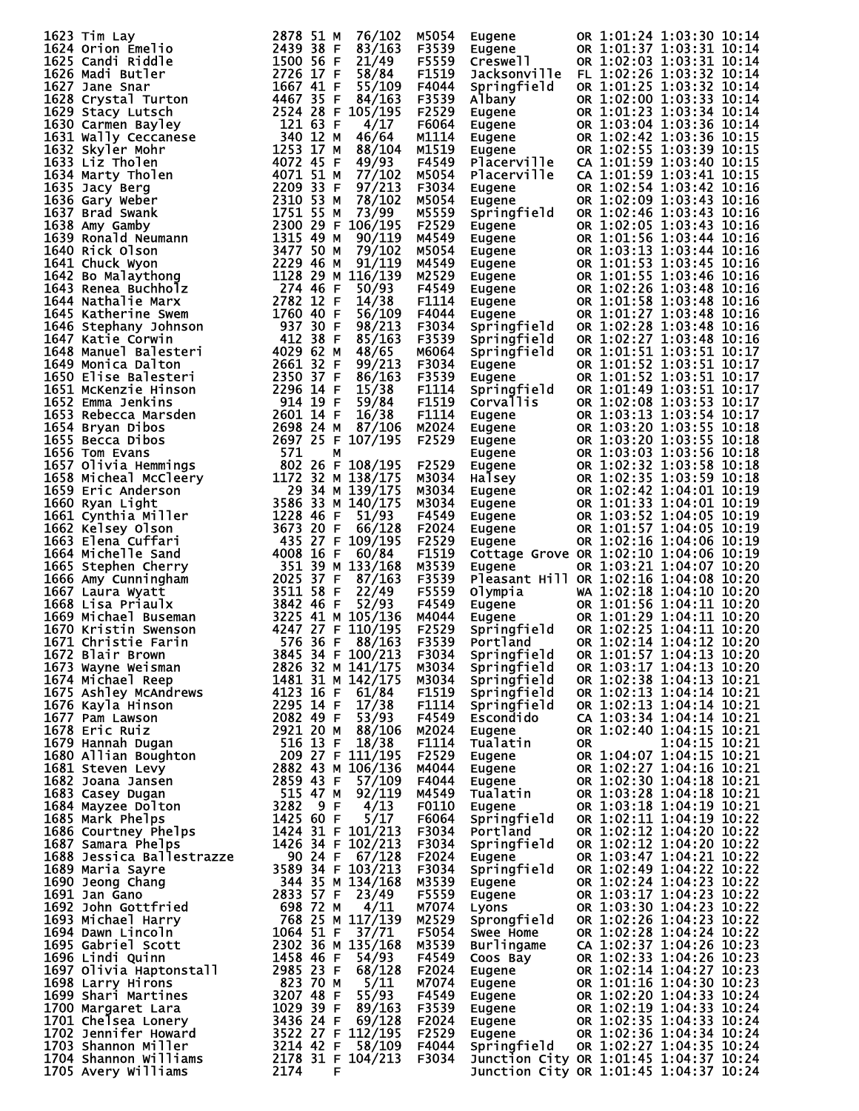| 1623 Tim Lay<br>1623 Tim Lay 1202 11638 Carl Miridle 11500 56 F 121/49<br>16224 orion Emelio 2878 53 F 83/163<br>16226 Carl Riddle 15000 56 F 21/49<br>16226 Madi Butler 15000 56 F 21/49<br>16228 Crystal Turton 1667 41 F 55/109<br>1628 Crystal Turton 16 | 2878 51 M<br>76/102 | M5054          | Eugene                                                                                           |      | OR 1:01:24 1:03:30 10:14                                                                                                                                                                                                                                                           |
|--------------------------------------------------------------------------------------------------------------------------------------------------------------------------------------------------------------------------------------------------------------|---------------------|----------------|--------------------------------------------------------------------------------------------------|------|------------------------------------------------------------------------------------------------------------------------------------------------------------------------------------------------------------------------------------------------------------------------------------|
| 1624 Orion Emelio                                                                                                                                                                                                                                            | 2439 38 F<br>83/163 | F3539          | Eugene<br>Creswell<br>Jack                                                                       |      | OR 1:01:37 1:03:31 10:14                                                                                                                                                                                                                                                           |
|                                                                                                                                                                                                                                                              |                     | F5559          |                                                                                                  |      | OR 1:02:03 1:03:31 10:14                                                                                                                                                                                                                                                           |
|                                                                                                                                                                                                                                                              |                     | F1519          |                                                                                                  |      | Jacksonville FL 1:02:26 1:03:32 10:14                                                                                                                                                                                                                                              |
|                                                                                                                                                                                                                                                              |                     | F4044          | Springfield                                                                                      |      | OR 1:01:25 1:03:32 10:14                                                                                                                                                                                                                                                           |
|                                                                                                                                                                                                                                                              |                     | F3539          | Albany                                                                                           |      | OR 1:02:00 1:03:33 10:14                                                                                                                                                                                                                                                           |
|                                                                                                                                                                                                                                                              |                     | F2529          |                                                                                                  |      | OR 1:01:23 1:03:34 10:14                                                                                                                                                                                                                                                           |
|                                                                                                                                                                                                                                                              |                     | F6064          | Eugené<br>Eugene<br>Eugene<br>Eugene                                                             |      |                                                                                                                                                                                                                                                                                    |
|                                                                                                                                                                                                                                                              |                     |                |                                                                                                  |      | OR 1:03:04 1:03:36 10:14                                                                                                                                                                                                                                                           |
|                                                                                                                                                                                                                                                              |                     | M1114          |                                                                                                  |      | OR 1:02:42 1:03:36 10:15                                                                                                                                                                                                                                                           |
|                                                                                                                                                                                                                                                              |                     | M1519          |                                                                                                  |      | OR 1:02:55 1:03:39 10:15                                                                                                                                                                                                                                                           |
|                                                                                                                                                                                                                                                              |                     | F4549          | Placerville                                                                                      |      | CA 1:01:59 1:03:40 10:15                                                                                                                                                                                                                                                           |
|                                                                                                                                                                                                                                                              |                     | M5054          | Placerville                                                                                      |      | CA 1:01:59 1:03:41 10:15                                                                                                                                                                                                                                                           |
|                                                                                                                                                                                                                                                              |                     | F3034          |                                                                                                  |      | OR 1:02:54 1:03:42 10:16                                                                                                                                                                                                                                                           |
|                                                                                                                                                                                                                                                              |                     | M5054          | awydiie<br>Eugene<br>Snad                                                                        |      | OR 1:02:09 1:03:43 10:16                                                                                                                                                                                                                                                           |
|                                                                                                                                                                                                                                                              |                     | M5559          | Springfield                                                                                      |      | OR 1:02:46 1:03:43 10:16                                                                                                                                                                                                                                                           |
|                                                                                                                                                                                                                                                              |                     | F2529          |                                                                                                  |      | OR 1:02:05 1:03:43 10:16                                                                                                                                                                                                                                                           |
|                                                                                                                                                                                                                                                              |                     | M4549          | spring<br>Eugene<br>Eugene<br>Eugene<br>Eugene<br>Eugene<br>Eugene<br>Springfield<br>Springfield |      | OR 1:01:56 1:03:44 10:16                                                                                                                                                                                                                                                           |
|                                                                                                                                                                                                                                                              |                     | M5054          |                                                                                                  |      | OR 1:03:13 1:03:44 10:16                                                                                                                                                                                                                                                           |
|                                                                                                                                                                                                                                                              |                     | M4549          |                                                                                                  |      | OR 1:01:53 1:03:45 10:16                                                                                                                                                                                                                                                           |
|                                                                                                                                                                                                                                                              |                     | M2529          |                                                                                                  |      | OR 1:01:55 1:03:46 10:16                                                                                                                                                                                                                                                           |
|                                                                                                                                                                                                                                                              |                     | F4549          |                                                                                                  |      | OR 1:02:26 1:03:48 10:16                                                                                                                                                                                                                                                           |
|                                                                                                                                                                                                                                                              |                     | F1114          |                                                                                                  |      | OR 1:01:58 1:03:48 10:16                                                                                                                                                                                                                                                           |
|                                                                                                                                                                                                                                                              |                     | F4044          |                                                                                                  |      | OR 1:01:27 1:03:48 10:16                                                                                                                                                                                                                                                           |
|                                                                                                                                                                                                                                                              |                     | F3034          |                                                                                                  |      | OR 1:02:28 1:03:48 10:16                                                                                                                                                                                                                                                           |
|                                                                                                                                                                                                                                                              |                     | F3539          | Springfield                                                                                      |      | OR 1:02:27 1:03:48 10:16                                                                                                                                                                                                                                                           |
|                                                                                                                                                                                                                                                              |                     | м6064          | Springfield                                                                                      |      | OR 1:01:51 1:03:51 10:17                                                                                                                                                                                                                                                           |
|                                                                                                                                                                                                                                                              |                     | F3034          | Eugene                                                                                           |      | OR 1:01:52 1:03:51 10:17                                                                                                                                                                                                                                                           |
|                                                                                                                                                                                                                                                              |                     | F3539          | Eugene                                                                                           |      | OR 1:01:52 1:03:51 10:17                                                                                                                                                                                                                                                           |
|                                                                                                                                                                                                                                                              |                     | F1114          |                                                                                                  |      | OR 1:01:49 1:03:51 10:17                                                                                                                                                                                                                                                           |
|                                                                                                                                                                                                                                                              |                     | F1519          | Springfield<br>Corvallis                                                                         |      | OR 1:02:08 1:03:53 10:17                                                                                                                                                                                                                                                           |
|                                                                                                                                                                                                                                                              |                     | F1114          | Eugene                                                                                           |      | OR 1:03:13 1:03:54 10:17                                                                                                                                                                                                                                                           |
|                                                                                                                                                                                                                                                              |                     | M2024          |                                                                                                  |      | OR 1:03:20 1:03:55 10:18                                                                                                                                                                                                                                                           |
|                                                                                                                                                                                                                                                              |                     | F2529          |                                                                                                  |      | OR 1:03:20 1:03:55 10:18                                                                                                                                                                                                                                                           |
|                                                                                                                                                                                                                                                              |                     |                |                                                                                                  |      | OR 1:03:03 1:03:56 10:18                                                                                                                                                                                                                                                           |
|                                                                                                                                                                                                                                                              |                     | F2529          |                                                                                                  |      | OR 1:02:32 1:03:58 10:18                                                                                                                                                                                                                                                           |
|                                                                                                                                                                                                                                                              |                     | M3034          |                                                                                                  |      | OR 1:02:35 1:03:59 10:18                                                                                                                                                                                                                                                           |
|                                                                                                                                                                                                                                                              |                     | M3034          | Cuyene<br>Eugene<br>Eugene<br>Eugene<br>Halsey<br>Eugene<br>Eugene<br>Eugene<br>Eugene           |      | OR 1:02:42 1:04:01 10:19                                                                                                                                                                                                                                                           |
|                                                                                                                                                                                                                                                              |                     | M3034          |                                                                                                  |      | OR 1:01:33 1:04:01 10:19                                                                                                                                                                                                                                                           |
|                                                                                                                                                                                                                                                              |                     | F4549          |                                                                                                  |      | OR 1:03:52 1:04:05 10:19                                                                                                                                                                                                                                                           |
|                                                                                                                                                                                                                                                              |                     | F2024          |                                                                                                  |      | OR 1:01:57 1:04:05 10:19                                                                                                                                                                                                                                                           |
|                                                                                                                                                                                                                                                              |                     | F2529          | Eugene                                                                                           |      | OR 1:02:16 1:04:06 10:19                                                                                                                                                                                                                                                           |
|                                                                                                                                                                                                                                                              |                     | F1519          |                                                                                                  |      | Cottage Grove OR 1:02:10 1:04:06 10:19                                                                                                                                                                                                                                             |
|                                                                                                                                                                                                                                                              |                     | M3539          | Eugene                                                                                           |      | OR 1:03:21 1:04:07 10:20                                                                                                                                                                                                                                                           |
|                                                                                                                                                                                                                                                              |                     | F3539          |                                                                                                  |      | Pleasant Hill OR 1:02:16 1:04:08 10:20                                                                                                                                                                                                                                             |
|                                                                                                                                                                                                                                                              |                     | F5559          | Olympia                                                                                          |      | WA 1:02:18 1:04:10 10:20                                                                                                                                                                                                                                                           |
|                                                                                                                                                                                                                                                              |                     | F4549          | Olympia<br>Eugene<br>Eugene<br>Springfield                                                       |      | OR 1:01:56 1:04:11 10:20                                                                                                                                                                                                                                                           |
|                                                                                                                                                                                                                                                              |                     | M4044          |                                                                                                  |      | OR 1:01:29 1:04:11 10:20                                                                                                                                                                                                                                                           |
|                                                                                                                                                                                                                                                              |                     | F2529          |                                                                                                  |      | OR 1:02:25 1:04:11 10:20                                                                                                                                                                                                                                                           |
|                                                                                                                                                                                                                                                              |                     | F3539          | Portland                                                                                         |      | OR 1:02:14 1:04:12 10:20                                                                                                                                                                                                                                                           |
|                                                                                                                                                                                                                                                              | 3845 34 F 100/213   | F3034          |                                                                                                  |      | OR 1:01:57 1:04:13 10:20                                                                                                                                                                                                                                                           |
|                                                                                                                                                                                                                                                              |                     | M3034          | Springfield<br>Springfield                                                                       |      | OR 1:03:17 1:04:13 10:20                                                                                                                                                                                                                                                           |
|                                                                                                                                                                                                                                                              |                     | M3034          | Springfield                                                                                      |      | OR 1:02:38 1:04:13 10:21                                                                                                                                                                                                                                                           |
|                                                                                                                                                                                                                                                              |                     | F1519          | Springfield                                                                                      |      | OR 1:02:13 1:04:14 10:21                                                                                                                                                                                                                                                           |
|                                                                                                                                                                                                                                                              |                     | F1114          | Springfield                                                                                      |      | OR 1:02:13 1:04:14 10:21                                                                                                                                                                                                                                                           |
|                                                                                                                                                                                                                                                              |                     | F4549          | Escondido                                                                                        |      | CA 1:03:34 1:04:14 10:21                                                                                                                                                                                                                                                           |
|                                                                                                                                                                                                                                                              |                     | M2024          | Eugene                                                                                           |      | OR 1:02:40 1:04:15 10:21                                                                                                                                                                                                                                                           |
|                                                                                                                                                                                                                                                              |                     | F1114          | Tualatin                                                                                         | OR D | 1:04:15 10:21                                                                                                                                                                                                                                                                      |
|                                                                                                                                                                                                                                                              |                     | F2529          | Eugene                                                                                           |      | OR 1:04:07 1:04:15 10:21                                                                                                                                                                                                                                                           |
|                                                                                                                                                                                                                                                              |                     | M4044          |                                                                                                  |      | OR 1:02:27 1:04:16 10:21                                                                                                                                                                                                                                                           |
|                                                                                                                                                                                                                                                              |                     | F4044          | Eugene<br>Eugene                                                                                 |      | OR 1:02:30 1:04:18 10:21                                                                                                                                                                                                                                                           |
|                                                                                                                                                                                                                                                              |                     | M4549          |                                                                                                  |      | OR 1:03:28 1:04:18 10:21                                                                                                                                                                                                                                                           |
|                                                                                                                                                                                                                                                              |                     | F0110          | Tualatin<br>Eugene<br>Springfield<br>Portland                                                    |      | OR 1:03:18 1:04:19 10:21                                                                                                                                                                                                                                                           |
|                                                                                                                                                                                                                                                              |                     | F6064          |                                                                                                  |      | OR 1:02:11 1:04:19 10:22                                                                                                                                                                                                                                                           |
|                                                                                                                                                                                                                                                              |                     | F3034          |                                                                                                  |      | OR 1:02:12 1:04:20 10:22                                                                                                                                                                                                                                                           |
|                                                                                                                                                                                                                                                              |                     | F3034          | Springfield                                                                                      |      | OR 1:02:12 1:04:20 10:22                                                                                                                                                                                                                                                           |
|                                                                                                                                                                                                                                                              |                     | F2024          | Eugene                                                                                           |      | OR 1:03:47 1:04:21 10:22                                                                                                                                                                                                                                                           |
|                                                                                                                                                                                                                                                              |                     | F3034          | Springfield                                                                                      |      | OR 1:02:49 1:04:22 10:22                                                                                                                                                                                                                                                           |
|                                                                                                                                                                                                                                                              |                     | M3539          |                                                                                                  |      | OR 1:02:24 1:04:23 10:22                                                                                                                                                                                                                                                           |
|                                                                                                                                                                                                                                                              |                     | F5559          | Eugene<br>Eugene                                                                                 |      | OR 1:03:17 1:04:23 10:22                                                                                                                                                                                                                                                           |
|                                                                                                                                                                                                                                                              |                     |                |                                                                                                  |      | OR 1:03:30 1:04:23 10:22                                                                                                                                                                                                                                                           |
|                                                                                                                                                                                                                                                              |                     | M7074<br>M2529 | Lugene<br>Lyons<br>Sprongfield                                                                   |      | OR 1:02:26 1:04:23 10:22                                                                                                                                                                                                                                                           |
|                                                                                                                                                                                                                                                              |                     | F5054          | Swee Home                                                                                        |      | OR 1:02:28 1:04:24 10:22                                                                                                                                                                                                                                                           |
|                                                                                                                                                                                                                                                              |                     | M3539          |                                                                                                  |      |                                                                                                                                                                                                                                                                                    |
|                                                                                                                                                                                                                                                              |                     |                |                                                                                                  |      |                                                                                                                                                                                                                                                                                    |
|                                                                                                                                                                                                                                                              |                     | F4549          |                                                                                                  |      |                                                                                                                                                                                                                                                                                    |
|                                                                                                                                                                                                                                                              |                     | F2024          |                                                                                                  |      |                                                                                                                                                                                                                                                                                    |
|                                                                                                                                                                                                                                                              |                     | M7074          |                                                                                                  |      |                                                                                                                                                                                                                                                                                    |
|                                                                                                                                                                                                                                                              |                     | F4549          |                                                                                                  |      |                                                                                                                                                                                                                                                                                    |
|                                                                                                                                                                                                                                                              |                     | F3539          |                                                                                                  |      |                                                                                                                                                                                                                                                                                    |
|                                                                                                                                                                                                                                                              |                     |                |                                                                                                  |      |                                                                                                                                                                                                                                                                                    |
|                                                                                                                                                                                                                                                              |                     | F2024          |                                                                                                  |      |                                                                                                                                                                                                                                                                                    |
|                                                                                                                                                                                                                                                              |                     | F2529          |                                                                                                  |      |                                                                                                                                                                                                                                                                                    |
|                                                                                                                                                                                                                                                              |                     | F4044          |                                                                                                  |      | Sourlingame CA 1:02:28 1:04:24 10:22<br>Coos Bay 0R 1:02:37 1:04:26 10:23<br>Eugene 0R 1:02:33 1:04:26 10:23<br>Eugene 0R 1:02:14 1:04:27 10:23<br>Eugene 0R 1:02:20 1:04:33 10:24<br>Eugene 0R 1:02:29 1:04:33 10:24<br>Eugene 0R 1:02:35<br>Springfield OR 1:02:27 1:04:35 10:24 |
| 1670 Kristin Swenson<br>1671 Christie Farin 5447 276 36 F 88/1631<br>1673 Blair Brown 18845 34 F 100/213<br>1673 Wayne Weisman 28826 32 M 141/175 1<br>1673 Wayne Weisman 2226 32 M 142/175 1<br>1675 Ashley McAndrews 1481 31 M 142/17                      |                     | F3034          |                                                                                                  |      | Junction City OR 1:01:45 1:04:37 10:24<br>Junction City OR 1:01:45 1:04:37 10:24                                                                                                                                                                                                   |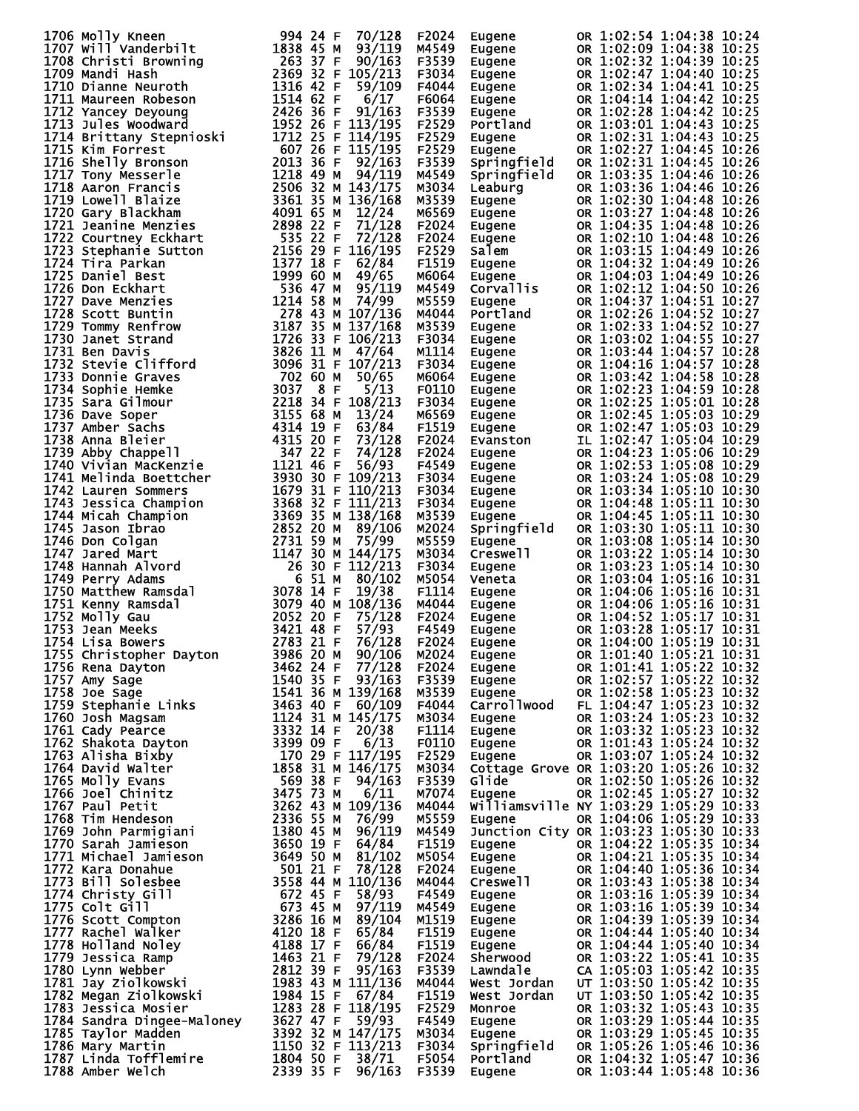| 1706 Molly Kneen<br>1706 Molly Kneen<br>1707 will vanderbilt<br>1707 will vanderbilt<br>1707 will vanderbilt<br>1707 will vanderbilt<br>1708 christi Browning<br>1709 Mandi Hash<br>17109 Mandi Hash<br>17109 Mandi Hash<br>17109 Mandi Hash<br>17109 Mandi Hash<br>171 | 994 24 F<br>70/128 | F2024 | <b>Eugene</b>                | OR 1:02:54 1:04:38 10:24 |  |
|-------------------------------------------------------------------------------------------------------------------------------------------------------------------------------------------------------------------------------------------------------------------------|--------------------|-------|------------------------------|--------------------------|--|
|                                                                                                                                                                                                                                                                         |                    | M4549 | Eugene                       | OR 1:02:09 1:04:38 10:25 |  |
|                                                                                                                                                                                                                                                                         |                    | F3539 |                              |                          |  |
|                                                                                                                                                                                                                                                                         |                    |       | Eugene                       | OR 1:02:32 1:04:39 10:25 |  |
|                                                                                                                                                                                                                                                                         |                    | F3034 | Eugene                       | OR 1:02:47 1:04:40 10:25 |  |
|                                                                                                                                                                                                                                                                         |                    | F4044 | Eugene                       | OR 1:02:34 1:04:41 10:25 |  |
|                                                                                                                                                                                                                                                                         |                    | F6064 | Eugene                       | OR 1:04:14 1:04:42 10:25 |  |
|                                                                                                                                                                                                                                                                         |                    | F3539 | Eugene<br>Eugene<br>Portland | OR 1:02:28 1:04:42 10:25 |  |
|                                                                                                                                                                                                                                                                         |                    | F2529 |                              | OR 1:03:01 1:04:43 10:25 |  |
|                                                                                                                                                                                                                                                                         |                    | F2529 | Eugene                       | OR 1:02:31 1:04:43 10:25 |  |
|                                                                                                                                                                                                                                                                         |                    | F2529 | Eugene                       | OR 1:02:27 1:04:45 10:26 |  |
|                                                                                                                                                                                                                                                                         |                    | F3539 | Springfield                  | OR 1:02:31 1:04:45 10:26 |  |
|                                                                                                                                                                                                                                                                         |                    | M4549 | Springfield                  | OR 1:03:35 1:04:46 10:26 |  |
|                                                                                                                                                                                                                                                                         |                    | M3034 | Leaburg                      | OR 1:03:36 1:04:46 10:26 |  |
|                                                                                                                                                                                                                                                                         |                    |       |                              |                          |  |
|                                                                                                                                                                                                                                                                         |                    | M3539 | Eugene                       | OR 1:02:30 1:04:48 10:26 |  |
|                                                                                                                                                                                                                                                                         |                    | M6569 | Eugene                       | OR 1:03:27 1:04:48 10:26 |  |
|                                                                                                                                                                                                                                                                         |                    | F2024 | Eugene                       | OR 1:04:35 1:04:48 10:26 |  |
|                                                                                                                                                                                                                                                                         |                    | F2024 | Eugene                       | OR 1:02:10 1:04:48 10:26 |  |
|                                                                                                                                                                                                                                                                         |                    | F2529 | Salem                        | OR 1:03:15 1:04:49 10:26 |  |
|                                                                                                                                                                                                                                                                         |                    | F1519 | Eugene<br>Eugen <u>e</u>     | OR 1:04:32 1:04:49 10:26 |  |
|                                                                                                                                                                                                                                                                         |                    | M6064 | Eugene<br>Corvallis          | OR 1:04:03 1:04:49 10:26 |  |
|                                                                                                                                                                                                                                                                         |                    | M4549 |                              | OR 1:02:12 1:04:50 10:26 |  |
|                                                                                                                                                                                                                                                                         |                    | M5559 | Eugene                       | OR 1:04:37 1:04:51 10:27 |  |
|                                                                                                                                                                                                                                                                         |                    | M4044 | Portland                     | OR 1:02:26 1:04:52 10:27 |  |
|                                                                                                                                                                                                                                                                         |                    | M3539 | Eugene                       | OR 1:02:33 1:04:52 10:27 |  |
|                                                                                                                                                                                                                                                                         |                    |       |                              |                          |  |
|                                                                                                                                                                                                                                                                         |                    | F3034 | Eugene                       | OR 1:03:02 1:04:55 10:27 |  |
|                                                                                                                                                                                                                                                                         |                    | M1114 | Eugene                       | OR 1:03:44 1:04:57 10:28 |  |
|                                                                                                                                                                                                                                                                         |                    | F3034 | Eugene                       | OR 1:04:16 1:04:57 10:28 |  |
|                                                                                                                                                                                                                                                                         |                    | M6064 | Eugene                       | OR 1:03:42 1:04:58 10:28 |  |
|                                                                                                                                                                                                                                                                         |                    | F0110 | Eugene                       | OR 1:02:23 1:04:59 10:28 |  |
|                                                                                                                                                                                                                                                                         |                    | F3034 | Eugene                       | OR 1:02:25 1:05:01 10:28 |  |
|                                                                                                                                                                                                                                                                         |                    | M6569 | Eugene                       | OR 1:02:45 1:05:03 10:29 |  |
|                                                                                                                                                                                                                                                                         |                    | F1519 | Eugene                       | OR 1:02:47 1:05:03 10:29 |  |
|                                                                                                                                                                                                                                                                         |                    | F2024 | Evanston                     | IL 1:02:47 1:05:04 10:29 |  |
|                                                                                                                                                                                                                                                                         |                    | F2024 | Eugene                       | OR 1:04:23 1:05:06 10:29 |  |
|                                                                                                                                                                                                                                                                         |                    | F4549 |                              |                          |  |
|                                                                                                                                                                                                                                                                         |                    |       | Eugene                       | OR 1:02:53 1:05:08 10:29 |  |
|                                                                                                                                                                                                                                                                         |                    | F3034 | Eugene                       | OR 1:03:24 1:05:08 10:29 |  |
|                                                                                                                                                                                                                                                                         |                    | F3034 | Eugene                       | OR 1:03:34 1:05:10 10:30 |  |
|                                                                                                                                                                                                                                                                         |                    | F3034 | Eugene                       | OR 1:04:48 1:05:11 10:30 |  |
|                                                                                                                                                                                                                                                                         |                    | M3539 | Eugene                       | OR 1:04:45 1:05:11 10:30 |  |
|                                                                                                                                                                                                                                                                         |                    | M2024 | Springfield                  | OR 1:03:30 1:05:11 10:30 |  |
|                                                                                                                                                                                                                                                                         |                    | M5559 | Eugene                       | OR 1:03:08 1:05:14 10:30 |  |
|                                                                                                                                                                                                                                                                         |                    | M3034 | Creswell                     | OR 1:03:22 1:05:14 10:30 |  |
|                                                                                                                                                                                                                                                                         |                    | F3034 | Eugene                       | OR 1:03:23 1:05:14 10:30 |  |
|                                                                                                                                                                                                                                                                         |                    | M5054 | Veneta                       | OR 1:03:04 1:05:16 10:31 |  |
|                                                                                                                                                                                                                                                                         |                    | F1114 | Eugene                       | OR 1:04:06 1:05:16 10:31 |  |
|                                                                                                                                                                                                                                                                         |                    |       |                              |                          |  |
|                                                                                                                                                                                                                                                                         |                    | M4044 | Eugene                       | OR 1:04:06 1:05:16 10:31 |  |
|                                                                                                                                                                                                                                                                         |                    | F2024 | Eugene<br>Eugene             | OR 1:04:52 1:05:17 10:31 |  |
|                                                                                                                                                                                                                                                                         |                    | F4549 |                              | OR 1:03:28 1:05:17 10:31 |  |
|                                                                                                                                                                                                                                                                         |                    | F2024 | Eugene                       | OR 1:04:00 1:05:19 10:31 |  |
|                                                                                                                                                                                                                                                                         |                    |       |                              |                          |  |
|                                                                                                                                                                                                                                                                         |                    |       |                              |                          |  |
|                                                                                                                                                                                                                                                                         |                    |       |                              |                          |  |
|                                                                                                                                                                                                                                                                         |                    |       |                              |                          |  |
|                                                                                                                                                                                                                                                                         |                    |       |                              |                          |  |
|                                                                                                                                                                                                                                                                         |                    |       |                              |                          |  |
|                                                                                                                                                                                                                                                                         |                    |       |                              |                          |  |
|                                                                                                                                                                                                                                                                         |                    |       |                              |                          |  |
|                                                                                                                                                                                                                                                                         |                    |       |                              |                          |  |
|                                                                                                                                                                                                                                                                         |                    |       |                              |                          |  |
|                                                                                                                                                                                                                                                                         |                    |       |                              |                          |  |
|                                                                                                                                                                                                                                                                         |                    |       |                              |                          |  |
|                                                                                                                                                                                                                                                                         |                    |       |                              |                          |  |
|                                                                                                                                                                                                                                                                         |                    |       |                              |                          |  |
|                                                                                                                                                                                                                                                                         |                    |       |                              |                          |  |
|                                                                                                                                                                                                                                                                         |                    |       |                              |                          |  |
|                                                                                                                                                                                                                                                                         |                    |       |                              |                          |  |
|                                                                                                                                                                                                                                                                         |                    |       |                              |                          |  |
|                                                                                                                                                                                                                                                                         |                    |       |                              |                          |  |
|                                                                                                                                                                                                                                                                         |                    |       |                              |                          |  |
|                                                                                                                                                                                                                                                                         |                    |       |                              |                          |  |
|                                                                                                                                                                                                                                                                         |                    |       |                              |                          |  |
|                                                                                                                                                                                                                                                                         |                    |       |                              |                          |  |
|                                                                                                                                                                                                                                                                         |                    |       |                              |                          |  |
|                                                                                                                                                                                                                                                                         |                    |       |                              |                          |  |
|                                                                                                                                                                                                                                                                         |                    |       |                              |                          |  |
|                                                                                                                                                                                                                                                                         |                    |       |                              |                          |  |
|                                                                                                                                                                                                                                                                         |                    |       |                              |                          |  |
|                                                                                                                                                                                                                                                                         |                    |       |                              |                          |  |
|                                                                                                                                                                                                                                                                         |                    |       |                              |                          |  |
|                                                                                                                                                                                                                                                                         |                    |       |                              |                          |  |
|                                                                                                                                                                                                                                                                         |                    |       |                              |                          |  |
|                                                                                                                                                                                                                                                                         |                    |       |                              |                          |  |
|                                                                                                                                                                                                                                                                         |                    |       |                              |                          |  |
|                                                                                                                                                                                                                                                                         |                    |       |                              |                          |  |
|                                                                                                                                                                                                                                                                         |                    |       |                              |                          |  |
| 1753 Dani Week<br>1754 Lina Rewers<br>1753 Dani Week 1362 2013 P2024 Eugene<br>1753 Christopher Dayton 34460 2014 River on 1:00:17 10:511 10:511<br>1755 Christopher Dayton 34460 236 P2024 Eugene<br>1755 Dani Say 2010 110:512 10:00:1                                |                    |       |                              |                          |  |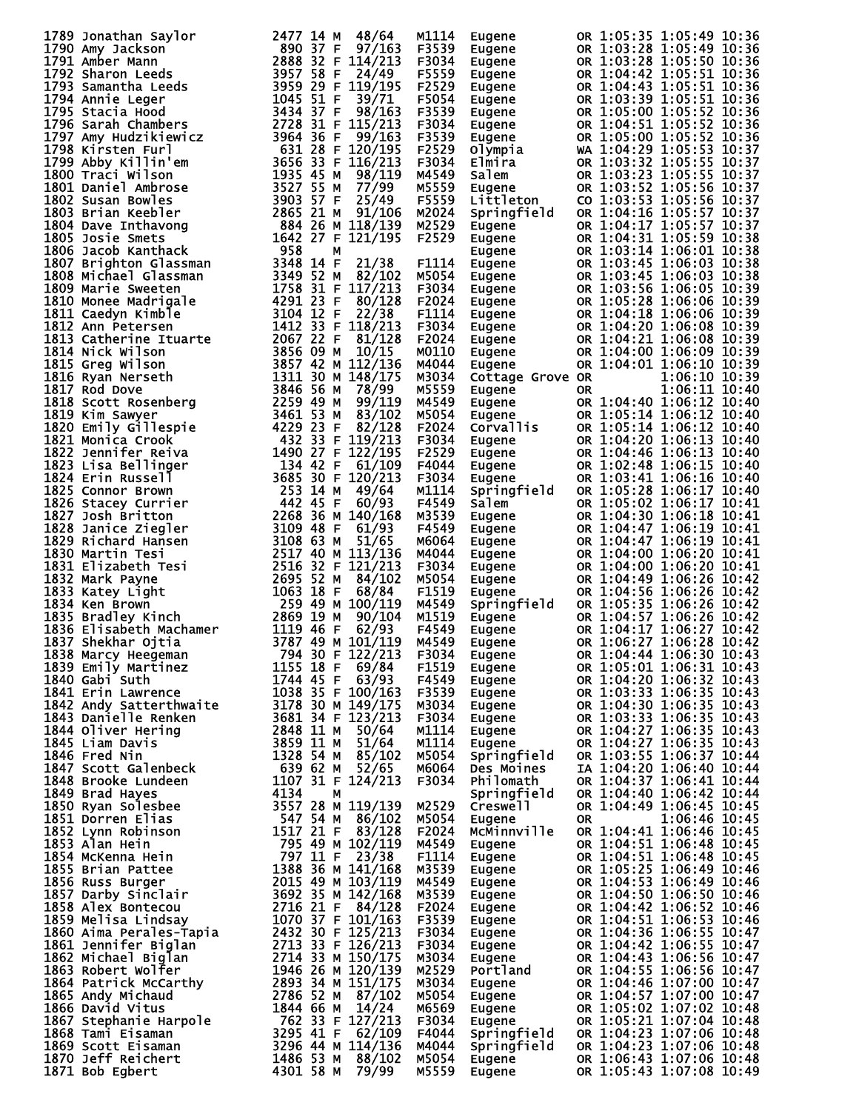| 1789 Jonathan Saylor<br>1790 Amy Jackson<br>1790 Amy Jackson<br>1790 Amy Jackson<br>1790 Amy Jackson<br>1791 Amer Mann 289 37 F 197/143<br>1792 Shamentha Leeds<br>1895 758 F 24449<br>1793 Samantha Leeds<br>1792 Shamenta Leeds<br>1792 Shament | M1114          | Eugene                                                                                                                            | OR 1:05:35 1:05:49 10:36                                                                                                                                                                                                                   |  |
|---------------------------------------------------------------------------------------------------------------------------------------------------------------------------------------------------------------------------------------------------|----------------|-----------------------------------------------------------------------------------------------------------------------------------|--------------------------------------------------------------------------------------------------------------------------------------------------------------------------------------------------------------------------------------------|--|
|                                                                                                                                                                                                                                                   |                |                                                                                                                                   | M1114 Eugene 0R 1:05:35 1:05:49 10:36<br>F3539 Eugene 0R 1:03:28 1:05:49 10:36<br>F5559 Eugene 0R 1:03:28 1:05:50 10:36<br>F5559 Eugene 0R 1:04:43 1:05:51 10:36<br>F5559 Eugene 0R 1:04:43 1:05:51 10:36<br>F5554 Eugene 0R 1:04:43 1:0   |  |
|                                                                                                                                                                                                                                                   |                |                                                                                                                                   |                                                                                                                                                                                                                                            |  |
|                                                                                                                                                                                                                                                   |                |                                                                                                                                   |                                                                                                                                                                                                                                            |  |
|                                                                                                                                                                                                                                                   |                |                                                                                                                                   |                                                                                                                                                                                                                                            |  |
|                                                                                                                                                                                                                                                   |                |                                                                                                                                   |                                                                                                                                                                                                                                            |  |
|                                                                                                                                                                                                                                                   |                |                                                                                                                                   |                                                                                                                                                                                                                                            |  |
|                                                                                                                                                                                                                                                   |                |                                                                                                                                   |                                                                                                                                                                                                                                            |  |
|                                                                                                                                                                                                                                                   |                |                                                                                                                                   |                                                                                                                                                                                                                                            |  |
|                                                                                                                                                                                                                                                   |                |                                                                                                                                   |                                                                                                                                                                                                                                            |  |
|                                                                                                                                                                                                                                                   |                |                                                                                                                                   |                                                                                                                                                                                                                                            |  |
|                                                                                                                                                                                                                                                   |                |                                                                                                                                   |                                                                                                                                                                                                                                            |  |
|                                                                                                                                                                                                                                                   | M2024          | Springfield                                                                                                                       | OR 1:04:16 1:05:57 10:37                                                                                                                                                                                                                   |  |
|                                                                                                                                                                                                                                                   | M2529          |                                                                                                                                   | Springfield OR 1:04:16 1:05:57 10:37<br>Eugene OR 1:04:17 1:05:57 10:37<br>Eugene OR 1:03:14 1:06:59 10:38<br>Eugene OR 1:03:14 1:06:01 10:38<br>Eugene OR 1:03:45 1:06:03 10:38<br>Eugene OR 1:03:45 1:06:03 10:38<br>Eugene OR 1:03:56 1 |  |
|                                                                                                                                                                                                                                                   | F2529          |                                                                                                                                   |                                                                                                                                                                                                                                            |  |
|                                                                                                                                                                                                                                                   | F1114          |                                                                                                                                   |                                                                                                                                                                                                                                            |  |
|                                                                                                                                                                                                                                                   | M5054          |                                                                                                                                   |                                                                                                                                                                                                                                            |  |
|                                                                                                                                                                                                                                                   | F3034          |                                                                                                                                   |                                                                                                                                                                                                                                            |  |
|                                                                                                                                                                                                                                                   | F2024          |                                                                                                                                   |                                                                                                                                                                                                                                            |  |
|                                                                                                                                                                                                                                                   | F1114          |                                                                                                                                   |                                                                                                                                                                                                                                            |  |
|                                                                                                                                                                                                                                                   | F3034<br>F2024 |                                                                                                                                   |                                                                                                                                                                                                                                            |  |
|                                                                                                                                                                                                                                                   | M0110          |                                                                                                                                   |                                                                                                                                                                                                                                            |  |
|                                                                                                                                                                                                                                                   | M4044          |                                                                                                                                   |                                                                                                                                                                                                                                            |  |
|                                                                                                                                                                                                                                                   | м3034          | <b>Cottage Grove OR</b><br>Eugene Grove OR                                                                                        | 1:06:10 10:39                                                                                                                                                                                                                              |  |
|                                                                                                                                                                                                                                                   | M5559          |                                                                                                                                   |                                                                                                                                                                                                                                            |  |
|                                                                                                                                                                                                                                                   | M4549<br>M5054 |                                                                                                                                   |                                                                                                                                                                                                                                            |  |
|                                                                                                                                                                                                                                                   | F2024          |                                                                                                                                   |                                                                                                                                                                                                                                            |  |
|                                                                                                                                                                                                                                                   | F3034          |                                                                                                                                   |                                                                                                                                                                                                                                            |  |
|                                                                                                                                                                                                                                                   | F2529          |                                                                                                                                   |                                                                                                                                                                                                                                            |  |
|                                                                                                                                                                                                                                                   | F4044          |                                                                                                                                   |                                                                                                                                                                                                                                            |  |
|                                                                                                                                                                                                                                                   | F3034          |                                                                                                                                   |                                                                                                                                                                                                                                            |  |
|                                                                                                                                                                                                                                                   | M1114<br>F4549 |                                                                                                                                   |                                                                                                                                                                                                                                            |  |
|                                                                                                                                                                                                                                                   | M3539          |                                                                                                                                   | Unit of the Salesmann on the Salesmann or the Salesmann of the Salesmann of the Salesmann of the Salesmann of the Salesmann of the Salesmann of the Salesmann of the Salesmann of the Salesmann of the Salesmann of the Salesm             |  |
|                                                                                                                                                                                                                                                   | F4549          |                                                                                                                                   |                                                                                                                                                                                                                                            |  |
|                                                                                                                                                                                                                                                   | м6064          |                                                                                                                                   |                                                                                                                                                                                                                                            |  |
|                                                                                                                                                                                                                                                   | M4044          |                                                                                                                                   |                                                                                                                                                                                                                                            |  |
|                                                                                                                                                                                                                                                   | F3034          |                                                                                                                                   | Salem 0R 1:04:30 1:06:17 10:41<br>Eugene 0R 1:04:30 1:06:18 10:41<br>Eugene 0R 1:04:47 1:06:19 10:41<br>Eugene 0R 1:04:47 1:06:19 10:41<br>Eugene 0R 1:04:00 1:06:20 10:44<br>Eugene 0R 1:04:00 1:06:20 10:44<br>Eugene 0R 1:04:49 1:06:26 |  |
|                                                                                                                                                                                                                                                   | M5054<br>F1519 |                                                                                                                                   |                                                                                                                                                                                                                                            |  |
|                                                                                                                                                                                                                                                   | M4549          |                                                                                                                                   |                                                                                                                                                                                                                                            |  |
|                                                                                                                                                                                                                                                   | M1519          |                                                                                                                                   |                                                                                                                                                                                                                                            |  |
|                                                                                                                                                                                                                                                   | F4549          |                                                                                                                                   |                                                                                                                                                                                                                                            |  |
|                                                                                                                                                                                                                                                   | M4549          |                                                                                                                                   |                                                                                                                                                                                                                                            |  |
|                                                                                                                                                                                                                                                   |                | <b>Eugene</b><br>Eugene<br>Eugene<br>Eugene<br>Eugene<br>Eugene<br>Eugene<br>Springfield<br>Philomath<br>Philomath<br>Springfield | OR 1:04:44 1:06:30 10:43<br>OR 1:05:01 1:06:31 10:43                                                                                                                                                                                       |  |
|                                                                                                                                                                                                                                                   |                |                                                                                                                                   | OR 1:04:20 1:06:32 10:43                                                                                                                                                                                                                   |  |
|                                                                                                                                                                                                                                                   |                |                                                                                                                                   | OR 1:03:33 1:06:35 10:43                                                                                                                                                                                                                   |  |
|                                                                                                                                                                                                                                                   |                |                                                                                                                                   | OR 1:04:30 1:06:35 10:43                                                                                                                                                                                                                   |  |
|                                                                                                                                                                                                                                                   |                |                                                                                                                                   | OR 1:03:33 1:06:35 10:43<br>OR 1:04:27 1:06:35 10:43                                                                                                                                                                                       |  |
|                                                                                                                                                                                                                                                   |                |                                                                                                                                   | OR 1:04:27 1:06:35 10:43                                                                                                                                                                                                                   |  |
|                                                                                                                                                                                                                                                   |                |                                                                                                                                   | OR 1:03:55 1:06:37 10:44                                                                                                                                                                                                                   |  |
|                                                                                                                                                                                                                                                   |                |                                                                                                                                   | IA 1:04:20 1:06:40 10:44                                                                                                                                                                                                                   |  |
|                                                                                                                                                                                                                                                   |                |                                                                                                                                   | OR 1:04:37 1:06:41 10:44                                                                                                                                                                                                                   |  |
|                                                                                                                                                                                                                                                   |                | Springfield                                                                                                                       | OR 1:04:40 1:06:42 10:44                                                                                                                                                                                                                   |  |
|                                                                                                                                                                                                                                                   |                | M2529 Creswell                                                                                                                    | OR 1:04:49 1:06:45 10:45                                                                                                                                                                                                                   |  |
|                                                                                                                                                                                                                                                   |                | Eugene                                                                                                                            | 1:06:46 10:45<br>OR<br>McMinnville OR 1:04:41 1:06:46 10:45                                                                                                                                                                                |  |
|                                                                                                                                                                                                                                                   |                |                                                                                                                                   |                                                                                                                                                                                                                                            |  |
|                                                                                                                                                                                                                                                   |                |                                                                                                                                   |                                                                                                                                                                                                                                            |  |
|                                                                                                                                                                                                                                                   |                |                                                                                                                                   |                                                                                                                                                                                                                                            |  |
|                                                                                                                                                                                                                                                   |                |                                                                                                                                   |                                                                                                                                                                                                                                            |  |
|                                                                                                                                                                                                                                                   |                |                                                                                                                                   |                                                                                                                                                                                                                                            |  |
|                                                                                                                                                                                                                                                   |                |                                                                                                                                   |                                                                                                                                                                                                                                            |  |
|                                                                                                                                                                                                                                                   |                |                                                                                                                                   |                                                                                                                                                                                                                                            |  |
|                                                                                                                                                                                                                                                   |                |                                                                                                                                   |                                                                                                                                                                                                                                            |  |
|                                                                                                                                                                                                                                                   |                |                                                                                                                                   |                                                                                                                                                                                                                                            |  |
|                                                                                                                                                                                                                                                   |                |                                                                                                                                   |                                                                                                                                                                                                                                            |  |
|                                                                                                                                                                                                                                                   |                |                                                                                                                                   |                                                                                                                                                                                                                                            |  |
|                                                                                                                                                                                                                                                   |                |                                                                                                                                   |                                                                                                                                                                                                                                            |  |
|                                                                                                                                                                                                                                                   |                |                                                                                                                                   |                                                                                                                                                                                                                                            |  |
|                                                                                                                                                                                                                                                   |                |                                                                                                                                   |                                                                                                                                                                                                                                            |  |
| 1836 Filisabeth Machamer<br>1837 Shekhar Ojtia<br>1837 Shekhar Ojtia<br>1837 Shekhar Ojtia<br>1838 Marcy Heegeman<br>1839 Marcy Heegeman<br>1794 45 May 101/119 M4544<br>1839 Marcy Heegeman<br>1794 45 E 63/93<br>1840 Gabi Suth The Street Hi   |                |                                                                                                                                   | McMinnville OR 1:04:41 1:06:46 10:45<br>Eugene OR 1:04:51 1:06:48 10:45<br>Eugene OR 1:04:51 1:06:48 10:45<br>Eugene OR 1:04:51 1:06:48 10:45<br>Eugene OR 1:04:51 1:06:49 10:46<br>Eugene OR 1:04:53 1:06:50 10:46<br>Eugene OR 1:04:50 1 |  |
|                                                                                                                                                                                                                                                   |                |                                                                                                                                   |                                                                                                                                                                                                                                            |  |
|                                                                                                                                                                                                                                                   |                |                                                                                                                                   |                                                                                                                                                                                                                                            |  |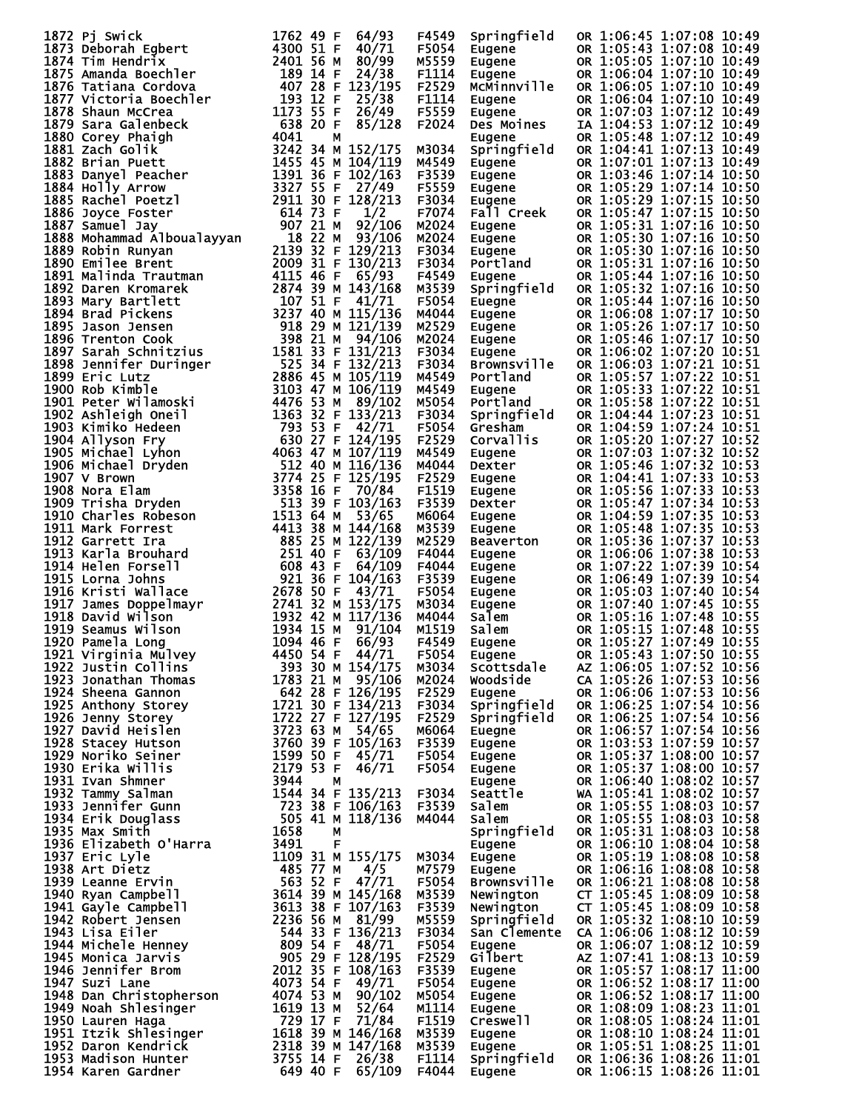| 1872 pi swirch Eigher 1762 49 F 64/93<br>1873 pieborah Egbert 1762 49 F 64/93<br>1873 pieborah Egbert 24300 51 F 44/71<br>1875 manda Boechler 2400 51 F 44/71<br>1875 manda Boechler 2400 51 F 40/79<br>1875 manda Boechler 2400 51 F 42/719    |                  | F4549           | Springfield                                                                                    | OR 1:06:45 1:07:08 10:49                                                                                   |
|-------------------------------------------------------------------------------------------------------------------------------------------------------------------------------------------------------------------------------------------------|------------------|-----------------|------------------------------------------------------------------------------------------------|------------------------------------------------------------------------------------------------------------|
|                                                                                                                                                                                                                                                 |                  | F5054           |                                                                                                | OR 1:05:43 1:07:08 10:49                                                                                   |
|                                                                                                                                                                                                                                                 |                  | M5559           | Eugene<br>Eugene<br>Eugene                                                                     | OR 1:05:05 1:07:10 10:49                                                                                   |
|                                                                                                                                                                                                                                                 |                  | F1114           |                                                                                                | OR 1:06:04 1:07:10 10:49                                                                                   |
|                                                                                                                                                                                                                                                 |                  | F2529           | McMinnville                                                                                    | OR 1:06:05 1:07:10 10:49                                                                                   |
|                                                                                                                                                                                                                                                 |                  | F1114           | Eugene                                                                                         | OR 1:06:04 1:07:10 10:49                                                                                   |
|                                                                                                                                                                                                                                                 |                  | F5559           | Lugone<br>Eugene<br>Des Moines                                                                 | OR 1:07:03 1:07:12 10:49                                                                                   |
|                                                                                                                                                                                                                                                 |                  | 85/128<br>F2024 |                                                                                                | IA 1:04:53 1:07:12 10:49                                                                                   |
|                                                                                                                                                                                                                                                 |                  |                 |                                                                                                | OR 1:05:48 1:07:12 10:49                                                                                   |
|                                                                                                                                                                                                                                                 |                  | M3034           | Eugene<br>Springfield                                                                          | OR 1:04:41 1:07:13 10:49                                                                                   |
|                                                                                                                                                                                                                                                 |                  | M4549           |                                                                                                | OR 1:07:01 1:07:13 10:49                                                                                   |
|                                                                                                                                                                                                                                                 |                  | F3539           | Eugene<br>Eugene<br>Eugene<br>Eugene                                                           | OR 1:03:46 1:07:14 10:50                                                                                   |
|                                                                                                                                                                                                                                                 |                  | F5559           |                                                                                                |                                                                                                            |
|                                                                                                                                                                                                                                                 |                  |                 |                                                                                                | OR 1:05:29 1:07:14 10:50                                                                                   |
|                                                                                                                                                                                                                                                 |                  | F3034           |                                                                                                | OR 1:05:29 1:07:15 10:50                                                                                   |
|                                                                                                                                                                                                                                                 |                  | F7074           | Fall Creek                                                                                     | OR 1:05:47 1:07:15 10:50                                                                                   |
|                                                                                                                                                                                                                                                 |                  | M2024           | Eugene                                                                                         | OR 1:05:31 1:07:16 10:50                                                                                   |
|                                                                                                                                                                                                                                                 |                  | M2024           |                                                                                                | OR 1:05:30 1:07:16 10:50                                                                                   |
|                                                                                                                                                                                                                                                 |                  | F3034           | <b>Eugene<br/>Eugene<br/>Eugene<br/>Portland<br/>Eugene</b>                                    | OR 1:05:30 1:07:16 10:50                                                                                   |
|                                                                                                                                                                                                                                                 |                  | F3034           |                                                                                                | OR 1:05:31 1:07:16 10:50                                                                                   |
|                                                                                                                                                                                                                                                 |                  | F4549           |                                                                                                | OR 1:05:44 1:07:16 10:50                                                                                   |
|                                                                                                                                                                                                                                                 |                  | M3539           | springfield<br>Eugene<br>Eugene<br>Eugene<br>Eugene<br>Eugene                                  | OR 1:05:32 1:07:16 10:50                                                                                   |
|                                                                                                                                                                                                                                                 |                  | F5054           |                                                                                                | OR 1:05:44 1:07:16 10:50                                                                                   |
|                                                                                                                                                                                                                                                 |                  | M4044           |                                                                                                | OR 1:06:08 1:07:17 10:50                                                                                   |
|                                                                                                                                                                                                                                                 |                  | M2529           |                                                                                                | OR 1:05:26 1:07:17 10:50                                                                                   |
|                                                                                                                                                                                                                                                 |                  | M2024           |                                                                                                | OR 1:05:46 1:07:17 10:50                                                                                   |
|                                                                                                                                                                                                                                                 |                  | F3034           |                                                                                                | OR 1:06:02 1:07:20 10:51                                                                                   |
|                                                                                                                                                                                                                                                 |                  | F3034           | <b>Brownsville</b>                                                                             | OR 1:06:03 1:07:21 10:51                                                                                   |
|                                                                                                                                                                                                                                                 |                  | M4549           | <b>Portland<br/>Eugene<br/>Portland</b>                                                        | OR 1:05:57 1:07:22 10:51                                                                                   |
|                                                                                                                                                                                                                                                 |                  | M4549           |                                                                                                | OR 1:05:33 1:07:22 10:51                                                                                   |
|                                                                                                                                                                                                                                                 |                  | M5054           |                                                                                                | OR 1:05:58 1:07:22 10:51                                                                                   |
|                                                                                                                                                                                                                                                 |                  | F3034           | Springfield                                                                                    | OR 1:04:44 1:07:23 10:51                                                                                   |
|                                                                                                                                                                                                                                                 |                  | F5054           | Gresham                                                                                        | OR 1:04:59 1:07:24 10:51                                                                                   |
|                                                                                                                                                                                                                                                 |                  |                 |                                                                                                |                                                                                                            |
|                                                                                                                                                                                                                                                 |                  | F2529           | Corvallis<br>Eugene                                                                            | OR 1:05:20 1:07:27 10:52                                                                                   |
|                                                                                                                                                                                                                                                 |                  | M4549           |                                                                                                | OR 1:07:03 1:07:32 10:52                                                                                   |
|                                                                                                                                                                                                                                                 |                  | M4044           |                                                                                                | OR 1:05:46 1:07:32 10:53                                                                                   |
|                                                                                                                                                                                                                                                 |                  | F2529           |                                                                                                | OR 1:04:41 1:07:33 10:53                                                                                   |
|                                                                                                                                                                                                                                                 |                  | F1519           |                                                                                                | OR 1:05:56 1:07:33 10:53                                                                                   |
|                                                                                                                                                                                                                                                 |                  | F3539           |                                                                                                | OR 1:05:47 1:07:34 10:53                                                                                   |
|                                                                                                                                                                                                                                                 |                  | M6064           |                                                                                                | OR 1:04:59 1:07:35 10:53                                                                                   |
|                                                                                                                                                                                                                                                 |                  | M3539           |                                                                                                | OR 1:05:48 1:07:35 10:53                                                                                   |
|                                                                                                                                                                                                                                                 |                  | M2529           |                                                                                                | OR 1:05:36 1:07:37 10:53                                                                                   |
|                                                                                                                                                                                                                                                 |                  | F4044           | <b>Luytier<br/>Dexter<br/>Eugene<br/>Dexter<br/>Eugene<br/>Beaverton<br/>Eugene<br/>Eugene</b> | OR 1:06:06 1:07:38 10:53                                                                                   |
|                                                                                                                                                                                                                                                 |                  | F4044           |                                                                                                | OR 1:07:22 1:07:39 10:54                                                                                   |
|                                                                                                                                                                                                                                                 |                  | F3539           |                                                                                                | OR 1:06:49 1:07:39 10:54                                                                                   |
|                                                                                                                                                                                                                                                 |                  | F5054           | <b>Lugene<br/>Eugene<br/>Eugene<br/>Eugene<br/>Salem<br/>Salem<br/>Eugene</b>                  | OR 1:05:03 1:07:40 10:54                                                                                   |
|                                                                                                                                                                                                                                                 |                  | M3034           |                                                                                                | OR 1:07:40 1:07:45 10:55                                                                                   |
|                                                                                                                                                                                                                                                 |                  | M4044           |                                                                                                | OR 1:05:16 1:07:48 10:55                                                                                   |
|                                                                                                                                                                                                                                                 |                  | M1519           |                                                                                                | OR 1:05:15 1:07:48 10:55                                                                                   |
|                                                                                                                                                                                                                                                 |                  | F4549           |                                                                                                | OR 1:05:27 1:07:49 10:55                                                                                   |
|                                                                                                                                                                                                                                                 |                  | F5054           | Eugene                                                                                         | OR 1:05:43 1:07:50 10:55                                                                                   |
| 1922 Justin Collins                                                                                                                                                                                                                             | 393 30 M 154/175 | M3034           | Scottsdale                                                                                     | AZ 1:06:05 1:07:52 10:56                                                                                   |
|                                                                                                                                                                                                                                                 |                  |                 | Woodside                                                                                       | CA 1:05:26 1:07:53 10:56                                                                                   |
|                                                                                                                                                                                                                                                 |                  |                 | Eugene                                                                                         | OR 1:06:06 1:07:53 10:56                                                                                   |
|                                                                                                                                                                                                                                                 |                  |                 | Springfield                                                                                    | OR 1:06:25 1:07:54 10:56                                                                                   |
|                                                                                                                                                                                                                                                 |                  |                 | Springfield                                                                                    | OR 1:06:25 1:07:54 10:56                                                                                   |
|                                                                                                                                                                                                                                                 |                  |                 | Euegne                                                                                         | OR 1:06:57 1:07:54 10:56                                                                                   |
|                                                                                                                                                                                                                                                 |                  |                 | Eugene                                                                                         | OR 1:03:53 1:07:59 10:57                                                                                   |
|                                                                                                                                                                                                                                                 |                  |                 | Eugene                                                                                         | OR 1:05:37 1:08:00 10:57                                                                                   |
|                                                                                                                                                                                                                                                 |                  |                 |                                                                                                | OR 1:05:37 1:08:00 10:57                                                                                   |
|                                                                                                                                                                                                                                                 |                  |                 | Eugene                                                                                         | OR 1:06:40 1:08:02 10:57                                                                                   |
|                                                                                                                                                                                                                                                 |                  |                 | Eugene                                                                                         |                                                                                                            |
|                                                                                                                                                                                                                                                 |                  |                 | Seattle<br>Salem                                                                               | WA 1:05:41 1:08:02 10:57<br>OR 1:05:55 1:08:03 10:57                                                       |
|                                                                                                                                                                                                                                                 |                  |                 |                                                                                                |                                                                                                            |
|                                                                                                                                                                                                                                                 |                  |                 | Salem                                                                                          | OR 1:05:55 1:08:03 10:58                                                                                   |
|                                                                                                                                                                                                                                                 |                  |                 | Springfield                                                                                    | OR 1:05:31 1:08:03 10:58                                                                                   |
|                                                                                                                                                                                                                                                 |                  |                 | Eugene                                                                                         | OR 1:06:10 1:08:04 10:58                                                                                   |
|                                                                                                                                                                                                                                                 |                  |                 | Eugene                                                                                         | OR 1:05:19 1:08:08 10:58                                                                                   |
|                                                                                                                                                                                                                                                 |                  |                 | Eugene                                                                                         | OR 1:06:16 1:08:08 10:58                                                                                   |
|                                                                                                                                                                                                                                                 |                  |                 | Brownsville                                                                                    | OR 1:06:21 1:08:08 10:58                                                                                   |
|                                                                                                                                                                                                                                                 |                  |                 |                                                                                                | CT 1:05:45 1:08:09 10:58                                                                                   |
|                                                                                                                                                                                                                                                 |                  |                 |                                                                                                | CT 1:05:45 1:08:09 10:58                                                                                   |
|                                                                                                                                                                                                                                                 |                  |                 | Springfield                                                                                    | OR 1:05:32 1:08:10 10:59                                                                                   |
|                                                                                                                                                                                                                                                 |                  |                 |                                                                                                | San Clemente CA 1:06:06 1:08:12 10:59                                                                      |
|                                                                                                                                                                                                                                                 |                  |                 | Eugene                                                                                         | OR 1:06:07 1:08:12 10:59                                                                                   |
|                                                                                                                                                                                                                                                 |                  |                 | Gilbert                                                                                        | AZ 1:07:41 1:08:13 10:59                                                                                   |
|                                                                                                                                                                                                                                                 |                  |                 | Eugene                                                                                         | OR 1:05:57 1:08:17 11:00                                                                                   |
|                                                                                                                                                                                                                                                 |                  |                 | Eugene                                                                                         | OR 1:06:52 1:08:17 11:00                                                                                   |
|                                                                                                                                                                                                                                                 |                  |                 | Eugene                                                                                         | OR 1:06:52 1:08:17 11:00                                                                                   |
|                                                                                                                                                                                                                                                 |                  |                 | Eugene                                                                                         | OR 1:08:09 1:08:23 11:01                                                                                   |
|                                                                                                                                                                                                                                                 |                  |                 | Creswell                                                                                       | OR 1:08:05 1:08:24 11:01                                                                                   |
|                                                                                                                                                                                                                                                 |                  |                 | Eugene                                                                                         | OR 1:08:10 1:08:24 11:01                                                                                   |
|                                                                                                                                                                                                                                                 |                  |                 |                                                                                                |                                                                                                            |
| 1921 Virginia Mulvey<br>1921 Virginia Mulvey<br>1923 Jonathan Thomas<br>1923 Jonathan Thomas<br>1923 Jonathan Thomas<br>1923 Jonathan Thomas<br>1923 Jonathan Thomas<br>1925 Jenny Storey<br>1925 Anthony Storey<br>1922 Sancey Hutschn 1922 27 |                  |                 |                                                                                                | Eugene OR 1:05:51 1:08:25 11:01<br>Springfield OR 1:06:36 1:08:26 11:01<br>Eugene OR 1:06:15 1:08:26 11:01 |
|                                                                                                                                                                                                                                                 |                  |                 |                                                                                                |                                                                                                            |
|                                                                                                                                                                                                                                                 |                  |                 |                                                                                                |                                                                                                            |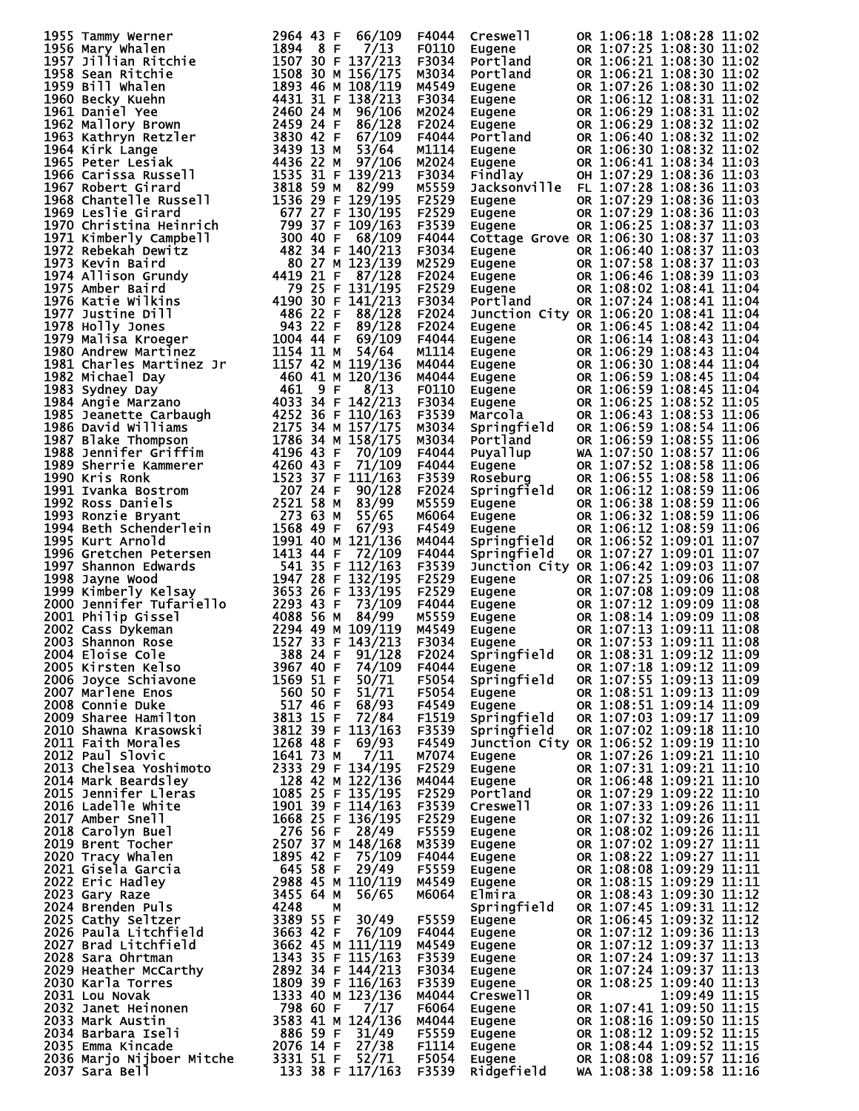| 1955 Tammy Werner                                                                                                                                                                                                                   | 2964 43 F<br>66/109 | F4044 | Creswell                                                                                                                                                                                                                                   | OR 1:06:18 1:08:28 11:02 |                          |
|-------------------------------------------------------------------------------------------------------------------------------------------------------------------------------------------------------------------------------------|---------------------|-------|--------------------------------------------------------------------------------------------------------------------------------------------------------------------------------------------------------------------------------------------|--------------------------|--------------------------|
|                                                                                                                                                                                                                                     |                     |       | Eugene                                                                                                                                                                                                                                     | OR 1:07:25 1:08:30 11:02 |                          |
|                                                                                                                                                                                                                                     |                     |       | Portland                                                                                                                                                                                                                                   | OR 1:06:21 1:08:30 11:02 |                          |
|                                                                                                                                                                                                                                     |                     |       | Portland                                                                                                                                                                                                                                   | OR 1:06:21 1:08:30 11:02 |                          |
|                                                                                                                                                                                                                                     |                     |       | Eugene                                                                                                                                                                                                                                     | OR 1:07:26 1:08:30 11:02 |                          |
|                                                                                                                                                                                                                                     |                     |       | Eugene                                                                                                                                                                                                                                     | OR 1:06:12 1:08:31 11:02 |                          |
|                                                                                                                                                                                                                                     |                     |       | <b>Eugene<br/>Eugene<br/>Portland<br/>Eugene<br/>Eindlay<br/>Findlay</b>                                                                                                                                                                   | OR 1:06:29 1:08:31 11:02 |                          |
|                                                                                                                                                                                                                                     |                     |       |                                                                                                                                                                                                                                            | OR 1:06:29 1:08:32 11:02 |                          |
|                                                                                                                                                                                                                                     |                     |       |                                                                                                                                                                                                                                            | OR 1:06:40 1:08:32 11:02 |                          |
|                                                                                                                                                                                                                                     |                     |       |                                                                                                                                                                                                                                            | OR 1:06:30 1:08:32 11:02 |                          |
|                                                                                                                                                                                                                                     |                     |       |                                                                                                                                                                                                                                            | OR 1:06:41 1:08:34 11:03 |                          |
|                                                                                                                                                                                                                                     |                     |       |                                                                                                                                                                                                                                            | OH 1:07:29 1:08:36 11:03 |                          |
|                                                                                                                                                                                                                                     |                     |       | Jacksonville FL 1:07:28 1:08:36 11:03                                                                                                                                                                                                      |                          |                          |
|                                                                                                                                                                                                                                     |                     |       | Eugene                                                                                                                                                                                                                                     | OR 1:07:29 1:08:36 11:03 |                          |
|                                                                                                                                                                                                                                     |                     |       | Eugene                                                                                                                                                                                                                                     | OR 1:07:29 1:08:36 11:03 |                          |
|                                                                                                                                                                                                                                     |                     |       | Eugene                                                                                                                                                                                                                                     | OR 1:06:25 1:08:37 11:03 |                          |
|                                                                                                                                                                                                                                     |                     |       | Cottage Grove OR 1:06:30 1:08:37 11:03                                                                                                                                                                                                     |                          |                          |
|                                                                                                                                                                                                                                     |                     |       |                                                                                                                                                                                                                                            | OR 1:06:40 1:08:37 11:03 |                          |
|                                                                                                                                                                                                                                     |                     |       | Eugene<br>Eugene<br>Eugene<br>Eugene<br>Portland                                                                                                                                                                                           | OR 1:07:58 1:08:37 11:03 |                          |
|                                                                                                                                                                                                                                     |                     |       |                                                                                                                                                                                                                                            | OR 1:06:46 1:08:39 11:03 |                          |
|                                                                                                                                                                                                                                     |                     |       |                                                                                                                                                                                                                                            | OR 1:08:02 1:08:41 11:04 |                          |
|                                                                                                                                                                                                                                     |                     |       |                                                                                                                                                                                                                                            | OR 1:07:24 1:08:41 11:04 |                          |
|                                                                                                                                                                                                                                     |                     |       | Junction City OR 1:06:20 1:08:41 11:04                                                                                                                                                                                                     |                          |                          |
|                                                                                                                                                                                                                                     |                     |       |                                                                                                                                                                                                                                            | OR 1:06:45 1:08:42 11:04 |                          |
|                                                                                                                                                                                                                                     |                     |       | Eugene                                                                                                                                                                                                                                     |                          |                          |
|                                                                                                                                                                                                                                     |                     |       |                                                                                                                                                                                                                                            |                          |                          |
|                                                                                                                                                                                                                                     |                     |       |                                                                                                                                                                                                                                            |                          |                          |
|                                                                                                                                                                                                                                     |                     |       |                                                                                                                                                                                                                                            |                          |                          |
|                                                                                                                                                                                                                                     |                     |       |                                                                                                                                                                                                                                            |                          |                          |
|                                                                                                                                                                                                                                     |                     |       |                                                                                                                                                                                                                                            |                          |                          |
|                                                                                                                                                                                                                                     |                     |       |                                                                                                                                                                                                                                            |                          |                          |
|                                                                                                                                                                                                                                     |                     |       |                                                                                                                                                                                                                                            |                          |                          |
|                                                                                                                                                                                                                                     |                     |       |                                                                                                                                                                                                                                            |                          |                          |
|                                                                                                                                                                                                                                     |                     |       |                                                                                                                                                                                                                                            |                          |                          |
|                                                                                                                                                                                                                                     |                     |       |                                                                                                                                                                                                                                            |                          |                          |
|                                                                                                                                                                                                                                     |                     |       |                                                                                                                                                                                                                                            |                          |                          |
|                                                                                                                                                                                                                                     |                     |       | Eugene 0R 1:06:45 1:08:42 11:04<br>Eugene 0R 1:06:14 1:08:43 11:04<br>Eugene 0R 1:06:29 1:08:43 11:04<br>Eugene 0R 1:06:30 1:08:44 11:04<br>Eugene 0R 1:06:59 1:08:44 11:04<br>Eugene 0R 1:06:59 1:08:45 11:04<br>Eugene 0R 1:06:59 1:08:4 |                          |                          |
|                                                                                                                                                                                                                                     |                     |       | Springfield<br>Eugene<br>Eugene<br>Eugene                                                                                                                                                                                                  | OR 1:06:12 1:08:59 11:06 |                          |
|                                                                                                                                                                                                                                     |                     |       |                                                                                                                                                                                                                                            | OR 1:06:38 1:08:59 11:06 |                          |
|                                                                                                                                                                                                                                     |                     |       |                                                                                                                                                                                                                                            | OR 1:06:32 1:08:59 11:06 |                          |
|                                                                                                                                                                                                                                     |                     |       | Eugene                                                                                                                                                                                                                                     | OR 1:06:12 1:08:59 11:06 |                          |
|                                                                                                                                                                                                                                     |                     |       | Springfield                                                                                                                                                                                                                                | OR 1:06:52 1:09:01 11:07 |                          |
|                                                                                                                                                                                                                                     |                     |       | Springfield                                                                                                                                                                                                                                | OR 1:07:27 1:09:01 11:07 |                          |
|                                                                                                                                                                                                                                     |                     |       | Junction City OR 1:06:42 1:09:03 11:07                                                                                                                                                                                                     |                          |                          |
|                                                                                                                                                                                                                                     |                     |       | Eugene                                                                                                                                                                                                                                     | OR 1:07:25 1:09:06 11:08 |                          |
|                                                                                                                                                                                                                                     |                     |       | Eugene OR 1:07:08 1:09:09 11:08<br>Eugene OR 1:07:12 1:09:09 11:08<br>Eugene OR 1:08:14 1:09:09 11:08<br>Eugene OR 1:07:13 1:09:11 11:08<br>Eugene OR 1:07:53 1:09:11 11:08                                                                |                          |                          |
|                                                                                                                                                                                                                                     |                     |       |                                                                                                                                                                                                                                            |                          |                          |
|                                                                                                                                                                                                                                     |                     |       |                                                                                                                                                                                                                                            |                          |                          |
|                                                                                                                                                                                                                                     |                     |       |                                                                                                                                                                                                                                            |                          |                          |
|                                                                                                                                                                                                                                     |                     |       |                                                                                                                                                                                                                                            |                          |                          |
|                                                                                                                                                                                                                                     |                     |       | Springfield OR 1:08:31 1:09:12 11:09<br>Eugene OR 1:07:18 1:09:12 11:09<br>Springfield OR 1:07:55 1:09:13 11:09                                                                                                                            |                          |                          |
|                                                                                                                                                                                                                                     |                     |       |                                                                                                                                                                                                                                            |                          |                          |
|                                                                                                                                                                                                                                     |                     |       |                                                                                                                                                                                                                                            |                          |                          |
|                                                                                                                                                                                                                                     |                     |       | Eugene OR 1:08:51 1:09:13 11:09<br>Eugene OR 1:08:51 1:09:13 11:09<br>Eugene OR 1:08:51 1:09:14 11:09<br>Springfield OR 1:07:03 1:09:17 11:09<br>Springfield OR 1:07:02 1:09:18 11:10                                                      |                          |                          |
|                                                                                                                                                                                                                                     |                     |       |                                                                                                                                                                                                                                            |                          |                          |
|                                                                                                                                                                                                                                     |                     |       |                                                                                                                                                                                                                                            |                          |                          |
|                                                                                                                                                                                                                                     |                     |       |                                                                                                                                                                                                                                            |                          |                          |
|                                                                                                                                                                                                                                     |                     |       | Junction City OR 1:06:52 1:09:19 11:10                                                                                                                                                                                                     |                          |                          |
|                                                                                                                                                                                                                                     |                     |       | Eugene                                                                                                                                                                                                                                     |                          | OR 1:07:26 1:09:21 11:10 |
|                                                                                                                                                                                                                                     |                     |       |                                                                                                                                                                                                                                            |                          |                          |
|                                                                                                                                                                                                                                     |                     |       |                                                                                                                                                                                                                                            |                          |                          |
|                                                                                                                                                                                                                                     |                     |       |                                                                                                                                                                                                                                            |                          |                          |
|                                                                                                                                                                                                                                     |                     |       |                                                                                                                                                                                                                                            |                          |                          |
|                                                                                                                                                                                                                                     |                     |       |                                                                                                                                                                                                                                            |                          |                          |
|                                                                                                                                                                                                                                     |                     |       |                                                                                                                                                                                                                                            |                          |                          |
|                                                                                                                                                                                                                                     |                     |       |                                                                                                                                                                                                                                            |                          |                          |
|                                                                                                                                                                                                                                     |                     |       |                                                                                                                                                                                                                                            |                          |                          |
|                                                                                                                                                                                                                                     |                     |       |                                                                                                                                                                                                                                            |                          |                          |
|                                                                                                                                                                                                                                     |                     |       |                                                                                                                                                                                                                                            |                          |                          |
|                                                                                                                                                                                                                                     |                     |       |                                                                                                                                                                                                                                            |                          |                          |
|                                                                                                                                                                                                                                     |                     |       |                                                                                                                                                                                                                                            |                          |                          |
|                                                                                                                                                                                                                                     |                     |       |                                                                                                                                                                                                                                            |                          |                          |
|                                                                                                                                                                                                                                     |                     |       |                                                                                                                                                                                                                                            |                          |                          |
|                                                                                                                                                                                                                                     |                     |       |                                                                                                                                                                                                                                            |                          |                          |
|                                                                                                                                                                                                                                     |                     |       |                                                                                                                                                                                                                                            |                          |                          |
|                                                                                                                                                                                                                                     |                     |       |                                                                                                                                                                                                                                            |                          |                          |
|                                                                                                                                                                                                                                     |                     |       |                                                                                                                                                                                                                                            |                          |                          |
|                                                                                                                                                                                                                                     |                     |       |                                                                                                                                                                                                                                            |                          |                          |
|                                                                                                                                                                                                                                     |                     |       |                                                                                                                                                                                                                                            |                          |                          |
|                                                                                                                                                                                                                                     |                     |       |                                                                                                                                                                                                                                            |                          |                          |
|                                                                                                                                                                                                                                     |                     |       |                                                                                                                                                                                                                                            |                          |                          |
| 1935 Tamey Wenner<br>1935 Tamey Wenner<br>1936 Martin Henrichte – 1936 43 F (6/10) F (1936 43 F (6/10) F (1936 43 F (1936 43 F (1936 43 F (1936 43 F (1936 43 F (1936 43 F (1936 43 F (1936 43 F (1936 43 F (1936 43 F (1936 43 F ( |                     |       | M4944<br>M7074 Eugene OR 1:07:26 1:09:21 11:10<br>M40444 Eugene OR 1:07:31 1:09:21 11:10<br>M40444 Eugene OR 1:07:33 1:09:21 11:10<br>M40444 Eugene OR 1:07:33 1:09:22 11:10<br>F3539 Creswell OR 1:07:33 1:09:22 11:11<br>F25529 Eugene O |                          |                          |
|                                                                                                                                                                                                                                     |                     |       |                                                                                                                                                                                                                                            |                          |                          |
|                                                                                                                                                                                                                                     |                     |       |                                                                                                                                                                                                                                            |                          |                          |
|                                                                                                                                                                                                                                     |                     |       |                                                                                                                                                                                                                                            |                          |                          |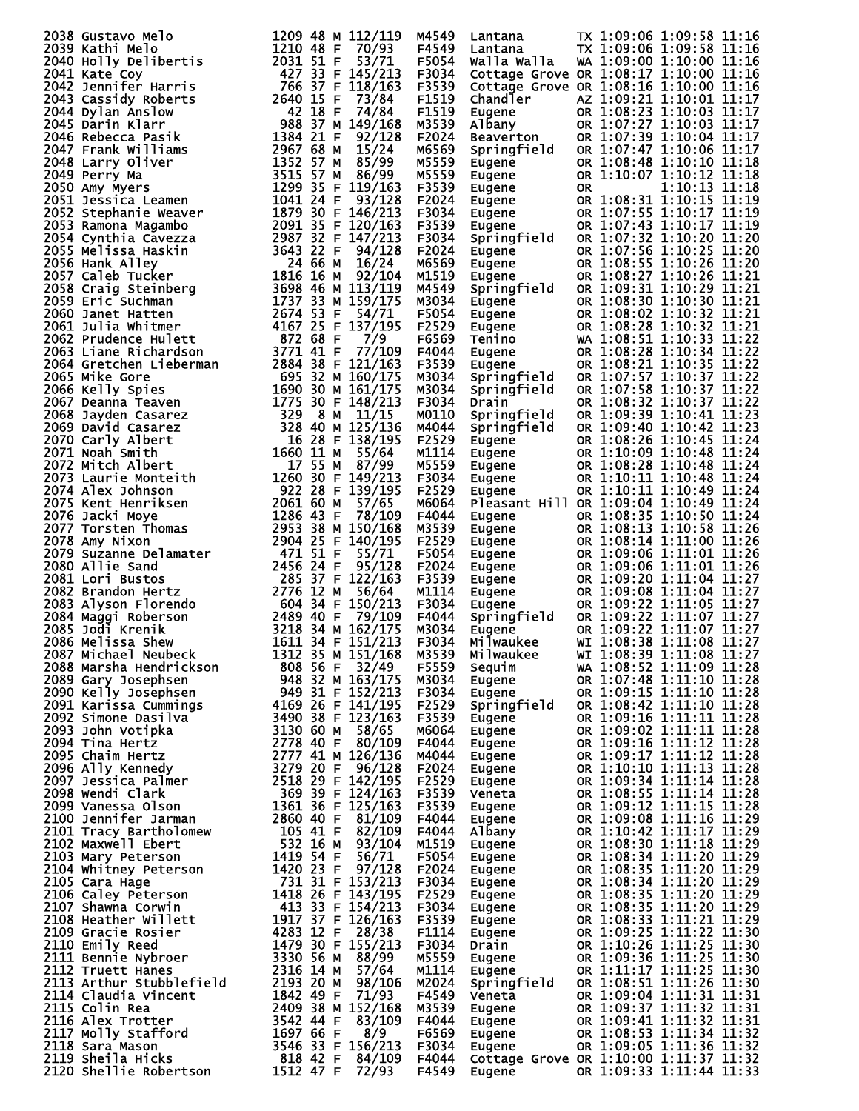| 2038 Gustav Mello<br>2039 Kathi Melo<br>2039 Kathi Melo<br>2039 Kathi Melo<br>2040 Holly Delibertis<br>2040 Holly Delibertis<br>2041 Kate Goy Holly Delibertis<br>2041 Kate Goy Fibertis<br>2042 Santific Harris 1620 15 F 73/84<br>2044 Canssi  |       |                                                               |    |                                                                                                                                                                                                                                                                                                                            |
|--------------------------------------------------------------------------------------------------------------------------------------------------------------------------------------------------------------------------------------------------|-------|---------------------------------------------------------------|----|----------------------------------------------------------------------------------------------------------------------------------------------------------------------------------------------------------------------------------------------------------------------------------------------------------------------------|
|                                                                                                                                                                                                                                                  | M4549 |                                                               |    | TX 1:09:06 1:09:58 11:16                                                                                                                                                                                                                                                                                                   |
|                                                                                                                                                                                                                                                  | F4549 | an caria<br>Lantana<br>المحمد                                 |    | TX 1:09:06 1:09:58 11:16                                                                                                                                                                                                                                                                                                   |
|                                                                                                                                                                                                                                                  | F5054 | walla walla                                                   |    | WA 1:09:00 1:10:00 11:16                                                                                                                                                                                                                                                                                                   |
|                                                                                                                                                                                                                                                  | F3034 |                                                               |    | Cottage Grove OR 1:08:17 1:10:00 11:16                                                                                                                                                                                                                                                                                     |
|                                                                                                                                                                                                                                                  |       |                                                               |    |                                                                                                                                                                                                                                                                                                                            |
|                                                                                                                                                                                                                                                  | F3539 |                                                               |    | Cottage Grove OR 1:08:16 1:10:00 11:16                                                                                                                                                                                                                                                                                     |
|                                                                                                                                                                                                                                                  | F1519 | Chandler                                                      |    | AZ 1:09:21 1:10:01 11:17                                                                                                                                                                                                                                                                                                   |
|                                                                                                                                                                                                                                                  | F1519 | <b>Eugene<br/>Albany<br/>Beaverton</b>                        |    | OR 1:08:23 1:10:03 11:17                                                                                                                                                                                                                                                                                                   |
|                                                                                                                                                                                                                                                  |       |                                                               |    |                                                                                                                                                                                                                                                                                                                            |
|                                                                                                                                                                                                                                                  | M3539 |                                                               |    | OR 1:07:27 1:10:03 11:17                                                                                                                                                                                                                                                                                                   |
|                                                                                                                                                                                                                                                  | F2024 |                                                               |    | OR 1:07:39 1:10:04 11:17                                                                                                                                                                                                                                                                                                   |
|                                                                                                                                                                                                                                                  | M6569 | Springfield                                                   |    | OR 1:07:47 1:10:06 11:17                                                                                                                                                                                                                                                                                                   |
|                                                                                                                                                                                                                                                  |       |                                                               |    |                                                                                                                                                                                                                                                                                                                            |
|                                                                                                                                                                                                                                                  | M5559 |                                                               |    | OR 1:08:48 1:10:10 11:18                                                                                                                                                                                                                                                                                                   |
|                                                                                                                                                                                                                                                  | M5559 |                                                               |    | OR 1:10:07 1:10:12 11:18                                                                                                                                                                                                                                                                                                   |
|                                                                                                                                                                                                                                                  | F3539 |                                                               | 0R | 1:10:13 11:18                                                                                                                                                                                                                                                                                                              |
|                                                                                                                                                                                                                                                  |       |                                                               |    | OR 1:08:31 1:10:15 11:19                                                                                                                                                                                                                                                                                                   |
|                                                                                                                                                                                                                                                  | F2024 | Eugene<br>Eugene<br>Eugene<br>Eugene<br>Eugene<br>Springfield |    |                                                                                                                                                                                                                                                                                                                            |
|                                                                                                                                                                                                                                                  | F3034 |                                                               |    | OR 1:07:55 1:10:17 11:19                                                                                                                                                                                                                                                                                                   |
|                                                                                                                                                                                                                                                  | F3539 |                                                               |    | OR 1:07:43 1:10:17 11:19                                                                                                                                                                                                                                                                                                   |
|                                                                                                                                                                                                                                                  | F3034 |                                                               |    | OR 1:07:32 1:10:20 11:20                                                                                                                                                                                                                                                                                                   |
|                                                                                                                                                                                                                                                  |       | Springfield                                                   |    |                                                                                                                                                                                                                                                                                                                            |
|                                                                                                                                                                                                                                                  | F2024 | Eugene                                                        |    | OR 1:07:56 1:10:25 11:20                                                                                                                                                                                                                                                                                                   |
|                                                                                                                                                                                                                                                  | M6569 | Eugene<br>Eugene<br>Eugene                                    |    | OR 1:08:55 1:10:26 11:20                                                                                                                                                                                                                                                                                                   |
|                                                                                                                                                                                                                                                  | M1519 |                                                               |    | OR 1:08:27 1:10:26 11:21                                                                                                                                                                                                                                                                                                   |
|                                                                                                                                                                                                                                                  |       |                                                               |    |                                                                                                                                                                                                                                                                                                                            |
|                                                                                                                                                                                                                                                  | M4549 | Springfield                                                   |    | OR 1:09:31 1:10:29 11:21                                                                                                                                                                                                                                                                                                   |
|                                                                                                                                                                                                                                                  | M3034 | Eugene                                                        |    | OR 1:08:30 1:10:30 11:21                                                                                                                                                                                                                                                                                                   |
|                                                                                                                                                                                                                                                  | F5054 | Eugene<br>Eugene<br>Tenino<br>Eugene<br>Eugene<br>Springfield |    | OR 1:08:02 1:10:32 11:21                                                                                                                                                                                                                                                                                                   |
|                                                                                                                                                                                                                                                  | F2529 |                                                               |    | OR 1:08:28 1:10:32 11:21                                                                                                                                                                                                                                                                                                   |
|                                                                                                                                                                                                                                                  |       |                                                               |    |                                                                                                                                                                                                                                                                                                                            |
|                                                                                                                                                                                                                                                  | F6569 |                                                               |    | WA 1:08:51 1:10:33 11:22                                                                                                                                                                                                                                                                                                   |
|                                                                                                                                                                                                                                                  | F4044 |                                                               |    | OR 1:08:28 1:10:34 11:22                                                                                                                                                                                                                                                                                                   |
|                                                                                                                                                                                                                                                  | F3539 |                                                               |    | OR 1:08:21 1:10:35 11:22                                                                                                                                                                                                                                                                                                   |
|                                                                                                                                                                                                                                                  |       |                                                               |    |                                                                                                                                                                                                                                                                                                                            |
|                                                                                                                                                                                                                                                  | M3034 |                                                               |    | OR 1:07:57 1:10:37 11:22                                                                                                                                                                                                                                                                                                   |
|                                                                                                                                                                                                                                                  | M3034 | Springfield                                                   |    | OR 1:07:58 1:10:37 11:22                                                                                                                                                                                                                                                                                                   |
|                                                                                                                                                                                                                                                  | F3034 | Drain                                                         |    | OR 1:08:32 1:10:37 11:22                                                                                                                                                                                                                                                                                                   |
|                                                                                                                                                                                                                                                  |       |                                                               |    | OR 1:09:39 1:10:41 11:23                                                                                                                                                                                                                                                                                                   |
|                                                                                                                                                                                                                                                  | M0110 | Springfield                                                   |    |                                                                                                                                                                                                                                                                                                                            |
|                                                                                                                                                                                                                                                  | M4044 | Springfield                                                   |    | OR 1:09:40 1:10:42 11:23                                                                                                                                                                                                                                                                                                   |
|                                                                                                                                                                                                                                                  | F2529 |                                                               |    | OR 1:08:26 1:10:45 11:24                                                                                                                                                                                                                                                                                                   |
|                                                                                                                                                                                                                                                  | M1114 |                                                               |    | OR 1:10:09 1:10:48 11:24                                                                                                                                                                                                                                                                                                   |
|                                                                                                                                                                                                                                                  |       |                                                               |    |                                                                                                                                                                                                                                                                                                                            |
|                                                                                                                                                                                                                                                  | M5559 |                                                               |    | OR 1:08:28 1:10:48 11:24                                                                                                                                                                                                                                                                                                   |
|                                                                                                                                                                                                                                                  | F3034 |                                                               |    | OR 1:10:11 1:10:48 11:24                                                                                                                                                                                                                                                                                                   |
|                                                                                                                                                                                                                                                  | F2529 | <b>Lugene<br/>Eugene<br/>Eugene<br/>Eugene<br/>Encare</b>     |    | OR 1:10:11 1:10:49 11:24                                                                                                                                                                                                                                                                                                   |
|                                                                                                                                                                                                                                                  |       |                                                               |    |                                                                                                                                                                                                                                                                                                                            |
|                                                                                                                                                                                                                                                  | M6064 |                                                               |    | Pleasant Hill OR 1:09:04 1:10:49 11:24                                                                                                                                                                                                                                                                                     |
|                                                                                                                                                                                                                                                  | F4044 |                                                               |    |                                                                                                                                                                                                                                                                                                                            |
|                                                                                                                                                                                                                                                  | M3539 |                                                               |    |                                                                                                                                                                                                                                                                                                                            |
|                                                                                                                                                                                                                                                  | F2529 |                                                               |    |                                                                                                                                                                                                                                                                                                                            |
|                                                                                                                                                                                                                                                  |       |                                                               |    |                                                                                                                                                                                                                                                                                                                            |
|                                                                                                                                                                                                                                                  | F5054 |                                                               |    |                                                                                                                                                                                                                                                                                                                            |
|                                                                                                                                                                                                                                                  | F2024 |                                                               |    |                                                                                                                                                                                                                                                                                                                            |
|                                                                                                                                                                                                                                                  | F3539 |                                                               |    |                                                                                                                                                                                                                                                                                                                            |
|                                                                                                                                                                                                                                                  |       |                                                               |    |                                                                                                                                                                                                                                                                                                                            |
|                                                                                                                                                                                                                                                  | M1114 |                                                               |    |                                                                                                                                                                                                                                                                                                                            |
|                                                                                                                                                                                                                                                  | F3034 |                                                               |    |                                                                                                                                                                                                                                                                                                                            |
|                                                                                                                                                                                                                                                  | F4044 |                                                               |    |                                                                                                                                                                                                                                                                                                                            |
|                                                                                                                                                                                                                                                  | M3034 |                                                               |    |                                                                                                                                                                                                                                                                                                                            |
|                                                                                                                                                                                                                                                  |       |                                                               |    |                                                                                                                                                                                                                                                                                                                            |
|                                                                                                                                                                                                                                                  | F3034 |                                                               |    | Frequence $R = \begin{bmatrix} 0 & 0 & 0 & 0 & 0 \\ 0 & 0 & 0 & 0 & 0 \\ 0 & 0 & 0 & 0 & 0 \\ 0 & 0 & 0 & 0 & 0 \\ 0 & 0 & 0 & 0 & 0 \\ 0 & 0 & 0 & 0 & 0 \\ 0 & 0 & 0 & 0 & 0 \\ 0 & 0 & 0 & 0 & 0 \\ 0 & 0 & 0 & 0 & 0 \\ 0 & 0 & 0 & 0 & 0 \\ 0 & 0 & 0 & 0 & 0 \\ 0 & 0 & 0 & 0 & 0 \\ 0 & 0 & 0 & 0 & 0 \\ 0 & 0 & 0$ |
|                                                                                                                                                                                                                                                  |       |                                                               |    | M3539 Milwaukee WI 1:08:39 1:11:08 11:27                                                                                                                                                                                                                                                                                   |
|                                                                                                                                                                                                                                                  |       | Sequim<br>Eugene                                              |    | WA 1:08:52 1:11:09 11:28                                                                                                                                                                                                                                                                                                   |
|                                                                                                                                                                                                                                                  |       |                                                               |    | OR 1:07:48 1:11:10 11:28                                                                                                                                                                                                                                                                                                   |
|                                                                                                                                                                                                                                                  |       |                                                               |    |                                                                                                                                                                                                                                                                                                                            |
|                                                                                                                                                                                                                                                  |       | Eugene                                                        |    | OR 1:09:15 1:11:10 11:28                                                                                                                                                                                                                                                                                                   |
|                                                                                                                                                                                                                                                  |       | Springfield                                                   |    | OR 1:08:42 1:11:10 11:28                                                                                                                                                                                                                                                                                                   |
|                                                                                                                                                                                                                                                  |       | Eugene                                                        |    | OR 1:09:16 1:11:11 11:28                                                                                                                                                                                                                                                                                                   |
|                                                                                                                                                                                                                                                  |       | Eugene                                                        |    | OR 1:09:02 1:11:11 11:28                                                                                                                                                                                                                                                                                                   |
|                                                                                                                                                                                                                                                  |       |                                                               |    |                                                                                                                                                                                                                                                                                                                            |
|                                                                                                                                                                                                                                                  |       | Eugene                                                        |    | OR 1:09:16 1:11:12 11:28                                                                                                                                                                                                                                                                                                   |
|                                                                                                                                                                                                                                                  |       | Eugene                                                        |    | OR 1:09:17 1:11:12 11:28                                                                                                                                                                                                                                                                                                   |
|                                                                                                                                                                                                                                                  |       | Eugene                                                        |    | OR 1:10:10 1:11:13 11:28                                                                                                                                                                                                                                                                                                   |
|                                                                                                                                                                                                                                                  |       | Eugene                                                        |    | OR 1:09:34 1:11:14 11:28                                                                                                                                                                                                                                                                                                   |
|                                                                                                                                                                                                                                                  |       |                                                               |    | OR 1:08:55 1:11:14 11:28                                                                                                                                                                                                                                                                                                   |
|                                                                                                                                                                                                                                                  |       | Veneta                                                        |    |                                                                                                                                                                                                                                                                                                                            |
|                                                                                                                                                                                                                                                  |       | Eugene                                                        |    | OR 1:09:12 1:11:15 11:28                                                                                                                                                                                                                                                                                                   |
|                                                                                                                                                                                                                                                  |       | Eugene                                                        |    | OR 1:09:08 1:11:16 11:29                                                                                                                                                                                                                                                                                                   |
|                                                                                                                                                                                                                                                  |       | Albany                                                        |    | OR 1:10:42 1:11:17 11:29                                                                                                                                                                                                                                                                                                   |
|                                                                                                                                                                                                                                                  |       |                                                               |    |                                                                                                                                                                                                                                                                                                                            |
|                                                                                                                                                                                                                                                  |       | Eugene                                                        |    | OR 1:08:30 1:11:18 11:29                                                                                                                                                                                                                                                                                                   |
|                                                                                                                                                                                                                                                  |       | Eugene                                                        |    | OR 1:08:34 1:11:20 11:29                                                                                                                                                                                                                                                                                                   |
|                                                                                                                                                                                                                                                  |       | Eugene                                                        |    | OR 1:08:35 1:11:20 11:29<br>OR 1:08:34 1:11:20 11:29                                                                                                                                                                                                                                                                       |
|                                                                                                                                                                                                                                                  |       |                                                               |    |                                                                                                                                                                                                                                                                                                                            |
|                                                                                                                                                                                                                                                  |       | Eugene                                                        |    |                                                                                                                                                                                                                                                                                                                            |
|                                                                                                                                                                                                                                                  |       | Eugene                                                        |    | OR 1:08:35 1:11:20 11:29                                                                                                                                                                                                                                                                                                   |
|                                                                                                                                                                                                                                                  |       | Eugene                                                        |    | OR 1:08:35 1:11:20 11:29                                                                                                                                                                                                                                                                                                   |
|                                                                                                                                                                                                                                                  |       | Eugene                                                        |    | OR 1:08:33 1:11:21 11:29                                                                                                                                                                                                                                                                                                   |
|                                                                                                                                                                                                                                                  |       |                                                               |    |                                                                                                                                                                                                                                                                                                                            |
|                                                                                                                                                                                                                                                  |       | Eugene                                                        |    | OR 1:09:25 1:11:22 11:30                                                                                                                                                                                                                                                                                                   |
|                                                                                                                                                                                                                                                  |       | $D$ rain                                                      |    | OR 1:10:26 1:11:25 11:30                                                                                                                                                                                                                                                                                                   |
|                                                                                                                                                                                                                                                  |       | Eugene                                                        |    | OR 1:09:36 1:11:25 11:30                                                                                                                                                                                                                                                                                                   |
|                                                                                                                                                                                                                                                  |       |                                                               |    |                                                                                                                                                                                                                                                                                                                            |
|                                                                                                                                                                                                                                                  |       |                                                               |    | Eugene OR 1:11:17 1:11:25 11:30<br>Springfield OR 1:08:51 1:11:26 11:30                                                                                                                                                                                                                                                    |
|                                                                                                                                                                                                                                                  |       |                                                               |    |                                                                                                                                                                                                                                                                                                                            |
|                                                                                                                                                                                                                                                  |       | Veneta                                                        |    | OR 1:09:04 1:11:31 11:31                                                                                                                                                                                                                                                                                                   |
|                                                                                                                                                                                                                                                  |       | Eugene                                                        |    | OR 1:09:37 1:11:32 11:31                                                                                                                                                                                                                                                                                                   |
|                                                                                                                                                                                                                                                  |       |                                                               |    |                                                                                                                                                                                                                                                                                                                            |
|                                                                                                                                                                                                                                                  |       | Eugene                                                        |    | OR 1:09:41 1:11:32 11:31                                                                                                                                                                                                                                                                                                   |
|                                                                                                                                                                                                                                                  |       | Eugene                                                        |    | OR 1:08:53 1:11:34 11:32                                                                                                                                                                                                                                                                                                   |
|                                                                                                                                                                                                                                                  |       | <b>Eugene</b>                                                 |    | OR 1:09:05 1:11:36 11:32                                                                                                                                                                                                                                                                                                   |
| 2085 Jodi Krenik 1922<br>2086 Melissa Shew<br>1621 134 F 151/7215 N3034<br>2086 Melissa Shew<br>2088 Marsha Neubeck<br>1611 34 F 151/215 N3034<br>2088 Marsha Mendrickson<br>2088 Marsha Mendrickson<br>2089 Gary Josephsen<br>2089 Gary Josephs |       |                                                               |    | Cottage Grove OR 1:10:00 1:11:37 11:32                                                                                                                                                                                                                                                                                     |
|                                                                                                                                                                                                                                                  |       |                                                               |    | OR 1:09:33 1:11:44 11:33                                                                                                                                                                                                                                                                                                   |
|                                                                                                                                                                                                                                                  |       | Eugene                                                        |    |                                                                                                                                                                                                                                                                                                                            |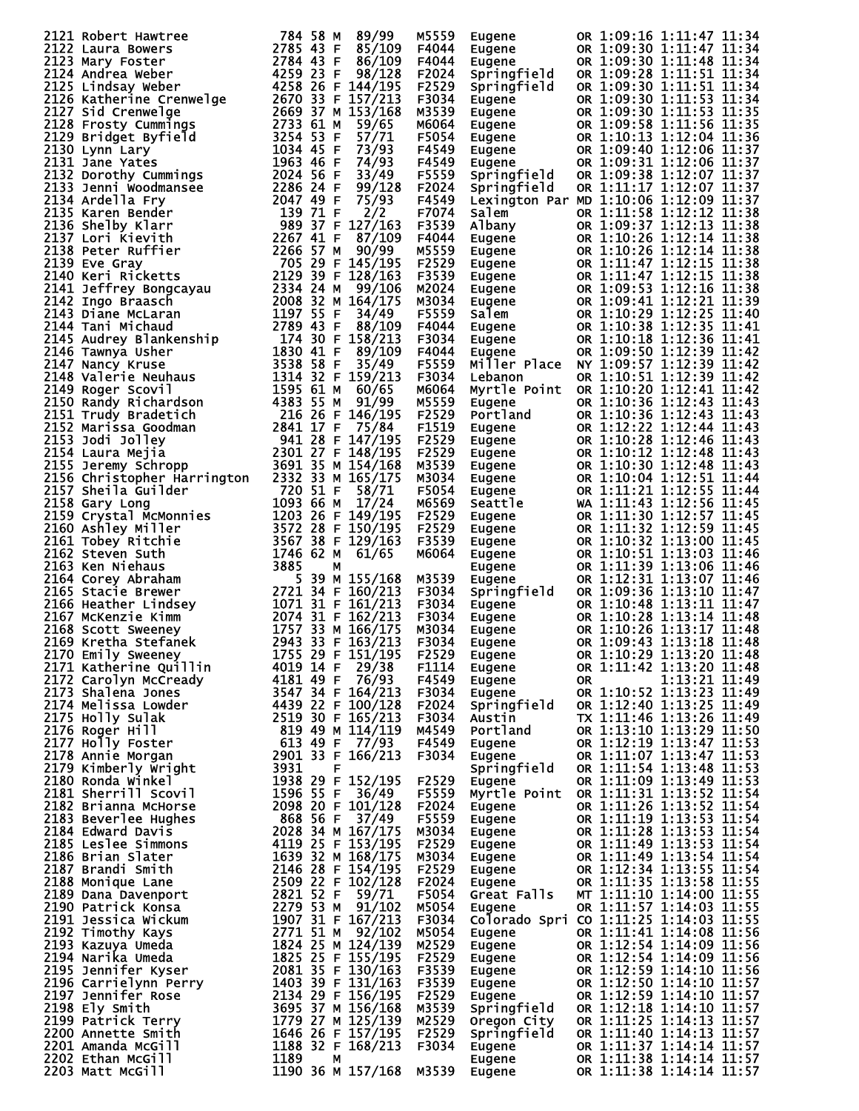| 2121 Robert Hawtree<br>2721 Robert Hawtree<br>2785 43 F 88/99<br>2122 Lanra Bowers<br>2785 43 F 86/109<br>2123 Mary Foster<br>2785 43 F 86/109<br>2123 Mary Foster<br>2784 43 F 86/109<br>2125 kindsay weber<br>4259 236 F 144/195<br>2125 Kindsay   |          | M5559 | <b>Eugene</b>                                                                                                             | OR 1:09:16 1:11:47 11:34                                                                                                                                                                                                                         |
|------------------------------------------------------------------------------------------------------------------------------------------------------------------------------------------------------------------------------------------------------|----------|-------|---------------------------------------------------------------------------------------------------------------------------|--------------------------------------------------------------------------------------------------------------------------------------------------------------------------------------------------------------------------------------------------|
|                                                                                                                                                                                                                                                      |          | F4044 | Eugene                                                                                                                    | OR 1:09:30 1:11:47 11:34                                                                                                                                                                                                                         |
|                                                                                                                                                                                                                                                      |          | F4044 | Eugene                                                                                                                    | OR 1:09:30 1:11:48 11:34                                                                                                                                                                                                                         |
|                                                                                                                                                                                                                                                      |          | F2024 | Springfield                                                                                                               | OR 1:09:28 1:11:51 11:34                                                                                                                                                                                                                         |
|                                                                                                                                                                                                                                                      |          | F2529 | Springfield                                                                                                               | OR 1:09:30 1:11:51 11:34                                                                                                                                                                                                                         |
|                                                                                                                                                                                                                                                      |          | F3034 | Eugene                                                                                                                    | OR 1:09:30 1:11:53 11:34                                                                                                                                                                                                                         |
|                                                                                                                                                                                                                                                      |          | M3539 |                                                                                                                           | Eugene OR 1:09:30 1:11:53 11:34<br>Eugene OR 1:09:30 1:11:53 11:35<br>Eugene OR 1:09:58 1:11:56 11:35<br>Eugene OR 1:10:13 1:12:04 11:36<br>Eugene OR 1:09:31 1:12:06 11:37<br>Springfield OR 1:09:38 1:12:07 11:37<br>Springfield OR 1:09:38 1: |
|                                                                                                                                                                                                                                                      |          | M6064 |                                                                                                                           |                                                                                                                                                                                                                                                  |
|                                                                                                                                                                                                                                                      |          |       |                                                                                                                           |                                                                                                                                                                                                                                                  |
|                                                                                                                                                                                                                                                      |          | F5054 |                                                                                                                           |                                                                                                                                                                                                                                                  |
|                                                                                                                                                                                                                                                      |          | F4549 |                                                                                                                           |                                                                                                                                                                                                                                                  |
|                                                                                                                                                                                                                                                      |          | F4549 |                                                                                                                           |                                                                                                                                                                                                                                                  |
|                                                                                                                                                                                                                                                      |          | F5559 |                                                                                                                           |                                                                                                                                                                                                                                                  |
|                                                                                                                                                                                                                                                      |          | F2024 | Springfield                                                                                                               | OR 1:11:17 1:12:07 11:37                                                                                                                                                                                                                         |
|                                                                                                                                                                                                                                                      |          | F4549 |                                                                                                                           | Lexington Par MD 1:10:06 1:12:09 11:37                                                                                                                                                                                                           |
|                                                                                                                                                                                                                                                      |          | F7074 | Salem                                                                                                                     | OR 1:11:58 1:12:12 11:38                                                                                                                                                                                                                         |
|                                                                                                                                                                                                                                                      |          | F3539 |                                                                                                                           | OR 1:09:37 1:12:13 11:38                                                                                                                                                                                                                         |
|                                                                                                                                                                                                                                                      |          | F4044 | Salem<br>Albany<br>Eugene<br>Eugene<br>Eugene<br>Eugene<br>Eugene<br>Eugene<br>Eugene                                     | OR 1:10:26 1:12:14 11:38                                                                                                                                                                                                                         |
|                                                                                                                                                                                                                                                      |          | M5559 |                                                                                                                           | OR 1:10:26 1:12:14 11:38                                                                                                                                                                                                                         |
|                                                                                                                                                                                                                                                      |          | F2529 |                                                                                                                           | OR 1:11:47 1:12:15 11:38                                                                                                                                                                                                                         |
|                                                                                                                                                                                                                                                      |          | F3539 |                                                                                                                           | OR 1:11:47 1:12:15 11:38                                                                                                                                                                                                                         |
|                                                                                                                                                                                                                                                      |          | M2024 |                                                                                                                           | OR 1:09:53 1:12:16 11:38                                                                                                                                                                                                                         |
|                                                                                                                                                                                                                                                      |          | M3034 |                                                                                                                           | OR 1:09:41 1:12:21 11:39                                                                                                                                                                                                                         |
|                                                                                                                                                                                                                                                      |          | F5559 |                                                                                                                           | OR 1:10:29 1:12:25 11:40                                                                                                                                                                                                                         |
|                                                                                                                                                                                                                                                      |          | F4044 |                                                                                                                           | OR 1:10:38 1:12:35 11:41                                                                                                                                                                                                                         |
|                                                                                                                                                                                                                                                      |          | F3034 |                                                                                                                           | OR 1:10:18 1:12:36 11:41                                                                                                                                                                                                                         |
|                                                                                                                                                                                                                                                      |          | F4044 | Eugene                                                                                                                    | OR 1:09:50 1:12:39 11:42                                                                                                                                                                                                                         |
|                                                                                                                                                                                                                                                      |          | F5559 |                                                                                                                           | Miller Place NY 1:09:57 1:12:39 11:42                                                                                                                                                                                                            |
|                                                                                                                                                                                                                                                      |          | F3034 | Lebanon                                                                                                                   | OR 1:10:51 1:12:39 11:42                                                                                                                                                                                                                         |
|                                                                                                                                                                                                                                                      |          | M6064 |                                                                                                                           | Myrtle Point OR 1:10:20 1:12:41 11:42                                                                                                                                                                                                            |
|                                                                                                                                                                                                                                                      |          | M5559 | Eugene                                                                                                                    | OR 1:10:36 1:12:43 11:43                                                                                                                                                                                                                         |
|                                                                                                                                                                                                                                                      |          | F2529 | Portland                                                                                                                  | OR 1:10:36 1:12:43 11:43                                                                                                                                                                                                                         |
|                                                                                                                                                                                                                                                      |          | F1519 | Eugene                                                                                                                    | OR 1:12:22 1:12:44 11:43                                                                                                                                                                                                                         |
|                                                                                                                                                                                                                                                      |          | F2529 |                                                                                                                           | OR 1:10:28 1:12:46 11:43                                                                                                                                                                                                                         |
|                                                                                                                                                                                                                                                      |          |       |                                                                                                                           |                                                                                                                                                                                                                                                  |
|                                                                                                                                                                                                                                                      |          | F2529 |                                                                                                                           | OR 1:10:12 1:12:48 11:43                                                                                                                                                                                                                         |
|                                                                                                                                                                                                                                                      |          | M3539 |                                                                                                                           | OR 1:10:30 1:12:48 11:43                                                                                                                                                                                                                         |
|                                                                                                                                                                                                                                                      |          | M3034 |                                                                                                                           | OR 1:10:04 1:12:51 11:44                                                                                                                                                                                                                         |
|                                                                                                                                                                                                                                                      | 720 51 F | F5054 |                                                                                                                           | OR 1:11:21 1:12:55 11:44                                                                                                                                                                                                                         |
|                                                                                                                                                                                                                                                      |          | M6569 |                                                                                                                           | WA 1:11:43 1:12:56 11:45                                                                                                                                                                                                                         |
|                                                                                                                                                                                                                                                      |          | F2529 |                                                                                                                           | OR 1:11:30 1:12:57 11:45                                                                                                                                                                                                                         |
|                                                                                                                                                                                                                                                      |          | F2529 |                                                                                                                           | OR 1:11:32 1:12:59 11:45                                                                                                                                                                                                                         |
|                                                                                                                                                                                                                                                      |          | F3539 |                                                                                                                           | OR 1:10:32 1:13:00 11:45                                                                                                                                                                                                                         |
|                                                                                                                                                                                                                                                      |          | M6064 |                                                                                                                           | OR 1:10:51 1:13:03 11:46                                                                                                                                                                                                                         |
|                                                                                                                                                                                                                                                      |          |       | Eugene<br>Eugene<br>Eugene<br>Eugene<br>Eugene<br>Eugene<br>Eugene<br>Eugene<br>Eugene<br>Eugene<br>Eugene<br>Sprinafield | OR 1:11:39 1:13:06 11:46                                                                                                                                                                                                                         |
|                                                                                                                                                                                                                                                      |          | M3539 |                                                                                                                           | OR 1:12:31 1:13:07 11:46                                                                                                                                                                                                                         |
|                                                                                                                                                                                                                                                      |          | F3034 |                                                                                                                           | OR 1:09:36 1:13:10 11:47                                                                                                                                                                                                                         |
| 2157 Sheila Guilder<br>2157 Sheila Guilder<br>2158 Gary Long<br>2158 Gary Long<br>2158 Gary Long<br>2158 Crystal McMonnies<br>2160 Ashley Miller<br>2160 Ashley Miller<br>2161 Tobey Ritchie<br>3572 28 F 149/195<br>2161 Tobey Ritchie<br>3572 28 F |          | F3034 | <b>Springfield<br/>Eugene<br/>Eugene<br/>Eugene<br/>Eugene</b><br>Eugene                                                  | OR 1:10:48 1:13:11 11:47                                                                                                                                                                                                                         |
|                                                                                                                                                                                                                                                      |          | F3034 |                                                                                                                           | OR 1:10:28 1:13:14 11:48                                                                                                                                                                                                                         |
|                                                                                                                                                                                                                                                      |          | M3034 |                                                                                                                           | OR 1:10:26 1:13:17 11:48                                                                                                                                                                                                                         |
|                                                                                                                                                                                                                                                      |          | F3034 |                                                                                                                           | OR 1:09:43 1:13:18 11:48                                                                                                                                                                                                                         |
|                                                                                                                                                                                                                                                      |          |       |                                                                                                                           |                                                                                                                                                                                                                                                  |
|                                                                                                                                                                                                                                                      |          |       |                                                                                                                           |                                                                                                                                                                                                                                                  |
|                                                                                                                                                                                                                                                      |          |       |                                                                                                                           |                                                                                                                                                                                                                                                  |
|                                                                                                                                                                                                                                                      |          |       |                                                                                                                           |                                                                                                                                                                                                                                                  |
|                                                                                                                                                                                                                                                      |          |       |                                                                                                                           |                                                                                                                                                                                                                                                  |
|                                                                                                                                                                                                                                                      |          |       |                                                                                                                           |                                                                                                                                                                                                                                                  |
|                                                                                                                                                                                                                                                      |          |       |                                                                                                                           |                                                                                                                                                                                                                                                  |
|                                                                                                                                                                                                                                                      |          |       |                                                                                                                           |                                                                                                                                                                                                                                                  |
|                                                                                                                                                                                                                                                      |          |       |                                                                                                                           |                                                                                                                                                                                                                                                  |
|                                                                                                                                                                                                                                                      |          |       |                                                                                                                           |                                                                                                                                                                                                                                                  |
|                                                                                                                                                                                                                                                      |          |       |                                                                                                                           |                                                                                                                                                                                                                                                  |
|                                                                                                                                                                                                                                                      |          |       |                                                                                                                           |                                                                                                                                                                                                                                                  |
|                                                                                                                                                                                                                                                      |          |       |                                                                                                                           |                                                                                                                                                                                                                                                  |
|                                                                                                                                                                                                                                                      |          |       |                                                                                                                           |                                                                                                                                                                                                                                                  |
|                                                                                                                                                                                                                                                      |          |       |                                                                                                                           |                                                                                                                                                                                                                                                  |
|                                                                                                                                                                                                                                                      |          |       |                                                                                                                           |                                                                                                                                                                                                                                                  |
|                                                                                                                                                                                                                                                      |          |       |                                                                                                                           |                                                                                                                                                                                                                                                  |
|                                                                                                                                                                                                                                                      |          |       |                                                                                                                           |                                                                                                                                                                                                                                                  |
|                                                                                                                                                                                                                                                      |          |       |                                                                                                                           |                                                                                                                                                                                                                                                  |
|                                                                                                                                                                                                                                                      |          |       |                                                                                                                           |                                                                                                                                                                                                                                                  |
|                                                                                                                                                                                                                                                      |          |       |                                                                                                                           |                                                                                                                                                                                                                                                  |
|                                                                                                                                                                                                                                                      |          |       |                                                                                                                           |                                                                                                                                                                                                                                                  |
|                                                                                                                                                                                                                                                      |          |       |                                                                                                                           |                                                                                                                                                                                                                                                  |
|                                                                                                                                                                                                                                                      |          |       |                                                                                                                           |                                                                                                                                                                                                                                                  |
|                                                                                                                                                                                                                                                      |          |       |                                                                                                                           |                                                                                                                                                                                                                                                  |
|                                                                                                                                                                                                                                                      |          |       |                                                                                                                           |                                                                                                                                                                                                                                                  |
|                                                                                                                                                                                                                                                      |          |       |                                                                                                                           |                                                                                                                                                                                                                                                  |
|                                                                                                                                                                                                                                                      |          |       |                                                                                                                           |                                                                                                                                                                                                                                                  |
|                                                                                                                                                                                                                                                      |          |       |                                                                                                                           |                                                                                                                                                                                                                                                  |
|                                                                                                                                                                                                                                                      |          |       |                                                                                                                           |                                                                                                                                                                                                                                                  |
|                                                                                                                                                                                                                                                      |          |       |                                                                                                                           |                                                                                                                                                                                                                                                  |
|                                                                                                                                                                                                                                                      |          |       |                                                                                                                           |                                                                                                                                                                                                                                                  |
|                                                                                                                                                                                                                                                      |          |       |                                                                                                                           |                                                                                                                                                                                                                                                  |
|                                                                                                                                                                                                                                                      |          |       |                                                                                                                           |                                                                                                                                                                                                                                                  |
|                                                                                                                                                                                                                                                      |          |       |                                                                                                                           |                                                                                                                                                                                                                                                  |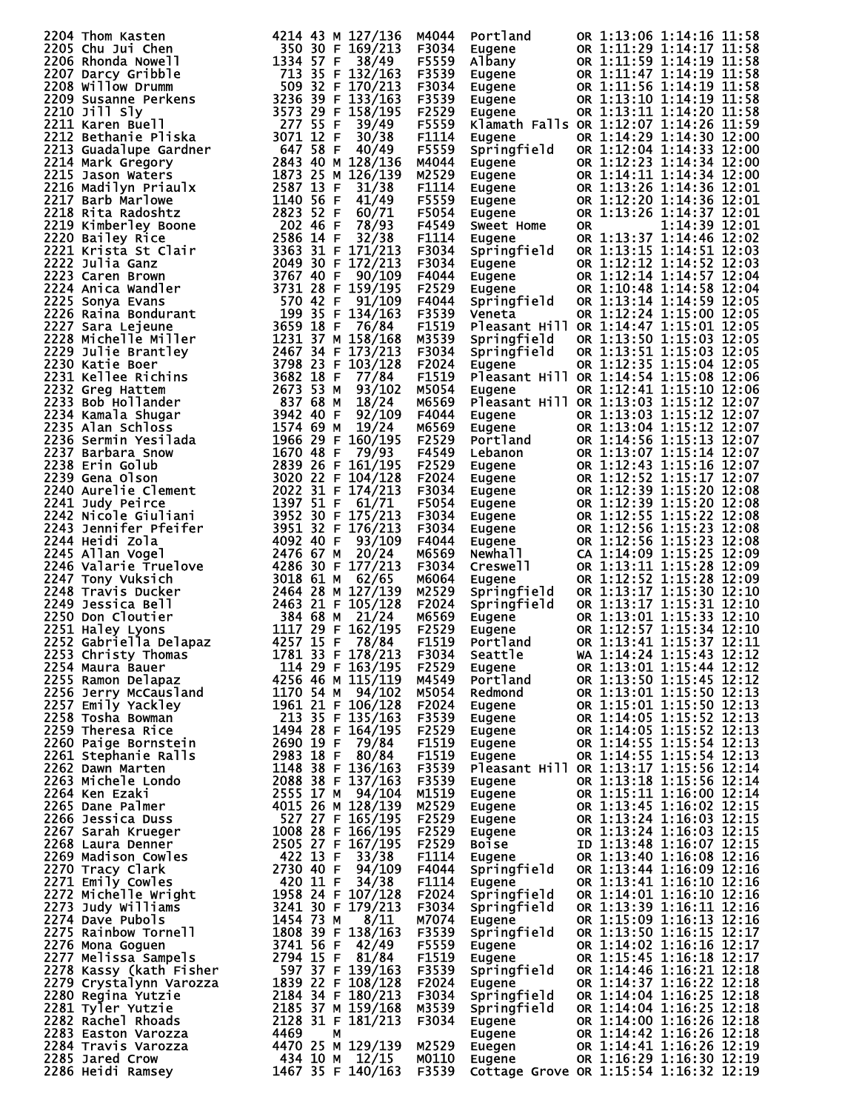| 2206 Rhom Kasten<br>Thom Kasten Warel 1214 43 M 127/136<br>2206 Rhomda Nowell 1334 57 F 38/49<br>2206 Rhomda Nowell<br>2207 Darcy Gribble<br>2207 Darcy Gribble<br>2207 Darcy Gribble<br>2200 Susanne Perkens<br>500 32 F 133/163<br>2210 Bushm |                   | M4044 | Portland                                                                        | OR 1:13:06 1:14:16 11:58                                                                                                                                                                                                                                                                                                |  |
|-------------------------------------------------------------------------------------------------------------------------------------------------------------------------------------------------------------------------------------------------|-------------------|-------|---------------------------------------------------------------------------------|-------------------------------------------------------------------------------------------------------------------------------------------------------------------------------------------------------------------------------------------------------------------------------------------------------------------------|--|
|                                                                                                                                                                                                                                                 |                   | F3034 | Eugene                                                                          | OR 1:11:29 1:14:17 11:58                                                                                                                                                                                                                                                                                                |  |
|                                                                                                                                                                                                                                                 |                   | F5559 | Albany                                                                          | OR 1:11:59 1:14:19 11:58                                                                                                                                                                                                                                                                                                |  |
|                                                                                                                                                                                                                                                 |                   | F3539 |                                                                                 | OR 1:11:47 1:14:19 11:58                                                                                                                                                                                                                                                                                                |  |
|                                                                                                                                                                                                                                                 |                   | F3034 |                                                                                 | OR 1:11:56 1:14:19 11:58                                                                                                                                                                                                                                                                                                |  |
|                                                                                                                                                                                                                                                 |                   | F3539 |                                                                                 | OR 1:13:10 1:14:19 11:58                                                                                                                                                                                                                                                                                                |  |
|                                                                                                                                                                                                                                                 |                   | F2529 | Eugene<br>Eugene<br>Eugene<br>Eugene                                            |                                                                                                                                                                                                                                                                                                                         |  |
|                                                                                                                                                                                                                                                 |                   |       |                                                                                 | OR 1:13:11 1:14:20 11:58                                                                                                                                                                                                                                                                                                |  |
|                                                                                                                                                                                                                                                 |                   | F5559 |                                                                                 | Klamath Falls OR 1:12:07 1:14:26 11:59                                                                                                                                                                                                                                                                                  |  |
|                                                                                                                                                                                                                                                 |                   | F1114 | Eugene                                                                          | OR 1:14:29 1:14:30 12:00                                                                                                                                                                                                                                                                                                |  |
|                                                                                                                                                                                                                                                 |                   | F5559 | Springfield                                                                     | OR 1:12:04 1:14:33 12:00                                                                                                                                                                                                                                                                                                |  |
|                                                                                                                                                                                                                                                 |                   | M4044 | Eugene                                                                          | OR 1:12:23 1:14:34 12:00                                                                                                                                                                                                                                                                                                |  |
|                                                                                                                                                                                                                                                 |                   | M2529 | Eugene                                                                          | OR 1:14:11 1:14:34 12:00                                                                                                                                                                                                                                                                                                |  |
|                                                                                                                                                                                                                                                 |                   | F1114 | Eugene<br>Eugene                                                                | OR 1:13:26 1:14:36 12:01                                                                                                                                                                                                                                                                                                |  |
|                                                                                                                                                                                                                                                 |                   | F5559 |                                                                                 | OR 1:12:20 1:14:36 12:01                                                                                                                                                                                                                                                                                                |  |
|                                                                                                                                                                                                                                                 |                   | F5054 | Eugene                                                                          | OR 1:13:26 1:14:37 12:01                                                                                                                                                                                                                                                                                                |  |
|                                                                                                                                                                                                                                                 |                   | F4549 | <b>Sweet Home</b>                                                               | 1:14:39 12:01<br>0R                                                                                                                                                                                                                                                                                                     |  |
|                                                                                                                                                                                                                                                 |                   | F1114 | Eugene                                                                          | OR 1:13:37 1:14:46 12:02                                                                                                                                                                                                                                                                                                |  |
|                                                                                                                                                                                                                                                 |                   | F3034 | Springfield                                                                     | OR 1:13:15 1:14:51 12:03                                                                                                                                                                                                                                                                                                |  |
|                                                                                                                                                                                                                                                 |                   | F3034 | Eugene                                                                          | OR 1:12:12 1:14:52 12:03                                                                                                                                                                                                                                                                                                |  |
|                                                                                                                                                                                                                                                 |                   | F4044 | Eugene<br>Eugene<br>Eugene                                                      | OR 1:12:14 1:14:57 12:04                                                                                                                                                                                                                                                                                                |  |
|                                                                                                                                                                                                                                                 |                   |       |                                                                                 |                                                                                                                                                                                                                                                                                                                         |  |
|                                                                                                                                                                                                                                                 |                   | F2529 |                                                                                 | OR 1:10:48 1:14:58 12:04                                                                                                                                                                                                                                                                                                |  |
|                                                                                                                                                                                                                                                 |                   | F4044 | Springfield                                                                     | OR 1:13:14 1:14:59 12:05                                                                                                                                                                                                                                                                                                |  |
|                                                                                                                                                                                                                                                 |                   | F3539 | Veneta                                                                          | OR 1:12:24 1:15:00 12:05                                                                                                                                                                                                                                                                                                |  |
|                                                                                                                                                                                                                                                 |                   | F1519 |                                                                                 | Pleasant Hill OR 1:14:47 1:15:01 12:05                                                                                                                                                                                                                                                                                  |  |
|                                                                                                                                                                                                                                                 |                   | M3539 | Springfield                                                                     | OR 1:13:50 1:15:03 12:05                                                                                                                                                                                                                                                                                                |  |
|                                                                                                                                                                                                                                                 |                   | F3034 | Springfield                                                                     | OR 1:13:51 1:15:03 12:05                                                                                                                                                                                                                                                                                                |  |
|                                                                                                                                                                                                                                                 |                   | F2024 | Eugene                                                                          | OR 1:12:35 1:15:04 12:05                                                                                                                                                                                                                                                                                                |  |
|                                                                                                                                                                                                                                                 |                   | F1519 |                                                                                 | Pleasant Hill OR 1:14:54 1:15:08 12:06                                                                                                                                                                                                                                                                                  |  |
|                                                                                                                                                                                                                                                 |                   | M5054 | Eugene                                                                          | OR 1:12:41 1:15:10 12:06                                                                                                                                                                                                                                                                                                |  |
|                                                                                                                                                                                                                                                 |                   | M6569 |                                                                                 | Pleasant Hill OR 1:13:03 1:15:12 12:07                                                                                                                                                                                                                                                                                  |  |
|                                                                                                                                                                                                                                                 |                   | F4044 | <b>Eugene</b>                                                                   | OR 1:13:03 1:15:12 12:07                                                                                                                                                                                                                                                                                                |  |
|                                                                                                                                                                                                                                                 |                   | M6569 |                                                                                 | OR 1:13:04 1:15:12 12:07                                                                                                                                                                                                                                                                                                |  |
|                                                                                                                                                                                                                                                 |                   | F2529 | <sub>Eugene</sub><br>Portland<br>Lebanon                                        | OR 1:14:56 1:15:13 12:07                                                                                                                                                                                                                                                                                                |  |
|                                                                                                                                                                                                                                                 |                   | F4549 |                                                                                 | OR 1:13:07 1:15:14 12:07                                                                                                                                                                                                                                                                                                |  |
|                                                                                                                                                                                                                                                 |                   | F2529 | Eugene                                                                          | OR 1:12:43 1:15:16 12:07                                                                                                                                                                                                                                                                                                |  |
|                                                                                                                                                                                                                                                 |                   | F2024 |                                                                                 | OR 1:12:52 1:15:17 12:07                                                                                                                                                                                                                                                                                                |  |
|                                                                                                                                                                                                                                                 |                   |       |                                                                                 |                                                                                                                                                                                                                                                                                                                         |  |
|                                                                                                                                                                                                                                                 |                   | F3034 |                                                                                 | OR 1:12:39 1:15:20 12:08                                                                                                                                                                                                                                                                                                |  |
|                                                                                                                                                                                                                                                 |                   | F5054 |                                                                                 | OR 1:12:39 1:15:20 12:08                                                                                                                                                                                                                                                                                                |  |
|                                                                                                                                                                                                                                                 |                   | F3034 |                                                                                 | OR 1:12:55 1:15:22 12:08                                                                                                                                                                                                                                                                                                |  |
|                                                                                                                                                                                                                                                 |                   | F3034 |                                                                                 | OR 1:12:56 1:15:23 12:08                                                                                                                                                                                                                                                                                                |  |
|                                                                                                                                                                                                                                                 |                   | F4044 |                                                                                 | OR 1:12:56 1:15:23 12:08                                                                                                                                                                                                                                                                                                |  |
|                                                                                                                                                                                                                                                 |                   | M6569 | Eugene<br>Eugene<br>Eugene<br>Eugene<br>Eugene<br>Newhall<br>Creswell<br>Eugene | CA 1:14:09 1:15:25 12:09                                                                                                                                                                                                                                                                                                |  |
|                                                                                                                                                                                                                                                 |                   | F3034 |                                                                                 | OR 1:13:11 1:15:28 12:09                                                                                                                                                                                                                                                                                                |  |
|                                                                                                                                                                                                                                                 |                   | M6064 | Eugene                                                                          | OR 1:12:52 1:15:28 12:09                                                                                                                                                                                                                                                                                                |  |
|                                                                                                                                                                                                                                                 |                   | M2529 | Springfield                                                                     | OR 1:13:17 1:15:30 12:10                                                                                                                                                                                                                                                                                                |  |
|                                                                                                                                                                                                                                                 |                   | F2024 | Springfield                                                                     | OR 1:13:17 1:15:31 12:10                                                                                                                                                                                                                                                                                                |  |
|                                                                                                                                                                                                                                                 |                   | M6569 | Eugene                                                                          | OR 1:13:01 1:15:33 12:10                                                                                                                                                                                                                                                                                                |  |
|                                                                                                                                                                                                                                                 |                   | F2529 | Eugene                                                                          | OR 1:12:57 1:15:34 12:10                                                                                                                                                                                                                                                                                                |  |
|                                                                                                                                                                                                                                                 |                   | F1519 | Portland                                                                        | OR 1:13:41 1:15:37 12:11                                                                                                                                                                                                                                                                                                |  |
| 2253 Christy Thomas                                                                                                                                                                                                                             | 1781 33 F 178/213 | F3034 | Seattle                                                                         | WA 1:14:24 1:15:43 12:12                                                                                                                                                                                                                                                                                                |  |
|                                                                                                                                                                                                                                                 |                   |       | Eugene                                                                          | OR 1:13:01 1:15:44 12:12                                                                                                                                                                                                                                                                                                |  |
|                                                                                                                                                                                                                                                 |                   |       | Portland                                                                        | OR 1:13:50 1:15:45 12:12                                                                                                                                                                                                                                                                                                |  |
|                                                                                                                                                                                                                                                 |                   |       | Redmond                                                                         | OR 1:13:01 1:15:50 12:13                                                                                                                                                                                                                                                                                                |  |
|                                                                                                                                                                                                                                                 |                   |       | Eugene                                                                          |                                                                                                                                                                                                                                                                                                                         |  |
|                                                                                                                                                                                                                                                 |                   |       |                                                                                 |                                                                                                                                                                                                                                                                                                                         |  |
|                                                                                                                                                                                                                                                 |                   |       | Eugene<br>Eugene                                                                | OR 1:13:01 1:15:50 12:13<br>OR 1:15:01 1:15:50 12:13<br>OR 1:14:05 1:15:52 12:13<br>OR 1:14:05 1:15:52 12:13                                                                                                                                                                                                            |  |
|                                                                                                                                                                                                                                                 |                   |       |                                                                                 | OR 1:14:55 1:15:54 12:13                                                                                                                                                                                                                                                                                                |  |
|                                                                                                                                                                                                                                                 |                   |       | Eugène<br>Fugène                                                                |                                                                                                                                                                                                                                                                                                                         |  |
|                                                                                                                                                                                                                                                 |                   |       | Eugene                                                                          | OR 1:14:55 1:15:54 12:13                                                                                                                                                                                                                                                                                                |  |
|                                                                                                                                                                                                                                                 |                   |       |                                                                                 | Pleasant Hill OR 1:13:17 1:15:56 12:14                                                                                                                                                                                                                                                                                  |  |
|                                                                                                                                                                                                                                                 |                   |       | Eugene                                                                          | OR 1:13:18 1:15:56 12:14                                                                                                                                                                                                                                                                                                |  |
|                                                                                                                                                                                                                                                 |                   |       |                                                                                 | Eugene $\begin{array}{r} 0.1115:11 & 1:16:00 & 12:14 \\ \text{Eugene} & 0.113:45 & 1:16:02 & 12:15 \\ \text{Eugene} & 0.113:24 & 1:16:03 & 12:15 \\ \text{Eugene} & 0.113:24 & 1:16:03 & 12:15 \\ \text{Boise} & 10 & 1:13:48 & 1:16:07 & 12:15 \\ \text{Eugene} & 0.113:40 & 1:16:08 & 12:16 \\ \text{Springfield} & $ |  |
|                                                                                                                                                                                                                                                 |                   |       |                                                                                 |                                                                                                                                                                                                                                                                                                                         |  |
|                                                                                                                                                                                                                                                 |                   |       |                                                                                 |                                                                                                                                                                                                                                                                                                                         |  |
|                                                                                                                                                                                                                                                 |                   |       |                                                                                 |                                                                                                                                                                                                                                                                                                                         |  |
|                                                                                                                                                                                                                                                 |                   |       |                                                                                 |                                                                                                                                                                                                                                                                                                                         |  |
|                                                                                                                                                                                                                                                 |                   |       |                                                                                 |                                                                                                                                                                                                                                                                                                                         |  |
|                                                                                                                                                                                                                                                 |                   |       |                                                                                 |                                                                                                                                                                                                                                                                                                                         |  |
|                                                                                                                                                                                                                                                 |                   |       | Eugene                                                                          | OR 1:13:41 1:16:10 12:16                                                                                                                                                                                                                                                                                                |  |
|                                                                                                                                                                                                                                                 |                   |       | Springfield                                                                     | OR 1:14:01 1:16:10 12:16                                                                                                                                                                                                                                                                                                |  |
|                                                                                                                                                                                                                                                 |                   |       | Springfield                                                                     | OR 1:13:39 1:16:11 12:16                                                                                                                                                                                                                                                                                                |  |
|                                                                                                                                                                                                                                                 |                   |       |                                                                                 | OR 1:15:09 1:16:13 12:16                                                                                                                                                                                                                                                                                                |  |
|                                                                                                                                                                                                                                                 |                   |       | Eugene<br>Springfield                                                           | OR 1:13:50 1:16:15 12:17                                                                                                                                                                                                                                                                                                |  |
|                                                                                                                                                                                                                                                 |                   |       | Eugene                                                                          | OR 1:14:02 1:16:16 12:17                                                                                                                                                                                                                                                                                                |  |
|                                                                                                                                                                                                                                                 |                   |       | Eugene                                                                          | OR 1:15:45 1:16:18 12:17                                                                                                                                                                                                                                                                                                |  |
|                                                                                                                                                                                                                                                 |                   |       | Springfield                                                                     | OR 1:14:46 1:16:21 12:18                                                                                                                                                                                                                                                                                                |  |
|                                                                                                                                                                                                                                                 |                   |       | Eugene                                                                          | OR 1:14:37 1:16:22 12:18                                                                                                                                                                                                                                                                                                |  |
|                                                                                                                                                                                                                                                 |                   |       | Springfield                                                                     | OR 1:14:04 1:16:25 12:18                                                                                                                                                                                                                                                                                                |  |
|                                                                                                                                                                                                                                                 |                   |       | Springfield                                                                     | OR 1:14:04 1:16:25 12:18                                                                                                                                                                                                                                                                                                |  |
|                                                                                                                                                                                                                                                 |                   |       |                                                                                 |                                                                                                                                                                                                                                                                                                                         |  |
|                                                                                                                                                                                                                                                 |                   |       |                                                                                 |                                                                                                                                                                                                                                                                                                                         |  |
|                                                                                                                                                                                                                                                 |                   |       | Eugene                                                                          | OR 1:14:00 1:16:26 12:18                                                                                                                                                                                                                                                                                                |  |
|                                                                                                                                                                                                                                                 |                   |       | <sub>E</sub> ugene<br>Eugene                                                    | OR 1:14:42 1:16:26 12:18                                                                                                                                                                                                                                                                                                |  |
|                                                                                                                                                                                                                                                 |                   |       | Euegen                                                                          | OR 1:14:41 1:16:26 12:19                                                                                                                                                                                                                                                                                                |  |
| 2253 Cabristy Thomas 1277 15 F 178/24<br>2273 Cabristy Thomas 1781 15 F 178/24<br>22234 Christy Thomas 1781 18 F 178/213 F 2529<br>22256 Ramon Delapaz<br>2256 Parry McCausland 4256 46 M 115/119 M4549<br>22256 Parry McCausland 1170          |                   |       | Eugene                                                                          | OR 1:16:29 1:16:30 12:19<br>Cottage Grove OR 1:15:54 1:16:32 12:19                                                                                                                                                                                                                                                      |  |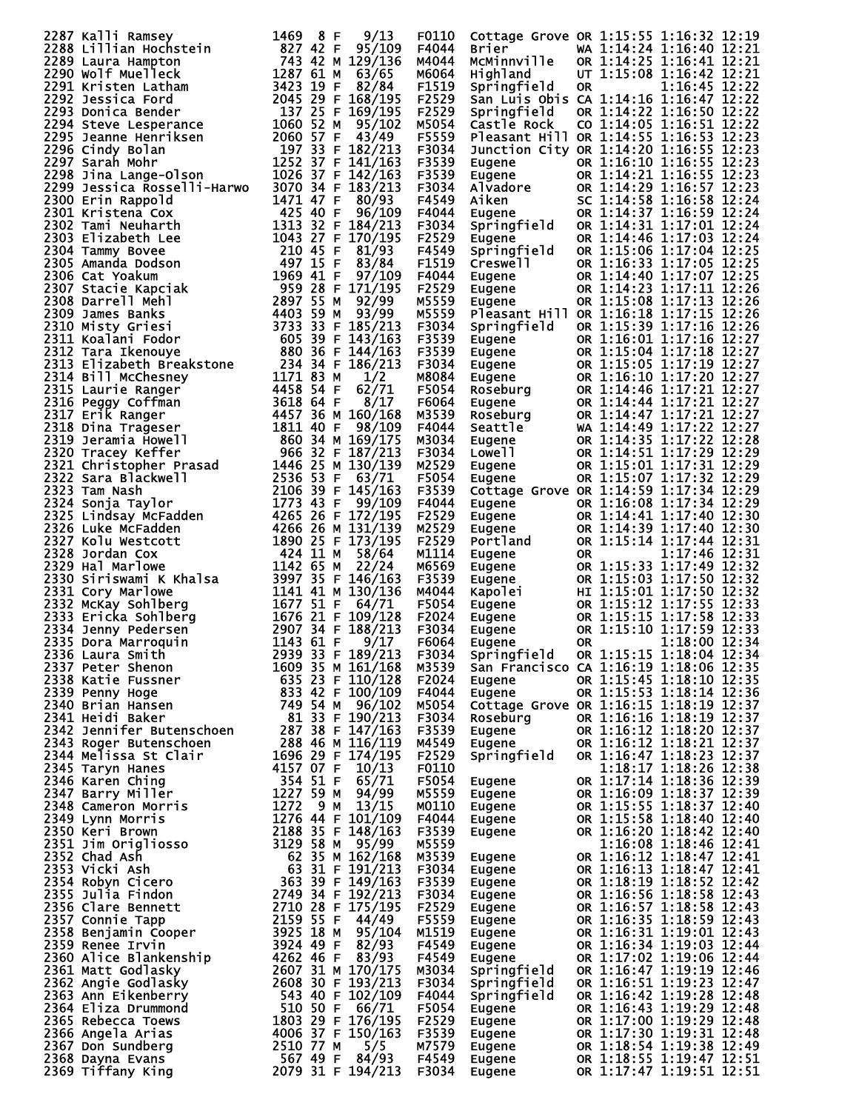| 2287 Kalli Ramsey<br>2287 Kalli Ramsey<br>2288 Lillian Hochstein<br>2288 Lillian Hochstein<br>2289 Laura Hampton<br>2290 Wolf Muelleck<br>2291 Kristen Latham<br>2291 Kristen Latham<br>2292 Jessica Ford<br>2292 Jessica Ford<br>2292 Jessica Ford<br>2293 Donica Bend | 1469<br>9/13<br>8 F | F0110 |                                                                       | Cottage Grove OR 1:15:55 1:16:32 12:19                                                                                                                                                                                                     |
|-------------------------------------------------------------------------------------------------------------------------------------------------------------------------------------------------------------------------------------------------------------------------|---------------------|-------|-----------------------------------------------------------------------|--------------------------------------------------------------------------------------------------------------------------------------------------------------------------------------------------------------------------------------------|
|                                                                                                                                                                                                                                                                         |                     | F4044 | Brier                                                                 | WA 1:14:24 1:16:40 12:21                                                                                                                                                                                                                   |
|                                                                                                                                                                                                                                                                         |                     | M4044 | MCMinnville                                                           | OR 1:14:25 1:16:41 12:21                                                                                                                                                                                                                   |
|                                                                                                                                                                                                                                                                         |                     | M6064 | Highland                                                              | UT 1:15:08 1:16:42 12:21                                                                                                                                                                                                                   |
|                                                                                                                                                                                                                                                                         |                     | F1519 | Springfield                                                           | 1:16:45 12:22<br>0R                                                                                                                                                                                                                        |
|                                                                                                                                                                                                                                                                         |                     | F2529 |                                                                       | San Luis Obis CA 1:14:16 1:16:47 12:22                                                                                                                                                                                                     |
|                                                                                                                                                                                                                                                                         |                     | F2529 | Springfield                                                           | OR 1:14:22 1:16:50 12:22                                                                                                                                                                                                                   |
|                                                                                                                                                                                                                                                                         |                     | M5054 | Castle Rock                                                           | CO 1:14:05 1:16:51 12:22                                                                                                                                                                                                                   |
|                                                                                                                                                                                                                                                                         |                     |       |                                                                       | Pleasant Hill OR 1:14:55 1:16:53 12:23                                                                                                                                                                                                     |
|                                                                                                                                                                                                                                                                         |                     | F5559 |                                                                       |                                                                                                                                                                                                                                            |
|                                                                                                                                                                                                                                                                         |                     | F3034 |                                                                       | Junction City OR 1:14:20 1:16:55 12:23                                                                                                                                                                                                     |
|                                                                                                                                                                                                                                                                         |                     | F3539 | Eugene                                                                | OR 1:16:10 1:16:55 12:23                                                                                                                                                                                                                   |
|                                                                                                                                                                                                                                                                         |                     | F3539 |                                                                       |                                                                                                                                                                                                                                            |
| 2299 Jessica Rosselli-Harwo                                                                                                                                                                                                                                             | 3070 34 F 183/213   | F3034 |                                                                       |                                                                                                                                                                                                                                            |
|                                                                                                                                                                                                                                                                         |                     | F4549 |                                                                       |                                                                                                                                                                                                                                            |
|                                                                                                                                                                                                                                                                         |                     | F4044 |                                                                       |                                                                                                                                                                                                                                            |
|                                                                                                                                                                                                                                                                         |                     | F3034 |                                                                       |                                                                                                                                                                                                                                            |
|                                                                                                                                                                                                                                                                         |                     | F2529 |                                                                       | Eugene 6R 1:14:21 1:16:55 12:23<br>Alvadore 0R 1:14:29 1:16:55 12:23<br>Alvadore 0R 1:14:29 1:16:57 12:23<br>Aiken 5C 1:14:58 1:16:58 12:24<br>Eugene 0R 1:14:37 1:16:59 12:24<br>Springfield 0R 1:14:46 1:17:01 12:24<br>Springfield 0R 1 |
|                                                                                                                                                                                                                                                                         |                     | F4549 |                                                                       |                                                                                                                                                                                                                                            |
|                                                                                                                                                                                                                                                                         |                     | F1519 | Creswell<br>Eugene<br>Eugene<br>Eugene                                | OR 1:16:33 1:17:05 12:25                                                                                                                                                                                                                   |
|                                                                                                                                                                                                                                                                         |                     | F4044 |                                                                       | OR 1:14:40 1:17:07 12:25                                                                                                                                                                                                                   |
|                                                                                                                                                                                                                                                                         |                     | F2529 |                                                                       | OR 1:14:23 1:17:11 12:26                                                                                                                                                                                                                   |
|                                                                                                                                                                                                                                                                         |                     | M5559 |                                                                       | OR 1:15:08 1:17:13 12:26                                                                                                                                                                                                                   |
|                                                                                                                                                                                                                                                                         |                     | M5559 |                                                                       | Pleasant Hill OR 1:16:18 1:17:15 12:26                                                                                                                                                                                                     |
|                                                                                                                                                                                                                                                                         |                     | F3034 | Springfield                                                           | OR 1:15:39 1:17:16 12:26                                                                                                                                                                                                                   |
|                                                                                                                                                                                                                                                                         |                     | F3539 | Eugene                                                                | OR 1:16:01 1:17:16 12:27                                                                                                                                                                                                                   |
|                                                                                                                                                                                                                                                                         |                     | F3539 |                                                                       | OR 1:15:04 1:17:18 12:27                                                                                                                                                                                                                   |
|                                                                                                                                                                                                                                                                         |                     | F3034 |                                                                       | OR 1:15:05 1:17:19 12:27                                                                                                                                                                                                                   |
|                                                                                                                                                                                                                                                                         |                     | M8084 |                                                                       | OR 1:16:10 1:17:20 12:27                                                                                                                                                                                                                   |
|                                                                                                                                                                                                                                                                         |                     | F5054 |                                                                       | OR 1:14:46 1:17:21 12:27                                                                                                                                                                                                                   |
|                                                                                                                                                                                                                                                                         |                     | F6064 |                                                                       | OR 1:14:44 1:17:21 12:27                                                                                                                                                                                                                   |
|                                                                                                                                                                                                                                                                         |                     | M3539 | Eugene<br>Eugene<br>Eugene<br>Eugene<br>Roseburg<br>Seattle<br>Sugene | OR 1:14:47 1:17:21 12:27                                                                                                                                                                                                                   |
|                                                                                                                                                                                                                                                                         |                     | F4044 |                                                                       | WA 1:14:49 1:17:22 12:27                                                                                                                                                                                                                   |
|                                                                                                                                                                                                                                                                         |                     | M3034 |                                                                       | OR 1:14:35 1:17:22 12:28                                                                                                                                                                                                                   |
|                                                                                                                                                                                                                                                                         |                     | F3034 | Eugene<br>Lowell<br><b>Lowell</b>                                     | OR 1:14:51 1:17:29 12:29                                                                                                                                                                                                                   |
|                                                                                                                                                                                                                                                                         |                     | M2529 | Eugene                                                                | OR 1:15:01 1:17:31 12:29                                                                                                                                                                                                                   |
|                                                                                                                                                                                                                                                                         |                     | F5054 | Eugene                                                                | OR 1:15:07 1:17:32 12:29                                                                                                                                                                                                                   |
|                                                                                                                                                                                                                                                                         |                     | F3539 |                                                                       | Cottage Grove OR 1:14:59 1:17:34 12:29                                                                                                                                                                                                     |
|                                                                                                                                                                                                                                                                         |                     | F4044 | Eugene                                                                | OR 1:16:08 1:17:34 12:29                                                                                                                                                                                                                   |
|                                                                                                                                                                                                                                                                         |                     | F2529 |                                                                       | OR 1:14:41 1:17:40 12:30                                                                                                                                                                                                                   |
|                                                                                                                                                                                                                                                                         |                     | M2529 | <b>Eugene<br/>Eugene<br/>Portland<br/>Eugene</b>                      | OR 1:14:39 1:17:40 12:30                                                                                                                                                                                                                   |
|                                                                                                                                                                                                                                                                         |                     | F2529 |                                                                       | OR 1:15:14 1:17:44 12:31                                                                                                                                                                                                                   |
|                                                                                                                                                                                                                                                                         |                     | M1114 |                                                                       | 1:17:46 12:31<br>OR.                                                                                                                                                                                                                       |
|                                                                                                                                                                                                                                                                         |                     | M6569 | Eugene                                                                | OR 1:15:33 1:17:49 12:32                                                                                                                                                                                                                   |
|                                                                                                                                                                                                                                                                         |                     | F3539 | Eugene                                                                | OR 1:15:03 1:17:50 12:32                                                                                                                                                                                                                   |
|                                                                                                                                                                                                                                                                         |                     | M4044 |                                                                       | HI 1:15:01 1:17:50 12:32                                                                                                                                                                                                                   |
| 2298 91 in Lange-01son<br>2299 1essica Rosselli-Harwo 3070 34 F 1481/163<br>23300 Erin Rappold<br>1471 471 47 5 370 34 F 183/213<br>23301 Erin Rappold<br>2302 Tami Neuharth 1313 32 F 170/195<br>2302 Tami Neuharth 1313 32 F 184/213<br>2                             |                     | F5054 | <b>Eugene<br/>Kapolei<br/>Eugene<br/>Eugene<br/>Eugene</b>            | OR 1:15:12 1:17:55 12:33                                                                                                                                                                                                                   |
|                                                                                                                                                                                                                                                                         |                     | F2024 |                                                                       | OR 1:15:15 1:17:58 12:33                                                                                                                                                                                                                   |
|                                                                                                                                                                                                                                                                         |                     | F3034 |                                                                       | OR 1:15:10 1:17:59 12:33                                                                                                                                                                                                                   |
|                                                                                                                                                                                                                                                                         |                     | F6064 | Eugene                                                                | 1:18:00 12:34<br><b>OR</b>                                                                                                                                                                                                                 |
|                                                                                                                                                                                                                                                                         |                     |       |                                                                       |                                                                                                                                                                                                                                            |
|                                                                                                                                                                                                                                                                         |                     |       |                                                                       |                                                                                                                                                                                                                                            |
|                                                                                                                                                                                                                                                                         |                     |       |                                                                       |                                                                                                                                                                                                                                            |
|                                                                                                                                                                                                                                                                         |                     |       |                                                                       |                                                                                                                                                                                                                                            |
|                                                                                                                                                                                                                                                                         |                     |       |                                                                       |                                                                                                                                                                                                                                            |
|                                                                                                                                                                                                                                                                         |                     |       |                                                                       |                                                                                                                                                                                                                                            |
|                                                                                                                                                                                                                                                                         |                     |       |                                                                       |                                                                                                                                                                                                                                            |
|                                                                                                                                                                                                                                                                         |                     |       |                                                                       |                                                                                                                                                                                                                                            |
|                                                                                                                                                                                                                                                                         |                     |       |                                                                       |                                                                                                                                                                                                                                            |
|                                                                                                                                                                                                                                                                         |                     |       |                                                                       |                                                                                                                                                                                                                                            |
|                                                                                                                                                                                                                                                                         |                     |       |                                                                       |                                                                                                                                                                                                                                            |
|                                                                                                                                                                                                                                                                         |                     |       |                                                                       |                                                                                                                                                                                                                                            |
|                                                                                                                                                                                                                                                                         |                     |       |                                                                       |                                                                                                                                                                                                                                            |
|                                                                                                                                                                                                                                                                         |                     |       |                                                                       |                                                                                                                                                                                                                                            |
|                                                                                                                                                                                                                                                                         |                     |       |                                                                       |                                                                                                                                                                                                                                            |
|                                                                                                                                                                                                                                                                         |                     |       |                                                                       |                                                                                                                                                                                                                                            |
|                                                                                                                                                                                                                                                                         |                     |       |                                                                       |                                                                                                                                                                                                                                            |
|                                                                                                                                                                                                                                                                         |                     |       |                                                                       | 1:16:08 1:18:46 12:41                                                                                                                                                                                                                      |
|                                                                                                                                                                                                                                                                         |                     |       |                                                                       |                                                                                                                                                                                                                                            |
|                                                                                                                                                                                                                                                                         |                     |       |                                                                       |                                                                                                                                                                                                                                            |
|                                                                                                                                                                                                                                                                         |                     |       |                                                                       |                                                                                                                                                                                                                                            |
|                                                                                                                                                                                                                                                                         |                     |       |                                                                       |                                                                                                                                                                                                                                            |
|                                                                                                                                                                                                                                                                         |                     |       |                                                                       |                                                                                                                                                                                                                                            |
|                                                                                                                                                                                                                                                                         |                     |       |                                                                       |                                                                                                                                                                                                                                            |
|                                                                                                                                                                                                                                                                         |                     |       |                                                                       |                                                                                                                                                                                                                                            |
|                                                                                                                                                                                                                                                                         |                     |       |                                                                       |                                                                                                                                                                                                                                            |
|                                                                                                                                                                                                                                                                         |                     |       |                                                                       |                                                                                                                                                                                                                                            |
|                                                                                                                                                                                                                                                                         |                     |       |                                                                       |                                                                                                                                                                                                                                            |
|                                                                                                                                                                                                                                                                         |                     |       |                                                                       |                                                                                                                                                                                                                                            |
|                                                                                                                                                                                                                                                                         |                     |       |                                                                       |                                                                                                                                                                                                                                            |
|                                                                                                                                                                                                                                                                         |                     |       |                                                                       |                                                                                                                                                                                                                                            |
|                                                                                                                                                                                                                                                                         |                     |       |                                                                       |                                                                                                                                                                                                                                            |
|                                                                                                                                                                                                                                                                         |                     |       |                                                                       |                                                                                                                                                                                                                                            |
|                                                                                                                                                                                                                                                                         |                     |       |                                                                       |                                                                                                                                                                                                                                            |
|                                                                                                                                                                                                                                                                         |                     |       |                                                                       |                                                                                                                                                                                                                                            |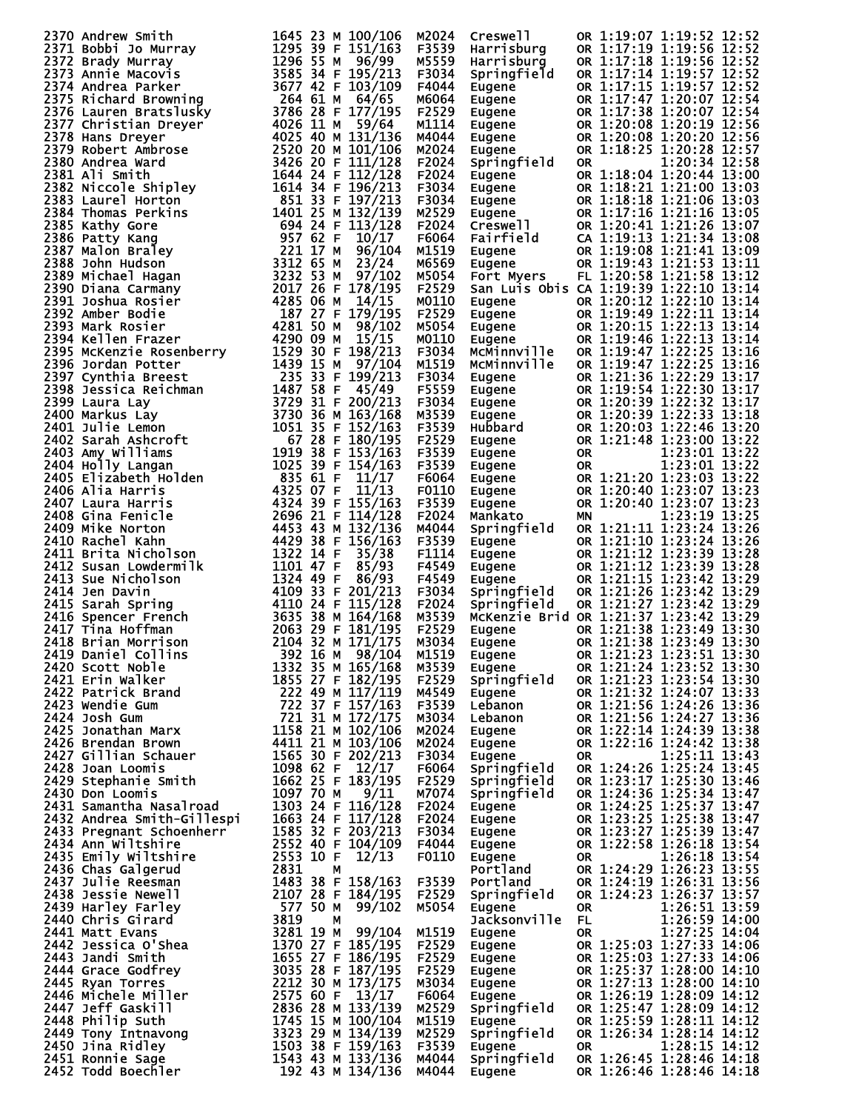| 2370 Milrey smith 1645 23 M 100/106<br>2371 Bobbi Jo Murray 1647 23 M 100/106<br>2371 Bobbi Jo Murray 1295 39 F 151/163<br>2372 Brady Murray 1295 39 F 151/163<br>2374 Marie Macovis<br>2374 Marie Macovis<br>2375 Richard Browning<br>264        | M2024 | Creswell                                                                                                                   | OR 1:19:07 1:19:52 12:52                                                                                                                                                                                     |
|---------------------------------------------------------------------------------------------------------------------------------------------------------------------------------------------------------------------------------------------------|-------|----------------------------------------------------------------------------------------------------------------------------|--------------------------------------------------------------------------------------------------------------------------------------------------------------------------------------------------------------|
|                                                                                                                                                                                                                                                   | F3539 | Harrisburg                                                                                                                 | OR 1:17:19 1:19:56 12:52                                                                                                                                                                                     |
|                                                                                                                                                                                                                                                   | M5559 | Harrisburg                                                                                                                 | OR 1:17:18 1:19:56 12:52                                                                                                                                                                                     |
|                                                                                                                                                                                                                                                   |       |                                                                                                                            | OR 1:17:14 1:19:57 12:52                                                                                                                                                                                     |
|                                                                                                                                                                                                                                                   | F3034 | Springfield                                                                                                                |                                                                                                                                                                                                              |
|                                                                                                                                                                                                                                                   | F4044 | Eugene                                                                                                                     | OR 1:17:15 1:19:57 12:52                                                                                                                                                                                     |
|                                                                                                                                                                                                                                                   | M6064 | Eugene                                                                                                                     | OR 1:17:47 1:20:07 12:54                                                                                                                                                                                     |
|                                                                                                                                                                                                                                                   | F2529 | Eugene<br>Eugene<br>Eugene<br>Eugene<br>Eugene                                                                             | OR 1:17:38 1:20:07 12:54                                                                                                                                                                                     |
|                                                                                                                                                                                                                                                   | M1114 |                                                                                                                            | OR 1:20:08 1:20:19 12:56                                                                                                                                                                                     |
|                                                                                                                                                                                                                                                   | M4044 |                                                                                                                            | OR 1:20:08 1:20:20 12:56                                                                                                                                                                                     |
|                                                                                                                                                                                                                                                   | M2024 |                                                                                                                            | OR 1:18:25 1:20:28 12:57                                                                                                                                                                                     |
|                                                                                                                                                                                                                                                   | F2024 | Springfield                                                                                                                | 1:20:34 12:58<br>OR.                                                                                                                                                                                         |
|                                                                                                                                                                                                                                                   | F2024 |                                                                                                                            | OR 1:18:04 1:20:44 13:00                                                                                                                                                                                     |
|                                                                                                                                                                                                                                                   | F3034 |                                                                                                                            | OR 1:18:21 1:21:00 13:03                                                                                                                                                                                     |
|                                                                                                                                                                                                                                                   | F3034 |                                                                                                                            | OR 1:18:18 1:21:06 13:03                                                                                                                                                                                     |
|                                                                                                                                                                                                                                                   |       |                                                                                                                            | OR 1:17:16 1:21:16 13:05                                                                                                                                                                                     |
|                                                                                                                                                                                                                                                   | M2529 |                                                                                                                            |                                                                                                                                                                                                              |
|                                                                                                                                                                                                                                                   | F2024 |                                                                                                                            | OR 1:20:41 1:21:26 13:07                                                                                                                                                                                     |
|                                                                                                                                                                                                                                                   | F6064 | <b>Springfield<br/>Eugene<br/>Eugene<br/>Eugene<br/>Creswell<br/>Fairfield<br/>Eugene<br/>Fort Myers<br/>San Luis Obis</b> | CA 1:19:13 1:21:34 13:08                                                                                                                                                                                     |
|                                                                                                                                                                                                                                                   | M1519 |                                                                                                                            | OR 1:19:08 1:21:41 13:09                                                                                                                                                                                     |
|                                                                                                                                                                                                                                                   | M6569 |                                                                                                                            | OR 1:19:43 1:21:53 13:11                                                                                                                                                                                     |
|                                                                                                                                                                                                                                                   | M5054 |                                                                                                                            | FL 1:20:58 1:21:58 13:12                                                                                                                                                                                     |
|                                                                                                                                                                                                                                                   | F2529 |                                                                                                                            | San Luis Obis CA 1:19:39 1:22:10 13:14                                                                                                                                                                       |
|                                                                                                                                                                                                                                                   | M0110 |                                                                                                                            | OR 1:20:12 1:22:10 13:14<br>Eugene OR 1:20:12 1:22:10 13:14<br>Eugene OR 1:19:49 1:22:11 13:14<br>Eugene OR 1:20:15 1:22:13 13:14<br>Eugene OR 1:19:46 1:22:13 13:14<br>MCM1nnv111e OR 1:19:47 1:22:25 13:16 |
|                                                                                                                                                                                                                                                   | F2529 |                                                                                                                            |                                                                                                                                                                                                              |
|                                                                                                                                                                                                                                                   | M5054 |                                                                                                                            |                                                                                                                                                                                                              |
|                                                                                                                                                                                                                                                   |       |                                                                                                                            |                                                                                                                                                                                                              |
|                                                                                                                                                                                                                                                   | M0110 |                                                                                                                            |                                                                                                                                                                                                              |
|                                                                                                                                                                                                                                                   | F3034 |                                                                                                                            |                                                                                                                                                                                                              |
|                                                                                                                                                                                                                                                   | M1519 | McMinnville                                                                                                                | OR 1:19:47 1:22:25 13:16                                                                                                                                                                                     |
|                                                                                                                                                                                                                                                   | F3034 | Eugene                                                                                                                     | OR 1:21:36 1:22:29 13:17                                                                                                                                                                                     |
|                                                                                                                                                                                                                                                   | F5559 | Eugene<br>Eugene<br>Eugene<br>Hubbard<br>Eugene<br>Eugene<br>Eugene<br>Eugene<br>Eugene<br>Mankato                         | OR 1:19:54 1:22:30 13:17                                                                                                                                                                                     |
|                                                                                                                                                                                                                                                   | F3034 |                                                                                                                            | OR 1:20:39 1:22:32 13:17                                                                                                                                                                                     |
|                                                                                                                                                                                                                                                   | M3539 |                                                                                                                            | OR 1:20:39 1:22:33 13:18                                                                                                                                                                                     |
|                                                                                                                                                                                                                                                   | F3539 |                                                                                                                            | OR 1:20:03 1:22:46 13:20                                                                                                                                                                                     |
|                                                                                                                                                                                                                                                   | F2529 |                                                                                                                            | OR 1:21:48 1:23:00 13:22                                                                                                                                                                                     |
|                                                                                                                                                                                                                                                   |       |                                                                                                                            |                                                                                                                                                                                                              |
|                                                                                                                                                                                                                                                   | F3539 |                                                                                                                            | 1:23:01 13:22<br><b>OR</b>                                                                                                                                                                                   |
|                                                                                                                                                                                                                                                   | F3539 |                                                                                                                            | 1:23:01 13:22<br>OR                                                                                                                                                                                          |
|                                                                                                                                                                                                                                                   | F6064 |                                                                                                                            | OR 1:21:20 1:23:03 13:22                                                                                                                                                                                     |
|                                                                                                                                                                                                                                                   | F0110 |                                                                                                                            | OR 1:20:40 1:23:07 13:23                                                                                                                                                                                     |
|                                                                                                                                                                                                                                                   | F3539 |                                                                                                                            | OR 1:20:40 1:23:07 13:23                                                                                                                                                                                     |
|                                                                                                                                                                                                                                                   | F2024 | Mañkato<br>Springfield                                                                                                     | 1:23:19 13:25<br><b>MN</b>                                                                                                                                                                                   |
|                                                                                                                                                                                                                                                   | M4044 |                                                                                                                            | OR 1:21:11 1:23:24 13:26                                                                                                                                                                                     |
|                                                                                                                                                                                                                                                   | F3539 |                                                                                                                            | OR 1:21:10 1:23:24 13:26                                                                                                                                                                                     |
|                                                                                                                                                                                                                                                   | F1114 |                                                                                                                            | OR 1:21:12 1:23:39 13:28                                                                                                                                                                                     |
|                                                                                                                                                                                                                                                   | F4549 |                                                                                                                            | OR 1:21:12 1:23:39 13:28                                                                                                                                                                                     |
|                                                                                                                                                                                                                                                   |       |                                                                                                                            |                                                                                                                                                                                                              |
|                                                                                                                                                                                                                                                   | F4549 | Eugene<br>Eugene<br>Eugene<br>Enginesische                                                                                 | OR 1:21:15 1:23:42 13:29                                                                                                                                                                                     |
|                                                                                                                                                                                                                                                   | F3034 | Springfield                                                                                                                | OR 1:21:26 1:23:42 13:29                                                                                                                                                                                     |
|                                                                                                                                                                                                                                                   | F2024 | Springfield                                                                                                                | OR 1:21:27 1:23:42 13:29                                                                                                                                                                                     |
|                                                                                                                                                                                                                                                   | M3539 |                                                                                                                            | McKenzie Brid OR 1:21:37 1:23:42 13:29                                                                                                                                                                       |
|                                                                                                                                                                                                                                                   | F2529 | Eugene<br>Eugene<br>Eugene                                                                                                 | OR 1:21:38 1:23:49 13:30                                                                                                                                                                                     |
|                                                                                                                                                                                                                                                   | M3034 |                                                                                                                            | OR 1:21:38 1:23:49 13:30                                                                                                                                                                                     |
| 2419 Daniel Collins 392 16 M 98/104                                                                                                                                                                                                               | M1519 | Eugene                                                                                                                     | OR 1:21:23 1:23:51 13:30                                                                                                                                                                                     |
|                                                                                                                                                                                                                                                   |       | Eugene                                                                                                                     | OR 1:21:24 1:23:52 13:30                                                                                                                                                                                     |
|                                                                                                                                                                                                                                                   |       | Springfield                                                                                                                | OR 1:21:23 1:23:54 13:30                                                                                                                                                                                     |
|                                                                                                                                                                                                                                                   |       | Eugene                                                                                                                     | OR 1:21:32 1:24:07 13:33                                                                                                                                                                                     |
|                                                                                                                                                                                                                                                   |       |                                                                                                                            | OR 1:21:56 1:24:26 13:36                                                                                                                                                                                     |
|                                                                                                                                                                                                                                                   |       | Lebanon                                                                                                                    |                                                                                                                                                                                                              |
|                                                                                                                                                                                                                                                   |       | Lebanon                                                                                                                    | OR 1:21:56 1:24:27 13:36                                                                                                                                                                                     |
|                                                                                                                                                                                                                                                   |       | Eugene                                                                                                                     | OR 1:22:14 1:24:39 13:38                                                                                                                                                                                     |
|                                                                                                                                                                                                                                                   |       | Eugene                                                                                                                     | OR 1:22:16 1:24:42 13:38                                                                                                                                                                                     |
|                                                                                                                                                                                                                                                   |       | Eugene                                                                                                                     | 1:25:11 13:43<br><b>OR</b>                                                                                                                                                                                   |
|                                                                                                                                                                                                                                                   |       | Springfield                                                                                                                | OR 1:24:26 1:25:24 13:45                                                                                                                                                                                     |
|                                                                                                                                                                                                                                                   |       | Springfield                                                                                                                | OR 1:23:17 1:25:30 13:46                                                                                                                                                                                     |
|                                                                                                                                                                                                                                                   |       | Springfield                                                                                                                | OR 1:24:36 1:25:34 13:47                                                                                                                                                                                     |
|                                                                                                                                                                                                                                                   |       | Eugene                                                                                                                     | OR 1:24:25 1:25:37 13:47                                                                                                                                                                                     |
|                                                                                                                                                                                                                                                   |       | Eugene                                                                                                                     | OR 1:23:25 1:25:38 13:47                                                                                                                                                                                     |
|                                                                                                                                                                                                                                                   |       | Eugene                                                                                                                     | OR 1:23:27 1:25:39 13:47                                                                                                                                                                                     |
|                                                                                                                                                                                                                                                   |       |                                                                                                                            | OR 1:22:58 1:26:18 13:54                                                                                                                                                                                     |
|                                                                                                                                                                                                                                                   |       | Eugene<br>Eugene                                                                                                           |                                                                                                                                                                                                              |
|                                                                                                                                                                                                                                                   |       |                                                                                                                            | 1:26:18 13:54<br><b>OR</b>                                                                                                                                                                                   |
|                                                                                                                                                                                                                                                   |       | Portland                                                                                                                   | OR 1:24:29 1:26:23 13:55                                                                                                                                                                                     |
|                                                                                                                                                                                                                                                   |       | Portland                                                                                                                   | OR 1:24:19 1:26:31 13:56                                                                                                                                                                                     |
|                                                                                                                                                                                                                                                   |       | Springfield                                                                                                                | OR 1:24:23 1:26:37 13:57                                                                                                                                                                                     |
|                                                                                                                                                                                                                                                   |       | Eugene                                                                                                                     | 1:26:51 13:59<br><b>OR</b>                                                                                                                                                                                   |
|                                                                                                                                                                                                                                                   |       | Jacksonville FL                                                                                                            | 1:26:59 14:00                                                                                                                                                                                                |
|                                                                                                                                                                                                                                                   |       | Eugene                                                                                                                     | FL<br>OR<br>$1:27:25$ 14:04                                                                                                                                                                                  |
|                                                                                                                                                                                                                                                   |       | Eugene                                                                                                                     | OR 1:25:03 1:27:33 14:06                                                                                                                                                                                     |
|                                                                                                                                                                                                                                                   |       | Eugene                                                                                                                     | OR 1:25:03 1:27:33 14:06                                                                                                                                                                                     |
|                                                                                                                                                                                                                                                   |       |                                                                                                                            | OR 1:25:37 1:28:00 14:10                                                                                                                                                                                     |
|                                                                                                                                                                                                                                                   |       | Eugene                                                                                                                     |                                                                                                                                                                                                              |
|                                                                                                                                                                                                                                                   |       | Eugene                                                                                                                     | OR 1:27:13 1:28:00 14:10                                                                                                                                                                                     |
|                                                                                                                                                                                                                                                   |       | Eugene<br>Springfield                                                                                                      | OR 1:26:19 1:28:09 14:12                                                                                                                                                                                     |
|                                                                                                                                                                                                                                                   |       |                                                                                                                            | OR 1:25:47 1:28:09 14:12                                                                                                                                                                                     |
|                                                                                                                                                                                                                                                   |       |                                                                                                                            | OR 1:25:59 1:28:11 14:12                                                                                                                                                                                     |
|                                                                                                                                                                                                                                                   |       | Eugene<br>Springfield                                                                                                      | OR 1:26:34 1:28:14 14:12                                                                                                                                                                                     |
|                                                                                                                                                                                                                                                   |       | Eugene                                                                                                                     | 1:28:15 14:12<br><b>OR</b>                                                                                                                                                                                   |
|                                                                                                                                                                                                                                                   |       |                                                                                                                            |                                                                                                                                                                                                              |
|                                                                                                                                                                                                                                                   |       |                                                                                                                            | OR 1:26:45 1:28:46 14:18                                                                                                                                                                                     |
| 2418 Pianiel Collins<br>2104 32 M 171/175 P3034<br>2418 Brian Morrison<br>2104 32 M 171/175 P3034<br>2420 Scott Noble<br>2421 Extrick Brand<br>2422 Patrick Brand<br>2422 Patrick Brand<br>2422 Patrick Brand<br>2422 Patrick Brand<br>2422 Patri |       | Springfield<br>Eugene                                                                                                      | OR 1:26:46 1:28:46 14:18                                                                                                                                                                                     |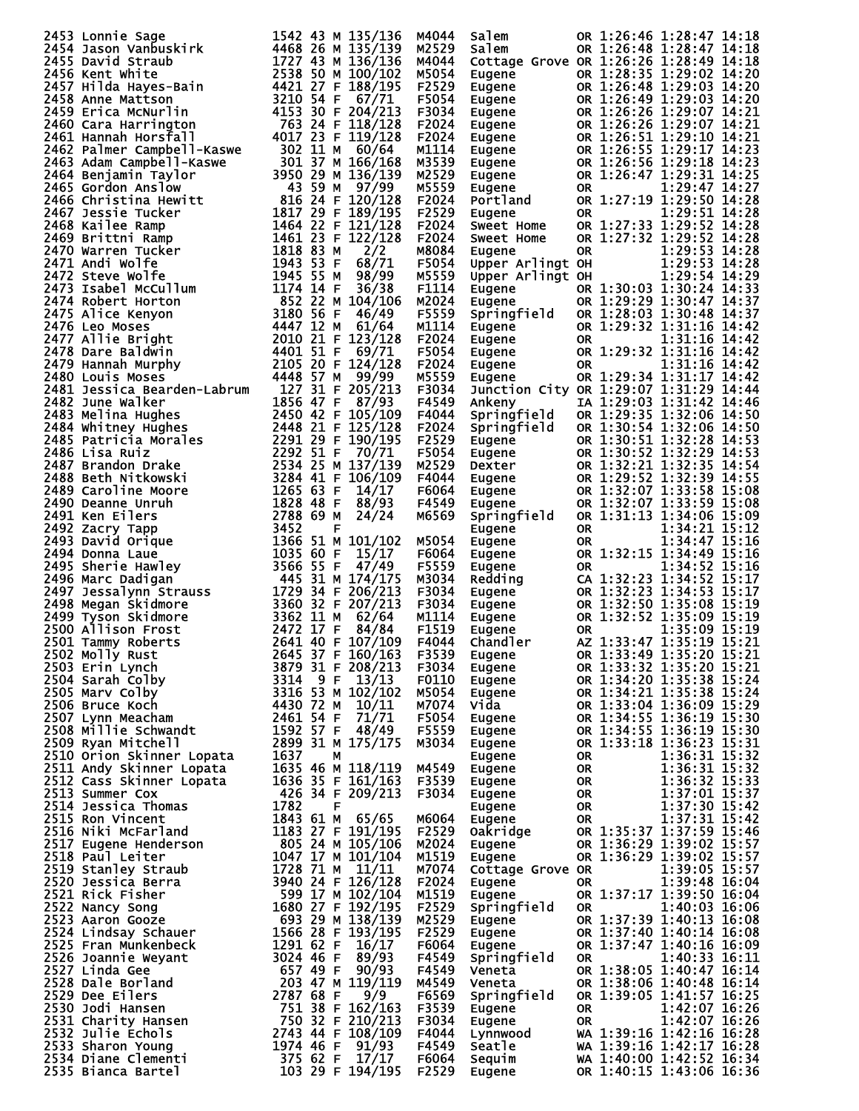|                                                                                                                                                                                                                                                                           |                         | M4044          | Salem                                                                                      |                      | OR 1:26:46 1:28:47 14:18                                                  |
|---------------------------------------------------------------------------------------------------------------------------------------------------------------------------------------------------------------------------------------------------------------------------|-------------------------|----------------|--------------------------------------------------------------------------------------------|----------------------|---------------------------------------------------------------------------|
| 2453 Lonnie Sage<br>2454 Jason vanbuskirk 14468 26 M 135/136<br>2455 David Straub<br>2455 David Straub<br>2455 Next White 1468 26 M 135/139<br>2455 Next White 1472 43 M 136/139<br>2456 Kent White 1472 43 M 100/102<br>2458 Anne Mattson<br>                            |                         |                |                                                                                            |                      |                                                                           |
|                                                                                                                                                                                                                                                                           |                         | M2529          | Salem                                                                                      |                      | OR 1:26:48 1:28:47 14:18                                                  |
|                                                                                                                                                                                                                                                                           |                         | M4044          |                                                                                            |                      | Cottage Grove OR 1:26:26 1:28:49 14:18                                    |
|                                                                                                                                                                                                                                                                           |                         | M5054          | Eugene                                                                                     |                      | OR 1:28:35 1:29:02 14:20                                                  |
|                                                                                                                                                                                                                                                                           |                         | F2529          | Eugene<br>Eugene<br>Eugene<br>Eugene<br>Eugene<br>Eugene<br>Eugene<br>Portland<br>Portland |                      | OR 1:26:48 1:29:03 14:20                                                  |
|                                                                                                                                                                                                                                                                           |                         |                |                                                                                            |                      |                                                                           |
|                                                                                                                                                                                                                                                                           |                         | F5054          |                                                                                            |                      | OR 1:26:49 1:29:03 14:20                                                  |
|                                                                                                                                                                                                                                                                           |                         | F3034          |                                                                                            |                      | OR 1:26:26 1:29:07 14:21                                                  |
|                                                                                                                                                                                                                                                                           |                         | F2024          |                                                                                            |                      | OR 1:26:26 1:29:07 14:21                                                  |
|                                                                                                                                                                                                                                                                           |                         |                |                                                                                            |                      |                                                                           |
|                                                                                                                                                                                                                                                                           |                         | F2024          |                                                                                            |                      | OR 1:26:51 1:29:10 14:21                                                  |
|                                                                                                                                                                                                                                                                           |                         | M1114          |                                                                                            |                      | OR 1:26:55 1:29:17 14:23                                                  |
|                                                                                                                                                                                                                                                                           |                         | M3539          |                                                                                            |                      | OR 1:26:56 1:29:18 14:23                                                  |
|                                                                                                                                                                                                                                                                           |                         | M2529          |                                                                                            |                      | OR 1:26:47 1:29:31 14:25                                                  |
|                                                                                                                                                                                                                                                                           |                         |                |                                                                                            |                      |                                                                           |
|                                                                                                                                                                                                                                                                           |                         | M5559          |                                                                                            | 0R                   | 1:29:47 14:27                                                             |
|                                                                                                                                                                                                                                                                           |                         | F2024          |                                                                                            |                      | OR 1:27:19 1:29:50 14:28                                                  |
|                                                                                                                                                                                                                                                                           |                         | F2529          | Eugene                                                                                     | 0R                   | 1:29:51 14:28                                                             |
|                                                                                                                                                                                                                                                                           |                         | F2024          | <b>Sweet Home</b>                                                                          |                      | OR 1:27:33 1:29:52 14:28                                                  |
|                                                                                                                                                                                                                                                                           |                         |                |                                                                                            |                      |                                                                           |
|                                                                                                                                                                                                                                                                           |                         | F2024          | Sweet Home                                                                                 |                      | OR 1:27:32 1:29:52 14:28                                                  |
|                                                                                                                                                                                                                                                                           |                         | M8084          | Eugene                                                                                     | <b>OR</b>            | 1:29:53 14:28                                                             |
|                                                                                                                                                                                                                                                                           |                         | F5054          | Upper Arlingt OH                                                                           |                      | 1:29:53 14:28                                                             |
|                                                                                                                                                                                                                                                                           |                         | M5559          | Upper Arlingt OH                                                                           |                      | 1:29:54 14:29                                                             |
|                                                                                                                                                                                                                                                                           |                         |                |                                                                                            |                      |                                                                           |
|                                                                                                                                                                                                                                                                           |                         | F1114          | angene<br>Eugene<br>Sa                                                                     |                      | OR 1:30:03 1:30:24 14:33                                                  |
|                                                                                                                                                                                                                                                                           |                         | M2024          |                                                                                            |                      | OR 1:29:29 1:30:47 14:37                                                  |
|                                                                                                                                                                                                                                                                           |                         | F5559          | Springfield                                                                                |                      | OR 1:28:03 1:30:48 14:37                                                  |
|                                                                                                                                                                                                                                                                           |                         | M1114          |                                                                                            |                      | OR 1:29:32 1:31:16 14:42                                                  |
|                                                                                                                                                                                                                                                                           |                         |                | Eugene<br>Eugene<br>Eugene<br>Eugene                                                       |                      |                                                                           |
|                                                                                                                                                                                                                                                                           |                         | F2024          |                                                                                            | 0R                   | 1:31:16 14:42                                                             |
|                                                                                                                                                                                                                                                                           |                         | F5054          |                                                                                            |                      | OR 1:29:32 1:31:16 14:42                                                  |
|                                                                                                                                                                                                                                                                           |                         | F2024          |                                                                                            | OR.                  | 1:31:16 14:42                                                             |
|                                                                                                                                                                                                                                                                           |                         | M5559          | Eugene                                                                                     |                      | OR 1:29:34 1:31:17 14:42                                                  |
|                                                                                                                                                                                                                                                                           |                         |                |                                                                                            |                      |                                                                           |
|                                                                                                                                                                                                                                                                           |                         | F3034          |                                                                                            |                      | Junction City OR 1:29:07 1:31:29 14:44                                    |
|                                                                                                                                                                                                                                                                           |                         | F4549          | Ankeny                                                                                     |                      | IA 1:29:03 1:31:42 14:46                                                  |
|                                                                                                                                                                                                                                                                           |                         | F4044          | Springfield                                                                                |                      | OR 1:29:35 1:32:06 14:50                                                  |
|                                                                                                                                                                                                                                                                           |                         | F2024          | Springfield                                                                                |                      | OR 1:30:54 1:32:06 14:50                                                  |
|                                                                                                                                                                                                                                                                           |                         |                |                                                                                            |                      |                                                                           |
|                                                                                                                                                                                                                                                                           |                         | F2529          | Eugene                                                                                     |                      | OR 1:30:51 1:32:28 14:53                                                  |
|                                                                                                                                                                                                                                                                           |                         | F5054          |                                                                                            |                      | OR 1:30:52 1:32:29 14:53                                                  |
|                                                                                                                                                                                                                                                                           |                         | M2529          |                                                                                            |                      | OR 1:32:21 1:32:35 14:54                                                  |
|                                                                                                                                                                                                                                                                           |                         | F4044          |                                                                                            |                      | OR 1:29:52 1:32:39 14:55                                                  |
|                                                                                                                                                                                                                                                                           |                         |                |                                                                                            |                      |                                                                           |
|                                                                                                                                                                                                                                                                           |                         | F6064          |                                                                                            |                      | OR 1:32:07 1:33:58 15:08                                                  |
|                                                                                                                                                                                                                                                                           |                         | F4549          | <b>Eugene<br/>Dexter<br/>Eugene<br/>Eugene<br/>Eugene</b>                                  |                      | OR 1:32:07 1:33:59 15:08                                                  |
|                                                                                                                                                                                                                                                                           |                         | M6569          | Springfield                                                                                |                      | OR 1:31:13 1:34:06 15:09                                                  |
|                                                                                                                                                                                                                                                                           |                         |                |                                                                                            |                      | 1:34:21 15:12                                                             |
|                                                                                                                                                                                                                                                                           |                         |                | Eugene                                                                                     | <b>OR</b>            |                                                                           |
|                                                                                                                                                                                                                                                                           |                         | M5054          | Eugene                                                                                     | 0R                   | 1:34:47 15:16                                                             |
|                                                                                                                                                                                                                                                                           |                         | F6064          | Eugene                                                                                     |                      | OR 1:32:15 1:34:49 15:16                                                  |
|                                                                                                                                                                                                                                                                           |                         | F5559          | Eugene<br>Redding                                                                          | OR.                  | 1:34:52 15:16                                                             |
|                                                                                                                                                                                                                                                                           |                         |                |                                                                                            |                      | CA 1:32:23 1:34:52 15:17                                                  |
|                                                                                                                                                                                                                                                                           |                         | M3034          |                                                                                            |                      |                                                                           |
|                                                                                                                                                                                                                                                                           |                         | F3034          | Eugene OR<br>Eugene OR<br>Eugene OR<br>Eugene OR<br>Chandler AZ<br>Eugene OR               |                      | OR 1:32:23 1:34:53 15:17                                                  |
|                                                                                                                                                                                                                                                                           |                         | F3034          |                                                                                            |                      | OR 1:32:50 1:35:08 15:19                                                  |
|                                                                                                                                                                                                                                                                           |                         | M1114          |                                                                                            |                      | OR 1:32:52 1:35:09 15:19                                                  |
|                                                                                                                                                                                                                                                                           |                         | F1519          |                                                                                            |                      | 1:35:09 15:19                                                             |
|                                                                                                                                                                                                                                                                           |                         |                |                                                                                            |                      |                                                                           |
|                                                                                                                                                                                                                                                                           |                         | F4044          |                                                                                            |                      | AZ 1:33:47 1:35:19 15:21                                                  |
|                                                                                                                                                                                                                                                                           |                         | F3539          |                                                                                            |                      | Eugene OR 1:33:49 1:35:20 15:21                                           |
|                                                                                                                                                                                                                                                                           |                         | F3034          | Eugene                                                                                     |                      |                                                                           |
|                                                                                                                                                                                                                                                                           |                         |                |                                                                                            |                      |                                                                           |
|                                                                                                                                                                                                                                                                           |                         |                |                                                                                            |                      | OR 1:33:32 1:35:20 15:21                                                  |
|                                                                                                                                                                                                                                                                           |                         | F0110          | Eugene                                                                                     |                      | OR 1:34:20 1:35:38 15:24                                                  |
|                                                                                                                                                                                                                                                                           | 3316 53 M 102/102       | M5054          | Eugene                                                                                     |                      | OR 1:34:21 1:35:38 15:24                                                  |
|                                                                                                                                                                                                                                                                           |                         | M7074          | Vida                                                                                       |                      | OR 1:33:04 1:36:09 15:29                                                  |
| 30 Melina Hughes<br>2484 Whitney Hughes<br>2484 Whitney Hughes<br>2484 Whitney Hughes<br>2485 Patricia Morales<br>2498 Lisa Ruiz<br>2487 Brandon Drake<br>2487 Brandon Drake<br>2487 Brandon Drake<br>2487 Brandon Drake<br>2487 Brandon Drake<br>24                      |                         |                |                                                                                            |                      |                                                                           |
|                                                                                                                                                                                                                                                                           |                         | F5054          | Eugene                                                                                     |                      | OR 1:34:55 1:36:19 15:30                                                  |
|                                                                                                                                                                                                                                                                           |                         | F5559          | Eugene                                                                                     |                      | OR 1:34:55 1:36:19 15:30                                                  |
|                                                                                                                                                                                                                                                                           |                         | M3034          | Eugene                                                                                     |                      | OR 1:33:18 1:36:23 15:31                                                  |
|                                                                                                                                                                                                                                                                           |                         |                | Eugene                                                                                     | OR DO                | 1:36:31 15:32                                                             |
|                                                                                                                                                                                                                                                                           | 1635 46 M 118/119       | M4549          | Eugene                                                                                     |                      |                                                                           |
|                                                                                                                                                                                                                                                                           |                         |                |                                                                                            |                      | 1:36:31 15:32                                                             |
|                                                                                                                                                                                                                                                                           | 1636 35 F 161/163 F3539 |                | Eugene                                                                                     |                      | 1:36:32 15:33                                                             |
| 2001 Tammy Roberts<br>2502 Molly Rust<br>2502 Molly Rust<br>2502 Molly Rust<br>2504 Sarah Colby<br>2505 Marv Colby<br>3314 9 F 13/13<br>2505 Marv Colby<br>3314 9 F 13/13<br>2505 Marv Colby<br>3314 953 M 102/102<br>2506 Bruce Koch<br>4430 72 M 10/<br>2513 Summer Cox | 426 34 F 209/213        | F3034          | Eugene                                                                                     |                      | 1:37:01 15:37                                                             |
| 2514 Jessica Thomas                                                                                                                                                                                                                                                       | 1782<br>F               |                | Eugene                                                                                     | OR<br>OR<br>OR<br>OR | 1:37:30 15:42                                                             |
|                                                                                                                                                                                                                                                                           |                         | M6064          | Eugene                                                                                     | OR                   |                                                                           |
|                                                                                                                                                                                                                                                                           |                         |                |                                                                                            |                      | 1:37:31 15:42                                                             |
|                                                                                                                                                                                                                                                                           |                         | F2529          | Oakridge                                                                                   |                      | OR 1:35:37 1:37:59 15:46                                                  |
|                                                                                                                                                                                                                                                                           |                         | M2024          | Eugene                                                                                     |                      | OR 1:36:29 1:39:02 15:57                                                  |
|                                                                                                                                                                                                                                                                           |                         | M1519          | Eugene                                                                                     |                      | OR 1:36:29 1:39:02 15:57                                                  |
|                                                                                                                                                                                                                                                                           |                         | M7074          | Cottage Grove OR                                                                           |                      |                                                                           |
|                                                                                                                                                                                                                                                                           |                         |                |                                                                                            |                      | 1:39:05 15:57                                                             |
|                                                                                                                                                                                                                                                                           |                         | F2024          | Eugene                                                                                     | OR                   | 1:39:48 16:04                                                             |
|                                                                                                                                                                                                                                                                           |                         | M1519          | Eugene                                                                                     |                      | OR 1:37:17 1:39:50 16:04                                                  |
|                                                                                                                                                                                                                                                                           |                         | F2529          | Springfield                                                                                | OR.                  | 1:40:03 16:06                                                             |
|                                                                                                                                                                                                                                                                           |                         | M2529          | Eugene                                                                                     |                      | OR 1:37:39 1:40:13 16:08                                                  |
|                                                                                                                                                                                                                                                                           |                         |                |                                                                                            |                      |                                                                           |
|                                                                                                                                                                                                                                                                           |                         | F2529          | Eugene                                                                                     |                      | OR 1:37:40 1:40:14 16:08                                                  |
|                                                                                                                                                                                                                                                                           |                         | F6064          | Eugene                                                                                     |                      | OR 1:37:47 1:40:16 16:09                                                  |
|                                                                                                                                                                                                                                                                           |                         | F4549          | Springfield                                                                                | OR.                  | 1:40:33 16:11                                                             |
|                                                                                                                                                                                                                                                                           |                         | F4549          | Veneta                                                                                     |                      | OR 1:38:05 1:40:47 16:14                                                  |
|                                                                                                                                                                                                                                                                           |                         |                |                                                                                            |                      |                                                                           |
|                                                                                                                                                                                                                                                                           |                         | M4549          | Veneta                                                                                     |                      | OR 1:38:06 1:40:48 16:14                                                  |
|                                                                                                                                                                                                                                                                           |                         | F6569          | Springfield                                                                                |                      | OR 1:39:05 1:41:57 16:25                                                  |
|                                                                                                                                                                                                                                                                           |                         | F3539          | Eugene                                                                                     | <b>OR</b>            | 1:42:07 16:26                                                             |
|                                                                                                                                                                                                                                                                           |                         | F3034          | Eugene                                                                                     | <b>OR</b>            |                                                                           |
|                                                                                                                                                                                                                                                                           |                         |                |                                                                                            |                      | 1:42:07 16:26                                                             |
|                                                                                                                                                                                                                                                                           |                         | F4044          | Lynnwood                                                                                   |                      | WA 1:39:16 1:42:16 16:28                                                  |
|                                                                                                                                                                                                                                                                           |                         | F4549          | Seatle                                                                                     |                      |                                                                           |
| 2514 Jessica Thomas<br>2515 Ron Vincent<br>2516 Niki McFarland<br>2516 Niki McFarland<br>2517 Eugene Henderson<br>2518 Paul Leiter<br>26518 Baul Leiter<br>26518 Baul Leiter<br>26518 Baul Leiter<br>26518 Baul Leiter<br>26512 Nick Fisher<br>2520                       |                         | F6064<br>F2529 | Sequim<br><b>Eugene</b>                                                                    |                      | WA 1:39:16 1:42:17<br>WA 1:40:00 1:42:52 16:34<br>A 1:40:00 1:43:06 16:36 |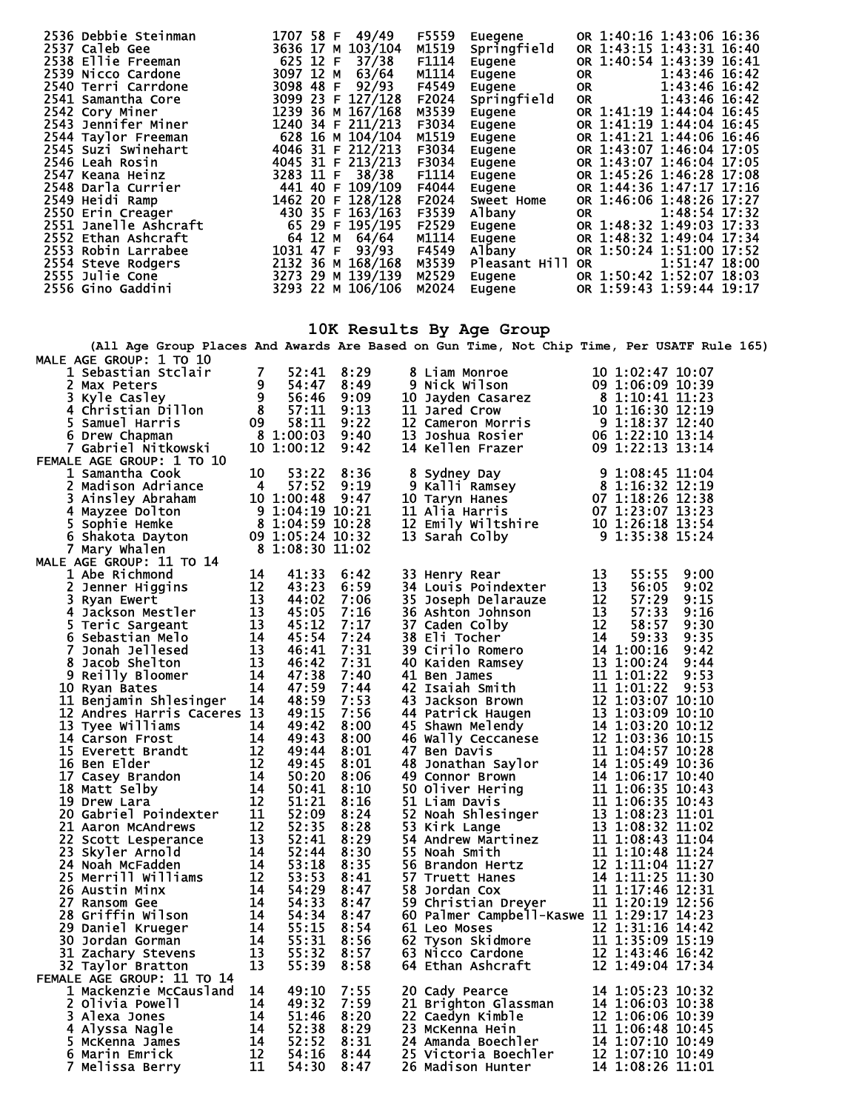| 2536 Debbie Steinman  | 1707 58 F 49/49   | F5559<br>Euegene       | OR 1:40:16 1:43:06 16:36     |
|-----------------------|-------------------|------------------------|------------------------------|
| 2537 Caleb Gee        | 3636 17 M 103/104 | M1519<br>Springfield   | OR 1:43:15 1:43:31 16:40     |
| 2538 Ellie Freeman    | 625 12 F 37/38    | F1114<br>Eugene        | OR 1:40:54 1:43:39 16:41     |
| 2539 Nicco Cardone    | 3097 12 M 63/64   | M1114<br>Eugene        | 1:43:46 16:42<br>OR.         |
| 2540 Terri Carrdone   | 3098 48 F 92/93   | F4549<br>Eugene        | $1:43:46$ 16:42<br><b>OR</b> |
| 2541 Samantha Core    | 3099 23 F 127/128 | F2024<br>Springfield   | 1:43:46 16:42<br><b>OR</b>   |
| 2542 Cory Miner       | 1239 36 M 167/168 | M3539<br>Eugene        | OR 1:41:19 1:44:04 16:45     |
| 2543 Jennifer Miner   | 1240 34 F 211/213 | F3034<br>Eugene        | OR 1:41:19 1:44:04 16:45     |
| 2544 Taylor Freeman   | 628 16 M 104/104  | M1519<br>Eugene        | OR 1:41:21 1:44:06 16:46     |
| 2545 Suzi Swinehart   | 4046 31 F 212/213 | F3034<br>Eugene        | OR 1:43:07 1:46:04 17:05     |
| 2546 Leah Rosin       | 4045 31 F 213/213 | F3034<br>Eugene        | OR 1:43:07 1:46:04 17:05     |
| 2547 Keana Heinz      | 3283 11 F 38/38   | F1114<br>Eugene        | OR 1:45:26 1:46:28 17:08     |
| 2548 Darla Currier    | 441 40 F 109/109  | F4044<br>Eugene        | OR 1:44:36 1:47:17 17:16     |
| 2549 Heidi Ramp       | 1462 20 F 128/128 | F2024<br>Sweet Home    | OR 1:46:06 1:48:26 17:27     |
| 2550 Erin Creager     | 430 35 F 163/163  | F3539<br>Albany        | 1:48:54 17:32<br>OR          |
| 2551 Janelle Ashcraft | 65 29 F 195/195   | F2529<br>Eugene        | OR 1:48:32 1:49:03 17:33     |
| 2552 Ethan Ashcraft   | 64 12 M 64/64     | M1114<br>Eugene        | OR 1:48:32 1:49:04 17:34     |
| 2553 Robin Larrabee   | 1031 47 F 93/93   | F4549<br>Albany        | OR 1:50:24 1:51:00 17:52     |
| 2554 Steve Rodgers    | 2132 36 M 168/168 | M3539<br>Pleasant Hill | 1:51:47 18:00<br>OR.         |
| 2555 Julie Cone       | 3273 29 M 139/139 | M2529<br>Eugene        | OR 1:50:42 1:52:07 18:03     |
| 2556 Gino Gaddini     | 3293 22 M 106/106 | M2024<br>Eugene        | OR 1:59:43 1:59:44 19:17     |
|                       |                   |                        |                              |

## **10K Results By Age Group**

**(All Age Group Places And Awards Are Based on Gun Time, Not Chip Time, Per USATF Rule 165)**

| MALE AGE GROUP: 1 TO 10                                                                                                                                                                                                                                    |       |      | 8 Liam Monroe<br>9 Nick Wilson<br>10 Jayden Casarez<br>10 Jayden Casarez<br>8 1:106:09 10:39<br>11 Jared Crow<br>10 1:16:30 12:19<br>12 Cameron Morris<br>12 Cameron Morris<br>13 Joshua Rosier<br>16 1:22:10 13:14<br>14 Kellen Frazer<br>14 Kellen F                    |    |       |      |
|------------------------------------------------------------------------------------------------------------------------------------------------------------------------------------------------------------------------------------------------------------|-------|------|---------------------------------------------------------------------------------------------------------------------------------------------------------------------------------------------------------------------------------------------------------------------------|----|-------|------|
|                                                                                                                                                                                                                                                            |       | 8:29 |                                                                                                                                                                                                                                                                           |    |       |      |
| 1 Sebastian Stclair<br>2 Max Peters<br>3 Kyle Casley<br>4 Christian Dillon<br>5 Samuel Harris<br>6 Drew Chapman<br>7 Gabriel Nitkowski<br>7 Gabriel Nitkowski<br>7 Gabriel Nitkowski<br>10 1:00:12                                                         |       | 8:49 |                                                                                                                                                                                                                                                                           |    |       |      |
|                                                                                                                                                                                                                                                            |       | 9:09 |                                                                                                                                                                                                                                                                           |    |       |      |
| 2 Chris Capital Haman<br>5 Samuel Haman<br>7 Gabriel Nitkowski<br>ALE AGE GROUP: 1 TO 10<br>1 Samantha Cook<br>2 Madison Adriance<br>4 57:52 9:19<br>3 Ainsley Abraham<br>10 1:00:48 9:47<br>4 Mayzee Dolton<br>5 1:04:59 10:21<br>5 Shakota Dayton<br>    |       | 9:13 |                                                                                                                                                                                                                                                                           |    |       |      |
|                                                                                                                                                                                                                                                            |       |      |                                                                                                                                                                                                                                                                           |    |       |      |
|                                                                                                                                                                                                                                                            |       |      |                                                                                                                                                                                                                                                                           |    |       |      |
|                                                                                                                                                                                                                                                            |       |      |                                                                                                                                                                                                                                                                           |    |       |      |
|                                                                                                                                                                                                                                                            |       |      |                                                                                                                                                                                                                                                                           |    |       |      |
|                                                                                                                                                                                                                                                            |       |      |                                                                                                                                                                                                                                                                           |    |       |      |
|                                                                                                                                                                                                                                                            |       |      |                                                                                                                                                                                                                                                                           |    |       |      |
|                                                                                                                                                                                                                                                            |       |      | 8 Sydney Day<br>9 Kalli Ramsey<br>10 Taryn Hanes<br>10 Taryn Hanes<br>11 Alia Harris<br>11 Alia Harris<br>12 Emily Wiltshire<br>10 1:26:18 13:54<br>13 Sarah Colby<br>9 1:35:38 15:24<br>13 13:54<br>13 13:54<br>13 1:35:38 15:24                                         |    |       |      |
|                                                                                                                                                                                                                                                            |       |      |                                                                                                                                                                                                                                                                           |    |       |      |
|                                                                                                                                                                                                                                                            |       |      |                                                                                                                                                                                                                                                                           |    |       |      |
|                                                                                                                                                                                                                                                            |       |      |                                                                                                                                                                                                                                                                           |    |       |      |
|                                                                                                                                                                                                                                                            |       |      |                                                                                                                                                                                                                                                                           |    |       |      |
|                                                                                                                                                                                                                                                            |       |      |                                                                                                                                                                                                                                                                           |    |       |      |
|                                                                                                                                                                                                                                                            |       |      |                                                                                                                                                                                                                                                                           |    |       |      |
|                                                                                                                                                                                                                                                            |       |      | 33 Henry Rear<br>33 Henry Rear<br>34 Louis Poindexter<br>13 55:55 9:00<br>35 Joseph Delarauze<br>12 57:29 9:15<br>36:05 9:02<br>35 Ashton Johnson<br>12 57:33 9:15<br>37 Caden Colby<br>12 58:57 9:30<br>38 Eli Tocher<br>14 1.00:24 9:44<br>40 Kaiden Ramsey<br>13 1:00: | 13 | 55:55 | 9:00 |
|                                                                                                                                                                                                                                                            |       |      |                                                                                                                                                                                                                                                                           |    |       |      |
|                                                                                                                                                                                                                                                            |       |      |                                                                                                                                                                                                                                                                           |    |       |      |
|                                                                                                                                                                                                                                                            |       |      |                                                                                                                                                                                                                                                                           |    |       |      |
|                                                                                                                                                                                                                                                            |       |      |                                                                                                                                                                                                                                                                           |    |       |      |
|                                                                                                                                                                                                                                                            |       |      |                                                                                                                                                                                                                                                                           |    |       |      |
|                                                                                                                                                                                                                                                            |       |      |                                                                                                                                                                                                                                                                           |    |       |      |
|                                                                                                                                                                                                                                                            |       |      |                                                                                                                                                                                                                                                                           |    |       |      |
|                                                                                                                                                                                                                                                            |       |      |                                                                                                                                                                                                                                                                           |    |       |      |
|                                                                                                                                                                                                                                                            |       |      |                                                                                                                                                                                                                                                                           |    |       |      |
|                                                                                                                                                                                                                                                            |       |      |                                                                                                                                                                                                                                                                           |    |       |      |
|                                                                                                                                                                                                                                                            |       |      |                                                                                                                                                                                                                                                                           |    |       |      |
|                                                                                                                                                                                                                                                            |       |      |                                                                                                                                                                                                                                                                           |    |       |      |
|                                                                                                                                                                                                                                                            |       |      |                                                                                                                                                                                                                                                                           |    |       |      |
|                                                                                                                                                                                                                                                            |       | 8:00 |                                                                                                                                                                                                                                                                           |    |       |      |
|                                                                                                                                                                                                                                                            |       | 8:01 |                                                                                                                                                                                                                                                                           |    |       |      |
|                                                                                                                                                                                                                                                            |       | 8:01 |                                                                                                                                                                                                                                                                           |    |       |      |
|                                                                                                                                                                                                                                                            |       | 8:06 |                                                                                                                                                                                                                                                                           |    |       |      |
|                                                                                                                                                                                                                                                            |       | 8:10 |                                                                                                                                                                                                                                                                           |    |       |      |
|                                                                                                                                                                                                                                                            |       | 8:16 |                                                                                                                                                                                                                                                                           |    |       |      |
|                                                                                                                                                                                                                                                            |       | 8:24 |                                                                                                                                                                                                                                                                           |    |       |      |
|                                                                                                                                                                                                                                                            |       | 8:28 |                                                                                                                                                                                                                                                                           |    |       |      |
|                                                                                                                                                                                                                                                            |       | 8:29 |                                                                                                                                                                                                                                                                           |    |       |      |
|                                                                                                                                                                                                                                                            |       | 8:30 |                                                                                                                                                                                                                                                                           |    |       |      |
|                                                                                                                                                                                                                                                            |       | 8:35 |                                                                                                                                                                                                                                                                           |    |       |      |
|                                                                                                                                                                                                                                                            |       | 8:41 |                                                                                                                                                                                                                                                                           |    |       |      |
|                                                                                                                                                                                                                                                            |       | 8:47 |                                                                                                                                                                                                                                                                           |    |       |      |
|                                                                                                                                                                                                                                                            |       | 8:47 |                                                                                                                                                                                                                                                                           |    |       |      |
|                                                                                                                                                                                                                                                            |       |      |                                                                                                                                                                                                                                                                           |    |       |      |
|                                                                                                                                                                                                                                                            |       | 8:47 | 60 Palmer Campbell-Kaswe 11 1:29:17 14:23                                                                                                                                                                                                                                 |    |       |      |
|                                                                                                                                                                                                                                                            |       | 8:54 |                                                                                                                                                                                                                                                                           |    |       |      |
|                                                                                                                                                                                                                                                            |       | 8:56 |                                                                                                                                                                                                                                                                           |    |       |      |
|                                                                                                                                                                                                                                                            |       | 8:57 |                                                                                                                                                                                                                                                                           |    |       |      |
| 12 Andres Harris Caceres 13<br>13 Tyee Williams<br>14 Carson Frost<br>14 Carson Frost<br>14 49:42<br>15 Everett Brandt<br>16 Ben Elder<br>17 Casey Brandon<br>14 50:20<br>17 Casey Brandon<br>14 50:20<br>17 Casey Brandon<br>14 50:20<br>19 Drew Lara<br> |       | 8:58 | 12 1:31:16 14:23<br>62 Tyson Skidmore<br>63 Nicco Cardone<br>64 Ethan Ashcraft<br>64 Ethan Ashcraft<br>64 Ethan Ashcraft<br>64 Ethan Ashcraft<br>64 Ethan Ashcraft<br>64 Ethan Ashcraft<br>72 1:49:04 17:34                                                               |    |       |      |
| FEMALE AGE GROUP: 11 TO 14                                                                                                                                                                                                                                 |       |      |                                                                                                                                                                                                                                                                           |    |       |      |
| 1 Mackenzie McCausland 14                                                                                                                                                                                                                                  | 49:10 | 7:55 | 20 Cady Pearce<br>21 Brighton Glassman<br>22 Caedyn Kimble<br>23 McKenna Hein<br>24 Amanda Boechler<br>25 Victoria Boechler<br>26 Madison Hunter<br>26 Madison Hunter<br>24 Amanda Boechler<br>26 Madison Hunter<br>24 1:07:10 10:49<br>26 Madison H                      |    |       |      |
| 2 Olivia Powell                                                                                                                                                                                                                                            | 49:32 | 7:59 |                                                                                                                                                                                                                                                                           |    |       |      |
| 3 Alexa Jones                                                                                                                                                                                                                                              | 51:46 | 8:20 |                                                                                                                                                                                                                                                                           |    |       |      |
| 4 Alyssa Nagle                                                                                                                                                                                                                                             | 52:38 | 8:29 |                                                                                                                                                                                                                                                                           |    |       |      |
| 5 McKenna James                                                                                                                                                                                                                                            | 52:52 | 8:31 |                                                                                                                                                                                                                                                                           |    |       |      |
| Caus Tanu<br>1 14<br>5 14<br>5 14<br>7 11<br>7 11<br>6 Marin Emrick                                                                                                                                                                                        | 54:16 | 8:44 |                                                                                                                                                                                                                                                                           |    |       |      |
| 7 Melissa Berry                                                                                                                                                                                                                                            | 54:30 | 8:47 |                                                                                                                                                                                                                                                                           |    |       |      |
|                                                                                                                                                                                                                                                            |       |      |                                                                                                                                                                                                                                                                           |    |       |      |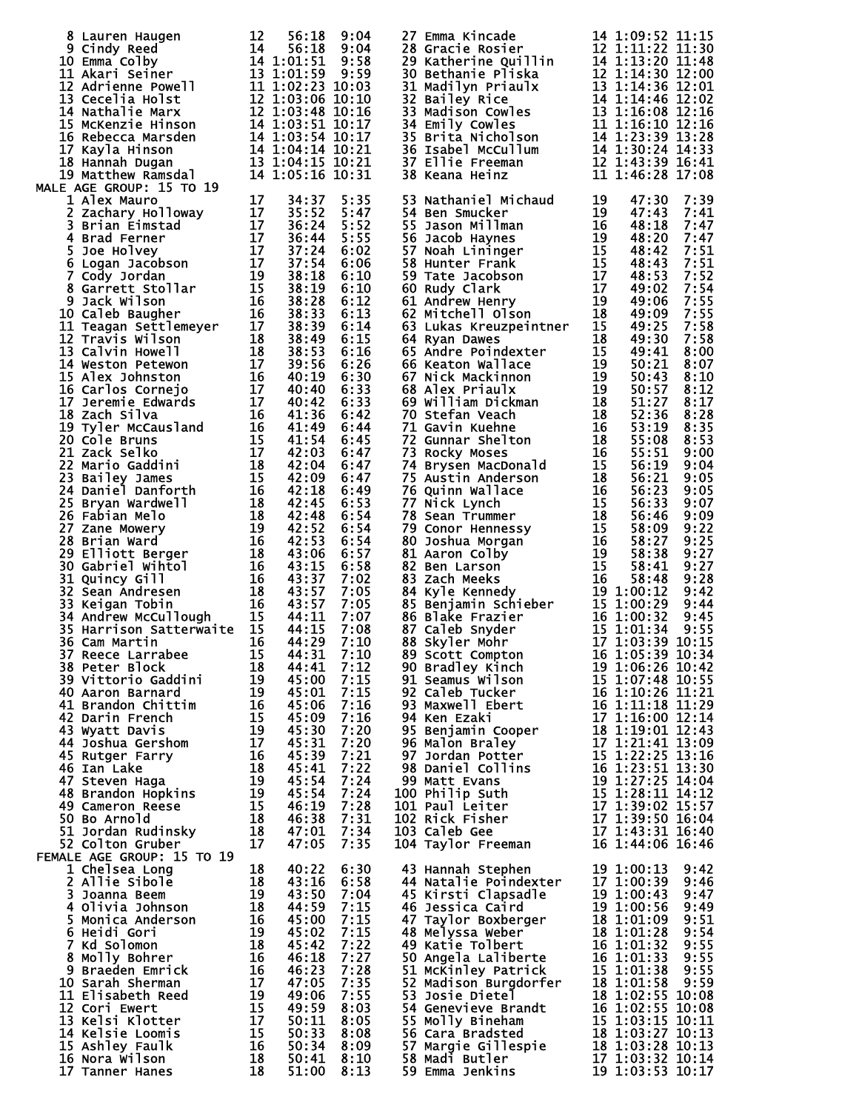| 8 Lauren Haugen<br>9 Cindy Reed<br>14 56:18 9:04<br>10 Emma Colby<br>14 1:01:51 9:58<br>11 Akari Seiner<br>13 1:01:59 9:59<br>12 Adrienne Powell<br>11 1:02:23 10:03<br>13 Cecelia Holst<br>12 1:03:06 10:10<br>14 Nathalie Marx<br>12 1:03:06 10:10<br>                   |           |                |                        | 27 Emma Kincade 14 1:09:52 11:15<br>28 Gracie Rosier 12 1:11:22 11:30<br>29 Katherine Quillin 14 1:13:20 11:48<br>30 Bethanie Pliska 12 1:14:30 12:00<br>31 Madilyn Priaulx 13 1:14:36 12:01<br>32 Bailey Rice 14 1:14:46 12:02<br>33 Madi          |  |  |
|----------------------------------------------------------------------------------------------------------------------------------------------------------------------------------------------------------------------------------------------------------------------------|-----------|----------------|------------------------|-----------------------------------------------------------------------------------------------------------------------------------------------------------------------------------------------------------------------------------------------------|--|--|
|                                                                                                                                                                                                                                                                            |           |                |                        |                                                                                                                                                                                                                                                     |  |  |
|                                                                                                                                                                                                                                                                            |           |                |                        |                                                                                                                                                                                                                                                     |  |  |
|                                                                                                                                                                                                                                                                            |           |                |                        |                                                                                                                                                                                                                                                     |  |  |
|                                                                                                                                                                                                                                                                            |           |                |                        |                                                                                                                                                                                                                                                     |  |  |
|                                                                                                                                                                                                                                                                            |           |                |                        |                                                                                                                                                                                                                                                     |  |  |
|                                                                                                                                                                                                                                                                            |           |                |                        |                                                                                                                                                                                                                                                     |  |  |
|                                                                                                                                                                                                                                                                            |           |                |                        |                                                                                                                                                                                                                                                     |  |  |
|                                                                                                                                                                                                                                                                            |           |                |                        |                                                                                                                                                                                                                                                     |  |  |
|                                                                                                                                                                                                                                                                            |           |                |                        |                                                                                                                                                                                                                                                     |  |  |
|                                                                                                                                                                                                                                                                            |           |                |                        |                                                                                                                                                                                                                                                     |  |  |
| <b>MALE AGE GROUP: 15 TO 19</b>                                                                                                                                                                                                                                            |           |                |                        |                                                                                                                                                                                                                                                     |  |  |
|                                                                                                                                                                                                                                                                            |           |                |                        |                                                                                                                                                                                                                                                     |  |  |
|                                                                                                                                                                                                                                                                            |           |                | 5:35                   |                                                                                                                                                                                                                                                     |  |  |
|                                                                                                                                                                                                                                                                            |           |                | 5:47                   |                                                                                                                                                                                                                                                     |  |  |
|                                                                                                                                                                                                                                                                            |           |                | 5:52                   |                                                                                                                                                                                                                                                     |  |  |
|                                                                                                                                                                                                                                                                            |           |                | 5:55                   |                                                                                                                                                                                                                                                     |  |  |
|                                                                                                                                                                                                                                                                            |           |                |                        |                                                                                                                                                                                                                                                     |  |  |
|                                                                                                                                                                                                                                                                            |           |                | 6:02                   |                                                                                                                                                                                                                                                     |  |  |
|                                                                                                                                                                                                                                                                            |           |                | 6:06                   |                                                                                                                                                                                                                                                     |  |  |
|                                                                                                                                                                                                                                                                            |           |                | 6:10                   |                                                                                                                                                                                                                                                     |  |  |
|                                                                                                                                                                                                                                                                            |           |                | 6:10                   |                                                                                                                                                                                                                                                     |  |  |
|                                                                                                                                                                                                                                                                            |           |                | 6:12                   |                                                                                                                                                                                                                                                     |  |  |
|                                                                                                                                                                                                                                                                            |           |                |                        |                                                                                                                                                                                                                                                     |  |  |
|                                                                                                                                                                                                                                                                            |           |                | 6:13                   |                                                                                                                                                                                                                                                     |  |  |
|                                                                                                                                                                                                                                                                            |           |                | 6:14                   |                                                                                                                                                                                                                                                     |  |  |
|                                                                                                                                                                                                                                                                            |           |                | 6:15                   |                                                                                                                                                                                                                                                     |  |  |
|                                                                                                                                                                                                                                                                            |           |                | 6:16                   |                                                                                                                                                                                                                                                     |  |  |
|                                                                                                                                                                                                                                                                            |           |                |                        |                                                                                                                                                                                                                                                     |  |  |
|                                                                                                                                                                                                                                                                            |           |                | 6:26                   |                                                                                                                                                                                                                                                     |  |  |
|                                                                                                                                                                                                                                                                            |           |                | 6:30                   |                                                                                                                                                                                                                                                     |  |  |
|                                                                                                                                                                                                                                                                            |           |                | 6:33                   |                                                                                                                                                                                                                                                     |  |  |
|                                                                                                                                                                                                                                                                            |           |                | 6:33                   |                                                                                                                                                                                                                                                     |  |  |
|                                                                                                                                                                                                                                                                            |           |                |                        |                                                                                                                                                                                                                                                     |  |  |
|                                                                                                                                                                                                                                                                            |           |                | 6:42                   |                                                                                                                                                                                                                                                     |  |  |
|                                                                                                                                                                                                                                                                            |           |                | 6:44                   |                                                                                                                                                                                                                                                     |  |  |
|                                                                                                                                                                                                                                                                            |           |                | 6:45                   |                                                                                                                                                                                                                                                     |  |  |
|                                                                                                                                                                                                                                                                            |           |                | 6:47                   |                                                                                                                                                                                                                                                     |  |  |
|                                                                                                                                                                                                                                                                            |           |                | 6:47                   |                                                                                                                                                                                                                                                     |  |  |
|                                                                                                                                                                                                                                                                            |           |                |                        |                                                                                                                                                                                                                                                     |  |  |
|                                                                                                                                                                                                                                                                            |           |                | 6:47                   |                                                                                                                                                                                                                                                     |  |  |
|                                                                                                                                                                                                                                                                            |           |                | 6:49                   |                                                                                                                                                                                                                                                     |  |  |
|                                                                                                                                                                                                                                                                            |           |                | 6:53                   |                                                                                                                                                                                                                                                     |  |  |
|                                                                                                                                                                                                                                                                            |           |                | 6:54                   |                                                                                                                                                                                                                                                     |  |  |
|                                                                                                                                                                                                                                                                            |           |                | 6:54                   |                                                                                                                                                                                                                                                     |  |  |
|                                                                                                                                                                                                                                                                            |           |                |                        |                                                                                                                                                                                                                                                     |  |  |
|                                                                                                                                                                                                                                                                            |           |                | 6:54                   |                                                                                                                                                                                                                                                     |  |  |
| 19 Matthew Ramsdal<br>LE AGE GROUP: 15 TO 19<br>2 Zachary Holloway<br>17 34:37<br>2 Zachary Holloway<br>17 35:52<br>4 Brad Ferner<br>5 Logan Jacobson<br>17 37:54<br>4 Brad Ferner<br>5 Logan Jacobson<br>17 37:54<br>6 Logan Jacobson<br>17 37:54<br>7 Go                 |           |                | 6:57                   | 38 Keana Heinz 11 1:46:28 17:08<br>53 Nathaniel Michaud 19 47:30 7:39<br>53 Nathaniel Michaud 19 47:30 7:39<br>55 Nathaniel Michaud 19 47:30 7:39<br>55 Nason Millman<br>56 Nach Millman<br>57 Noah Lininger Frank 15 48:42 7:51<br>57 Noah         |  |  |
|                                                                                                                                                                                                                                                                            |           |                | 6:58                   |                                                                                                                                                                                                                                                     |  |  |
|                                                                                                                                                                                                                                                                            |           |                | 7:02                   |                                                                                                                                                                                                                                                     |  |  |
|                                                                                                                                                                                                                                                                            |           |                |                        |                                                                                                                                                                                                                                                     |  |  |
|                                                                                                                                                                                                                                                                            |           |                | 7:05                   |                                                                                                                                                                                                                                                     |  |  |
|                                                                                                                                                                                                                                                                            |           |                | 7:05                   |                                                                                                                                                                                                                                                     |  |  |
|                                                                                                                                                                                                                                                                            |           |                | 7:07                   |                                                                                                                                                                                                                                                     |  |  |
|                                                                                                                                                                                                                                                                            |           |                | 7:08                   |                                                                                                                                                                                                                                                     |  |  |
|                                                                                                                                                                                                                                                                            |           |                |                        |                                                                                                                                                                                                                                                     |  |  |
| 36 Cam Martin                                                                                                                                                                                                                                                              | <b>16</b> | 44:29          | 7:10                   | 88 Skyler Mohr 17 1:03:39 10:15<br>89 Scott Compton 16 1:05:39 10:15<br>90 Bradley Kinch 19 1:06:26 10:42<br>91 Seamus Wilson 15 1:07:48 10:55<br>92 Caleb Tucker 16 1:10:26 11:20<br>93 Maxwell Ebert 16 1:10:26 11:29<br>94 Ken Ezaki 17          |  |  |
| 37 Reece Larrabee 15 44:31<br>37 Reece Larrabee 15 44:31 7:10<br>38 Peter Block 18 44:41 7:12<br>39 Vittorio Gaddini 19 45:00 7:15<br>40 Aaron Barnard 19 45:00 7:15<br>41 Brandon Chittim 16 45:06 7:16<br>42 Darin French 15 45:09 7:16<br>43 Wyatt Davis<br>43 Wyatt Da |           |                | 7:10                   |                                                                                                                                                                                                                                                     |  |  |
|                                                                                                                                                                                                                                                                            |           |                |                        |                                                                                                                                                                                                                                                     |  |  |
|                                                                                                                                                                                                                                                                            |           |                |                        |                                                                                                                                                                                                                                                     |  |  |
|                                                                                                                                                                                                                                                                            |           |                |                        |                                                                                                                                                                                                                                                     |  |  |
|                                                                                                                                                                                                                                                                            |           |                |                        |                                                                                                                                                                                                                                                     |  |  |
|                                                                                                                                                                                                                                                                            |           |                |                        |                                                                                                                                                                                                                                                     |  |  |
|                                                                                                                                                                                                                                                                            |           |                |                        |                                                                                                                                                                                                                                                     |  |  |
|                                                                                                                                                                                                                                                                            |           |                |                        |                                                                                                                                                                                                                                                     |  |  |
|                                                                                                                                                                                                                                                                            |           |                |                        |                                                                                                                                                                                                                                                     |  |  |
|                                                                                                                                                                                                                                                                            |           |                |                        |                                                                                                                                                                                                                                                     |  |  |
|                                                                                                                                                                                                                                                                            |           |                |                        |                                                                                                                                                                                                                                                     |  |  |
|                                                                                                                                                                                                                                                                            |           |                |                        |                                                                                                                                                                                                                                                     |  |  |
|                                                                                                                                                                                                                                                                            |           |                |                        |                                                                                                                                                                                                                                                     |  |  |
|                                                                                                                                                                                                                                                                            |           |                |                        |                                                                                                                                                                                                                                                     |  |  |
|                                                                                                                                                                                                                                                                            |           |                |                        |                                                                                                                                                                                                                                                     |  |  |
|                                                                                                                                                                                                                                                                            |           |                |                        |                                                                                                                                                                                                                                                     |  |  |
|                                                                                                                                                                                                                                                                            |           |                |                        |                                                                                                                                                                                                                                                     |  |  |
|                                                                                                                                                                                                                                                                            |           |                |                        |                                                                                                                                                                                                                                                     |  |  |
|                                                                                                                                                                                                                                                                            |           |                |                        |                                                                                                                                                                                                                                                     |  |  |
| <b>FEMALE AGE GROUP: 15 TO 19</b>                                                                                                                                                                                                                                          |           |                |                        |                                                                                                                                                                                                                                                     |  |  |
|                                                                                                                                                                                                                                                                            |           |                |                        |                                                                                                                                                                                                                                                     |  |  |
| 1 Chelsea Long                                                                                                                                                                                                                                                             | 18        | 40:22          | 6:30                   |                                                                                                                                                                                                                                                     |  |  |
|                                                                                                                                                                                                                                                                            |           | 43:16          | 6:58                   |                                                                                                                                                                                                                                                     |  |  |
|                                                                                                                                                                                                                                                                            |           | 43:50          | 7:04                   |                                                                                                                                                                                                                                                     |  |  |
|                                                                                                                                                                                                                                                                            |           | 44:59          | 7:15                   |                                                                                                                                                                                                                                                     |  |  |
|                                                                                                                                                                                                                                                                            |           |                | 7:15                   |                                                                                                                                                                                                                                                     |  |  |
|                                                                                                                                                                                                                                                                            |           | 45:00<br>45:02 |                        |                                                                                                                                                                                                                                                     |  |  |
|                                                                                                                                                                                                                                                                            |           |                | 7:15                   |                                                                                                                                                                                                                                                     |  |  |
|                                                                                                                                                                                                                                                                            |           | 45:42          | 7:22                   |                                                                                                                                                                                                                                                     |  |  |
|                                                                                                                                                                                                                                                                            |           | 46:18          | 7:27                   |                                                                                                                                                                                                                                                     |  |  |
|                                                                                                                                                                                                                                                                            |           | 46:23          | 7:28                   |                                                                                                                                                                                                                                                     |  |  |
|                                                                                                                                                                                                                                                                            |           |                | 7:35                   |                                                                                                                                                                                                                                                     |  |  |
|                                                                                                                                                                                                                                                                            |           |                |                        |                                                                                                                                                                                                                                                     |  |  |
|                                                                                                                                                                                                                                                                            |           | 47:05          |                        |                                                                                                                                                                                                                                                     |  |  |
|                                                                                                                                                                                                                                                                            |           | 49:06          | 7:55                   |                                                                                                                                                                                                                                                     |  |  |
|                                                                                                                                                                                                                                                                            |           |                | 8:03                   |                                                                                                                                                                                                                                                     |  |  |
|                                                                                                                                                                                                                                                                            |           | 49:59          |                        |                                                                                                                                                                                                                                                     |  |  |
|                                                                                                                                                                                                                                                                            |           | 50:11          | 8:05                   |                                                                                                                                                                                                                                                     |  |  |
|                                                                                                                                                                                                                                                                            |           | 50:33 8:08     |                        |                                                                                                                                                                                                                                                     |  |  |
|                                                                                                                                                                                                                                                                            |           |                | 50:34 8:09             |                                                                                                                                                                                                                                                     |  |  |
| WALE AGE GROUP: 15 10 19<br>1 Chelsea Long<br>2 Allie Sibole<br>3 Joanna Beem<br>4 Olivia Johnson<br>4 Olivia Johnson<br>5 Monica Anderson<br>6 Heidi Gori<br>7 Kd Solomon<br>8 Molly Bohrer<br>9 Braeden Emrick<br>16 Braeden Emrick<br>16 De Sarah S                     |           | 51:00          | $50:41$ $8:10$<br>8:13 | 43 Hannah Stephen<br>44 Natalie Poindexter<br>45 Kirsti Clapsadle<br>45 Kirsti Clapsadle<br>46 Jessica Caird<br>47 Taylor Boxberger<br>47 Taylor Boxberger<br>47 Taylor Boxberger<br>48 Melyssa weber<br>48 Melyssa weber<br>48 Melyssa weber<br>48 |  |  |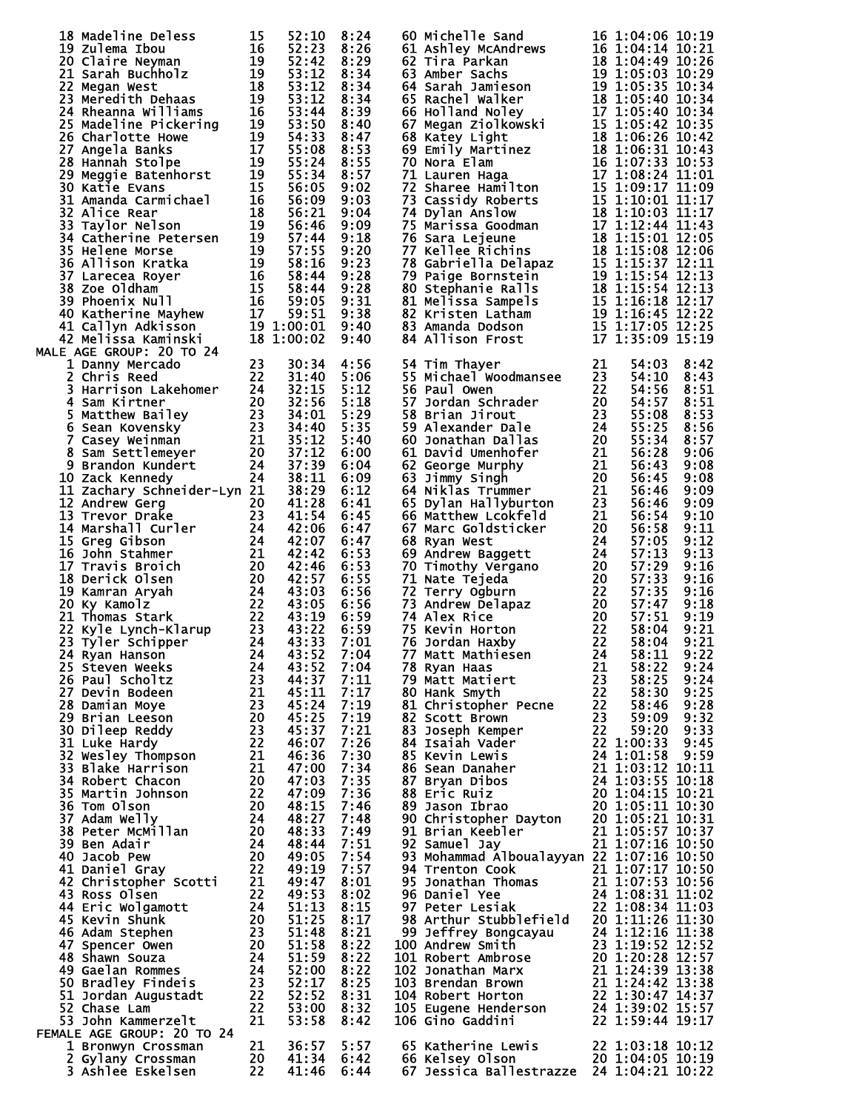| 18 Madeline Deless                                                                                                                                                                                                                                                                     | 15 | 52:10          | 8:24         | 60 Michelle Sand                                                                                                                                                                                                                                         |    | 16 1:04:06 10:19 |              |
|----------------------------------------------------------------------------------------------------------------------------------------------------------------------------------------------------------------------------------------------------------------------------------------|----|----------------|--------------|----------------------------------------------------------------------------------------------------------------------------------------------------------------------------------------------------------------------------------------------------------|----|------------------|--------------|
| 18 Madeline Deless<br>19 Zulema Ibou<br>20 Claire Neyman<br>21 Sarah Buchholz<br>22 Megan West<br>23 Meredith Dehaas<br>23 Meredith Dehaas<br>23 Meredith Dehaas<br>24 Second Williams<br>16                                                                                           |    | 52:23          | 8:26         | 61 Ashley McAndrews<br>62 Tira Parkan                                                                                                                                                                                                                    |    | 16 1:04:14 10:21 |              |
|                                                                                                                                                                                                                                                                                        |    | 52:42          | 8:29         | 62 Tira Parkan<br>63 Amber Sachs<br>63 Amber Sachs<br>63 Amber Sachs<br>64 Sarah Jamieson<br>64 Sarah Jamieson<br>19 1:05:35 10:34<br>65 Rachel Walker<br>18 1:05:40 10:34<br>66 Holland Noley<br>17 1:05:40 10:34<br>67 Nora Elam<br>18 1:06:26 10:42   |    | 18 1:04:49 10:26 |              |
|                                                                                                                                                                                                                                                                                        |    | 53:12          | 8:34         |                                                                                                                                                                                                                                                          |    |                  |              |
|                                                                                                                                                                                                                                                                                        |    | 53:12          | 8:34         |                                                                                                                                                                                                                                                          |    |                  |              |
|                                                                                                                                                                                                                                                                                        |    | 53:12<br>53:44 | 8:34<br>8:39 |                                                                                                                                                                                                                                                          |    |                  |              |
| 24 Rheanna Williams<br>25 Madeline Pickering<br>26 Charlotte Howe<br>27 Angela Banks<br>28 Hannah Stolpe<br>29 Meggie Batenhorst<br>30 Katie Evans<br>30 Katie Evans                                                                                                                   |    | 53:50          | 8:40         |                                                                                                                                                                                                                                                          |    |                  |              |
|                                                                                                                                                                                                                                                                                        |    | 54:33          | 8:47         |                                                                                                                                                                                                                                                          |    |                  |              |
|                                                                                                                                                                                                                                                                                        |    | 55:08          | 8:53         |                                                                                                                                                                                                                                                          |    |                  |              |
|                                                                                                                                                                                                                                                                                        |    | 55:24          | 8:55         |                                                                                                                                                                                                                                                          |    |                  |              |
|                                                                                                                                                                                                                                                                                        |    | 55:34          | 8:57         |                                                                                                                                                                                                                                                          |    |                  |              |
|                                                                                                                                                                                                                                                                                        |    | 56:05          | 9:02         |                                                                                                                                                                                                                                                          |    |                  |              |
| 31 Amanda Carmichael                                                                                                                                                                                                                                                                   | 16 | 56:09          | 9:03         |                                                                                                                                                                                                                                                          |    |                  |              |
| 32 Alice Rear                                                                                                                                                                                                                                                                          | 18 | 56:21          | 9:04         |                                                                                                                                                                                                                                                          |    |                  |              |
|                                                                                                                                                                                                                                                                                        |    |                | 9:09         |                                                                                                                                                                                                                                                          |    |                  |              |
|                                                                                                                                                                                                                                                                                        |    |                | 9:18         |                                                                                                                                                                                                                                                          |    |                  |              |
| 32 Alice Rear<br>33 Taylor Nelson<br>34 Catherine Petersen<br>34 Catherine Petersen<br>35 Helene Morse<br>36 Allison Kratka<br>37 Larecea Royer<br>36 Allison Kratka<br>37 Larecea Royer<br>38 Zoe Oldham<br>39 Phoenix Null<br>39 Phoenix Null<br>40                                  |    |                | 9:20         | 77 Kellee Richins<br>78 Gabriella Delapaz<br>78 Gabriella Delapaz<br>79 Paige Bornstein<br>79 Paige Bornstein<br>79 Paige Bornstein<br>19 1:15:54 12:13<br>80 Stephanie Ralls<br>81 Melissa Sampels<br>15 1:16:18 12:17<br>82 Kristen Latham<br>82 K     |    |                  |              |
|                                                                                                                                                                                                                                                                                        |    |                | 9:23         |                                                                                                                                                                                                                                                          |    |                  |              |
|                                                                                                                                                                                                                                                                                        |    |                | 9:28         |                                                                                                                                                                                                                                                          |    |                  |              |
|                                                                                                                                                                                                                                                                                        |    |                | 9:28         |                                                                                                                                                                                                                                                          |    |                  |              |
|                                                                                                                                                                                                                                                                                        |    |                | 9:31         |                                                                                                                                                                                                                                                          |    |                  |              |
|                                                                                                                                                                                                                                                                                        |    |                | 9:38         |                                                                                                                                                                                                                                                          |    |                  |              |
|                                                                                                                                                                                                                                                                                        |    |                | 9:40<br>9:40 | 84 Allison Frost                                                                                                                                                                                                                                         |    | 17 1:35:09 15:19 |              |
| MALE AGE GROUP: 20 TO 24                                                                                                                                                                                                                                                               |    |                |              |                                                                                                                                                                                                                                                          |    |                  |              |
| 1 Danny Mercado                                                                                                                                                                                                                                                                        | 23 | 30:34          | 4:56         | 54 Tim Thayer                                                                                                                                                                                                                                            | 21 | 54:03            | 8:42         |
| 2 Chris Reed                                                                                                                                                                                                                                                                           | 22 | 31:40          | 5:06         | 55 Michael Woodmansee                                                                                                                                                                                                                                    | 23 | 54:10            | 8:43         |
|                                                                                                                                                                                                                                                                                        |    | 32:15          | 5:12         | 56 Paul Owen                                                                                                                                                                                                                                             | 22 | 54:56            | 8:51         |
| 2 Chris Reeu<br>3 Harrison Lakehomer<br>4 Sam Kirtner<br>5 Matthew Bailey<br>6 Sean Kovensky<br>7 Casey Weinman<br>8 Sam Settlemeyer<br>9 Brandon Kundert<br>24<br>10 Zack Kennedy<br>24<br>10 Zack Kennedy                                                                            |    | 32:56          | 5:18         | 56 Paul Owen<br>57 Jordan Schrader<br>58 Brian Jirout<br>59 Alexander Dale<br>60 Jonathan Dallas<br>61 David Umenhofer<br>62 George Murphy<br>63 Jimmy Singh<br>64 Niklas Trummer<br>65 Dylan Hallyburton<br>65 Dylan Hallyburton<br>66 Matthew Look     |    | 54:57            | 8:51         |
|                                                                                                                                                                                                                                                                                        |    | 34:01          | 5:29         |                                                                                                                                                                                                                                                          |    | 55:08            | 8:53         |
|                                                                                                                                                                                                                                                                                        |    | 34:40          | 5:35         |                                                                                                                                                                                                                                                          |    | 55:25            | 8:56         |
|                                                                                                                                                                                                                                                                                        |    | 35:12          | 5:40         |                                                                                                                                                                                                                                                          |    | 55:34            | 8:57         |
|                                                                                                                                                                                                                                                                                        |    | 37:12<br>37:39 | 6:00         |                                                                                                                                                                                                                                                          |    | 56:28            | 9:06         |
|                                                                                                                                                                                                                                                                                        |    |                | 6:04         |                                                                                                                                                                                                                                                          |    | 56:43            | 9:08         |
| 10 Zack Kennedy                                                                                                                                                                                                                                                                        |    | 38:11          | 6:09         |                                                                                                                                                                                                                                                          |    | 56:45            | 9:08         |
| 11 Zachary Schneider-Lyn 21                                                                                                                                                                                                                                                            |    | 38:29          | 6:12         |                                                                                                                                                                                                                                                          |    | 56:46            | 9:09         |
| 12 Andrew Gerg<br>12 Andrew Gerg<br>13 Trevor Drake 23<br>14 Marshall Curler 24                                                                                                                                                                                                        | 20 | 41:28          | 6:41         |                                                                                                                                                                                                                                                          |    | 56:46            | 9:09         |
|                                                                                                                                                                                                                                                                                        |    | 41:54          | 6:45         |                                                                                                                                                                                                                                                          |    | 56:54            | 9:10         |
|                                                                                                                                                                                                                                                                                        |    |                | 6:47         |                                                                                                                                                                                                                                                          |    | 56:58            | 9:11         |
|                                                                                                                                                                                                                                                                                        |    |                | 6:47         | 68 Ryan West                                                                                                                                                                                                                                             | 24 | 57:05            | 9:12         |
|                                                                                                                                                                                                                                                                                        |    |                | 6:53         |                                                                                                                                                                                                                                                          |    | 57:13            | 9:13         |
| 24 42<br>17 Travis Broich<br>17 Travis Broich<br>18 Derick Olsen<br>19 Kamran Aryah<br>20 42:4<br>20 42:4<br>20 42:4<br>19 Kamran Aryah<br>20 43:0<br>20 43:0<br>20 43:0<br>20 43:0<br>20 43:0<br>20 43:0<br>20 43:0<br>20 43:0<br>21 Thomas Stark<br>22 43:0<br>22                    |    |                | 6:53         | 00 Kyan west<br>69 Andrew Baggett<br>70 Timothy Vergano<br>71 Nate Tejeda<br>72 Terry Ogburn<br>73 Andrew Delapaz<br>73 Andrew Delapaz<br>74 Alex Rice<br>75 Kevin Horton<br>76 Jordan Haxby<br>76 Jordan Haxby<br>77 Matt Mathiesen<br>24               |    | 57:29            | 9:16         |
|                                                                                                                                                                                                                                                                                        |    | 42:57          | 6:55         |                                                                                                                                                                                                                                                          |    | 57:33            | 9:16         |
|                                                                                                                                                                                                                                                                                        |    |                | 6:56         |                                                                                                                                                                                                                                                          |    | 57:35            | 9:16         |
|                                                                                                                                                                                                                                                                                        |    | 43:05          | 6:56         |                                                                                                                                                                                                                                                          |    | 57:47            | 9:18         |
|                                                                                                                                                                                                                                                                                        |    |                | 6:59         |                                                                                                                                                                                                                                                          |    | 57:51            | 9:19         |
|                                                                                                                                                                                                                                                                                        |    |                | 6:59<br>7:01 |                                                                                                                                                                                                                                                          |    | 58:04<br>58:04   | 9:21<br>9:21 |
|                                                                                                                                                                                                                                                                                        |    |                | 7:04         |                                                                                                                                                                                                                                                          |    |                  |              |
|                                                                                                                                                                                                                                                                                        |    |                |              |                                                                                                                                                                                                                                                          |    |                  |              |
|                                                                                                                                                                                                                                                                                        |    |                |              |                                                                                                                                                                                                                                                          |    |                  |              |
|                                                                                                                                                                                                                                                                                        |    |                |              |                                                                                                                                                                                                                                                          |    |                  |              |
|                                                                                                                                                                                                                                                                                        |    |                |              |                                                                                                                                                                                                                                                          |    |                  |              |
|                                                                                                                                                                                                                                                                                        |    |                |              |                                                                                                                                                                                                                                                          |    |                  |              |
|                                                                                                                                                                                                                                                                                        |    |                |              |                                                                                                                                                                                                                                                          |    |                  |              |
|                                                                                                                                                                                                                                                                                        |    |                |              |                                                                                                                                                                                                                                                          |    |                  |              |
|                                                                                                                                                                                                                                                                                        |    |                |              |                                                                                                                                                                                                                                                          |    |                  |              |
|                                                                                                                                                                                                                                                                                        |    |                |              |                                                                                                                                                                                                                                                          |    |                  |              |
|                                                                                                                                                                                                                                                                                        |    |                |              |                                                                                                                                                                                                                                                          |    |                  |              |
|                                                                                                                                                                                                                                                                                        |    |                |              | 76 Jordan Haxby<br>77 Matt Mathiesen<br>78 Ryan Haas<br>78 Ryan Haas<br>79 Matt Matiert<br>79 Matt Matiert<br>81 Christopher Pecne<br>82 Scott Brown<br>82 Scott Brown<br>82 Scott Brown<br>83 Joseph Kemper<br>22 1:00:33 9:26<br>84 Isaiah Vader<br>85 |    |                  |              |
|                                                                                                                                                                                                                                                                                        |    |                |              |                                                                                                                                                                                                                                                          |    |                  |              |
|                                                                                                                                                                                                                                                                                        |    |                |              |                                                                                                                                                                                                                                                          |    |                  |              |
|                                                                                                                                                                                                                                                                                        |    |                |              |                                                                                                                                                                                                                                                          |    |                  |              |
|                                                                                                                                                                                                                                                                                        |    |                |              |                                                                                                                                                                                                                                                          |    |                  |              |
|                                                                                                                                                                                                                                                                                        |    |                |              | 93 Mohammad Alboualayyan 22 1:07:16 10:50                                                                                                                                                                                                                |    |                  |              |
|                                                                                                                                                                                                                                                                                        |    |                |              |                                                                                                                                                                                                                                                          |    |                  |              |
|                                                                                                                                                                                                                                                                                        |    |                |              |                                                                                                                                                                                                                                                          |    |                  |              |
|                                                                                                                                                                                                                                                                                        |    |                |              |                                                                                                                                                                                                                                                          |    |                  |              |
|                                                                                                                                                                                                                                                                                        |    |                |              |                                                                                                                                                                                                                                                          |    |                  |              |
|                                                                                                                                                                                                                                                                                        |    |                |              |                                                                                                                                                                                                                                                          |    |                  |              |
|                                                                                                                                                                                                                                                                                        |    |                |              |                                                                                                                                                                                                                                                          |    |                  |              |
|                                                                                                                                                                                                                                                                                        |    |                |              |                                                                                                                                                                                                                                                          |    |                  |              |
|                                                                                                                                                                                                                                                                                        |    |                |              |                                                                                                                                                                                                                                                          |    |                  |              |
|                                                                                                                                                                                                                                                                                        |    |                |              |                                                                                                                                                                                                                                                          |    |                  |              |
|                                                                                                                                                                                                                                                                                        |    |                |              |                                                                                                                                                                                                                                                          |    |                  |              |
|                                                                                                                                                                                                                                                                                        |    |                |              |                                                                                                                                                                                                                                                          |    |                  |              |
|                                                                                                                                                                                                                                                                                        |    |                |              | 93 Mohammad Alboualayyan 22 1:07:16 10:50<br>94 Trenton Cook<br>95 Jonathan Thomas<br>21 1:07:17 10:50<br>96 Daniel Yee<br>24 1:08:31 11:03<br>97 Peter Lesiak<br>22 1:08:34 11:03<br>98 Arthur Stubblefield<br>20 1:11:26 11:30<br>99 Jeffrey Bon       |    |                  |              |
| 23 Tyler Schipper<br>24 43:33 7:01<br>25 Steven weeks<br>24 43:52 7:04<br>26 Faul Scholtz<br>26 Paul Scholtz<br>23 344:37 7:117<br>27 Devin Bodeen<br>21 44:37 7:117<br>28 Damian Moye<br>21 44:37 7:117<br>28 Damian Moye<br>21 44:37 7:117<br>28 Damia<br>FEMALE AGE GROUP: 20 TO 24 |    |                |              |                                                                                                                                                                                                                                                          |    |                  |              |
| $\frac{21}{20}$<br>1 Bronwyn Crossman                                                                                                                                                                                                                                                  |    | 36:57          | 5:57         |                                                                                                                                                                                                                                                          |    |                  |              |
| 2 Gylany Crossman                                                                                                                                                                                                                                                                      |    | 41:34          | 6:42         |                                                                                                                                                                                                                                                          |    |                  |              |
| 3 Ashlee Eskelsen                                                                                                                                                                                                                                                                      |    | 41:46          | 6:44         |                                                                                                                                                                                                                                                          |    |                  |              |
|                                                                                                                                                                                                                                                                                        |    |                |              |                                                                                                                                                                                                                                                          |    |                  |              |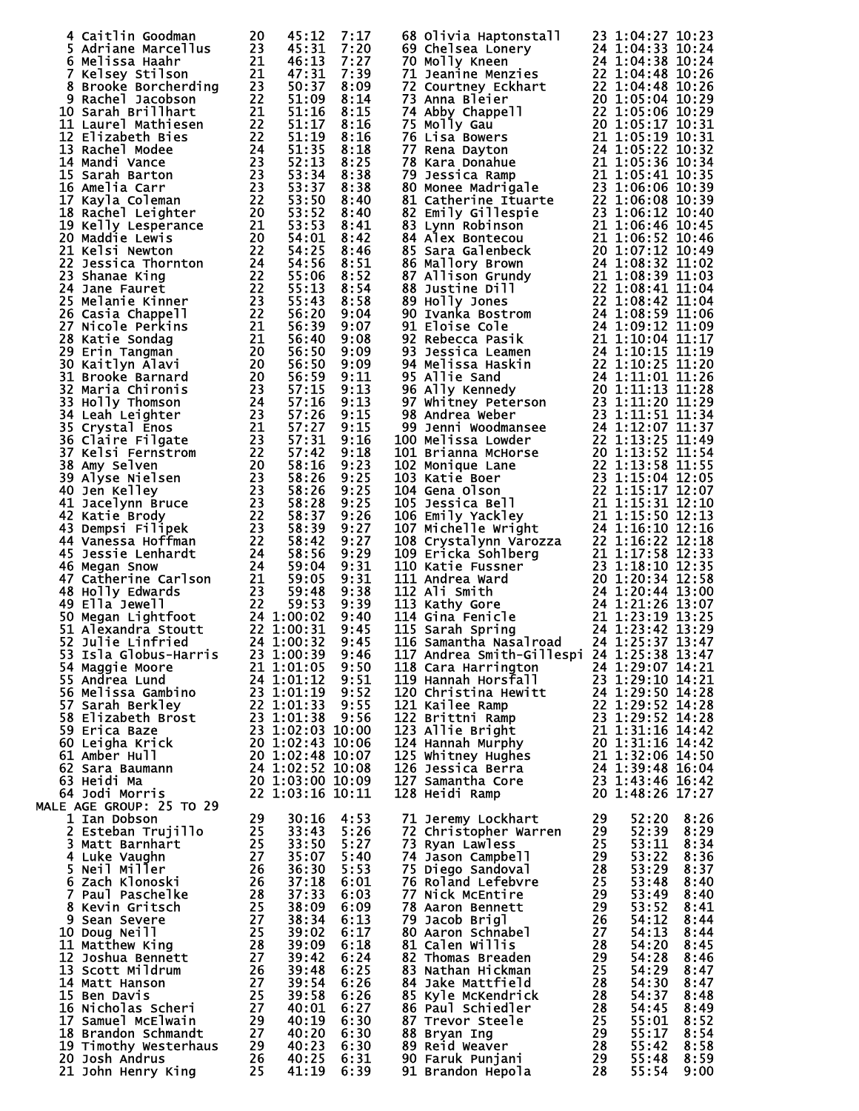|                                                                                                                                                                                                                                                          |                          |      | 4 catterin coolemns 240 17:37 7:37 17 20 68 07:17 20 68 17 17 20 68 17 17 20 11:37 21 17 20 17 21 17 20 17 21 17 20 17 21 17 20 17 21 17 20 17 21 17 20 17 21 17 20 17 21 17 20 17 21 17 20 17 21 17 20 17 21 17 21 17 21 17                 |       |      |
|----------------------------------------------------------------------------------------------------------------------------------------------------------------------------------------------------------------------------------------------------------|--------------------------|------|----------------------------------------------------------------------------------------------------------------------------------------------------------------------------------------------------------------------------------------------|-------|------|
|                                                                                                                                                                                                                                                          |                          |      |                                                                                                                                                                                                                                              |       |      |
|                                                                                                                                                                                                                                                          |                          |      |                                                                                                                                                                                                                                              |       |      |
|                                                                                                                                                                                                                                                          |                          |      |                                                                                                                                                                                                                                              |       |      |
|                                                                                                                                                                                                                                                          |                          |      |                                                                                                                                                                                                                                              |       |      |
|                                                                                                                                                                                                                                                          |                          |      |                                                                                                                                                                                                                                              |       |      |
|                                                                                                                                                                                                                                                          |                          |      |                                                                                                                                                                                                                                              |       |      |
|                                                                                                                                                                                                                                                          |                          |      |                                                                                                                                                                                                                                              |       |      |
|                                                                                                                                                                                                                                                          |                          |      |                                                                                                                                                                                                                                              |       |      |
|                                                                                                                                                                                                                                                          |                          |      |                                                                                                                                                                                                                                              |       |      |
|                                                                                                                                                                                                                                                          |                          |      |                                                                                                                                                                                                                                              |       |      |
|                                                                                                                                                                                                                                                          |                          |      |                                                                                                                                                                                                                                              |       |      |
|                                                                                                                                                                                                                                                          |                          |      |                                                                                                                                                                                                                                              |       |      |
|                                                                                                                                                                                                                                                          |                          |      |                                                                                                                                                                                                                                              |       |      |
|                                                                                                                                                                                                                                                          |                          |      |                                                                                                                                                                                                                                              |       |      |
|                                                                                                                                                                                                                                                          |                          |      |                                                                                                                                                                                                                                              |       |      |
|                                                                                                                                                                                                                                                          |                          |      |                                                                                                                                                                                                                                              |       |      |
|                                                                                                                                                                                                                                                          |                          |      |                                                                                                                                                                                                                                              |       |      |
|                                                                                                                                                                                                                                                          |                          |      |                                                                                                                                                                                                                                              |       |      |
|                                                                                                                                                                                                                                                          |                          |      |                                                                                                                                                                                                                                              |       |      |
|                                                                                                                                                                                                                                                          |                          |      |                                                                                                                                                                                                                                              |       |      |
|                                                                                                                                                                                                                                                          |                          |      |                                                                                                                                                                                                                                              |       |      |
|                                                                                                                                                                                                                                                          |                          |      |                                                                                                                                                                                                                                              |       |      |
|                                                                                                                                                                                                                                                          |                          |      |                                                                                                                                                                                                                                              |       |      |
|                                                                                                                                                                                                                                                          |                          |      |                                                                                                                                                                                                                                              |       |      |
|                                                                                                                                                                                                                                                          |                          |      |                                                                                                                                                                                                                                              |       |      |
| 33 1:00:39 9:46<br>54 Maggie Moore<br>55 Andrea Lund<br>56 Melissa Gambino<br>24 1:01:12 9:51<br>56 Melissa Gambino<br>23 1:01:19 9:52<br>57 Sarah Berkley<br>23 1:01:19 9:52<br>57 Sarah Berkley<br>23 1:01:13 9:52<br>58 Eizabeth Brost<br>23 1:01:3   |                          |      | 117 Andrea Smith-Gillespi 24 1:25:38 13:47<br>118 Cara Harrington 24 1:25:38 13:47<br>118 Hannah Horsfall 23 1:29:07 14:21<br>120 Christina Hewitt 24 1:29:50 14:28<br>121 Kailee Ramp 22 1:29:52 14:28<br>122 Brittni Ramp 23 1:29:52 1     |       |      |
|                                                                                                                                                                                                                                                          |                          |      |                                                                                                                                                                                                                                              |       |      |
|                                                                                                                                                                                                                                                          |                          |      |                                                                                                                                                                                                                                              |       |      |
|                                                                                                                                                                                                                                                          |                          |      |                                                                                                                                                                                                                                              |       |      |
|                                                                                                                                                                                                                                                          |                          |      |                                                                                                                                                                                                                                              |       |      |
|                                                                                                                                                                                                                                                          |                          |      |                                                                                                                                                                                                                                              |       |      |
|                                                                                                                                                                                                                                                          |                          |      |                                                                                                                                                                                                                                              |       |      |
| <b>MALE AGE GROUP: 25 TO 29</b>                                                                                                                                                                                                                          |                          |      |                                                                                                                                                                                                                                              |       |      |
|                                                                                                                                                                                                                                                          | 30:16                    | 4:53 |                                                                                                                                                                                                                                              |       | 8:26 |
|                                                                                                                                                                                                                                                          | 30:16<br>33:43           | 5:26 |                                                                                                                                                                                                                                              |       | 8:29 |
|                                                                                                                                                                                                                                                          |                          | 5:27 |                                                                                                                                                                                                                                              |       | 8:34 |
|                                                                                                                                                                                                                                                          |                          |      |                                                                                                                                                                                                                                              |       |      |
|                                                                                                                                                                                                                                                          |                          | 5:40 |                                                                                                                                                                                                                                              |       | 8:36 |
|                                                                                                                                                                                                                                                          | 36:<br>37:18<br>----33   | 5:53 |                                                                                                                                                                                                                                              |       | 8:37 |
|                                                                                                                                                                                                                                                          |                          | 6:01 |                                                                                                                                                                                                                                              |       | 8:40 |
|                                                                                                                                                                                                                                                          | 37:33                    | 6:03 |                                                                                                                                                                                                                                              |       | 8:40 |
|                                                                                                                                                                                                                                                          | 38:09                    | 6:09 |                                                                                                                                                                                                                                              |       | 8:41 |
|                                                                                                                                                                                                                                                          | 38:34                    | 6:13 |                                                                                                                                                                                                                                              |       | 8:44 |
|                                                                                                                                                                                                                                                          | 39:02                    | 6:17 |                                                                                                                                                                                                                                              |       | 8:44 |
|                                                                                                                                                                                                                                                          | 39:09                    | 6:18 |                                                                                                                                                                                                                                              |       | 8:45 |
|                                                                                                                                                                                                                                                          | 39:42                    | 6:24 |                                                                                                                                                                                                                                              |       | 8:46 |
|                                                                                                                                                                                                                                                          |                          |      |                                                                                                                                                                                                                                              |       |      |
|                                                                                                                                                                                                                                                          | 39:48                    | 6:25 |                                                                                                                                                                                                                                              |       | 8:47 |
|                                                                                                                                                                                                                                                          | 39:54                    | 6:26 |                                                                                                                                                                                                                                              |       | 8:47 |
|                                                                                                                                                                                                                                                          | 39:58                    | 6:26 |                                                                                                                                                                                                                                              | 54:37 | 8:48 |
|                                                                                                                                                                                                                                                          | 40:01                    | 6:27 |                                                                                                                                                                                                                                              |       | 8:49 |
|                                                                                                                                                                                                                                                          | 40:19                    | 6:30 |                                                                                                                                                                                                                                              |       | 8:52 |
|                                                                                                                                                                                                                                                          | 40:20 6:30               |      |                                                                                                                                                                                                                                              |       | 8:54 |
|                                                                                                                                                                                                                                                          |                          |      |                                                                                                                                                                                                                                              |       | 8:58 |
| LE AGE GROUP: 25 TO 29<br>1 Ian Dobson<br>2 Esteban Trujillo<br>3 Matt Barnhart<br>4 Luke Vaughn<br>5 Neil Miller<br>5 Neil Miller<br>6 Zach Klonoski<br>7 Paul Paschelke<br>8 Kevin Gritsch<br>8 Sean Severe<br>9 Sean Severe<br>10 Doug Neil<br>11 Mat | 40:23 6:30<br>40:25 6:31 |      | 10 11 Jeremy Lockhart 29 52:20<br>71 Jeremy Lockhart 29 52:20<br>73 Ryan Lawless 25 53:11<br>74 Jason Campbell 28 53:22<br>76 Roland Lefebvre 25 53:48<br>76 Roland Lefebvre 25 53:48<br>77 Nick McEntire 29 53:52<br>77 Nick McEntire 29 53 |       | 8:59 |
|                                                                                                                                                                                                                                                          |                          |      |                                                                                                                                                                                                                                              |       |      |
|                                                                                                                                                                                                                                                          | 41:19                    | 6:39 |                                                                                                                                                                                                                                              |       | 9:00 |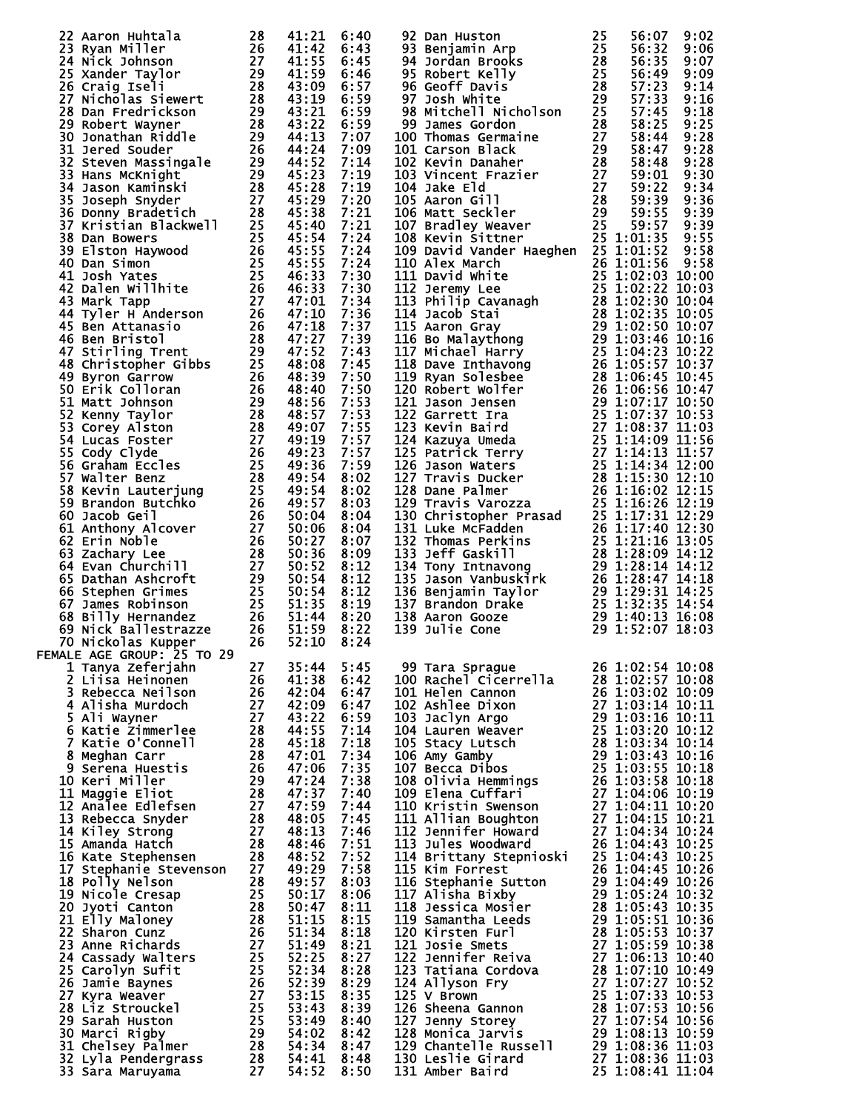| 22 Aaron Huhtala 28 41:21<br>23 Ryan Miller 26 41:21<br>23 Ryan Miller 26 41:31<br>24 Nick Johnson 227 41:35 Max 24:42<br>25 Xander Taylor 27 41:55 100 41:55 14:55 Xander Taylor 27 41:55 1<br>28 Grarig Iseli<br>28 Bonnet Wayner 28 43:10<br>28 |  | 6:40         | 92 Dan Huston Termin 725 56:07 9:02<br>93 Benjamin Arp 75 56:37 9:02<br>943 Benjamin Arp 75 56:37 9:02<br>944 Bordan Brooks<br>28 56:335 9:07 96<br>96 Geoff Davis<br>87 56:335 9:07<br>96 Geoff Davis<br>87 56:335 9:07<br>97 Geoff Davis<br>101     |  |  |
|----------------------------------------------------------------------------------------------------------------------------------------------------------------------------------------------------------------------------------------------------|--|--------------|-------------------------------------------------------------------------------------------------------------------------------------------------------------------------------------------------------------------------------------------------------|--|--|
|                                                                                                                                                                                                                                                    |  | 6:43<br>6:45 |                                                                                                                                                                                                                                                       |  |  |
|                                                                                                                                                                                                                                                    |  | 6:46         |                                                                                                                                                                                                                                                       |  |  |
|                                                                                                                                                                                                                                                    |  | 6:57         |                                                                                                                                                                                                                                                       |  |  |
|                                                                                                                                                                                                                                                    |  | 6:59         |                                                                                                                                                                                                                                                       |  |  |
|                                                                                                                                                                                                                                                    |  | 6:59<br>6:59 |                                                                                                                                                                                                                                                       |  |  |
|                                                                                                                                                                                                                                                    |  | 7:07         |                                                                                                                                                                                                                                                       |  |  |
|                                                                                                                                                                                                                                                    |  | 7:09         |                                                                                                                                                                                                                                                       |  |  |
|                                                                                                                                                                                                                                                    |  | 7:14         |                                                                                                                                                                                                                                                       |  |  |
|                                                                                                                                                                                                                                                    |  | 7:19         |                                                                                                                                                                                                                                                       |  |  |
|                                                                                                                                                                                                                                                    |  | 7:19<br>7:20 |                                                                                                                                                                                                                                                       |  |  |
|                                                                                                                                                                                                                                                    |  | 7:21         |                                                                                                                                                                                                                                                       |  |  |
|                                                                                                                                                                                                                                                    |  | 7:21         |                                                                                                                                                                                                                                                       |  |  |
|                                                                                                                                                                                                                                                    |  | 7:24         |                                                                                                                                                                                                                                                       |  |  |
|                                                                                                                                                                                                                                                    |  | 7:24<br>7:24 |                                                                                                                                                                                                                                                       |  |  |
|                                                                                                                                                                                                                                                    |  | 7:30         |                                                                                                                                                                                                                                                       |  |  |
|                                                                                                                                                                                                                                                    |  | 7:30         |                                                                                                                                                                                                                                                       |  |  |
|                                                                                                                                                                                                                                                    |  | 7:34         |                                                                                                                                                                                                                                                       |  |  |
|                                                                                                                                                                                                                                                    |  | 7:36         |                                                                                                                                                                                                                                                       |  |  |
|                                                                                                                                                                                                                                                    |  | 7:37<br>7:39 |                                                                                                                                                                                                                                                       |  |  |
|                                                                                                                                                                                                                                                    |  | 7:43         |                                                                                                                                                                                                                                                       |  |  |
|                                                                                                                                                                                                                                                    |  | 7:45         |                                                                                                                                                                                                                                                       |  |  |
|                                                                                                                                                                                                                                                    |  | 7:50         |                                                                                                                                                                                                                                                       |  |  |
|                                                                                                                                                                                                                                                    |  | 7:50         |                                                                                                                                                                                                                                                       |  |  |
|                                                                                                                                                                                                                                                    |  | 7:53         |                                                                                                                                                                                                                                                       |  |  |
|                                                                                                                                                                                                                                                    |  | 7:53<br>7:55 |                                                                                                                                                                                                                                                       |  |  |
|                                                                                                                                                                                                                                                    |  | 7:57         |                                                                                                                                                                                                                                                       |  |  |
|                                                                                                                                                                                                                                                    |  | 7:57         |                                                                                                                                                                                                                                                       |  |  |
|                                                                                                                                                                                                                                                    |  | 7:59         |                                                                                                                                                                                                                                                       |  |  |
|                                                                                                                                                                                                                                                    |  | 8:02         |                                                                                                                                                                                                                                                       |  |  |
|                                                                                                                                                                                                                                                    |  | 8:02<br>8:03 |                                                                                                                                                                                                                                                       |  |  |
|                                                                                                                                                                                                                                                    |  | 8:04         |                                                                                                                                                                                                                                                       |  |  |
|                                                                                                                                                                                                                                                    |  | 8:04         |                                                                                                                                                                                                                                                       |  |  |
|                                                                                                                                                                                                                                                    |  | 8:07         |                                                                                                                                                                                                                                                       |  |  |
|                                                                                                                                                                                                                                                    |  | 8:09         |                                                                                                                                                                                                                                                       |  |  |
|                                                                                                                                                                                                                                                    |  | 8:12<br>8:12 |                                                                                                                                                                                                                                                       |  |  |
|                                                                                                                                                                                                                                                    |  | 8:12         |                                                                                                                                                                                                                                                       |  |  |
|                                                                                                                                                                                                                                                    |  | 8:19         |                                                                                                                                                                                                                                                       |  |  |
|                                                                                                                                                                                                                                                    |  | 8:20         |                                                                                                                                                                                                                                                       |  |  |
|                                                                                                                                                                                                                                                    |  | 8:22         |                                                                                                                                                                                                                                                       |  |  |
|                                                                                                                                                                                                                                                    |  | 8:24         |                                                                                                                                                                                                                                                       |  |  |
|                                                                                                                                                                                                                                                    |  |              |                                                                                                                                                                                                                                                       |  |  |
|                                                                                                                                                                                                                                                    |  |              |                                                                                                                                                                                                                                                       |  |  |
|                                                                                                                                                                                                                                                    |  |              |                                                                                                                                                                                                                                                       |  |  |
|                                                                                                                                                                                                                                                    |  |              |                                                                                                                                                                                                                                                       |  |  |
|                                                                                                                                                                                                                                                    |  |              |                                                                                                                                                                                                                                                       |  |  |
|                                                                                                                                                                                                                                                    |  |              |                                                                                                                                                                                                                                                       |  |  |
|                                                                                                                                                                                                                                                    |  |              |                                                                                                                                                                                                                                                       |  |  |
|                                                                                                                                                                                                                                                    |  |              |                                                                                                                                                                                                                                                       |  |  |
|                                                                                                                                                                                                                                                    |  |              |                                                                                                                                                                                                                                                       |  |  |
|                                                                                                                                                                                                                                                    |  |              |                                                                                                                                                                                                                                                       |  |  |
|                                                                                                                                                                                                                                                    |  |              |                                                                                                                                                                                                                                                       |  |  |
|                                                                                                                                                                                                                                                    |  |              |                                                                                                                                                                                                                                                       |  |  |
|                                                                                                                                                                                                                                                    |  |              |                                                                                                                                                                                                                                                       |  |  |
|                                                                                                                                                                                                                                                    |  |              |                                                                                                                                                                                                                                                       |  |  |
|                                                                                                                                                                                                                                                    |  |              |                                                                                                                                                                                                                                                       |  |  |
|                                                                                                                                                                                                                                                    |  |              |                                                                                                                                                                                                                                                       |  |  |
|                                                                                                                                                                                                                                                    |  |              |                                                                                                                                                                                                                                                       |  |  |
|                                                                                                                                                                                                                                                    |  |              |                                                                                                                                                                                                                                                       |  |  |
|                                                                                                                                                                                                                                                    |  |              |                                                                                                                                                                                                                                                       |  |  |
|                                                                                                                                                                                                                                                    |  |              |                                                                                                                                                                                                                                                       |  |  |
|                                                                                                                                                                                                                                                    |  |              |                                                                                                                                                                                                                                                       |  |  |
|                                                                                                                                                                                                                                                    |  |              |                                                                                                                                                                                                                                                       |  |  |
|                                                                                                                                                                                                                                                    |  |              |                                                                                                                                                                                                                                                       |  |  |
|                                                                                                                                                                                                                                                    |  |              |                                                                                                                                                                                                                                                       |  |  |
|                                                                                                                                                                                                                                                    |  |              |                                                                                                                                                                                                                                                       |  |  |
| 09 Nick ballestrazze 226 51:59 81:22<br>TEMALE AGE GROUP: 25 TO 29<br>1 Tanya Zeferjahn 276 52:10 81:24<br>2 Linix Zeferjahn 276 52:10 81:24<br>2 Linix Zeferjahn 276 42:08 61:47<br>3 Rebecca Neilson<br>4 Alisha Murdoch 227 4231:22 61:         |  |              | 99 Tara Sprague<br>26 1:02:54 10:08<br>100 Rachel Cicerrella<br>28 1:02:57 10:08<br>101 Helen Cannon<br>26 1:03:02 10:09<br>102 Ashlee Dixon<br>27 1:03:120 10:09<br>103 Jaclyn Argo<br>27 1:03:14 10:11<br>104 Lauren Weaver<br>28 1:03:20 10:12<br> |  |  |
|                                                                                                                                                                                                                                                    |  |              |                                                                                                                                                                                                                                                       |  |  |
|                                                                                                                                                                                                                                                    |  |              |                                                                                                                                                                                                                                                       |  |  |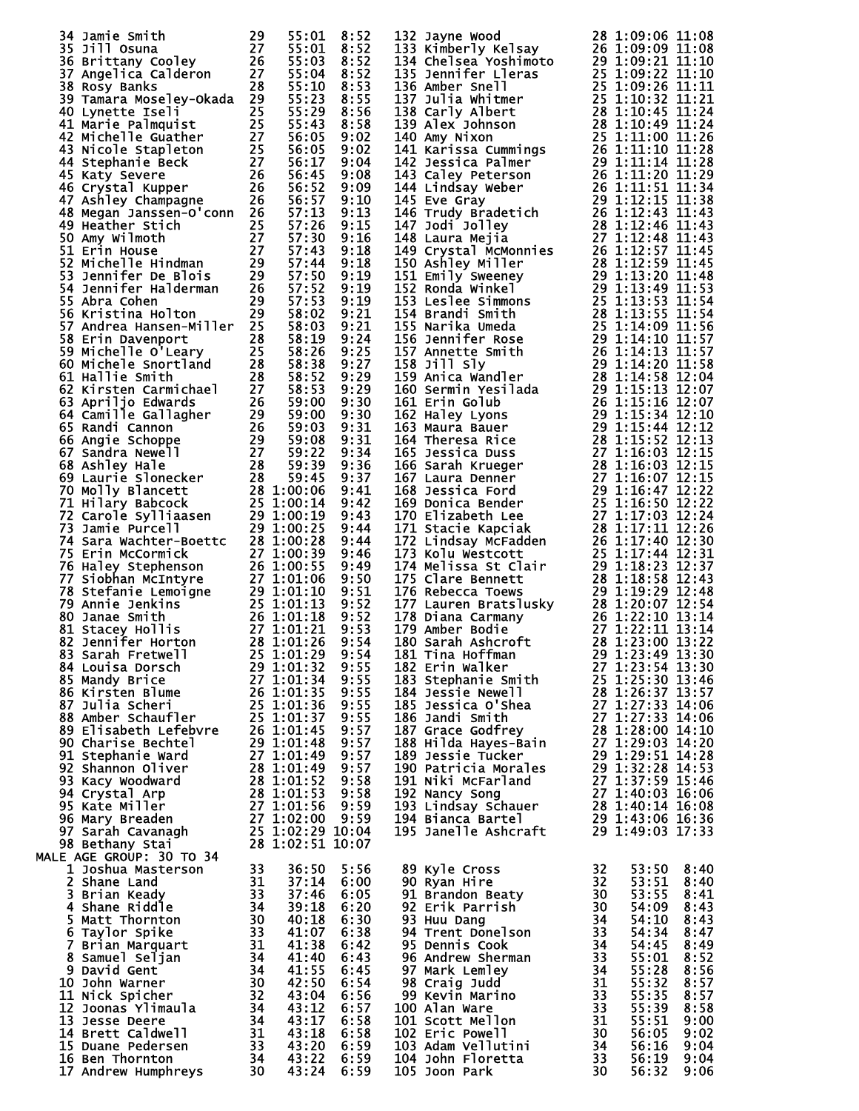|  |  |  |                                                                                                                                                                                                                                                            | 53:50 8:40<br>53: <u>51</u> 8:40           |              |
|--|--|--|------------------------------------------------------------------------------------------------------------------------------------------------------------------------------------------------------------------------------------------------------------|--------------------------------------------|--------------|
|  |  |  |                                                                                                                                                                                                                                                            |                                            |              |
|  |  |  |                                                                                                                                                                                                                                                            |                                            |              |
|  |  |  |                                                                                                                                                                                                                                                            |                                            |              |
|  |  |  |                                                                                                                                                                                                                                                            | $53:55$ $8:41$<br>$54:09$ $8:43$<br>$0.43$ |              |
|  |  |  |                                                                                                                                                                                                                                                            |                                            |              |
|  |  |  |                                                                                                                                                                                                                                                            |                                            |              |
|  |  |  |                                                                                                                                                                                                                                                            |                                            |              |
|  |  |  |                                                                                                                                                                                                                                                            |                                            |              |
|  |  |  |                                                                                                                                                                                                                                                            |                                            |              |
|  |  |  |                                                                                                                                                                                                                                                            |                                            |              |
|  |  |  |                                                                                                                                                                                                                                                            | 55:35                                      | 8:57         |
|  |  |  |                                                                                                                                                                                                                                                            |                                            |              |
|  |  |  |                                                                                                                                                                                                                                                            | 55:39 8:58                                 |              |
|  |  |  |                                                                                                                                                                                                                                                            | 55:51                                      | 9:00         |
|  |  |  | 89 Kyle Cross<br>90 Ryan Hire<br>91 Brandon Beaty<br>92 Erik Parrish<br>93 Huu Dang<br>94 Trent Donelson<br>95 Dennis Cook<br>96 Andrew Sherman<br>97 Mark Lemley<br>98 Craig Judd<br>98 Craig Judd<br>98 Craig Judd<br>90 Alan Ware<br>98 Craig Judd<br>9 | 56:05                                      | 9:02         |
|  |  |  |                                                                                                                                                                                                                                                            | 56:16                                      | 9:04         |
|  |  |  |                                                                                                                                                                                                                                                            | 56:19                                      |              |
|  |  |  |                                                                                                                                                                                                                                                            |                                            |              |
|  |  |  |                                                                                                                                                                                                                                                            | 56:32                                      | 9:04<br>9:06 |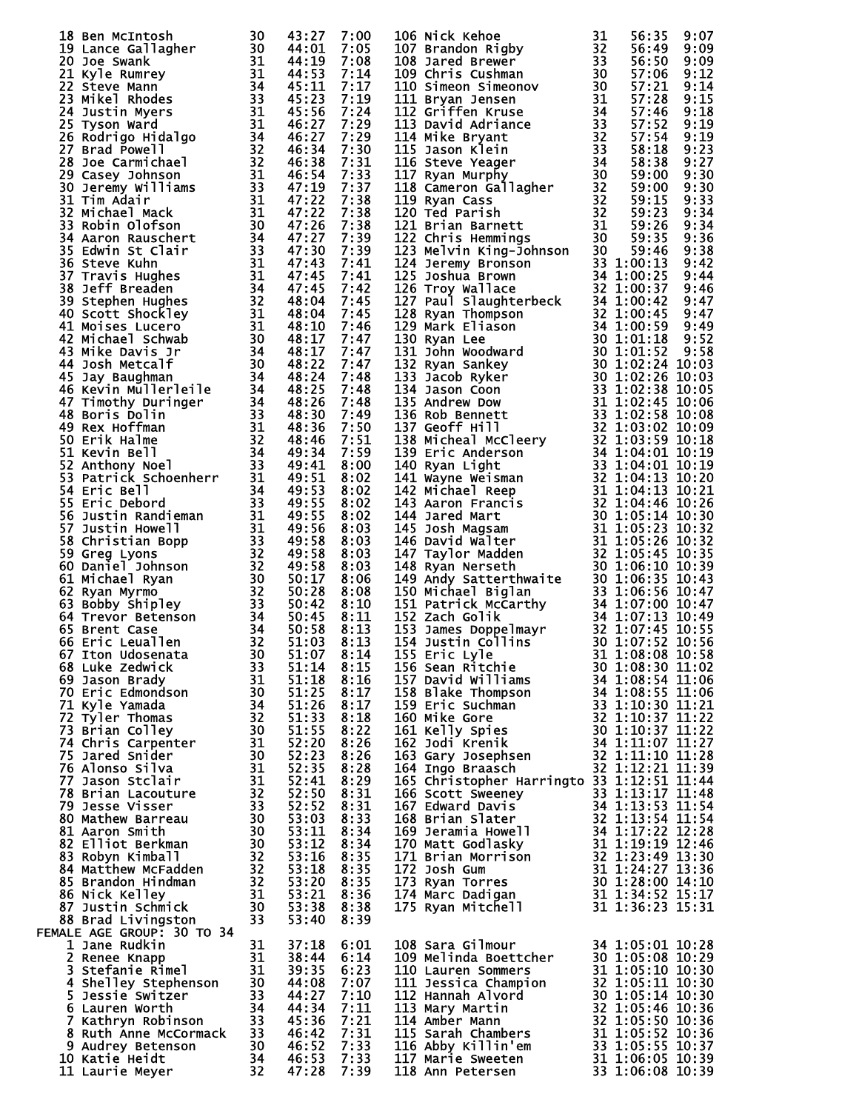| 18 Bem McTrhosh Maximum 30 443:27 7:00<br>18 Bem McTrhosh McTrhosh 444:1531 7:00 43:27 7:00 44:1531 82:27 7:1347<br>222 Joyce Swant by McTrhosh 334 445:27 7:1238 82:27 7:124<br>223 McMuray 20 444:1331 7:124 7:124<br>223 McMuray 20 44              |                           |      | 106 Nick Kehoe<br>107 Nick Kehoe<br>107 Nick Kehoe<br>108 Parad Brewer Harbor, 1911 108 138 108 138 108 138 141<br>1111 Silvardon Right Kruse 313 15:00 91:12<br>1112 Sir Term Kruse 313 15:00 91:12<br>1113 Sir Term Kruse 313 15:00 91:12<br>111  |  |  |
|--------------------------------------------------------------------------------------------------------------------------------------------------------------------------------------------------------------------------------------------------------|---------------------------|------|-----------------------------------------------------------------------------------------------------------------------------------------------------------------------------------------------------------------------------------------------------|--|--|
|                                                                                                                                                                                                                                                        |                           |      |                                                                                                                                                                                                                                                     |  |  |
|                                                                                                                                                                                                                                                        |                           |      |                                                                                                                                                                                                                                                     |  |  |
|                                                                                                                                                                                                                                                        |                           |      |                                                                                                                                                                                                                                                     |  |  |
|                                                                                                                                                                                                                                                        |                           |      |                                                                                                                                                                                                                                                     |  |  |
|                                                                                                                                                                                                                                                        |                           |      |                                                                                                                                                                                                                                                     |  |  |
|                                                                                                                                                                                                                                                        |                           |      |                                                                                                                                                                                                                                                     |  |  |
|                                                                                                                                                                                                                                                        |                           |      |                                                                                                                                                                                                                                                     |  |  |
|                                                                                                                                                                                                                                                        |                           |      |                                                                                                                                                                                                                                                     |  |  |
|                                                                                                                                                                                                                                                        |                           |      |                                                                                                                                                                                                                                                     |  |  |
|                                                                                                                                                                                                                                                        | 37:18                     | 6:01 |                                                                                                                                                                                                                                                     |  |  |
|                                                                                                                                                                                                                                                        |                           | 6:14 |                                                                                                                                                                                                                                                     |  |  |
|                                                                                                                                                                                                                                                        | $38:44$<br>39:35<br>44:08 | 6:23 |                                                                                                                                                                                                                                                     |  |  |
|                                                                                                                                                                                                                                                        |                           | 7:07 |                                                                                                                                                                                                                                                     |  |  |
|                                                                                                                                                                                                                                                        |                           | 7:10 |                                                                                                                                                                                                                                                     |  |  |
|                                                                                                                                                                                                                                                        |                           | 7:11 |                                                                                                                                                                                                                                                     |  |  |
|                                                                                                                                                                                                                                                        |                           | 7:21 |                                                                                                                                                                                                                                                     |  |  |
|                                                                                                                                                                                                                                                        |                           | 7:31 |                                                                                                                                                                                                                                                     |  |  |
| ALE AGE GROUP: 30 TO 34<br>1 Jane Rudkin<br>2 Renee Knapp<br>3 Stefanie Rimel<br>3 Stefanie Rimel<br>4 Shelley Stephenson<br>5 Jessie Switzer<br>5 Jessie Switzer<br>6 Lauren Worth<br>7 Kathryn Robinson<br>33 44:27<br>7 Kathryn Robinson<br>33 45:3 |                           |      | 108 Sara Gilmour<br>109 Melinda Boettcher<br>100 Lauren Sommers<br>110 Lauren Sommers<br>111 Jessica Champion<br>112 Hannah Alvord<br>112 Hannah Alvord<br>113 Mary Martin<br>113 Mary Martin<br>113 Mary Martin<br>113 Sarah Chambers<br>115 Sarah |  |  |
|                                                                                                                                                                                                                                                        |                           | 7:33 |                                                                                                                                                                                                                                                     |  |  |
| 10 Katie Heidt                                                                                                                                                                                                                                         |                           | 7:33 |                                                                                                                                                                                                                                                     |  |  |
| 11 Laurie Meyer                                                                                                                                                                                                                                        |                           | 7:39 |                                                                                                                                                                                                                                                     |  |  |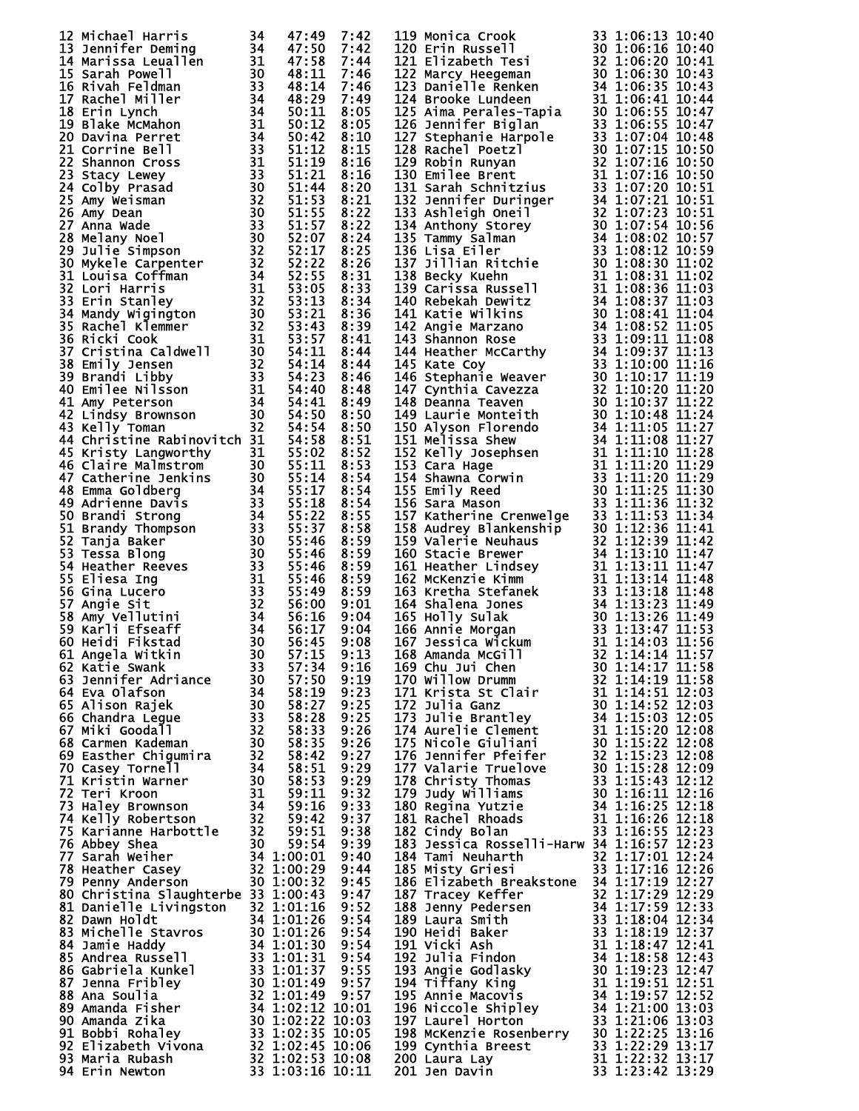| 12 Michael Harris<br>12 Michael Harris 34 47:49 7:42<br>14 Marifer Deming 34 47:58 7:42<br>14 Marissa Leuallen 31 47:58 7:44<br>15 Sarah Powell<br>15 Sarah Poldman 30 48:11 7:46<br>17 Rachel Miller 34 48:29 7:49<br>17 Rachel Miller 34 48:29 7:49<br>17 Rachel Mille                        | 34 | 47:49                                    | 7:42         | 119 Monica Crook<br>119 Monica Crook 33 1:06:13 10:44<br>121 Elizabeth Tesi<br>130 1:06:15 10:40<br>122 Marcy Heegeman 32 1:06:20 10:41<br>122 Marcy Heegeman 32 1:06:20 10:41<br>122 Marcy Heegeman 31 1:06:35 10:43<br>124 Brooke Lunden 31 1:06:35 10:43<br>1225 Ar | 33 1:06:13 10:40 |  |
|-------------------------------------------------------------------------------------------------------------------------------------------------------------------------------------------------------------------------------------------------------------------------------------------------|----|------------------------------------------|--------------|------------------------------------------------------------------------------------------------------------------------------------------------------------------------------------------------------------------------------------------------------------------------|------------------|--|
|                                                                                                                                                                                                                                                                                                 |    |                                          |              |                                                                                                                                                                                                                                                                        |                  |  |
|                                                                                                                                                                                                                                                                                                 |    |                                          |              |                                                                                                                                                                                                                                                                        |                  |  |
|                                                                                                                                                                                                                                                                                                 |    |                                          |              |                                                                                                                                                                                                                                                                        |                  |  |
|                                                                                                                                                                                                                                                                                                 |    |                                          |              |                                                                                                                                                                                                                                                                        |                  |  |
|                                                                                                                                                                                                                                                                                                 |    |                                          |              |                                                                                                                                                                                                                                                                        |                  |  |
|                                                                                                                                                                                                                                                                                                 |    |                                          |              |                                                                                                                                                                                                                                                                        |                  |  |
|                                                                                                                                                                                                                                                                                                 |    |                                          |              |                                                                                                                                                                                                                                                                        |                  |  |
|                                                                                                                                                                                                                                                                                                 |    |                                          |              |                                                                                                                                                                                                                                                                        |                  |  |
|                                                                                                                                                                                                                                                                                                 |    |                                          |              |                                                                                                                                                                                                                                                                        |                  |  |
|                                                                                                                                                                                                                                                                                                 |    |                                          |              |                                                                                                                                                                                                                                                                        |                  |  |
|                                                                                                                                                                                                                                                                                                 |    |                                          |              |                                                                                                                                                                                                                                                                        |                  |  |
|                                                                                                                                                                                                                                                                                                 |    |                                          |              |                                                                                                                                                                                                                                                                        |                  |  |
|                                                                                                                                                                                                                                                                                                 |    |                                          |              |                                                                                                                                                                                                                                                                        |                  |  |
|                                                                                                                                                                                                                                                                                                 |    |                                          |              |                                                                                                                                                                                                                                                                        |                  |  |
|                                                                                                                                                                                                                                                                                                 |    |                                          |              |                                                                                                                                                                                                                                                                        |                  |  |
|                                                                                                                                                                                                                                                                                                 |    |                                          |              |                                                                                                                                                                                                                                                                        |                  |  |
|                                                                                                                                                                                                                                                                                                 |    |                                          |              |                                                                                                                                                                                                                                                                        |                  |  |
|                                                                                                                                                                                                                                                                                                 |    |                                          |              |                                                                                                                                                                                                                                                                        |                  |  |
|                                                                                                                                                                                                                                                                                                 |    |                                          |              |                                                                                                                                                                                                                                                                        |                  |  |
|                                                                                                                                                                                                                                                                                                 |    |                                          |              |                                                                                                                                                                                                                                                                        |                  |  |
|                                                                                                                                                                                                                                                                                                 |    |                                          |              |                                                                                                                                                                                                                                                                        |                  |  |
|                                                                                                                                                                                                                                                                                                 |    |                                          |              |                                                                                                                                                                                                                                                                        |                  |  |
|                                                                                                                                                                                                                                                                                                 |    |                                          |              |                                                                                                                                                                                                                                                                        |                  |  |
|                                                                                                                                                                                                                                                                                                 |    |                                          |              |                                                                                                                                                                                                                                                                        |                  |  |
|                                                                                                                                                                                                                                                                                                 |    |                                          |              |                                                                                                                                                                                                                                                                        |                  |  |
|                                                                                                                                                                                                                                                                                                 |    |                                          |              |                                                                                                                                                                                                                                                                        |                  |  |
|                                                                                                                                                                                                                                                                                                 |    |                                          |              |                                                                                                                                                                                                                                                                        |                  |  |
|                                                                                                                                                                                                                                                                                                 |    |                                          |              |                                                                                                                                                                                                                                                                        |                  |  |
|                                                                                                                                                                                                                                                                                                 |    |                                          |              |                                                                                                                                                                                                                                                                        |                  |  |
|                                                                                                                                                                                                                                                                                                 |    |                                          |              |                                                                                                                                                                                                                                                                        |                  |  |
| 45 Kristy Langworthy                                                                                                                                                                                                                                                                            | 31 |                                          | 8:52         |                                                                                                                                                                                                                                                                        |                  |  |
|                                                                                                                                                                                                                                                                                                 |    | 55:02<br>55:11                           | 8:53         |                                                                                                                                                                                                                                                                        |                  |  |
|                                                                                                                                                                                                                                                                                                 |    |                                          | 8:54         |                                                                                                                                                                                                                                                                        |                  |  |
|                                                                                                                                                                                                                                                                                                 |    | $\bar{5}\bar{5}:\bar{1}\bar{4}$<br>55:17 | 8:54         |                                                                                                                                                                                                                                                                        |                  |  |
|                                                                                                                                                                                                                                                                                                 |    |                                          | 8:54         |                                                                                                                                                                                                                                                                        |                  |  |
|                                                                                                                                                                                                                                                                                                 |    |                                          | 8:55         |                                                                                                                                                                                                                                                                        |                  |  |
|                                                                                                                                                                                                                                                                                                 |    |                                          | 8:58         |                                                                                                                                                                                                                                                                        |                  |  |
|                                                                                                                                                                                                                                                                                                 |    |                                          | 8:59         |                                                                                                                                                                                                                                                                        |                  |  |
| 45 Kristy Langworthy<br>46 Claire Malmstrom<br>47 Catherine Jenkins<br>47 Catherine Jenkins<br>30 55:11<br>47 Catherine Denkins<br>30 55:11<br>48 Emma Goldberg<br>34 55:12<br>49 Adrienne Davis<br>33 55:12<br>50 Brandy Thompson<br>33 55:32<br>51 Bra                                        |    |                                          | 8:59         | 156 Sara Mason<br>157 Katherine Crenwelge<br>157 Katherine Crenwelge<br>157 Katherine Crenwelge<br>158 Audrey Blankenship<br>160 Stacie Brewer<br>20 1:12:36 11:41<br>159 Valerie Neuhaus<br>20 1:12:36 11:41<br>160 Stacie Brewer<br>21 1:13:10 1                     |                  |  |
|                                                                                                                                                                                                                                                                                                 |    |                                          | 8:59         |                                                                                                                                                                                                                                                                        |                  |  |
|                                                                                                                                                                                                                                                                                                 |    |                                          | 8:59         |                                                                                                                                                                                                                                                                        |                  |  |
|                                                                                                                                                                                                                                                                                                 |    |                                          | 8:59<br>9:01 |                                                                                                                                                                                                                                                                        |                  |  |
|                                                                                                                                                                                                                                                                                                 |    |                                          | 9:04         |                                                                                                                                                                                                                                                                        |                  |  |
|                                                                                                                                                                                                                                                                                                 |    |                                          | 9:04         |                                                                                                                                                                                                                                                                        |                  |  |
|                                                                                                                                                                                                                                                                                                 |    |                                          | 9:08         |                                                                                                                                                                                                                                                                        |                  |  |
|                                                                                                                                                                                                                                                                                                 |    |                                          | 9:13         |                                                                                                                                                                                                                                                                        |                  |  |
| 62 Katie Swank                                                                                                                                                                                                                                                                                  | 33 | 57:34                                    | 9:16         | 169 Chu Jui Chen                                                                                                                                                                                                                                                       | 30 1:14:17 11:58 |  |
|                                                                                                                                                                                                                                                                                                 |    |                                          |              |                                                                                                                                                                                                                                                                        |                  |  |
|                                                                                                                                                                                                                                                                                                 |    |                                          |              |                                                                                                                                                                                                                                                                        |                  |  |
|                                                                                                                                                                                                                                                                                                 |    |                                          |              |                                                                                                                                                                                                                                                                        |                  |  |
|                                                                                                                                                                                                                                                                                                 |    |                                          |              |                                                                                                                                                                                                                                                                        |                  |  |
|                                                                                                                                                                                                                                                                                                 |    |                                          |              |                                                                                                                                                                                                                                                                        |                  |  |
|                                                                                                                                                                                                                                                                                                 |    |                                          |              |                                                                                                                                                                                                                                                                        |                  |  |
|                                                                                                                                                                                                                                                                                                 |    |                                          |              | 169 Chu Jui Chen<br>170 Willow Drumm<br>171 Krista St Clair<br>171 Krista St Clair<br>172 Julia Ganz<br>172 Julia Ganz<br>172 Julia Ganz<br>173 Julie Brantley<br>174 Aurelie Clement<br>174 Aurelie Clement<br>111:15:20 12:03<br>175 Nicole Giulia                   |                  |  |
|                                                                                                                                                                                                                                                                                                 |    |                                          |              |                                                                                                                                                                                                                                                                        |                  |  |
|                                                                                                                                                                                                                                                                                                 |    |                                          |              |                                                                                                                                                                                                                                                                        |                  |  |
|                                                                                                                                                                                                                                                                                                 |    |                                          |              |                                                                                                                                                                                                                                                                        |                  |  |
|                                                                                                                                                                                                                                                                                                 |    |                                          |              |                                                                                                                                                                                                                                                                        |                  |  |
|                                                                                                                                                                                                                                                                                                 |    |                                          |              |                                                                                                                                                                                                                                                                        |                  |  |
|                                                                                                                                                                                                                                                                                                 |    |                                          |              | 183 Jessica Rosselli-Harw 34 1:16:57 12:23                                                                                                                                                                                                                             |                  |  |
|                                                                                                                                                                                                                                                                                                 |    |                                          |              |                                                                                                                                                                                                                                                                        |                  |  |
|                                                                                                                                                                                                                                                                                                 |    |                                          |              | 184 Tami Neuharth 32 1:17:01 12:24<br>185 Misty Griesi 33 1:17:16 12:26                                                                                                                                                                                                |                  |  |
|                                                                                                                                                                                                                                                                                                 |    |                                          |              |                                                                                                                                                                                                                                                                        |                  |  |
| 33<br>63 Jennifer Adriance<br>63 Jennifer Adriance<br>63 Jennifer Adriance<br>64 Eva Olafson<br>64 Eva Olafson<br>64 Eva Olafson<br>63 33 58:27 9:23<br>65 Alison Rajek<br>30 58:27 9:23<br>66 Chandra Legue<br>67 Miki Goodall<br>68 Carmen Kademan<br><br>80 Christina Slaughterbe 33 1:00:43 |    |                                          | 9:47         |                                                                                                                                                                                                                                                                        |                  |  |
|                                                                                                                                                                                                                                                                                                 |    |                                          |              |                                                                                                                                                                                                                                                                        |                  |  |
|                                                                                                                                                                                                                                                                                                 |    |                                          |              |                                                                                                                                                                                                                                                                        |                  |  |
|                                                                                                                                                                                                                                                                                                 |    |                                          |              |                                                                                                                                                                                                                                                                        |                  |  |
|                                                                                                                                                                                                                                                                                                 |    |                                          |              |                                                                                                                                                                                                                                                                        |                  |  |
|                                                                                                                                                                                                                                                                                                 |    |                                          |              |                                                                                                                                                                                                                                                                        |                  |  |
|                                                                                                                                                                                                                                                                                                 |    |                                          |              |                                                                                                                                                                                                                                                                        |                  |  |
|                                                                                                                                                                                                                                                                                                 |    |                                          |              |                                                                                                                                                                                                                                                                        |                  |  |
|                                                                                                                                                                                                                                                                                                 |    |                                          |              |                                                                                                                                                                                                                                                                        |                  |  |
|                                                                                                                                                                                                                                                                                                 |    |                                          |              |                                                                                                                                                                                                                                                                        |                  |  |
|                                                                                                                                                                                                                                                                                                 |    |                                          |              |                                                                                                                                                                                                                                                                        |                  |  |
|                                                                                                                                                                                                                                                                                                 |    |                                          |              |                                                                                                                                                                                                                                                                        |                  |  |
|                                                                                                                                                                                                                                                                                                 |    |                                          |              |                                                                                                                                                                                                                                                                        |                  |  |
| 80 Christina Slaughterbe 33 1:00:43 9:47<br>81 Danielle Livingston 32 1:01:16 9:52<br>82 Dawn Holdt 34 1:01:26 9:54<br>83 Michelle Stavros 30 1:01:26 9:54<br>84 Jamie Haddy 34 1:01:30 9:54<br>85 Andrea Russell 33 1:01:31 9:55<br>86 Ga                                                      |    |                                          |              | 185 Misty Griesi<br>186 Elizabeth Breakstone 34 1:17:16 12:26<br>186 Elizabeth Breakstone 34 1:17:19 12:27<br>187 Tracey Keffer<br>32 1:17:29 12:29<br>188 Jenny Pedersen<br>34 1:17:59 12:33<br>189 Laura Smith<br>190 Heidi Baker<br>33 1:18:1<br>201 Jen Davin      | 33 1:23:42 13:29 |  |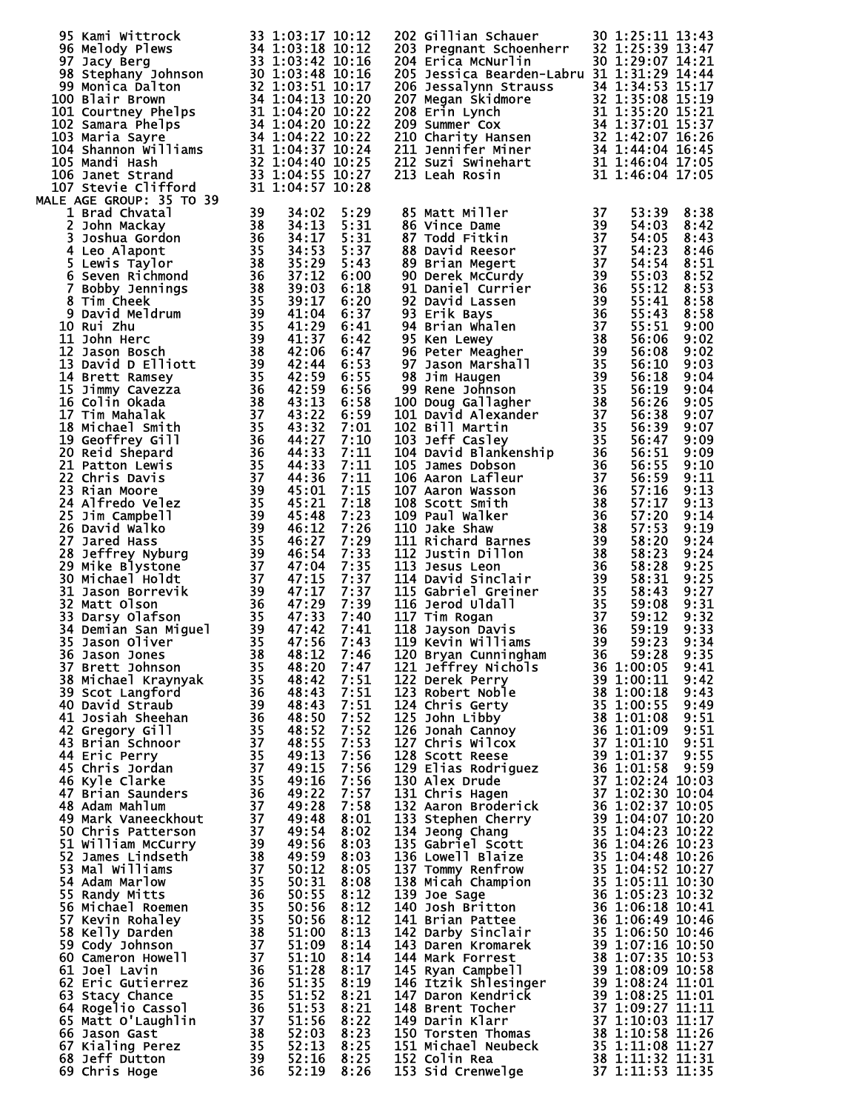| 95 Kami Wittrock<br>95 Kami Wittrock 33 1:03:17 10:12<br>96 Melody Plews 34 1:03:18 10:12<br>97 Jacy Berg 33 1:03:42 10:16<br>98 Stephany Johnson 30 1:03:48 10:16<br>98 Monica Dalton 32 1:03:48 10:16<br>90 Monica Dalton 32 1:04:13 10:20<br>100 Blair Brow |    | 33 1:03:17 10:12 |              | 202 Gillian Schauer                                                                                                                                                                                                                                      | 30 1:25:11 13:43     |              |
|----------------------------------------------------------------------------------------------------------------------------------------------------------------------------------------------------------------------------------------------------------------|----|------------------|--------------|----------------------------------------------------------------------------------------------------------------------------------------------------------------------------------------------------------------------------------------------------------|----------------------|--------------|
|                                                                                                                                                                                                                                                                |    |                  |              | 203 Pregnant Schoenherr 32 1:25:39 13:47<br>204 Erica McNurlin 30 1:29:07 14:21<br>204 Erica McNurlin                                                                                                                                                    |                      |              |
|                                                                                                                                                                                                                                                                |    |                  |              | 205 Jessica Bearden-Labru 31 1:31:29 14:44                                                                                                                                                                                                               | 30 1:29:07 14:21     |              |
|                                                                                                                                                                                                                                                                |    |                  |              | 206 Jessalynn Strauss 34 1:31:29 14:44<br>207 Megan Skidmore 32 1:35:08 15:17<br>208 Erin Lynch 31 1:35:08 15:19<br>208 Erin Lynch 31 1:35:20 15:21<br>209 Summer Cox 34 1:37:01 15:37<br>210 Charity Hansen 32 1:42:07 16:26<br>211 Jenni               |                      |              |
|                                                                                                                                                                                                                                                                |    |                  |              |                                                                                                                                                                                                                                                          |                      |              |
|                                                                                                                                                                                                                                                                |    |                  |              |                                                                                                                                                                                                                                                          |                      |              |
|                                                                                                                                                                                                                                                                |    |                  |              |                                                                                                                                                                                                                                                          |                      |              |
|                                                                                                                                                                                                                                                                |    |                  |              |                                                                                                                                                                                                                                                          |                      |              |
|                                                                                                                                                                                                                                                                |    |                  |              |                                                                                                                                                                                                                                                          |                      |              |
|                                                                                                                                                                                                                                                                |    |                  |              |                                                                                                                                                                                                                                                          |                      |              |
| MALE AGE GROUP: 35 TO 39                                                                                                                                                                                                                                       |    |                  |              |                                                                                                                                                                                                                                                          |                      |              |
| -- Auf GROUP: 1767<br>1 Brad Chvatal 330<br>3 John Mackay<br>3 John Mackay<br>3 Soshua Gordon<br>4 Leo Alapont<br>5 Lewis Taylor<br>6 Seven Richmond<br>6 Seven Richmond<br>7 Bobby Jennings<br>8 Tim Cheek<br>10 Ruid Meldrum<br>10 John Herc<br>11 Joh       |    |                  | 5:29         | 85 Matt Miller<br>86 Vince Dame<br>87 Todd Fitkin<br>88 David Reesor<br>89 Brian Megert<br>90 Derek McCurdy<br>91 Daniel Currier<br>92 David Lassen<br>93 Erik Bays<br>94 Brian Whalen<br>95 Ken Lewey<br>96 Peter Meagher<br>97 Jason Marshall<br>95 Ke | 53:39                | 8:38         |
|                                                                                                                                                                                                                                                                |    |                  | 5:31         |                                                                                                                                                                                                                                                          | 54:03                | 8:42         |
|                                                                                                                                                                                                                                                                |    |                  | 5:31         |                                                                                                                                                                                                                                                          | 54:05                | 8:43         |
|                                                                                                                                                                                                                                                                |    |                  | 5:37         |                                                                                                                                                                                                                                                          | 54:23                | 8:46         |
|                                                                                                                                                                                                                                                                |    |                  | 5:43<br>6:00 |                                                                                                                                                                                                                                                          | 54:54<br>55:03       | 8:51<br>8:52 |
|                                                                                                                                                                                                                                                                |    | 39:03            | 6:18         |                                                                                                                                                                                                                                                          | 55:12                | 8:53         |
|                                                                                                                                                                                                                                                                |    | 39:17            | 6:20         |                                                                                                                                                                                                                                                          | 55:41                | 8:58         |
|                                                                                                                                                                                                                                                                |    | 41:04            | 6:37         |                                                                                                                                                                                                                                                          | 55:43                | 8:58         |
|                                                                                                                                                                                                                                                                |    | 41:29            | 6:41         |                                                                                                                                                                                                                                                          | 55:51                | 9:00         |
|                                                                                                                                                                                                                                                                |    | 41:37            | 6:42<br>6:47 |                                                                                                                                                                                                                                                          | 56:06<br>56:08       | 9:02<br>9:02 |
|                                                                                                                                                                                                                                                                |    | 42:44            | 6:53         |                                                                                                                                                                                                                                                          | 56:10                | 9:03         |
|                                                                                                                                                                                                                                                                |    |                  | 6:55         |                                                                                                                                                                                                                                                          | 56:18                | 9:04         |
|                                                                                                                                                                                                                                                                |    |                  | 6:56         |                                                                                                                                                                                                                                                          | 56:19                | 9:04         |
|                                                                                                                                                                                                                                                                |    |                  | 6:58         |                                                                                                                                                                                                                                                          | 56:26                | 9:05         |
|                                                                                                                                                                                                                                                                |    |                  | 6:59         |                                                                                                                                                                                                                                                          | 56:38                | 9:07         |
|                                                                                                                                                                                                                                                                |    |                  | 7:01<br>7:10 |                                                                                                                                                                                                                                                          | 56:39<br>56:47       | 9:07<br>9:09 |
|                                                                                                                                                                                                                                                                |    |                  | 7:11         |                                                                                                                                                                                                                                                          | 56:51                | 9:09         |
|                                                                                                                                                                                                                                                                |    |                  | 7:11         |                                                                                                                                                                                                                                                          | 56:55                | 9:10         |
|                                                                                                                                                                                                                                                                |    |                  | 7:11         |                                                                                                                                                                                                                                                          | 56:59                | 9:11         |
|                                                                                                                                                                                                                                                                |    |                  | 7:15         |                                                                                                                                                                                                                                                          | 57:16                | 9:13         |
|                                                                                                                                                                                                                                                                |    |                  | 7:18<br>7:23 |                                                                                                                                                                                                                                                          | 57:17<br>57:20       | 9:13<br>9:14 |
|                                                                                                                                                                                                                                                                |    |                  | 7:26         |                                                                                                                                                                                                                                                          | 57:53                | 9:19         |
|                                                                                                                                                                                                                                                                |    |                  | 7:29         |                                                                                                                                                                                                                                                          | 58:20                | 9:24         |
|                                                                                                                                                                                                                                                                |    |                  | 7:33         |                                                                                                                                                                                                                                                          | 58:23                | 9:24         |
|                                                                                                                                                                                                                                                                |    |                  | 7:35         |                                                                                                                                                                                                                                                          | 58:28                | 9:25         |
|                                                                                                                                                                                                                                                                |    |                  | 7:37<br>7:37 |                                                                                                                                                                                                                                                          | 58:31<br>58:43       | 9:25<br>9:27 |
|                                                                                                                                                                                                                                                                |    |                  | 7:39         |                                                                                                                                                                                                                                                          | 59:08                | 9:31         |
|                                                                                                                                                                                                                                                                |    |                  | 7:40         |                                                                                                                                                                                                                                                          | 59:12                | 9:32         |
|                                                                                                                                                                                                                                                                |    |                  | 7:41         |                                                                                                                                                                                                                                                          | 59:19                | 9:33         |
|                                                                                                                                                                                                                                                                |    |                  | 7:43         |                                                                                                                                                                                                                                                          | 59:23                | 9:34         |
|                                                                                                                                                                                                                                                                |    |                  | 7:46<br>7:47 | 121 Jeffrey Nichols                                                                                                                                                                                                                                      | 59:28<br>36 1:00:05  | 9:35<br>9:41 |
| 37 Brett Johnson<br>38 Michael Kraynyak<br>39 Scot Langford<br>40 David Straub<br>41 Josiah Sheehan<br>42 Gregory Gill<br>43 Brian Schnoor<br>44 Eric Perry<br>45 Chris Jordan<br>46 Kyle Clarke<br>47 Brian Saunders<br>48 Adam Mahlum<br>49 Mark Van         |    | 48:42            | 7:51         | 122 Derek Perry                                                                                                                                                                                                                                          | 39 1:00:11           | 9:42         |
|                                                                                                                                                                                                                                                                |    | 48:43            | 7:51         | 123 Robert Noble                                                                                                                                                                                                                                         | $\frac{33}{100}$ :18 | 9:43         |
|                                                                                                                                                                                                                                                                |    | 48:43            | 7:51         |                                                                                                                                                                                                                                                          |                      |              |
|                                                                                                                                                                                                                                                                |    | 48:50            | 7:52<br>7:52 |                                                                                                                                                                                                                                                          |                      |              |
|                                                                                                                                                                                                                                                                |    | 48:52<br>48:55   | 7:53         |                                                                                                                                                                                                                                                          |                      |              |
|                                                                                                                                                                                                                                                                |    | 49:13            | 7:56         |                                                                                                                                                                                                                                                          |                      |              |
|                                                                                                                                                                                                                                                                |    | 49:15            | 7:56         |                                                                                                                                                                                                                                                          |                      |              |
|                                                                                                                                                                                                                                                                |    | 49:16            | 7:56         |                                                                                                                                                                                                                                                          |                      |              |
|                                                                                                                                                                                                                                                                |    | 49:22<br>49:28   | 7:57<br>7:58 |                                                                                                                                                                                                                                                          |                      |              |
|                                                                                                                                                                                                                                                                |    | 49:48            | 8:01         |                                                                                                                                                                                                                                                          |                      |              |
| 50 Chris Patterson                                                                                                                                                                                                                                             |    | 49:54            | 8:02         |                                                                                                                                                                                                                                                          |                      |              |
| 51 William McCurry                                                                                                                                                                                                                                             |    | 49:56            | 8:03         |                                                                                                                                                                                                                                                          |                      |              |
| 52 James Lindseth                                                                                                                                                                                                                                              |    | 49:59            | 8:03         |                                                                                                                                                                                                                                                          |                      |              |
| 53 Mal Williams<br>54 Adam Marlow                                                                                                                                                                                                                              |    | 50:12<br>50:31   | 8:05<br>8:08 |                                                                                                                                                                                                                                                          |                      |              |
| 55 Randy Mitts                                                                                                                                                                                                                                                 |    | 50:55            | 8:12         |                                                                                                                                                                                                                                                          |                      |              |
| 56 Michael Roemen                                                                                                                                                                                                                                              |    | 50:56            | 8:12         |                                                                                                                                                                                                                                                          |                      |              |
| 57 Kevin Rohaley                                                                                                                                                                                                                                               |    | 50:56            | 8:12         | 123 Beek Perry<br>123 Robert Noble<br>123 Robert Noble<br>124 Chris Gerty<br>125 John Libby<br>125 John Cibby<br>125 John Cibby<br>125 John Cibby<br>126 John Cibby<br>127 Chris Wilcox<br>127 Chris Wilcox<br>136 11.01:10 9:51<br>127 Chris Wilcox<br> |                      |              |
| 58 Kelly Darden                                                                                                                                                                                                                                                |    | 51:00            | 8:13         |                                                                                                                                                                                                                                                          |                      |              |
| 59 Cody Johnson<br>60 Cameron Howell                                                                                                                                                                                                                           |    | 51:09<br>51:10   | 8:14<br>8:14 |                                                                                                                                                                                                                                                          |                      |              |
| 61 Joel Lavin                                                                                                                                                                                                                                                  |    | 51:28            | 8:17         |                                                                                                                                                                                                                                                          |                      |              |
| 62 Eric Gutierrez                                                                                                                                                                                                                                              |    | 51:35            | 8:19         |                                                                                                                                                                                                                                                          |                      |              |
| 63 Stacy Chance                                                                                                                                                                                                                                                |    | 51:52            | 8:21         |                                                                                                                                                                                                                                                          |                      |              |
| 64 Rogelio Cassol                                                                                                                                                                                                                                              |    | 51:53            | 8:21         | 146 Trick shlesinger<br>147 Daron Kendrick<br>147 Daron Kendrick<br>148 Brent Tocher<br>149 Darin Klarr<br>149 Darin Klarr<br>149 Darin Klarr<br>149 Darin Klarr<br>149 Darin Klarr                                                                      |                      |              |
| 65 Matt O'Laughlin<br>66 Jason Gast                                                                                                                                                                                                                            |    | 51:56<br>52:03   | 8:22<br>8:23 |                                                                                                                                                                                                                                                          |                      |              |
| 67 Kialing Perez                                                                                                                                                                                                                                               |    | 52:13            | 8:25         | 149 Darsten Thomas<br>150 Torsten Thomas 38 1:10:58 11:26<br>151 Michael Neubeck 35 1:11:32 11:31                                                                                                                                                        |                      |              |
| 68 Jeff Dutton                                                                                                                                                                                                                                                 |    | 52:16            | 8:25         | 152 Colin Rea                                                                                                                                                                                                                                            | 38 1:11:32 11:31     |              |
| 69 Chris Hoge                                                                                                                                                                                                                                                  | 36 | 52:19            | 8:26         | 153 Sid Crenwelge                                                                                                                                                                                                                                        | 37 1:11:53 11:35     |              |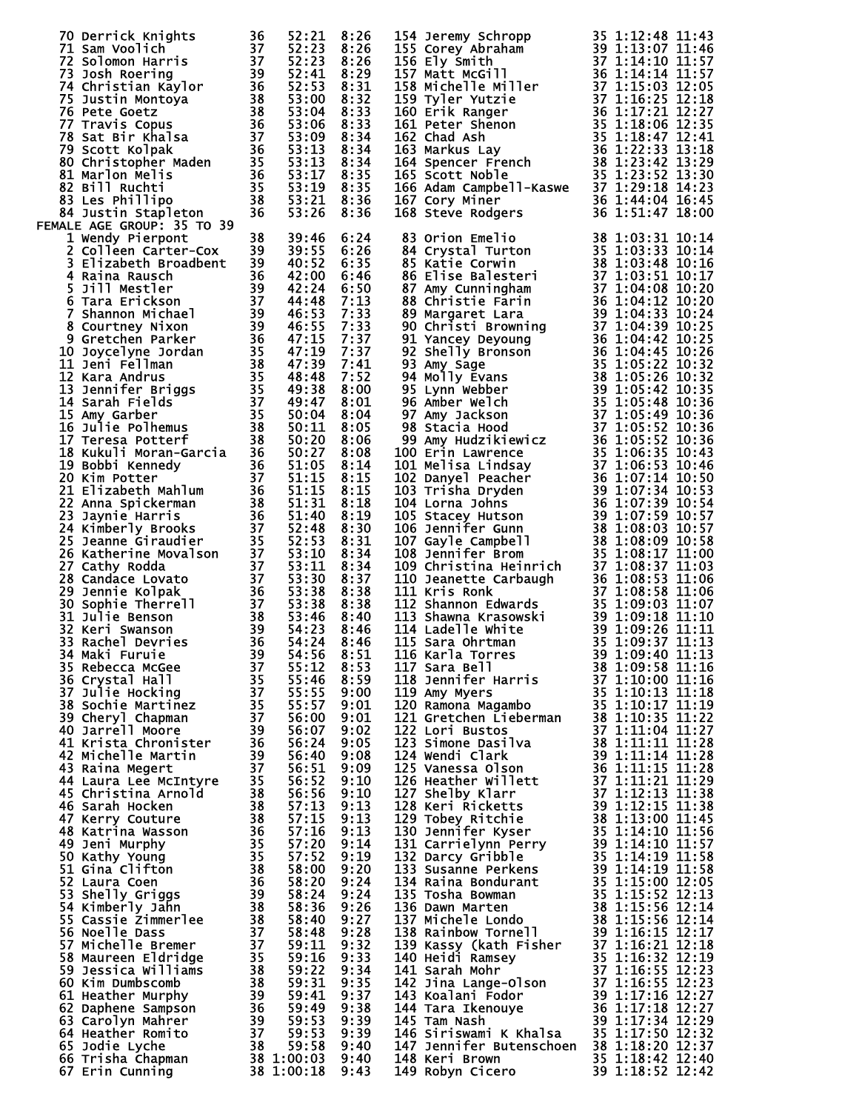| 70 Derrick Knights<br>71 Sam Voolich<br>72 Solomon Harris<br>73 Josh Roering<br>73 Josh Roering<br>75 Justin Montoya<br>75 Justin Montoya<br>75 Justin Montoya<br>76 Pete Goetz<br>76 Pete Goetz<br>77 Travis Copus<br>76 Pete Goetz<br>77 Travis Copu |  |  | 154 Jeremy Schropp<br>155 Corey Abraham<br>155 Corey Abraham<br>156 Ely Smith<br>156 Ely Smith<br>157 Matt McGill<br>167 Matt McGill<br>167 Matt McGill<br>167 11:14:10 11:57<br>157 Matt McGill<br>167 11:14:10 11:57<br>167 11:157<br>169 Tyler Yutz |                  |
|--------------------------------------------------------------------------------------------------------------------------------------------------------------------------------------------------------------------------------------------------------|--|--|--------------------------------------------------------------------------------------------------------------------------------------------------------------------------------------------------------------------------------------------------------|------------------|
|                                                                                                                                                                                                                                                        |  |  |                                                                                                                                                                                                                                                        |                  |
|                                                                                                                                                                                                                                                        |  |  |                                                                                                                                                                                                                                                        |                  |
|                                                                                                                                                                                                                                                        |  |  |                                                                                                                                                                                                                                                        |                  |
|                                                                                                                                                                                                                                                        |  |  |                                                                                                                                                                                                                                                        |                  |
|                                                                                                                                                                                                                                                        |  |  |                                                                                                                                                                                                                                                        |                  |
|                                                                                                                                                                                                                                                        |  |  |                                                                                                                                                                                                                                                        |                  |
|                                                                                                                                                                                                                                                        |  |  |                                                                                                                                                                                                                                                        |                  |
|                                                                                                                                                                                                                                                        |  |  |                                                                                                                                                                                                                                                        |                  |
|                                                                                                                                                                                                                                                        |  |  |                                                                                                                                                                                                                                                        |                  |
|                                                                                                                                                                                                                                                        |  |  |                                                                                                                                                                                                                                                        |                  |
|                                                                                                                                                                                                                                                        |  |  |                                                                                                                                                                                                                                                        |                  |
|                                                                                                                                                                                                                                                        |  |  |                                                                                                                                                                                                                                                        |                  |
|                                                                                                                                                                                                                                                        |  |  |                                                                                                                                                                                                                                                        |                  |
| FEMALE AGE GROUP: 35 TO 39                                                                                                                                                                                                                             |  |  |                                                                                                                                                                                                                                                        |                  |
|                                                                                                                                                                                                                                                        |  |  | 83 Orion Emelio                                                                                                                                                                                                                                        | 38 1:03:31 10:14 |
|                                                                                                                                                                                                                                                        |  |  |                                                                                                                                                                                                                                                        |                  |
|                                                                                                                                                                                                                                                        |  |  |                                                                                                                                                                                                                                                        |                  |
|                                                                                                                                                                                                                                                        |  |  |                                                                                                                                                                                                                                                        |                  |
|                                                                                                                                                                                                                                                        |  |  |                                                                                                                                                                                                                                                        |                  |
|                                                                                                                                                                                                                                                        |  |  |                                                                                                                                                                                                                                                        |                  |
|                                                                                                                                                                                                                                                        |  |  |                                                                                                                                                                                                                                                        |                  |
|                                                                                                                                                                                                                                                        |  |  |                                                                                                                                                                                                                                                        |                  |
|                                                                                                                                                                                                                                                        |  |  |                                                                                                                                                                                                                                                        |                  |
|                                                                                                                                                                                                                                                        |  |  |                                                                                                                                                                                                                                                        |                  |
|                                                                                                                                                                                                                                                        |  |  |                                                                                                                                                                                                                                                        |                  |
|                                                                                                                                                                                                                                                        |  |  |                                                                                                                                                                                                                                                        |                  |
|                                                                                                                                                                                                                                                        |  |  |                                                                                                                                                                                                                                                        |                  |
|                                                                                                                                                                                                                                                        |  |  |                                                                                                                                                                                                                                                        |                  |
|                                                                                                                                                                                                                                                        |  |  |                                                                                                                                                                                                                                                        |                  |
|                                                                                                                                                                                                                                                        |  |  |                                                                                                                                                                                                                                                        |                  |
|                                                                                                                                                                                                                                                        |  |  |                                                                                                                                                                                                                                                        |                  |
|                                                                                                                                                                                                                                                        |  |  |                                                                                                                                                                                                                                                        |                  |
|                                                                                                                                                                                                                                                        |  |  |                                                                                                                                                                                                                                                        |                  |
|                                                                                                                                                                                                                                                        |  |  |                                                                                                                                                                                                                                                        |                  |
|                                                                                                                                                                                                                                                        |  |  |                                                                                                                                                                                                                                                        |                  |
|                                                                                                                                                                                                                                                        |  |  |                                                                                                                                                                                                                                                        |                  |
|                                                                                                                                                                                                                                                        |  |  |                                                                                                                                                                                                                                                        |                  |
|                                                                                                                                                                                                                                                        |  |  |                                                                                                                                                                                                                                                        |                  |
|                                                                                                                                                                                                                                                        |  |  |                                                                                                                                                                                                                                                        |                  |
|                                                                                                                                                                                                                                                        |  |  |                                                                                                                                                                                                                                                        |                  |
|                                                                                                                                                                                                                                                        |  |  |                                                                                                                                                                                                                                                        |                  |
|                                                                                                                                                                                                                                                        |  |  |                                                                                                                                                                                                                                                        |                  |
|                                                                                                                                                                                                                                                        |  |  |                                                                                                                                                                                                                                                        |                  |
|                                                                                                                                                                                                                                                        |  |  |                                                                                                                                                                                                                                                        |                  |
|                                                                                                                                                                                                                                                        |  |  |                                                                                                                                                                                                                                                        |                  |
|                                                                                                                                                                                                                                                        |  |  |                                                                                                                                                                                                                                                        |                  |
|                                                                                                                                                                                                                                                        |  |  |                                                                                                                                                                                                                                                        |                  |
|                                                                                                                                                                                                                                                        |  |  |                                                                                                                                                                                                                                                        |                  |
|                                                                                                                                                                                                                                                        |  |  |                                                                                                                                                                                                                                                        |                  |
|                                                                                                                                                                                                                                                        |  |  |                                                                                                                                                                                                                                                        |                  |
|                                                                                                                                                                                                                                                        |  |  |                                                                                                                                                                                                                                                        |                  |
|                                                                                                                                                                                                                                                        |  |  |                                                                                                                                                                                                                                                        |                  |
|                                                                                                                                                                                                                                                        |  |  |                                                                                                                                                                                                                                                        |                  |
|                                                                                                                                                                                                                                                        |  |  |                                                                                                                                                                                                                                                        |                  |
|                                                                                                                                                                                                                                                        |  |  |                                                                                                                                                                                                                                                        |                  |
|                                                                                                                                                                                                                                                        |  |  |                                                                                                                                                                                                                                                        |                  |
|                                                                                                                                                                                                                                                        |  |  |                                                                                                                                                                                                                                                        |                  |
|                                                                                                                                                                                                                                                        |  |  |                                                                                                                                                                                                                                                        |                  |
|                                                                                                                                                                                                                                                        |  |  |                                                                                                                                                                                                                                                        |                  |
|                                                                                                                                                                                                                                                        |  |  |                                                                                                                                                                                                                                                        |                  |
|                                                                                                                                                                                                                                                        |  |  |                                                                                                                                                                                                                                                        |                  |
|                                                                                                                                                                                                                                                        |  |  |                                                                                                                                                                                                                                                        |                  |
|                                                                                                                                                                                                                                                        |  |  |                                                                                                                                                                                                                                                        |                  |
|                                                                                                                                                                                                                                                        |  |  |                                                                                                                                                                                                                                                        |                  |
|                                                                                                                                                                                                                                                        |  |  |                                                                                                                                                                                                                                                        |                  |
|                                                                                                                                                                                                                                                        |  |  |                                                                                                                                                                                                                                                        |                  |
|                                                                                                                                                                                                                                                        |  |  |                                                                                                                                                                                                                                                        |                  |
|                                                                                                                                                                                                                                                        |  |  |                                                                                                                                                                                                                                                        |                  |
|                                                                                                                                                                                                                                                        |  |  |                                                                                                                                                                                                                                                        |                  |
|                                                                                                                                                                                                                                                        |  |  |                                                                                                                                                                                                                                                        |                  |
|                                                                                                                                                                                                                                                        |  |  |                                                                                                                                                                                                                                                        |                  |
|                                                                                                                                                                                                                                                        |  |  |                                                                                                                                                                                                                                                        |                  |
|                                                                                                                                                                                                                                                        |  |  |                                                                                                                                                                                                                                                        |                  |
|                                                                                                                                                                                                                                                        |  |  |                                                                                                                                                                                                                                                        |                  |
|                                                                                                                                                                                                                                                        |  |  |                                                                                                                                                                                                                                                        |                  |
|                                                                                                                                                                                                                                                        |  |  |                                                                                                                                                                                                                                                        |                  |
| 82 Bill Ruchti<br>18 Bill Ruchti<br>18 Bill Ruchti<br>18 Bill Ruchti<br>18 Bill Ruchti Star 5 53:120<br>44 Bill Ruchti Star 6 6:24<br>44 Bill Rusher Corres 39 94:525 6:33<br>18 Siziz Gi. 24<br>18 Elizabeth Broadbeth Star 40:53 94:535 6:2          |  |  | 167<br>167 Cory Miner<br>168 Steve Rodgers<br>168 Steve Rodgers<br>168 Steve Rodgers<br>168 Steve Rodgers<br>168 Steve Rodgers<br>168 Steve Rodgers<br>1711-169 Steve Rodgers<br>26 Crystal Turton<br>170 35 1:03:33 10:114<br>188 Crystal Turton<br>1 |                  |
|                                                                                                                                                                                                                                                        |  |  | 148 Keri Brown<br>149 Robyn Cicero<br>149 Robyn Cicero<br>19 1:18:52 12:42                                                                                                                                                                             |                  |
|                                                                                                                                                                                                                                                        |  |  |                                                                                                                                                                                                                                                        |                  |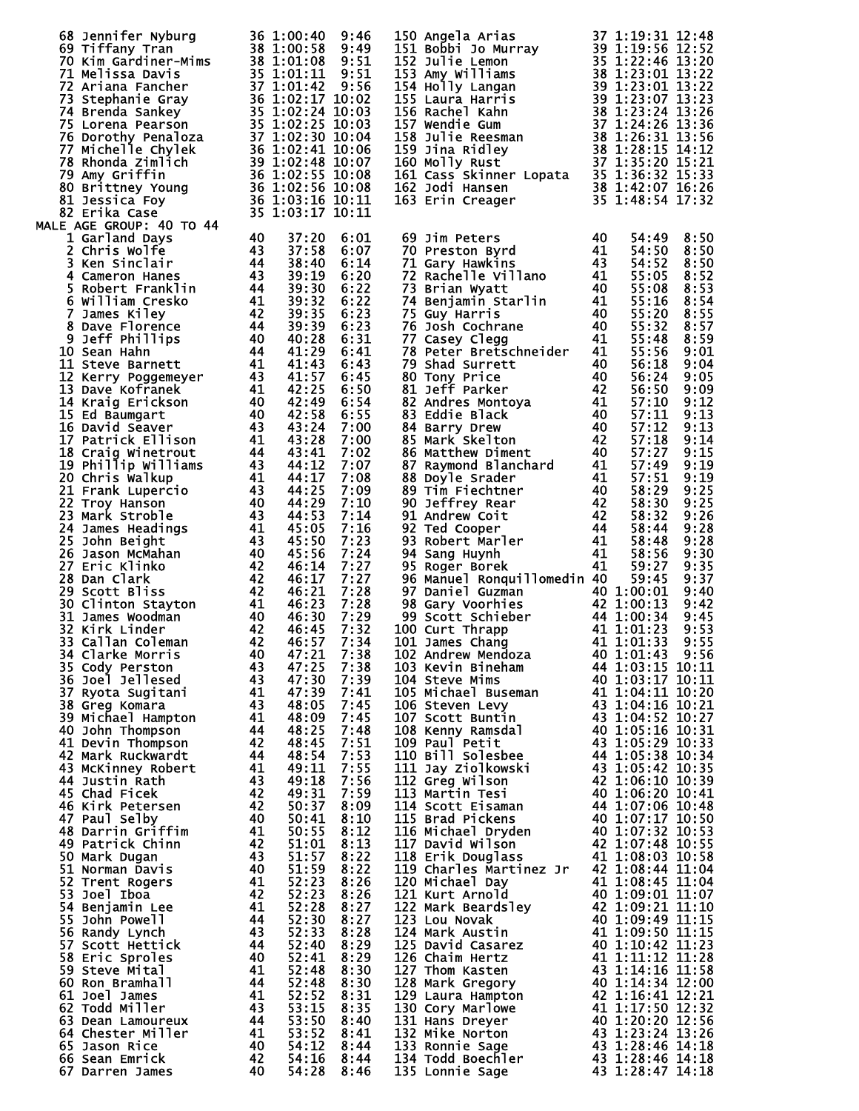|   | 68 Jennifer Nyburg 36 1:00:40 9:46<br>69 Tiffany Tran 38 1:00:58 9:49<br>70 Kim Gardiner-Mims 38 1:01:08 9:51<br>71 Melissa Davis 35 1:01:11 9:51<br>73 Stephanie Gray 36 1:02:17 10:02<br>74 Brenda Sankey 35 1:02:24 10:03<br>75 Lorena |                                               |                                                                                                                |              | 150 Angela Arias                                                                                                                                                                                                                                       |      | 37 1:19:31 12:48 |      |
|---|-------------------------------------------------------------------------------------------------------------------------------------------------------------------------------------------------------------------------------------------|-----------------------------------------------|----------------------------------------------------------------------------------------------------------------|--------------|--------------------------------------------------------------------------------------------------------------------------------------------------------------------------------------------------------------------------------------------------------|------|------------------|------|
|   |                                                                                                                                                                                                                                           |                                               |                                                                                                                |              | 150 Angela Arias 37 1:19:31 12:48<br>151 Bobbi Jo Murray 39 1:19:56 12:52<br>152 Julie Lemon<br>153 Amy Williams 38 1:23:46 13:22<br>153 Amy Williams 38 1:23:01 13:22<br>154 Holly Langan<br>39 1:23:01 13:22<br>155 Laura Harris 39 1:23:0           |      |                  |      |
|   |                                                                                                                                                                                                                                           |                                               |                                                                                                                |              |                                                                                                                                                                                                                                                        |      |                  |      |
|   |                                                                                                                                                                                                                                           |                                               |                                                                                                                |              |                                                                                                                                                                                                                                                        |      |                  |      |
|   |                                                                                                                                                                                                                                           |                                               |                                                                                                                |              |                                                                                                                                                                                                                                                        |      |                  |      |
|   |                                                                                                                                                                                                                                           |                                               |                                                                                                                |              |                                                                                                                                                                                                                                                        |      |                  |      |
|   |                                                                                                                                                                                                                                           |                                               |                                                                                                                |              |                                                                                                                                                                                                                                                        |      |                  |      |
|   |                                                                                                                                                                                                                                           |                                               |                                                                                                                |              |                                                                                                                                                                                                                                                        |      |                  |      |
|   |                                                                                                                                                                                                                                           |                                               |                                                                                                                |              |                                                                                                                                                                                                                                                        |      |                  |      |
|   |                                                                                                                                                                                                                                           |                                               |                                                                                                                |              |                                                                                                                                                                                                                                                        |      |                  |      |
|   |                                                                                                                                                                                                                                           |                                               |                                                                                                                |              |                                                                                                                                                                                                                                                        |      |                  |      |
|   |                                                                                                                                                                                                                                           |                                               |                                                                                                                |              |                                                                                                                                                                                                                                                        |      |                  |      |
|   |                                                                                                                                                                                                                                           |                                               |                                                                                                                |              | 161 Cass Skinner Lopata<br>162 Jodi Hansen<br>162 Jodi Hansen<br>163 Erin Creager<br>163 Erin Creager<br>163 Erin Creager<br>163 1:48:54 17:32                                                                                                         |      |                  |      |
|   |                                                                                                                                                                                                                                           |                                               |                                                                                                                |              |                                                                                                                                                                                                                                                        |      |                  |      |
|   |                                                                                                                                                                                                                                           |                                               |                                                                                                                |              |                                                                                                                                                                                                                                                        |      |                  |      |
|   | MALE AGE GROUP: 40 TO 44                                                                                                                                                                                                                  |                                               |                                                                                                                |              |                                                                                                                                                                                                                                                        |      |                  |      |
|   | 1 Garland Days                                                                                                                                                                                                                            | 40                                            | 37:20                                                                                                          | 6:01         |                                                                                                                                                                                                                                                        |      | 54:49            | 8:50 |
| 2 | Chris wolfe                                                                                                                                                                                                                               | $\begin{array}{c} 43 \\ 44 \end{array}$       | 37:58                                                                                                          | 6:07         |                                                                                                                                                                                                                                                        |      | 54:50            | 8:50 |
|   | 3 Ken Sinclair                                                                                                                                                                                                                            |                                               | 38:40                                                                                                          | 6:14         |                                                                                                                                                                                                                                                        |      | 54:52            | 8:50 |
|   | 4 Cameron Hanes                                                                                                                                                                                                                           | $\begin{array}{c} 43 \\ 44 \end{array}$       | 39:19                                                                                                          | 6:20         |                                                                                                                                                                                                                                                        |      | 55:05            | 8:52 |
|   | 5 Robert Franklin                                                                                                                                                                                                                         |                                               | 39:30                                                                                                          | 6:22         |                                                                                                                                                                                                                                                        |      | 55:08            | 8:53 |
|   | 6 William Cresko                                                                                                                                                                                                                          | 41                                            | 39:32                                                                                                          | 6:22         |                                                                                                                                                                                                                                                        |      | 55:16            | 8:54 |
|   | 7 James Kiley                                                                                                                                                                                                                             | $-42$                                         | 39:35                                                                                                          | 6:23         | 75 Guy Harris                                                                                                                                                                                                                                          | - 40 | 55:20            | 8:55 |
|   | 8 Dave Florence                                                                                                                                                                                                                           | $\frac{4\overline{4}}{4\overline{6}}$         | 39:39                                                                                                          | 6:23         | $\begin{array}{c} 40 \\ 40 \\ 41 \end{array}$<br>76 Josh Cochrane                                                                                                                                                                                      |      | 55:32            | 8:57 |
|   | 9 Jeff Phillips                                                                                                                                                                                                                           |                                               | 40:28                                                                                                          | 6:31         | 77 Casey Clegg                                                                                                                                                                                                                                         | 41   | 55:48            | 8:59 |
|   | $\frac{40}{44}$<br>10 Sean Hahn                                                                                                                                                                                                           |                                               | 41:29                                                                                                          | 6:41         | 78 Peter Bretschneider                                                                                                                                                                                                                                 | 41   | 55:56            | 9:01 |
|   | 11 Steve Barnett                                                                                                                                                                                                                          |                                               | 41:43                                                                                                          | 6:43         |                                                                                                                                                                                                                                                        |      | 56:18            | 9:04 |
|   |                                                                                                                                                                                                                                           |                                               | 41:57                                                                                                          | 6:45         |                                                                                                                                                                                                                                                        |      | 56:24            | 9:05 |
|   | 11 Steve Barnect<br>12 Kerry Poggemeyer 43<br>בניבח A1 המשפח בית 41                                                                                                                                                                       |                                               | 42:25                                                                                                          | 6:50         |                                                                                                                                                                                                                                                        |      | 56:50            | 9:09 |
|   | 14 Kraig Erickson                                                                                                                                                                                                                         |                                               | 42:49                                                                                                          | 6:54         |                                                                                                                                                                                                                                                        |      | 57:10            | 9:12 |
|   | 15 Ed Baumgart                                                                                                                                                                                                                            |                                               | 42:58                                                                                                          | 6:55         |                                                                                                                                                                                                                                                        |      | 57:11            | 9:13 |
|   | 16 David Seaver                                                                                                                                                                                                                           |                                               | 43:24                                                                                                          | 7:00         |                                                                                                                                                                                                                                                        |      | 57:12            | 9:13 |
|   | $\begin{array}{c} 40 \\ 40 \\ 43 \\ 41 \end{array}$<br>17 Patrick Ellison                                                                                                                                                                 |                                               | 43:28                                                                                                          | 7:00         | 78 Peter Bretschneider<br>79 Shad Surrett<br>80 Tony Price<br>81 Jeff Parker<br>81 Jeff Parker<br>82 Andres Montoya<br>83 Eddie Black<br>84 Barry Drew<br>85 Mark Skelton<br>85 Mark Skelton<br>86 Matthew Diment<br>87 Raymond Blanchard<br>87 Raymon |      | 57:18            | 9:14 |
|   | $44$<br>$43$<br>$41$<br>$43$<br>$40$<br>$43$<br>18 Craig Winetrout                                                                                                                                                                        |                                               | 43:41                                                                                                          | 7:02         |                                                                                                                                                                                                                                                        |      | 57:27            | 9:15 |
|   | 19 Phillip Williams                                                                                                                                                                                                                       |                                               | 44:12                                                                                                          | 7:07         |                                                                                                                                                                                                                                                        |      | 57:49            | 9:19 |
|   | 20 Chris Walkup                                                                                                                                                                                                                           |                                               | 44:17                                                                                                          | 7:08         |                                                                                                                                                                                                                                                        |      | 57:51            | 9:19 |
|   | 21 Frank Lupercio                                                                                                                                                                                                                         |                                               | 44:25                                                                                                          | 7:09         |                                                                                                                                                                                                                                                        |      | 58:29            | 9:25 |
|   | 22 Troy Hanson                                                                                                                                                                                                                            |                                               | 44:29                                                                                                          | 7:10         |                                                                                                                                                                                                                                                        |      | 58:30            | 9:25 |
|   | 23 Mark Stroble                                                                                                                                                                                                                           |                                               | 44:53                                                                                                          | 7:14         |                                                                                                                                                                                                                                                        |      | 58:32            | 9:26 |
|   | 24 James Headings                                                                                                                                                                                                                         |                                               | 45:05                                                                                                          | 7:16         |                                                                                                                                                                                                                                                        |      | 58:44            | 9:28 |
|   | $\frac{41}{43}$<br>25 John Beight                                                                                                                                                                                                         |                                               | 45:50                                                                                                          | 7:23         |                                                                                                                                                                                                                                                        |      | 58:48            | 9:28 |
|   | 26 Jason McMahan                                                                                                                                                                                                                          |                                               |                                                                                                                | 7:24         |                                                                                                                                                                                                                                                        |      | 58:56            | 9:30 |
|   | 27 Eric Klinko                                                                                                                                                                                                                            |                                               | 43<br>40<br>42<br>42<br>46:11<br>42<br>46:23<br>40<br>42<br>46:30<br>42<br>46:57<br>40<br>47:21<br>40<br>47:21 | 7:27         | 95 Roger Borek                                                                                                                                                                                                                                         | 41   | 59:27            | 9:35 |
|   | 28 Dan Clark                                                                                                                                                                                                                              |                                               |                                                                                                                | 7:27         | 96 Manuel Ronquillomedin 40                                                                                                                                                                                                                            |      | 59:45            | 9:37 |
|   | 29 Scott Bliss                                                                                                                                                                                                                            |                                               |                                                                                                                | 7:28         | 97 Daniel Guzman                                                                                                                                                                                                                                       |      | 40 1:00:01       | 9:40 |
|   | 30 Clinton Stayton                                                                                                                                                                                                                        |                                               |                                                                                                                | 7:28         |                                                                                                                                                                                                                                                        |      |                  | 9:42 |
|   | 31 James Woodman                                                                                                                                                                                                                          |                                               |                                                                                                                | 7:29         | 98 Gary Voorhies<br>99 Scott Schieber<br>100 Curt Thrapp<br>100 Curt Thrapp<br>101 James Chang<br>101 James Chang<br>101 33                                                                                                                            |      |                  | 9:45 |
|   | 32 Kirk Linder                                                                                                                                                                                                                            |                                               |                                                                                                                | 7:32         | 100 Curt Thrapp                                                                                                                                                                                                                                        |      |                  | 9:53 |
|   | 33 Callan Coleman                                                                                                                                                                                                                         |                                               |                                                                                                                | 7:34         | 101 James Chang                                                                                                                                                                                                                                        |      |                  | 9:55 |
|   | <b>34 Clarke Morris</b>                                                                                                                                                                                                                   | 40                                            | 47:21                                                                                                          | 7:38         | 102 Andrew Mendoza                                                                                                                                                                                                                                     |      | 40 1:01:43       | 9:56 |
|   | 35 Cody Perston                                                                                                                                                                                                                           | 43                                            | 47:25                                                                                                          | 7:38         | 103 Kevin Bineham                                                                                                                                                                                                                                      |      | 44 1:03:15 10:11 |      |
|   | 36 Joel Jellesed                                                                                                                                                                                                                          | 43                                            | 47:30                                                                                                          | 7:39         | 104 Steve Mims                                                                                                                                                                                                                                         |      | 40 1:03:17 10:11 |      |
|   | 37 Ryota Sugitani                                                                                                                                                                                                                         | 41                                            | 47:39                                                                                                          | 7:41         | 105 Michael Buseman                                                                                                                                                                                                                                    |      | 41 1:04:11 10:20 |      |
|   | 38 Greg Komara                                                                                                                                                                                                                            |                                               | 48:05                                                                                                          | 7:45         | 106 Steven Levy                                                                                                                                                                                                                                        |      | 43 1:04:16 10:21 |      |
|   | 39 Michael Hampton                                                                                                                                                                                                                        |                                               | 48:09                                                                                                          | 7:45         | 107 Scott Buntin                                                                                                                                                                                                                                       |      | 43 1:04:52 10:27 |      |
|   | 40 John Thompson                                                                                                                                                                                                                          |                                               | 48:25                                                                                                          | 7:48         | 108 Kenny Ramsdal                                                                                                                                                                                                                                      |      | 40 1:05:16 10:31 |      |
|   | 41 Devin Thompson                                                                                                                                                                                                                         | $\frac{43}{41}$<br>$\frac{44}{42}$            | 48:45                                                                                                          | 7:51         | 109 Paul Petit                                                                                                                                                                                                                                         |      | 43 1:05:29 10:33 |      |
|   | 42 Mark Ruckwardt                                                                                                                                                                                                                         | 44                                            | 48:54                                                                                                          | 7:53         | 110 Bill Solesbee                                                                                                                                                                                                                                      |      | 44 1:05:38 10:34 |      |
|   | 43 McKinney Robert                                                                                                                                                                                                                        | 41                                            | 49:11                                                                                                          | 7:55         | 111 Jay Ziolkowski                                                                                                                                                                                                                                     |      | 43 1:05:42 10:35 |      |
|   | 44 Justin Rath                                                                                                                                                                                                                            | 43                                            | 49:18                                                                                                          | 7:56         | 112 Greg Wilson                                                                                                                                                                                                                                        |      | 42 1:06:10 10:39 |      |
|   | 45 Chad Ficek                                                                                                                                                                                                                             | 42                                            | 49:31                                                                                                          | 7:59         | 113 Martin Tesi                                                                                                                                                                                                                                        |      | 40 1:06:20 10:41 |      |
|   | 46 Kirk Petersen                                                                                                                                                                                                                          |                                               | 50:37                                                                                                          | 8:09         | 114 Scott Eisaman                                                                                                                                                                                                                                      |      | 44 1:07:06 10:48 |      |
|   | 47 Paul Selby                                                                                                                                                                                                                             | $\begin{array}{c} 42 \\ 40 \end{array}$       | 50:41                                                                                                          | 8:10         | 115 Brad Pickens                                                                                                                                                                                                                                       |      | 40 1:07:17 10:50 |      |
|   | 48 Darrin Griffim                                                                                                                                                                                                                         | 41                                            | 50:55                                                                                                          | 8:12         | 116 Michael Dryden                                                                                                                                                                                                                                     |      | 40 1:07:32 10:53 |      |
|   | 49 Patrick Chinn                                                                                                                                                                                                                          |                                               | 51:01                                                                                                          | 8:13         | 117 David Wilson                                                                                                                                                                                                                                       |      | 42 1:07:48 10:55 |      |
|   | 50 Mark Dugan                                                                                                                                                                                                                             | $\begin{array}{c} 42 \\ 43 \\ 40 \end{array}$ |                                                                                                                | 8:22         | 118 Erik Douglass                                                                                                                                                                                                                                      |      | 41 1:08:03 10:58 |      |
|   | 51 Norman Davis                                                                                                                                                                                                                           |                                               | 51:57<br>51:59                                                                                                 | 8:22         | 119 Charles Martinez Jr                                                                                                                                                                                                                                |      | 42 1:08:44 11:04 |      |
|   | 52 Trent Rogers                                                                                                                                                                                                                           | 41                                            |                                                                                                                | 8:26         | 120 Michael Day                                                                                                                                                                                                                                        |      | 41 1:08:45 11:04 |      |
|   | 53 Joel Iboa                                                                                                                                                                                                                              | 42                                            | 52:23<br>52:23                                                                                                 | 8:26         | 121 Kurt Arnold                                                                                                                                                                                                                                        |      | 40 1:09:01 11:07 |      |
|   | 54 Benjamin Lee                                                                                                                                                                                                                           | 41                                            | 52:28                                                                                                          | 8:27         | 122 Mark Beardsley                                                                                                                                                                                                                                     |      | 42 1:09:21 11:10 |      |
|   | 55 John Powell                                                                                                                                                                                                                            | 44                                            | 52:30                                                                                                          | 8:27         | 123 Lou Novak                                                                                                                                                                                                                                          |      | 40 1:09:49 11:15 |      |
|   | 56 Randy Lynch                                                                                                                                                                                                                            | 43                                            | 52:33                                                                                                          | 8:28         | 124 Mark Austin                                                                                                                                                                                                                                        |      | 41 1:09:50 11:15 |      |
|   | 57 Scott Hettick                                                                                                                                                                                                                          | 44                                            | 52:40                                                                                                          | 8:29         | 125 David Casarez                                                                                                                                                                                                                                      |      | 40 1:10:42 11:23 |      |
|   | 58 Eric Sproles                                                                                                                                                                                                                           | 40                                            | 52:41                                                                                                          | 8:29         | 126 Chaim Hertz                                                                                                                                                                                                                                        |      | 41 1:11:12 11:28 |      |
|   | 59 Steve Mital                                                                                                                                                                                                                            | 41                                            | 52:48                                                                                                          | 8:30         | 127 Thom Kasten                                                                                                                                                                                                                                        |      | 43 1:14:16 11:58 |      |
|   | 60 Ron Bramhall                                                                                                                                                                                                                           | 44                                            | 52:48                                                                                                          | 8:30         | 128 Mark Gregory                                                                                                                                                                                                                                       |      | 40 1:14:34 12:00 |      |
|   | 61 Joel James                                                                                                                                                                                                                             | 41                                            | 52:52                                                                                                          | 8:31         | 129 Laura Hampton                                                                                                                                                                                                                                      |      | 42 1:16:41 12:21 |      |
|   | 62 Todd Miller                                                                                                                                                                                                                            | 43                                            | 53:15                                                                                                          | 8:35         | 130 Cory Marlowe                                                                                                                                                                                                                                       |      | 41 1:17:50 12:32 |      |
|   | 63 Dean Lamoureux                                                                                                                                                                                                                         | 44                                            | 53:50                                                                                                          | 8:40         | 131 Hans Dreyer                                                                                                                                                                                                                                        |      | 40 1:20:20 12:56 |      |
|   | 64 Chester Miller                                                                                                                                                                                                                         | 41                                            | 53:52                                                                                                          | 8:41         | 132 Mike Norton                                                                                                                                                                                                                                        |      | 43 1:23:24 13:26 |      |
|   | 65 Jason Rice                                                                                                                                                                                                                             | 40                                            | 54:12                                                                                                          | 8:44         | 133 Ronnie Sage                                                                                                                                                                                                                                        |      | 43 1:28:46 14:18 |      |
|   | 66 Sean Emrick                                                                                                                                                                                                                            | 42                                            | 54:16                                                                                                          |              | 134 Todd Boechler                                                                                                                                                                                                                                      |      | 43 1:28:46 14:18 |      |
|   | 67 Darren James                                                                                                                                                                                                                           | 40                                            | 54:28                                                                                                          | 8:44<br>8:46 | 135 Lonnie Sage                                                                                                                                                                                                                                        |      | 43 1:28:47 14:18 |      |
|   |                                                                                                                                                                                                                                           |                                               |                                                                                                                |              |                                                                                                                                                                                                                                                        |      |                  |      |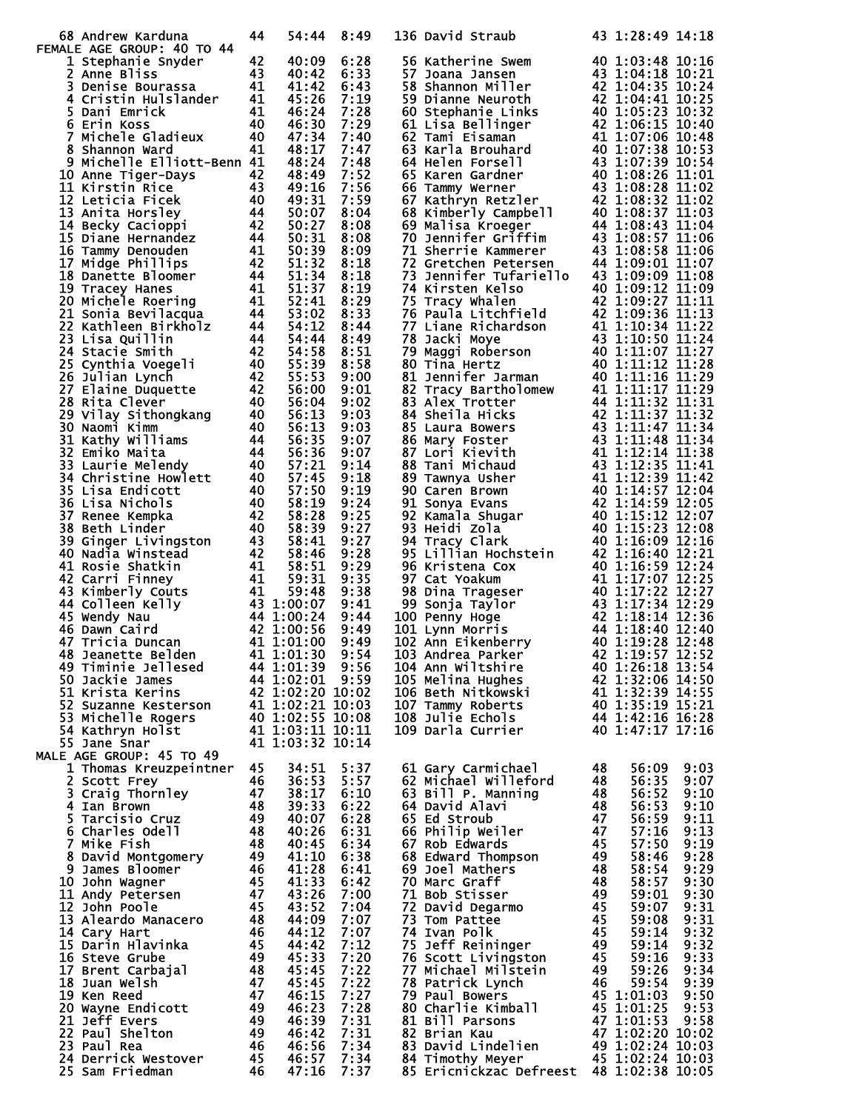| 68 Andrew Karduna                                                                                                                                                                                                                                          | 44                                                        | 54:44                                  | 8:49                     | 136 David Straub                                                                                                                                                                                                                                       |                                    | 43 1:28:49 14:18                             |            |
|------------------------------------------------------------------------------------------------------------------------------------------------------------------------------------------------------------------------------------------------------------|-----------------------------------------------------------|----------------------------------------|--------------------------|--------------------------------------------------------------------------------------------------------------------------------------------------------------------------------------------------------------------------------------------------------|------------------------------------|----------------------------------------------|------------|
| FEMALE AGE GROUP: 40 TO 44                                                                                                                                                                                                                                 |                                                           |                                        |                          |                                                                                                                                                                                                                                                        |                                    |                                              |            |
| 2 Anne Bliss<br>3 Denise Bourassa<br>41<br>4 Cristin Hulslander<br>41<br>5 Dani Emrick<br>6 Erin Koss<br>6 Hichele Gladieux<br>40<br>7 Michele Gladieux<br>40<br>8 Shannon Ward<br>8 Michele Elliott-1:<br>41<br>1 Michele Elliott-1:<br>40<br>8 Anne Ti   |                                                           | 40:09                                  | 6:28                     | 56 Katherine Swem<br>57 Joana Jansen<br>57 Joana Jansen<br>57 Joana Jansen<br>58 Shannon Miller<br>59 Dianne Neuroth<br>60 Stephanie Links<br>60 Stephanie Links<br>60 Stephanie Links<br>62 Tami Eisaman<br>62 Tami Eisaman<br>63 Karla Brouhard<br>6 |                                    |                                              |            |
|                                                                                                                                                                                                                                                            |                                                           | 40:42                                  | 6:33                     |                                                                                                                                                                                                                                                        |                                    |                                              |            |
|                                                                                                                                                                                                                                                            |                                                           | 41:42                                  | 6:43                     |                                                                                                                                                                                                                                                        |                                    |                                              |            |
|                                                                                                                                                                                                                                                            |                                                           | 45:26                                  | 7:19                     |                                                                                                                                                                                                                                                        |                                    |                                              |            |
|                                                                                                                                                                                                                                                            |                                                           | 46:24                                  | 7:28                     |                                                                                                                                                                                                                                                        |                                    |                                              |            |
|                                                                                                                                                                                                                                                            |                                                           | 46:30                                  | 7:29                     |                                                                                                                                                                                                                                                        |                                    |                                              |            |
|                                                                                                                                                                                                                                                            |                                                           | 47:34                                  | 7:40                     |                                                                                                                                                                                                                                                        |                                    |                                              |            |
| 8 Shannon ward<br>48 Michelle Elliott-Benn 41<br>48:17<br>9 Michelle Elliott-Benn 42<br>48:24<br>11 Kirstin Rice<br>11 Secky Cacioppi<br>14 Becky Cacioppi<br>14 Becky Cacioppi<br>14 Becky Cacioppi<br>14 Solid<br>16 Tammy Denouden<br>44 Solid<br>16    |                                                           | 48:17                                  | 7:47                     |                                                                                                                                                                                                                                                        |                                    |                                              |            |
|                                                                                                                                                                                                                                                            |                                                           | 48:24                                  | 7:48<br>7:52             |                                                                                                                                                                                                                                                        |                                    |                                              |            |
|                                                                                                                                                                                                                                                            |                                                           |                                        | 7:56                     |                                                                                                                                                                                                                                                        |                                    |                                              |            |
|                                                                                                                                                                                                                                                            |                                                           |                                        | 7:59                     |                                                                                                                                                                                                                                                        |                                    |                                              |            |
|                                                                                                                                                                                                                                                            |                                                           |                                        | 8:04                     |                                                                                                                                                                                                                                                        |                                    |                                              |            |
|                                                                                                                                                                                                                                                            |                                                           |                                        | 8:08                     |                                                                                                                                                                                                                                                        |                                    |                                              |            |
|                                                                                                                                                                                                                                                            |                                                           |                                        | 8:08                     |                                                                                                                                                                                                                                                        |                                    |                                              |            |
|                                                                                                                                                                                                                                                            |                                                           |                                        | 8:09                     |                                                                                                                                                                                                                                                        |                                    |                                              |            |
|                                                                                                                                                                                                                                                            |                                                           |                                        | 8:18                     |                                                                                                                                                                                                                                                        |                                    |                                              |            |
|                                                                                                                                                                                                                                                            |                                                           |                                        | 8:18                     | 73 Gretchen Petersen<br>144 1:09:00 11:07<br>73 Jennifer Tufariello 40 109:09 11:08<br>74 Kirsten Kelso 40 1:09:12 11:09<br>75 Tacy Whalen<br>16 42 1:09:27 11:11<br>77 Liane Richardson 41 1:10:34 11:12<br>77 Liane Richardson 41 1:10:34            |                                    |                                              |            |
|                                                                                                                                                                                                                                                            |                                                           |                                        | 8:19                     |                                                                                                                                                                                                                                                        |                                    |                                              |            |
|                                                                                                                                                                                                                                                            |                                                           |                                        | 8:29                     |                                                                                                                                                                                                                                                        |                                    |                                              |            |
|                                                                                                                                                                                                                                                            |                                                           |                                        | 8:33                     |                                                                                                                                                                                                                                                        |                                    |                                              |            |
|                                                                                                                                                                                                                                                            |                                                           |                                        | 8:44                     |                                                                                                                                                                                                                                                        |                                    |                                              |            |
|                                                                                                                                                                                                                                                            |                                                           |                                        | 8:49                     |                                                                                                                                                                                                                                                        |                                    |                                              |            |
|                                                                                                                                                                                                                                                            |                                                           |                                        | 8:51                     |                                                                                                                                                                                                                                                        |                                    |                                              |            |
|                                                                                                                                                                                                                                                            |                                                           |                                        | 8:58                     |                                                                                                                                                                                                                                                        |                                    |                                              |            |
|                                                                                                                                                                                                                                                            |                                                           |                                        | 9:00                     |                                                                                                                                                                                                                                                        |                                    |                                              |            |
|                                                                                                                                                                                                                                                            |                                                           |                                        | 9:01                     |                                                                                                                                                                                                                                                        |                                    |                                              |            |
|                                                                                                                                                                                                                                                            |                                                           |                                        | 9:02                     |                                                                                                                                                                                                                                                        |                                    |                                              |            |
|                                                                                                                                                                                                                                                            |                                                           |                                        | 9:03                     |                                                                                                                                                                                                                                                        |                                    |                                              |            |
|                                                                                                                                                                                                                                                            |                                                           |                                        | 9:03                     |                                                                                                                                                                                                                                                        |                                    |                                              |            |
|                                                                                                                                                                                                                                                            |                                                           |                                        | 9:07                     |                                                                                                                                                                                                                                                        |                                    |                                              |            |
|                                                                                                                                                                                                                                                            |                                                           |                                        | 9:07                     |                                                                                                                                                                                                                                                        |                                    |                                              |            |
|                                                                                                                                                                                                                                                            |                                                           |                                        | 9:14                     |                                                                                                                                                                                                                                                        |                                    |                                              |            |
|                                                                                                                                                                                                                                                            |                                                           |                                        | 9:18<br>9:19             |                                                                                                                                                                                                                                                        |                                    |                                              |            |
|                                                                                                                                                                                                                                                            |                                                           |                                        | 9:24                     |                                                                                                                                                                                                                                                        |                                    |                                              |            |
|                                                                                                                                                                                                                                                            |                                                           |                                        | 9:25                     |                                                                                                                                                                                                                                                        |                                    |                                              |            |
|                                                                                                                                                                                                                                                            |                                                           |                                        | 9:27                     |                                                                                                                                                                                                                                                        |                                    |                                              |            |
|                                                                                                                                                                                                                                                            |                                                           |                                        | 9:27                     |                                                                                                                                                                                                                                                        |                                    |                                              |            |
|                                                                                                                                                                                                                                                            |                                                           |                                        | 9:28                     |                                                                                                                                                                                                                                                        |                                    |                                              |            |
|                                                                                                                                                                                                                                                            |                                                           |                                        | 9:29                     |                                                                                                                                                                                                                                                        |                                    |                                              |            |
|                                                                                                                                                                                                                                                            |                                                           |                                        | 9:35                     |                                                                                                                                                                                                                                                        |                                    |                                              |            |
|                                                                                                                                                                                                                                                            |                                                           |                                        | 9:38                     |                                                                                                                                                                                                                                                        |                                    |                                              |            |
|                                                                                                                                                                                                                                                            |                                                           |                                        | 9:41                     |                                                                                                                                                                                                                                                        |                                    |                                              |            |
|                                                                                                                                                                                                                                                            |                                                           |                                        | 9:44                     |                                                                                                                                                                                                                                                        |                                    |                                              |            |
|                                                                                                                                                                                                                                                            |                                                           |                                        | 9:49                     |                                                                                                                                                                                                                                                        |                                    |                                              |            |
|                                                                                                                                                                                                                                                            |                                                           |                                        | 9:49                     |                                                                                                                                                                                                                                                        |                                    |                                              |            |
| 48 Jeanette Belden 41 1:01:30 9:54                                                                                                                                                                                                                         |                                                           |                                        |                          | 103 Andrea Parker                                                                                                                                                                                                                                      |                                    | 42 1:19:57 12:52                             |            |
| 49 Timinie Jellesed                                                                                                                                                                                                                                        |                                                           | 44 1:01:39 9:56                        |                          | 104 Ann Wiltshire                                                                                                                                                                                                                                      |                                    | 40 1:26:18 13:54                             |            |
| 50 Jackie James                                                                                                                                                                                                                                            |                                                           | 44 1:02:01 9:59                        |                          | 105 Melina Hughes                                                                                                                                                                                                                                      |                                    | 42 1:32:06 14:50<br>41 1:32:39 14:55         |            |
| 51 Krista Kerins                                                                                                                                                                                                                                           |                                                           | 42 1:02:20 10:02                       |                          | 106 Beth Nitkowski                                                                                                                                                                                                                                     |                                    |                                              |            |
| 52 Suzanne Kesterson                                                                                                                                                                                                                                       |                                                           | n 41 1:02:21 10:03<br>40 1:02:55 10:08 |                          | 107 Tammy Roberts                                                                                                                                                                                                                                      |                                    | <b>40 1:35:19 15:21<br/>44 1:42:16 16:28</b> |            |
| 53 Michelle Rogers                                                                                                                                                                                                                                         |                                                           |                                        |                          | 108 Julie Echols                                                                                                                                                                                                                                       |                                    |                                              |            |
| 54 Kathryn Holst                                                                                                                                                                                                                                           |                                                           | 41 1:03:11 10:11                       |                          | 109 Darla Currier                                                                                                                                                                                                                                      |                                    | 40 1:47:17 17:16                             |            |
| 55 Jane Snar                                                                                                                                                                                                                                               |                                                           | 41 1:03:32 10:14                       |                          |                                                                                                                                                                                                                                                        |                                    |                                              |            |
| MALE AGE GROUP: 45 TO 49<br>1 Thomas Kreuzpeintner 45                                                                                                                                                                                                      |                                                           |                                        |                          |                                                                                                                                                                                                                                                        | 48                                 |                                              | 9:03       |
| 2 Scott Frey                                                                                                                                                                                                                                               | 46                                                        | 34:51<br>36:53                         | 5:37<br>5:57             | 61 Gary Carmichael<br>62 Michael Willeford                                                                                                                                                                                                             | 48                                 | 56:09<br>56:35                               | 9:07       |
|                                                                                                                                                                                                                                                            |                                                           | 38:17                                  | 6:10                     | 63 Bill P. Manning                                                                                                                                                                                                                                     | -48                                | 56:52                                        | 9:10       |
|                                                                                                                                                                                                                                                            |                                                           | 39:33                                  | 6:22                     | 64 David Alavi                                                                                                                                                                                                                                         | -48                                | 56:53                                        | 9:10       |
|                                                                                                                                                                                                                                                            |                                                           | 40:07                                  | 6:28                     | 65 Ed Stroub                                                                                                                                                                                                                                           | $\frac{48}{47}$<br>$\frac{47}{45}$ | 56:59                                        | 9:11       |
|                                                                                                                                                                                                                                                            |                                                           | 40:26                                  | 6:31                     | 66 Philip Weiler                                                                                                                                                                                                                                       |                                    | 57:16                                        | 9:13       |
|                                                                                                                                                                                                                                                            |                                                           | 40:45                                  | 6:34                     | 67 Rob Edwards                                                                                                                                                                                                                                         |                                    | 57:50                                        | 9:19       |
|                                                                                                                                                                                                                                                            |                                                           | 41:10                                  | 6:38                     |                                                                                                                                                                                                                                                        |                                    | 58:46                                        | 9:28       |
|                                                                                                                                                                                                                                                            |                                                           | 41:28                                  | 6:41                     |                                                                                                                                                                                                                                                        |                                    | 58:54                                        | 9:29       |
|                                                                                                                                                                                                                                                            |                                                           | 41:33                                  | 6:42                     |                                                                                                                                                                                                                                                        |                                    | 58:57                                        | 9:30       |
|                                                                                                                                                                                                                                                            |                                                           | 43:26                                  | 7:00                     |                                                                                                                                                                                                                                                        |                                    | 59:01                                        | 9:30       |
|                                                                                                                                                                                                                                                            |                                                           | 43:52                                  | 7:04                     |                                                                                                                                                                                                                                                        |                                    | 59:07                                        | 9:31       |
| 2 Scott Fiey<br>3 Craig Thornley<br>47<br>4 Ian Brown<br>5 Tarcisio Cruz<br>6 Charles Odell<br>7 Mike Fish<br>8 David Montgomery<br>9 James Bloomer<br>10 John Wagner<br>11 Andy Petersen<br>12 John Poole<br>13 Aleardo Manacero<br>14 Gry Hart<br>14 Gry |                                                           | 44:09                                  | 7:07                     | 68 Edward Thompson<br>69 Joel Mathers<br>70 Marc Graff<br>71 Bob Stisser<br>72 David Degarmo<br>73 Tom Pattee<br>74 Ivan Polk<br>74 Joef Posinings                                                                                                     |                                    | 59:08                                        | 9:31       |
|                                                                                                                                                                                                                                                            |                                                           | 44:12                                  | 7:07                     |                                                                                                                                                                                                                                                        |                                    |                                              | 59:14 9:32 |
| $\frac{45}{12}$<br>15 Darin Hlavinka                                                                                                                                                                                                                       |                                                           | 44:42                                  | 7:12                     | 75 Jeff Reininger 49                                                                                                                                                                                                                                   |                                    | 59:14                                        | 9:32       |
| 16 Steve Grube                                                                                                                                                                                                                                             | - 49                                                      | 45:33                                  | 7:20                     |                                                                                                                                                                                                                                                        |                                    | 59:16                                        | 9:33       |
| $\frac{48}{47}$<br>17 Brent Carbajal                                                                                                                                                                                                                       |                                                           | 45:45                                  | 7:22                     |                                                                                                                                                                                                                                                        |                                    | 59:26                                        | 9:34       |
| 18 Juan Welsh                                                                                                                                                                                                                                              |                                                           | 45:45                                  | 7:22                     | 78 Patrick Lynch                                                                                                                                                                                                                                       |                                    | 46       59:54<br>45  1:01:03                | 59:54 9:39 |
| 19 Ken Reed                                                                                                                                                                                                                                                | 47                                                        | 46:15                                  | 7:27                     | 79 Paul Bowers                                                                                                                                                                                                                                         |                                    |                                              | 9:50       |
| 20 Wayne Endicott                                                                                                                                                                                                                                          |                                                           | 46:23                                  | 7:28                     | 80 Charlie Kimball                                                                                                                                                                                                                                     |                                    | 45 1:01:25                                   | 9:53       |
| 21 Jeff Evers                                                                                                                                                                                                                                              |                                                           | 46:39                                  | 7:31                     | 81 Bill Parsons                                                                                                                                                                                                                                        |                                    | $\frac{47}{1101:53}$                         | 9:58       |
| 22 Paul Shelton                                                                                                                                                                                                                                            | $\begin{array}{c} 49 \\ 49 \\ 49 \\ 49 \\ 46 \end{array}$ | 46:42                                  | 7:31                     | 82 Brian Kau                                                                                                                                                                                                                                           |                                    | 47 1:02:20 10:02                             |            |
| 23 Paul Rea                                                                                                                                                                                                                                                |                                                           |                                        | 46:56 7:34<br>46:57 7:34 | 83 David Lindelien<br>83 David Lindelien<br>84 Timothy Meyer 45 1:02:24 10:03                                                                                                                                                                          |                                    |                                              |            |
| 24 Derrick Westover 45<br>25 Sam Friedman                                                                                                                                                                                                                  | 46                                                        | 47:16                                  | 7:37                     | 85 Ericnickzac Defreest 48 1:02:38 10:05                                                                                                                                                                                                               |                                    |                                              |            |
|                                                                                                                                                                                                                                                            |                                                           |                                        |                          |                                                                                                                                                                                                                                                        |                                    |                                              |            |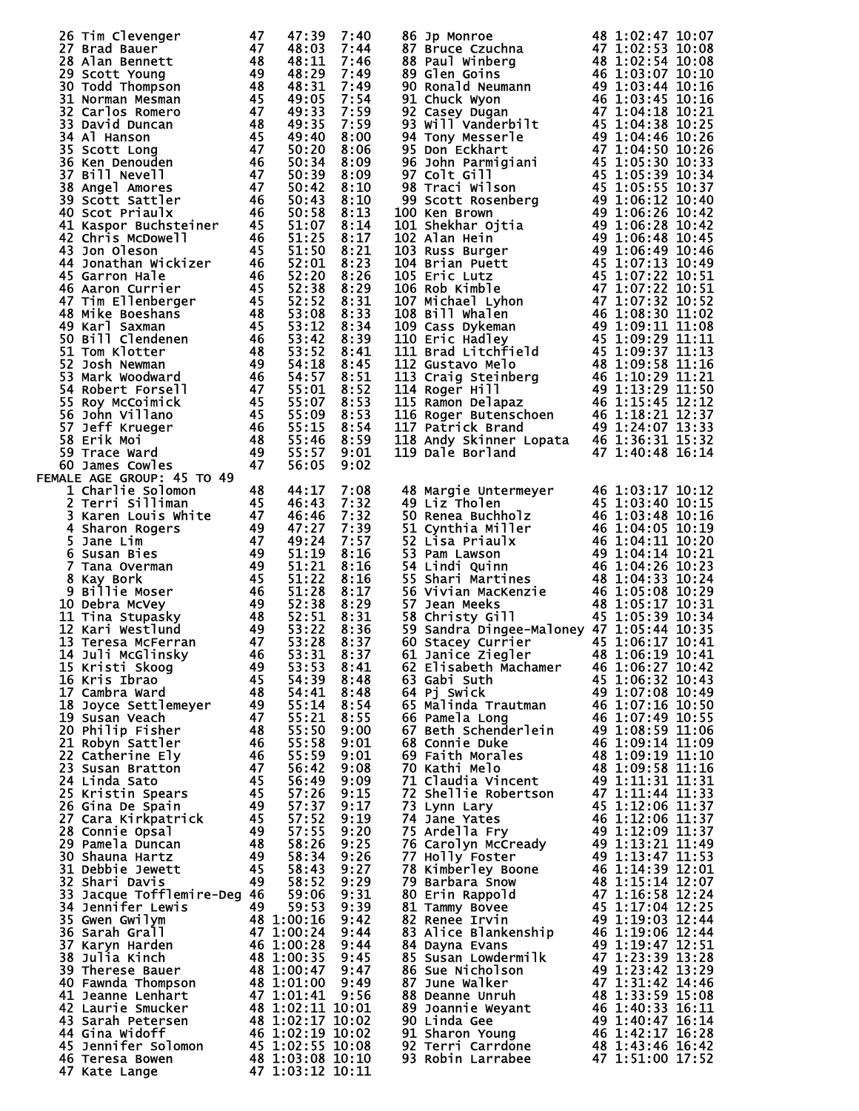| 26 Tim Clevenger                                            | 47              | 47:39                                      | 7:40         | 86 Jp Monroe 48 1:02:47 10:07<br>88 Paul Winberg 48 1:02:53 10:08<br>88 Paul Winberg 48 1:02:54 10:08<br>89 Glen Goins 46 1:03:07 10:10<br>90 Ronald Neumann 46 1:03:44 10:16<br>91 Cluck Wyon 44 1:03:44 10:16<br>91 Cluck Wyon 44 1:03:45 10:1       |                                      |  |
|-------------------------------------------------------------|-----------------|--------------------------------------------|--------------|--------------------------------------------------------------------------------------------------------------------------------------------------------------------------------------------------------------------------------------------------------|--------------------------------------|--|
|                                                             |                 | 48:03                                      | 7:44         |                                                                                                                                                                                                                                                        |                                      |  |
|                                                             |                 | 48:11<br>48:29                             | 7:46<br>7:49 |                                                                                                                                                                                                                                                        |                                      |  |
|                                                             |                 | 48:31                                      | 7:49         |                                                                                                                                                                                                                                                        |                                      |  |
|                                                             |                 | 49:05                                      | 7:54         |                                                                                                                                                                                                                                                        |                                      |  |
|                                                             |                 | 49:33                                      | 7:59         |                                                                                                                                                                                                                                                        |                                      |  |
|                                                             |                 | 49:35                                      | 7:59         |                                                                                                                                                                                                                                                        |                                      |  |
|                                                             |                 | 49:40                                      | 8:00         |                                                                                                                                                                                                                                                        |                                      |  |
|                                                             |                 | 50:20                                      | 8:06         |                                                                                                                                                                                                                                                        |                                      |  |
|                                                             |                 | 50:34                                      | 8:09         |                                                                                                                                                                                                                                                        |                                      |  |
|                                                             |                 | 50:39                                      | 8:09         |                                                                                                                                                                                                                                                        |                                      |  |
|                                                             |                 | 50:42                                      | 8:10         |                                                                                                                                                                                                                                                        |                                      |  |
|                                                             |                 | 50:43                                      | 8:10         |                                                                                                                                                                                                                                                        |                                      |  |
|                                                             |                 |                                            | 8:13         |                                                                                                                                                                                                                                                        |                                      |  |
|                                                             |                 |                                            | 8:14         |                                                                                                                                                                                                                                                        |                                      |  |
|                                                             |                 |                                            | 8:17         |                                                                                                                                                                                                                                                        |                                      |  |
|                                                             |                 |                                            | 8:21         |                                                                                                                                                                                                                                                        |                                      |  |
|                                                             |                 |                                            | 8:23<br>8:26 |                                                                                                                                                                                                                                                        |                                      |  |
|                                                             |                 |                                            | 8:29         |                                                                                                                                                                                                                                                        |                                      |  |
|                                                             |                 |                                            | 8:31         |                                                                                                                                                                                                                                                        |                                      |  |
|                                                             |                 |                                            | 8:33         |                                                                                                                                                                                                                                                        |                                      |  |
|                                                             |                 |                                            | 8:34         |                                                                                                                                                                                                                                                        |                                      |  |
|                                                             |                 |                                            | 8:39         |                                                                                                                                                                                                                                                        |                                      |  |
|                                                             |                 |                                            | 8:41         |                                                                                                                                                                                                                                                        |                                      |  |
|                                                             |                 |                                            | 8:45         |                                                                                                                                                                                                                                                        |                                      |  |
|                                                             |                 |                                            | 8:51         |                                                                                                                                                                                                                                                        |                                      |  |
|                                                             |                 |                                            | 8:52         |                                                                                                                                                                                                                                                        |                                      |  |
|                                                             |                 |                                            | 8:53         |                                                                                                                                                                                                                                                        |                                      |  |
|                                                             |                 |                                            | 8:53         |                                                                                                                                                                                                                                                        |                                      |  |
|                                                             |                 |                                            | 8:54         |                                                                                                                                                                                                                                                        |                                      |  |
|                                                             |                 |                                            | 8:59         |                                                                                                                                                                                                                                                        |                                      |  |
|                                                             |                 |                                            | 9:01         | 119 Dale Borland                                                                                                                                                                                                                                       | 47 1:40:48 16:14                     |  |
|                                                             |                 |                                            | 9:02         |                                                                                                                                                                                                                                                        |                                      |  |
| FEMALE AGE GROUP: 45 TO 49<br>1 Charlie Solomon             | 48              | 44:17                                      | 7:08         |                                                                                                                                                                                                                                                        |                                      |  |
| 2 Terri Silliman                                            |                 | 46:43                                      | 7:32         |                                                                                                                                                                                                                                                        |                                      |  |
| $\frac{45}{47}$                                             |                 |                                            | 7:32         |                                                                                                                                                                                                                                                        |                                      |  |
|                                                             |                 |                                            | 7:39         |                                                                                                                                                                                                                                                        |                                      |  |
|                                                             |                 |                                            | 7:57         |                                                                                                                                                                                                                                                        |                                      |  |
|                                                             |                 |                                            |              |                                                                                                                                                                                                                                                        |                                      |  |
|                                                             |                 |                                            |              |                                                                                                                                                                                                                                                        |                                      |  |
|                                                             |                 |                                            | 8:16         |                                                                                                                                                                                                                                                        |                                      |  |
|                                                             |                 |                                            | 8:16         |                                                                                                                                                                                                                                                        |                                      |  |
|                                                             |                 |                                            | 8:16<br>8:17 |                                                                                                                                                                                                                                                        |                                      |  |
|                                                             |                 |                                            | 8:29         |                                                                                                                                                                                                                                                        |                                      |  |
|                                                             |                 |                                            | 8:31         |                                                                                                                                                                                                                                                        |                                      |  |
|                                                             |                 |                                            | 8:36         | 48 Margie Untermeyer<br>46 1:03:17 10:12<br>49 Liz Tholen<br>50 Renea Buchholz<br>51 Cynthia Miller<br>46 1:03:48 10:16<br>51 Cynthia Miller<br>46 1:04:05 10:19<br>52 Lisa Priaulx<br>46 1:04:11 10:20<br>53 Pam Lawson<br>49 1:04:14 10:21<br>54 Lin |                                      |  |
|                                                             |                 |                                            | 8:37         | 59 Sandra Dingee-Maloney 47 1:05:44 10:35<br>60 Stacey Currier 45 1:06:17 10:41                                                                                                                                                                        |                                      |  |
|                                                             |                 |                                            | 8:37         | 61 Janice Ziegler                                                                                                                                                                                                                                      | 48 1:06:19 10:41                     |  |
|                                                             |                 |                                            | 8:41         | 62 Elisabeth Machamer                                                                                                                                                                                                                                  | 46 1:06:27 10:42                     |  |
|                                                             |                 |                                            | 8:48         | 63 Gabi Suth                                                                                                                                                                                                                                           | 45 1:06:32 10:43                     |  |
|                                                             |                 |                                            | 8:48         | 64 Pj Swick                                                                                                                                                                                                                                            | 49 1:07:08 10:49                     |  |
|                                                             |                 |                                            | 8:54         | 65 Malinda Trautman 46 1:07:16 10:50                                                                                                                                                                                                                   |                                      |  |
|                                                             |                 |                                            | 8:55         | 66 Pamela Long                                                                                                                                                                                                                                         | 46 1:07:49 10:55                     |  |
| 20 Philip Fisher                                            | 48              | $55:21$<br>55:50                           | 9:00         | 67 Beth Schenderlein                                                                                                                                                                                                                                   | 49 1:08:59 11:06                     |  |
| 21 Robyn Sattler                                            | - 46            | 55:58<br>55:59                             | 9:01<br>9:01 | 68 Connie Duke<br>69 Faith Morales                                                                                                                                                                                                                     | 46 1:09:14 11:09<br>48 1:09:19 11:10 |  |
| 22 Catherine Ely<br>23 Susan Bratton                        | 46<br>$-47$     | 56:42                                      | 9:08         | 70 Kathi Melo                                                                                                                                                                                                                                          | 48 1:09:58 11:16                     |  |
| 24 Linda Sato                                               |                 | 56:49                                      | 9:09         | 71 Claudia Vincent                                                                                                                                                                                                                                     | 49 1:11:31 11:31                     |  |
| $\frac{45}{45}$<br>25 Kristin Spears                        |                 | 57:26                                      | 9:15         | 72 Shellie Robertson                                                                                                                                                                                                                                   | 47 1:11:44 11:33                     |  |
| 26 Gina De Spain                                            |                 | 57:37                                      | 9:17         | 73 Lynn Lary                                                                                                                                                                                                                                           | 45 1:12:06 11:37                     |  |
| $\frac{49}{45}$<br>27 Cara Kirkpatrick                      |                 |                                            | 9:19         | 74 Jane Yates                                                                                                                                                                                                                                          | 46 1:12:06 11:37                     |  |
| 28 Connie Opsal                                             |                 | $57:52$<br>$57:55$                         | 9:20         | 75 Ardella Fry                                                                                                                                                                                                                                         | 49 1:12:09 11:37                     |  |
| 29 Pamela Duncan                                            | $\frac{49}{48}$ | 58:26                                      | 9:25         | 76 Carolyn McCready                                                                                                                                                                                                                                    | 49 1:13:21 11:49                     |  |
| 30 Shauna Hartz                                             |                 | 58:34                                      | 9:26         | 77 Holly Foster                                                                                                                                                                                                                                        | 49 1:13:47 11:53                     |  |
| $\begin{array}{c} 49 \\ 45 \end{array}$<br>31 Debbie Jewett |                 | 58:43                                      | 9:27         | 78 Kimberley Boone                                                                                                                                                                                                                                     | 46 1:14:39 12:01                     |  |
| 32 Shari Davis                                              | 49              | 58:52                                      | 9:29         | 79 Barbara Snow                                                                                                                                                                                                                                        | 48 1:15:14 12:07                     |  |
| 33 Jacque Tofflemire-Deg 46                                 |                 | 59:06                                      | 9:31         | 80 Erin Rappold                                                                                                                                                                                                                                        | 47 1:16:58 12:24                     |  |
| <b>34 Jennifer Lewis</b>                                    | 49              | 59:53                                      | 9:39         | 81 Tammy Bovee                                                                                                                                                                                                                                         | 45 1:17:04 12:25                     |  |
| 35 Gwen Gwilym                                              |                 | 48 1:00:16                                 | 9:42         | 82 Renee Irvin                                                                                                                                                                                                                                         | 49 1:19:03 12:44                     |  |
| 36 Sarah Grall                                              |                 |                                            | 9:44         | 83 Alice Blankenship                                                                                                                                                                                                                                   | 46 1:19:06 12:44                     |  |
| 37 Karyn Harden                                             |                 | 47 1:00:24<br>46 1:00:28                   | 9:44         | 84 Dayna Evans                                                                                                                                                                                                                                         | 49 1:19:47 12:51                     |  |
| 38 Julia Kinch<br>39 Therese Bauer                          |                 |                                            | 9:45         | 85 Susan Lowdermilk                                                                                                                                                                                                                                    | 47 1:23:39 13:28                     |  |
| 40 Fawnda Thompson                                          |                 | 48 1:00:35<br>48 1:00:47                   | 9:47         | 86 Sue Nicholson<br>87 June Walker                                                                                                                                                                                                                     | 49 1:23:42 13:29<br>47 1:31:42 14:46 |  |
| 41 Jeanne Lenhart                                           |                 |                                            |              | 88 Deanne Unruh                                                                                                                                                                                                                                        | 48 1:33:59 15:08                     |  |
| 42 Laurie Smucker                                           |                 | <b>48 1:01:00 9:49<br/>47 1:01:41 9:56</b> |              | 89 Joannie Weyant                                                                                                                                                                                                                                      |                                      |  |
| 43 Sarah Petersen                                           |                 | 48 1:02:11 10:01<br>48 1:02:17 10:02       |              | 90 Linda Gee                                                                                                                                                                                                                                           | 46 1:40:33 16:11<br>49 1:40:47 16:14 |  |
| 44 Gina Widoff                                              |                 |                                            |              | 91 Sharon Young                                                                                                                                                                                                                                        |                                      |  |
| 45 Jennifer Solomon                                         |                 | 46 1:02:19 10:02<br>45 1:02:55 10:08       |              | 92 Terri Carrdone                                                                                                                                                                                                                                      | 46 1:42:17 16:28<br>48 1:43:46 16:42 |  |
| 46 Teresa Bowen<br>47 Kate Lange                            |                 | 48 1:03:08 10:10<br>47 1:03:12 10:11       |              | 93 Robin Larrabee 47 1:51:00 17:52                                                                                                                                                                                                                     |                                      |  |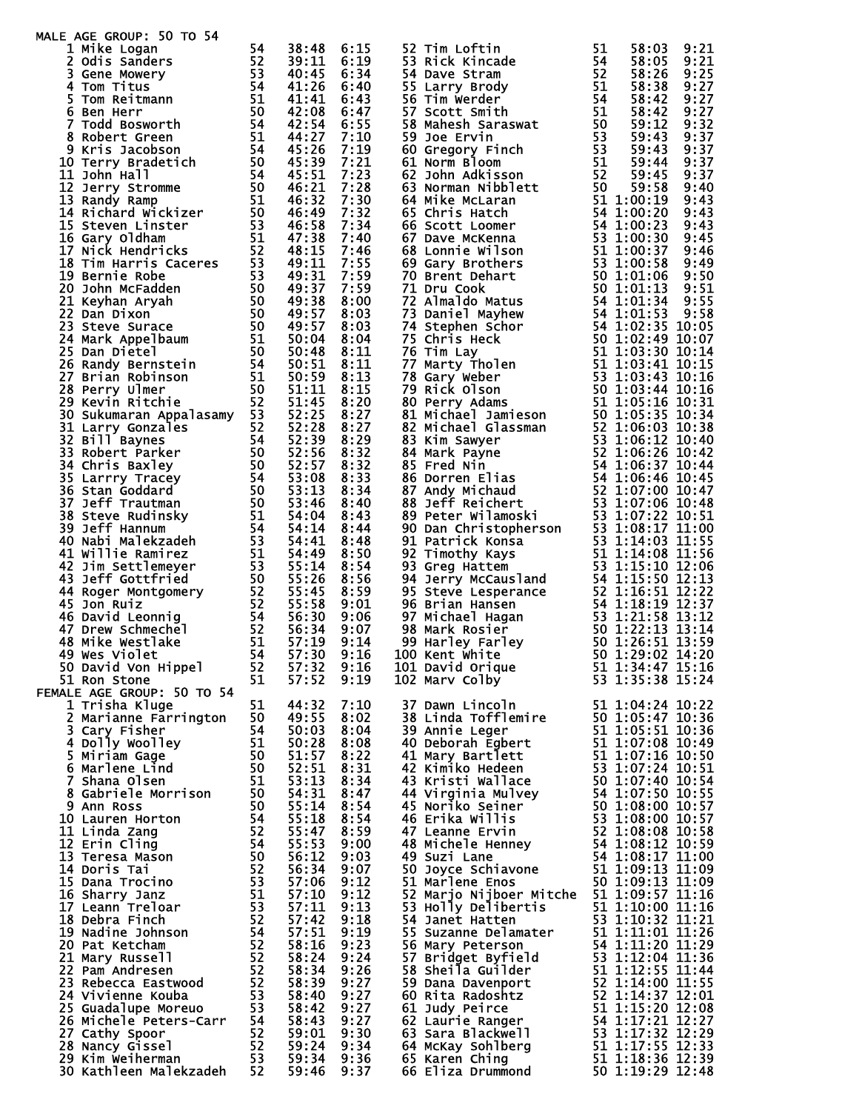| MALE AGE GROUP: 50 TO 54<br>Le AGE GROUP: 50 TO 54<br>1 Mike Logan<br>2 ddis Sanders<br>3 Gene Mowery<br>5 Tom Reitmann<br>5 Tom Reitmann<br>5 Tom Reitmann<br>5 Todd Bosworth<br>8 Robert Green<br>8 Kris Jacobson<br>11 John Hall<br>12 Jerry Stromme<br>14 Richard Wickizer<br>16 |    |                |              |                                                                                                                                                                                                                                                                                                                                                                    |          |                  |      |
|--------------------------------------------------------------------------------------------------------------------------------------------------------------------------------------------------------------------------------------------------------------------------------------|----|----------------|--------------|--------------------------------------------------------------------------------------------------------------------------------------------------------------------------------------------------------------------------------------------------------------------------------------------------------------------------------------------------------------------|----------|------------------|------|
|                                                                                                                                                                                                                                                                                      |    | 38:48<br>39:11 | 6:15<br>6:19 | 52 Tim Loftin<br>53 Rick Kincade<br>52 Tim Loftin 51 58:03 9:21<br>54 Rick Kincade 51 58:03 9:21<br>54 Rake Kincam 54 58:03 9:21<br>54 Rake Stram 65 52 58:25 9:25<br>56 Lim Werder 51 58:38 9:25<br>56 Tim Werder 51 58:38 9:27<br>56 Tim Werder 51 58:42 9:27<br>57 Scott Smi                                                                                    | 51<br>54 | 58:03<br>58:05   | 9:21 |
|                                                                                                                                                                                                                                                                                      |    | 40:45          | 6:34         |                                                                                                                                                                                                                                                                                                                                                                    |          |                  | 9:21 |
|                                                                                                                                                                                                                                                                                      |    | 41:26          | 6:40         |                                                                                                                                                                                                                                                                                                                                                                    |          |                  |      |
|                                                                                                                                                                                                                                                                                      |    | 41:41          | 6:43         |                                                                                                                                                                                                                                                                                                                                                                    |          |                  |      |
|                                                                                                                                                                                                                                                                                      |    | 42:08          | 6:47         |                                                                                                                                                                                                                                                                                                                                                                    |          |                  |      |
|                                                                                                                                                                                                                                                                                      |    | 42:54          | 6:55         |                                                                                                                                                                                                                                                                                                                                                                    |          |                  |      |
|                                                                                                                                                                                                                                                                                      |    | 44:27          | 7:10         |                                                                                                                                                                                                                                                                                                                                                                    |          |                  |      |
|                                                                                                                                                                                                                                                                                      |    | 45:26          | 7:19         |                                                                                                                                                                                                                                                                                                                                                                    |          |                  |      |
|                                                                                                                                                                                                                                                                                      |    | 45:39          | 7:21         |                                                                                                                                                                                                                                                                                                                                                                    |          |                  |      |
|                                                                                                                                                                                                                                                                                      |    | 45:51          | 7:23         |                                                                                                                                                                                                                                                                                                                                                                    |          |                  |      |
|                                                                                                                                                                                                                                                                                      |    | 46:21          | 7:28         |                                                                                                                                                                                                                                                                                                                                                                    |          |                  |      |
|                                                                                                                                                                                                                                                                                      |    | 46:32          | 7:30         |                                                                                                                                                                                                                                                                                                                                                                    |          |                  |      |
|                                                                                                                                                                                                                                                                                      |    | 46:49<br>46:58 | 7:32         |                                                                                                                                                                                                                                                                                                                                                                    |          |                  |      |
|                                                                                                                                                                                                                                                                                      |    | 47:38          | 7:34<br>7:40 |                                                                                                                                                                                                                                                                                                                                                                    |          |                  |      |
|                                                                                                                                                                                                                                                                                      |    | 48:15          | 7:46         |                                                                                                                                                                                                                                                                                                                                                                    |          |                  |      |
|                                                                                                                                                                                                                                                                                      |    | 49:11          | 7:55         |                                                                                                                                                                                                                                                                                                                                                                    |          |                  |      |
|                                                                                                                                                                                                                                                                                      |    | 49:31          | 7:59         |                                                                                                                                                                                                                                                                                                                                                                    |          |                  |      |
|                                                                                                                                                                                                                                                                                      |    | 49:37          | 7:59         |                                                                                                                                                                                                                                                                                                                                                                    |          |                  |      |
|                                                                                                                                                                                                                                                                                      |    | 49:38          | 8:00         |                                                                                                                                                                                                                                                                                                                                                                    |          |                  |      |
|                                                                                                                                                                                                                                                                                      |    | 49:57          | 8:03         |                                                                                                                                                                                                                                                                                                                                                                    |          |                  |      |
|                                                                                                                                                                                                                                                                                      |    | 49:57          | 8:03         |                                                                                                                                                                                                                                                                                                                                                                    |          |                  |      |
|                                                                                                                                                                                                                                                                                      |    | 50:04          | 8:04         |                                                                                                                                                                                                                                                                                                                                                                    |          |                  |      |
|                                                                                                                                                                                                                                                                                      |    | 50:48          | 8:11         |                                                                                                                                                                                                                                                                                                                                                                    |          |                  |      |
|                                                                                                                                                                                                                                                                                      |    | 50:51          | 8:11         |                                                                                                                                                                                                                                                                                                                                                                    |          |                  |      |
|                                                                                                                                                                                                                                                                                      |    | 50:59          | 8:13         |                                                                                                                                                                                                                                                                                                                                                                    |          |                  |      |
|                                                                                                                                                                                                                                                                                      |    | 51:11          | 8:15         |                                                                                                                                                                                                                                                                                                                                                                    |          |                  |      |
|                                                                                                                                                                                                                                                                                      |    | 51:45          | 8:20         |                                                                                                                                                                                                                                                                                                                                                                    |          |                  |      |
|                                                                                                                                                                                                                                                                                      |    | 52:25          | 8:27         |                                                                                                                                                                                                                                                                                                                                                                    |          |                  |      |
|                                                                                                                                                                                                                                                                                      |    | 52:28<br>52:39 | 8:27<br>8:29 |                                                                                                                                                                                                                                                                                                                                                                    |          |                  |      |
|                                                                                                                                                                                                                                                                                      |    | 52:56          | 8:32         |                                                                                                                                                                                                                                                                                                                                                                    |          |                  |      |
|                                                                                                                                                                                                                                                                                      |    | 52:57          | 8:32         |                                                                                                                                                                                                                                                                                                                                                                    |          |                  |      |
|                                                                                                                                                                                                                                                                                      |    | 53:08          | 8:33         |                                                                                                                                                                                                                                                                                                                                                                    |          |                  |      |
|                                                                                                                                                                                                                                                                                      |    | 53:13          | 8:34         |                                                                                                                                                                                                                                                                                                                                                                    |          |                  |      |
|                                                                                                                                                                                                                                                                                      |    | 53:46          | 8:40         |                                                                                                                                                                                                                                                                                                                                                                    |          |                  |      |
|                                                                                                                                                                                                                                                                                      |    | 54:04          | 8:43         |                                                                                                                                                                                                                                                                                                                                                                    |          |                  |      |
|                                                                                                                                                                                                                                                                                      |    | 54:14          | 8:44         |                                                                                                                                                                                                                                                                                                                                                                    |          |                  |      |
|                                                                                                                                                                                                                                                                                      |    | 54:41          | 8:48         |                                                                                                                                                                                                                                                                                                                                                                    |          |                  |      |
|                                                                                                                                                                                                                                                                                      |    | 54:49          | 8:50         |                                                                                                                                                                                                                                                                                                                                                                    |          |                  |      |
|                                                                                                                                                                                                                                                                                      |    | 55:14          | 8:54         |                                                                                                                                                                                                                                                                                                                                                                    |          |                  |      |
|                                                                                                                                                                                                                                                                                      |    | 55:26          | 8:56         |                                                                                                                                                                                                                                                                                                                                                                    |          |                  |      |
|                                                                                                                                                                                                                                                                                      |    | 55:45          | 8:59         |                                                                                                                                                                                                                                                                                                                                                                    |          |                  |      |
|                                                                                                                                                                                                                                                                                      |    | 55:58          | 9:01         |                                                                                                                                                                                                                                                                                                                                                                    |          |                  |      |
|                                                                                                                                                                                                                                                                                      |    | 56:30          | 9:06         |                                                                                                                                                                                                                                                                                                                                                                    |          |                  |      |
|                                                                                                                                                                                                                                                                                      |    | 56:34<br>57:19 | 9:07<br>9:14 |                                                                                                                                                                                                                                                                                                                                                                    |          |                  |      |
|                                                                                                                                                                                                                                                                                      |    | 57:30          | 9:16         | 100 Kent White                                                                                                                                                                                                                                                                                                                                                     |          |                  |      |
| 50 David Von Hippel                                                                                                                                                                                                                                                                  | 52 | 57:32          | 9:16         | 101 David Orique                                                                                                                                                                                                                                                                                                                                                   |          | 51 1:34:47 15:16 |      |
| 51 Ron Stone                                                                                                                                                                                                                                                                         | 51 | 57:52          | 9:19         | 102 Mary Colby                                                                                                                                                                                                                                                                                                                                                     |          | 53 1:35:38 15:24 |      |
| FEMALE AGE GROUP: 50 TO 54                                                                                                                                                                                                                                                           |    |                |              |                                                                                                                                                                                                                                                                                                                                                                    |          |                  |      |
| 1 Trisha Kluge                                                                                                                                                                                                                                                                       | 51 | 44:32          | 7:10         | 37 Dawn Lincoln                                                                                                                                                                                                                                                                                                                                                    |          | 51 1:04:24 10:22 |      |
| 2 Marianne Farrington                                                                                                                                                                                                                                                                | 50 | 49:55          | 8:02         |                                                                                                                                                                                                                                                                                                                                                                    |          |                  |      |
|                                                                                                                                                                                                                                                                                      |    |                | 8:04         |                                                                                                                                                                                                                                                                                                                                                                    |          |                  |      |
|                                                                                                                                                                                                                                                                                      |    |                | 8:08         |                                                                                                                                                                                                                                                                                                                                                                    |          |                  |      |
|                                                                                                                                                                                                                                                                                      |    |                | 8:22         |                                                                                                                                                                                                                                                                                                                                                                    |          |                  |      |
|                                                                                                                                                                                                                                                                                      |    |                | 8:31         |                                                                                                                                                                                                                                                                                                                                                                    |          |                  |      |
|                                                                                                                                                                                                                                                                                      |    |                | 8:34         |                                                                                                                                                                                                                                                                                                                                                                    |          |                  |      |
|                                                                                                                                                                                                                                                                                      |    |                | 8:47         |                                                                                                                                                                                                                                                                                                                                                                    |          |                  |      |
|                                                                                                                                                                                                                                                                                      |    |                | 8:54         |                                                                                                                                                                                                                                                                                                                                                                    |          |                  |      |
|                                                                                                                                                                                                                                                                                      |    |                | 8:54         |                                                                                                                                                                                                                                                                                                                                                                    |          |                  |      |
|                                                                                                                                                                                                                                                                                      |    |                | 8:59<br>9:00 |                                                                                                                                                                                                                                                                                                                                                                    |          |                  |      |
|                                                                                                                                                                                                                                                                                      |    |                | 9:03         |                                                                                                                                                                                                                                                                                                                                                                    |          |                  |      |
|                                                                                                                                                                                                                                                                                      |    |                | 9:07         |                                                                                                                                                                                                                                                                                                                                                                    |          |                  |      |
|                                                                                                                                                                                                                                                                                      |    |                | 9:12         |                                                                                                                                                                                                                                                                                                                                                                    |          |                  |      |
|                                                                                                                                                                                                                                                                                      |    |                | 9:12         | 37 Dawn Lincoln 51 1:04:24 10:22<br>38 Linda Tofflemire 50 1:05:47 10:36<br>39 Annie Leger 51 1:05:51 10:36<br>40 Deborah Egbert 51 1:07:08 10:49<br>41 Mary Bartlett 51 1:07:16 10:50<br>42 Kimiko Hedeen 53 1:07:44 10:51<br>43 Kristi W<br>52 Marjo Nijboer Mitche 51 1:09:57 11:16<br>53 Holly Delibertis 51 1:10:00 11:16<br>54 Janet Hatten 53 1:10:32 11:21 |          |                  |      |
|                                                                                                                                                                                                                                                                                      |    |                | 9:13         |                                                                                                                                                                                                                                                                                                                                                                    |          |                  |      |
|                                                                                                                                                                                                                                                                                      |    |                | 9:18         |                                                                                                                                                                                                                                                                                                                                                                    |          |                  |      |
|                                                                                                                                                                                                                                                                                      |    |                | 9:19         |                                                                                                                                                                                                                                                                                                                                                                    |          |                  |      |
|                                                                                                                                                                                                                                                                                      |    |                | 9:23         |                                                                                                                                                                                                                                                                                                                                                                    |          |                  |      |
|                                                                                                                                                                                                                                                                                      |    |                | 9:24         | 55 Suzanne Delamater<br>55 Suzanne Delamater<br>56 Mary Peterson<br>57 Bridget Byfield<br>58 Sheila Guilder<br>58 Sheila Guilder<br>51 1:12:55 11:44                                                                                                                                                                                                               |          |                  |      |
|                                                                                                                                                                                                                                                                                      |    |                | 9:26         |                                                                                                                                                                                                                                                                                                                                                                    |          |                  |      |
|                                                                                                                                                                                                                                                                                      |    |                | 9:27         |                                                                                                                                                                                                                                                                                                                                                                    |          |                  |      |
|                                                                                                                                                                                                                                                                                      |    |                | 9:27         |                                                                                                                                                                                                                                                                                                                                                                    |          |                  |      |
|                                                                                                                                                                                                                                                                                      |    |                | 9:27<br>9:27 |                                                                                                                                                                                                                                                                                                                                                                    |          |                  |      |
|                                                                                                                                                                                                                                                                                      |    |                | 9:30         |                                                                                                                                                                                                                                                                                                                                                                    |          |                  |      |
| 1 Trisha Kluge<br>2 Marianne Farrington<br>3 Cary Fisher<br>4 Dolly Woolley<br>5 Miriam Gage<br>5 Miriam Gage<br>5 Miriam Gage<br>6 Marlene Lind<br>7 Shana Olsen<br>8 Gabriele Morrison<br>50 51:571<br>6 Marlene Lind<br>7 Shana Olsen<br>8 Gabriele M                             |    | 59:24          | 9:34         | 30 Snella Guilder<br>59 Dana Davenport<br>60 Rita Radoshtz<br>61 Judy Peirce<br>62 Laurie Ranger<br>52 1:14:37 12:01<br>61 Judy Peirce<br>51 1:15:20 12:08<br>62 Laurie Ranger<br>54 1:17:21 12:27<br>63 Sara Blackwell<br>53 1:17:32 12:29<br>64 McKa                                                                                                             |          |                  |      |
|                                                                                                                                                                                                                                                                                      |    |                | 9:36         |                                                                                                                                                                                                                                                                                                                                                                    |          |                  |      |
|                                                                                                                                                                                                                                                                                      |    |                | 9:37         |                                                                                                                                                                                                                                                                                                                                                                    |          |                  |      |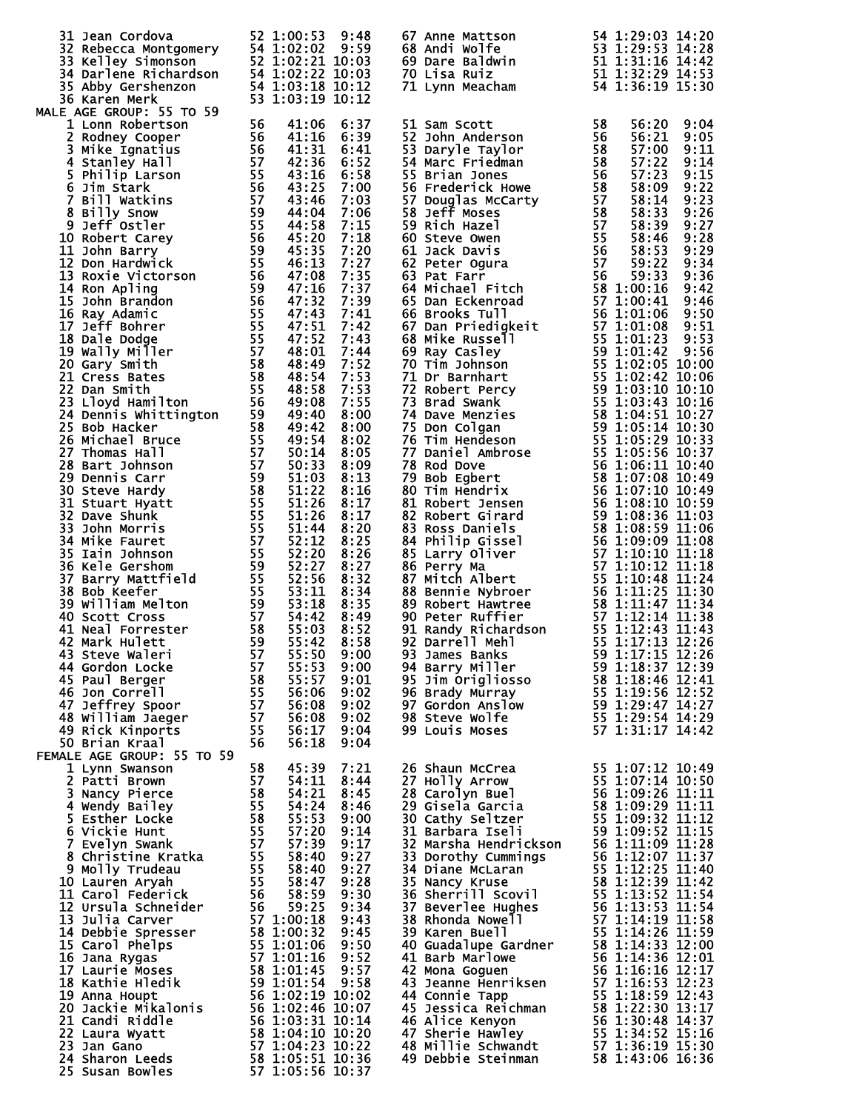| 31 Jean Cordova                                                                                                                                                                                                                                          |    | 52 1:00:53             | 9:48               | 67 Anne Mattson<br>68 Andi Wolfe<br>69 Dare Baldwin<br>69 Dare Baldwin<br>70 Lisa Ruiz<br>71 Lynn Meacham<br>61 1:32:29 14:53<br>71 Lynn Meacham<br>54 1:36:19 15:30                                                                                    |  |
|----------------------------------------------------------------------------------------------------------------------------------------------------------------------------------------------------------------------------------------------------------|----|------------------------|--------------------|---------------------------------------------------------------------------------------------------------------------------------------------------------------------------------------------------------------------------------------------------------|--|
| 31 Jean Cordova 52 1:00:53 9:48<br>32 Rebecca Montgomery 54 1:02:02 9:59<br>33 Kelley Simonson 52 1:02:21 10:03<br>34 Darlene Richardson 54 1:02:22 10:03<br>35 Abby Gershenzon 54 1:03:18 10:12<br>36 Karen Merk 55 TO 59<br>36 Karen Mer               |    |                        |                    |                                                                                                                                                                                                                                                         |  |
|                                                                                                                                                                                                                                                          |    |                        |                    |                                                                                                                                                                                                                                                         |  |
| MALE AGE GROUP: 55 TO 59                                                                                                                                                                                                                                 |    |                        |                    |                                                                                                                                                                                                                                                         |  |
| Someon Merican States (GROM)<br>1988 Raren Merk<br>1988 Raren Merk<br>2 Rodney Cooper<br>1988 Milly Larson<br>1988 Stanley Hall<br>1998 Stanley Hall<br>1998 Stanley Hall<br>1998 Stanley Hall<br>1998 Stanley Hall<br>1998 Stanley Hall<br>1998 Sta     |    | 41:06                  | 6:37               | 71 Lyllin Meacham<br>51 Sam Scott<br>52 John Anderson<br>53 Daryle Taylor<br>53 Daryle Taylor<br>53 Daryle Taylor<br>53 Sr:20 9:04<br>53 Daryle Taylor<br>56 Sr:20 9:11<br>55 Brian Jones<br>56 Sr:22 9:12<br>57 Douglas McCarty<br>56 Sr:22 9:12<br>57 |  |
|                                                                                                                                                                                                                                                          |    | 41:16<br>41:31         | 6:39<br>6:41       |                                                                                                                                                                                                                                                         |  |
|                                                                                                                                                                                                                                                          |    | 42:36<br>43:16         | 6:52<br>6:58       |                                                                                                                                                                                                                                                         |  |
|                                                                                                                                                                                                                                                          |    | 43:25                  | 7:00               |                                                                                                                                                                                                                                                         |  |
|                                                                                                                                                                                                                                                          |    | 43:46<br>44:04         | 7:03<br>7:06       |                                                                                                                                                                                                                                                         |  |
|                                                                                                                                                                                                                                                          |    | 44:58                  | 7:15               |                                                                                                                                                                                                                                                         |  |
|                                                                                                                                                                                                                                                          |    | 45:20<br>45:35         | 7:18<br>7:20       |                                                                                                                                                                                                                                                         |  |
|                                                                                                                                                                                                                                                          |    | 46:13                  | 7:27               |                                                                                                                                                                                                                                                         |  |
|                                                                                                                                                                                                                                                          |    | 47:08<br>47:16         | 7:35<br>7:37       |                                                                                                                                                                                                                                                         |  |
|                                                                                                                                                                                                                                                          |    | 47:32<br>47:43         | 7:39<br>7:41       |                                                                                                                                                                                                                                                         |  |
|                                                                                                                                                                                                                                                          |    | 47:51                  | 7:42               |                                                                                                                                                                                                                                                         |  |
|                                                                                                                                                                                                                                                          |    | 47:52<br>48:01         | 7:43<br>7:44       |                                                                                                                                                                                                                                                         |  |
|                                                                                                                                                                                                                                                          |    | 48:49                  | 7:52               |                                                                                                                                                                                                                                                         |  |
|                                                                                                                                                                                                                                                          |    | 48:54<br>48:58         | 7:53<br>7:53       |                                                                                                                                                                                                                                                         |  |
|                                                                                                                                                                                                                                                          |    | 49:08                  | 7:55               |                                                                                                                                                                                                                                                         |  |
|                                                                                                                                                                                                                                                          |    | 49:40<br>49:42         | 8:00<br>8:00       |                                                                                                                                                                                                                                                         |  |
|                                                                                                                                                                                                                                                          |    | 49:54                  | 8:02               |                                                                                                                                                                                                                                                         |  |
|                                                                                                                                                                                                                                                          |    | 50:14<br>50:33         | 8:05<br>8:09       |                                                                                                                                                                                                                                                         |  |
|                                                                                                                                                                                                                                                          |    | 51:03<br>51:22         | 8:13<br>8:16       |                                                                                                                                                                                                                                                         |  |
|                                                                                                                                                                                                                                                          |    | 51:26                  | 8:17               |                                                                                                                                                                                                                                                         |  |
|                                                                                                                                                                                                                                                          |    | 51:26<br>51:44         | 8:17<br>8:20       |                                                                                                                                                                                                                                                         |  |
|                                                                                                                                                                                                                                                          |    | 52:12                  | 8:25               |                                                                                                                                                                                                                                                         |  |
|                                                                                                                                                                                                                                                          |    | 52:20<br>52:27         | 8:26<br>8:27       |                                                                                                                                                                                                                                                         |  |
|                                                                                                                                                                                                                                                          |    |                        | 52:56 8:32         |                                                                                                                                                                                                                                                         |  |
|                                                                                                                                                                                                                                                          |    | 53:11                  | 8:34<br>53:18 8:35 |                                                                                                                                                                                                                                                         |  |
|                                                                                                                                                                                                                                                          |    | 54:42<br>55:03         | 8:49<br>8:52       |                                                                                                                                                                                                                                                         |  |
|                                                                                                                                                                                                                                                          |    | 55:42                  | 8:58               |                                                                                                                                                                                                                                                         |  |
| 43 Steve Waleri<br>44 Gordon Locke                                                                                                                                                                                                                       | 57 | 57 55:50 9:00<br>55:53 | 9:00               | 92 Darrell Meni<br>93 James Banks<br>94 Barry Miller<br>95 Jim Origliosso<br>95 Jim Origliosso<br>96 Brady Murray<br>96 Brady Murray<br>97 Gordon Anslow<br>97 Gordon Anslow<br>99 Louis Moses<br>99 Louis Moses<br>97 1:29:54 14:29<br>99 Louis Moses  |  |
| 45 Paul Berger                                                                                                                                                                                                                                           | 58 | 55:57                  | 9:01               |                                                                                                                                                                                                                                                         |  |
| 45 Paul Berger<br>46 Jon Correll 55<br>47 Jeffrey Spoor 57<br>48 William Jaeger 57<br>49 Pick Kinports 55                                                                                                                                                |    | 56:06<br>56:08         | 9:02<br>9:02       |                                                                                                                                                                                                                                                         |  |
|                                                                                                                                                                                                                                                          |    | 56:08                  | 9:02               |                                                                                                                                                                                                                                                         |  |
| 50 Brian Kraal                                                                                                                                                                                                                                           | 56 | 56:17<br>56:18         | 9:04<br>9:04       |                                                                                                                                                                                                                                                         |  |
| FEMALE AGE GROUP: 55 TO 59<br>1 Lynn Swanson                                                                                                                                                                                                             | 58 | 45:39                  | 7:21               |                                                                                                                                                                                                                                                         |  |
| 2 Patti Brown                                                                                                                                                                                                                                            | 57 | 54:11                  | 8:44               | 26 Shaun McCrea<br>27 Holly Arrow 55 1:07:12 10:49<br>28 Carolyn Buel 56 1:09:26 11:11<br>29 Gisela Garcia<br>30 Cathy Seltzer 55 1:09:32 11:11<br>30 Cathy Seltzer 55 1:09:32 11:12<br>31 Barbara Iseli 59 1:09:32 11:12<br>32 Marsha Hendr            |  |
| 3 Nancy Pierce<br>4 Wendy Bailey                                                                                                                                                                                                                         | 58 | 54:21<br>54:24         | 8:45<br>8:46       |                                                                                                                                                                                                                                                         |  |
| $\begin{array}{r} 55 \\ 58 \\ 58 \\ 55 \end{array}$<br>5 Esther Locke                                                                                                                                                                                    |    | 55:53                  | 9:00               |                                                                                                                                                                                                                                                         |  |
| 6 Vickie Hunt                                                                                                                                                                                                                                            |    | 57:20                  | 9:14               |                                                                                                                                                                                                                                                         |  |
|                                                                                                                                                                                                                                                          |    |                        |                    |                                                                                                                                                                                                                                                         |  |
|                                                                                                                                                                                                                                                          |    |                        |                    |                                                                                                                                                                                                                                                         |  |
|                                                                                                                                                                                                                                                          |    |                        |                    |                                                                                                                                                                                                                                                         |  |
|                                                                                                                                                                                                                                                          |    |                        |                    |                                                                                                                                                                                                                                                         |  |
|                                                                                                                                                                                                                                                          |    |                        |                    |                                                                                                                                                                                                                                                         |  |
|                                                                                                                                                                                                                                                          |    |                        |                    | 39 Karen Buell<br>40 Guadalupe Gardner<br>41 Barb Marlowe 56 1:14:36 12:01<br>42 Mona Goguen 56 1:16:16 12:17                                                                                                                                           |  |
| 6 Vickie Hunt<br>7 Evelyn Swank<br>8 Christine Kratka<br>9 Molly Trudeau<br>9 Molly Trudeau<br>55 58:40 9:27<br>9 Molly Trudeau<br>55 58:40 9:27<br>10 Lauren Aryah<br>55 58:40 9:27<br>10 Lauren Aryah<br>55 58:47 9:28<br>11 Carol Federick<br>56 58:5 |    |                        |                    | 42 Mona Goguen<br>43 Jeanne Henriksen<br>43 Jeanne Henriksen<br>57 1:16:53 12:23<br>44 Connie Tapp<br>55 1:18:59 12:43<br>45 Jessica Reichman<br>58 1:22:30 13:17<br>46 Alice Kenyon<br>56 1:30:48 14:37<br>47 Sherie Hawley<br>55 1:34:52 15:16<br>48  |  |
| 18 Kathie Moses<br>18 Anthie Heldik<br>19 Anna Houpt<br>20 Jackie Mikalonis<br>21 Candi Riddle<br>21 Candi Riddle<br>22 Laura Wyatt<br>23 Jan Gano<br>23 Jan Gano<br>24 Sharon Leeds<br>25 Susan Bowles<br>25 1:02:46 10:07<br>21 Candi Riddle<br>56 1:0 |    |                        |                    |                                                                                                                                                                                                                                                         |  |
|                                                                                                                                                                                                                                                          |    |                        |                    |                                                                                                                                                                                                                                                         |  |
|                                                                                                                                                                                                                                                          |    |                        |                    |                                                                                                                                                                                                                                                         |  |
|                                                                                                                                                                                                                                                          |    |                        |                    |                                                                                                                                                                                                                                                         |  |
|                                                                                                                                                                                                                                                          |    |                        |                    |                                                                                                                                                                                                                                                         |  |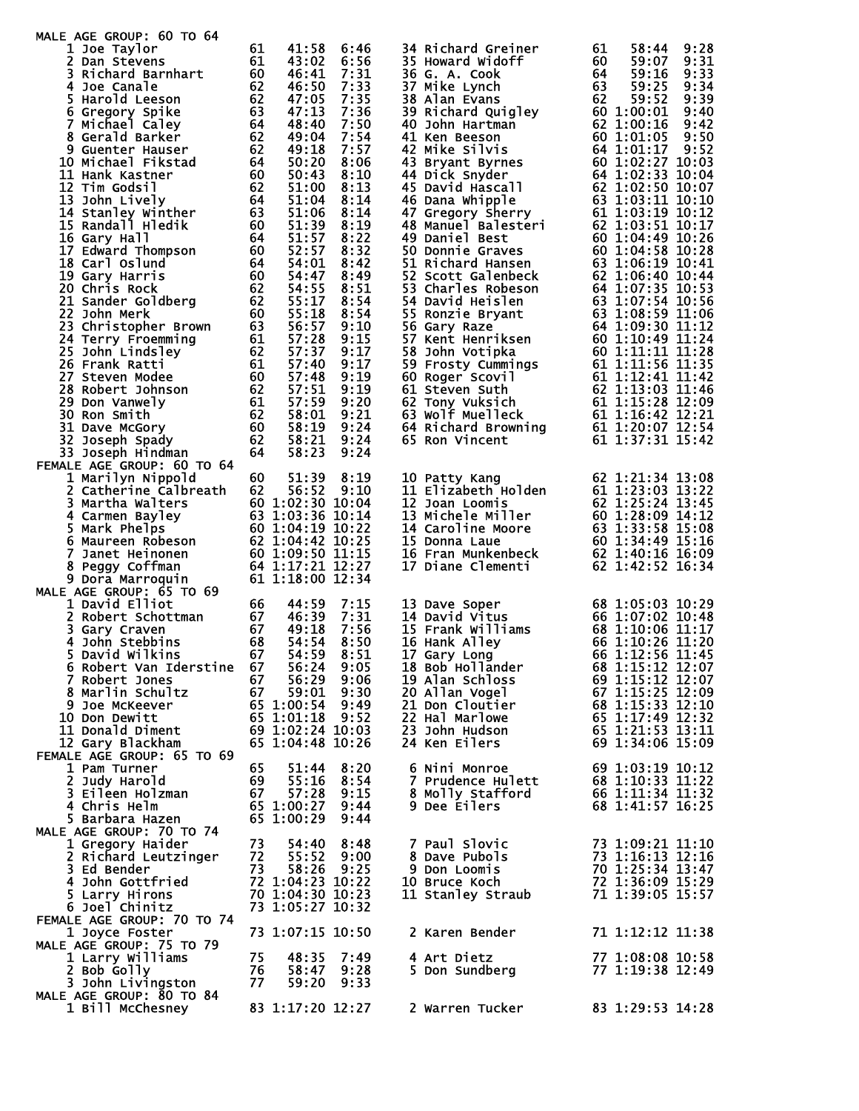| MALE AGE GROUP: 60 TO 64                                                                                                                                                                                                                                            |          |                  |              |                                     |                                                                                                                                                                                                                                                         |
|---------------------------------------------------------------------------------------------------------------------------------------------------------------------------------------------------------------------------------------------------------------------|----------|------------------|--------------|-------------------------------------|---------------------------------------------------------------------------------------------------------------------------------------------------------------------------------------------------------------------------------------------------------|
| 1 Joe Taylor                                                                                                                                                                                                                                                        | 61<br>61 | 41:58<br>43:02   | 6:46<br>6:56 | 34 Richard Greiner                  | 61<br>58:44<br>9:28                                                                                                                                                                                                                                     |
| 2 Dan Stevens<br>3 Richard Barnhart<br>20019                                                                                                                                                                                                                        | 60       | 46:41            | 7:31         |                                     | 35 Howard wideline<br>36 G. A. Cook<br>36 G. A. Cook<br>37 Mike Lynch<br>38 Alan Evans<br>39 Richard Quigley<br>39 Richard Quigley<br>40 John Hartman<br>40 John Hartman<br>41 Ken Beeson<br>42 Mike Silvis<br>43 Bryant Byrnes<br>44 Dick Snyder<br>44 |
|                                                                                                                                                                                                                                                                     | 62       | 46:50            | 7:33         |                                     |                                                                                                                                                                                                                                                         |
| 5 Harold Leeson                                                                                                                                                                                                                                                     | 62       | 47:05            | 7:35         |                                     |                                                                                                                                                                                                                                                         |
| 6 Gregory Spike                                                                                                                                                                                                                                                     | 63       | 47:13            | 7:36         |                                     |                                                                                                                                                                                                                                                         |
| % Gregory Spike<br>7 Michael Caley<br>8 Gerald Barker<br>9 Guenter Hauser<br>10 Michael Fikstad<br>11 Hank Kastner<br>12 Tim Godsil<br>13 John Lively<br>14 Stanley Winther<br>15 Randall Hledik<br>16 Gary Hall<br>16 Gary Hall<br>16 Gary Hall<br>16 G            |          | 48:40            | 7:50         |                                     |                                                                                                                                                                                                                                                         |
|                                                                                                                                                                                                                                                                     |          | 49:04            | 7:54         |                                     |                                                                                                                                                                                                                                                         |
|                                                                                                                                                                                                                                                                     |          | 49:18            | 7:57         |                                     |                                                                                                                                                                                                                                                         |
|                                                                                                                                                                                                                                                                     |          | 50:20            | 8:06         |                                     |                                                                                                                                                                                                                                                         |
|                                                                                                                                                                                                                                                                     |          | 50:43            | 8:10         | 44 Dick Snyder                      | 64 1:02:33 10:04<br>62 1:02:50 10:07                                                                                                                                                                                                                    |
|                                                                                                                                                                                                                                                                     |          | 51:00<br>51:04   | 8:13<br>8:14 | 45 David Hascall                    |                                                                                                                                                                                                                                                         |
|                                                                                                                                                                                                                                                                     |          | 51:06            | 8:14         |                                     | 46 Dana Whipple<br>47 Gregory Sherry<br>48 Manuel Balesteri<br>49 Daniel Best<br>52 1:03:51 10:12<br>49 Daniel Best<br>62 1:03:51 10:17<br>49 Daniel Best<br>60 1:04:49 10:26                                                                           |
|                                                                                                                                                                                                                                                                     |          | 51:39            | 8:19         |                                     |                                                                                                                                                                                                                                                         |
|                                                                                                                                                                                                                                                                     |          | 51:57            | 8:22         |                                     |                                                                                                                                                                                                                                                         |
| 17 Edward Thompson<br>18 Carl Oslund<br>19 Gary Harris<br>20 Chris Rock<br>21 Sander Goldberg<br>22 John Gr                                                                                                                                                         | 60       | 52:57            | 8:32         |                                     | 49 Daniel Best 60 1:04:49 10:26<br>50 Donnie Graves 60 1:04:58 10:28<br>51 Richard Hansen 63 1:06:19 10:41<br>52 Scott Galenbeck 62 1:06:19 10:44<br>53 Charles Robeson 64 1:07:35 10:55<br>54 David Heislen 63 1:08:59 11:06<br>55 Ronzie              |
|                                                                                                                                                                                                                                                                     | 64       | 54:01            | 8:42         |                                     |                                                                                                                                                                                                                                                         |
|                                                                                                                                                                                                                                                                     | 60       | 54:47            | 8:49         |                                     |                                                                                                                                                                                                                                                         |
|                                                                                                                                                                                                                                                                     | 62       | 54:55            | 8:51         |                                     |                                                                                                                                                                                                                                                         |
|                                                                                                                                                                                                                                                                     | 62       | 55:17            | 8:54         |                                     |                                                                                                                                                                                                                                                         |
| 22 John Merk<br>22 John Merk<br>23 Christopher Brown 63<br>24 Terry Froemming 61<br>25 John Lindsley 62<br>26 Frank Ratti 61<br>27 Steven Modee 60<br>28 Robert Johnson 62<br>29 Don Vanwely 61<br>30 Ron Smith 62<br>31 Dave McGory 60<br>32 Joseph Spady 62<br>32 | 60       | 55:18            | 8:54         |                                     |                                                                                                                                                                                                                                                         |
|                                                                                                                                                                                                                                                                     |          | 56:57            | 9:10         |                                     |                                                                                                                                                                                                                                                         |
|                                                                                                                                                                                                                                                                     |          | 57:28<br>57:37   | 9:15<br>9:17 |                                     |                                                                                                                                                                                                                                                         |
|                                                                                                                                                                                                                                                                     |          | 57:40            | 9:17         |                                     |                                                                                                                                                                                                                                                         |
|                                                                                                                                                                                                                                                                     |          | 57:48            | 9:19         |                                     |                                                                                                                                                                                                                                                         |
|                                                                                                                                                                                                                                                                     |          | 57:51            | 9:19         |                                     |                                                                                                                                                                                                                                                         |
|                                                                                                                                                                                                                                                                     |          | 57:59            | 9:20         |                                     |                                                                                                                                                                                                                                                         |
|                                                                                                                                                                                                                                                                     |          | 58:01            | 9:21         |                                     |                                                                                                                                                                                                                                                         |
|                                                                                                                                                                                                                                                                     |          | 58:19            | 9:24         |                                     |                                                                                                                                                                                                                                                         |
|                                                                                                                                                                                                                                                                     |          | 58:21            | 9:24         |                                     |                                                                                                                                                                                                                                                         |
| 33 Joseph Hindman                                                                                                                                                                                                                                                   | 64       | 58:23            | 9:24         |                                     |                                                                                                                                                                                                                                                         |
| FEMALE AGE GROUP: 60 TO 64                                                                                                                                                                                                                                          |          |                  |              |                                     |                                                                                                                                                                                                                                                         |
| 1 Marilyn Nippold<br>2 Catherine Calbreath                                                                                                                                                                                                                          | 60<br>62 | 51:39<br>56:52   | 8:19<br>9:10 | 10 Patty Kang                       | 62 1:21:34 13:08<br>11 Elizabeth Holden 61 1:23:03 13:22                                                                                                                                                                                                |
|                                                                                                                                                                                                                                                                     |          | 60 1:02:30 10:04 |              |                                     | 11 Elizabeth Horuch<br>12 Joan Loomis<br>13 Michele Miller<br>14 Caroline Moore<br>14 Caroline Moore<br>12 Caroline Moore<br>12 Gard 134:49 15:16<br>15:16<br>12 Gard 134:49 15:16<br>16:09                                                             |
| <b>Jerustina Walters</b><br>4 Carmen Bayley<br>5 Mark Phelps<br>6 Maureen Robeson<br>7 Janet Heinonen (1990)<br>8 Peggy Coffman (1990)<br>9 Dora Markins (1990)                                                                                                     |          | 63 1:03:36 10:14 |              |                                     |                                                                                                                                                                                                                                                         |
|                                                                                                                                                                                                                                                                     |          | 60 1:04:19 10:22 |              |                                     |                                                                                                                                                                                                                                                         |
|                                                                                                                                                                                                                                                                     |          | 62 1:04:42 10:25 |              |                                     |                                                                                                                                                                                                                                                         |
|                                                                                                                                                                                                                                                                     |          | 60 1:09:50 11:15 |              |                                     |                                                                                                                                                                                                                                                         |
|                                                                                                                                                                                                                                                                     |          | 64 1:17:21 12:27 |              | 17 Diane Clementi                   | 62 1:42:52 16:34                                                                                                                                                                                                                                        |
| 9 Dora Marroquin                                                                                                                                                                                                                                                    |          | 61 1:18:00 12:34 |              |                                     |                                                                                                                                                                                                                                                         |
| MALE AGE GROUP: 65 TO 69                                                                                                                                                                                                                                            |          |                  |              |                                     |                                                                                                                                                                                                                                                         |
| 1 David Elliot                                                                                                                                                                                                                                                      | 66       | 44:59            | 7:15         | 13 Dave Soper                       | 68 1:05:03 10:29                                                                                                                                                                                                                                        |
| $\overline{67}$<br>2 Robert Schottman                                                                                                                                                                                                                               | 67       | 46:39<br>49:18   | 7:31<br>7:56 | 14 David Vitus<br>15 Frank Williams | 66 1:07:02 10:48                                                                                                                                                                                                                                        |
| 3 Gary Craven<br>4<br>John Stebbins                                                                                                                                                                                                                                 | 68       | 54:54            | 8:50         | 16 Hank Alley                       | 68 1:10:06 11:17<br>66 1:10:26 11:20                                                                                                                                                                                                                    |
| 5.<br>David Wilkins                                                                                                                                                                                                                                                 | 67       | 54:59            | 8:51         | 17 Gary Long                        | 66 1:12:56 11:45                                                                                                                                                                                                                                        |
| 6 Robert Van Iderstine                                                                                                                                                                                                                                              | 67       | 56:24            | 9:05         | 18 Bob Hollander                    | 68 1:15:12 12:07                                                                                                                                                                                                                                        |
| 7 Robert Jones                                                                                                                                                                                                                                                      | 67       | 56:29            | 9:06         | 19 Alan Schloss                     | 69 1:15:12 12:07                                                                                                                                                                                                                                        |
| 8 Marlin Schultz                                                                                                                                                                                                                                                    | 67       | 59:01            | 9:30         | 20 Allan Vogel                      | 67 1:15:25 12:09                                                                                                                                                                                                                                        |
| 9 Joe McKeever                                                                                                                                                                                                                                                      |          | 65 1:00:54       | 9:49         | 21 Don Cloutier                     | 68 1:15:33 12:10                                                                                                                                                                                                                                        |
| 10 Don Dewitt                                                                                                                                                                                                                                                       |          | 65 1:01:18       | 9:52         | 22 Hal Marlowe                      | 65 1:17:49 12:32                                                                                                                                                                                                                                        |
| 11 Donald Diment                                                                                                                                                                                                                                                    |          | 69 1:02:24 10:03 |              | 23 John Hudson                      | 65 1:21:53 13:11                                                                                                                                                                                                                                        |
| 12 Gary Blackham                                                                                                                                                                                                                                                    |          | 65 1:04:48 10:26 |              | 24 Ken Eilers                       | 69 1:34:06 15:09                                                                                                                                                                                                                                        |
| FEMALE AGE GROUP: 65 TO 69<br>1 Pam Turner                                                                                                                                                                                                                          | 65       |                  |              | 6 Nini Monroe                       | 69 1:03:19 10:12                                                                                                                                                                                                                                        |
| 2 Judy Harold                                                                                                                                                                                                                                                       | 69       | 51:44<br>55:16   | 8:20<br>8:54 | 7 Prudence Hulett                   | 68 1:10:33 11:22                                                                                                                                                                                                                                        |
| 3 Eileen Holzman                                                                                                                                                                                                                                                    | 67       | 57:28            | 9:15         | 8 Molly Stafford                    | 66 1:11:34 11:32                                                                                                                                                                                                                                        |
| 4 Chris Helm                                                                                                                                                                                                                                                        |          | 65 1:00:27 9:44  |              | 9 Dee Eilers                        | 68 1:41:57 16:25                                                                                                                                                                                                                                        |
| 5 Barbara Hazen                                                                                                                                                                                                                                                     |          | 65 1:00:29       | 9:44         |                                     |                                                                                                                                                                                                                                                         |
| MALE AGE GROUP: 70 TO 74                                                                                                                                                                                                                                            |          |                  |              |                                     |                                                                                                                                                                                                                                                         |
| 1 Gregory Haider                                                                                                                                                                                                                                                    | 73       | 54:40            | 8:48         | 7 Paul Slovic                       | 73 1:09:21 11:10                                                                                                                                                                                                                                        |
| 2 Richard Leutzinger                                                                                                                                                                                                                                                | 72       | 55:52            | 9:00         | 8 Dave Pubols                       | 73 1:16:13 12:16                                                                                                                                                                                                                                        |
| 3 Ed Bender                                                                                                                                                                                                                                                         | 73       | 58:26            | 9:25         | 9 Don Loomis                        | 70 1:25:34 13:47                                                                                                                                                                                                                                        |
| 4 John Gottfried                                                                                                                                                                                                                                                    |          | 72 1:04:23 10:22 |              | 10 Bruce Koch                       | 72 1:36:09 15:29                                                                                                                                                                                                                                        |
| 5 Larry Hirons                                                                                                                                                                                                                                                      |          | 70 1:04:30 10:23 |              | 11 Stanley Straub                   | 71 1:39:05 15:57                                                                                                                                                                                                                                        |
| 6 Joel Chinitz                                                                                                                                                                                                                                                      |          | 73 1:05:27 10:32 |              |                                     |                                                                                                                                                                                                                                                         |
| FEMALE AGE GROUP: 70 TO 74<br>1 Joyce Foster                                                                                                                                                                                                                        |          | 73 1:07:15 10:50 |              | 2 Karen Bender                      | 71 1:12:12 11:38                                                                                                                                                                                                                                        |
| MALE AGE GROUP: 75 TO 79                                                                                                                                                                                                                                            |          |                  |              |                                     |                                                                                                                                                                                                                                                         |
| 1 Larry Williams                                                                                                                                                                                                                                                    | 75       | 48:35            | 7:49         | 4 Art Dietz                         | 77 1:08:08 10:58                                                                                                                                                                                                                                        |
| 2 Bob Golly                                                                                                                                                                                                                                                         | 76       | 58:47            | 9:28         | 5 Don Sundberg                      | 77 1:19:38 12:49                                                                                                                                                                                                                                        |
| 3 John Livingston                                                                                                                                                                                                                                                   | 77       | 59:20            | 9:33         |                                     |                                                                                                                                                                                                                                                         |
| MALE AGE GROUP: 80 TO 84                                                                                                                                                                                                                                            |          |                  |              |                                     |                                                                                                                                                                                                                                                         |
| 1 Bill McChesney                                                                                                                                                                                                                                                    |          | 83 1:17:20 12:27 |              | 2 Warren Tucker                     | 83 1:29:53 14:28                                                                                                                                                                                                                                        |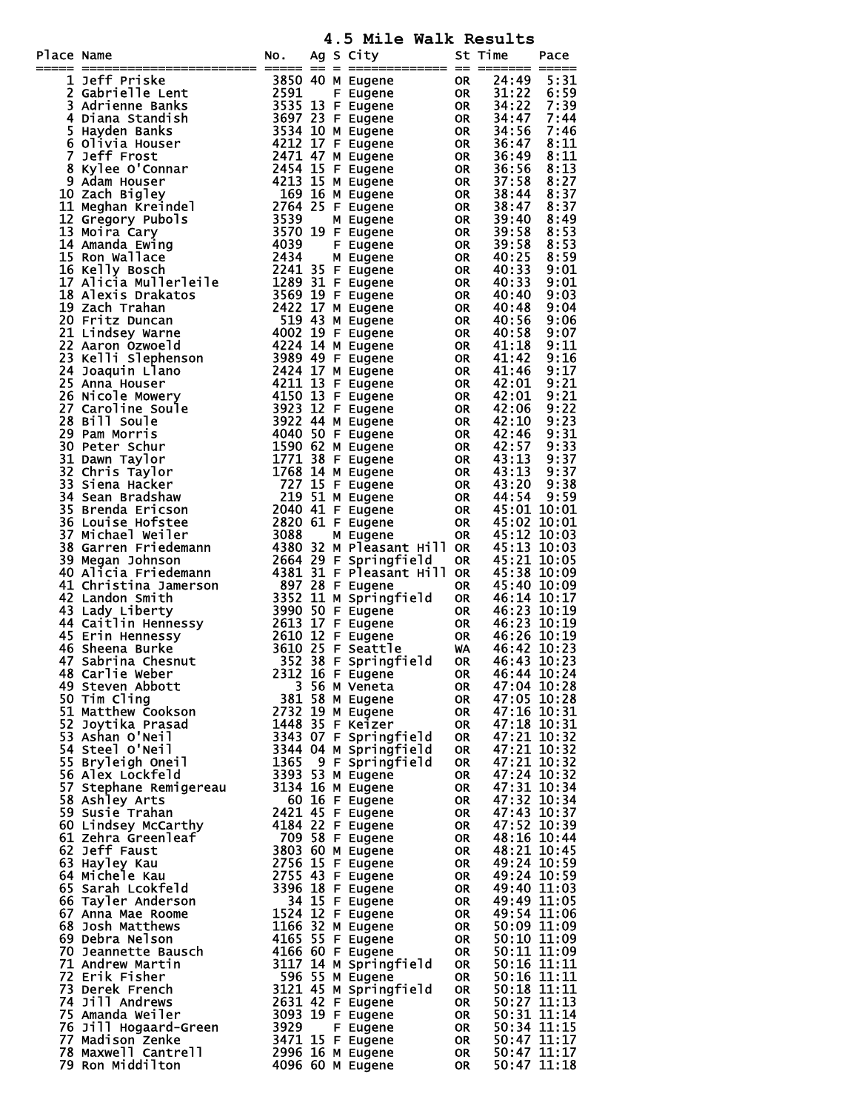**4.5 Mile Walk Results**

| Place Name | ace Name<br>The Fridite Lent (1980) of the ugene on $\frac{25}{312}$ and $\frac{25}{312}$ and $\frac{25}{312}$ and $\frac{25}{312}$ and $\frac{25}{312}$ and $\frac{25}{312}$ and $\frac{25}{312}$ and $\frac{25}{312}$ and $\frac{25}{312}$ and $\frac{25}{312}$ and | NO. |  | $\frac{1}{2}$ . $\frac{1}{2}$ $\frac{1}{2}$ $\frac{1}{2}$ $\frac{1}{2}$ $\frac{1}{2}$ $\frac{1}{2}$ $\frac{1}{2}$ $\frac{1}{2}$ $\frac{1}{2}$ $\frac{1}{2}$ $\frac{1}{2}$ $\frac{1}{2}$ $\frac{1}{2}$ $\frac{1}{2}$ $\frac{1}{2}$ $\frac{1}{2}$ $\frac{1}{2}$ $\frac{1}{2}$ $\frac{1}{2}$ $\frac{1}{2}$ $\frac{1}{2}$<br>Ag S City | St Time                    | Pace        |
|------------|-----------------------------------------------------------------------------------------------------------------------------------------------------------------------------------------------------------------------------------------------------------------------|-----|--|------------------------------------------------------------------------------------------------------------------------------------------------------------------------------------------------------------------------------------------------------------------------------------------------------------------------------------|----------------------------|-------------|
|            |                                                                                                                                                                                                                                                                       |     |  |                                                                                                                                                                                                                                                                                                                                    |                            |             |
|            |                                                                                                                                                                                                                                                                       |     |  |                                                                                                                                                                                                                                                                                                                                    |                            |             |
|            |                                                                                                                                                                                                                                                                       |     |  |                                                                                                                                                                                                                                                                                                                                    |                            |             |
|            |                                                                                                                                                                                                                                                                       |     |  |                                                                                                                                                                                                                                                                                                                                    |                            |             |
|            |                                                                                                                                                                                                                                                                       |     |  |                                                                                                                                                                                                                                                                                                                                    |                            |             |
|            |                                                                                                                                                                                                                                                                       |     |  |                                                                                                                                                                                                                                                                                                                                    |                            |             |
|            |                                                                                                                                                                                                                                                                       |     |  |                                                                                                                                                                                                                                                                                                                                    |                            |             |
|            |                                                                                                                                                                                                                                                                       |     |  |                                                                                                                                                                                                                                                                                                                                    |                            |             |
|            |                                                                                                                                                                                                                                                                       |     |  |                                                                                                                                                                                                                                                                                                                                    |                            |             |
|            |                                                                                                                                                                                                                                                                       |     |  |                                                                                                                                                                                                                                                                                                                                    |                            |             |
|            |                                                                                                                                                                                                                                                                       |     |  |                                                                                                                                                                                                                                                                                                                                    |                            |             |
|            |                                                                                                                                                                                                                                                                       |     |  |                                                                                                                                                                                                                                                                                                                                    |                            |             |
|            |                                                                                                                                                                                                                                                                       |     |  |                                                                                                                                                                                                                                                                                                                                    |                            |             |
|            |                                                                                                                                                                                                                                                                       |     |  |                                                                                                                                                                                                                                                                                                                                    |                            |             |
|            |                                                                                                                                                                                                                                                                       |     |  |                                                                                                                                                                                                                                                                                                                                    |                            |             |
|            |                                                                                                                                                                                                                                                                       |     |  |                                                                                                                                                                                                                                                                                                                                    |                            |             |
|            |                                                                                                                                                                                                                                                                       |     |  |                                                                                                                                                                                                                                                                                                                                    |                            |             |
|            |                                                                                                                                                                                                                                                                       |     |  |                                                                                                                                                                                                                                                                                                                                    |                            |             |
|            |                                                                                                                                                                                                                                                                       |     |  |                                                                                                                                                                                                                                                                                                                                    |                            |             |
|            |                                                                                                                                                                                                                                                                       |     |  |                                                                                                                                                                                                                                                                                                                                    |                            |             |
|            |                                                                                                                                                                                                                                                                       |     |  |                                                                                                                                                                                                                                                                                                                                    |                            |             |
|            |                                                                                                                                                                                                                                                                       |     |  |                                                                                                                                                                                                                                                                                                                                    |                            |             |
|            |                                                                                                                                                                                                                                                                       |     |  |                                                                                                                                                                                                                                                                                                                                    |                            |             |
|            |                                                                                                                                                                                                                                                                       |     |  |                                                                                                                                                                                                                                                                                                                                    |                            |             |
|            |                                                                                                                                                                                                                                                                       |     |  |                                                                                                                                                                                                                                                                                                                                    |                            |             |
|            |                                                                                                                                                                                                                                                                       |     |  |                                                                                                                                                                                                                                                                                                                                    |                            |             |
|            |                                                                                                                                                                                                                                                                       |     |  |                                                                                                                                                                                                                                                                                                                                    |                            |             |
|            |                                                                                                                                                                                                                                                                       |     |  |                                                                                                                                                                                                                                                                                                                                    |                            |             |
|            |                                                                                                                                                                                                                                                                       |     |  |                                                                                                                                                                                                                                                                                                                                    |                            |             |
|            |                                                                                                                                                                                                                                                                       |     |  |                                                                                                                                                                                                                                                                                                                                    |                            |             |
|            |                                                                                                                                                                                                                                                                       |     |  |                                                                                                                                                                                                                                                                                                                                    |                            |             |
|            |                                                                                                                                                                                                                                                                       |     |  |                                                                                                                                                                                                                                                                                                                                    |                            |             |
|            |                                                                                                                                                                                                                                                                       |     |  |                                                                                                                                                                                                                                                                                                                                    |                            |             |
|            |                                                                                                                                                                                                                                                                       |     |  |                                                                                                                                                                                                                                                                                                                                    |                            |             |
|            |                                                                                                                                                                                                                                                                       |     |  |                                                                                                                                                                                                                                                                                                                                    |                            |             |
|            |                                                                                                                                                                                                                                                                       |     |  |                                                                                                                                                                                                                                                                                                                                    |                            |             |
|            |                                                                                                                                                                                                                                                                       |     |  |                                                                                                                                                                                                                                                                                                                                    |                            |             |
|            |                                                                                                                                                                                                                                                                       |     |  |                                                                                                                                                                                                                                                                                                                                    |                            |             |
|            |                                                                                                                                                                                                                                                                       |     |  |                                                                                                                                                                                                                                                                                                                                    |                            |             |
|            |                                                                                                                                                                                                                                                                       |     |  |                                                                                                                                                                                                                                                                                                                                    |                            |             |
|            |                                                                                                                                                                                                                                                                       |     |  |                                                                                                                                                                                                                                                                                                                                    |                            |             |
|            |                                                                                                                                                                                                                                                                       |     |  |                                                                                                                                                                                                                                                                                                                                    |                            |             |
|            |                                                                                                                                                                                                                                                                       |     |  |                                                                                                                                                                                                                                                                                                                                    |                            |             |
|            |                                                                                                                                                                                                                                                                       |     |  |                                                                                                                                                                                                                                                                                                                                    | OR 46:44 10:24             |             |
|            |                                                                                                                                                                                                                                                                       |     |  |                                                                                                                                                                                                                                                                                                                                    | 47:04 10:28                |             |
|            |                                                                                                                                                                                                                                                                       |     |  |                                                                                                                                                                                                                                                                                                                                    | 47:05 10:28                |             |
|            |                                                                                                                                                                                                                                                                       |     |  |                                                                                                                                                                                                                                                                                                                                    | 47:16 10:31                |             |
|            |                                                                                                                                                                                                                                                                       |     |  |                                                                                                                                                                                                                                                                                                                                    | 47:18 10:31                |             |
|            |                                                                                                                                                                                                                                                                       |     |  |                                                                                                                                                                                                                                                                                                                                    | 47:21 10:32                |             |
|            |                                                                                                                                                                                                                                                                       |     |  |                                                                                                                                                                                                                                                                                                                                    | 47:21 10:32                |             |
|            |                                                                                                                                                                                                                                                                       |     |  |                                                                                                                                                                                                                                                                                                                                    | 47:21 10:32                |             |
|            |                                                                                                                                                                                                                                                                       |     |  |                                                                                                                                                                                                                                                                                                                                    | 47:24 10:32                |             |
|            |                                                                                                                                                                                                                                                                       |     |  |                                                                                                                                                                                                                                                                                                                                    | 47:31 10:34                |             |
|            |                                                                                                                                                                                                                                                                       |     |  |                                                                                                                                                                                                                                                                                                                                    | 47:32 10:34<br>47:43 10:37 |             |
|            |                                                                                                                                                                                                                                                                       |     |  |                                                                                                                                                                                                                                                                                                                                    | 47:52 10:39                |             |
|            |                                                                                                                                                                                                                                                                       |     |  |                                                                                                                                                                                                                                                                                                                                    | 48:16 10:44                |             |
|            |                                                                                                                                                                                                                                                                       |     |  |                                                                                                                                                                                                                                                                                                                                    | 48:21 10:45                |             |
|            |                                                                                                                                                                                                                                                                       |     |  |                                                                                                                                                                                                                                                                                                                                    | 49:24 10:59                |             |
|            |                                                                                                                                                                                                                                                                       |     |  |                                                                                                                                                                                                                                                                                                                                    | 49:24 10:59                |             |
|            |                                                                                                                                                                                                                                                                       |     |  |                                                                                                                                                                                                                                                                                                                                    | 49:40 11:03                |             |
|            |                                                                                                                                                                                                                                                                       |     |  |                                                                                                                                                                                                                                                                                                                                    | 49:49 11:05                |             |
|            |                                                                                                                                                                                                                                                                       |     |  |                                                                                                                                                                                                                                                                                                                                    | 49:54 11:06                |             |
|            |                                                                                                                                                                                                                                                                       |     |  |                                                                                                                                                                                                                                                                                                                                    | 50:09 11:09                |             |
|            |                                                                                                                                                                                                                                                                       |     |  |                                                                                                                                                                                                                                                                                                                                    | 50:10 11:09                |             |
|            | 16 Sheena Burke<br>16 Sheena Burke<br>16 Sheena Burke<br>16 Sheena Burke<br>16 Sheena Burke<br>16 Sheena Burke<br>16 Sheena Burke<br>17 2312 16 F Eugene<br>51 Matthew Cookson<br>1815 M Eugene<br>17 Solowith Cookson<br>1815 M Eugene<br>1907 Tim Cl                |     |  |                                                                                                                                                                                                                                                                                                                                    | 50:11 11:09<br>50:16 11:11 |             |
|            |                                                                                                                                                                                                                                                                       |     |  |                                                                                                                                                                                                                                                                                                                                    | 50:16 11:11                |             |
|            |                                                                                                                                                                                                                                                                       |     |  |                                                                                                                                                                                                                                                                                                                                    | 50:18 11:11                |             |
|            |                                                                                                                                                                                                                                                                       |     |  |                                                                                                                                                                                                                                                                                                                                    | 50:27 11:13                |             |
|            |                                                                                                                                                                                                                                                                       |     |  |                                                                                                                                                                                                                                                                                                                                    | 50:31 11:14                |             |
|            |                                                                                                                                                                                                                                                                       |     |  |                                                                                                                                                                                                                                                                                                                                    | 50:34 11:15                |             |
|            |                                                                                                                                                                                                                                                                       |     |  |                                                                                                                                                                                                                                                                                                                                    | 50:47 11:17                |             |
|            |                                                                                                                                                                                                                                                                       |     |  |                                                                                                                                                                                                                                                                                                                                    | $50:47$ $\overline{11:17}$ |             |
|            |                                                                                                                                                                                                                                                                       |     |  |                                                                                                                                                                                                                                                                                                                                    |                            | 50:47 11:18 |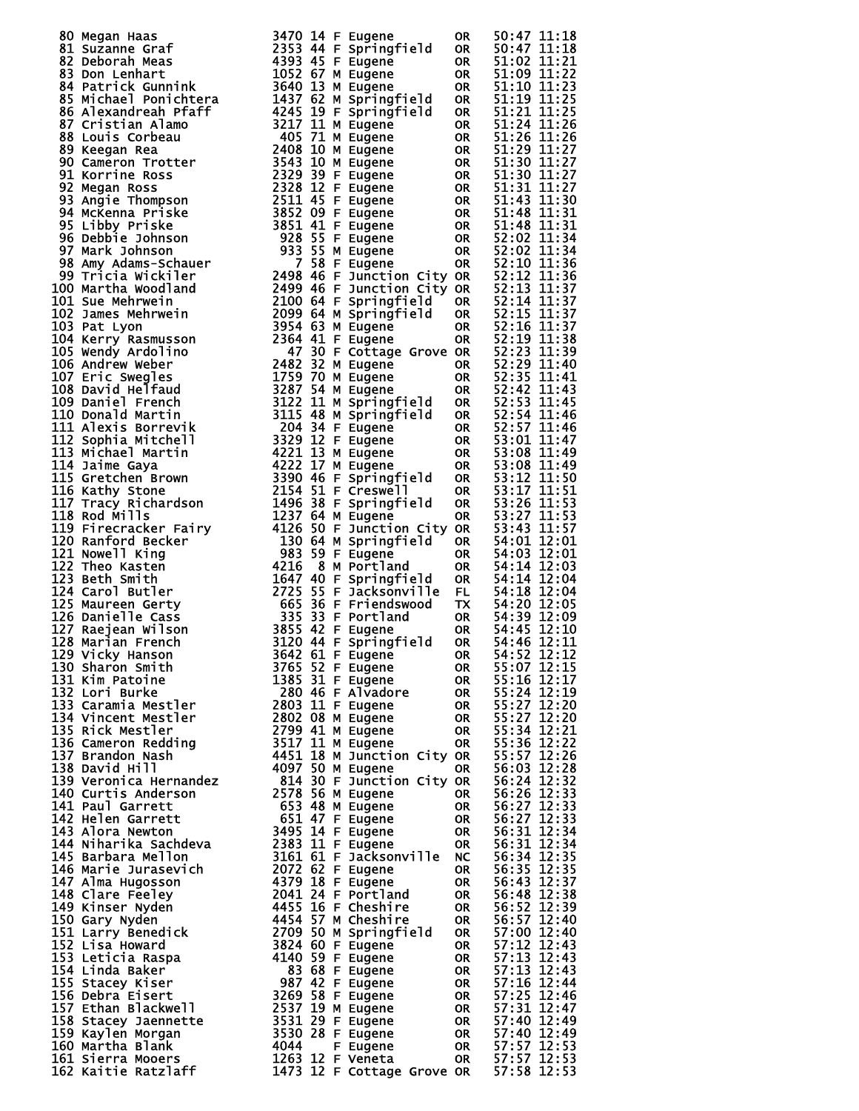| 80 Megan Hans 1946<br>1940 Megan Hans 1947 014 F Eugene<br>1941 Suzanne Graf 1947 014 F Eugene<br>1958 Don Lenhart 1953 44 F Eugene<br>1958 Melvick Gunnink 1959 45 F Eugene<br>1958 Melvick Gunnink 1959 45 F Eugene<br>1968 Melvick Gun |  |  |  |
|-------------------------------------------------------------------------------------------------------------------------------------------------------------------------------------------------------------------------------------------|--|--|--|
|                                                                                                                                                                                                                                           |  |  |  |
|                                                                                                                                                                                                                                           |  |  |  |
|                                                                                                                                                                                                                                           |  |  |  |
|                                                                                                                                                                                                                                           |  |  |  |
|                                                                                                                                                                                                                                           |  |  |  |
|                                                                                                                                                                                                                                           |  |  |  |
|                                                                                                                                                                                                                                           |  |  |  |
|                                                                                                                                                                                                                                           |  |  |  |
|                                                                                                                                                                                                                                           |  |  |  |
|                                                                                                                                                                                                                                           |  |  |  |
|                                                                                                                                                                                                                                           |  |  |  |
|                                                                                                                                                                                                                                           |  |  |  |
|                                                                                                                                                                                                                                           |  |  |  |
|                                                                                                                                                                                                                                           |  |  |  |
|                                                                                                                                                                                                                                           |  |  |  |
|                                                                                                                                                                                                                                           |  |  |  |
|                                                                                                                                                                                                                                           |  |  |  |
|                                                                                                                                                                                                                                           |  |  |  |
|                                                                                                                                                                                                                                           |  |  |  |
|                                                                                                                                                                                                                                           |  |  |  |
|                                                                                                                                                                                                                                           |  |  |  |
|                                                                                                                                                                                                                                           |  |  |  |
|                                                                                                                                                                                                                                           |  |  |  |
|                                                                                                                                                                                                                                           |  |  |  |
|                                                                                                                                                                                                                                           |  |  |  |
|                                                                                                                                                                                                                                           |  |  |  |
|                                                                                                                                                                                                                                           |  |  |  |
|                                                                                                                                                                                                                                           |  |  |  |
|                                                                                                                                                                                                                                           |  |  |  |
|                                                                                                                                                                                                                                           |  |  |  |
|                                                                                                                                                                                                                                           |  |  |  |
|                                                                                                                                                                                                                                           |  |  |  |
|                                                                                                                                                                                                                                           |  |  |  |
|                                                                                                                                                                                                                                           |  |  |  |
|                                                                                                                                                                                                                                           |  |  |  |
|                                                                                                                                                                                                                                           |  |  |  |
|                                                                                                                                                                                                                                           |  |  |  |
|                                                                                                                                                                                                                                           |  |  |  |
|                                                                                                                                                                                                                                           |  |  |  |
|                                                                                                                                                                                                                                           |  |  |  |
|                                                                                                                                                                                                                                           |  |  |  |
|                                                                                                                                                                                                                                           |  |  |  |
|                                                                                                                                                                                                                                           |  |  |  |
|                                                                                                                                                                                                                                           |  |  |  |
|                                                                                                                                                                                                                                           |  |  |  |
| 1727 Raejean will somethal and 535142 Felugene on 54:45 12:10<br>1838 Marrian French 385142 Felugene on 54:46 12:11<br>1830 Sharon smith 3766 S2 Felugene on 54:46 12:11<br>1818 Kind Patoline and 1844 Felugene on 55:127 12:12<br>1832  |  |  |  |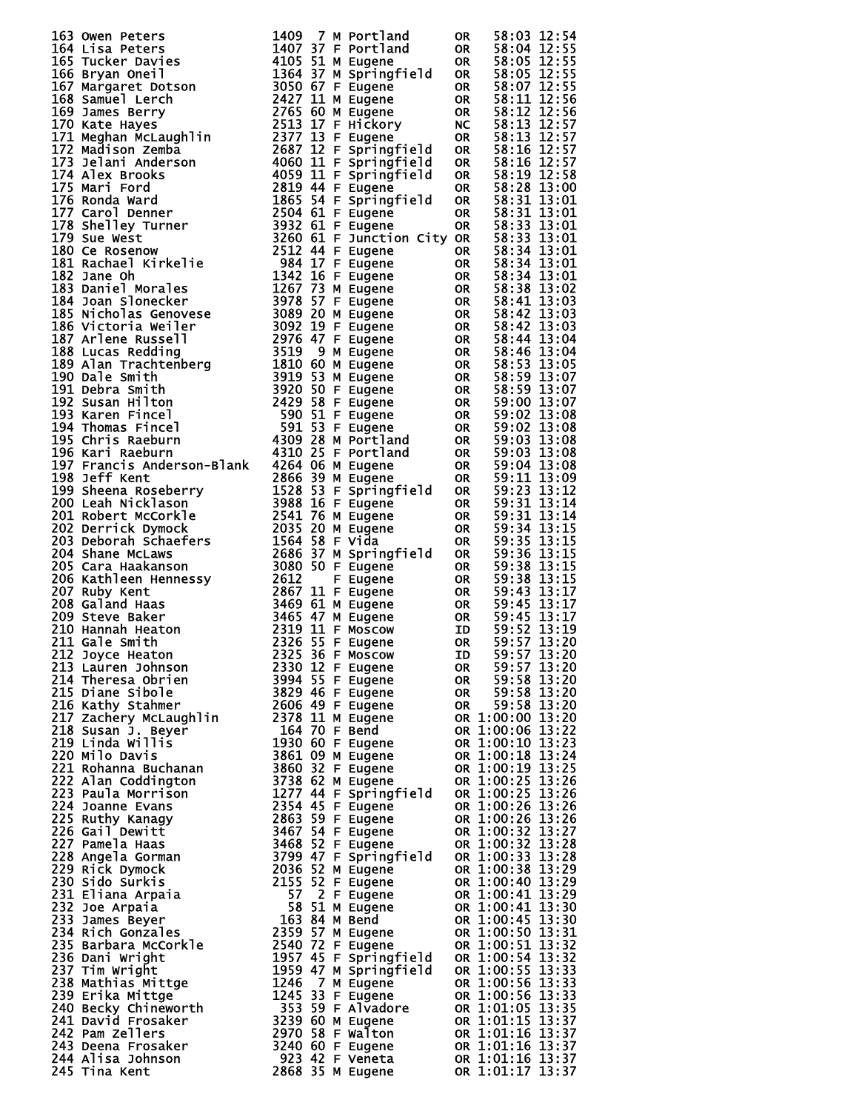| 163 Owen Peters and 1640 7 M Portland 08 58:03 12:54<br>164 Lisa Peters 1400 77 M Portland 08 58:03 12:55<br>166 TyAn One1 5<br>166 TyAn One1 5<br>166 TyAn One1 5<br>166 SyAn One1 5<br>166 SyAn One1 5<br>166 SyAn One1 5<br>166 SyAn One1      |  |                  |           |                                                                                           |
|---------------------------------------------------------------------------------------------------------------------------------------------------------------------------------------------------------------------------------------------------|--|------------------|-----------|-------------------------------------------------------------------------------------------|
|                                                                                                                                                                                                                                                   |  |                  |           |                                                                                           |
|                                                                                                                                                                                                                                                   |  |                  |           |                                                                                           |
|                                                                                                                                                                                                                                                   |  |                  |           |                                                                                           |
|                                                                                                                                                                                                                                                   |  |                  |           |                                                                                           |
|                                                                                                                                                                                                                                                   |  | 2325 36 F Moscow |           |                                                                                           |
| 212 Joyce Heaton                                                                                                                                                                                                                                  |  |                  | ID.       | 59:57 13:20                                                                               |
|                                                                                                                                                                                                                                                   |  |                  | <b>OR</b> | 59:57 13:20                                                                               |
|                                                                                                                                                                                                                                                   |  |                  |           | 59:58 13:20<br>OR 59:58 13:20<br>OR 59:58 13:20                                           |
|                                                                                                                                                                                                                                                   |  |                  |           |                                                                                           |
|                                                                                                                                                                                                                                                   |  |                  |           | 59:58 13:20<br>OR 59:58 13:20<br>OR 1:00:00 13:20<br>OR 1:00:06 13:22<br>OR 1:00:10 13:23 |
|                                                                                                                                                                                                                                                   |  |                  |           |                                                                                           |
|                                                                                                                                                                                                                                                   |  |                  |           |                                                                                           |
|                                                                                                                                                                                                                                                   |  |                  |           |                                                                                           |
|                                                                                                                                                                                                                                                   |  |                  |           | OR 1:00:18 13:24                                                                          |
|                                                                                                                                                                                                                                                   |  |                  |           |                                                                                           |
|                                                                                                                                                                                                                                                   |  |                  |           | OR 1:00:19 13:25                                                                          |
|                                                                                                                                                                                                                                                   |  |                  |           | OR 1:00:25 13:26                                                                          |
|                                                                                                                                                                                                                                                   |  |                  |           | OR 1:00:25 13:26                                                                          |
|                                                                                                                                                                                                                                                   |  |                  |           | OR 1:00:26 13:26                                                                          |
|                                                                                                                                                                                                                                                   |  |                  |           | OR 1:00:26 13:26                                                                          |
|                                                                                                                                                                                                                                                   |  |                  |           | OR 1:00:32 13:27                                                                          |
|                                                                                                                                                                                                                                                   |  |                  |           | OR 1:00:32 13:28                                                                          |
|                                                                                                                                                                                                                                                   |  |                  |           |                                                                                           |
|                                                                                                                                                                                                                                                   |  |                  |           | OR 1:00:33 13:28                                                                          |
|                                                                                                                                                                                                                                                   |  |                  |           | OR 1:00:38 13:29                                                                          |
|                                                                                                                                                                                                                                                   |  |                  |           | OR 1:00:40 13:29                                                                          |
|                                                                                                                                                                                                                                                   |  |                  |           | OR 1:00:41 13:29                                                                          |
|                                                                                                                                                                                                                                                   |  |                  |           | OR 1:00:41 13:30                                                                          |
|                                                                                                                                                                                                                                                   |  |                  |           | OR 1:00:45 13:30                                                                          |
|                                                                                                                                                                                                                                                   |  |                  |           | OR 1:00:50 13:31                                                                          |
|                                                                                                                                                                                                                                                   |  |                  |           | OR 1:00:51 13:32                                                                          |
|                                                                                                                                                                                                                                                   |  |                  |           |                                                                                           |
|                                                                                                                                                                                                                                                   |  |                  |           | OR 1:00:54 13:32                                                                          |
|                                                                                                                                                                                                                                                   |  |                  |           | OR 1:00:55 13:33                                                                          |
|                                                                                                                                                                                                                                                   |  |                  |           | OR 1:00:56 13:33                                                                          |
|                                                                                                                                                                                                                                                   |  |                  |           | OR 1:00:56 13:33                                                                          |
|                                                                                                                                                                                                                                                   |  |                  |           | OR 1:01:05 13:35                                                                          |
|                                                                                                                                                                                                                                                   |  |                  |           | OR 1:01:15 13:37                                                                          |
| 211 Gale Smith<br>1212 avoce Heaton<br>2112 avoce Heaton<br>2132 536 F Eugene<br>213 Lauren Johnson<br>2132 536 F Eugene<br>215 branes albrien<br>216 Kathy McLaughlin<br>216 Kathery McLaughlin<br>217 Zachery McLaughlin<br>217 Stachery McLaug |  |                  |           | OR 1:01:16 13:37                                                                          |
|                                                                                                                                                                                                                                                   |  |                  |           | OR 1:01:16 13:37<br>OR 1:01:16 13:37                                                      |
|                                                                                                                                                                                                                                                   |  |                  |           |                                                                                           |
|                                                                                                                                                                                                                                                   |  |                  |           | 923 42 F Veneta<br>2868 35 M Eugene 0R 1:01:16 13:37                                      |
|                                                                                                                                                                                                                                                   |  |                  |           |                                                                                           |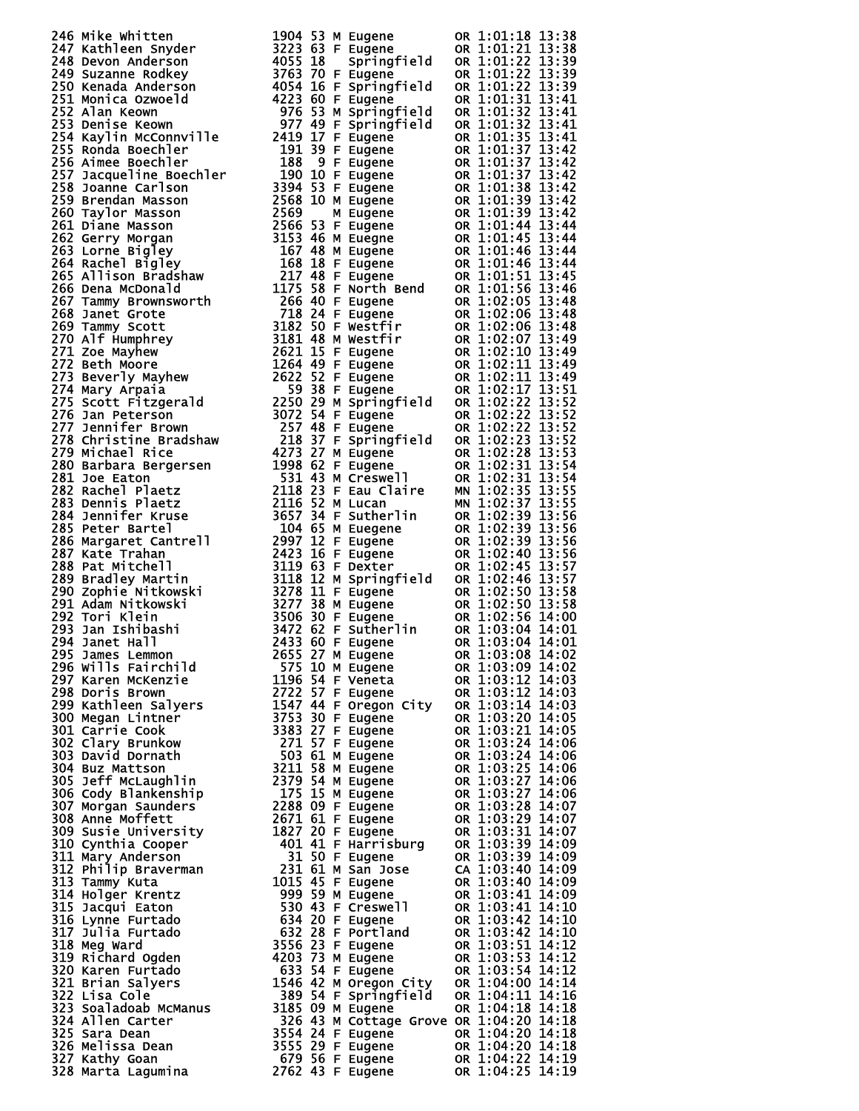| 233 1an Ishhishi 19272 Sa Communication (1932)<br>294 Janet Hall 19472 Sa Communication (1931:04 14:01<br>295 James Lemmonn 2053 Sa Communication (1931:04 14:01<br>296 will Fairchild 2055 27 M Eugene OR 1:03:04 14:02<br>298 Norris Br |  |  |  |
|-------------------------------------------------------------------------------------------------------------------------------------------------------------------------------------------------------------------------------------------|--|--|--|
|                                                                                                                                                                                                                                           |  |  |  |
|                                                                                                                                                                                                                                           |  |  |  |
|                                                                                                                                                                                                                                           |  |  |  |

|        | ΟR        |                    | $1\!:\!01$<br>ĵ         | 8                                                             | 3                      |
|--------|-----------|--------------------|-------------------------|---------------------------------------------------------------|------------------------|
|        | ΟR        |                    | :01                     |                                                               |                        |
| d      | ΟR        |                    | 01                      | $\frac{1}{2}$<br>$\vdots$                                     | 38<br>38<br>39         |
|        | <b>OR</b> | 1<br>$\vdots$      | 01                      |                                                               |                        |
| d      | ΟR        |                    | 0<br>1                  | 2<br>2<br>3<br>3<br>3<br>$\ddot{}}$                           | 39<br>39               |
|        | <b>OR</b> | 1                  | 01                      |                                                               |                        |
| d      | ΟR        | $\vdots$           | 0<br>1                  |                                                               | $\frac{41}{41}$        |
| d      |           | 1                  | 01                      |                                                               |                        |
|        | ΟR        | $\vdots$<br>1      | 1<br>0                  | ::::                                                          |                        |
|        | ΟR        | 1                  | 01                      |                                                               |                        |
|        | ΟR        | $\vdots$           | 01                      |                                                               |                        |
|        | OR        | 1<br>1             | 01                      |                                                               |                        |
|        | ΟR        | $\vdots$           | $\overline{01}$         | $\vdots$                                                      |                        |
|        | ΟR        | 1                  |                         |                                                               |                        |
|        | ΟR        | $\frac{1}{2}$<br>1 | 01<br>01                | ÷                                                             |                        |
|        | OR        | 1                  |                         | þ                                                             |                        |
|        | ΟR        | $\vdots$<br>1      | 01                      | $\frac{44}{45}$<br>$\vdots$                                   |                        |
|        | ΟR        | 1                  | 01                      | $4\bar{6}$                                                    |                        |
|        | ΟR        | 1                  | 01                      |                                                               |                        |
|        | OR        | 1                  | Ō1                      | 46                                                            |                        |
|        | ΟR        | 1                  | 01                      | 51<br>56                                                      |                        |
|        | ΟR        | 1                  | $\overline{01}$         |                                                               |                        |
|        | ΟR        | 1                  | $\frac{0}{02}$          |                                                               |                        |
|        | OR        | 1                  |                         |                                                               |                        |
|        | ΟR        | 1                  | $\overline{02}$<br>$02$ |                                                               |                        |
|        | <b>OR</b> | 1                  |                         |                                                               |                        |
|        | ΟR        | 1                  |                         |                                                               |                        |
|        | 0R        | 1                  |                         |                                                               |                        |
|        | ΟR        | 1                  |                         |                                                               |                        |
|        | ΟR        | 1                  |                         |                                                               |                        |
| d      | 0R        | 1                  |                         |                                                               |                        |
|        | OR        | 1                  |                         |                                                               |                        |
|        | ΟR        | 1                  |                         |                                                               |                        |
| d      | OR        | 1                  |                         |                                                               |                        |
|        | ΟR        | 1                  |                         |                                                               |                        |
|        | ΟR        | 1                  |                         |                                                               |                        |
|        | ΟR        | $\bar{\mathbf{1}}$ |                         | <b>000001111122222333333333444501111722222338133333344450</b> |                        |
|        | MΝ        | 1                  |                         |                                                               |                        |
|        | MN        | 1                  |                         |                                                               |                        |
|        | OR        |                    |                         |                                                               |                        |
|        | 0R        | 1                  |                         |                                                               |                        |
|        | OR        |                    |                         |                                                               |                        |
|        | ΟR        | $\bar{\mathbf{1}}$ |                         |                                                               |                        |
|        | ΟR        |                    |                         |                                                               |                        |
| d      | ΟR        | 1                  |                         |                                                               |                        |
|        | ΟR        |                    |                         |                                                               |                        |
|        | OR        |                    |                         | 50<br>56<br>04<br>04                                          |                        |
|        |           |                    |                         |                                                               |                        |
|        | OR<br>OR  | $\vdots$<br>1      | 3<br>3<br>Ò             |                                                               | 01                     |
|        | <b>OR</b> |                    | Ò                       |                                                               | 4<br>01                |
|        | OR        |                    | 1:03<br>1:03            | 08<br>ì                                                       | 14:02                  |
|        | ΟR        |                    |                         | : 09                                                          | 14:02                  |
|        | OR        |                    | 1:03<br>1:03<br>ĵ       | 12                                                            | 14 :<br>03             |
|        | OR        |                    |                         | $\frac{12}{14}$<br>÷                                          | $0\overline{3}$<br>14: |
|        | ΟR        | 1                  | :03<br>:03              |                                                               | 14:<br>03              |
|        | ΟR        | 1                  |                         | $\frac{1}{2}$<br>20                                           | 05<br>14:              |
|        | OR        | 1                  | : 03<br>: 03            | 21445222223                                                   | 14:<br>05              |
|        | <b>OR</b> | 1                  |                         | ::::::::::                                                    | 14:<br>06              |
|        | OR        | 1                  | : 03<br>: 03            |                                                               | 14:<br>06              |
|        | <b>OR</b> | 1                  |                         |                                                               | 14:<br>06              |
|        | OR        | 1                  | : 03<br>: 03            |                                                               | 14:<br>06              |
|        | <b>OR</b> | 1                  |                         |                                                               | 06<br>14:              |
|        | OR        | 1                  | : 03<br>: 03            |                                                               | 14 :<br>07             |
|        | <b>OR</b> | 1                  |                         | ì                                                             | 14:<br>07              |
|        | OR        | 1                  | : 03<br>: 03            | 31<br>39                                                      | 14:<br>07              |
|        | <b>OR</b> | 1                  |                         | $\frac{1}{2}$                                                 | 14:<br>09              |
|        | <b>OR</b> | 1                  | : 03<br>: 03<br>ì       | 39                                                            | 14:<br>09              |
|        | CA        | 1                  |                         | ì<br>40                                                       | 14:<br>09              |
|        | <b>OR</b> | 1                  | : 03<br>: 03            | 40<br>ì                                                       | 14:<br>09              |
|        | <b>OR</b> | 1                  |                         | ì<br>41                                                       | 14:<br>09              |
|        | OR        | 1                  | : 03<br>: 03            | 41<br>ì                                                       | 14:<br>10              |
|        | <b>OR</b> | 1                  |                         | 42<br>ì                                                       | 14<br>ì<br>10          |
|        | OR        | 1                  |                         | 42                                                            | 14 :<br>10             |
|        | <b>OR</b> | 1                  | : 03<br>: 03            | $\vdots$<br>5<br>ī                                            | 12<br>14<br>ì          |
|        | OR        | 1                  |                         | 53                                                            | 14<br>12<br>÷          |
|        | <b>OR</b> | 1                  | :03:<br>:03:            | 54                                                            | 12<br>14<br>Ì          |
|        | OR        | 1                  | : 04:                   | 00                                                            | .<br>14:<br>14         |
| y<br>d | OR        | 1                  | : 04                    | 11<br>þ                                                       | 16<br>14<br>Ì          |
|        | OR        | :<br>1             | 04                      | 18<br>ì                                                       | 14:<br>18              |
| ove    | <b>OR</b> | 1                  | : 04                    | 20<br>þ                                                       | 18<br>14<br>I          |
|        | OR        | í<br>1             | 04:                     | 20                                                            | 14:<br>18              |
|        | <b>OR</b> | 1                  | : 04 :                  | 20                                                            | 14:<br>18              |
|        | OR        |                    | 1:04:                   | 2<br>2                                                        | 14:<br>19              |
|        | OR        |                    | :04:25                  |                                                               | 14:<br>19              |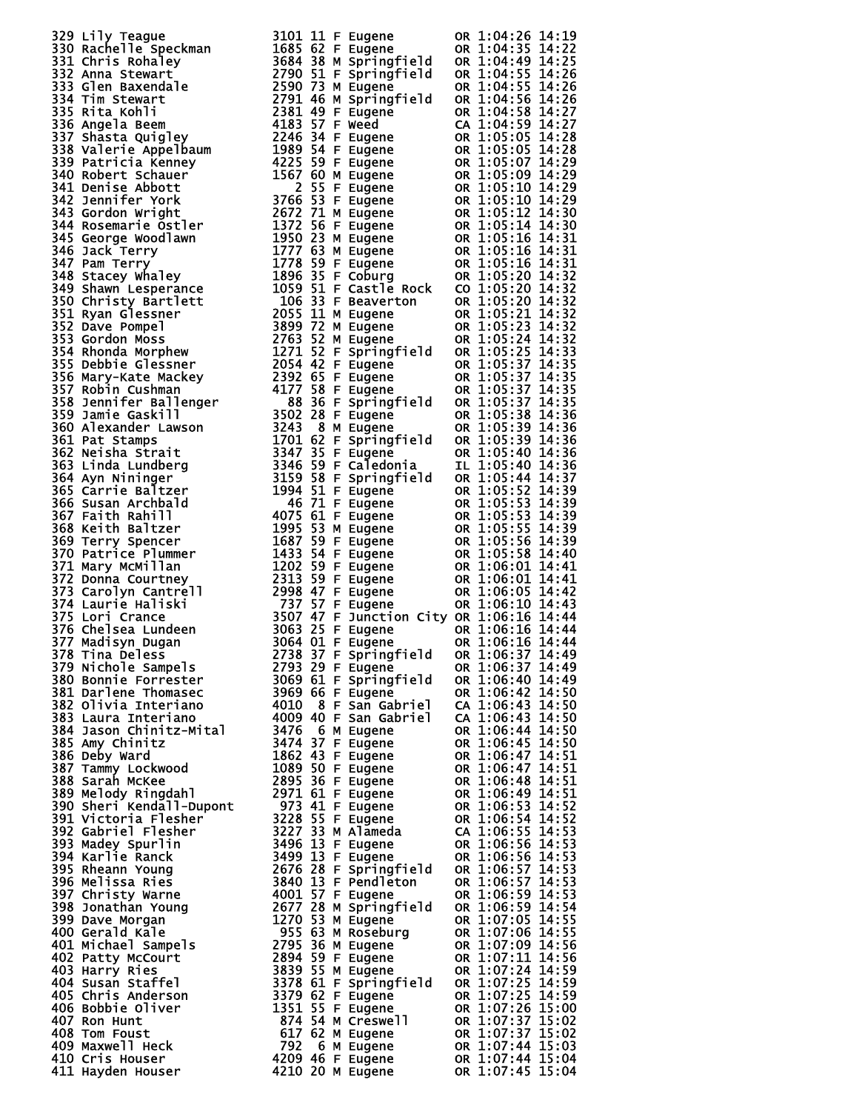| 320 Lini François (m. 1041)<br>1930 Rachel Te Speckmann (m. 1043 62 F. Eugenes (m. 1043 62 F. Eugenes (m. 1043 63 16 F. 1044 83 16 F. 1044 84<br>1930 Rachel Te Speckmann (m. 1045 62 F. Eugenes (m. 1044 842 1044 842 1044 842 200                |  |  |                  |
|----------------------------------------------------------------------------------------------------------------------------------------------------------------------------------------------------------------------------------------------------|--|--|------------------|
|                                                                                                                                                                                                                                                    |  |  |                  |
|                                                                                                                                                                                                                                                    |  |  |                  |
|                                                                                                                                                                                                                                                    |  |  |                  |
|                                                                                                                                                                                                                                                    |  |  |                  |
|                                                                                                                                                                                                                                                    |  |  |                  |
|                                                                                                                                                                                                                                                    |  |  |                  |
|                                                                                                                                                                                                                                                    |  |  |                  |
|                                                                                                                                                                                                                                                    |  |  |                  |
|                                                                                                                                                                                                                                                    |  |  |                  |
|                                                                                                                                                                                                                                                    |  |  |                  |
|                                                                                                                                                                                                                                                    |  |  |                  |
|                                                                                                                                                                                                                                                    |  |  |                  |
|                                                                                                                                                                                                                                                    |  |  |                  |
|                                                                                                                                                                                                                                                    |  |  |                  |
|                                                                                                                                                                                                                                                    |  |  |                  |
|                                                                                                                                                                                                                                                    |  |  |                  |
|                                                                                                                                                                                                                                                    |  |  |                  |
|                                                                                                                                                                                                                                                    |  |  |                  |
|                                                                                                                                                                                                                                                    |  |  |                  |
|                                                                                                                                                                                                                                                    |  |  |                  |
|                                                                                                                                                                                                                                                    |  |  |                  |
|                                                                                                                                                                                                                                                    |  |  |                  |
|                                                                                                                                                                                                                                                    |  |  |                  |
|                                                                                                                                                                                                                                                    |  |  |                  |
|                                                                                                                                                                                                                                                    |  |  |                  |
|                                                                                                                                                                                                                                                    |  |  |                  |
|                                                                                                                                                                                                                                                    |  |  |                  |
|                                                                                                                                                                                                                                                    |  |  |                  |
|                                                                                                                                                                                                                                                    |  |  |                  |
|                                                                                                                                                                                                                                                    |  |  |                  |
|                                                                                                                                                                                                                                                    |  |  |                  |
|                                                                                                                                                                                                                                                    |  |  |                  |
|                                                                                                                                                                                                                                                    |  |  |                  |
|                                                                                                                                                                                                                                                    |  |  |                  |
|                                                                                                                                                                                                                                                    |  |  |                  |
|                                                                                                                                                                                                                                                    |  |  |                  |
|                                                                                                                                                                                                                                                    |  |  |                  |
|                                                                                                                                                                                                                                                    |  |  |                  |
|                                                                                                                                                                                                                                                    |  |  |                  |
|                                                                                                                                                                                                                                                    |  |  |                  |
|                                                                                                                                                                                                                                                    |  |  |                  |
|                                                                                                                                                                                                                                                    |  |  |                  |
|                                                                                                                                                                                                                                                    |  |  |                  |
|                                                                                                                                                                                                                                                    |  |  |                  |
|                                                                                                                                                                                                                                                    |  |  |                  |
|                                                                                                                                                                                                                                                    |  |  |                  |
|                                                                                                                                                                                                                                                    |  |  |                  |
|                                                                                                                                                                                                                                                    |  |  |                  |
|                                                                                                                                                                                                                                                    |  |  |                  |
|                                                                                                                                                                                                                                                    |  |  |                  |
|                                                                                                                                                                                                                                                    |  |  |                  |
|                                                                                                                                                                                                                                                    |  |  |                  |
|                                                                                                                                                                                                                                                    |  |  |                  |
|                                                                                                                                                                                                                                                    |  |  |                  |
|                                                                                                                                                                                                                                                    |  |  |                  |
|                                                                                                                                                                                                                                                    |  |  |                  |
|                                                                                                                                                                                                                                                    |  |  |                  |
|                                                                                                                                                                                                                                                    |  |  |                  |
|                                                                                                                                                                                                                                                    |  |  |                  |
|                                                                                                                                                                                                                                                    |  |  |                  |
| 377 Madisyn Dugan<br>378 Tina Deless<br>379 Nichole Sampels<br>380 Bonnie Forrester<br>380 Bonnie Forrester<br>381 Darlene Thomasec<br>382 Olivia Interiano<br>382 Olivia Interiano<br>383 Laura Interiano<br>384 Jason Chinitz-Mital<br>384 Jason |  |  |                  |
|                                                                                                                                                                                                                                                    |  |  |                  |
|                                                                                                                                                                                                                                                    |  |  | OR 1:06:37 14:49 |
|                                                                                                                                                                                                                                                    |  |  | OR 1:06:40 14:49 |
|                                                                                                                                                                                                                                                    |  |  | OR 1:06:42 14:50 |
|                                                                                                                                                                                                                                                    |  |  |                  |
|                                                                                                                                                                                                                                                    |  |  | CA 1:06:43 14:50 |
|                                                                                                                                                                                                                                                    |  |  | CA 1:06:43 14:50 |
|                                                                                                                                                                                                                                                    |  |  | OR 1:06:44 14:50 |
|                                                                                                                                                                                                                                                    |  |  | OR 1:06:45 14:50 |
|                                                                                                                                                                                                                                                    |  |  |                  |
|                                                                                                                                                                                                                                                    |  |  |                  |
|                                                                                                                                                                                                                                                    |  |  |                  |
|                                                                                                                                                                                                                                                    |  |  |                  |
|                                                                                                                                                                                                                                                    |  |  |                  |
|                                                                                                                                                                                                                                                    |  |  |                  |
|                                                                                                                                                                                                                                                    |  |  |                  |
|                                                                                                                                                                                                                                                    |  |  |                  |
|                                                                                                                                                                                                                                                    |  |  |                  |
|                                                                                                                                                                                                                                                    |  |  |                  |
|                                                                                                                                                                                                                                                    |  |  |                  |
|                                                                                                                                                                                                                                                    |  |  |                  |
|                                                                                                                                                                                                                                                    |  |  |                  |
|                                                                                                                                                                                                                                                    |  |  |                  |
|                                                                                                                                                                                                                                                    |  |  |                  |
|                                                                                                                                                                                                                                                    |  |  |                  |
|                                                                                                                                                                                                                                                    |  |  |                  |
|                                                                                                                                                                                                                                                    |  |  |                  |
|                                                                                                                                                                                                                                                    |  |  |                  |
|                                                                                                                                                                                                                                                    |  |  |                  |
|                                                                                                                                                                                                                                                    |  |  |                  |
|                                                                                                                                                                                                                                                    |  |  |                  |
|                                                                                                                                                                                                                                                    |  |  |                  |
|                                                                                                                                                                                                                                                    |  |  |                  |
|                                                                                                                                                                                                                                                    |  |  |                  |
|                                                                                                                                                                                                                                                    |  |  |                  |
|                                                                                                                                                                                                                                                    |  |  |                  |
|                                                                                                                                                                                                                                                    |  |  |                  |
|                                                                                                                                                                                                                                                    |  |  |                  |
|                                                                                                                                                                                                                                                    |  |  |                  |
|                                                                                                                                                                                                                                                    |  |  |                  |
|                                                                                                                                                                                                                                                    |  |  |                  |
| 386 Deby Ward<br>387 Amy Chinitz<br>386 Amy Chinitz<br>387 Amy Chinitz<br>387 Amy Lockwood<br>1862 43 F Eugene OR 1:06:45 14:50<br>388 Sarah McKee<br>1889 Sarah McKee<br>289 Sarah McKee<br>2971 61 F Eugene OR 1:06:48 14:51<br>389 Nellody Ring |  |  |                  |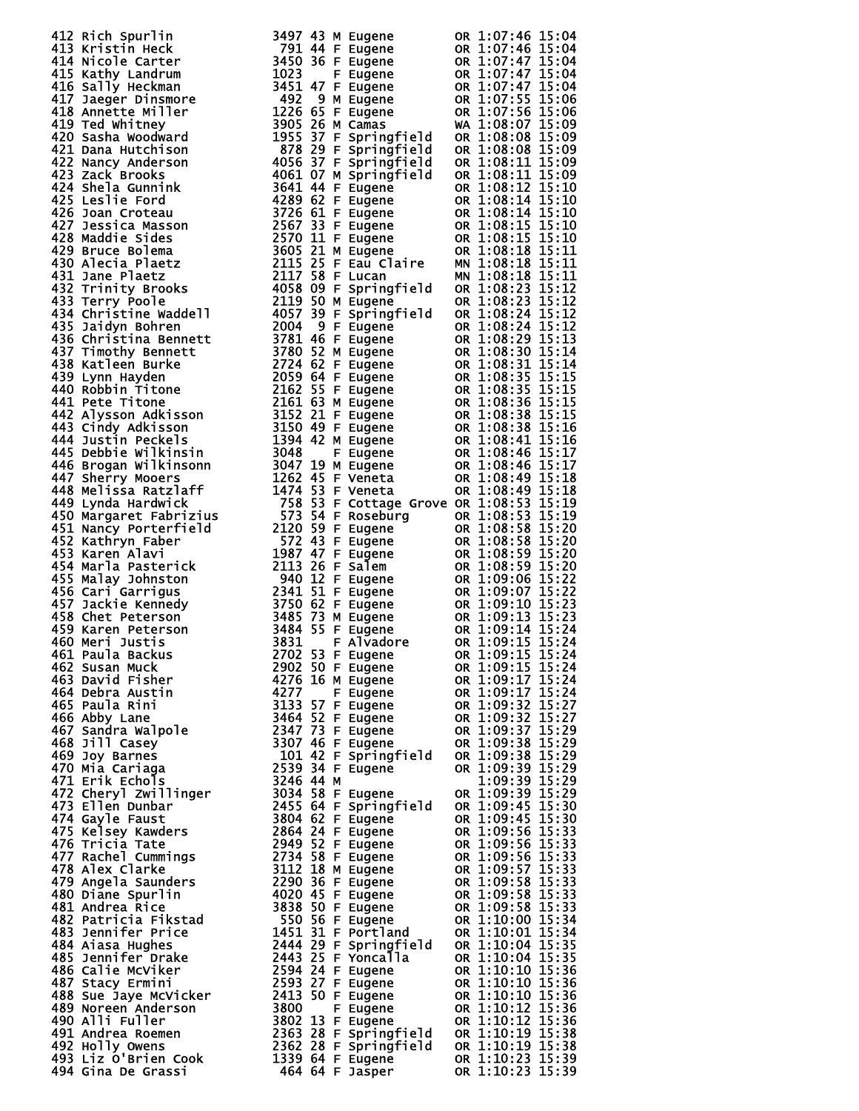| 472 Rich Spurin<br>1413 Kristin Heck<br>142 Rich Spurin<br>142 Rich Spuring 140 M Eugene on 1:07:46 15:04<br>1414 Nicole Carter 1462 03 F Eugene on 1:07:46 15:04<br>1415 Kathy Landrum 1420 36 F Eugene on 1:07:47 15:04<br>1416 Anny He |  |  |  |
|-------------------------------------------------------------------------------------------------------------------------------------------------------------------------------------------------------------------------------------------|--|--|--|
|                                                                                                                                                                                                                                           |  |  |  |
|                                                                                                                                                                                                                                           |  |  |  |
|                                                                                                                                                                                                                                           |  |  |  |
|                                                                                                                                                                                                                                           |  |  |  |
|                                                                                                                                                                                                                                           |  |  |  |
|                                                                                                                                                                                                                                           |  |  |  |
|                                                                                                                                                                                                                                           |  |  |  |
|                                                                                                                                                                                                                                           |  |  |  |
|                                                                                                                                                                                                                                           |  |  |  |
|                                                                                                                                                                                                                                           |  |  |  |
|                                                                                                                                                                                                                                           |  |  |  |
|                                                                                                                                                                                                                                           |  |  |  |
|                                                                                                                                                                                                                                           |  |  |  |
|                                                                                                                                                                                                                                           |  |  |  |
|                                                                                                                                                                                                                                           |  |  |  |
|                                                                                                                                                                                                                                           |  |  |  |
|                                                                                                                                                                                                                                           |  |  |  |
|                                                                                                                                                                                                                                           |  |  |  |
|                                                                                                                                                                                                                                           |  |  |  |
|                                                                                                                                                                                                                                           |  |  |  |
|                                                                                                                                                                                                                                           |  |  |  |
|                                                                                                                                                                                                                                           |  |  |  |
|                                                                                                                                                                                                                                           |  |  |  |
|                                                                                                                                                                                                                                           |  |  |  |
|                                                                                                                                                                                                                                           |  |  |  |
|                                                                                                                                                                                                                                           |  |  |  |
|                                                                                                                                                                                                                                           |  |  |  |
|                                                                                                                                                                                                                                           |  |  |  |
|                                                                                                                                                                                                                                           |  |  |  |
|                                                                                                                                                                                                                                           |  |  |  |
|                                                                                                                                                                                                                                           |  |  |  |
|                                                                                                                                                                                                                                           |  |  |  |
|                                                                                                                                                                                                                                           |  |  |  |
|                                                                                                                                                                                                                                           |  |  |  |
|                                                                                                                                                                                                                                           |  |  |  |
|                                                                                                                                                                                                                                           |  |  |  |
|                                                                                                                                                                                                                                           |  |  |  |
|                                                                                                                                                                                                                                           |  |  |  |
|                                                                                                                                                                                                                                           |  |  |  |
|                                                                                                                                                                                                                                           |  |  |  |
| 475 Kale Markus 3484 55 F Eugène do 11:09:15 11:24<br>460 Merri Justits 3883 55 F Eugène do 11:09:15 15:24<br>462 Susan Muck 22002 30 F Eugène do 11:09:15 15:24<br>462 Susan Muck 22702 S1 F Eugène do 11:09:15 15:24<br>462 Susan Muck  |  |  |  |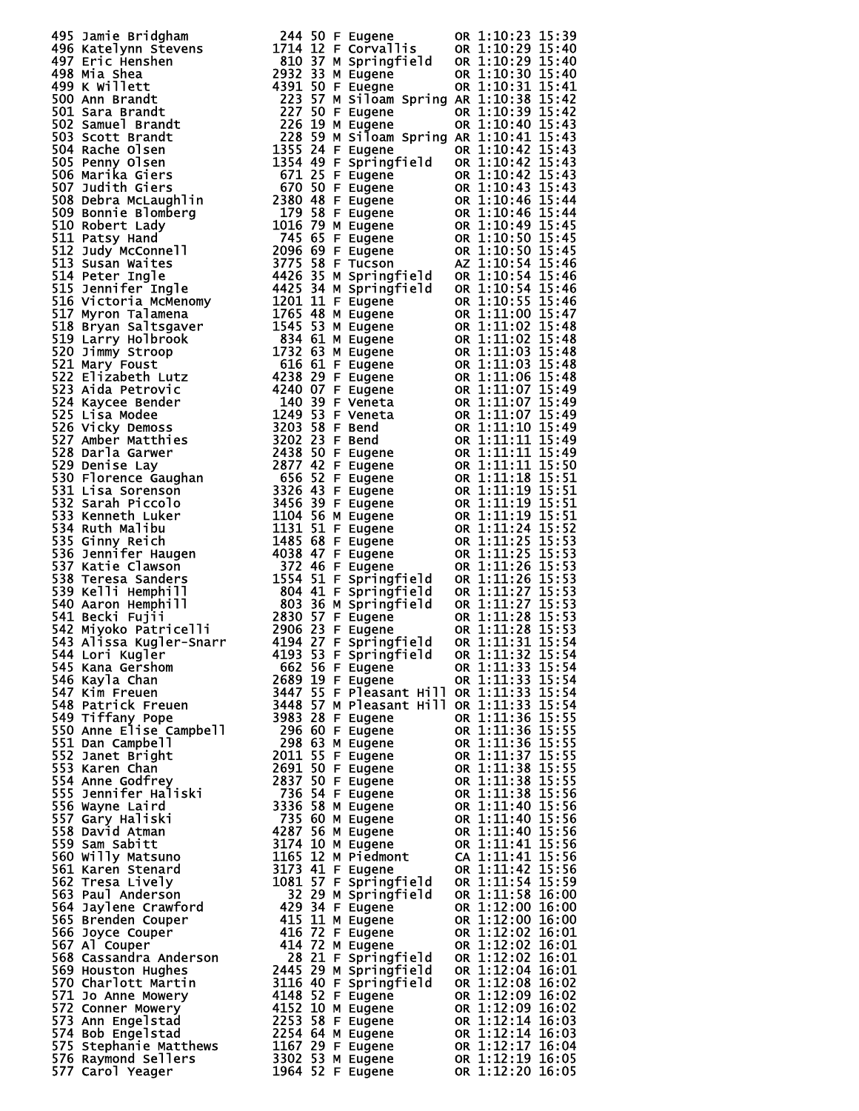| 495                                                   | Jamie Bridgham                                   |
|-------------------------------------------------------|--------------------------------------------------|
| 496                                                   |                                                  |
| 497                                                   | Katelynn Stevens<br>Eric Henshen                 |
| 498                                                   | Mia Shea                                         |
| 499.                                                  | K Willett                                        |
|                                                       | Ann Brandt                                       |
| 500<br>501                                            |                                                  |
|                                                       | Sara Brandt                                      |
| 502                                                   | Samuel Brandt                                    |
| 503                                                   | Scott Brandt                                     |
| 504                                                   | Rache Olsen                                      |
| 505                                                   | Penny Olsen                                      |
| 506                                                   | Marika Giers                                     |
| 507                                                   | Judith Giers                                     |
| 508                                                   | Debra McLaughlin                                 |
| 509                                                   | <b>Bonnie Blombera</b>                           |
| 511                                                   | 510 Robert Lady                                  |
| 512                                                   | Patsy Hand                                       |
| 513                                                   | Judy McConnell<br>Susan Waites                   |
| 514                                                   | Peter Ingle                                      |
| 515                                                   | Jennifer Ingle                                   |
| 516                                                   | Victoria McMenomy                                |
| 517                                                   | Myron Talamena                                   |
| 518                                                   | Bryan Saltsgaver                                 |
| 519                                                   | Larry Holbrook                                   |
|                                                       | Jimmy Stroop                                     |
| 520<br>521                                            | Mary Foust                                       |
|                                                       | Elizabeth Lutz                                   |
| 522<br>523                                            | Aida Petrovic                                    |
|                                                       | Kaycee Bender                                    |
| 524<br>525                                            | Lisa Modee                                       |
|                                                       | Vicky Demoss                                     |
| 526<br>527                                            | Amber Matthies                                   |
|                                                       | Darla Garwer                                     |
| 528<br>529                                            | Denise Lay                                       |
|                                                       | Florence Gaughan                                 |
|                                                       | Lisa Sorenson                                    |
|                                                       | Sarah Piccolo                                    |
| 530<br>531<br>532<br>5334<br>535<br>536<br>538<br>533 | Kenneth Luker                                    |
|                                                       | Ruth Malibu                                      |
|                                                       | Ginny Reich                                      |
|                                                       | Jennifer Haugen                                  |
|                                                       | Katie Clawson                                    |
|                                                       | Teresa Sanders                                   |
| 539                                                   | Kelli Hemphill                                   |
|                                                       | 540 Aaron Hemphill                               |
|                                                       | 541 Becki Fujii                                  |
|                                                       | 542 Miyoko Pătricelli<br>543 Alissa Kugler-Snarr |
|                                                       |                                                  |
| 544                                                   | Lori Kugler                                      |
| 545                                                   | Kana Gershom                                     |
| 546                                                   | Kayla Chan                                       |
| 547                                                   | Kim Freuen                                       |
| 548<br>549                                            | Patrick Freuen                                   |
|                                                       | Tiffany Pope                                     |
|                                                       | Anne Elise Campbell                              |
|                                                       | Dan Campbell                                     |
|                                                       | Janet Bright                                     |
|                                                       | Karen Chan                                       |
|                                                       | Anne Godfrey                                     |
|                                                       | <b>Jennifer Haliski</b>                          |
|                                                       | Wayne Laird                                      |
|                                                       | Gary Haliski                                     |
|                                                       | David Atman                                      |
|                                                       | Sam Sabitt                                       |
| 560<br>561                                            | Willy Matsuno                                    |
|                                                       | Karen Stenard                                    |
| 562                                                   | Tresa Lively                                     |
| 563<br>564                                            | Paul Anderson                                    |
|                                                       | Jaylene Crawford                                 |
| 565<br>566                                            | Brenden Couper                                   |
| 567                                                   | Joyce Couper<br>Al Couper                        |
| 568                                                   | Cassandra Anderson                               |
| 569                                                   | <b>Houston Hughes</b>                            |
| 570                                                   | Charlott Martin                                  |
|                                                       | Jo Anne Mowery                                   |
| 571<br>572                                            | Conner Mowery                                    |
| 573                                                   | Ann Engelstad                                    |
| 574                                                   | Bob Engelstad                                    |
| 575                                                   | Stephanie Matthews                               |
|                                                       |                                                  |
|                                                       | 576 Raymond Sellers<br>577 Carol Yeager          |
|                                                       |                                                  |

| $\begin{smallmatrix} 480 & 3000 & 6000 & 6000 & 12000 & 10000 & 10000 & 10000 & 10000 & 10000 & 10000 & 10000 & 10000 & 10000 & 10000 & 10000 & 10000 & 10000 & 10000 & 10000 & 10000 & 10000 & 10000 & 10000 & 10000 & 10000 & 10000 & 10000 & 10000 & 10000 & 10000 & 1$ |  |  |  |
|----------------------------------------------------------------------------------------------------------------------------------------------------------------------------------------------------------------------------------------------------------------------------|--|--|--|
|                                                                                                                                                                                                                                                                            |  |  |  |
|                                                                                                                                                                                                                                                                            |  |  |  |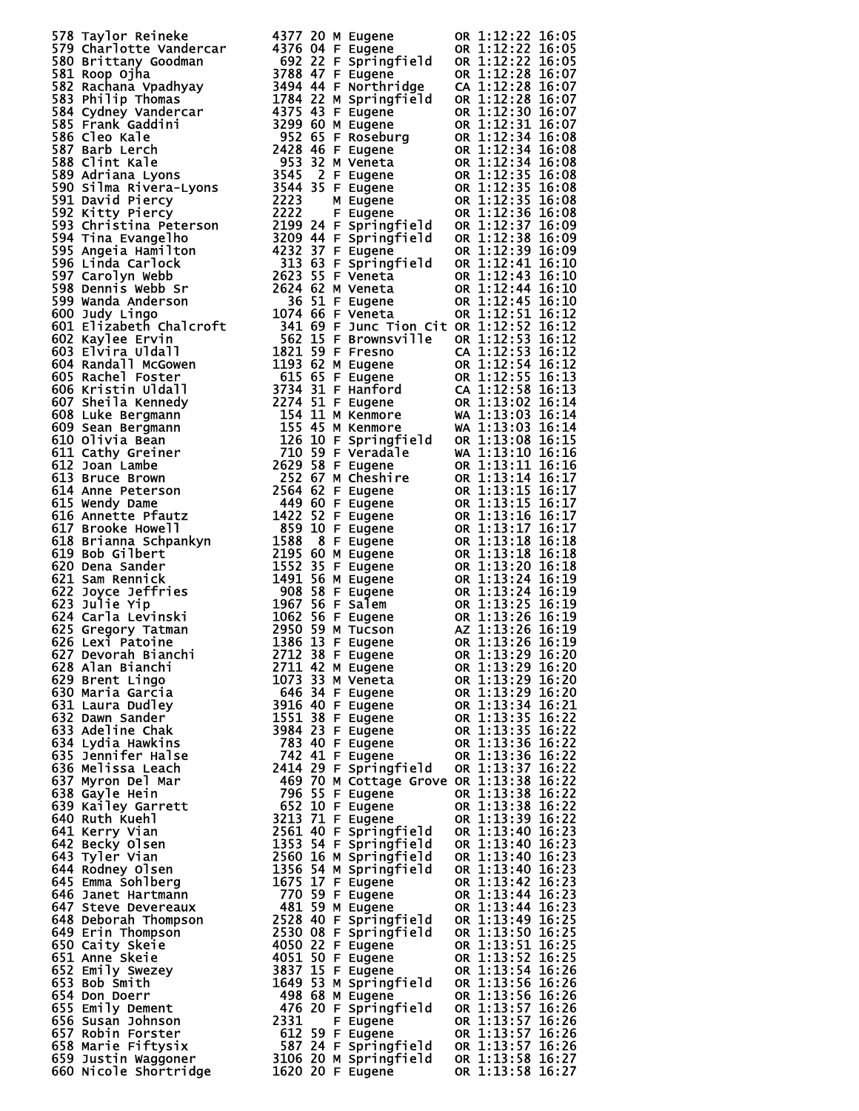|     | ΟR                     | 05<br>6<br>2<br>Ī6                                                                                                            |  |
|-----|------------------------|-------------------------------------------------------------------------------------------------------------------------------|--|
|     | ΟR                     | ī<br>ì<br>05<br>2<br>6<br>Ò5                                                                                                  |  |
|     | ΟR<br><b>OR</b>        | 22<br>÷<br>į<br>$\hat{\mathbf{6}}$<br>8<br>07                                                                                 |  |
|     | CA                     | 6<br>07<br>÷<br>2                                                                                                             |  |
|     | ΟR                     | 28<br>28<br>ì<br>$\hat{\mathbf{6}}$<br>07                                                                                     |  |
|     | <b>OR</b>              | 3ŏ<br>31<br>6<br>07<br>ì<br>2                                                                                                 |  |
|     | <b>OR</b>              | ī<br>$\mathbf{\hat{6}}$<br>07<br>$\overline{c}$                                                                               |  |
|     | OR                     | 6<br>34<br>÷<br>08<br>2                                                                                                       |  |
|     | OR                     | 3<br>ì<br>$\tilde{\mathbf{6}}$<br>2<br>$\frac{4}{4}$<br>08                                                                    |  |
|     | <b>OR</b>              | $\bar{1}$<br>6<br>3<br>3<br>ì<br>08<br>2                                                                                      |  |
|     | <b>OR</b>              | ī<br>35<br>35<br>35<br>36<br>6<br>08<br>2                                                                                     |  |
|     | OR                     | $\bar{1}$<br>$\mathbf{\hat{6}}$<br>08<br>$\overline{c}$<br>÷<br>ī<br>ì<br>Ğ<br>$\overline{c}$<br>08                           |  |
|     | OR<br><b>OR</b>        | $\bar{1}$<br>Ğ<br>Ō8<br>$\overline{c}$<br>÷                                                                                   |  |
|     | <b>OR</b>              | ī<br>6<br>2<br>09                                                                                                             |  |
|     | OR                     | 37<br>38<br>39<br>41<br>$\bar{1}$<br>Ō9<br>6<br>$\overline{c}$                                                                |  |
|     | <b>OR</b>              | $\frac{1}{2}$<br>ī<br>Ğ<br>$\overline{c}$<br>09                                                                               |  |
|     | <b>OR</b>              | $\bar{1}$<br>Ğ<br>10<br>ì<br>2                                                                                                |  |
|     | OR                     | ì<br>6.<br>2<br>0                                                                                                             |  |
|     | ΟR                     | $\bar{1}$<br>6<br>10<br>2                                                                                                     |  |
|     | OR                     | 41<br>43<br>44<br>45<br>51<br>52<br>$\frac{1}{2}$<br>ī<br>Ğ<br>$\overline{c}$                                                 |  |
|     | 0R                     | $\bar{1}$<br>$\mathbf{\hat{6}}$<br>2                                                                                          |  |
| :it | <b>OR</b><br>ΟR        | $\overline{\mathbf{6}}$<br>2<br>2<br>$\bar{1}$<br>6<br>2<br>2                                                                 |  |
|     | CA                     | ī<br>Ğ<br>$\overline{c}$<br>2                                                                                                 |  |
|     | OR                     | $\frac{1}{2}$<br>$\bar{1}$<br>6<br>2                                                                                          |  |
|     | <b>OR</b>              | 6.<br>2<br>3                                                                                                                  |  |
|     | .<br>CA                | 5353455882<br>້ວ<br>$\bar{1}$<br>$\mathbf{\hat{6}}$<br>$\frac{2}{5}$                                                          |  |
|     | <b>OR</b>              | $\frac{1}{2}$<br>ī<br>Ğ<br>4                                                                                                  |  |
|     | WA                     | $\bar{1}$<br>Ŏ3<br>03<br>$\tilde{6}$<br>ì<br>4                                                                                |  |
|     | WA                     | ì<br>.<br>6<br>4                                                                                                              |  |
|     | <b>OR</b>              | $\bar{1}$<br>08<br>6<br>5<br>$\vdots$<br>íŏ<br>$\tilde{\mathbf{6}}$                                                           |  |
|     | WA<br>0R               | 6<br>$\bar{1}$<br>6<br>ì                                                                                                      |  |
|     | <b>OR</b>              | <b>Baadaasaasa</b><br>ī<br>ì<br>6                                                                                             |  |
|     | <b>OR</b>              | $\frac{4}{5}$<br>1<br>$\mathbf{\hat{6}}$                                                                                      |  |
|     | <b>OR</b>              | $\frac{1}{2}$<br>5<br>$\mathbf{\hat{6}}$<br>7                                                                                 |  |
|     | <b>OR</b>              | 16<br>6<br>ì                                                                                                                  |  |
|     | <b>OR</b>              | š<br>ì<br>$\mathbf{\hat{6}}$<br>7<br>7                                                                                        |  |
|     | <b>OR</b>              | 3<br>8<br>$\mathbf{\hat{6}}$<br>$\frac{1}{2}$<br>8                                                                            |  |
|     | <b>OR</b>              | š<br>š<br>$\tilde{\mathbf{6}}$<br>8                                                                                           |  |
|     | <b>OR</b>              | 3<br>ò<br>6<br>ì<br>$24$<br>$24$<br>$27$                                                                                      |  |
|     | <b>OR</b><br><b>OR</b> | š<br>$\overline{6}$<br>ì<br>9<br>ݹ<br>3<br>$\mathbf{\hat{6}}$                                                                 |  |
|     | <b>OR</b>              | ì<br>3<br>$\tilde{\mathbf{6}}$<br>ì                                                                                           |  |
|     | <b>OR</b>              | ğ<br>3<br>Ġ<br>6<br>ì                                                                                                         |  |
|     | AZ                     | $\vdots$<br>$\bar{3}$<br>Ğ<br>6<br>9<br>2<br>Ì                                                                                |  |
|     | OR                     |                                                                                                                               |  |
|     | <b>OR</b>              | 26<br>29<br>29<br>29<br>19<br>20<br>16:<br>16:<br>$\vdots$<br>$\overline{\mathbf{1}}$                                         |  |
|     | OR                     | $\tilde{6}$<br>$\frac{1}{2}$<br>20<br>20<br>1                                                                                 |  |
|     | <b>OR</b>              | $\overline{\mathbf{1}}$<br>$\tilde{\mathbf{6}}$                                                                               |  |
|     | OR                     | 29<br>$\tilde{6}$<br>:<br>20<br>21<br>1<br>$\overline{\mathbf{1}}$<br>ĹĞ                                                      |  |
|     | <b>OR</b>              | 6.<br>1                                                                                                                       |  |
|     | OR<br><b>OR</b>        | 34<br>35<br>35<br>36<br>36<br>$\frac{1}{2}$<br>$\frac{1}{2}$<br>$\overline{\mathbf{1}}$<br>$\overline{\mathbf{1}}$<br>.<br>L6 |  |
|     | OR                     | $\overline{\mathbf{1}}$<br>$\tilde{\mathbf{6}}$<br>1                                                                          |  |
|     | <b>OR</b>              | 22<br>22<br>22<br>ī<br>$\overline{\mathbf{1}}$<br>iĕ                                                                          |  |
|     | <b>OR</b>              | $\overline{\mathbf{1}}$<br>6.<br>1<br>37<br>38<br>38<br>38                                                                    |  |
| е   | <b>OR</b>              | ī<br>$\bar{\mathbf{1}}$<br>ĪĞ                                                                                                 |  |
|     | <b>OR</b>              | $\overline{\mathbf{1}}$<br>6.<br>$\frac{1}{1}$                                                                                |  |
|     | <b>OR</b>              | $\bar{\mathbf{1}}$<br>Īõ<br>$\bar{\mathbf{1}}$<br>$\overline{6}$                                                              |  |
|     | OR<br><b>OR</b>        | $\frac{1}{1}$<br>$\bar{\mathbf{1}}$<br>ĪĞ                                                                                     |  |
| l   | <b>OR</b>              | 39<br>39<br>40<br>40<br>$\bar{\mathbf{1}}$<br>$\overline{6}$                                                                  |  |
|     | <b>OR</b>              | $\frac{1}{1}$<br>$\bar{\mathbf{1}}$<br>ī6<br>$4\bar{0}$                                                                       |  |
| I   | OR                     | $\bar{\mathbf{1}}$<br>$\overline{6}$<br>1<br>40                                                                               |  |
|     | <b>OR</b>              | ī<br>$\bar{\mathbf{1}}$<br>īč<br>$\frac{42}{44}$                                                                              |  |
|     | <b>OR</b>              | $\bar{\mathbf{1}}$<br>$\tilde{\mathbf{6}}$<br>$\frac{1}{1}$                                                                   |  |
|     | <b>OR</b>              | $\overline{\mathbf{1}}$<br>.<br>L6<br>449501545656                                                                            |  |
|     | OR                     | $\overline{\mathbf{1}}$<br>6.<br>$\frac{1}{1}$<br>Īč                                                                          |  |
|     | <b>OR</b>              | $\bar{\mathbf{1}}$<br>$\overline{\mathbf{1}}$<br>6                                                                            |  |
|     | <b>OR</b><br><b>OR</b> | 1<br>$\frac{25}{25}$<br>ī<br>$\overline{\mathbf{1}}$<br>Ĺ6                                                                    |  |
|     | ÓR                     | 6<br>1<br>1                                                                                                                   |  |
|     | <b>OR</b>              | -<br>25<br>26<br>26<br>ī<br>ī<br>Ğ                                                                                            |  |
|     | <b>OR</b>              | $\tilde{\mathbf{6}}$<br>1<br>ì                                                                                                |  |
|     | <b>OR</b>              | 26<br>26<br>ī<br>:<br>6.                                                                                                      |  |
|     | OR                     | 56<br>57<br>57<br>57<br>3<br>$\mathbf{\hat{6}}$<br>26<br>26<br>1<br>$\vdots$<br>÷                                             |  |
|     | <b>OR</b>              | ž<br>$\tilde{\mathbf{6}}$<br>ì                                                                                                |  |
|     | ΟR                     | 3<br>57<br>6<br>26<br>þ<br>Ì                                                                                                  |  |
|     | ΟR                     | l<br>3<br>58<br>l,<br>6<br>l.<br>7<br>2<br><sup>2</sup><br>E O<br>7                                                           |  |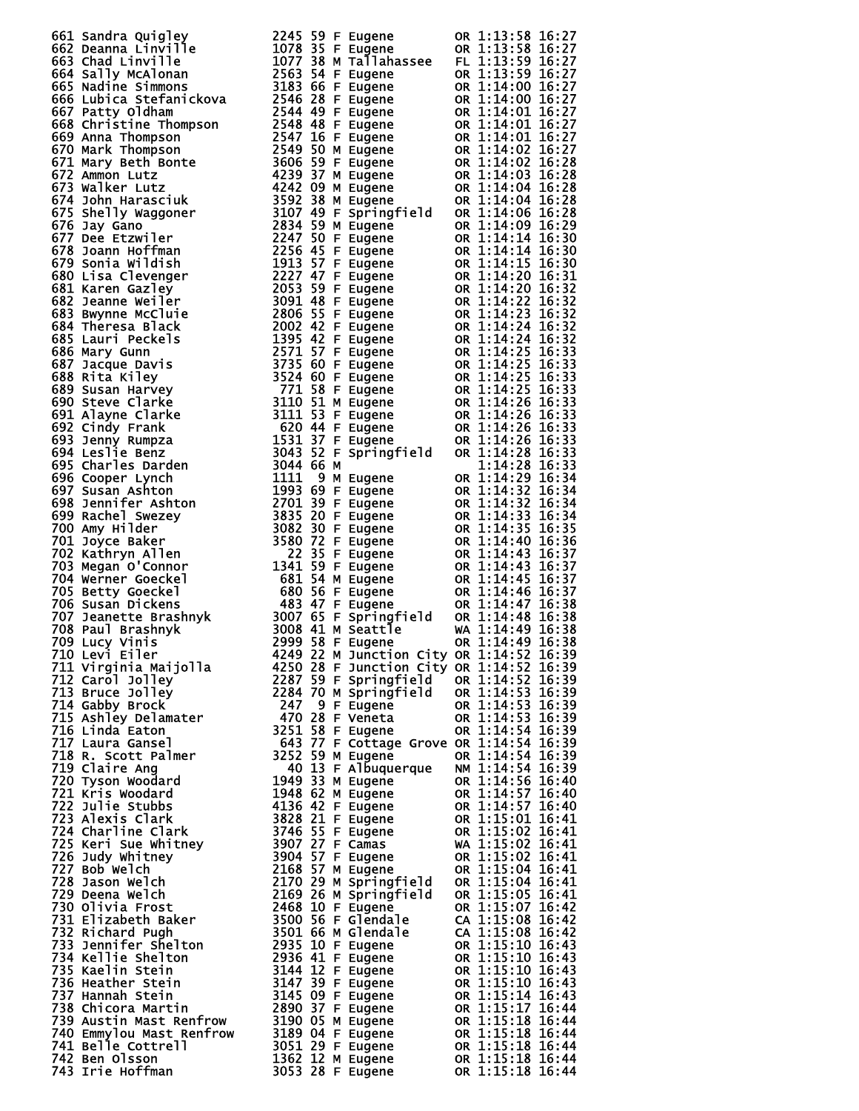| 661 sandra Quigner 2245 59 F Eugene 11.13:58 16:27<br>662 sandra Linyille 1078 35 F Eugene 08 1:13:58 16:27<br>664 Sally McAlonan 1007 35 F Eugene 08 1:13:58 16:27<br>664 Sally McAlonan 1007 35 M Tallahase F L 1:13:59 16:27<br>664 Sa |  |  |  |  |
|-------------------------------------------------------------------------------------------------------------------------------------------------------------------------------------------------------------------------------------------|--|--|--|--|
|                                                                                                                                                                                                                                           |  |  |  |  |
|                                                                                                                                                                                                                                           |  |  |  |  |
|                                                                                                                                                                                                                                           |  |  |  |  |
|                                                                                                                                                                                                                                           |  |  |  |  |
|                                                                                                                                                                                                                                           |  |  |  |  |
|                                                                                                                                                                                                                                           |  |  |  |  |
|                                                                                                                                                                                                                                           |  |  |  |  |
|                                                                                                                                                                                                                                           |  |  |  |  |
|                                                                                                                                                                                                                                           |  |  |  |  |
|                                                                                                                                                                                                                                           |  |  |  |  |
|                                                                                                                                                                                                                                           |  |  |  |  |
|                                                                                                                                                                                                                                           |  |  |  |  |
|                                                                                                                                                                                                                                           |  |  |  |  |
|                                                                                                                                                                                                                                           |  |  |  |  |
|                                                                                                                                                                                                                                           |  |  |  |  |
|                                                                                                                                                                                                                                           |  |  |  |  |
|                                                                                                                                                                                                                                           |  |  |  |  |
|                                                                                                                                                                                                                                           |  |  |  |  |
|                                                                                                                                                                                                                                           |  |  |  |  |
|                                                                                                                                                                                                                                           |  |  |  |  |
|                                                                                                                                                                                                                                           |  |  |  |  |
|                                                                                                                                                                                                                                           |  |  |  |  |
|                                                                                                                                                                                                                                           |  |  |  |  |
|                                                                                                                                                                                                                                           |  |  |  |  |
|                                                                                                                                                                                                                                           |  |  |  |  |
|                                                                                                                                                                                                                                           |  |  |  |  |
|                                                                                                                                                                                                                                           |  |  |  |  |
|                                                                                                                                                                                                                                           |  |  |  |  |
|                                                                                                                                                                                                                                           |  |  |  |  |
|                                                                                                                                                                                                                                           |  |  |  |  |
|                                                                                                                                                                                                                                           |  |  |  |  |
|                                                                                                                                                                                                                                           |  |  |  |  |
|                                                                                                                                                                                                                                           |  |  |  |  |
|                                                                                                                                                                                                                                           |  |  |  |  |
|                                                                                                                                                                                                                                           |  |  |  |  |
|                                                                                                                                                                                                                                           |  |  |  |  |
|                                                                                                                                                                                                                                           |  |  |  |  |
|                                                                                                                                                                                                                                           |  |  |  |  |
|                                                                                                                                                                                                                                           |  |  |  |  |
|                                                                                                                                                                                                                                           |  |  |  |  |
|                                                                                                                                                                                                                                           |  |  |  |  |
|                                                                                                                                                                                                                                           |  |  |  |  |
|                                                                                                                                                                                                                                           |  |  |  |  |
|                                                                                                                                                                                                                                           |  |  |  |  |
|                                                                                                                                                                                                                                           |  |  |  |  |
|                                                                                                                                                                                                                                           |  |  |  |  |
|                                                                                                                                                                                                                                           |  |  |  |  |
|                                                                                                                                                                                                                                           |  |  |  |  |
|                                                                                                                                                                                                                                           |  |  |  |  |
|                                                                                                                                                                                                                                           |  |  |  |  |
|                                                                                                                                                                                                                                           |  |  |  |  |
|                                                                                                                                                                                                                                           |  |  |  |  |
|                                                                                                                                                                                                                                           |  |  |  |  |
|                                                                                                                                                                                                                                           |  |  |  |  |
|                                                                                                                                                                                                                                           |  |  |  |  |
|                                                                                                                                                                                                                                           |  |  |  |  |
|                                                                                                                                                                                                                                           |  |  |  |  |
|                                                                                                                                                                                                                                           |  |  |  |  |
|                                                                                                                                                                                                                                           |  |  |  |  |
|                                                                                                                                                                                                                                           |  |  |  |  |
|                                                                                                                                                                                                                                           |  |  |  |  |
|                                                                                                                                                                                                                                           |  |  |  |  |
|                                                                                                                                                                                                                                           |  |  |  |  |
|                                                                                                                                                                                                                                           |  |  |  |  |
|                                                                                                                                                                                                                                           |  |  |  |  |
|                                                                                                                                                                                                                                           |  |  |  |  |
|                                                                                                                                                                                                                                           |  |  |  |  |
|                                                                                                                                                                                                                                           |  |  |  |  |
|                                                                                                                                                                                                                                           |  |  |  |  |
|                                                                                                                                                                                                                                           |  |  |  |  |
|                                                                                                                                                                                                                                           |  |  |  |  |
|                                                                                                                                                                                                                                           |  |  |  |  |
|                                                                                                                                                                                                                                           |  |  |  |  |
|                                                                                                                                                                                                                                           |  |  |  |  |
|                                                                                                                                                                                                                                           |  |  |  |  |
|                                                                                                                                                                                                                                           |  |  |  |  |
|                                                                                                                                                                                                                                           |  |  |  |  |
|                                                                                                                                                                                                                                           |  |  |  |  |
|                                                                                                                                                                                                                                           |  |  |  |  |
|                                                                                                                                                                                                                                           |  |  |  |  |
|                                                                                                                                                                                                                                           |  |  |  |  |
|                                                                                                                                                                                                                                           |  |  |  |  |
|                                                                                                                                                                                                                                           |  |  |  |  |
|                                                                                                                                                                                                                                           |  |  |  |  |
|                                                                                                                                                                                                                                           |  |  |  |  |
|                                                                                                                                                                                                                                           |  |  |  |  |
|                                                                                                                                                                                                                                           |  |  |  |  |
|                                                                                                                                                                                                                                           |  |  |  |  |
|                                                                                                                                                                                                                                           |  |  |  |  |
|                                                                                                                                                                                                                                           |  |  |  |  |
|                                                                                                                                                                                                                                           |  |  |  |  |
|                                                                                                                                                                                                                                           |  |  |  |  |
|                                                                                                                                                                                                                                           |  |  |  |  |
|                                                                                                                                                                                                                                           |  |  |  |  |
|                                                                                                                                                                                                                                           |  |  |  |  |
|                                                                                                                                                                                                                                           |  |  |  |  |
|                                                                                                                                                                                                                                           |  |  |  |  |
|                                                                                                                                                                                                                                           |  |  |  |  |
| 708 Paul Brashnyk (and 11 Aniat 1916:38<br>709 Lucy Vinis (and 11 Aniat 1918)<br>709 Lucy Vinis (and 11 Aniat 2009 38 F Eugene (and 114:49 16:38<br>7112 Carol Jolley 2287 S9 F Bugene (and 114:52 16:39<br>7112 Carol Jolley 2287 S9     |  |  |  |  |
|                                                                                                                                                                                                                                           |  |  |  |  |
|                                                                                                                                                                                                                                           |  |  |  |  |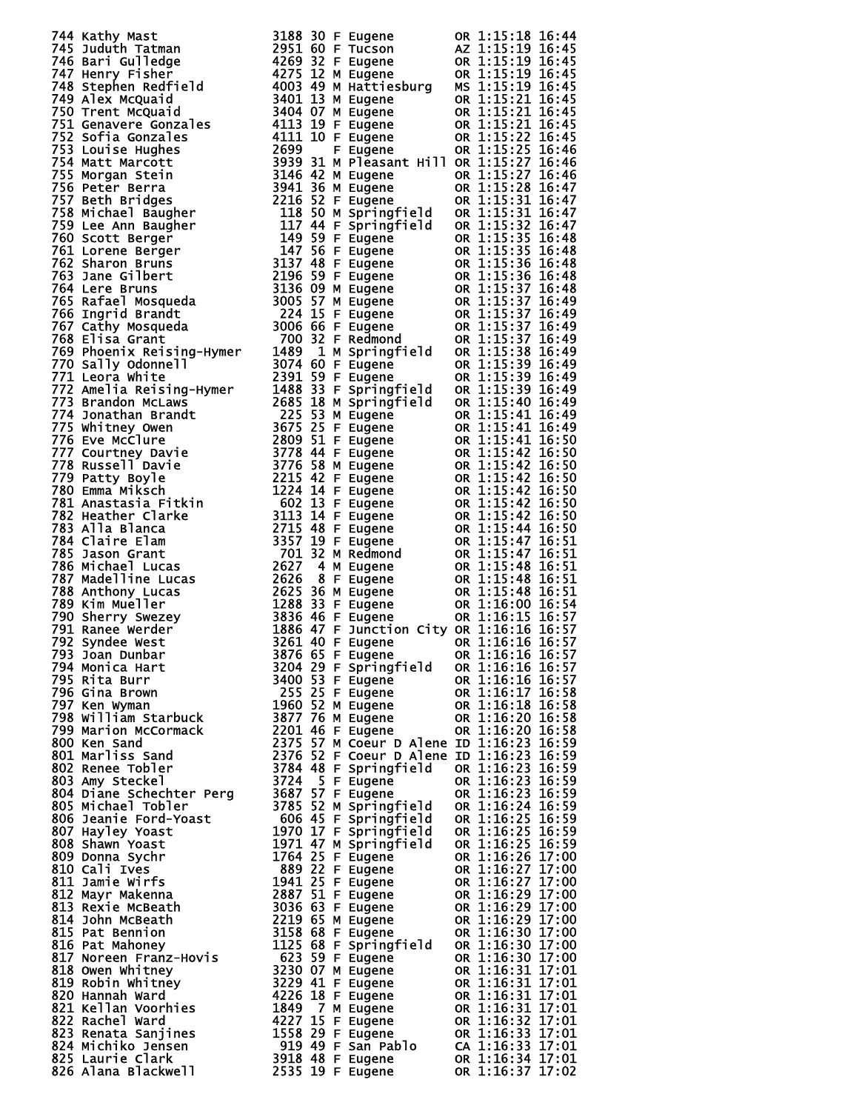| 744 Karthy Mast Tolling (a) 115, 188 30 F Eugene 00 11115; 1816<br>1746 Barri Guilled (a) 2053 30 F Eugene 00 11115; 1816:45<br>1747 Nemri Guilled (a) 2053 32 F Eugene 00 11115; 1916:45<br>1747 Nemri Guilled (a) 2053 32 F Eugene 0    |  |  |
|-------------------------------------------------------------------------------------------------------------------------------------------------------------------------------------------------------------------------------------------|--|--|
|                                                                                                                                                                                                                                           |  |  |
|                                                                                                                                                                                                                                           |  |  |
|                                                                                                                                                                                                                                           |  |  |
|                                                                                                                                                                                                                                           |  |  |
|                                                                                                                                                                                                                                           |  |  |
|                                                                                                                                                                                                                                           |  |  |
|                                                                                                                                                                                                                                           |  |  |
|                                                                                                                                                                                                                                           |  |  |
|                                                                                                                                                                                                                                           |  |  |
|                                                                                                                                                                                                                                           |  |  |
|                                                                                                                                                                                                                                           |  |  |
|                                                                                                                                                                                                                                           |  |  |
|                                                                                                                                                                                                                                           |  |  |
|                                                                                                                                                                                                                                           |  |  |
|                                                                                                                                                                                                                                           |  |  |
|                                                                                                                                                                                                                                           |  |  |
|                                                                                                                                                                                                                                           |  |  |
|                                                                                                                                                                                                                                           |  |  |
|                                                                                                                                                                                                                                           |  |  |
|                                                                                                                                                                                                                                           |  |  |
|                                                                                                                                                                                                                                           |  |  |
|                                                                                                                                                                                                                                           |  |  |
|                                                                                                                                                                                                                                           |  |  |
|                                                                                                                                                                                                                                           |  |  |
|                                                                                                                                                                                                                                           |  |  |
|                                                                                                                                                                                                                                           |  |  |
|                                                                                                                                                                                                                                           |  |  |
|                                                                                                                                                                                                                                           |  |  |
|                                                                                                                                                                                                                                           |  |  |
|                                                                                                                                                                                                                                           |  |  |
|                                                                                                                                                                                                                                           |  |  |
|                                                                                                                                                                                                                                           |  |  |
|                                                                                                                                                                                                                                           |  |  |
|                                                                                                                                                                                                                                           |  |  |
|                                                                                                                                                                                                                                           |  |  |
|                                                                                                                                                                                                                                           |  |  |
|                                                                                                                                                                                                                                           |  |  |
|                                                                                                                                                                                                                                           |  |  |
|                                                                                                                                                                                                                                           |  |  |
|                                                                                                                                                                                                                                           |  |  |
|                                                                                                                                                                                                                                           |  |  |
|                                                                                                                                                                                                                                           |  |  |
|                                                                                                                                                                                                                                           |  |  |
|                                                                                                                                                                                                                                           |  |  |
|                                                                                                                                                                                                                                           |  |  |
|                                                                                                                                                                                                                                           |  |  |
|                                                                                                                                                                                                                                           |  |  |
|                                                                                                                                                                                                                                           |  |  |
|                                                                                                                                                                                                                                           |  |  |
|                                                                                                                                                                                                                                           |  |  |
|                                                                                                                                                                                                                                           |  |  |
|                                                                                                                                                                                                                                           |  |  |
|                                                                                                                                                                                                                                           |  |  |
|                                                                                                                                                                                                                                           |  |  |
|                                                                                                                                                                                                                                           |  |  |
|                                                                                                                                                                                                                                           |  |  |
|                                                                                                                                                                                                                                           |  |  |
|                                                                                                                                                                                                                                           |  |  |
|                                                                                                                                                                                                                                           |  |  |
|                                                                                                                                                                                                                                           |  |  |
|                                                                                                                                                                                                                                           |  |  |
|                                                                                                                                                                                                                                           |  |  |
|                                                                                                                                                                                                                                           |  |  |
|                                                                                                                                                                                                                                           |  |  |
|                                                                                                                                                                                                                                           |  |  |
|                                                                                                                                                                                                                                           |  |  |
|                                                                                                                                                                                                                                           |  |  |
|                                                                                                                                                                                                                                           |  |  |
|                                                                                                                                                                                                                                           |  |  |
|                                                                                                                                                                                                                                           |  |  |
|                                                                                                                                                                                                                                           |  |  |
|                                                                                                                                                                                                                                           |  |  |
|                                                                                                                                                                                                                                           |  |  |
|                                                                                                                                                                                                                                           |  |  |
|                                                                                                                                                                                                                                           |  |  |
|                                                                                                                                                                                                                                           |  |  |
|                                                                                                                                                                                                                                           |  |  |
|                                                                                                                                                                                                                                           |  |  |
|                                                                                                                                                                                                                                           |  |  |
|                                                                                                                                                                                                                                           |  |  |
|                                                                                                                                                                                                                                           |  |  |
| 791 Ranee Verder<br>792 Synde West 11886 47 F Junction City OR 1:16:161615:57<br>793 Synde West 118876 65 F Eugene 0R 1:16:161616:57<br>793 Nonrica Hart<br>13261 40 F Eugene 0R 1:16:161616:57<br>794 Monica Hart<br>13264 46 F Eugene 0 |  |  |
|                                                                                                                                                                                                                                           |  |  |
|                                                                                                                                                                                                                                           |  |  |
|                                                                                                                                                                                                                                           |  |  |
|                                                                                                                                                                                                                                           |  |  |
|                                                                                                                                                                                                                                           |  |  |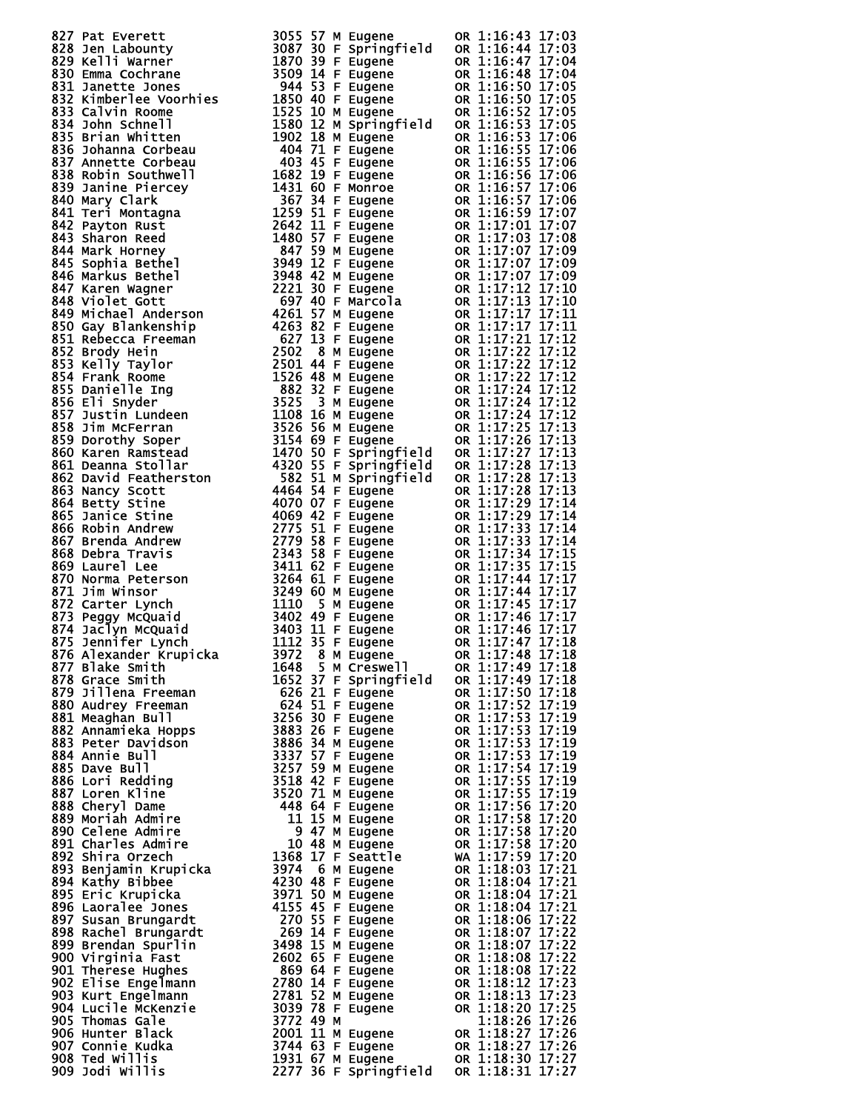| 821 Pat Leverth 1992<br>1993 Pat Leverth 1992<br>1993 Pat Leverth 1992<br>1993 Pat Leverth 1992<br>1993 Pat Leverth 1993 Pat Leverth 1993<br>1993 Pattern Leverth 1993 Pat Leverth 1993<br>1993 Pattern Leverth 1993 Pat Leverth 1993<br>1993 Pat |  |
|---------------------------------------------------------------------------------------------------------------------------------------------------------------------------------------------------------------------------------------------------|--|
|                                                                                                                                                                                                                                                   |  |
|                                                                                                                                                                                                                                                   |  |
|                                                                                                                                                                                                                                                   |  |
|                                                                                                                                                                                                                                                   |  |
|                                                                                                                                                                                                                                                   |  |
|                                                                                                                                                                                                                                                   |  |
|                                                                                                                                                                                                                                                   |  |
|                                                                                                                                                                                                                                                   |  |
|                                                                                                                                                                                                                                                   |  |
|                                                                                                                                                                                                                                                   |  |
|                                                                                                                                                                                                                                                   |  |
|                                                                                                                                                                                                                                                   |  |
|                                                                                                                                                                                                                                                   |  |
|                                                                                                                                                                                                                                                   |  |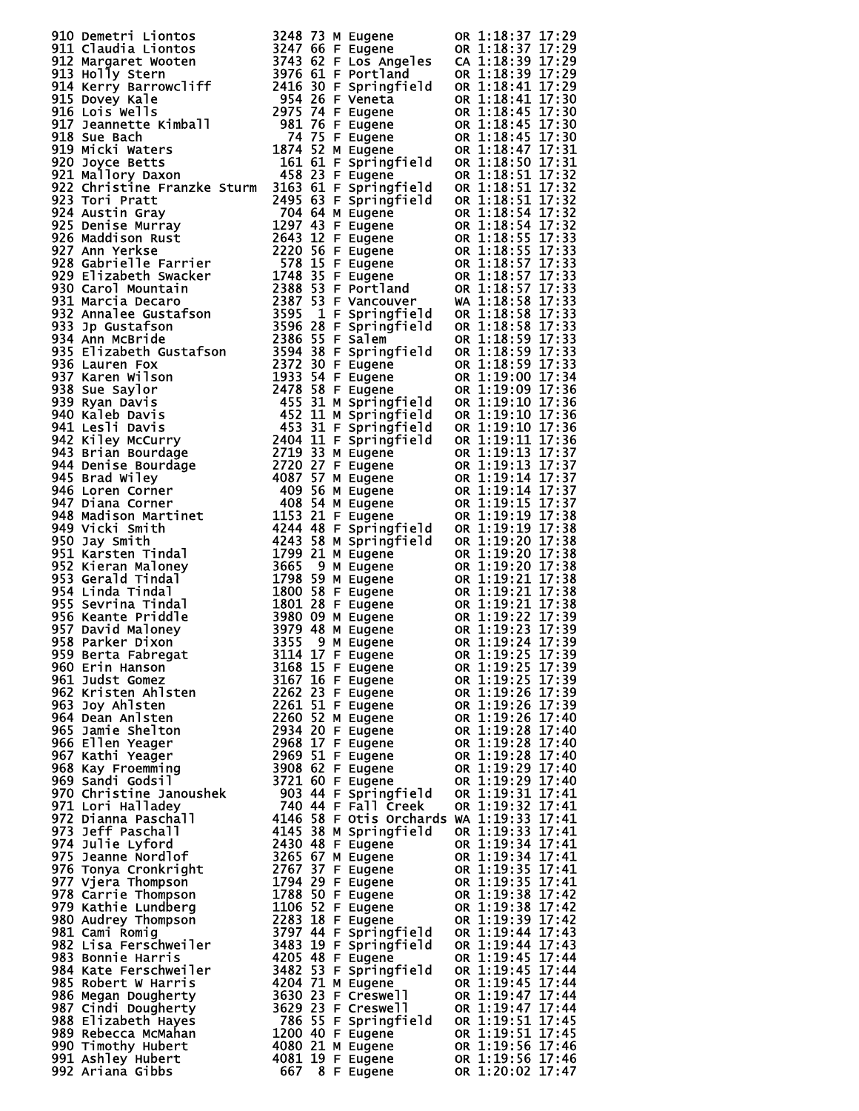| 910 Dematri Lindots 3248 73 M Nugame (x 1118:37 17:23<br>911 Claudia Liontos 3248 73 M Eugene 00 1:118:37 17:23<br>911 McDly Stern (x 112) 2017 62 F Every (x 112) 2017 17:33<br>911 McDly Stern (1ff 1947) 822 F Every Hard (x 111             |  |                  |
|-------------------------------------------------------------------------------------------------------------------------------------------------------------------------------------------------------------------------------------------------|--|------------------|
|                                                                                                                                                                                                                                                 |  |                  |
|                                                                                                                                                                                                                                                 |  |                  |
|                                                                                                                                                                                                                                                 |  |                  |
|                                                                                                                                                                                                                                                 |  |                  |
|                                                                                                                                                                                                                                                 |  |                  |
|                                                                                                                                                                                                                                                 |  |                  |
|                                                                                                                                                                                                                                                 |  |                  |
|                                                                                                                                                                                                                                                 |  |                  |
|                                                                                                                                                                                                                                                 |  |                  |
|                                                                                                                                                                                                                                                 |  |                  |
|                                                                                                                                                                                                                                                 |  |                  |
|                                                                                                                                                                                                                                                 |  |                  |
|                                                                                                                                                                                                                                                 |  |                  |
|                                                                                                                                                                                                                                                 |  |                  |
|                                                                                                                                                                                                                                                 |  |                  |
|                                                                                                                                                                                                                                                 |  |                  |
|                                                                                                                                                                                                                                                 |  |                  |
|                                                                                                                                                                                                                                                 |  |                  |
|                                                                                                                                                                                                                                                 |  |                  |
|                                                                                                                                                                                                                                                 |  |                  |
|                                                                                                                                                                                                                                                 |  |                  |
|                                                                                                                                                                                                                                                 |  |                  |
|                                                                                                                                                                                                                                                 |  |                  |
|                                                                                                                                                                                                                                                 |  |                  |
|                                                                                                                                                                                                                                                 |  |                  |
|                                                                                                                                                                                                                                                 |  |                  |
|                                                                                                                                                                                                                                                 |  |                  |
|                                                                                                                                                                                                                                                 |  |                  |
|                                                                                                                                                                                                                                                 |  |                  |
|                                                                                                                                                                                                                                                 |  |                  |
|                                                                                                                                                                                                                                                 |  |                  |
|                                                                                                                                                                                                                                                 |  |                  |
|                                                                                                                                                                                                                                                 |  |                  |
|                                                                                                                                                                                                                                                 |  |                  |
|                                                                                                                                                                                                                                                 |  |                  |
|                                                                                                                                                                                                                                                 |  |                  |
|                                                                                                                                                                                                                                                 |  |                  |
|                                                                                                                                                                                                                                                 |  |                  |
|                                                                                                                                                                                                                                                 |  |                  |
|                                                                                                                                                                                                                                                 |  |                  |
|                                                                                                                                                                                                                                                 |  |                  |
|                                                                                                                                                                                                                                                 |  |                  |
|                                                                                                                                                                                                                                                 |  |                  |
|                                                                                                                                                                                                                                                 |  |                  |
|                                                                                                                                                                                                                                                 |  |                  |
|                                                                                                                                                                                                                                                 |  |                  |
|                                                                                                                                                                                                                                                 |  |                  |
|                                                                                                                                                                                                                                                 |  |                  |
|                                                                                                                                                                                                                                                 |  |                  |
|                                                                                                                                                                                                                                                 |  |                  |
|                                                                                                                                                                                                                                                 |  |                  |
|                                                                                                                                                                                                                                                 |  |                  |
|                                                                                                                                                                                                                                                 |  |                  |
|                                                                                                                                                                                                                                                 |  |                  |
|                                                                                                                                                                                                                                                 |  |                  |
|                                                                                                                                                                                                                                                 |  |                  |
|                                                                                                                                                                                                                                                 |  | OR 1:19:25 17:39 |
|                                                                                                                                                                                                                                                 |  |                  |
|                                                                                                                                                                                                                                                 |  |                  |
|                                                                                                                                                                                                                                                 |  |                  |
|                                                                                                                                                                                                                                                 |  |                  |
|                                                                                                                                                                                                                                                 |  |                  |
|                                                                                                                                                                                                                                                 |  |                  |
|                                                                                                                                                                                                                                                 |  |                  |
|                                                                                                                                                                                                                                                 |  |                  |
|                                                                                                                                                                                                                                                 |  |                  |
|                                                                                                                                                                                                                                                 |  |                  |
|                                                                                                                                                                                                                                                 |  |                  |
|                                                                                                                                                                                                                                                 |  |                  |
|                                                                                                                                                                                                                                                 |  |                  |
|                                                                                                                                                                                                                                                 |  |                  |
|                                                                                                                                                                                                                                                 |  |                  |
|                                                                                                                                                                                                                                                 |  |                  |
|                                                                                                                                                                                                                                                 |  |                  |
|                                                                                                                                                                                                                                                 |  |                  |
|                                                                                                                                                                                                                                                 |  |                  |
|                                                                                                                                                                                                                                                 |  |                  |
|                                                                                                                                                                                                                                                 |  |                  |
|                                                                                                                                                                                                                                                 |  |                  |
|                                                                                                                                                                                                                                                 |  |                  |
|                                                                                                                                                                                                                                                 |  |                  |
|                                                                                                                                                                                                                                                 |  |                  |
|                                                                                                                                                                                                                                                 |  |                  |
|                                                                                                                                                                                                                                                 |  |                  |
|                                                                                                                                                                                                                                                 |  |                  |
|                                                                                                                                                                                                                                                 |  |                  |
|                                                                                                                                                                                                                                                 |  |                  |
|                                                                                                                                                                                                                                                 |  |                  |
|                                                                                                                                                                                                                                                 |  |                  |
|                                                                                                                                                                                                                                                 |  |                  |
|                                                                                                                                                                                                                                                 |  |                  |
|                                                                                                                                                                                                                                                 |  |                  |
|                                                                                                                                                                                                                                                 |  |                  |
|                                                                                                                                                                                                                                                 |  |                  |
|                                                                                                                                                                                                                                                 |  |                  |
| 938 Parker Dixon<br>938 Berta Fabregat<br>939 Berta Fabregat<br>960 Erin Hanson<br>960 Erin Hanson<br>960 Erin Hanson<br>960 Erin Hanson<br>960 Eudene OR 1:19:25 17:39<br>960 Erin Hanson<br>960 Indistribution 2260 51 F Eugene OR 1:19:25 17 |  |                  |
|                                                                                                                                                                                                                                                 |  |                  |
|                                                                                                                                                                                                                                                 |  |                  |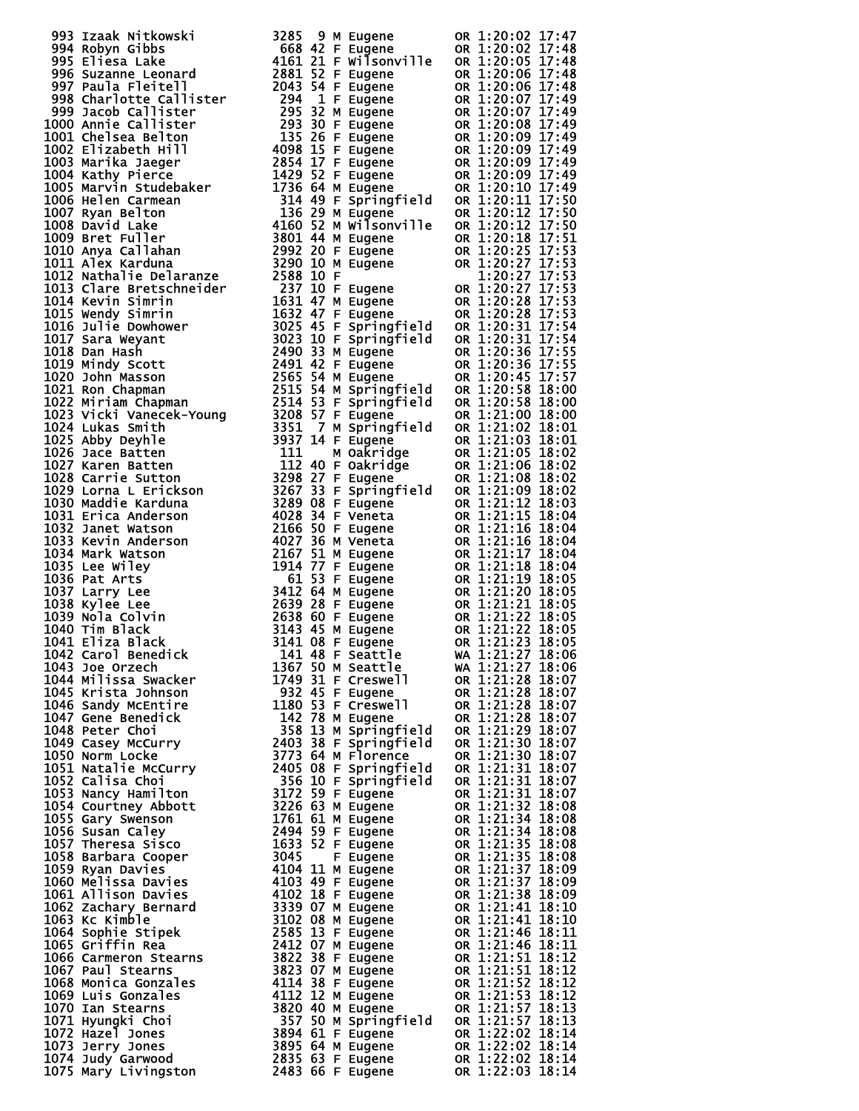| 993 III State with the set of the set of the set of the set of the set of the set of the set of the set of the set of the set of the set of the set of the set of the set of the set of the set of the set of the set of the |  |  |  |
|------------------------------------------------------------------------------------------------------------------------------------------------------------------------------------------------------------------------------|--|--|--|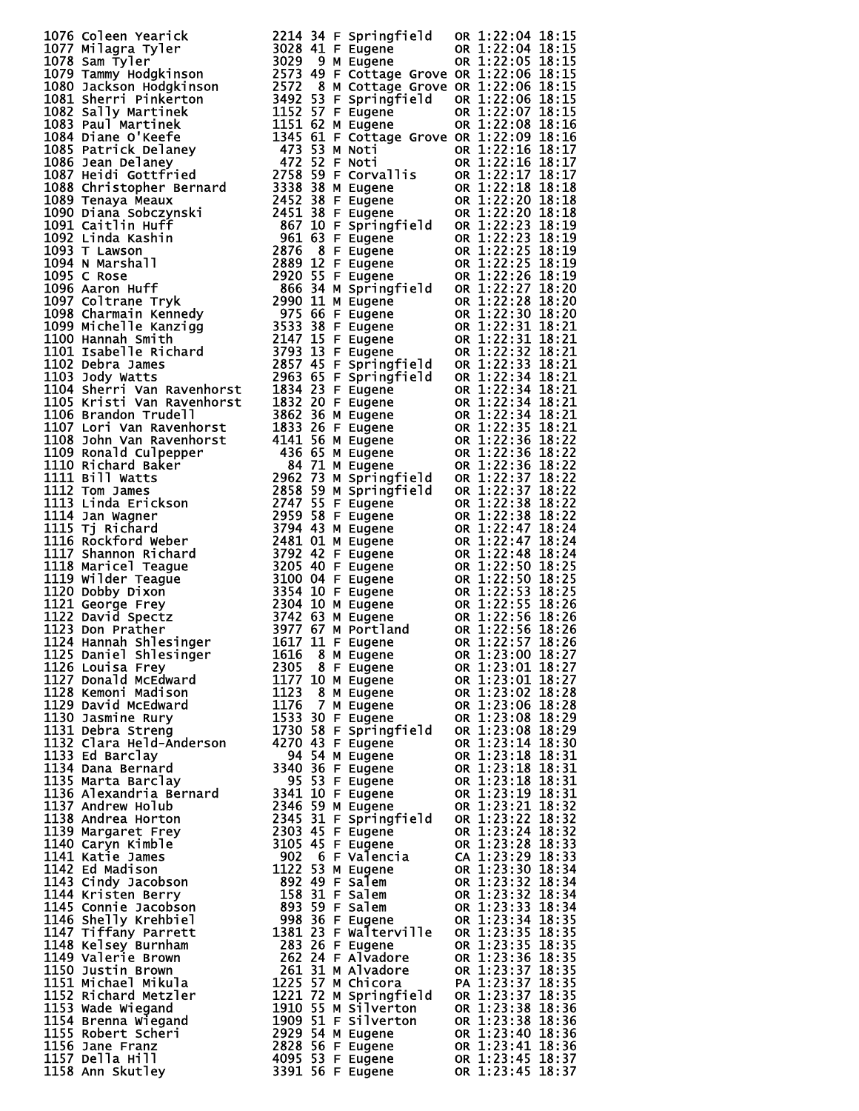| 1076 Colear Year 114, 1921 44 F springfield<br>1077 Wilagra Tyler<br>1077 Milagra Tyler<br>1077 Simming Properties<br>1079 Tammy Hodgethrson<br>1078 Sam Tyler<br>1078 Tammy Hodgethrson<br>1079 Tammy Hodgethrson<br>1079 Tammy Hodgethrson<br>     |  |                                     |                                              |  |
|------------------------------------------------------------------------------------------------------------------------------------------------------------------------------------------------------------------------------------------------------|--|-------------------------------------|----------------------------------------------|--|
|                                                                                                                                                                                                                                                      |  |                                     |                                              |  |
|                                                                                                                                                                                                                                                      |  |                                     |                                              |  |
|                                                                                                                                                                                                                                                      |  |                                     |                                              |  |
|                                                                                                                                                                                                                                                      |  |                                     |                                              |  |
|                                                                                                                                                                                                                                                      |  |                                     |                                              |  |
|                                                                                                                                                                                                                                                      |  |                                     |                                              |  |
|                                                                                                                                                                                                                                                      |  |                                     |                                              |  |
|                                                                                                                                                                                                                                                      |  |                                     |                                              |  |
|                                                                                                                                                                                                                                                      |  |                                     |                                              |  |
|                                                                                                                                                                                                                                                      |  |                                     |                                              |  |
|                                                                                                                                                                                                                                                      |  |                                     |                                              |  |
|                                                                                                                                                                                                                                                      |  |                                     |                                              |  |
|                                                                                                                                                                                                                                                      |  |                                     |                                              |  |
|                                                                                                                                                                                                                                                      |  |                                     |                                              |  |
|                                                                                                                                                                                                                                                      |  |                                     |                                              |  |
|                                                                                                                                                                                                                                                      |  |                                     |                                              |  |
|                                                                                                                                                                                                                                                      |  |                                     |                                              |  |
|                                                                                                                                                                                                                                                      |  |                                     |                                              |  |
|                                                                                                                                                                                                                                                      |  |                                     |                                              |  |
|                                                                                                                                                                                                                                                      |  |                                     |                                              |  |
|                                                                                                                                                                                                                                                      |  |                                     |                                              |  |
|                                                                                                                                                                                                                                                      |  |                                     |                                              |  |
|                                                                                                                                                                                                                                                      |  |                                     |                                              |  |
|                                                                                                                                                                                                                                                      |  |                                     |                                              |  |
|                                                                                                                                                                                                                                                      |  |                                     |                                              |  |
|                                                                                                                                                                                                                                                      |  |                                     |                                              |  |
|                                                                                                                                                                                                                                                      |  |                                     |                                              |  |
|                                                                                                                                                                                                                                                      |  |                                     |                                              |  |
|                                                                                                                                                                                                                                                      |  |                                     |                                              |  |
|                                                                                                                                                                                                                                                      |  |                                     |                                              |  |
|                                                                                                                                                                                                                                                      |  |                                     |                                              |  |
|                                                                                                                                                                                                                                                      |  |                                     |                                              |  |
|                                                                                                                                                                                                                                                      |  |                                     |                                              |  |
|                                                                                                                                                                                                                                                      |  |                                     |                                              |  |
|                                                                                                                                                                                                                                                      |  |                                     |                                              |  |
|                                                                                                                                                                                                                                                      |  |                                     |                                              |  |
|                                                                                                                                                                                                                                                      |  |                                     |                                              |  |
|                                                                                                                                                                                                                                                      |  |                                     |                                              |  |
|                                                                                                                                                                                                                                                      |  |                                     |                                              |  |
|                                                                                                                                                                                                                                                      |  |                                     |                                              |  |
|                                                                                                                                                                                                                                                      |  |                                     |                                              |  |
|                                                                                                                                                                                                                                                      |  |                                     |                                              |  |
|                                                                                                                                                                                                                                                      |  |                                     |                                              |  |
|                                                                                                                                                                                                                                                      |  |                                     |                                              |  |
|                                                                                                                                                                                                                                                      |  |                                     |                                              |  |
|                                                                                                                                                                                                                                                      |  |                                     |                                              |  |
|                                                                                                                                                                                                                                                      |  |                                     |                                              |  |
|                                                                                                                                                                                                                                                      |  |                                     |                                              |  |
|                                                                                                                                                                                                                                                      |  |                                     |                                              |  |
|                                                                                                                                                                                                                                                      |  |                                     |                                              |  |
|                                                                                                                                                                                                                                                      |  |                                     |                                              |  |
|                                                                                                                                                                                                                                                      |  |                                     |                                              |  |
|                                                                                                                                                                                                                                                      |  |                                     |                                              |  |
|                                                                                                                                                                                                                                                      |  |                                     |                                              |  |
|                                                                                                                                                                                                                                                      |  |                                     |                                              |  |
|                                                                                                                                                                                                                                                      |  |                                     |                                              |  |
|                                                                                                                                                                                                                                                      |  |                                     |                                              |  |
|                                                                                                                                                                                                                                                      |  |                                     |                                              |  |
| 1126 Louisa Frey                                                                                                                                                                                                                                     |  |                                     | OR 1:23:01 18:27                             |  |
| 1126 Louisa Frey<br>1127 Donald McEdward<br>1127 Donald McEdward<br>1127 10 M Eugene<br>1128 Kemoni Madison<br>1123 8 M Eugene<br>1129 David McEdward<br>1132 Clara Held-Anderson<br>1253 30 F Eugene<br>1131 Debra Streng<br>1730 58 F Springfi<br> |  | 2305 8 F Eugene<br>1177 10 M Eugene |                                              |  |
|                                                                                                                                                                                                                                                      |  |                                     | OR 1:23:01 18:27                             |  |
|                                                                                                                                                                                                                                                      |  |                                     | OR 1:23:02 18:28                             |  |
|                                                                                                                                                                                                                                                      |  |                                     | OR 1:23:06 18:28                             |  |
|                                                                                                                                                                                                                                                      |  | 7 M Eugene<br>30 F Eugene           | OR 1:23:08 18:29                             |  |
|                                                                                                                                                                                                                                                      |  |                                     |                                              |  |
|                                                                                                                                                                                                                                                      |  | 1730 58 F Springfield               | OR 1:23:08 18:29                             |  |
|                                                                                                                                                                                                                                                      |  |                                     | OR 1:23:14 18:30                             |  |
| 1133 Ed Barclay                                                                                                                                                                                                                                      |  | 94 54 M Eugene                      | OR 1:23:18 18:31                             |  |
| 1134 Dana Bernard                                                                                                                                                                                                                                    |  | 3340 36 F Eugene                    | OR 1:23:18 18:31                             |  |
| 1135 Marta Barclay                                                                                                                                                                                                                                   |  | 95 53 F Eugene                      | OR 1:23:18 18:31                             |  |
|                                                                                                                                                                                                                                                      |  |                                     |                                              |  |
|                                                                                                                                                                                                                                                      |  |                                     | OR 1:23:19 18:31                             |  |
|                                                                                                                                                                                                                                                      |  |                                     | OR 1:23:21 18:32                             |  |
|                                                                                                                                                                                                                                                      |  |                                     | OR 1:23:22 18:32                             |  |
|                                                                                                                                                                                                                                                      |  |                                     | OR 1:23:24 18:32                             |  |
|                                                                                                                                                                                                                                                      |  |                                     |                                              |  |
|                                                                                                                                                                                                                                                      |  |                                     | OR 1:23:28 18:33                             |  |
|                                                                                                                                                                                                                                                      |  |                                     | CA 1:23:29 18:33                             |  |
|                                                                                                                                                                                                                                                      |  |                                     | OR 1:23:30 18:34                             |  |
|                                                                                                                                                                                                                                                      |  |                                     |                                              |  |
|                                                                                                                                                                                                                                                      |  |                                     | OR 1:23:32 18:34<br>OR 1:23:32 18:34         |  |
|                                                                                                                                                                                                                                                      |  |                                     |                                              |  |
|                                                                                                                                                                                                                                                      |  |                                     | OR 1:23:33 18:34                             |  |
|                                                                                                                                                                                                                                                      |  |                                     | OR 1:23:34 18:35                             |  |
|                                                                                                                                                                                                                                                      |  |                                     |                                              |  |
|                                                                                                                                                                                                                                                      |  |                                     | OR 1:23:35 18:35<br>OR 1:23:35 18:35         |  |
|                                                                                                                                                                                                                                                      |  |                                     |                                              |  |
|                                                                                                                                                                                                                                                      |  |                                     | OR 1:23:36 18:35                             |  |
|                                                                                                                                                                                                                                                      |  |                                     | OR 1:23:37 18:35                             |  |
|                                                                                                                                                                                                                                                      |  |                                     |                                              |  |
|                                                                                                                                                                                                                                                      |  |                                     | PA 1:23:37 18:35<br>OR 1:23:37 18:35         |  |
|                                                                                                                                                                                                                                                      |  |                                     |                                              |  |
|                                                                                                                                                                                                                                                      |  |                                     | OR 1:23:38 18:36                             |  |
|                                                                                                                                                                                                                                                      |  |                                     | OR 1:23:38 18:36                             |  |
|                                                                                                                                                                                                                                                      |  |                                     | OR 1:23:40 18:36                             |  |
|                                                                                                                                                                                                                                                      |  |                                     | <b>OR 1:23:40 18:36<br/>OR 1:23:41 18:36</b> |  |
| 1134 Dana Bernard<br>1135 Marta Barclay<br>1135 Marta Barclay<br>1136 Alexandria Bernard<br>1336 Andrew Holub<br>1138 Andrew Holub<br>1139 Margaret Frey<br>1139 Margaret Frey<br>2303 45 F Eugene<br>1141 Katie James<br>1142 Ed Madison<br>1142 E  |  |                                     | OR 1:23:45 18:37                             |  |
|                                                                                                                                                                                                                                                      |  | 3391 56 F Eugene                    | OR 1:23:45 18:37                             |  |
|                                                                                                                                                                                                                                                      |  |                                     |                                              |  |

|            |                                                                                                                                                                                                                                                   | 18:15                                                                                                                                                                                                                                                                                                                                                                                                                                                                                                                                                                                                                                                                                                                                                                                                                                                                                                                                                                                                                                                                                                                                                                                                                                                                         |
|------------|---------------------------------------------------------------------------------------------------------------------------------------------------------------------------------------------------------------------------------------------------|-------------------------------------------------------------------------------------------------------------------------------------------------------------------------------------------------------------------------------------------------------------------------------------------------------------------------------------------------------------------------------------------------------------------------------------------------------------------------------------------------------------------------------------------------------------------------------------------------------------------------------------------------------------------------------------------------------------------------------------------------------------------------------------------------------------------------------------------------------------------------------------------------------------------------------------------------------------------------------------------------------------------------------------------------------------------------------------------------------------------------------------------------------------------------------------------------------------------------------------------------------------------------------|
|            |                                                                                                                                                                                                                                                   | 18:15<br>18:15                                                                                                                                                                                                                                                                                                                                                                                                                                                                                                                                                                                                                                                                                                                                                                                                                                                                                                                                                                                                                                                                                                                                                                                                                                                                |
| tage Grove |                                                                                                                                                                                                                                                   | 18:15                                                                                                                                                                                                                                                                                                                                                                                                                                                                                                                                                                                                                                                                                                                                                                                                                                                                                                                                                                                                                                                                                                                                                                                                                                                                         |
| tage Grove |                                                                                                                                                                                                                                                   | 18:15                                                                                                                                                                                                                                                                                                                                                                                                                                                                                                                                                                                                                                                                                                                                                                                                                                                                                                                                                                                                                                                                                                                                                                                                                                                                         |
|            |                                                                                                                                                                                                                                                   | 18:15                                                                                                                                                                                                                                                                                                                                                                                                                                                                                                                                                                                                                                                                                                                                                                                                                                                                                                                                                                                                                                                                                                                                                                                                                                                                         |
|            |                                                                                                                                                                                                                                                   | 18:15<br>18:16                                                                                                                                                                                                                                                                                                                                                                                                                                                                                                                                                                                                                                                                                                                                                                                                                                                                                                                                                                                                                                                                                                                                                                                                                                                                |
| 0R.        |                                                                                                                                                                                                                                                   | 18:16                                                                                                                                                                                                                                                                                                                                                                                                                                                                                                                                                                                                                                                                                                                                                                                                                                                                                                                                                                                                                                                                                                                                                                                                                                                                         |
|            |                                                                                                                                                                                                                                                   | 18:17                                                                                                                                                                                                                                                                                                                                                                                                                                                                                                                                                                                                                                                                                                                                                                                                                                                                                                                                                                                                                                                                                                                                                                                                                                                                         |
|            |                                                                                                                                                                                                                                                   | 18:17                                                                                                                                                                                                                                                                                                                                                                                                                                                                                                                                                                                                                                                                                                                                                                                                                                                                                                                                                                                                                                                                                                                                                                                                                                                                         |
|            |                                                                                                                                                                                                                                                   | 18:17<br>18:18                                                                                                                                                                                                                                                                                                                                                                                                                                                                                                                                                                                                                                                                                                                                                                                                                                                                                                                                                                                                                                                                                                                                                                                                                                                                |
|            |                                                                                                                                                                                                                                                   | 18:18                                                                                                                                                                                                                                                                                                                                                                                                                                                                                                                                                                                                                                                                                                                                                                                                                                                                                                                                                                                                                                                                                                                                                                                                                                                                         |
|            |                                                                                                                                                                                                                                                   | 18:18                                                                                                                                                                                                                                                                                                                                                                                                                                                                                                                                                                                                                                                                                                                                                                                                                                                                                                                                                                                                                                                                                                                                                                                                                                                                         |
|            |                                                                                                                                                                                                                                                   | 18:19<br>18:19                                                                                                                                                                                                                                                                                                                                                                                                                                                                                                                                                                                                                                                                                                                                                                                                                                                                                                                                                                                                                                                                                                                                                                                                                                                                |
|            |                                                                                                                                                                                                                                                   | 18:19                                                                                                                                                                                                                                                                                                                                                                                                                                                                                                                                                                                                                                                                                                                                                                                                                                                                                                                                                                                                                                                                                                                                                                                                                                                                         |
|            |                                                                                                                                                                                                                                                   | 18:19                                                                                                                                                                                                                                                                                                                                                                                                                                                                                                                                                                                                                                                                                                                                                                                                                                                                                                                                                                                                                                                                                                                                                                                                                                                                         |
|            |                                                                                                                                                                                                                                                   | 18:19                                                                                                                                                                                                                                                                                                                                                                                                                                                                                                                                                                                                                                                                                                                                                                                                                                                                                                                                                                                                                                                                                                                                                                                                                                                                         |
|            |                                                                                                                                                                                                                                                   | 18:20<br>18:20                                                                                                                                                                                                                                                                                                                                                                                                                                                                                                                                                                                                                                                                                                                                                                                                                                                                                                                                                                                                                                                                                                                                                                                                                                                                |
|            |                                                                                                                                                                                                                                                   | 18:20                                                                                                                                                                                                                                                                                                                                                                                                                                                                                                                                                                                                                                                                                                                                                                                                                                                                                                                                                                                                                                                                                                                                                                                                                                                                         |
|            |                                                                                                                                                                                                                                                   | 18:21                                                                                                                                                                                                                                                                                                                                                                                                                                                                                                                                                                                                                                                                                                                                                                                                                                                                                                                                                                                                                                                                                                                                                                                                                                                                         |
| 0R.        |                                                                                                                                                                                                                                                   | 18:21                                                                                                                                                                                                                                                                                                                                                                                                                                                                                                                                                                                                                                                                                                                                                                                                                                                                                                                                                                                                                                                                                                                                                                                                                                                                         |
|            |                                                                                                                                                                                                                                                   | 18:21                                                                                                                                                                                                                                                                                                                                                                                                                                                                                                                                                                                                                                                                                                                                                                                                                                                                                                                                                                                                                                                                                                                                                                                                                                                                         |
|            |                                                                                                                                                                                                                                                   |                                                                                                                                                                                                                                                                                                                                                                                                                                                                                                                                                                                                                                                                                                                                                                                                                                                                                                                                                                                                                                                                                                                                                                                                                                                                               |
| 0R.        |                                                                                                                                                                                                                                                   | 18:21                                                                                                                                                                                                                                                                                                                                                                                                                                                                                                                                                                                                                                                                                                                                                                                                                                                                                                                                                                                                                                                                                                                                                                                                                                                                         |
|            |                                                                                                                                                                                                                                                   | 18:21                                                                                                                                                                                                                                                                                                                                                                                                                                                                                                                                                                                                                                                                                                                                                                                                                                                                                                                                                                                                                                                                                                                                                                                                                                                                         |
|            |                                                                                                                                                                                                                                                   | 18:21<br>18:21                                                                                                                                                                                                                                                                                                                                                                                                                                                                                                                                                                                                                                                                                                                                                                                                                                                                                                                                                                                                                                                                                                                                                                                                                                                                |
| 0R.        |                                                                                                                                                                                                                                                   | 18:22                                                                                                                                                                                                                                                                                                                                                                                                                                                                                                                                                                                                                                                                                                                                                                                                                                                                                                                                                                                                                                                                                                                                                                                                                                                                         |
|            |                                                                                                                                                                                                                                                   | 18:22                                                                                                                                                                                                                                                                                                                                                                                                                                                                                                                                                                                                                                                                                                                                                                                                                                                                                                                                                                                                                                                                                                                                                                                                                                                                         |
|            |                                                                                                                                                                                                                                                   | 18:22<br>18:22                                                                                                                                                                                                                                                                                                                                                                                                                                                                                                                                                                                                                                                                                                                                                                                                                                                                                                                                                                                                                                                                                                                                                                                                                                                                |
|            |                                                                                                                                                                                                                                                   | 18:22                                                                                                                                                                                                                                                                                                                                                                                                                                                                                                                                                                                                                                                                                                                                                                                                                                                                                                                                                                                                                                                                                                                                                                                                                                                                         |
| OR         |                                                                                                                                                                                                                                                   | 18:22                                                                                                                                                                                                                                                                                                                                                                                                                                                                                                                                                                                                                                                                                                                                                                                                                                                                                                                                                                                                                                                                                                                                                                                                                                                                         |
|            |                                                                                                                                                                                                                                                   | 18:22                                                                                                                                                                                                                                                                                                                                                                                                                                                                                                                                                                                                                                                                                                                                                                                                                                                                                                                                                                                                                                                                                                                                                                                                                                                                         |
|            |                                                                                                                                                                                                                                                   | 18:24<br>18:24                                                                                                                                                                                                                                                                                                                                                                                                                                                                                                                                                                                                                                                                                                                                                                                                                                                                                                                                                                                                                                                                                                                                                                                                                                                                |
|            |                                                                                                                                                                                                                                                   | 18:24                                                                                                                                                                                                                                                                                                                                                                                                                                                                                                                                                                                                                                                                                                                                                                                                                                                                                                                                                                                                                                                                                                                                                                                                                                                                         |
|            |                                                                                                                                                                                                                                                   | 18:25                                                                                                                                                                                                                                                                                                                                                                                                                                                                                                                                                                                                                                                                                                                                                                                                                                                                                                                                                                                                                                                                                                                                                                                                                                                                         |
|            |                                                                                                                                                                                                                                                   | 18:25                                                                                                                                                                                                                                                                                                                                                                                                                                                                                                                                                                                                                                                                                                                                                                                                                                                                                                                                                                                                                                                                                                                                                                                                                                                                         |
|            |                                                                                                                                                                                                                                                   |                                                                                                                                                                                                                                                                                                                                                                                                                                                                                                                                                                                                                                                                                                                                                                                                                                                                                                                                                                                                                                                                                                                                                                                                                                                                               |
|            |                                                                                                                                                                                                                                                   |                                                                                                                                                                                                                                                                                                                                                                                                                                                                                                                                                                                                                                                                                                                                                                                                                                                                                                                                                                                                                                                                                                                                                                                                                                                                               |
|            |                                                                                                                                                                                                                                                   |                                                                                                                                                                                                                                                                                                                                                                                                                                                                                                                                                                                                                                                                                                                                                                                                                                                                                                                                                                                                                                                                                                                                                                                                                                                                               |
|            |                                                                                                                                                                                                                                                   | 18:26<br>18:27                                                                                                                                                                                                                                                                                                                                                                                                                                                                                                                                                                                                                                                                                                                                                                                                                                                                                                                                                                                                                                                                                                                                                                                                                                                                |
|            |                                                                                                                                                                                                                                                   | 18:27                                                                                                                                                                                                                                                                                                                                                                                                                                                                                                                                                                                                                                                                                                                                                                                                                                                                                                                                                                                                                                                                                                                                                                                                                                                                         |
| OR         |                                                                                                                                                                                                                                                   | 18:27                                                                                                                                                                                                                                                                                                                                                                                                                                                                                                                                                                                                                                                                                                                                                                                                                                                                                                                                                                                                                                                                                                                                                                                                                                                                         |
|            |                                                                                                                                                                                                                                                   | 18:28                                                                                                                                                                                                                                                                                                                                                                                                                                                                                                                                                                                                                                                                                                                                                                                                                                                                                                                                                                                                                                                                                                                                                                                                                                                                         |
|            |                                                                                                                                                                                                                                                   | 18:28<br>18:29                                                                                                                                                                                                                                                                                                                                                                                                                                                                                                                                                                                                                                                                                                                                                                                                                                                                                                                                                                                                                                                                                                                                                                                                                                                                |
| <b>OR</b>  |                                                                                                                                                                                                                                                   | 18:29                                                                                                                                                                                                                                                                                                                                                                                                                                                                                                                                                                                                                                                                                                                                                                                                                                                                                                                                                                                                                                                                                                                                                                                                                                                                         |
| <b>OR</b>  |                                                                                                                                                                                                                                                   | $\frac{18}{18}$ :<br>30<br>31<br>31<br>31                                                                                                                                                                                                                                                                                                                                                                                                                                                                                                                                                                                                                                                                                                                                                                                                                                                                                                                                                                                                                                                                                                                                                                                                                                     |
|            |                                                                                                                                                                                                                                                   |                                                                                                                                                                                                                                                                                                                                                                                                                                                                                                                                                                                                                                                                                                                                                                                                                                                                                                                                                                                                                                                                                                                                                                                                                                                                               |
|            |                                                                                                                                                                                                                                                   | $\bar{18}$ :<br>18:                                                                                                                                                                                                                                                                                                                                                                                                                                                                                                                                                                                                                                                                                                                                                                                                                                                                                                                                                                                                                                                                                                                                                                                                                                                           |
| <b>OR</b>  |                                                                                                                                                                                                                                                   | $rac{51}{32}$<br>$\frac{18}{18}$                                                                                                                                                                                                                                                                                                                                                                                                                                                                                                                                                                                                                                                                                                                                                                                                                                                                                                                                                                                                                                                                                                                                                                                                                                              |
|            |                                                                                                                                                                                                                                                   |                                                                                                                                                                                                                                                                                                                                                                                                                                                                                                                                                                                                                                                                                                                                                                                                                                                                                                                                                                                                                                                                                                                                                                                                                                                                               |
|            |                                                                                                                                                                                                                                                   | $rac{5}{32}$<br>$\frac{18}{18}$ :                                                                                                                                                                                                                                                                                                                                                                                                                                                                                                                                                                                                                                                                                                                                                                                                                                                                                                                                                                                                                                                                                                                                                                                                                                             |
| <b>OR</b>  |                                                                                                                                                                                                                                                   | $18:33$<br>$18:33$<br>$18:34$<br>$18:34$<br>$18:34$                                                                                                                                                                                                                                                                                                                                                                                                                                                                                                                                                                                                                                                                                                                                                                                                                                                                                                                                                                                                                                                                                                                                                                                                                           |
| CA         |                                                                                                                                                                                                                                                   |                                                                                                                                                                                                                                                                                                                                                                                                                                                                                                                                                                                                                                                                                                                                                                                                                                                                                                                                                                                                                                                                                                                                                                                                                                                                               |
|            |                                                                                                                                                                                                                                                   |                                                                                                                                                                                                                                                                                                                                                                                                                                                                                                                                                                                                                                                                                                                                                                                                                                                                                                                                                                                                                                                                                                                                                                                                                                                                               |
|            |                                                                                                                                                                                                                                                   |                                                                                                                                                                                                                                                                                                                                                                                                                                                                                                                                                                                                                                                                                                                                                                                                                                                                                                                                                                                                                                                                                                                                                                                                                                                                               |
| 0R         |                                                                                                                                                                                                                                                   | $\frac{18}{18}$                                                                                                                                                                                                                                                                                                                                                                                                                                                                                                                                                                                                                                                                                                                                                                                                                                                                                                                                                                                                                                                                                                                                                                                                                                                               |
| <b>OR</b>  |                                                                                                                                                                                                                                                   | $\frac{18}{18}$ :                                                                                                                                                                                                                                                                                                                                                                                                                                                                                                                                                                                                                                                                                                                                                                                                                                                                                                                                                                                                                                                                                                                                                                                                                                                             |
|            |                                                                                                                                                                                                                                                   |                                                                                                                                                                                                                                                                                                                                                                                                                                                                                                                                                                                                                                                                                                                                                                                                                                                                                                                                                                                                                                                                                                                                                                                                                                                                               |
| <b>OR</b>  |                                                                                                                                                                                                                                                   | $\frac{18}{18}$ :                                                                                                                                                                                                                                                                                                                                                                                                                                                                                                                                                                                                                                                                                                                                                                                                                                                                                                                                                                                                                                                                                                                                                                                                                                                             |
| <b>OR</b>  |                                                                                                                                                                                                                                                   | $\overline{18}$ :                                                                                                                                                                                                                                                                                                                                                                                                                                                                                                                                                                                                                                                                                                                                                                                                                                                                                                                                                                                                                                                                                                                                                                                                                                                             |
|            |                                                                                                                                                                                                                                                   | 18:<br>$\overline{18}$ :                                                                                                                                                                                                                                                                                                                                                                                                                                                                                                                                                                                                                                                                                                                                                                                                                                                                                                                                                                                                                                                                                                                                                                                                                                                      |
| 0R         |                                                                                                                                                                                                                                                   | 18:                                                                                                                                                                                                                                                                                                                                                                                                                                                                                                                                                                                                                                                                                                                                                                                                                                                                                                                                                                                                                                                                                                                                                                                                                                                                           |
| <b>OR</b>  |                                                                                                                                                                                                                                                   | 33333555556636<br>$\overline{18}$ :                                                                                                                                                                                                                                                                                                                                                                                                                                                                                                                                                                                                                                                                                                                                                                                                                                                                                                                                                                                                                                                                                                                                                                                                                                           |
|            |                                                                                                                                                                                                                                                   | $\overline{18}$ :                                                                                                                                                                                                                                                                                                                                                                                                                                                                                                                                                                                                                                                                                                                                                                                                                                                                                                                                                                                                                                                                                                                                                                                                                                                             |
| 0R         |                                                                                                                                                                                                                                                   |                                                                                                                                                                                                                                                                                                                                                                                                                                                                                                                                                                                                                                                                                                                                                                                                                                                                                                                                                                                                                                                                                                                                                                                                                                                                               |
| OR<br>0R   | 1:23:41<br>1:23:41<br>1:23:45                                                                                                                                                                                                                     | 18:36<br>18:36<br>18:37                                                                                                                                                                                                                                                                                                                                                                                                                                                                                                                                                                                                                                                                                                                                                                                                                                                                                                                                                                                                                                                                                                                                                                                                                                                       |
|            | OR<br>tage Grove<br>0R.<br>0R.<br>OR<br>0R.<br>OR<br>0R.<br>0R<br><b>OR</b><br>ΟR<br>OR<br><b>OR</b><br>0R<br><b>OR</b><br><b>OR</b><br>0R<br><b>OR</b><br><b>OR</b><br>OR<br><b>OR</b><br><b>OR</b><br><b>OR</b><br><b>OR</b><br>PA<br><b>OR</b> | 1:22:04<br>1:22:04<br>OR<br>1:22:05<br>OR<br>1:22:06<br>OR.<br>1:22:06<br>OR<br>1:22:06<br>OR.<br>1:22:07<br>OR<br>1:22:08<br>OR.<br>1:22:09<br>1:22:16<br>OR<br>1:22:16<br>OR<br>1:22:17<br>OR.<br>1:22:18<br>1:22:20<br>OR.<br>1:22:20<br>OR<br>1:22:23<br>OR.<br>1:22:23<br>1:22:25<br>OR.<br>1:22:25<br>OR<br>1:22:26<br>OR.<br>1:22:27<br>OR<br>1:22:28<br>OR.<br>1:22:30<br>1:22:31<br>OR<br>OR.<br>1:22:31<br>1:22:32<br>OR.<br>1:22:33 18:21<br>1:22:34 18:21<br>OR<br>OR.<br>1:22:34<br>1:22:34<br>OR.<br>1:22:34<br>1:22:35<br>OR<br>OR.<br>1:22:36<br>1:22:36<br>OR.<br>1:22:36<br>1:22:37<br>OR<br>1:22:37<br>1:22:38<br>1:22:38<br>OR<br>1:22:47<br>1:22:47<br>1:22:48<br>OR.<br>1:22:50<br>OR<br>1:22:50<br>OR.<br>1:22:53 18:25<br>1:22:55 18:26<br>OR<br>OR<br>1:22:56 18:26<br>1:22:56 18:26<br>OR<br>OR<br>1:22:57<br><b>OR</b><br>1:23:00<br>1:23:01<br>1:23:01<br>1:23:02<br>1:23:06<br>1:23:06<br>1:23:08<br>1:23:08<br>1:23:18<br>1:23:18<br>1:23:18<br>1:23:18<br>1:23:18<br>1:23:18<br>1:23:24<br>1:23:24<br>1:23:24<br>1:23:24<br>1:23:24<br>1:23:24<br>1:23:24<br>1:23:24<br>1:23:24<br>1:23:24<br>1:23:24<br>1:23:24<br>1:23:24<br>1:23:24<br>1:23:24<br>1:23:24<br>1:23:33<br>31<br>23:33<br>31<br>1:23:33<br>1:<br>1:23:38<br>1:23:38<br>1:23:40 |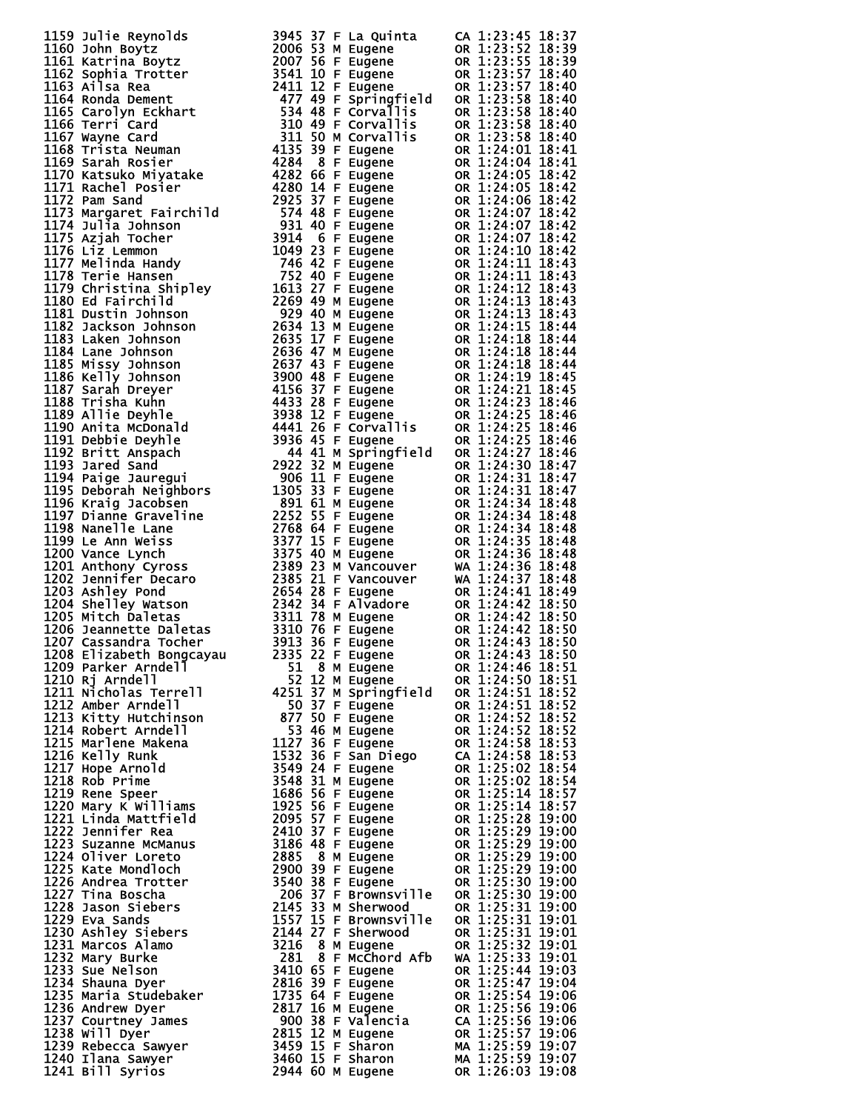| 1159 Julie Reynrid 139<br>1160 John Boytz 2007 53 F Lugene 60 11:23:45 18:39<br>1160 John Boytz 2007 53 M Eugene 60 11:23:55 18:39<br>1160 Astrilha Boytz 2007 53 M Eugene 60 11:23:55 18:39<br>1160 Astrilha Boytz 2007 53 M Eugene                                           |  |
|--------------------------------------------------------------------------------------------------------------------------------------------------------------------------------------------------------------------------------------------------------------------------------|--|
|                                                                                                                                                                                                                                                                                |  |
|                                                                                                                                                                                                                                                                                |  |
|                                                                                                                                                                                                                                                                                |  |
|                                                                                                                                                                                                                                                                                |  |
|                                                                                                                                                                                                                                                                                |  |
|                                                                                                                                                                                                                                                                                |  |
|                                                                                                                                                                                                                                                                                |  |
|                                                                                                                                                                                                                                                                                |  |
|                                                                                                                                                                                                                                                                                |  |
|                                                                                                                                                                                                                                                                                |  |
|                                                                                                                                                                                                                                                                                |  |
|                                                                                                                                                                                                                                                                                |  |
|                                                                                                                                                                                                                                                                                |  |
|                                                                                                                                                                                                                                                                                |  |
|                                                                                                                                                                                                                                                                                |  |
|                                                                                                                                                                                                                                                                                |  |
|                                                                                                                                                                                                                                                                                |  |
|                                                                                                                                                                                                                                                                                |  |
|                                                                                                                                                                                                                                                                                |  |
|                                                                                                                                                                                                                                                                                |  |
|                                                                                                                                                                                                                                                                                |  |
|                                                                                                                                                                                                                                                                                |  |
|                                                                                                                                                                                                                                                                                |  |
|                                                                                                                                                                                                                                                                                |  |
|                                                                                                                                                                                                                                                                                |  |
|                                                                                                                                                                                                                                                                                |  |
|                                                                                                                                                                                                                                                                                |  |
|                                                                                                                                                                                                                                                                                |  |
|                                                                                                                                                                                                                                                                                |  |
|                                                                                                                                                                                                                                                                                |  |
|                                                                                                                                                                                                                                                                                |  |
|                                                                                                                                                                                                                                                                                |  |
|                                                                                                                                                                                                                                                                                |  |
|                                                                                                                                                                                                                                                                                |  |
|                                                                                                                                                                                                                                                                                |  |
|                                                                                                                                                                                                                                                                                |  |
|                                                                                                                                                                                                                                                                                |  |
|                                                                                                                                                                                                                                                                                |  |
|                                                                                                                                                                                                                                                                                |  |
|                                                                                                                                                                                                                                                                                |  |
|                                                                                                                                                                                                                                                                                |  |
|                                                                                                                                                                                                                                                                                |  |
|                                                                                                                                                                                                                                                                                |  |
|                                                                                                                                                                                                                                                                                |  |
|                                                                                                                                                                                                                                                                                |  |
|                                                                                                                                                                                                                                                                                |  |
|                                                                                                                                                                                                                                                                                |  |
|                                                                                                                                                                                                                                                                                |  |
|                                                                                                                                                                                                                                                                                |  |
|                                                                                                                                                                                                                                                                                |  |
|                                                                                                                                                                                                                                                                                |  |
|                                                                                                                                                                                                                                                                                |  |
|                                                                                                                                                                                                                                                                                |  |
|                                                                                                                                                                                                                                                                                |  |
|                                                                                                                                                                                                                                                                                |  |
|                                                                                                                                                                                                                                                                                |  |
|                                                                                                                                                                                                                                                                                |  |
|                                                                                                                                                                                                                                                                                |  |
|                                                                                                                                                                                                                                                                                |  |
|                                                                                                                                                                                                                                                                                |  |
|                                                                                                                                                                                                                                                                                |  |
|                                                                                                                                                                                                                                                                                |  |
|                                                                                                                                                                                                                                                                                |  |
|                                                                                                                                                                                                                                                                                |  |
|                                                                                                                                                                                                                                                                                |  |
| 1208 Elizabeth Bongcayau<br>1209 Parker Arndell<br>1210 Rj Arndell<br>1211 Nicholas Terrell<br>1211 Nicholas Terrell<br>1212 Amber Arndell<br>1212 Amber Arndell<br>1213 Kitty Hutchinson<br>1213 Kitty Hutchinson<br>1213 Kitty Hutchinson<br>1213 Kitty Hutchinson<br>1213 K |  |
|                                                                                                                                                                                                                                                                                |  |
|                                                                                                                                                                                                                                                                                |  |
|                                                                                                                                                                                                                                                                                |  |
|                                                                                                                                                                                                                                                                                |  |
|                                                                                                                                                                                                                                                                                |  |
|                                                                                                                                                                                                                                                                                |  |
|                                                                                                                                                                                                                                                                                |  |
|                                                                                                                                                                                                                                                                                |  |
|                                                                                                                                                                                                                                                                                |  |
|                                                                                                                                                                                                                                                                                |  |
|                                                                                                                                                                                                                                                                                |  |
|                                                                                                                                                                                                                                                                                |  |
|                                                                                                                                                                                                                                                                                |  |
|                                                                                                                                                                                                                                                                                |  |
|                                                                                                                                                                                                                                                                                |  |
|                                                                                                                                                                                                                                                                                |  |
|                                                                                                                                                                                                                                                                                |  |
|                                                                                                                                                                                                                                                                                |  |
|                                                                                                                                                                                                                                                                                |  |
|                                                                                                                                                                                                                                                                                |  |
|                                                                                                                                                                                                                                                                                |  |
|                                                                                                                                                                                                                                                                                |  |
|                                                                                                                                                                                                                                                                                |  |
|                                                                                                                                                                                                                                                                                |  |
|                                                                                                                                                                                                                                                                                |  |
|                                                                                                                                                                                                                                                                                |  |
|                                                                                                                                                                                                                                                                                |  |
|                                                                                                                                                                                                                                                                                |  |
|                                                                                                                                                                                                                                                                                |  |
|                                                                                                                                                                                                                                                                                |  |
|                                                                                                                                                                                                                                                                                |  |
|                                                                                                                                                                                                                                                                                |  |
|                                                                                                                                                                                                                                                                                |  |
|                                                                                                                                                                                                                                                                                |  |
|                                                                                                                                                                                                                                                                                |  |
|                                                                                                                                                                                                                                                                                |  |
|                                                                                                                                                                                                                                                                                |  |
|                                                                                                                                                                                                                                                                                |  |
|                                                                                                                                                                                                                                                                                |  |
|                                                                                                                                                                                                                                                                                |  |
|                                                                                                                                                                                                                                                                                |  |
|                                                                                                                                                                                                                                                                                |  |
|                                                                                                                                                                                                                                                                                |  |
| 1210 Rj Arndell<br>1211 Nicholas Terrell<br>1213 Micholas Terrell<br>1213 Micholas Terrell<br>1212 Amber Arndell<br>1212 Micholas Terrell<br>1251 37 Michorem 1261 37 Micholas (or 1:24:51 18:52<br>1213 Kitty Hutchinson<br>127 36 F Eugene                                   |  |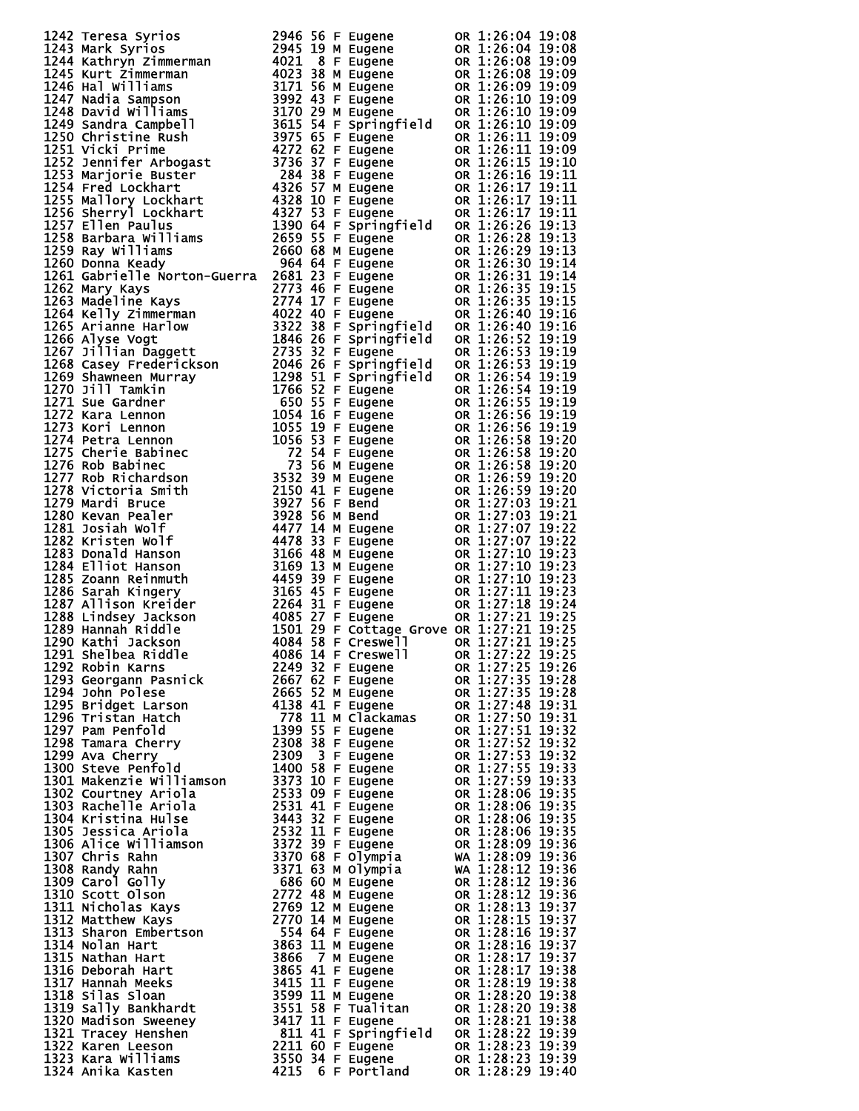| 1242 Terres Syrios 20146 S6 F Eugene 08 1:26:04 19:06<br>1243 Narrk Syrios 2946 S6 F Eugene 08 1:26:04 19:08<br>1244 Nathryp Zimmermann 4021 & F Eugene 08 03:26:08 19:09<br>1244 Nathryp Zimmermann 4021 & F Eugene 08 03:26:08 19:09            |  |  |  |  |
|---------------------------------------------------------------------------------------------------------------------------------------------------------------------------------------------------------------------------------------------------|--|--|--|--|
|                                                                                                                                                                                                                                                   |  |  |  |  |
|                                                                                                                                                                                                                                                   |  |  |  |  |
|                                                                                                                                                                                                                                                   |  |  |  |  |
|                                                                                                                                                                                                                                                   |  |  |  |  |
|                                                                                                                                                                                                                                                   |  |  |  |  |
|                                                                                                                                                                                                                                                   |  |  |  |  |
|                                                                                                                                                                                                                                                   |  |  |  |  |
|                                                                                                                                                                                                                                                   |  |  |  |  |
|                                                                                                                                                                                                                                                   |  |  |  |  |
|                                                                                                                                                                                                                                                   |  |  |  |  |
|                                                                                                                                                                                                                                                   |  |  |  |  |
|                                                                                                                                                                                                                                                   |  |  |  |  |
|                                                                                                                                                                                                                                                   |  |  |  |  |
|                                                                                                                                                                                                                                                   |  |  |  |  |
|                                                                                                                                                                                                                                                   |  |  |  |  |
|                                                                                                                                                                                                                                                   |  |  |  |  |
|                                                                                                                                                                                                                                                   |  |  |  |  |
|                                                                                                                                                                                                                                                   |  |  |  |  |
|                                                                                                                                                                                                                                                   |  |  |  |  |
|                                                                                                                                                                                                                                                   |  |  |  |  |
|                                                                                                                                                                                                                                                   |  |  |  |  |
|                                                                                                                                                                                                                                                   |  |  |  |  |
|                                                                                                                                                                                                                                                   |  |  |  |  |
|                                                                                                                                                                                                                                                   |  |  |  |  |
|                                                                                                                                                                                                                                                   |  |  |  |  |
|                                                                                                                                                                                                                                                   |  |  |  |  |
|                                                                                                                                                                                                                                                   |  |  |  |  |
|                                                                                                                                                                                                                                                   |  |  |  |  |
|                                                                                                                                                                                                                                                   |  |  |  |  |
|                                                                                                                                                                                                                                                   |  |  |  |  |
|                                                                                                                                                                                                                                                   |  |  |  |  |
|                                                                                                                                                                                                                                                   |  |  |  |  |
|                                                                                                                                                                                                                                                   |  |  |  |  |
|                                                                                                                                                                                                                                                   |  |  |  |  |
|                                                                                                                                                                                                                                                   |  |  |  |  |
|                                                                                                                                                                                                                                                   |  |  |  |  |
|                                                                                                                                                                                                                                                   |  |  |  |  |
|                                                                                                                                                                                                                                                   |  |  |  |  |
|                                                                                                                                                                                                                                                   |  |  |  |  |
|                                                                                                                                                                                                                                                   |  |  |  |  |
|                                                                                                                                                                                                                                                   |  |  |  |  |
|                                                                                                                                                                                                                                                   |  |  |  |  |
|                                                                                                                                                                                                                                                   |  |  |  |  |
|                                                                                                                                                                                                                                                   |  |  |  |  |
|                                                                                                                                                                                                                                                   |  |  |  |  |
|                                                                                                                                                                                                                                                   |  |  |  |  |
|                                                                                                                                                                                                                                                   |  |  |  |  |
|                                                                                                                                                                                                                                                   |  |  |  |  |
|                                                                                                                                                                                                                                                   |  |  |  |  |
|                                                                                                                                                                                                                                                   |  |  |  |  |
|                                                                                                                                                                                                                                                   |  |  |  |  |
|                                                                                                                                                                                                                                                   |  |  |  |  |
|                                                                                                                                                                                                                                                   |  |  |  |  |
|                                                                                                                                                                                                                                                   |  |  |  |  |
|                                                                                                                                                                                                                                                   |  |  |  |  |
|                                                                                                                                                                                                                                                   |  |  |  |  |
|                                                                                                                                                                                                                                                   |  |  |  |  |
|                                                                                                                                                                                                                                                   |  |  |  |  |
|                                                                                                                                                                                                                                                   |  |  |  |  |
|                                                                                                                                                                                                                                                   |  |  |  |  |
|                                                                                                                                                                                                                                                   |  |  |  |  |
|                                                                                                                                                                                                                                                   |  |  |  |  |
|                                                                                                                                                                                                                                                   |  |  |  |  |
|                                                                                                                                                                                                                                                   |  |  |  |  |
|                                                                                                                                                                                                                                                   |  |  |  |  |
|                                                                                                                                                                                                                                                   |  |  |  |  |
|                                                                                                                                                                                                                                                   |  |  |  |  |
|                                                                                                                                                                                                                                                   |  |  |  |  |
|                                                                                                                                                                                                                                                   |  |  |  |  |
|                                                                                                                                                                                                                                                   |  |  |  |  |
|                                                                                                                                                                                                                                                   |  |  |  |  |
|                                                                                                                                                                                                                                                   |  |  |  |  |
|                                                                                                                                                                                                                                                   |  |  |  |  |
|                                                                                                                                                                                                                                                   |  |  |  |  |
|                                                                                                                                                                                                                                                   |  |  |  |  |
|                                                                                                                                                                                                                                                   |  |  |  |  |
|                                                                                                                                                                                                                                                   |  |  |  |  |
|                                                                                                                                                                                                                                                   |  |  |  |  |
|                                                                                                                                                                                                                                                   |  |  |  |  |
|                                                                                                                                                                                                                                                   |  |  |  |  |
|                                                                                                                                                                                                                                                   |  |  |  |  |
|                                                                                                                                                                                                                                                   |  |  |  |  |
|                                                                                                                                                                                                                                                   |  |  |  |  |
|                                                                                                                                                                                                                                                   |  |  |  |  |
|                                                                                                                                                                                                                                                   |  |  |  |  |
|                                                                                                                                                                                                                                                   |  |  |  |  |
|                                                                                                                                                                                                                                                   |  |  |  |  |
|                                                                                                                                                                                                                                                   |  |  |  |  |
|                                                                                                                                                                                                                                                   |  |  |  |  |
|                                                                                                                                                                                                                                                   |  |  |  |  |
|                                                                                                                                                                                                                                                   |  |  |  |  |
|                                                                                                                                                                                                                                                   |  |  |  |  |
|                                                                                                                                                                                                                                                   |  |  |  |  |
|                                                                                                                                                                                                                                                   |  |  |  |  |
|                                                                                                                                                                                                                                                   |  |  |  |  |
| 1789 Hannah Riddle<br>1789 Hannah Riddle<br>1889 Hannah Riddle<br>1890 Kathi Jackson<br>1891 Selbba Riddle<br>1890 Kathi Jackson<br>1891 Selba Riddle<br>1893 Georgann Pasnick<br>1893 Georgann Pasnick<br>1893 Georgann Pasnick<br>1893 Selba Ri |  |  |  |  |
|                                                                                                                                                                                                                                                   |  |  |  |  |
|                                                                                                                                                                                                                                                   |  |  |  |  |
|                                                                                                                                                                                                                                                   |  |  |  |  |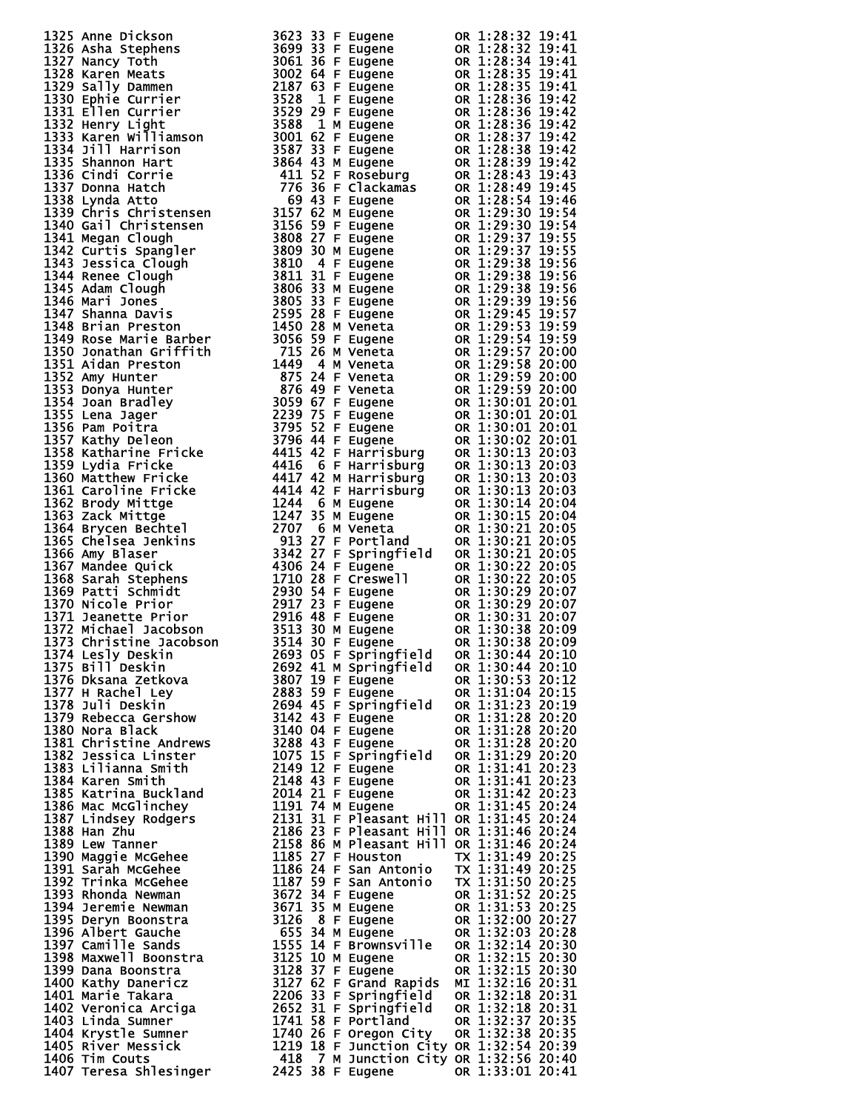| 1322 Americans (1925)<br>1322 Americans (1932)<br>1323 Americans (1932)<br>1323 Americans (1932)<br>1323 Americans (1932)<br>1323 Americans (1932)<br>1323 Americans (1932)<br>1323 Americans (1933)<br>1323 Americans (1933)<br>1323 Americans (1933)<br>1 |  |  |  |  |
|-------------------------------------------------------------------------------------------------------------------------------------------------------------------------------------------------------------------------------------------------------------|--|--|--|--|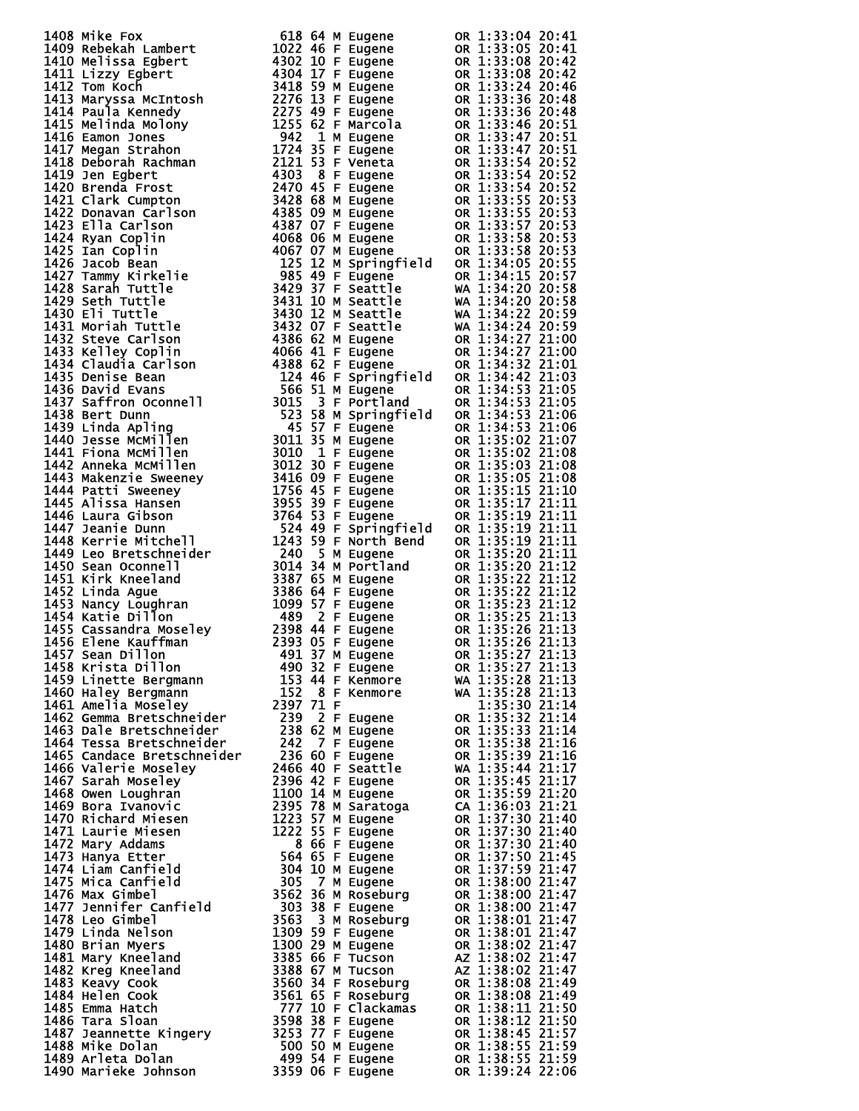| 1408 MHz Fox Memorial 1622 10 MHz upper<br>1609 Rebeksh Lambert 1622 46 M Eugene 06 1:33:04 20:41<br>1410 Melissa Egbert 4302 10 F Eugene 06 1:33:05 20:41<br>1411 Litzy Egbert 4302 10 F Eugene 06 1:33:08 20:42<br>1411 Litzy Egbert 43 |  |
|-------------------------------------------------------------------------------------------------------------------------------------------------------------------------------------------------------------------------------------------|--|
|                                                                                                                                                                                                                                           |  |
|                                                                                                                                                                                                                                           |  |
|                                                                                                                                                                                                                                           |  |
|                                                                                                                                                                                                                                           |  |
|                                                                                                                                                                                                                                           |  |
|                                                                                                                                                                                                                                           |  |
|                                                                                                                                                                                                                                           |  |
|                                                                                                                                                                                                                                           |  |
|                                                                                                                                                                                                                                           |  |
|                                                                                                                                                                                                                                           |  |
|                                                                                                                                                                                                                                           |  |
|                                                                                                                                                                                                                                           |  |
|                                                                                                                                                                                                                                           |  |
|                                                                                                                                                                                                                                           |  |
|                                                                                                                                                                                                                                           |  |
|                                                                                                                                                                                                                                           |  |
|                                                                                                                                                                                                                                           |  |
|                                                                                                                                                                                                                                           |  |
|                                                                                                                                                                                                                                           |  |
|                                                                                                                                                                                                                                           |  |
|                                                                                                                                                                                                                                           |  |
|                                                                                                                                                                                                                                           |  |
|                                                                                                                                                                                                                                           |  |
|                                                                                                                                                                                                                                           |  |
|                                                                                                                                                                                                                                           |  |
|                                                                                                                                                                                                                                           |  |
|                                                                                                                                                                                                                                           |  |
|                                                                                                                                                                                                                                           |  |
|                                                                                                                                                                                                                                           |  |
|                                                                                                                                                                                                                                           |  |
|                                                                                                                                                                                                                                           |  |
|                                                                                                                                                                                                                                           |  |
|                                                                                                                                                                                                                                           |  |
|                                                                                                                                                                                                                                           |  |
|                                                                                                                                                                                                                                           |  |
|                                                                                                                                                                                                                                           |  |
|                                                                                                                                                                                                                                           |  |
|                                                                                                                                                                                                                                           |  |
|                                                                                                                                                                                                                                           |  |
|                                                                                                                                                                                                                                           |  |
| 1455 Cassandra Moseley 2398 44 F Eugène on 1:35:72 21:13<br>1456 Elene Kauffman 2393 05 F Eugène on 1:35:26 21:13<br>1456 Elene Kauffman 490 332 F Eugène on 1:35:26 21:13<br>1458 Krista Dillon 491 37 M Eugène on 1:35:27 21:13<br>1458 |  |
|                                                                                                                                                                                                                                           |  |
|                                                                                                                                                                                                                                           |  |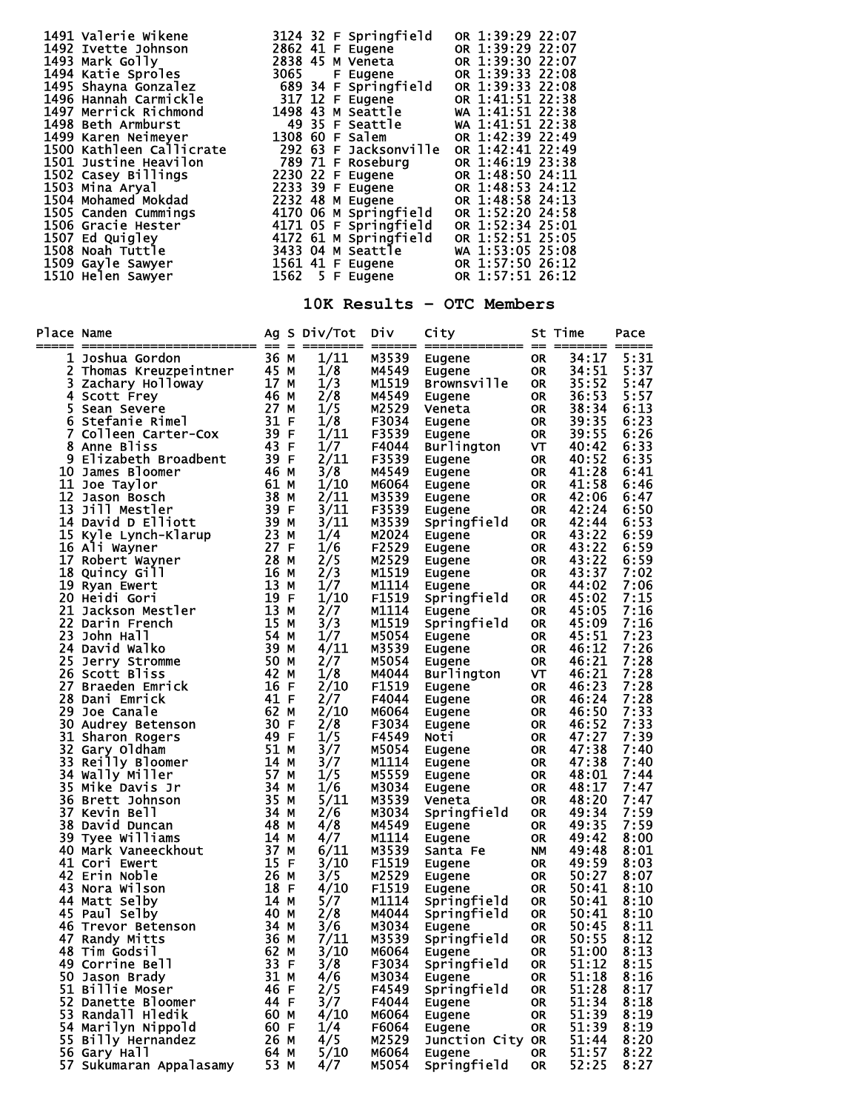|    | 1491 valerie wikene<br>1491 valerie wikene<br>1492 verte Johnson<br>1493 Mark Golly<br>2862 41 F Eugene<br>2863 41 F Eugene<br>0R 1:39:29 22:07<br>1494 Katie Sproles<br>1493 Mark Golly<br>1493 Satie Sproles<br>1496 Hannah Corralickle<br>1496 H                                                                            |              |                                                    |                | 10K Results - OTC Members   |                        |                |              |
|----|--------------------------------------------------------------------------------------------------------------------------------------------------------------------------------------------------------------------------------------------------------------------------------------------------------------------------------|--------------|----------------------------------------------------|----------------|-----------------------------|------------------------|----------------|--------------|
|    | Place Name $\overline{A}$ Ag S Div/Tot Div City $\overline{S}$ St Time<br>ace Name<br>Internal Contains Contains and Summar Ag S Di<br>1 Joshua Gordon<br>2 Thomas Kreuzpeintner<br>3 Zachary Holloway<br>4 Scan Severe<br>6 Stefanie Rimel<br>7 Colleen Carter-Cox<br>8 Anne Bliss<br>8 Anne Bliss<br>8 Anne Bliss<br>10 Jame |              |                                                    |                |                             |                        |                | Pace         |
|    |                                                                                                                                                                                                                                                                                                                                |              | 1/11                                               |                |                             |                        | 34:17 5:31     |              |
|    |                                                                                                                                                                                                                                                                                                                                |              | $1/8$<br>$1/3$<br>$2/8$<br>$1/5$<br>$1/1$<br>$1/1$ |                |                             |                        |                | 5:37         |
|    |                                                                                                                                                                                                                                                                                                                                |              |                                                    |                |                             |                        |                | 5:47         |
|    |                                                                                                                                                                                                                                                                                                                                |              |                                                    |                |                             |                        |                | 5:57<br>6:13 |
|    |                                                                                                                                                                                                                                                                                                                                |              |                                                    |                |                             |                        |                | 6:23         |
|    |                                                                                                                                                                                                                                                                                                                                |              | 1/11                                               |                |                             |                        |                | 6:26         |
|    |                                                                                                                                                                                                                                                                                                                                |              | 1/7                                                |                |                             |                        |                | 6:33         |
|    |                                                                                                                                                                                                                                                                                                                                |              | 2/11                                               |                |                             |                        |                | 6:35         |
|    |                                                                                                                                                                                                                                                                                                                                |              | 3/8<br>1/10                                        |                |                             |                        |                | 6:41<br>6:46 |
|    |                                                                                                                                                                                                                                                                                                                                |              | 2/11                                               |                |                             |                        |                | 6:47         |
|    |                                                                                                                                                                                                                                                                                                                                |              | 3/11                                               |                |                             |                        |                | 6:50         |
|    |                                                                                                                                                                                                                                                                                                                                |              | 3/11                                               |                |                             |                        |                | 6:53         |
|    |                                                                                                                                                                                                                                                                                                                                |              | 1/4                                                |                |                             |                        |                | 6:59         |
|    |                                                                                                                                                                                                                                                                                                                                |              | 1/6                                                |                |                             |                        |                | 6:59         |
|    |                                                                                                                                                                                                                                                                                                                                |              | 2/5                                                |                |                             |                        |                | 6:59         |
|    |                                                                                                                                                                                                                                                                                                                                |              | 2/3<br>1/7                                         |                |                             |                        |                | 7:02<br>7:06 |
|    |                                                                                                                                                                                                                                                                                                                                |              | 1/10                                               |                |                             |                        |                | 7:15         |
|    |                                                                                                                                                                                                                                                                                                                                |              | 2/7                                                |                |                             |                        |                | 7:16         |
|    |                                                                                                                                                                                                                                                                                                                                |              | 3/3                                                |                |                             |                        |                | 7:16         |
|    |                                                                                                                                                                                                                                                                                                                                |              | 1/7                                                |                |                             |                        |                | 7:23         |
|    |                                                                                                                                                                                                                                                                                                                                |              | 4/11                                               |                |                             |                        |                | 7:26         |
|    | 25 Jerry Stromme                                                                                                                                                                                                                                                                                                               | 50 M<br>42 M | 2/7                                                | M5054<br>M4044 | Eugene                      | <b>OR</b>              | 46:21<br>46:21 | 7:28         |
|    | 26 Scott Bliss<br>27 Braeden Emrick                                                                                                                                                                                                                                                                                            | 16 F         | 1/8<br>2/10                                        | F1519          | <b>Burlington</b><br>Eugene | VT<br>OR               | 46:23          | 7:28<br>7:28 |
|    | 28 Dani Emrick                                                                                                                                                                                                                                                                                                                 | 41 F         | 2/7                                                | F4044          | Eugene                      | <b>OR</b>              | 46:24          | 7:28         |
|    | 29 Joe Canale                                                                                                                                                                                                                                                                                                                  | 62 M         | 2/10                                               | M6064          | Eugene                      | OR                     | 46:50          | 7:33         |
|    | 30 Audrey Betenson                                                                                                                                                                                                                                                                                                             | 30 F         | 2/8                                                | F3034          | Eugene                      | <b>OR</b>              | 46:52          | 7:33         |
| 31 | Sharon Rogers                                                                                                                                                                                                                                                                                                                  | 49 F         | 1/5                                                | F4549          | Noti                        | OR                     | 47:27          | 7:39         |
| 32 | Gary Oldham<br>33 Reilly Bloomer                                                                                                                                                                                                                                                                                               | 51 M<br>14 M | 3/7<br>3/7                                         | M5054<br>M1114 | Eugene<br>Eugene            | <b>OR</b><br><b>OR</b> | 47:38<br>47:38 | 7:40<br>7:40 |
|    | 34 Wally Miller                                                                                                                                                                                                                                                                                                                | 57 M         | 1/5                                                | M5559          | Eugene                      | <b>OR</b>              | 48:01          | 7:44         |
|    | 35 Mike Davis Jr                                                                                                                                                                                                                                                                                                               | 34 M         | 1/6                                                | M3034          | Eugene                      | <b>OR</b>              | 48:17          | 7:47         |
|    | 36 Brett Johnson                                                                                                                                                                                                                                                                                                               | 35 M         | 5/11                                               | M3539          | Veneta                      | <b>OR</b>              | 48:20          | 7:47         |
|    | 37 Kevin Bell                                                                                                                                                                                                                                                                                                                  | 34 M         | 2/6                                                | M3034          | Springfield                 | <b>OR</b>              | 49:34          | 7:59         |
|    | 38 David Duncan<br>39 Tyee Williams                                                                                                                                                                                                                                                                                            | 48 M<br>14 M | 4/8<br>4/7                                         | M4549<br>M1114 | Eugene<br>Eugene            | <b>OR</b><br><b>OR</b> | 49:35<br>49:42 | 7:59<br>8:00 |
|    | 40 Mark Vaneeckhout                                                                                                                                                                                                                                                                                                            | 37 M         | 6/11                                               | M3539          | Santa Fe                    | <b>NM</b>              | 49:48          | 8:01         |
|    | 41 Cori Ewert                                                                                                                                                                                                                                                                                                                  | 15 F         | 3/10                                               | F1519          | Eugene                      | <b>OR</b>              | 49:59          | 8:03         |
|    | 42 Erin Noble                                                                                                                                                                                                                                                                                                                  | 26 M         | 3/5                                                | M2529          | Eugene                      | <b>OR</b>              | 50:27          | 8:07         |
|    | 43 Nora Wilson                                                                                                                                                                                                                                                                                                                 | 18 F         | 4/10                                               | F1519          | Eugene                      | <b>OR</b>              | 50:41          | 8:10         |
|    | 44 Matt Selby                                                                                                                                                                                                                                                                                                                  | 14 M         | 5/7                                                | M1114          | Springfield                 | <b>OR</b>              | 50:41          | 8:10         |
|    | 45 Paul Selby<br>46 Trevor Betenson                                                                                                                                                                                                                                                                                            | 40 M<br>34 M | 2/8<br>3/6                                         | M4044<br>M3034 | Springfield<br>Eugene       | <b>OR</b><br><b>OR</b> | 50:41<br>50:45 | 8:10<br>8:11 |
|    | 47 Randy Mitts                                                                                                                                                                                                                                                                                                                 | 36 M         | 7/11                                               | M3539          | Springfield                 | <b>OR</b>              | 50:55          | 8:12         |
|    | <b>48 Tim Godsil</b>                                                                                                                                                                                                                                                                                                           | 62 M         | 3/10                                               | M6064          | Eugene                      | <b>OR</b>              | 51:00          | 8:13         |
|    | 49 Corrine Bell                                                                                                                                                                                                                                                                                                                | 33 F         | 3/8                                                | F3034          | Springfield                 | <b>OR</b>              | 51:12          | 8:15         |
|    | 50 Jason Brady                                                                                                                                                                                                                                                                                                                 | 31 M         | 4/6                                                | M3034          | Eugene                      | <b>OR</b>              | 51:18          | 8:16         |
|    | 51 Billie Moser                                                                                                                                                                                                                                                                                                                | 46 F         | 2/5                                                | F4549          | Springfield                 | <b>OR</b>              | 51:28          | 8:17         |
|    | 52 Danette Bloomer<br>53 Randall Hledik                                                                                                                                                                                                                                                                                        | 44 F<br>60 M | 3/7<br>4/10                                        | F4044<br>M6064 | Eugene                      | <b>OR</b>              | 51:34<br>51:39 | 8:18<br>8:19 |
| 54 | Marilyn Nippold                                                                                                                                                                                                                                                                                                                | 60 F         | 1/4                                                | F6064          | Eugene<br>Eugene            | OR<br><b>OR</b>        | 51:39          | 8:19         |
|    | 55 Billy Hernandez                                                                                                                                                                                                                                                                                                             | 26 M         | 4/5                                                | M2529          | Junction City OR            |                        | 51:44          | 8:20         |
|    | 56 Gary Hall                                                                                                                                                                                                                                                                                                                   | 64 M         | 5/10                                               | M6064          | Eugene                      | <b>OR</b>              | 51:57          | 8:22         |
| 57 | Sukumaran Appalasamy                                                                                                                                                                                                                                                                                                           | 53 M         | 4/7                                                | M5054          | Springfield                 | <b>OR</b>              | 52:25          | 8:27         |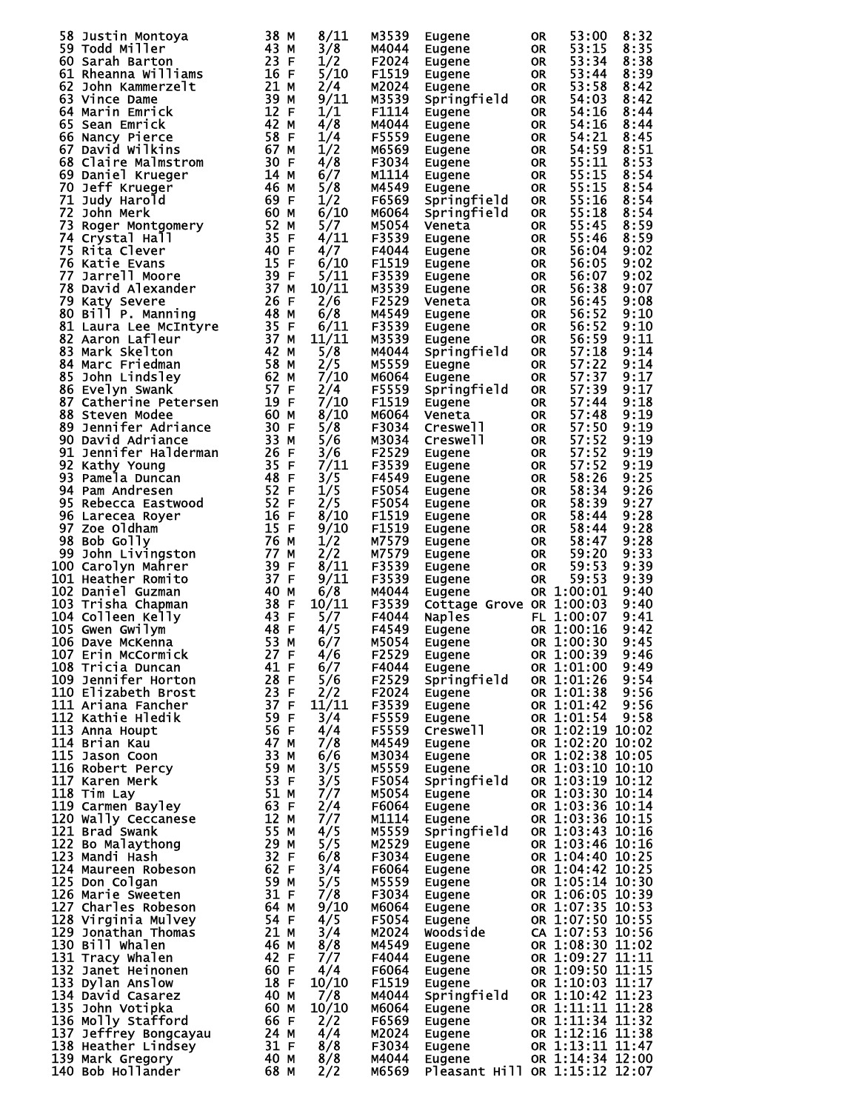| 58 Justin Montoya<br>59 Todd Miller<br>60 Sarah Barton<br>61 Rheanna Williams<br>62 John Kammerzelt<br>63 Vince Dame<br>64 Marin Emrick<br>65 Sean Emrick<br>65 Sean Emrick<br>66 Nancy Pierce<br>67 David Wilkins<br>67 David Wilkins<br>67 David Wil |      | 8/11  | M3539 | Eugene                                                                                       | 0R        | 53:00            | 8:32 |
|--------------------------------------------------------------------------------------------------------------------------------------------------------------------------------------------------------------------------------------------------------|------|-------|-------|----------------------------------------------------------------------------------------------|-----------|------------------|------|
|                                                                                                                                                                                                                                                        |      | 3/8   | M4044 | Eugene                                                                                       | <b>OR</b> | 53:15            | 8:35 |
|                                                                                                                                                                                                                                                        |      | 1/2   | F2024 | Eugene<br>Eugene                                                                             | <b>OR</b> | 53:34            | 8:38 |
|                                                                                                                                                                                                                                                        |      | 5/10  | F1519 | Eugene                                                                                       | <b>OR</b> | 53:44            | 8:39 |
|                                                                                                                                                                                                                                                        |      |       |       |                                                                                              |           |                  |      |
|                                                                                                                                                                                                                                                        |      | 2/4   | M2024 | Eugene                                                                                       | <b>OR</b> | 53:58            | 8:42 |
|                                                                                                                                                                                                                                                        |      | 9/11  | M3539 | Springfield                                                                                  | <b>OR</b> | 54:03            | 8:42 |
|                                                                                                                                                                                                                                                        |      | 1/1   | F1114 | Eugene                                                                                       | <b>OR</b> | 54:16            | 8:44 |
|                                                                                                                                                                                                                                                        |      |       |       |                                                                                              |           |                  |      |
|                                                                                                                                                                                                                                                        |      | 4/8   | M4044 | Eugene                                                                                       | <b>OR</b> | 54:16            | 8:44 |
|                                                                                                                                                                                                                                                        |      | 1/4   | F5559 | Eugene                                                                                       | OR        | 54:21            | 8:45 |
|                                                                                                                                                                                                                                                        |      | 1/2   | M6569 | Eugene                                                                                       | <b>OR</b> | 54:59            | 8:51 |
|                                                                                                                                                                                                                                                        |      |       |       | <b>Eugene</b>                                                                                |           |                  |      |
|                                                                                                                                                                                                                                                        |      | 4/8   | F3034 |                                                                                              | OR        | 55:11            | 8:53 |
|                                                                                                                                                                                                                                                        |      | 6/7   | M1114 | Eugene                                                                                       | OR        | 55:15            | 8:54 |
|                                                                                                                                                                                                                                                        |      | 5/8   | M4549 | Eugene                                                                                       | <b>OR</b> | 55:15            | 8:54 |
|                                                                                                                                                                                                                                                        |      | 1/2   |       |                                                                                              |           |                  |      |
|                                                                                                                                                                                                                                                        |      |       | F6569 | Springfield                                                                                  | <b>OR</b> | 55:16            | 8:54 |
|                                                                                                                                                                                                                                                        |      | 6/10  | M6064 | Springfield                                                                                  | <b>OR</b> | 55:18            | 8:54 |
|                                                                                                                                                                                                                                                        |      | 5/7   | M5054 | Veneta                                                                                       | <b>OR</b> | 55:45            | 8:59 |
|                                                                                                                                                                                                                                                        |      | 4/11  | F3539 | Eugene                                                                                       | <b>OR</b> | 55:46            | 8:59 |
|                                                                                                                                                                                                                                                        |      |       |       |                                                                                              |           |                  |      |
|                                                                                                                                                                                                                                                        |      | 4/7   | F4044 | Eugene                                                                                       | <b>OR</b> | 56:04            | 9:02 |
|                                                                                                                                                                                                                                                        |      | 6/10  | F1519 | Eugene                                                                                       | <b>OR</b> | 56:05            | 9:02 |
|                                                                                                                                                                                                                                                        |      | 5/11  | F3539 | Eugene                                                                                       | <b>OR</b> | 56:07            | 9:02 |
|                                                                                                                                                                                                                                                        |      |       | M3539 |                                                                                              |           |                  |      |
|                                                                                                                                                                                                                                                        |      | 10/11 |       | Eugene                                                                                       | <b>OR</b> | 56:38            | 9:07 |
|                                                                                                                                                                                                                                                        |      | 2/6   | F2529 | Veneta                                                                                       | <b>OR</b> | 56:45            | 9:08 |
|                                                                                                                                                                                                                                                        |      | 6/8   | M4549 | <b>Eugene</b>                                                                                | OR        | 56:52            | 9:10 |
|                                                                                                                                                                                                                                                        |      | 6/11  | F3539 | Eugene                                                                                       | OR        | 56:52            | 9:10 |
|                                                                                                                                                                                                                                                        |      |       |       |                                                                                              |           |                  |      |
|                                                                                                                                                                                                                                                        |      | 11/11 | M3539 | Eugene                                                                                       | <b>OR</b> | 56:59            | 9:11 |
|                                                                                                                                                                                                                                                        |      | 5/8   | M4044 | Springfield                                                                                  | <b>OR</b> | 57:18            | 9:14 |
|                                                                                                                                                                                                                                                        |      | 2/5   | M5559 | Euegne                                                                                       | <b>OR</b> | 57:22            | 9:14 |
|                                                                                                                                                                                                                                                        |      |       |       |                                                                                              |           |                  |      |
| b6 Nancy Pierce<br>67 David wilkins 67 MF MF ME 42<br>67 David wilkins 67 David wilkins 67 David wilkins 67 David Wilkins 67 1<br>69 Daniel Krueger 46 MB ME ME 60 MM ME 60 Daniel Krueger 46 60 MM ME 71<br>72 John Merk 60 MB S2 Joh                 |      | 7/10  | M6064 | Eugene                                                                                       | <b>OR</b> | 57:37            | 9:17 |
|                                                                                                                                                                                                                                                        |      | 2/4   | F5559 | Springfield                                                                                  | <b>OR</b> | 57:39            | 9:17 |
|                                                                                                                                                                                                                                                        |      | 7/10  | F1519 | Eugene                                                                                       | <b>OR</b> | 57:44            | 9:18 |
|                                                                                                                                                                                                                                                        |      | 8/10  | M6064 |                                                                                              | <b>OR</b> |                  | 9:19 |
|                                                                                                                                                                                                                                                        |      |       |       | Veneta                                                                                       |           | 57:48            |      |
|                                                                                                                                                                                                                                                        |      | 5/8   | F3034 | <b>Creswell</b>                                                                              | <b>OR</b> | 57:50            | 9:19 |
|                                                                                                                                                                                                                                                        |      | 5/6   | M3034 | <b>Creswell</b>                                                                              | <b>OR</b> | 57:52            | 9:19 |
|                                                                                                                                                                                                                                                        |      | 3/6   | F2529 | Eugene                                                                                       | <b>OR</b> | 57:52            | 9:19 |
|                                                                                                                                                                                                                                                        |      |       |       |                                                                                              |           |                  |      |
|                                                                                                                                                                                                                                                        |      | 7/11  | F3539 | Eugene                                                                                       | <b>OR</b> | 57:52            | 9:19 |
|                                                                                                                                                                                                                                                        |      | 3/5   | F4549 | Eugene                                                                                       | <b>OR</b> | 58:26            | 9:25 |
|                                                                                                                                                                                                                                                        |      | 1/5   | F5054 | Eugene                                                                                       | <b>OR</b> | 58:34            | 9:26 |
|                                                                                                                                                                                                                                                        |      |       |       |                                                                                              |           |                  |      |
|                                                                                                                                                                                                                                                        |      | 2/5   | F5054 | Eugene                                                                                       | <b>OR</b> | 58:39            | 9:27 |
|                                                                                                                                                                                                                                                        |      | 8/10  | F1519 | Eugene                                                                                       | <b>OR</b> | 58:44            | 9:28 |
|                                                                                                                                                                                                                                                        |      | 9/10  | F1519 | Eugene                                                                                       | <b>OR</b> | 58:44            | 9:28 |
|                                                                                                                                                                                                                                                        |      |       |       |                                                                                              |           |                  |      |
|                                                                                                                                                                                                                                                        |      | 1/2   | M7579 | Eugene                                                                                       | <b>OR</b> | 58:47            | 9:28 |
|                                                                                                                                                                                                                                                        |      | 2/2   | M7579 | Eugene                                                                                       | OR        | 59:20            | 9:33 |
| 100 Carolyn Mahrer                                                                                                                                                                                                                                     |      | 8/11  | F3539 | Eugene                                                                                       | OR        | 59:53            | 9:39 |
| 101 Heather Romito                                                                                                                                                                                                                                     |      | 9/11  | F3539 | Eugene                                                                                       | <b>OR</b> | 59:53            | 9:39 |
|                                                                                                                                                                                                                                                        |      |       |       |                                                                                              |           |                  |      |
| 102 Daniel Guzman                                                                                                                                                                                                                                      |      | 6/8   | M4044 | Eugene                                                                                       |           | OR 1:00:01       | 9:40 |
| 103 Trisha Chapman                                                                                                                                                                                                                                     |      | 10/11 | F3539 | Cottage Grove OR 1:00:03                                                                     |           |                  | 9:40 |
| 104 Colleen Kelly                                                                                                                                                                                                                                      |      | 5/7   | F4044 |                                                                                              |           |                  | 9:41 |
|                                                                                                                                                                                                                                                        |      |       |       |                                                                                              |           |                  |      |
| 105 Gwen Gwilym                                                                                                                                                                                                                                        |      | 4/5   | F4549 |                                                                                              |           |                  | 9:42 |
| 106 Dave McKenna                                                                                                                                                                                                                                       |      | 6/7   | M5054 | Naples<br>Eugene OR 1:00:07<br>Eugene OR 1:00:30<br>Eugene CR 1:00:30                        |           |                  | 9:45 |
| $107$ Erin McCormick $27$ F<br>$108$ Tricia Bungan                                                                                                                                                                                                     |      | 4/6   | F2529 | Eugene                                                                                       |           | OR 1:00:39       | 9:46 |
| uvo Tricia Duncan<br>109 Jennifer Horton<br>110 Elizabeth Breed                                                                                                                                                                                        | 41 F | 6/7   | F4044 | Eugene                                                                                       |           | OR 1:01:00       | 9:49 |
|                                                                                                                                                                                                                                                        |      |       |       |                                                                                              |           |                  |      |
|                                                                                                                                                                                                                                                        |      | 5/6   | F2529 | Springfield                                                                                  |           | OR 1:01:26       | 9:54 |
|                                                                                                                                                                                                                                                        |      | 2/2   | F2024 | Eugene                                                                                       |           | OR 1:01:38       | 9:56 |
|                                                                                                                                                                                                                                                        |      | 11/11 | F3539 | Eugene                                                                                       |           | OR 1:01:42       | 9:56 |
|                                                                                                                                                                                                                                                        |      | 3/4   | F5559 |                                                                                              |           | OR 1:01:54       | 9:58 |
|                                                                                                                                                                                                                                                        |      |       |       | Eugene                                                                                       |           |                  |      |
|                                                                                                                                                                                                                                                        |      | 4/4   | F5559 | Creswell                                                                                     |           | OR 1:02:19 10:02 |      |
|                                                                                                                                                                                                                                                        |      | 7/8   | M4549 | Eugene                                                                                       |           | OR 1:02:20 10:02 |      |
|                                                                                                                                                                                                                                                        |      | 6/6   | M3034 | Eugene                                                                                       |           | OR 1:02:38 10:05 |      |
|                                                                                                                                                                                                                                                        |      | 3/5   | M5559 |                                                                                              |           | OR 1:03:10 10:10 |      |
|                                                                                                                                                                                                                                                        |      |       |       | Eugene<br>Springfield                                                                        |           |                  |      |
|                                                                                                                                                                                                                                                        |      | 3/5   | F5054 |                                                                                              |           | OR 1:03:19 10:12 |      |
|                                                                                                                                                                                                                                                        |      | 7/7   | M5054 | Eugene                                                                                       |           | OR 1:03:30 10:14 |      |
|                                                                                                                                                                                                                                                        |      | 2/4   | F6064 | Eugene                                                                                       |           | OR 1:03:36 10:14 |      |
|                                                                                                                                                                                                                                                        |      | 7/7   | M1114 | Eugene                                                                                       |           | OR 1:03:36 10:15 |      |
|                                                                                                                                                                                                                                                        |      |       |       |                                                                                              |           |                  |      |
|                                                                                                                                                                                                                                                        |      | 4/5   | M5559 | Springfield                                                                                  |           | OR 1:03:43 10:16 |      |
|                                                                                                                                                                                                                                                        |      | 5/5   | M2529 | Eugene                                                                                       |           | OR 1:03:46 10:16 |      |
|                                                                                                                                                                                                                                                        |      | 6/8   | F3034 | Eugene                                                                                       |           | OR 1:04:40 10:25 |      |
|                                                                                                                                                                                                                                                        |      |       |       |                                                                                              |           |                  |      |
|                                                                                                                                                                                                                                                        |      | 3/4   | F6064 | Eugene                                                                                       |           | OR 1:04:42 10:25 |      |
|                                                                                                                                                                                                                                                        |      | 5/5   | M5559 | Eugene                                                                                       |           | OR 1:05:14 10:30 |      |
|                                                                                                                                                                                                                                                        |      | 7/8   | F3034 | Eugene                                                                                       |           | OR 1:06:05 10:39 |      |
|                                                                                                                                                                                                                                                        |      | 9/10  | M6064 |                                                                                              |           | OR 1:07:35 10:53 |      |
|                                                                                                                                                                                                                                                        |      |       |       | Eugene                                                                                       |           |                  |      |
|                                                                                                                                                                                                                                                        |      | 4/5   | F5054 | Eugene                                                                                       |           | OR 1:07:50 10:55 |      |
|                                                                                                                                                                                                                                                        |      | 3/4   | M2024 | woodside                                                                                     |           | CA 1:07:53 10:56 |      |
|                                                                                                                                                                                                                                                        |      | 8/8   | M4549 | Eugene                                                                                       |           | OR 1:08:30 11:02 |      |
|                                                                                                                                                                                                                                                        |      |       |       |                                                                                              |           |                  |      |
|                                                                                                                                                                                                                                                        |      | 7/7   | F4044 | Eugene                                                                                       |           | OR 1:09:27 11:11 |      |
|                                                                                                                                                                                                                                                        |      | 4/4   | F6064 | Eugene                                                                                       |           |                  |      |
|                                                                                                                                                                                                                                                        |      | 10/10 | F1519 | Eugene OR 1:09:50 11:15<br>Eugene OR 1:10:03 11:17<br>Springfield OR 1:10:42 11:23<br>Eugene |           |                  |      |
|                                                                                                                                                                                                                                                        |      |       |       |                                                                                              |           |                  |      |
|                                                                                                                                                                                                                                                        |      | 7/8   | M4044 |                                                                                              |           |                  |      |
|                                                                                                                                                                                                                                                        |      | 10/10 | м6064 | Eugene                                                                                       |           | OR 1:11:11 11:28 |      |
|                                                                                                                                                                                                                                                        |      | 2/2   | F6569 | i<br>Linda<br>Eugene                                                                         |           | OR 1:11:34 11:32 |      |
|                                                                                                                                                                                                                                                        |      | 4/4   | M2024 | Eugene                                                                                       |           | OR 1:12:16 11:38 |      |
| 107 Bave McRenna<br>107 Erin McCormick<br>108 Tricia Duncan<br>108 Tricia Duncan<br>1108 Tricia Duncan<br>1110 Elizabeth Brost<br>1111 Ariana Fancher<br>112 Kathie Hledik<br>113 Anna Houpt<br>113 Anna Houpt<br>114 Brian Kau<br>115 Jason Coon<br>1 |      |       |       |                                                                                              |           |                  |      |
|                                                                                                                                                                                                                                                        |      | 8/8   | F3034 | Eugene                                                                                       |           | OR 1:13:11 11:47 |      |
|                                                                                                                                                                                                                                                        |      | 8/8   | M4044 | Eugene                                                                                       |           | OR 1:14:34 12:00 |      |
|                                                                                                                                                                                                                                                        |      |       |       |                                                                                              |           |                  |      |
|                                                                                                                                                                                                                                                        |      | 2/2   | м6569 | Pleasant Hill OR 1:15:12 12:07                                                               |           |                  |      |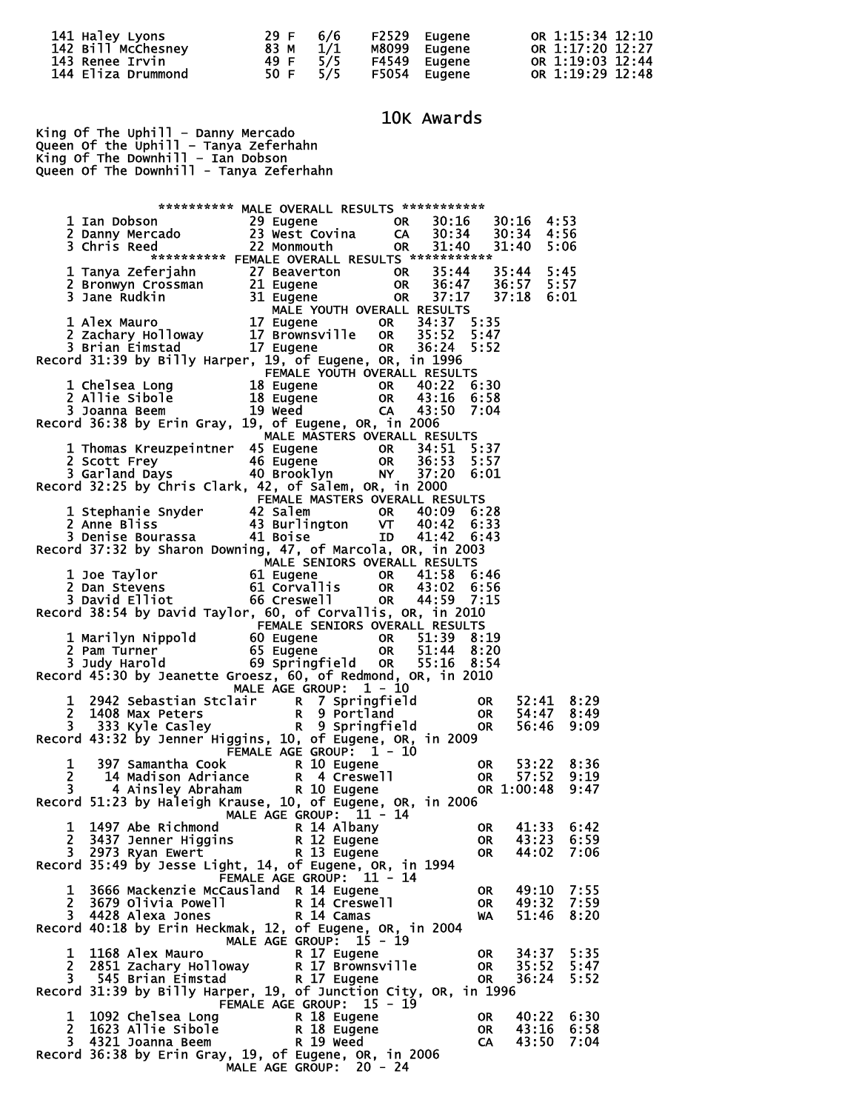| 141 Haley Lyons    | 29 F | 6/6 | F2529 Eugene | OR 1:15:34 12:10 |
|--------------------|------|-----|--------------|------------------|
| 142 Bill McChesney | 83 M | 1/1 | M8099 Eugene | OR 1:17:20 12:27 |
| 143 Renee Irvin    | 49 F | 5/5 | F4549 Eugene | OR 1:19:03 12:44 |
| 144 Eliza Drummond | 50 F | 5/5 | F5054 Eugene | OR 1:19:29 12:48 |

10K Awards

King Of The Uphill – Danny Mercado Queen Of the Uphill – Tanya Zeferhahn King Of The Downhill – Ian Dobson Queen Of The Downhill - Tanya Zeferhahn

 \*\*\*\*\*\*\*\*\*\* MALE OVERALL RESULTS \*\*\*\*\*\*\*\*\*\*\* 29 Eugene OR 30:16 30:16 4:53<br>23 West Covina CA 30:34 30:34 4:56 2 Danny Mercado 23 West Covina CA 30:34 30:34 4:56 3 Chris Reed 22 Monmouth OR 31:40 31:40 5:06 \*\*\*\*\*\*\*\*\*\*\* FEMALE OVERALL RESULTS \*\*\*\*\*\*\*\*\*\*\* 1 Tanya Zeferjahn 27 Beaverton OR 35:44 35:44 5:45 2 Bronwyn Crossman 21 Eugene OR 36:47 36:57 5:57 3 Jane Rudkin MALE YOUTH OVERALL RESULTS 1 Alex Mauro 17 Eugene OR 34:37 5:35 2 Zachary Holloway 17 Brownsville OR 35:52 5:47 3 Brian Eimstad 17 Eugene OR 36:24 5:52 Record 31:39 by Billy Harper, 19, of Eugene, OR, in 1996 FEMALE YOUTH OVERALL RESULTS 1 Chelsea Long 18 Eugene OR 40:22 6:30 2 Allie Sibole 18 Eugene OR 43:16 6:58 3 Joanna Beem 19 Weed CA 43:50 7:04 Record 36:38 by Erin Gray, 19, of Eugene, OR, in 2006 MALE MASTERS OVERALL RESULTS 1 Thomas Kreuzpeintner 45 Eugene OR 34:51 5:37 2 Scott Frey 46 Eugene OR 36:53 5:57 3 Garland Days 40 Brooklyn NY 37:20 6:01 Record 32:25 by Chris Clark, 42, of Salem, OR, in 2000 FEMALE MASTERS OVERALL RESULTS 1 Stephanie Snyder 42 Salem OR 40:09 6:28 1 Stephanie Snyder<br>
2 Anne Bliss 42 Salem 1988 10:09 6:28<br>
2 Anne Bliss 43 Burlington VT 40:42 6:33<br>
3 Denise Bourassa 41 Boise 1D 41:42 6:43 3 Denise Bourassa 41 Boise ID 41:42 6:43 Record 37:32 by Sharon Downing, 47, of Marcola, OR, in 2003 **MALE SENIORS OVERALL RESULTS**  1 Joe Taylor 61 Eugene OR 41:58 6:46 2 Dan Stevens 61 Corvallis OR 43:02 6:56 3 David Elliot 66 Creswell OR 44:59 7:15 Record 38:54 by David Taylor, 60, of Corvallis, OR, in 2010 **FEMALE SENIORS OVERALL RESULTS**  1 Marilyn Nippold 60 Eugene OR 51:39 8:19 2 Pam Turner 65 Eugene OR 51:44 8:20 3 Judy Harold 69 Springfield OR 55:16 8:54 Record 45:30 by Jeanette Groesz, 60, of Redmond, OR, in 2010 MALE AGE GROUP:  $1 - 10$  1 2942 Sebastian Stclair R 7 Springfield OR 52:41 8:29 2 1408 Max Peters R 9 Portland OR 54:47 8:49 3 333 Kyle Casley R 9 Springfield OR 56:46 9:09 Record 43:32 by Jenner Higgins, 10, of Eugene, OR, in 2009 FEMALE AGE GROUP:  $1 - 10$  1 397 Samantha Cook R 10 Eugene OR 53:22 8:36 2 14 Madison Adriance R 4 Creswell OR 57:52 9:19 3 4 Ainsley Abraham R 10 Eugene OR 1:00:48 9:47 Record 51:23 by Haleigh Krause, 10, of Eugene, OR, in 2006 MALE AGE GROUP: 11 - 14 1 1497 Abe Richmond R 14 Albany OR 41:33 6:42 2 3437 Jenner Higgins R 12 Eugene OR 43:23 6:59 3 2973 Ryan Ewert R 13 Eugene OR 44:02 7:06 Record 35:49 by Jesse Light, 14, of Eugene, OR, in 1994 FEMALE AGE GROUP: 11 - 14 1 3666 Mackenzie McCausland R 14 Eugene OR 49:10 7:55 2 3679 Olivia Powell R 14 Creswell OR 49:32 7:59 3 4428 Alexa Jones R 14 Camas WA 51:46 8:20 Record 40:18 by Erin Heckmak, 12, of Eugene, OR, in 2004 MALE AGE GROUP: 15 - 19 1 1168 Alex Mauro R 17 Eugene OR 34:37 5:35<br>
2 2851 Zachary Holloway R 17 Eugene OR 35:52 5:47<br>
3 545 Brian Eimstad R 17 Eugene OR 36:24 5:52 2 2851 Zachary Holloway R 17 Brownsville OR 35:52 5:47 3 545 Brian Eimstad R 17 Eugene OR 36:24 5:52 Record 31:39 by Billy Harper, 19, of Junction City, OR, in 1996 FEMALE AGE GROUP: 15 - 19 1 1092 Chelsea Long<br>
2 1623 Allie Sibole<br>
3 4321 Joanna Beem R 19 Weed CA 43:50 7:04 2 1623 Allie Sibole R 18 Eugene OR 43:16 6:58 3 4321 Joanna Beem R 19 Weed CA 43:50 7:04 Record 36:38 by Erin Gray, 19, of Eugene, OR, in 2006 MALE AGE GROUP: 20 - 24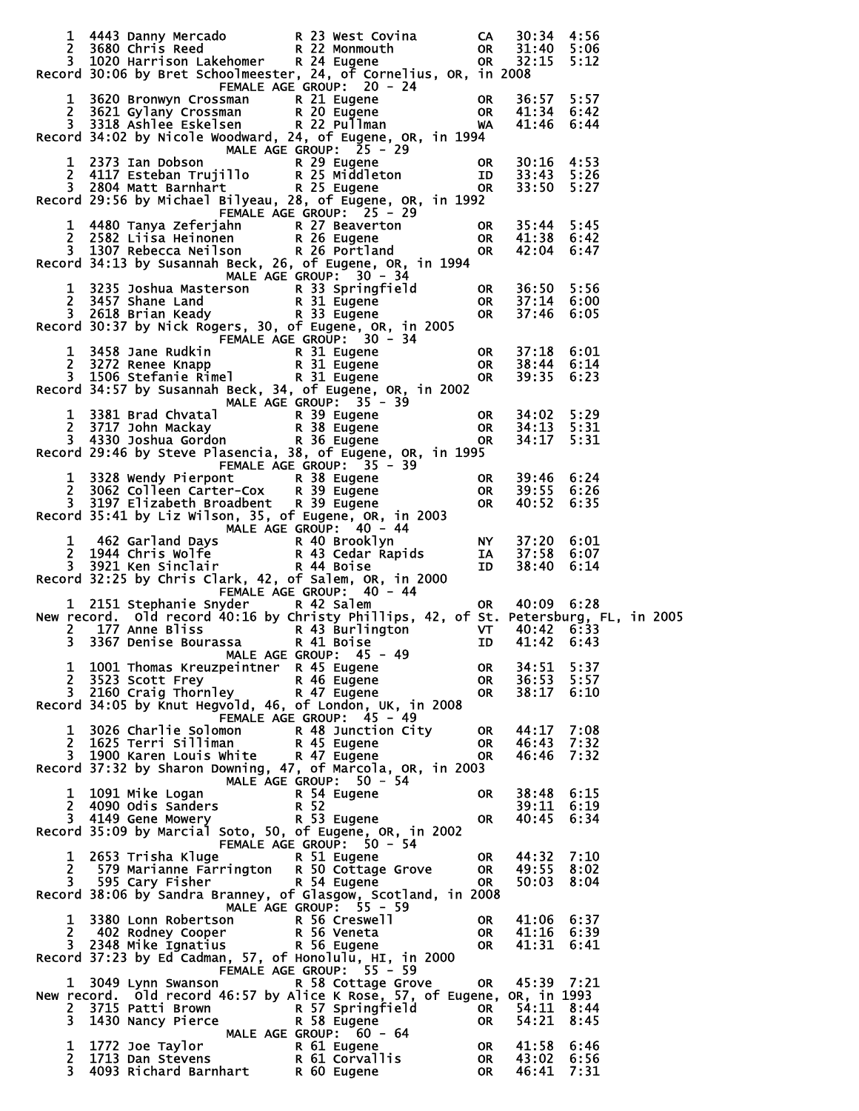|                              |                                                                                                         | Record 30:06 by Bret Schoolmeester, 24, of Cornelius, OR, in 2008                                                                                                                                                                                                                                                                                |                          | 30:34<br>31:40<br>32:15                | 4:56<br>5:06<br>5:12 |
|------------------------------|---------------------------------------------------------------------------------------------------------|--------------------------------------------------------------------------------------------------------------------------------------------------------------------------------------------------------------------------------------------------------------------------------------------------------------------------------------------------|--------------------------|----------------------------------------|----------------------|
|                              |                                                                                                         | 1 3620 Bronwyn Crossman<br>2 3621 Gylany Crossman<br>2 3621 Gylany Crossman<br>2 3621 Gylany Crossman<br>2 3621 Gylany Crossman<br>2 2 Pullman<br>2 2 Pullman<br>2 2 Pullman<br>2 2 Pullman<br>2 2 Pullman<br>2 2 Pullman<br>2 2 Pullman<br>2 2 Pullma<br>Record $\overline{34:02}$ by Nicole Woodward, 24, of Eugene, OR, in 1994               |                          |                                        |                      |
|                              |                                                                                                         | 1 2373 Ian Dobson<br>2 4117 Esteban Trujillo R 25 Middleton ID 33:43 5:26<br>3 2804 Matt Barnhart R. R 25 Eugene 1 200R 33:50 5:27<br>Record 29:56 by Michael Bilyeau, 28, of Eugene, OR, in 1992<br>FEMALE AGE GROUP: 25 - 29                                                                                                                   |                          |                                        |                      |
|                              |                                                                                                         | 1 4480 Tanya Zeferjahn<br>2 2582 Liisa Heinonen<br>3 1307 Rebecca Neilson<br>2 R 26 Portland<br>2 R 26 Portland<br>2 C Portland<br>2 C Portland<br>2 C Portland<br>2 C Portland<br>2 C Portland<br>2 C Portland<br>2 C Portland<br>2 C Portland<br>2 C P<br>Record 34:13 by Susannah Beck, 26, of Eugene, OR, in 1994<br>MALE AGE GROUP: 30 - 34 |                          |                                        |                      |
|                              |                                                                                                         | 1 3235 Joshua Masterson<br>2 3457 Shane Land<br>3 2618 Brian Keady<br>Record 30:37 by Nick Rogers, 30, of Eugene, 0R, in 2005                                                                                                                                                                                                                    |                          | 36:50<br>37:14<br>37:46 6:05           | 5:56<br>6:00         |
|                              |                                                                                                         | 1 3458 Jane Rudkin<br>2 3272 Renee Knapp<br>3 1506 Stefanie Rimel<br>1 3458 Jane Rudkin<br>2 3272 Renee Knapp<br>3 1506 Stefanie Rimel<br>2 8 31 Eugene<br>2 8 31 Eugene<br>Record 34:57 by Susannah Beck, 34, of Eugene, OR, in 2002                                                                                                            |                          | 37:18 6:01<br>38:44 6:14<br>39:35 6:23 |                      |
|                              |                                                                                                         | MALE AGE GROUP: $35 - 39$<br>1 3381 Brad Chvatal<br>2 3717 John Mackay<br>2 3717 John Mackay<br>3 4330 Joshua Gordon<br>8 36 Eugene<br>2 2 2 2 3717 John Mackay<br>8 36 Eugene<br>Record 29:46 by Steve Plasencia, 38, of Eugene, OR, in 1995                                                                                                    | <b>OR</b>                | 34:02 5:29<br>34:13 5:31<br>34:17 5:31 |                      |
|                              |                                                                                                         | FEMALE AGE GROUP: 35 - 39<br>1 3328 Wendy Pierpont<br>2 3062 Colleen Carter-Cox R 38 Eugene<br>3 3197 Elizabeth Broadbent R 39 Eugene<br>3 3197 Elizabeth Broadbent R 39 Eugene<br>3 3197 Elizabeth Broadbent R 39 Eugene<br>3 3197 Elizabeth Broadbent R 39 Eugene<br>                                                                          |                          |                                        |                      |
|                              |                                                                                                         |                                                                                                                                                                                                                                                                                                                                                  |                          |                                        |                      |
|                              | 1 2151 Stephanie Snyder R 42 Salem                                                                      | ark, 42, OT Saitm, S.,<br>FEMALE AGE GROUP: 40 - 44<br>And The Caleman Corporation of the 10:09 6:28<br>New record. Old record 40:16 by christy Phillips, 42, of St. Petersburg, FL, in 2005<br>2 177 Anne Bliss<br>3 3367 Denise Bourassa R 41 Boise<br>1 10 41:42 6:43                                                                         |                          |                                        |                      |
|                              | 1 1001 Thomas Kreuzpeintner R 45 Eugene                                                                 | MALE AGE GROUP: 45 - 49<br>2 3523 Scott Frey<br>3 2160 Craig Thornley<br>Record 34:05 by Knut Hegvold, 46, of London, UK, in 2008                                                                                                                                                                                                                | 0R<br>OR<br><b>OR</b>    | 34:51<br>36:53<br>38:17                | 5:37<br>5:57<br>6:10 |
|                              |                                                                                                         | FEMALE AGE GROUP: 45 - 49<br>1 3026 Charlie Solomon<br>2 1625 Terri Silliman<br>3 1900 Karen Louis White<br>Record 37:32 by Sharon Downing, 47, of Marcola, OR, in 2003                                                                                                                                                                          | OR .<br>OR.<br><b>OR</b> | 44:17 7:08<br>46:43 7:32<br>46:46      | 7:32                 |
|                              | 1 1091 Mike Logan<br>2 4090 Odis Sanders<br>3 4149 Gene Mowery<br>3 4149 Gene Mowery<br>1 2 R 53 Eugene | MALE AGE GROUP: $50 - 54$                                                                                                                                                                                                                                                                                                                        | OR .<br><b>OR</b>        | 38:48 6:15<br>39:11 6:19<br>40:45 6:34 |                      |
| 1<br>$\mathbf{2}$<br>3.      | 2653 Trisha Kluge R 51 Eugene                                                                           | Record 35:09 by Marcial Soto, 50, of Eugene, OR, in 2002<br>FEMALE AGE GROUP: 50 - 54<br>579 Marianne Farrington<br>595 Cary Fisher - R 50 Cottage Grove<br>595 Cary Fisher - R 54 Eugene<br>38:06 by Sandra Prannew - C 63                                                                                                                      | OR<br><b>OR</b><br>OR    | 44:32<br>49:55 8:02<br>50:03 8:04      | 7:10                 |
|                              |                                                                                                         | Record 38:06 by Sandra Branney, of Glasgow, Scotland, in 2008<br>MALE AGE GROUP: $55 - 59$<br>1 3380 Lonn Robertson<br>2 402 Rodney Cooper<br>3 2348 Mike Ignatius<br>Record 37:23 by Ed Cadman, 57, of Honolulu, HI, in 2000                                                                                                                    | OR .<br><b>OR</b>        | 41:06 6:37<br>41:16 6:39               |                      |
|                              |                                                                                                         | FEMALE AGE GROUP: 55 - 59<br>1 3049 Lynn Swanson R 58 Cottage Grove<br>New record. Old record 46:57 by Alice K Rose, 57, of Eugene, OR, in 1993                                                                                                                                                                                                  | <b>OR</b>                | 41:31 6:41<br>OR 45:39 7:21            |                      |
| $\mathbf{2}$<br>З.<br>1<br>2 |                                                                                                         | MALE AGE GROUP: 60 - 64<br>1772 Joe Taylor R 61 Eugene OR 41:58 6:46<br>1713 Dan Stevens R 61 Corvallis OR 43:02 6:56<br>4093 Richard Barnhart R 60 Eugene OR 46:41 7:31                                                                                                                                                                         |                          | 54:11 8:44<br>54:21 8:45               |                      |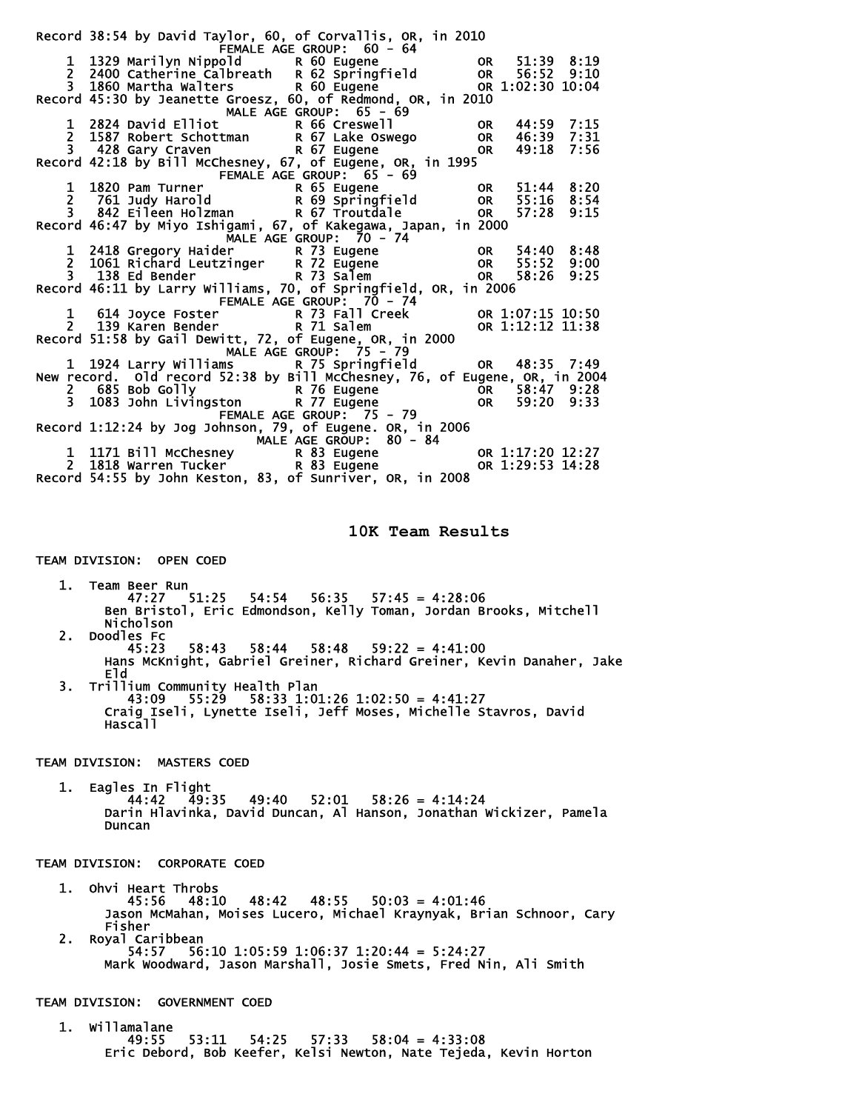|                                                                                                            | Record 38:54 by David Taylor, 60, of Corvallis, OR, in 2010                                                                                                                                                                                         |                           |  |  |  |
|------------------------------------------------------------------------------------------------------------|-----------------------------------------------------------------------------------------------------------------------------------------------------------------------------------------------------------------------------------------------------|---------------------------|--|--|--|
|                                                                                                            |                                                                                                                                                                                                                                                     |                           |  |  |  |
|                                                                                                            |                                                                                                                                                                                                                                                     |                           |  |  |  |
|                                                                                                            |                                                                                                                                                                                                                                                     |                           |  |  |  |
|                                                                                                            | EMALE AGE GROUP: 60 - 64<br>1 1329 Marilyn Nippold<br>2 2400 Catherine Calbreath R 62 Springfield OR 56:52 9:10<br>3 1860 Martha Walters R 60 Eugene OR 1:02:30 10:04<br>Record 45:30 by Jeanette Groesz, 60, of Redmond, OR, in 2010<br>           |                           |  |  |  |
|                                                                                                            |                                                                                                                                                                                                                                                     |                           |  |  |  |
|                                                                                                            |                                                                                                                                                                                                                                                     |                           |  |  |  |
|                                                                                                            |                                                                                                                                                                                                                                                     |                           |  |  |  |
|                                                                                                            |                                                                                                                                                                                                                                                     |                           |  |  |  |
|                                                                                                            |                                                                                                                                                                                                                                                     |                           |  |  |  |
|                                                                                                            |                                                                                                                                                                                                                                                     |                           |  |  |  |
|                                                                                                            | The Chapter of Chapter of Chapter of Chapter of Chapter of Chapter of Chapter of Chapter of Chapter of Chapter<br>1 1820 Pam Turner R 65 Eugene OR 51:44 8:20<br>2 761 Judy Harold R 69 Springfield OR 55:16 8:54<br>3 842_Eileen Ho                |                           |  |  |  |
|                                                                                                            |                                                                                                                                                                                                                                                     |                           |  |  |  |
|                                                                                                            |                                                                                                                                                                                                                                                     |                           |  |  |  |
|                                                                                                            |                                                                                                                                                                                                                                                     |                           |  |  |  |
|                                                                                                            | Record 46:47 by Miyo Ishigami, 67, of Kakegawa, Japan, in 2000                                                                                                                                                                                      |                           |  |  |  |
|                                                                                                            | MALE AGE GROUP: 70 - 74<br>1 2418 Gregory Haider R 73 Eugene OR 54:40 8:48<br>2 1061 Richard Leutzinger R 72 Eugene OR 55:52 9:00<br>3 138 Ed Bender R 73 Salem OR 58:26 9:25<br>Record 46:11 by Larry Williams, 70, of Springfield, O              |                           |  |  |  |
|                                                                                                            |                                                                                                                                                                                                                                                     |                           |  |  |  |
|                                                                                                            |                                                                                                                                                                                                                                                     |                           |  |  |  |
|                                                                                                            |                                                                                                                                                                                                                                                     |                           |  |  |  |
|                                                                                                            |                                                                                                                                                                                                                                                     |                           |  |  |  |
|                                                                                                            |                                                                                                                                                                                                                                                     | FEMALE AGE GROUP: 70 - 74 |  |  |  |
|                                                                                                            | 1 614 Joyce Foster<br>2 139 Karen Bender<br>1.38 Karen Bender<br>1.58 Karen Bender<br>1.58 Karen Bender<br>1.58 Karen Bender<br>1.59 Karen Bender<br>1.59 Karen Bender<br>1.59 Karen Bender<br>1.59 Karen Bender<br>1.59 Karen Bender<br>1.59 Karen |                           |  |  |  |
|                                                                                                            |                                                                                                                                                                                                                                                     |                           |  |  |  |
|                                                                                                            | Record 51:58 by Gail Dewitt, 72, of Eugene, OR, in 2000                                                                                                                                                                                             |                           |  |  |  |
| MALE AGE GROUP: 75 - 79<br>mall Age GROOP: 75 - 79<br>1 1924 Larry Williams R 75 Springfield OR 48:35 7:49 |                                                                                                                                                                                                                                                     |                           |  |  |  |
|                                                                                                            |                                                                                                                                                                                                                                                     |                           |  |  |  |
|                                                                                                            | New record. Old record 52:38 by Bill McChesney, 76, of Eugene, OR, in 2004                                                                                                                                                                          |                           |  |  |  |
|                                                                                                            |                                                                                                                                                                                                                                                     |                           |  |  |  |
|                                                                                                            |                                                                                                                                                                                                                                                     |                           |  |  |  |
| 2 685 Bob Golly<br>3 1083 John Livingston R 77 Eugene 1083 John Livingston R 77 Eugene 108 59:20 9:33      |                                                                                                                                                                                                                                                     |                           |  |  |  |
|                                                                                                            | Record 1:12:24 by Jog Johnson, 79, of Eugene. OR, in 2006                                                                                                                                                                                           |                           |  |  |  |
|                                                                                                            |                                                                                                                                                                                                                                                     |                           |  |  |  |
|                                                                                                            |                                                                                                                                                                                                                                                     |                           |  |  |  |
|                                                                                                            |                                                                                                                                                                                                                                                     |                           |  |  |  |
|                                                                                                            | 1 1171 Bill McChesney<br>2 1818 Warren Tucker<br>R 83 Eugene<br>Record 54:55 by John Keston, 83, of Sunriver, OR, in 2008<br>Record 54:55 by John Keston, 83, of Sunriver, OR, in 2008                                                              |                           |  |  |  |
|                                                                                                            |                                                                                                                                                                                                                                                     |                           |  |  |  |
|                                                                                                            |                                                                                                                                                                                                                                                     |                           |  |  |  |

**10K Team Results** 

 1. Team Beer Run 47:27 51:25 54:54 56:35 57:45 = 4:28:06 Ben Bristol, Eric Edmondson, Kelly Toman, Jordan Brooks, Mitchell Nicholson

- 2. Doodles Fc 45:23 58:43 58:44 58:48 59:22 = 4:41:00 Hans McKnight, Gabriel Greiner, Richard Greiner, Kevin Danaher, Jake Eld
- 3. Trillium Community Health Plan 43:09 55:29 58:33 1:01:26 1:02:50 = 4:41:27 Craig Iseli, Lynette Iseli, Jeff Moses, Michelle Stavros, David Hascall

TEAM DIVISION: MASTERS COED

TEAM DIVISION: OPEN COED

1. Eagles In Flight<br>44:42 49:35  $49:40$   $52:01$   $58:26 = 4:14:24$  Darin Hlavinka, David Duncan, Al Hanson, Jonathan Wickizer, Pamela Duncan

TEAM DIVISION: CORPORATE COED

- 1. Ohvi Heart Throbs 45:56 48:10 48:42 48:55 50:03 = 4:01:46 Jason McMahan, Moises Lucero, Michael Kraynyak, Brian Schnoor, Cary
- Fisher<br>2. Royal Ca 2. Royal Caribbean 54:57 56:10 1:05:59 1:06:37 1:20:44 = 5:24:27 Mark Woodward, Jason Marshall, Josie Smets, Fred Nin, Ali Smith

TEAM DIVISION: GOVERNMENT COED

 1. Willamalane  $53:11$   $54:25$   $57:33$   $58:04 = 4:33:08$ Eric Debord, Bob Keefer, Kelsi Newton, Nate Tejeda, Kevin Horton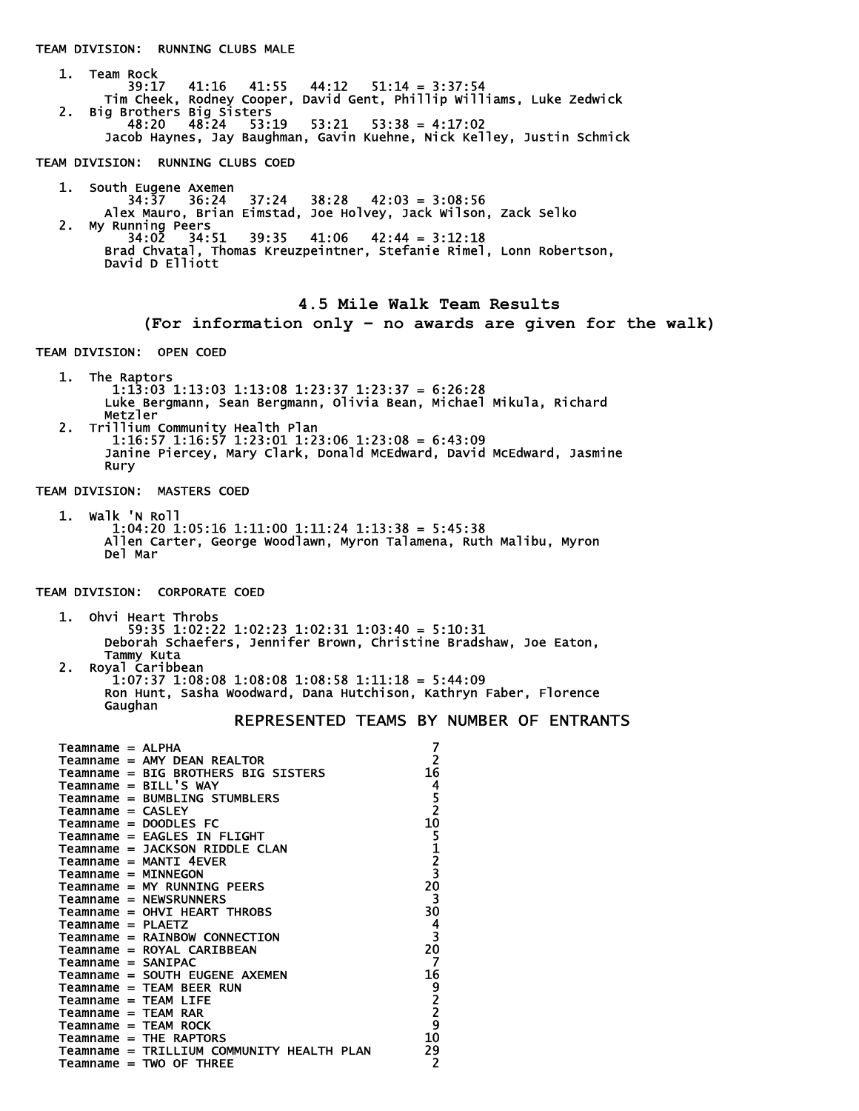TEAM DIVISION: RUNNING CLUBS MALE 1. Team Rock<br>39:17 39:17 41:16 41:55 44:12 51:14 = 3:37:54 Tim Cheek, Rodney Cooper, David Gent, Phillip Williams, Luke Zedwick 2. Big Brothers Big Sisters 48:20 48:24 53:19 53:21 53:38 = 4:17:02 Jacob Haynes, Jay Baughman, Gavin Kuehne, Nick Kelley, Justin Schmick TEAM DIVISION: RUNNING CLUBS COED 1. South Eugene Axemen 34:37 36:24 37:24 38:28 42:03 = 3:08:56 Alex Mauro, Brian Eimstad, Joe Holvey, Jack Wilson, Zack Selko 2. My Running Peers 34:02 34:51 39:35 41:06 42:44 = 3:12:18 Brad Chvatal, Thomas Kreuzpeintner, Stefanie Rimel, Lonn Robertson, David D Elliott **4.5 Mile Walk Team Results (For information only – no awards are given for the walk)**  TEAM DIVISION: OPEN COED 1. The Raptors 1:13:03 1:13:03 1:13:08 1:23:37 1:23:37 = 6:26:28 Luke Bergmann, Sean Bergmann, Olivia Bean, Michael Mikula, Richard Metzler<br>Crrillium ( 2. Trillium Community Health Plan 1:16:57 1:16:57 1:23:01 1:23:06 1:23:08 = 6:43:09 Janine Piercey, Mary Clark, Donald McEdward, David McEdward, Jasmine Rury TEAM DIVISION: MASTERS COED 1. Walk 'N Roll 1:04:20 1:05:16 1:11:00 1:11:24 1:13:38 = 5:45:38 Allen Carter, George Woodlawn, Myron Talamena, Ruth Malibu, Myron Del Mar TEAM DIVISION: CORPORATE COED 1. Ohvi Heart Throbs 59:35 1:02:22 1:02:23 1:02:31 1:03:40 = 5:10:31 Deborah Schaefers, Jennifer Brown, Christine Bradshaw, Joe Eaton, Tammy Kuta 2. Royal Caribbean 1:07:37 1:08:08 1:08:08 1:08:58 1:11:18 = 5:44:09 Ron Hunt, Sasha Woodward, Dana Hutchison, Kathryn Faber, Florence Gaughan REPRESENTED TEAMS BY NUMBER OF ENTRANTS Teamname = ALPHA 7 Teamname = AMY DEAN REALTOR 2 Teamname = BIG BROTHERS BIG SISTERS 16<br>
Teamname = BILL'S WAY 14<br>
Teamname = BUMBLING STUMBLERS 5<br>
Teamname = CASLEY 2  $Teamname = BILL'S WAY$ Teamname = BUMBLING STUMBLERS Teamname = CASLEY 2<br>
Teamname = DOODLES FC 2<br>
10 Teamname = DOODLES FC 10 Teamname = EAGLES IN FLIGHT 5 Teamname = JACKSON RIDDLE CLAN 1 Teamname = MANTI 4EVER 2 Teamname = MINNEGON 3<br>Teamname = MY RUNNING PEERS 320 Teamname = MY RUNNING PEERS 20<br>Teamname = NEWSRUNNERS 3 Teamname = NEWSRUNNERS 3 Teamname = OHVI HEART THROBS 30<br>Teamname = PLAETZ 4<br>Teamname = RAINBOW CONNECTION 3 Teamname = PLAETZ 4 Teamname = RAINBOW CONNECTION 3<br>Teamname = ROYAL CARIBBEAN 30 Teamname = ROYAL CARIBBEAN 20 Teamname = SANIPAC 7 Teamname = SOUTH EUGENE AXEMEN 16<br>
Teamname = TEAM BEER RUN 9<br>
Teamname = TEAM LIFE 2<br>
Teamname = TEAM RAR 2<br>
Teamname = TEAM ROCK 9<br>
Teamname = THE RAPTORS 10  $Teamname = TEAM BERT RUN$ Teamname = TEAM LIFE Teamname = TEAM RAR Teamname = TEAM ROCK  $T$ eamname = THE RAPTORS  $10$  Teamname = TRILLIUM COMMUNITY HEALTH PLAN 29  $Teamname = TWO OF THE$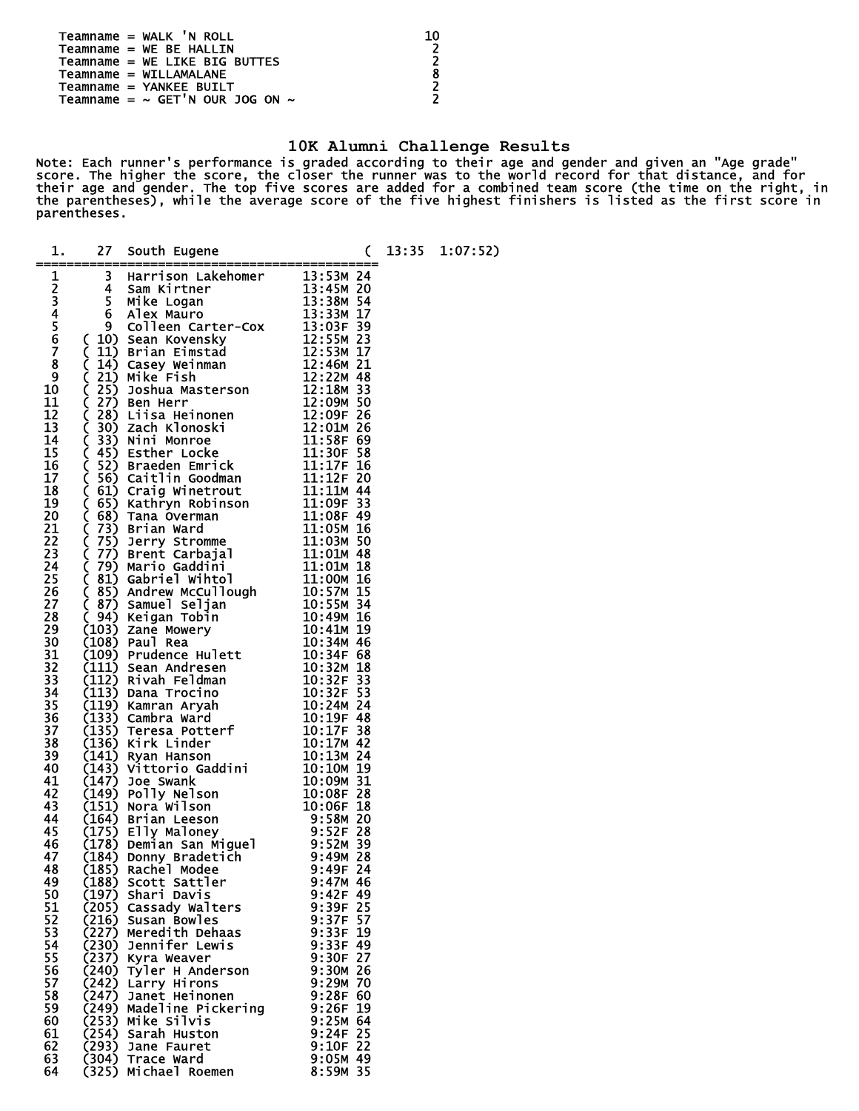| Teamname = WALK 'N ROLL                   | 10  |
|-------------------------------------------|-----|
| $Teamname = WE BE HALLIN$                 | - 7 |
| Teamname = WE LIKE BIG BUTTES             | ີ   |
| $Teamname = WILLAMALANE$                  | 8   |
| $Teamname = YANKEE BUILT$                 | ີ   |
| Teamname = $\sim$ GET'N OUR JOG ON $\sim$ | ີ   |
|                                           |     |

## **10K Alumni Challenge Results**

Note: Each runner's performance is graded according to their age and gender and given an "Age grade" score. The higher the score, the closer the runner was to the world record for that distance, and for their age and gender. The top five scores are added for a combined team score (the time on the right, in the parentheses), while the average score of the five highest finishers is listed as the first score in parentheses. ĩ.

| 1.               |                | 27 South Eugene<br>13 Harrison Lakehomer<br>13:53M 24<br>4 4 Sam Kirtner<br>5 Mike Logan<br>5 Mike Logan<br>6 Alex Mauro<br>6 Colleen Carter-Cox<br>13:338M 17<br>9 Colleen Carter-Cox<br>13:338 17<br>9 Colleen Carter-Cox<br>13:338 17<br>9 Colleen C |                          |  | 13:35 1:07:52) |
|------------------|----------------|---------------------------------------------------------------------------------------------------------------------------------------------------------------------------------------------------------------------------------------------------------|--------------------------|--|----------------|
| 12345678         |                |                                                                                                                                                                                                                                                         |                          |  |                |
|                  |                |                                                                                                                                                                                                                                                         |                          |  |                |
|                  |                |                                                                                                                                                                                                                                                         |                          |  |                |
|                  |                |                                                                                                                                                                                                                                                         |                          |  |                |
|                  |                |                                                                                                                                                                                                                                                         |                          |  |                |
|                  |                |                                                                                                                                                                                                                                                         |                          |  |                |
| $\boldsymbol{9}$ |                |                                                                                                                                                                                                                                                         |                          |  |                |
| 10<br>11         |                |                                                                                                                                                                                                                                                         |                          |  |                |
| 12               |                |                                                                                                                                                                                                                                                         |                          |  |                |
|                  |                |                                                                                                                                                                                                                                                         |                          |  |                |
|                  |                |                                                                                                                                                                                                                                                         |                          |  |                |
|                  |                |                                                                                                                                                                                                                                                         |                          |  |                |
|                  |                |                                                                                                                                                                                                                                                         |                          |  |                |
|                  |                |                                                                                                                                                                                                                                                         |                          |  |                |
|                  |                |                                                                                                                                                                                                                                                         |                          |  |                |
|                  |                |                                                                                                                                                                                                                                                         |                          |  |                |
|                  |                |                                                                                                                                                                                                                                                         |                          |  |                |
|                  |                |                                                                                                                                                                                                                                                         |                          |  |                |
|                  |                |                                                                                                                                                                                                                                                         |                          |  |                |
|                  |                |                                                                                                                                                                                                                                                         |                          |  |                |
|                  |                |                                                                                                                                                                                                                                                         |                          |  |                |
|                  |                |                                                                                                                                                                                                                                                         |                          |  |                |
| 30               |                |                                                                                                                                                                                                                                                         |                          |  |                |
| 31               |                |                                                                                                                                                                                                                                                         |                          |  |                |
| 32<br>33         |                |                                                                                                                                                                                                                                                         |                          |  |                |
| 34               |                |                                                                                                                                                                                                                                                         |                          |  |                |
| 35               |                |                                                                                                                                                                                                                                                         |                          |  |                |
| 36<br>37         |                |                                                                                                                                                                                                                                                         |                          |  |                |
| 38               |                |                                                                                                                                                                                                                                                         |                          |  |                |
| 39               |                |                                                                                                                                                                                                                                                         |                          |  |                |
| 40<br>41         |                |                                                                                                                                                                                                                                                         |                          |  |                |
| 42               |                |                                                                                                                                                                                                                                                         |                          |  |                |
| 43               |                |                                                                                                                                                                                                                                                         |                          |  |                |
| 44<br>45         |                |                                                                                                                                                                                                                                                         |                          |  |                |
| 46               |                |                                                                                                                                                                                                                                                         |                          |  |                |
| 47               |                |                                                                                                                                                                                                                                                         |                          |  |                |
| 48               | (185)          | Rachel Modee                                                                                                                                                                                                                                            | 9:49F 24                 |  |                |
| 49<br>50         | (197)          | (188) Scott Sattler<br>Shari Davis                                                                                                                                                                                                                      | $9:47M$ 46<br>$9:42F$ 49 |  |                |
| 51               |                | (205) Cassady Walters                                                                                                                                                                                                                                   | 9:39F 25                 |  |                |
| 52               | (216)          | Susan Bowles                                                                                                                                                                                                                                            | 9:37F 57                 |  |                |
| 53<br>54         | (230)          | (227) Meredith Dehaas<br>Jennifer Lewis                                                                                                                                                                                                                 | $9:33F$ 19<br>9:33F 49   |  |                |
| 55               |                | (237) Kyra Weaver                                                                                                                                                                                                                                       | 9:30F 27                 |  |                |
| 56               | (240)          | Tyler H Anderson                                                                                                                                                                                                                                        | $9:30M$ 26               |  |                |
| 57<br>58         | (242)<br>(247) | Larry Hirons<br>Janet Heinonen                                                                                                                                                                                                                          | $9:29M$ 70<br>9:28F 60   |  |                |
| 59               |                | (249) Madeline Pickering                                                                                                                                                                                                                                | 9:26F 19                 |  |                |
| 60               | (253)          | Mike Silvis                                                                                                                                                                                                                                             | 9:25M 64                 |  |                |
| 61<br>62         | (293)          | (254) Sarah Huston                                                                                                                                                                                                                                      | $9:24F$ 25<br>$9:10F$ 22 |  |                |
| 63               |                | Jane Fauret<br>(304) Trace Ward                                                                                                                                                                                                                         | 9:05M 49                 |  |                |
| 64               | (325)          | Michael Roemen                                                                                                                                                                                                                                          | 8:59M 35                 |  |                |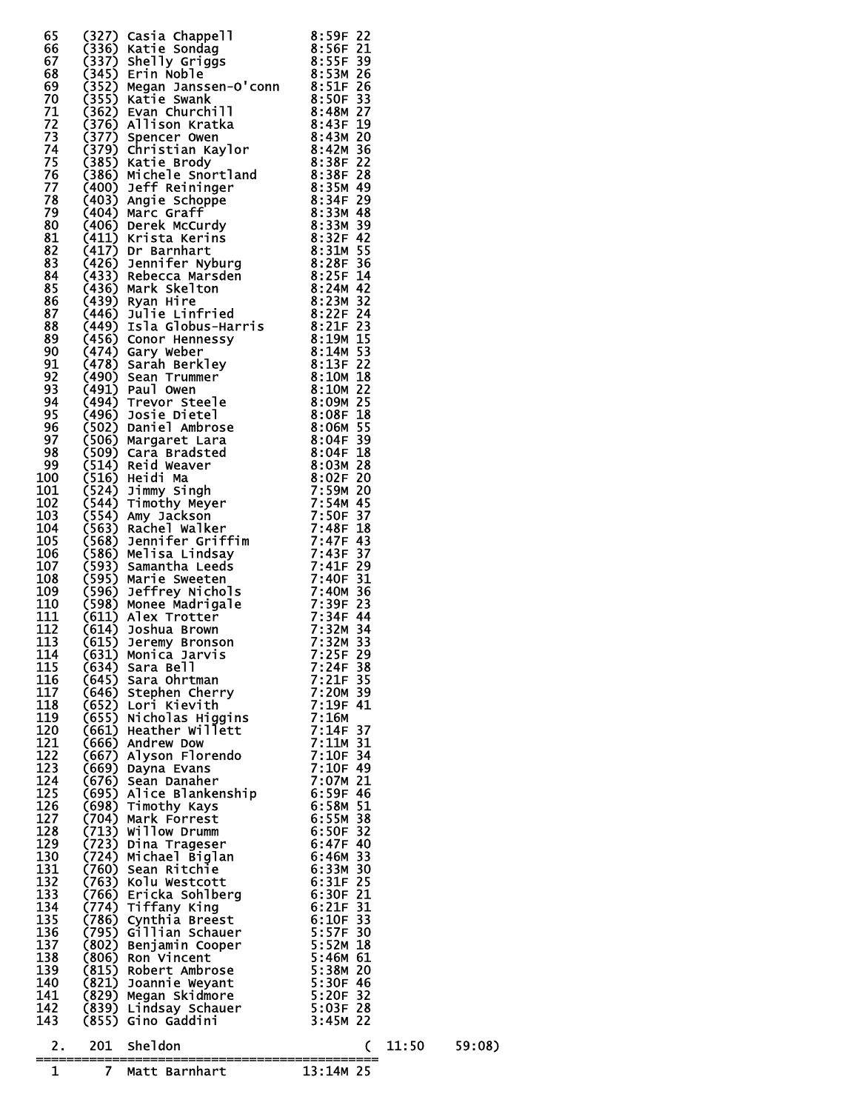|    |        | 66 (322) Castin Chappel 1 and 2013 Castin 2013<br>68 (3356) Karle Sonda (81376) 2014 Section 2013<br>68 (3356) Shell Sonda (81376) 2016 (1376) 2017 2018 (322) 2016 2018 (33676) 2018 2018<br>771 (3367) Shell Sonda (33676) 2016 Cast |            |  |
|----|--------|----------------------------------------------------------------------------------------------------------------------------------------------------------------------------------------------------------------------------------------|------------|--|
|    |        |                                                                                                                                                                                                                                        |            |  |
|    |        |                                                                                                                                                                                                                                        |            |  |
|    |        |                                                                                                                                                                                                                                        |            |  |
|    |        |                                                                                                                                                                                                                                        |            |  |
|    |        |                                                                                                                                                                                                                                        |            |  |
|    |        |                                                                                                                                                                                                                                        |            |  |
|    |        |                                                                                                                                                                                                                                        |            |  |
|    |        |                                                                                                                                                                                                                                        |            |  |
|    |        |                                                                                                                                                                                                                                        |            |  |
|    |        |                                                                                                                                                                                                                                        |            |  |
|    |        |                                                                                                                                                                                                                                        |            |  |
|    |        |                                                                                                                                                                                                                                        |            |  |
|    |        |                                                                                                                                                                                                                                        |            |  |
|    |        |                                                                                                                                                                                                                                        |            |  |
|    |        |                                                                                                                                                                                                                                        |            |  |
|    |        |                                                                                                                                                                                                                                        |            |  |
|    |        |                                                                                                                                                                                                                                        |            |  |
|    |        |                                                                                                                                                                                                                                        |            |  |
|    |        |                                                                                                                                                                                                                                        |            |  |
|    |        |                                                                                                                                                                                                                                        |            |  |
|    |        |                                                                                                                                                                                                                                        |            |  |
|    |        |                                                                                                                                                                                                                                        |            |  |
|    |        |                                                                                                                                                                                                                                        |            |  |
|    |        |                                                                                                                                                                                                                                        |            |  |
|    |        |                                                                                                                                                                                                                                        |            |  |
|    |        |                                                                                                                                                                                                                                        |            |  |
|    |        |                                                                                                                                                                                                                                        |            |  |
|    |        |                                                                                                                                                                                                                                        |            |  |
|    |        |                                                                                                                                                                                                                                        |            |  |
|    |        |                                                                                                                                                                                                                                        |            |  |
|    |        |                                                                                                                                                                                                                                        |            |  |
|    |        |                                                                                                                                                                                                                                        |            |  |
|    |        |                                                                                                                                                                                                                                        |            |  |
|    |        |                                                                                                                                                                                                                                        |            |  |
|    |        |                                                                                                                                                                                                                                        |            |  |
|    |        |                                                                                                                                                                                                                                        |            |  |
|    |        |                                                                                                                                                                                                                                        |            |  |
|    |        |                                                                                                                                                                                                                                        |            |  |
|    |        |                                                                                                                                                                                                                                        |            |  |
|    |        |                                                                                                                                                                                                                                        |            |  |
|    |        |                                                                                                                                                                                                                                        |            |  |
|    |        |                                                                                                                                                                                                                                        |            |  |
|    |        |                                                                                                                                                                                                                                        |            |  |
|    |        |                                                                                                                                                                                                                                        |            |  |
|    |        |                                                                                                                                                                                                                                        |            |  |
|    |        |                                                                                                                                                                                                                                        |            |  |
|    |        |                                                                                                                                                                                                                                        |            |  |
|    |        |                                                                                                                                                                                                                                        |            |  |
|    |        |                                                                                                                                                                                                                                        |            |  |
|    |        |                                                                                                                                                                                                                                        |            |  |
|    |        |                                                                                                                                                                                                                                        |            |  |
|    |        |                                                                                                                                                                                                                                        |            |  |
|    |        |                                                                                                                                                                                                                                        |            |  |
|    |        |                                                                                                                                                                                                                                        |            |  |
|    |        |                                                                                                                                                                                                                                        |            |  |
|    |        |                                                                                                                                                                                                                                        |            |  |
|    |        |                                                                                                                                                                                                                                        |            |  |
|    |        |                                                                                                                                                                                                                                        |            |  |
| 2. |        | 201 Sheldon                                                                                                                                                                                                                            |            |  |
|    | ====== | -------------------------------                                                                                                                                                                                                        | 11:50<br>C |  |
| 1  |        | =============<br>7  Matt Barnhart                                                                                                                                                                                                      | 13:14M 25  |  |

59:08)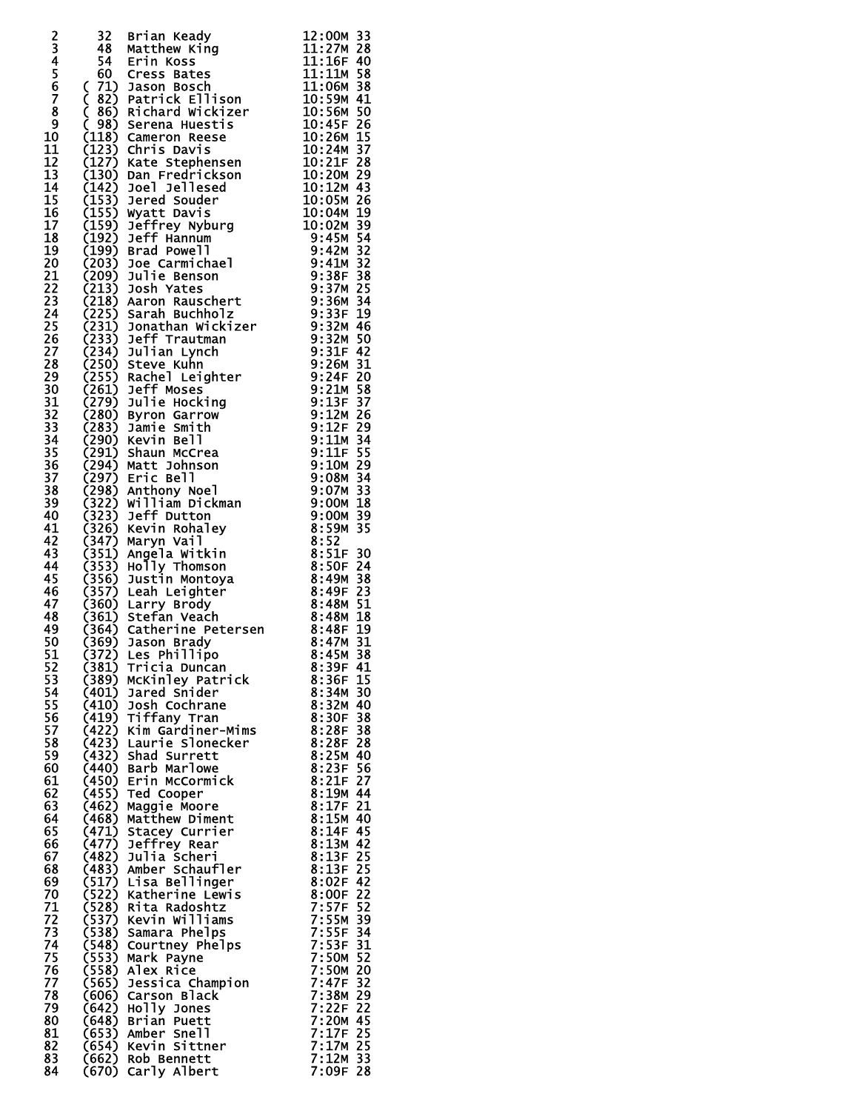|                     | 32                                                                                                               | Brian Keady                                                                                                                                                                                                                                                     | 12:00M 33                |
|---------------------|------------------------------------------------------------------------------------------------------------------|-----------------------------------------------------------------------------------------------------------------------------------------------------------------------------------------------------------------------------------------------------------------|--------------------------|
|                     | 48                                                                                                               | Matthew King                                                                                                                                                                                                                                                    | 11:27M 28                |
|                     | 54                                                                                                               | Erin Koss                                                                                                                                                                                                                                                       | 11:16F 40                |
| 2345678             | 60                                                                                                               | Cress Bates                                                                                                                                                                                                                                                     | 11:11M 58                |
|                     | 71)<br>82)<br>C                                                                                                  | Jason Bosch<br>Patrick Ellison                                                                                                                                                                                                                                  | 11:06M 38<br>10:59M 41   |
|                     |                                                                                                                  | Richard Wickizer                                                                                                                                                                                                                                                |                          |
| 9                   | 86)<br>98)<br>C                                                                                                  |                                                                                                                                                                                                                                                                 | 10:56M 50<br>10:45F 26   |
| 10                  | (118)<br>(123)                                                                                                   | <br>Serena Huestis<br>Cameron Reese                                                                                                                                                                                                                             | 10:26M 15                |
| 11                  |                                                                                                                  | Chris Davis                                                                                                                                                                                                                                                     | 10:24M 37                |
| 12                  |                                                                                                                  | Kate Stephensen                                                                                                                                                                                                                                                 | 10:21F 28<br>10:20M 29   |
| 13<br>14            |                                                                                                                  | <br>Dan Fredrickson<br>Joel Jellesed                                                                                                                                                                                                                            | $10:\overline{12M}$ 43   |
| 15                  |                                                                                                                  |                                                                                                                                                                                                                                                                 | 10:05M 26                |
| 16                  |                                                                                                                  |                                                                                                                                                                                                                                                                 | 10:04M 19                |
| 17                  |                                                                                                                  | Jeffrey Nyburg<br>Jeff Hannum                                                                                                                                                                                                                                   | 10:02M 39                |
| 18                  |                                                                                                                  |                                                                                                                                                                                                                                                                 | 9:45M 54                 |
| 19                  |                                                                                                                  |                                                                                                                                                                                                                                                                 | 9:42M 32                 |
| 20<br>21            |                                                                                                                  | Joe Carmichael                                                                                                                                                                                                                                                  | $9:41M$ 32<br>$9:38F$ 38 |
|                     |                                                                                                                  |                                                                                                                                                                                                                                                                 |                          |
| $\frac{2}{2}$<br>23 |                                                                                                                  | <b>Solution</b><br>19:37M 25<br>Aaron Rauschert<br>19:36M 34<br>Sarah Buchholz<br>19:33F 19<br>19:32M 46<br>19:32M 46<br>19:32M 46<br>Aaron Rauschert                                                                                                           |                          |
| $\frac{24}{25}$     |                                                                                                                  |                                                                                                                                                                                                                                                                 |                          |
|                     |                                                                                                                  |                                                                                                                                                                                                                                                                 |                          |
| $\frac{26}{27}$     |                                                                                                                  |                                                                                                                                                                                                                                                                 | 9:32M 50<br>9:31F 42     |
| 28                  |                                                                                                                  |                                                                                                                                                                                                                                                                 | 9:26M 31                 |
| 29                  |                                                                                                                  | Rachel Leighter                                                                                                                                                                                                                                                 | $9:24F$ 20               |
| $\frac{1}{30}$      |                                                                                                                  |                                                                                                                                                                                                                                                                 | 9:21M 58                 |
|                     |                                                                                                                  | Julie Hocking<br>Byron Garrow                                                                                                                                                                                                                                   | $9:13F$ 37               |
|                     |                                                                                                                  |                                                                                                                                                                                                                                                                 | $9:12M$ 26<br>$9:12F$ 29 |
|                     |                                                                                                                  | (118) Cameron Reese<br>(123) Chris Davis<br>(127) Kate Stephense<br>(130) Dan Fredrickso<br>(142) Joel Jellesed<br>(155) Wyatt Davis<br>(155) Wyatt Davis<br>(159) Jeffrey Nyburg<br>(192) Jeff Hannum<br>(209) Julie Benson<br>(209) Julie Benson<br>(218) Aar | 9:11M 34                 |
|                     |                                                                                                                  |                                                                                                                                                                                                                                                                 | $9:11F$ 55               |
|                     | (294)<br>(297)                                                                                                   | Matt Johnson                                                                                                                                                                                                                                                    | 9:10M 29                 |
|                     |                                                                                                                  | Eric Bell                                                                                                                                                                                                                                                       | 9:08M 34                 |
|                     |                                                                                                                  | Anthony Noel                                                                                                                                                                                                                                                    | 9:07M 33                 |
| 40                  | (298)<br>(322)<br>(323)<br>(326)<br>(326)                                                                        | William Dickman<br>Jeff Dutton                                                                                                                                                                                                                                  | 9:00M 18<br>9:00M 39     |
| 41                  |                                                                                                                  | Kevin Rohaley                                                                                                                                                                                                                                                   | 8:59M<br>35              |
| 42                  |                                                                                                                  |                                                                                                                                                                                                                                                                 |                          |
| 43                  |                                                                                                                  |                                                                                                                                                                                                                                                                 | $8:52$<br>$8:51F$ 30     |
| 44                  |                                                                                                                  | (326) Kevin Rohaley<br>(347) Maryn Vail<br>(351) Angela Witkin<br>(353) Holly Thomson<br>(355) Leah Leighter<br>(360) Larry Brody<br>(360) Larry Brody<br>(361) Stefan Veach<br>(364) Catherine Petersen<br>(369) Jason Brady<br>(372) Les Phillipo<br>(381) Tr | 8:50F 24                 |
| 45<br>46            |                                                                                                                  |                                                                                                                                                                                                                                                                 | 8:49M 38<br>8:49F 23     |
| 47                  |                                                                                                                  |                                                                                                                                                                                                                                                                 | 8:48M 51                 |
| 48                  |                                                                                                                  |                                                                                                                                                                                                                                                                 | 8:48M 18                 |
| 49                  |                                                                                                                  |                                                                                                                                                                                                                                                                 | $8:48F$ 19               |
| $5\bar{0}$          |                                                                                                                  |                                                                                                                                                                                                                                                                 | 8:47M<br>31              |
| 51<br>52            |                                                                                                                  |                                                                                                                                                                                                                                                                 | 8:45M 38                 |
| 53                  |                                                                                                                  |                                                                                                                                                                                                                                                                 | 8:39F 41<br>8:36F 15     |
| 54                  |                                                                                                                  |                                                                                                                                                                                                                                                                 | 8:34M 30                 |
| 55                  |                                                                                                                  |                                                                                                                                                                                                                                                                 | 8:32M 40                 |
| 56                  | (419)<br>(422)                                                                                                   | Tiffany Tran                                                                                                                                                                                                                                                    | 8:30F 38                 |
| 57<br>58            |                                                                                                                  | Kim Gardiner-Mims<br>Laurie Slonecker                                                                                                                                                                                                                           | 8:28F 38<br>8:28F 28     |
| 59                  |                                                                                                                  | (423) Laurie Slone<br>(432) Shad Surrett                                                                                                                                                                                                                        | 8:25M 40                 |
| 60                  |                                                                                                                  |                                                                                                                                                                                                                                                                 | 8:23F 56                 |
| 61                  |                                                                                                                  | (440) Barb Marlowe<br>(450) Erin McCormick                                                                                                                                                                                                                      | $8:21F$ 27               |
| 62                  | (455)<br>(462)                                                                                                   | Ted Cooper                                                                                                                                                                                                                                                      | 8:19M 44                 |
| 63<br>64            |                                                                                                                  | Maggie Moore                                                                                                                                                                                                                                                    | 8:17F 21                 |
| 65                  | (468)<br>(471)                                                                                                   | Matthew Diment<br>Stacey Currier                                                                                                                                                                                                                                | 8:15M 40<br>$8:14F$ 45   |
| 66                  |                                                                                                                  |                                                                                                                                                                                                                                                                 | 8:13M 42                 |
| 67                  |                                                                                                                  | (477) Jeffrey Rear<br>(482) Julia Scheri<br>(483) Amber Schaufler<br>(517) Lisa Bellinger                                                                                                                                                                       | $8:13F$ 25               |
| 68                  |                                                                                                                  | Amber Schaufler                                                                                                                                                                                                                                                 | $8:13F$ 25               |
| 69<br>70            |                                                                                                                  | Katherine Lewis                                                                                                                                                                                                                                                 | $8:02F$ 42               |
| 71                  |                                                                                                                  | Rita Radoshtz                                                                                                                                                                                                                                                   | 8:00F 22<br>7:57F 52     |
| 72                  |                                                                                                                  | Kevin Williams                                                                                                                                                                                                                                                  |                          |
| 73                  |                                                                                                                  | Samara Phelps                                                                                                                                                                                                                                                   | 7:55M 39<br>7:55F 34     |
| 74                  |                                                                                                                  | Courtney Phelps                                                                                                                                                                                                                                                 | 7:53F 31                 |
| 75                  | (522)<br>(522)<br>(537)<br>(538)<br>(533)<br>(553)<br>(565)<br>(566)<br>(606)                                    | Mark Payne                                                                                                                                                                                                                                                      | 7:50M 52                 |
| 76<br>77            |                                                                                                                  | Alex Rice<br>Jessica Champion                                                                                                                                                                                                                                   | 7:50M 20<br>7:47F 32     |
| 78                  |                                                                                                                  | Carson Black                                                                                                                                                                                                                                                    | 7:38M 29                 |
| 79                  | (606)<br>(642)                                                                                                   | Holly Jones                                                                                                                                                                                                                                                     | 7:22F 22                 |
| 80                  |                                                                                                                  | (648) Brian Puett<br>(653) Amber Snell<br>Brian Puett                                                                                                                                                                                                           | 7:20M 45                 |
| 81                  |                                                                                                                  |                                                                                                                                                                                                                                                                 | 7:17F 25                 |
| 82<br>83            |                                                                                                                  | (654) Kevin Sittner<br>(662) Rob Bennett                                                                                                                                                                                                                        | 7:17M 25<br>7:12M 33     |
| 84                  | $\widetilde{\mathsf{c}}\widetilde{\mathsf{c}}\widetilde{\mathsf{c}}\widetilde{\mathsf{c}}\widetilde{\mathsf{c}}$ | Carly Albert                                                                                                                                                                                                                                                    | 7:09F<br>28              |
|                     |                                                                                                                  |                                                                                                                                                                                                                                                                 |                          |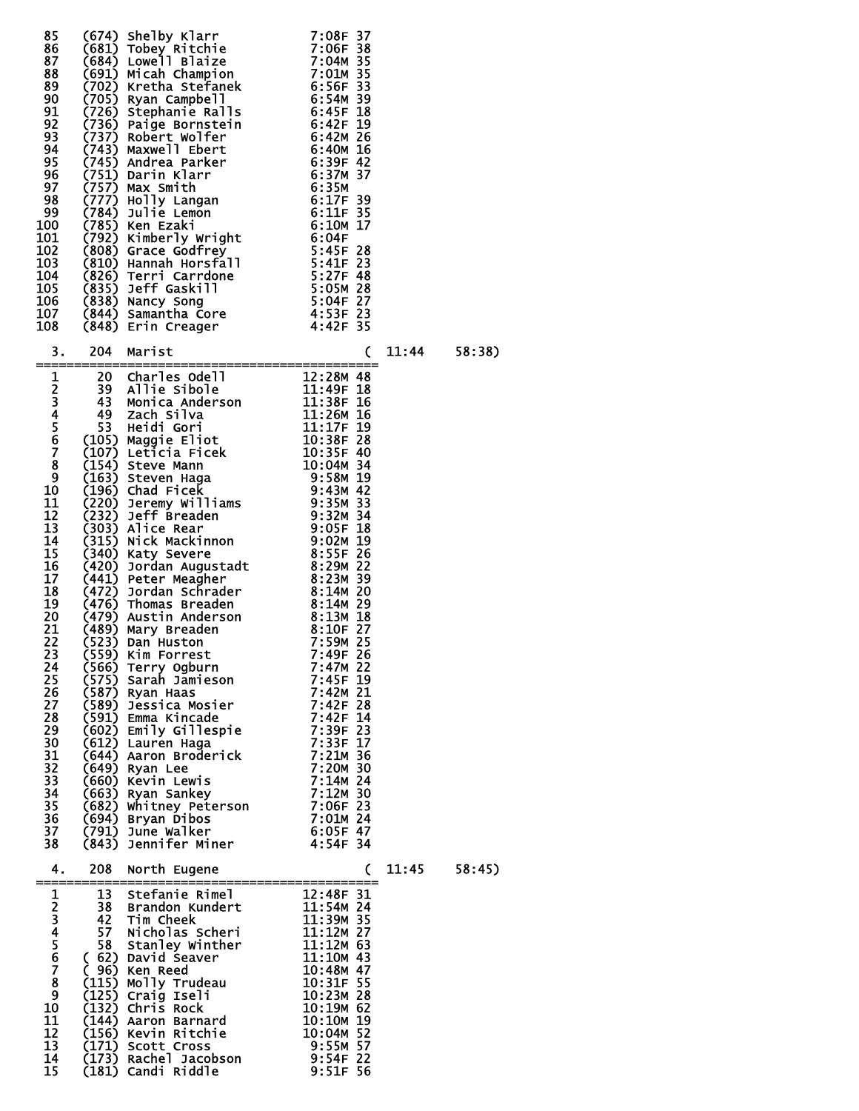| 85<br>86<br>87<br>88<br>89<br>90<br>91<br>92<br>93<br>94<br>95<br>96<br>97<br>98<br>99<br>100<br>101<br>102<br>103<br>104<br>105<br>106<br>107<br>108<br>З.                                                                                                       | 204                                               | (674) Shelby Klarr 7:08F 37<br>(681) Tobey Ritchie<br>(684) Lowell Blaize 7:06F 38<br>(684) Lowell Blaize 7:04M 35<br>(691) Micah Champion 7:01M 35<br>(702) Kretha Stefanek 6:56F 33<br>(705) Stephanie Ralls 6:56F 39<br>(726) Stephanie R<br>Marist                                                                                                                                                                                                                                                                                                                                                                               | -----------------------<br>(                                                                                                                                                              | 11:44 | 58:38) |
|-------------------------------------------------------------------------------------------------------------------------------------------------------------------------------------------------------------------------------------------------------------------|---------------------------------------------------|--------------------------------------------------------------------------------------------------------------------------------------------------------------------------------------------------------------------------------------------------------------------------------------------------------------------------------------------------------------------------------------------------------------------------------------------------------------------------------------------------------------------------------------------------------------------------------------------------------------------------------------|-------------------------------------------------------------------------------------------------------------------------------------------------------------------------------------------|-------|--------|
| =====<br>$\mathbf 1$                                                                                                                                                                                                                                              |                                                   |                                                                                                                                                                                                                                                                                                                                                                                                                                                                                                                                                                                                                                      |                                                                                                                                                                                           |       |        |
| $\frac{2}{3}$<br>4567<br>8<br>$\overline{9}$<br>10<br>11<br>12<br>13<br>14<br>15<br>16<br>17<br>18<br>19<br>20<br>21<br>22<br>23<br>24<br>25<br>$\frac{26}{27}$<br>28<br>29<br>$\frac{30}{31}$<br>$\frac{3}{3}$<br>33<br>$\frac{34}{35}$<br>$\frac{36}{37}$<br>38 | (566)<br>(682)<br>(791)                           | 204 Marist<br>20 Charles Odell<br>39 Allie Sibole<br>43 Monica Anderson<br>49 Zach Silva<br>49 Monica Anderson<br>53 Heidi Gori<br>53 Heidi Gori<br>53 Heidi Gori<br>53 Heidi Gori<br>53 Heidi Gori<br>53 Heidi Gori<br>53 Heidi Gori<br>51 11:12F 19<br>1<br>Terry Ogburn<br>(575) Sarah Jam<br>(587) Ryan Haas<br>Sarah Jāmieson<br>(589) Jessica Mosier<br>(591) Emma Kincade<br>(602) Emily Gillespie<br>(612) Lauren Haga<br>(644) Aaron Broderick<br>(649) Ryan Lee<br>(660) Kevin Lewis<br>(663) Ryan Sankey<br>Whitney Peterson 7:06F 23<br>Pryan Dibos 7:01M 24<br>(694) Bryan Dibos<br>June Walker<br>(843) Jennifer Miner | 7:47M 22<br>7:45F 19<br>7:42M 21<br>7:42F 28<br>7:42F 14<br>7:39F 23<br>7:33F 17<br>7:21M 36<br>7:20M 30<br>7:14M 24<br>7:12M 30<br>7:01M 24<br>6:05F 47<br>4:54F 34                      |       |        |
| 4.                                                                                                                                                                                                                                                                | 208                                               | North Eugene                                                                                                                                                                                                                                                                                                                                                                                                                                                                                                                                                                                                                         | C                                                                                                                                                                                         | 11:45 | 58:45) |
| 1<br>234567<br>$\overline{\mathbf{8}}$<br>$\overline{9}$<br>10 <sub>o</sub><br>11<br>12<br>13<br>14<br>15                                                                                                                                                         | 13<br>38<br>42<br>57<br>58<br>C<br>(132)<br>(156) | Stefanie Rimel<br>Brandon Kundert<br><b>Tim Cheek</b><br>Nicholas Scheri<br>Stanley Winther<br>(62) David Seaver<br>96) Ken Reed<br>(115) Molly Trudeau<br>(125) Craig Iseli<br>Chris Rock<br>(144) Aaron Barnard<br>Kevin Ritchie<br>(171) Scott Cross<br>(173) Rachel Jacobson<br>(181) Candi Riddle                                                                                                                                                                                                                                                                                                                               | 12:48F 31<br>11:54M 24<br>11:39M 35<br>11:12M 27<br>11:12M 63<br>11:10M 43<br>10:48M 47<br>10:31F 55<br>10:23M 28<br>10:19M 62<br>10:10M 19<br>10:04M 52<br>9:55M<br>9:54F 22<br>9:51F 56 |       |        |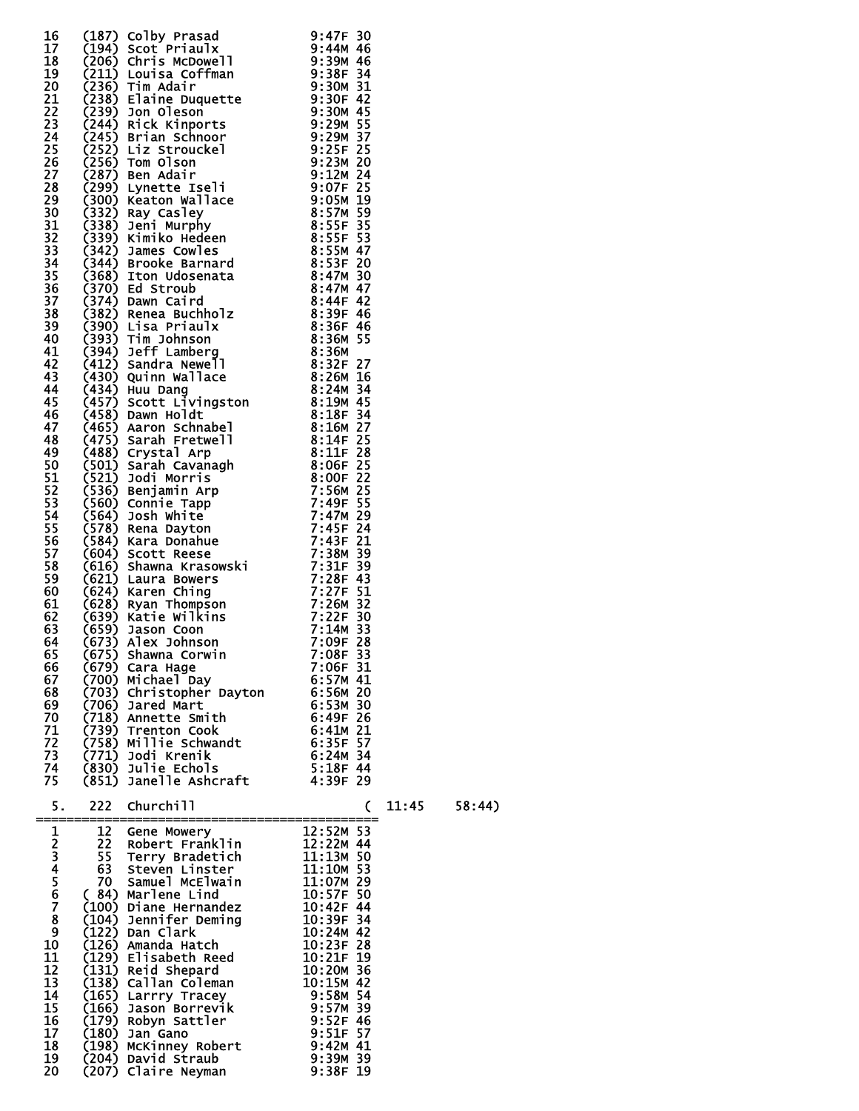|                                                                                                | 16 (187) Colby Prasad<br>17 (194) Scott Priaulx<br>2013 Scott Priaulx<br>2013 Scott Priaulx<br>2013 Louisa Coffman<br>2013 Louisa Coffman<br>2013 Louisa Coffman<br>212 (238) Tim Main Franch 9:300 42<br>22 (238) Elaine Duquette<br>23 (244)                          |            |        |
|------------------------------------------------------------------------------------------------|-------------------------------------------------------------------------------------------------------------------------------------------------------------------------------------------------------------------------------------------------------------------------|------------|--------|
| 67<br>68<br>69<br>70<br>71<br>72<br>73<br>74<br>75                                             | (675) Shawna Corwin 7:08F 33<br>(679) Cara Hage 7:06F 31<br>(700) Michael Day 6:57M 41<br>(703) Christopher Dayton 6:56M 20<br>(706) Jared Mart 6:53M 30<br>(718) Annette Smith 6:49F 26<br>(739) Trenton Cook 6:41M 21<br>(758) Millie Schw                            |            |        |
| 5.<br>1234567<br>$\bf8$<br>9<br>10<br>11<br>12<br>13<br>14<br>15<br>16<br>17<br>18<br>19<br>20 | 222 Churchill<br>12 Gene Mowery<br>12 Gene Mowery<br>22 Robert Franklin<br>55 Terry Bradetich<br>63 Steven Linster<br>70 samuel McElwain<br>11:10M 53<br>(84) Marlene Lind<br>(100) Diane Hernandez<br>10:39F 54<br>(104) Jennifer Deming<br>10:39F 34<br>(122) Dan Cla | 11:45<br>C | 58:44) |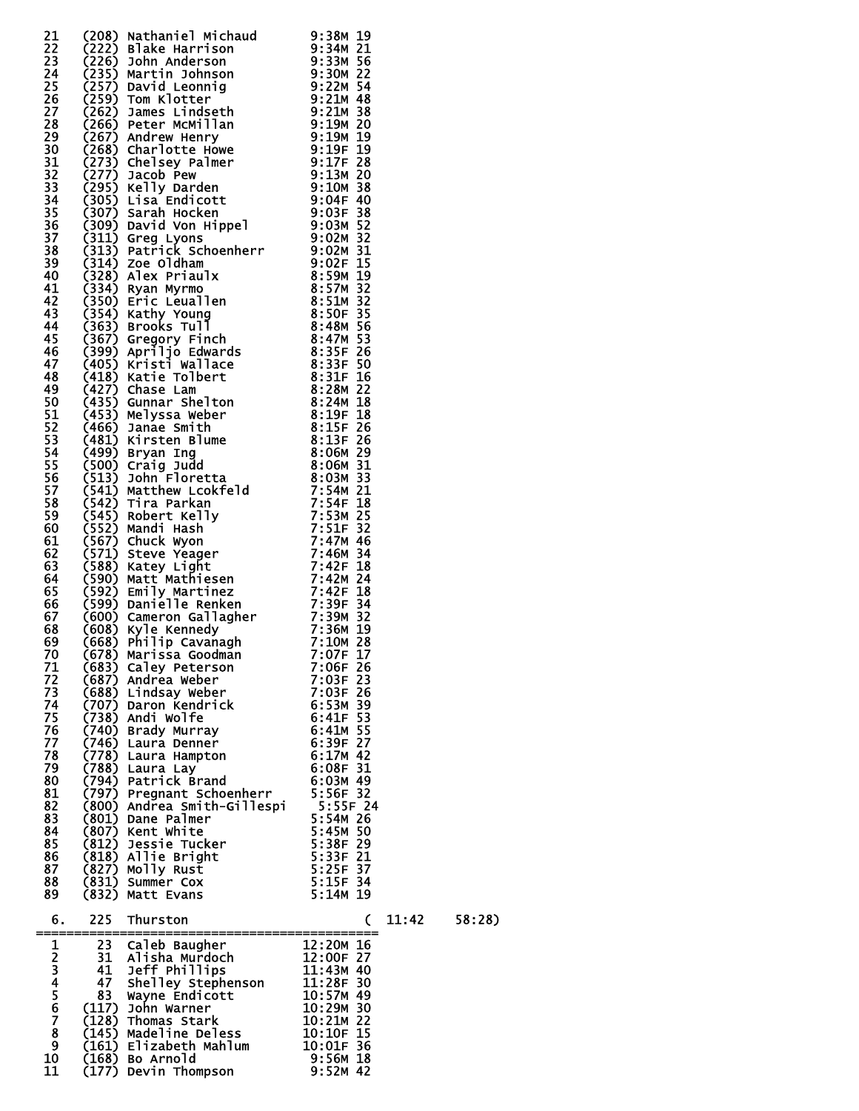|              |            | 21<br>222 (208) Nathaniel Michaud 93:38M 19<br>223 (2226) Slake Harrison<br>233 (2256) John Anderson<br>233 (2357) David Leonnig<br>22 (2577) David Leonnig<br>22 (2577) David Leonnig<br>22 (2579) Trom Klotter<br>23 (2682) James Lindseth<br>                                                                  |                          |       |        |
|--------------|------------|-------------------------------------------------------------------------------------------------------------------------------------------------------------------------------------------------------------------------------------------------------------------------------------------------------------------|--------------------------|-------|--------|
|              |            |                                                                                                                                                                                                                                                                                                                   |                          |       |        |
|              |            |                                                                                                                                                                                                                                                                                                                   |                          |       |        |
|              |            |                                                                                                                                                                                                                                                                                                                   |                          |       |        |
|              |            |                                                                                                                                                                                                                                                                                                                   |                          |       |        |
|              |            |                                                                                                                                                                                                                                                                                                                   |                          |       |        |
|              |            |                                                                                                                                                                                                                                                                                                                   |                          |       |        |
|              |            |                                                                                                                                                                                                                                                                                                                   |                          |       |        |
|              |            |                                                                                                                                                                                                                                                                                                                   |                          |       |        |
|              |            |                                                                                                                                                                                                                                                                                                                   |                          |       |        |
|              |            |                                                                                                                                                                                                                                                                                                                   |                          |       |        |
|              |            |                                                                                                                                                                                                                                                                                                                   |                          |       |        |
|              |            |                                                                                                                                                                                                                                                                                                                   |                          |       |        |
|              |            |                                                                                                                                                                                                                                                                                                                   |                          |       |        |
|              |            |                                                                                                                                                                                                                                                                                                                   |                          |       |        |
|              |            |                                                                                                                                                                                                                                                                                                                   |                          |       |        |
|              |            |                                                                                                                                                                                                                                                                                                                   |                          |       |        |
|              |            |                                                                                                                                                                                                                                                                                                                   |                          |       |        |
|              |            |                                                                                                                                                                                                                                                                                                                   |                          |       |        |
|              |            |                                                                                                                                                                                                                                                                                                                   |                          |       |        |
|              |            |                                                                                                                                                                                                                                                                                                                   |                          |       |        |
|              |            |                                                                                                                                                                                                                                                                                                                   |                          |       |        |
|              |            |                                                                                                                                                                                                                                                                                                                   |                          |       |        |
|              |            |                                                                                                                                                                                                                                                                                                                   |                          |       |        |
|              |            |                                                                                                                                                                                                                                                                                                                   |                          |       |        |
|              |            |                                                                                                                                                                                                                                                                                                                   |                          |       |        |
|              |            |                                                                                                                                                                                                                                                                                                                   |                          |       |        |
|              |            |                                                                                                                                                                                                                                                                                                                   |                          |       |        |
|              |            |                                                                                                                                                                                                                                                                                                                   |                          |       |        |
|              |            |                                                                                                                                                                                                                                                                                                                   |                          |       |        |
|              |            |                                                                                                                                                                                                                                                                                                                   |                          |       |        |
|              |            |                                                                                                                                                                                                                                                                                                                   |                          |       |        |
|              |            |                                                                                                                                                                                                                                                                                                                   |                          |       |        |
|              |            |                                                                                                                                                                                                                                                                                                                   |                          |       |        |
|              |            |                                                                                                                                                                                                                                                                                                                   |                          |       |        |
|              |            |                                                                                                                                                                                                                                                                                                                   |                          |       |        |
|              |            |                                                                                                                                                                                                                                                                                                                   |                          |       |        |
|              |            |                                                                                                                                                                                                                                                                                                                   |                          |       |        |
|              |            |                                                                                                                                                                                                                                                                                                                   |                          |       |        |
|              |            |                                                                                                                                                                                                                                                                                                                   |                          |       |        |
|              |            |                                                                                                                                                                                                                                                                                                                   |                          |       |        |
|              |            |                                                                                                                                                                                                                                                                                                                   |                          |       |        |
|              |            |                                                                                                                                                                                                                                                                                                                   |                          |       |        |
|              |            |                                                                                                                                                                                                                                                                                                                   |                          |       |        |
|              |            |                                                                                                                                                                                                                                                                                                                   |                          |       |        |
| 71           |            | (683) Caley Peterson<br>(687) Andrea Weber<br>(688) Lindsay Weber<br>(707) Daron Kendrick<br>(738) Andi Wolfe<br>(740) Brady Murray<br>(740) Laura Denner<br>(746) Laura Denner                                                                                                                                   | 7:06F 26                 |       |        |
| 72           |            |                                                                                                                                                                                                                                                                                                                   | 7:03F 23                 |       |        |
| 73           |            |                                                                                                                                                                                                                                                                                                                   | 7:03F 26                 |       |        |
| 74           |            |                                                                                                                                                                                                                                                                                                                   | $6:53M$ 39<br>$6:41F$ 53 |       |        |
| 75           |            |                                                                                                                                                                                                                                                                                                                   |                          |       |        |
| 76           |            |                                                                                                                                                                                                                                                                                                                   | $6:41M$ 55               |       |        |
| 77           |            |                                                                                                                                                                                                                                                                                                                   | 6:39F 27                 |       |        |
| 78           |            | $(778)$ Laura Hampton                                                                                                                                                                                                                                                                                             | $6:17M$ 42               |       |        |
| 79           |            |                                                                                                                                                                                                                                                                                                                   |                          |       |        |
| 80           |            |                                                                                                                                                                                                                                                                                                                   |                          |       |        |
| 81           |            |                                                                                                                                                                                                                                                                                                                   |                          |       |        |
| 82           |            |                                                                                                                                                                                                                                                                                                                   |                          |       |        |
| 83           |            |                                                                                                                                                                                                                                                                                                                   |                          |       |        |
| 84           |            |                                                                                                                                                                                                                                                                                                                   |                          |       |        |
| 85           |            |                                                                                                                                                                                                                                                                                                                   |                          |       |        |
| 86           |            |                                                                                                                                                                                                                                                                                                                   |                          |       |        |
| 87           |            | (778) Laura Hampton<br>(788) Laura Lay<br>(797) Pregnant Schoenherr<br>(797) Pregnant Schoenherr<br>(800) Andrea Smith-Gillespi<br>5:55F 24<br>(801) Dane Palmer<br>(807) Kent White<br>(812) Jessie Tucker<br>(812) Jessie Tucker<br>(812) Allie<br>iry Kust) Summer Cox<br>(832) Matt Evans<br>(832) Matt Evans | 5:25F 37<br>5:15F 34     |       |        |
| 88           |            |                                                                                                                                                                                                                                                                                                                   |                          |       |        |
| 89           |            |                                                                                                                                                                                                                                                                                                                   | 5:14M 19                 |       |        |
| 6.           | 225        | Thurston                                                                                                                                                                                                                                                                                                          | C                        | 11:42 | 58:28) |
| =====        | ========== |                                                                                                                                                                                                                                                                                                                   |                          |       |        |
| $\mathbf{1}$ |            | 23 Caleb Baugher<br>23 Caleb Baugher<br>31 Alisha Murdoch<br>31 Alisha Murdoch<br>12:00F 27<br>41 Jeff Phillips<br>47 Shelley Stephenson<br>83 Wayne Endicott<br>83 Wayne Endicott<br>83 Wayne Endicott<br>31:125M 49<br>(117) John Warner<br>10:29M 3                                                            |                          |       |        |
|              |            |                                                                                                                                                                                                                                                                                                                   |                          |       |        |
|              |            |                                                                                                                                                                                                                                                                                                                   |                          |       |        |
|              |            |                                                                                                                                                                                                                                                                                                                   |                          |       |        |
|              |            |                                                                                                                                                                                                                                                                                                                   |                          |       |        |
|              |            |                                                                                                                                                                                                                                                                                                                   |                          |       |        |
| 2345678      |            |                                                                                                                                                                                                                                                                                                                   |                          |       |        |
|              |            |                                                                                                                                                                                                                                                                                                                   |                          |       |        |
| 9<br>10      |            |                                                                                                                                                                                                                                                                                                                   |                          |       |        |
|              |            | $(168)$ Bo Arnold                                                                                                                                                                                                                                                                                                 | 9:56M 18                 |       |        |

11 (177) Devin Thompson 9:52M 42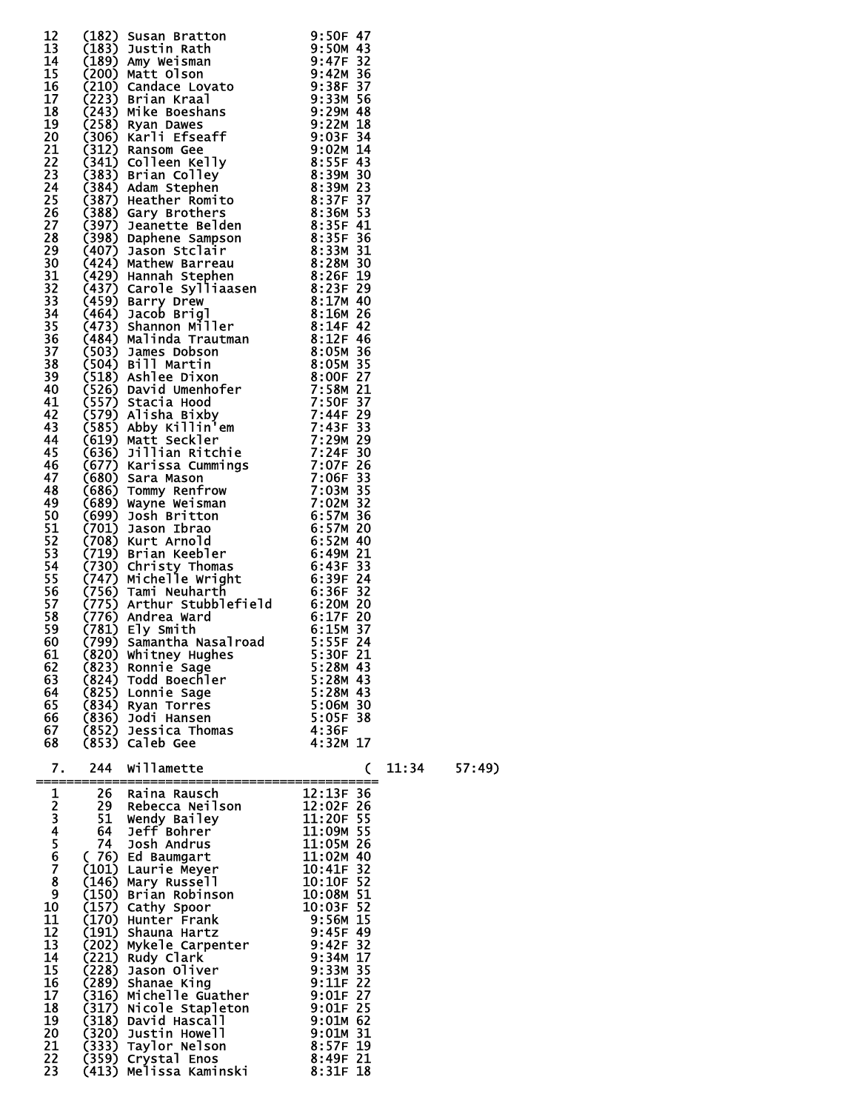| 12                    |          |                                                                                                                                                                                                                                            |                                |       |        |
|-----------------------|----------|--------------------------------------------------------------------------------------------------------------------------------------------------------------------------------------------------------------------------------------------|--------------------------------|-------|--------|
| 13<br>14              |          | (182) Susan Bratton<br>(183) Justin Rath 9:50F 47<br>(183) Justin Rath 9:50F 43<br>(200) Marte Clisinan 9:47F 32<br>(200) Marte Clisinan 9:38F 37<br>(200) Sustin Kraal 9:38F 37<br>(201) Candace Lovato 9:38F 37<br>(201) Raths Roseshans |                                |       |        |
| 15                    |          |                                                                                                                                                                                                                                            |                                |       |        |
| 16                    |          |                                                                                                                                                                                                                                            |                                |       |        |
| 17<br>18              |          |                                                                                                                                                                                                                                            |                                |       |        |
| 19                    |          |                                                                                                                                                                                                                                            |                                |       |        |
| 20                    |          |                                                                                                                                                                                                                                            |                                |       |        |
| 21                    |          |                                                                                                                                                                                                                                            |                                |       |        |
| 22                    |          |                                                                                                                                                                                                                                            |                                |       |        |
| 23<br>24              |          |                                                                                                                                                                                                                                            |                                |       |        |
| 25                    |          |                                                                                                                                                                                                                                            |                                |       |        |
| 26                    |          |                                                                                                                                                                                                                                            |                                |       |        |
| 27                    |          |                                                                                                                                                                                                                                            |                                |       |        |
| 28<br>29              |          |                                                                                                                                                                                                                                            |                                |       |        |
| 30                    |          |                                                                                                                                                                                                                                            |                                |       |        |
| 31                    |          |                                                                                                                                                                                                                                            |                                |       |        |
| 32                    |          |                                                                                                                                                                                                                                            |                                |       |        |
| 33                    |          |                                                                                                                                                                                                                                            |                                |       |        |
| 34<br>35 <sub>1</sub> |          |                                                                                                                                                                                                                                            |                                |       |        |
| 36                    |          |                                                                                                                                                                                                                                            |                                |       |        |
| 37                    |          |                                                                                                                                                                                                                                            |                                |       |        |
| 38                    |          |                                                                                                                                                                                                                                            |                                |       |        |
| 39<br>40              |          |                                                                                                                                                                                                                                            |                                |       |        |
| 41                    |          |                                                                                                                                                                                                                                            |                                |       |        |
| 42                    |          |                                                                                                                                                                                                                                            |                                |       |        |
| 43                    |          |                                                                                                                                                                                                                                            |                                |       |        |
| 44                    |          |                                                                                                                                                                                                                                            |                                |       |        |
| 45<br>46              |          |                                                                                                                                                                                                                                            |                                |       |        |
| 47                    |          |                                                                                                                                                                                                                                            |                                |       |        |
| 48                    |          |                                                                                                                                                                                                                                            |                                |       |        |
| 49                    |          |                                                                                                                                                                                                                                            |                                |       |        |
| 50<br>51              |          |                                                                                                                                                                                                                                            |                                |       |        |
| 52                    |          |                                                                                                                                                                                                                                            |                                |       |        |
| 53                    |          |                                                                                                                                                                                                                                            |                                |       |        |
| 54                    |          |                                                                                                                                                                                                                                            |                                |       |        |
| 55<br>56              |          |                                                                                                                                                                                                                                            |                                |       |        |
| 57                    |          |                                                                                                                                                                                                                                            |                                |       |        |
| 58                    |          |                                                                                                                                                                                                                                            |                                |       |        |
| 59                    |          |                                                                                                                                                                                                                                            |                                |       |        |
| 60<br>61              |          |                                                                                                                                                                                                                                            |                                |       |        |
| 62                    | (823)    | Ronnie Sage                                                                                                                                                                                                                                | 5:28M 43                       |       |        |
| 63                    | (824)    | Todd Boechler                                                                                                                                                                                                                              | 5:28M 43                       |       |        |
| 64                    |          | (825) Lonnie Sage                                                                                                                                                                                                                          | 5:28M 43                       |       |        |
| 65                    |          | (834) Ryan Torres                                                                                                                                                                                                                          | 5:06M 30<br>5:05F 38           |       |        |
| 66<br>67              | (852)    | (836) Jodi Hansen<br>Jessica Thomas                                                                                                                                                                                                        | 4:36F                          |       |        |
| 68                    |          | (853) Caleb Gee                                                                                                                                                                                                                            | 4:32M 17                       |       |        |
|                       |          |                                                                                                                                                                                                                                            |                                |       |        |
| 7.<br>=======         | 244      | willamette<br>_______________________                                                                                                                                                                                                      | C                              | 11:34 | 57:49) |
|                       | 26       | Raina Rausch                                                                                                                                                                                                                               | 12:13F 36                      |       |        |
| 12345678              |          | 29 Rebecca Neilson                                                                                                                                                                                                                         | $\overline{1}2:02F$ 26         |       |        |
|                       | 51       | Wendy Bailey                                                                                                                                                                                                                               | 11:20F 55                      |       |        |
|                       | 64<br>74 | Jeff Bohrer<br>Josh Andrus                                                                                                                                                                                                                 | 11:09M 55<br>11:05M 26         |       |        |
|                       |          |                                                                                                                                                                                                                                            | 11:02M 40                      |       |        |
|                       |          | (76) Ed Baumgart<br>(101) Laurie Meyer                                                                                                                                                                                                     | 10:41F 32                      |       |        |
|                       |          | (146) Mary Russell                                                                                                                                                                                                                         | 10:10F 52                      |       |        |
| $\frac{9}{10}$        |          | (150) Brian Robinson<br>(157) Cathy Spoor                                                                                                                                                                                                  | 10:08M 51<br>10:03F 52         |       |        |
| 11                    |          | (170) Hunter Frank                                                                                                                                                                                                                         | 10.05.<br>9:56M 15<br>C-4FF 49 |       |        |
| 12                    | (191)    | Shauna Hartz                                                                                                                                                                                                                               | 9:45F 49                       |       |        |
| 13                    |          | 202) Mykele Carpenter - المستخدم 2021<br>221) Rudy Clark - 211 0:34 17<br>221) Rudy Clark                                                                                                                                                  |                                |       |        |
| 14<br>15              |          | (221) Rudy Clark<br>(228) Jason Oliver                                                                                                                                                                                                     | 9:34M 17<br>9:33M 35           |       |        |
| 16                    | (289)    | Shanae King                                                                                                                                                                                                                                | $9:11F$ 22                     |       |        |
| 17                    |          | $(316)$ Michelle Guather 9:01F 27                                                                                                                                                                                                          |                                |       |        |
| 18                    |          | (317) Nicole Stapleton                                                                                                                                                                                                                     | $9:01F$ 25                     |       |        |
| 19<br>20              | (320)    | (318) David Hascall<br>Justin Howell                                                                                                                                                                                                       | $9:01M$ 62<br>9:01M 31         |       |        |
| 21                    | (333)    | Taylor Nelson                                                                                                                                                                                                                              | 8:57F 19                       |       |        |
| 22                    |          | (359) Crystal Enos                                                                                                                                                                                                                         | 8:49F 21                       |       |        |
| 23                    | (413)    | Melissa Kaminski                                                                                                                                                                                                                           | $8:31F$ 18                     |       |        |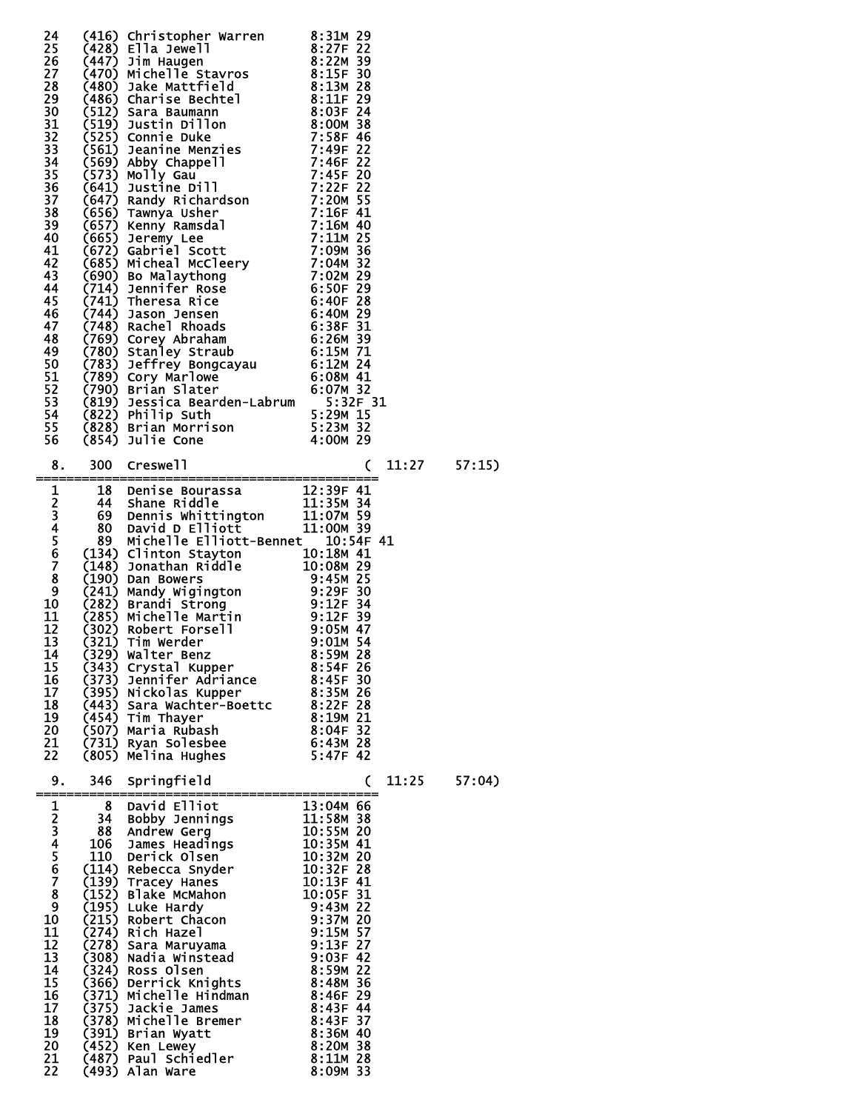|                                                                                                                                                                                                                   | 24 (416) Christopher Warren<br>25 (428) Ella Jewell 8:27F 22<br>26 (447) Jim Haugen<br>8:227 8 (447) Jim Haugen<br>8:227 8 (447) Jim Haugen<br>8:228 8 (486) Jake Mattfield<br>8:1157 8 (4860) Charise Bechtel<br>8:1137 28 (4860) Charise     |   |                |
|-------------------------------------------------------------------------------------------------------------------------------------------------------------------------------------------------------------------|------------------------------------------------------------------------------------------------------------------------------------------------------------------------------------------------------------------------------------------------|---|----------------|
|                                                                                                                                                                                                                   |                                                                                                                                                                                                                                                |   |                |
|                                                                                                                                                                                                                   |                                                                                                                                                                                                                                                |   |                |
|                                                                                                                                                                                                                   |                                                                                                                                                                                                                                                |   | $11:27$ 57:15) |
|                                                                                                                                                                                                                   | 8. 300 Creswell<br>1 18 Denise Bourassa<br>2 44 Shane Riddle<br>3 69 Dennis Whittington 11:35M 34<br>4 80 David D Elliott 11:00M 59<br>4 80 David D Elliott 11:00M 39<br>5 89 Michelle Elliott-Bennet 10:54F 41<br>6 (134) Jonathan Riddle<br> |   |                |
| 9.<br>=======                                                                                                                                                                                                     | 346 Springfield<br>;======================                                                                                                                                                                                                     | C | $11:25$ 57:04) |
| $\mathbf{1}$<br>$2$<br>$3$<br>$4$<br>$5$<br>$6$<br>$7$<br>$8$<br>$\overline{9}$<br>10 <sup>°</sup><br>11<br>12<br>13 <sup>2</sup><br>14<br>15<br>16<br>17<br>18<br>19<br>20 <sup>°</sup><br>21<br>$\overline{2}2$ | 346 Springfield<br>Boavid Elliot 13:04M 66<br>34 Bobby Jennings 11:58M 38<br>88 Andrew Gerg 10:55M 20<br>100 James Headings 10:55M 20<br>100 James Headings 10:32M 41<br>110 Derick olsen<br>(114) Rebecca Snyder 10:32F 28<br>(139) Tracey Ha |   |                |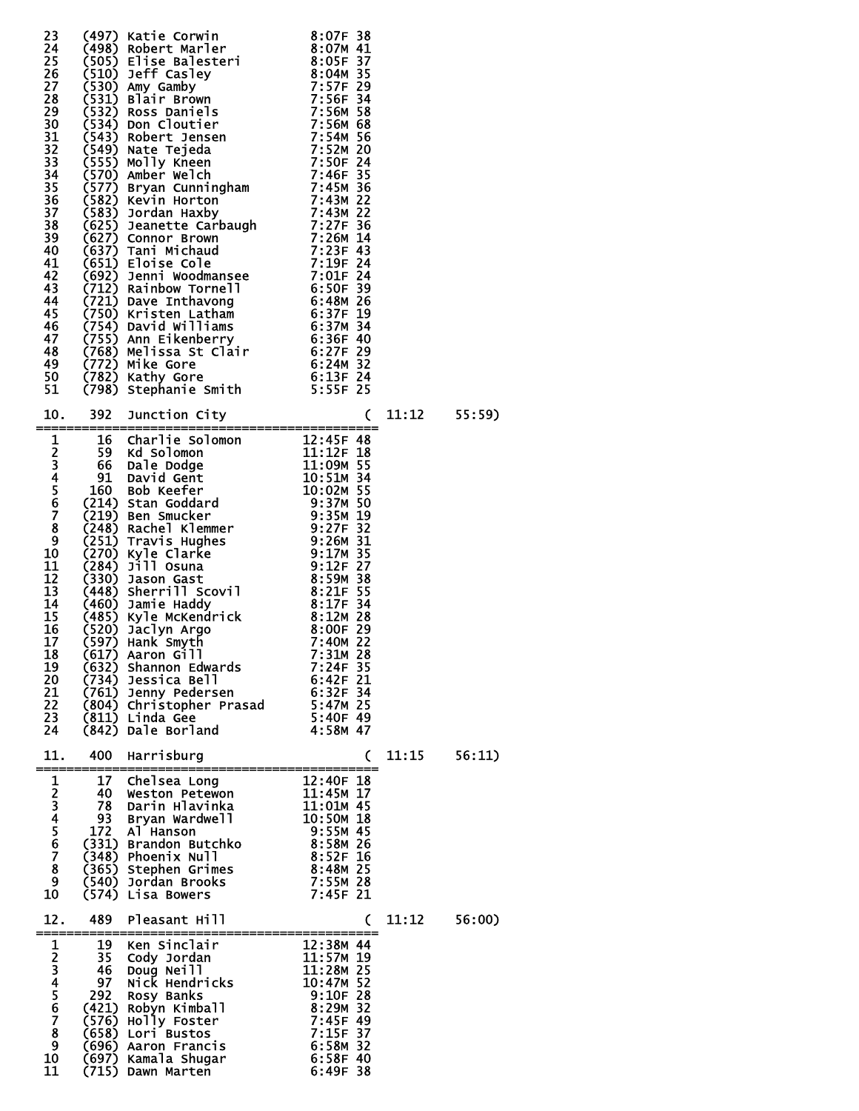|                                                                           |                               | 23 (497) Katie Corwin 8:07F 38<br>24 (498) Robert Marler<br>25 (505) Elise Balesteri 8:07M 41<br>26 (510) Jeff Casley 8:04M 35<br>27 (510) Jeff Casley 8:04M 35<br>27 (531) Allair Brown<br>7:556F 34<br>29 (531) Ross Daniels 7:560M 68<br>33                                                                                                                                           |                                                                                                                              |       |                 |
|---------------------------------------------------------------------------|-------------------------------|------------------------------------------------------------------------------------------------------------------------------------------------------------------------------------------------------------------------------------------------------------------------------------------------------------------------------------------------------------------------------------------|------------------------------------------------------------------------------------------------------------------------------|-------|-----------------|
|                                                                           |                               |                                                                                                                                                                                                                                                                                                                                                                                          |                                                                                                                              |       | $11:12$ $55:59$ |
| 19<br>20<br>21<br>22<br>23<br>24                                          |                               | 31 (798) Stephanie Smith 5:55F 25<br>10. 392 Junction City<br>1 16 Charlie Solomon 12:45F 48<br>2 59 Kd Solomon 11:12F 18<br>3 66 Dale Dodge 11:09M 55<br>4 91 David Gent 10:51M 34<br>5 160 Bob Keefer 10:02M 55<br>6 (214) Stan Goddard 9:<br>(632) Shannon Edwards<br>(734) Jessica Bell<br>(761) Jenny Pedersen<br>(804) Christopher Prasad<br>(811) Linda Gee<br>(842) Dale Borland | 7:24F 35<br>6:42F 21<br>6:32F 34<br>5:47M 25<br>5:40F 49<br>4:58M 47                                                         |       |                 |
| 11.<br>---------                                                          | 400                           | Harrisburg<br>________________________                                                                                                                                                                                                                                                                                                                                                   | C                                                                                                                            | 11:15 | 56:11)          |
| 1<br>$\frac{2}{3}$<br>$\frac{4}{5}$<br>$\frac{5}{6}$<br>7<br>8<br>9<br>10 | 172<br>(540)<br>(574)         | 17 Chelsea Long<br>40 Weston Petewon<br>78 Darin Hlavin <u>ka</u><br>93 Bryan Wardwell<br>Al Hanson<br>(331) Brandon Butchko<br>(348) Phoenix Null<br>(365) Stephen Grimes<br>Jordan Brooks<br>Lisa Bowers                                                                                                                                                                               | 12:40F 18<br>11:45M 17<br>11:01M 45<br>10:50M 18<br>9:55M 45<br>8:58M 26<br>8:52F 16<br>8:48M 25<br>7:55M 28<br>$7:45F$ 21   |       |                 |
| 12.                                                                       | 489                           | Pleasant Hill<br>-----------------------<br>______________                                                                                                                                                                                                                                                                                                                               | C                                                                                                                            | 11:12 | 56:00)          |
| 1<br>234567<br>8<br>9<br>10                                               | 19<br>35<br>46 -<br>97<br>292 | Ken Sinclair<br>Cody Jordan<br>Doug Neill<br>Nick Hendricks<br>Rosy Banks<br>(421) Robyn Kimball<br>(576) Holly Foster<br>(658) Lori Bustos<br>(696) Aaron Francis<br>(697) Kamala Shugar                                                                                                                                                                                                | 12:38M 44<br>11:57M 19<br>11:28M 25<br>10:47M 52<br>$9:10F$ 28<br>8:29M 32<br>7:45F 49<br>7:15F 37<br>6:58M 32<br>$6:58F$ 40 |       |                 |

11 (715) Dawn Marten 6:49F 38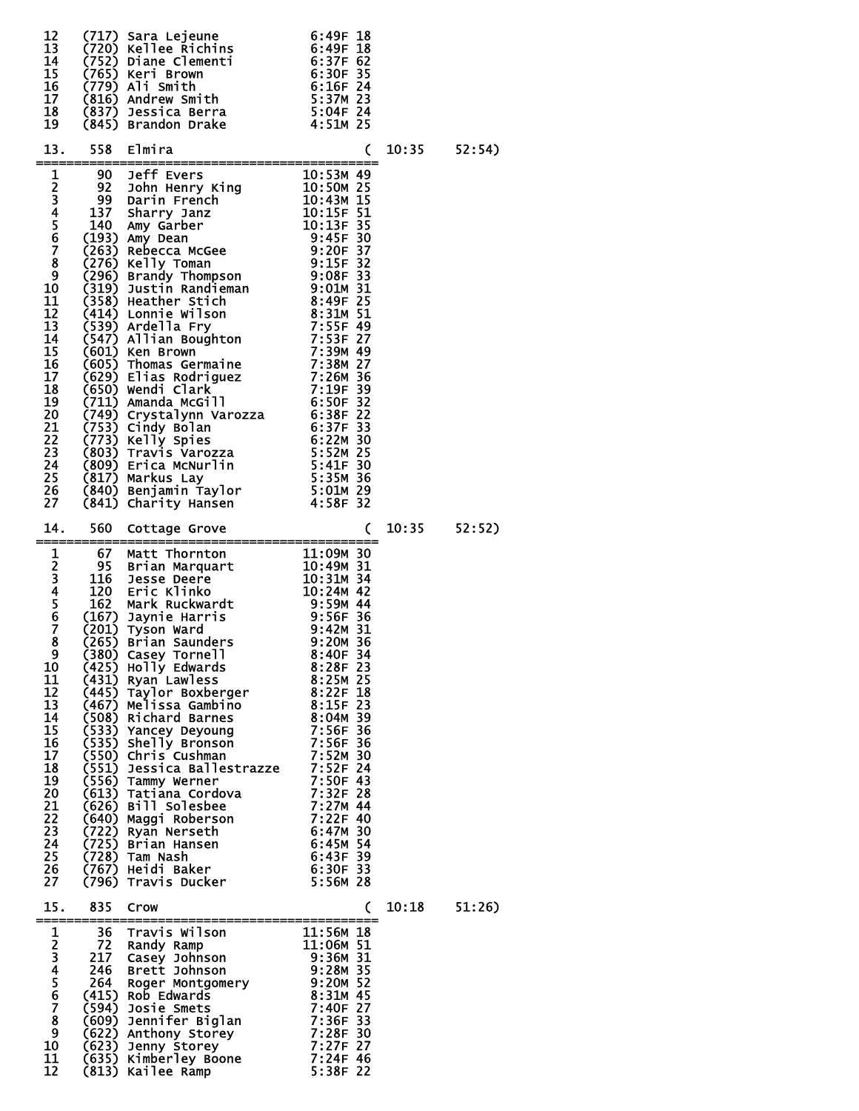| 12<br>13<br>14<br>15<br>16<br>17<br>18<br>19                                                                  |       | (717) Sara Lejeune 6:49F 18<br>(720) Kellee Richins 6:49F 18<br>(752) Diane Clementi 6:37F 62<br>(765) Keri Brown 6:37F 62<br>(765) Keri Brown 6:30F 35<br>(779) Ali Smith 6:16F 24<br>(816) Andrew Smith 5:37M 23<br>(837) Jessica Berra 5:                                               |                          |       |                  |
|---------------------------------------------------------------------------------------------------------------|-------|--------------------------------------------------------------------------------------------------------------------------------------------------------------------------------------------------------------------------------------------------------------------------------------------|--------------------------|-------|------------------|
|                                                                                                               |       |                                                                                                                                                                                                                                                                                            |                          |       | $10:35$ $52:54)$ |
| 10<br>11<br>12<br>13<br>14<br>15<br>16<br>17<br>18<br>19<br>20<br>21<br>22<br>23<br>24<br>25<br>26<br>27      |       | 13. 558 Elmira<br>1 90 Jeff Evers 10:53M 49<br>2 92 John Henry King 10:53M 49<br>2 92 John Henry King 10:50M 25<br>4 137 Sharry Janz<br>10:13F 51<br>4 10:13F 51<br>5 140 Amy Garber 10:15F 31<br>6 (193) Amy Dean<br>2 (263) Rebecca MGGee 9:20                                           |                          |       |                  |
| 14.                                                                                                           | 560   | Cottage Grove                                                                                                                                                                                                                                                                              | C                        |       | $10:35$ $52:52)$ |
| 9<br>10<br>11<br>12<br>13<br>14<br>15<br>16<br>17<br>18<br>19<br>20<br>21<br>22<br>23<br>24<br>25<br>26<br>27 | (380) | Casey Tornell<br>(425) Holly Edwards<br>(425) Holly Edwards<br>(431) Ryan Lawless<br>(431) Ryan Lawless<br>(445) Taylor Boxberger<br>(467) Melissa Gambino<br>(508) Richard Barnes<br>(533) Yancey Deyoung<br>(533) Yancey Deyoung<br>(535) Shelly Bronson<br>(535) Chris Cushman<br>(550) | $8:40F$ 34<br>$8:28F$ 23 |       |                  |
| 15.                                                                                                           | 835   | Crow<br>------------                                                                                                                                                                                                                                                                       | C                        | 10:18 | 51:26)           |
| 1<br>234567<br>8<br>9<br>10<br>11                                                                             |       | 36 Travis Wilson 11:56M 18<br>72 Randy Ramp 11:06M 51<br>217 Casey Johnson 9:36M 31<br>246 Brett Johnson 9:28M 32<br>264 Roger Montgomery 9:20M 52<br>(415) Rob Edwards 8:31M 45<br>(594) Josie Smets 7:40F 27<br>(609) Jennifer Biglan 7:36                                               |                          |       |                  |

12 (813) Kailee Ramp 5:38F 22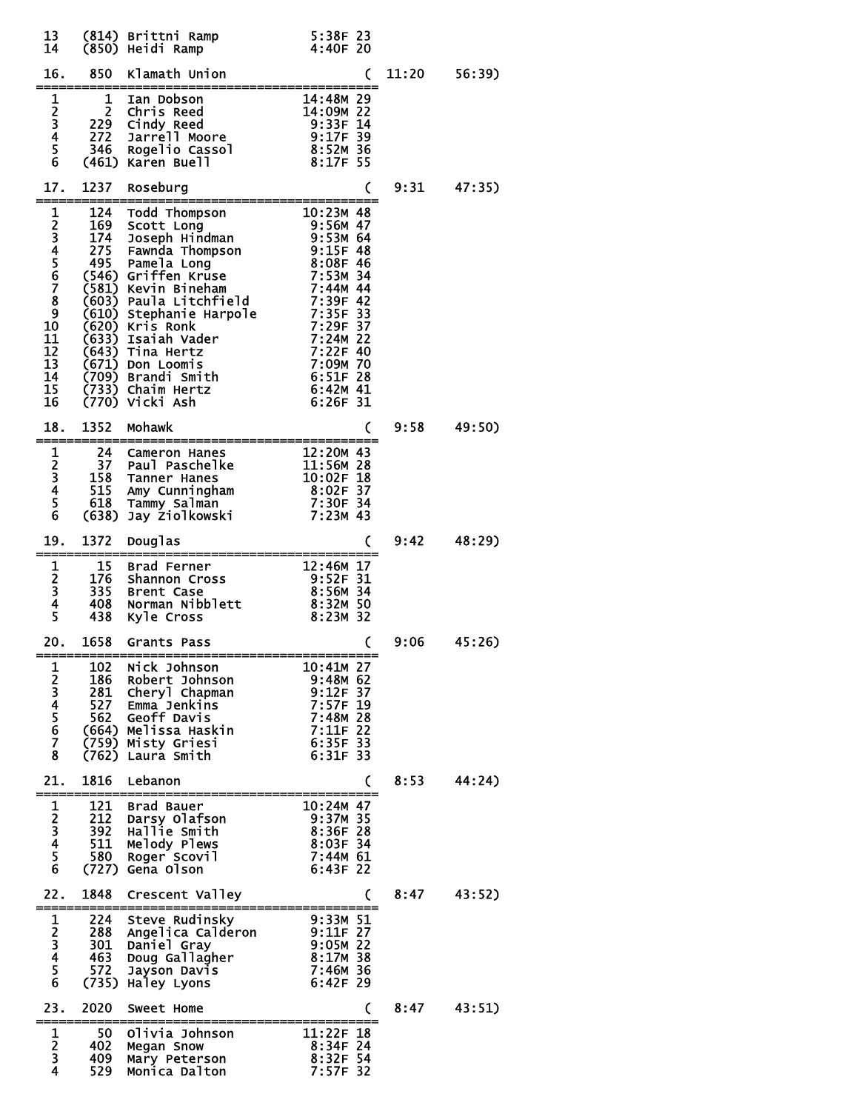| 13<br>14                                      |            |                                                                                                                                                                                                                                                                                                      |                                                                         |      |                 |
|-----------------------------------------------|------------|------------------------------------------------------------------------------------------------------------------------------------------------------------------------------------------------------------------------------------------------------------------------------------------------------|-------------------------------------------------------------------------|------|-----------------|
| 16.                                           |            | 850 Klamath Union                                                                                                                                                                                                                                                                                    | C                                                                       |      | $11:20$ 56:39)  |
|                                               |            |                                                                                                                                                                                                                                                                                                      |                                                                         |      |                 |
| 17.<br>====                                   |            | 1237 Roseburg                                                                                                                                                                                                                                                                                        | C                                                                       |      | $9:31$ $47:35$  |
| 10<br>11<br>12<br>13<br>14<br>14<br>15<br>16  |            | 1 124 Todd Thompson 10:23M 48<br>2 169 Scott Long 9:56M 47<br>3 174 Joseph Hindman 9:53M 64<br>4 275 Fawnda Thompson 9:15F 48<br>5 495 Pamela Long 8:08F 46<br>5 495 Pamela Long 8:08F 46<br>6 (546) Griffen Kruse 7:53M 34<br>7 (581) Kevin                                                         |                                                                         |      |                 |
| 18.                                           | 1352       | Mohawk                                                                                                                                                                                                                                                                                               | C                                                                       | 9:58 | 49:50)          |
|                                               |            |                                                                                                                                                                                                                                                                                                      |                                                                         |      |                 |
| 19.<br>====                                   |            | 1372 Douglas<br>----------------------                                                                                                                                                                                                                                                               | C                                                                       |      | $9:42$ $48:29$  |
|                                               |            |                                                                                                                                                                                                                                                                                                      |                                                                         |      |                 |
| 20.                                           | 1658       | Grants Pass                                                                                                                                                                                                                                                                                          | C                                                                       | 9:06 | 45:26)          |
| 1<br>2345678                                  |            | 102 Nick Johnson<br>102 NTCK JONISON<br>186 Robert Johnson<br>281 Cheryl Chapman<br>527 Emma Jenkins<br>562 Geoff Davis<br>562 Geoff Davis<br>7:57F 19<br>562 Geoff Davis<br>7:11F 22<br>7:11F 22<br>7:529 Misty Griesi<br>5:35F 33<br>186 Robert Johnson<br>281 Cheryl Chapman<br>(762) Laura Smith | --------------------<br>$10:41M$ 27<br>$6:31F$ 33                       |      |                 |
| 21.                                           |            | 1816 Lebanon<br>------------------                                                                                                                                                                                                                                                                   | C                                                                       | 8:53 | 44:24)          |
| $\mathbf{1}$<br>$\frac{2}{3}$<br>4<br>5<br>6  |            | 121 Brad Bauer<br>212 Da <u>rsy</u> Olafson<br>392 Hallie Smith<br>511 Melody Plews<br>580 Roger Scovil<br>(727) Gena Olson                                                                                                                                                                          | $10:24M$ 47<br>9:37M 35<br>8:36F 28<br>8:03F 34<br>7:44M 61<br>6:43F 22 |      |                 |
| 22.                                           |            | 1848 Crescent Valley<br>-----------------------------------                                                                                                                                                                                                                                          | C                                                                       |      | $8:47$ $43:52)$ |
| $\mathbf{1}$<br>$2345$<br>56                  |            | 288 Angelica Calderon<br>288 Angelica Calderon<br>301 Daniel Gray<br>463 Doug Gallagher<br>572 Jayson Davis<br>7:46M 36<br>735) Haley Lyons<br>8:42F 2022<br>224 Steve Rudinsky                                                                                                                      |                                                                         |      |                 |
| 23.                                           | 2020       | Sweet Home                                                                                                                                                                                                                                                                                           | C                                                                       | 8:47 | 43:51)          |
| 1<br>$\frac{2}{3}$<br>$\overline{\mathbf{4}}$ | 409<br>529 | Olivia Johnson<br>50 Olivia Joh<br>402 Megan Snow<br>Mary Peterson<br>Monica Dalton 7:57F 32                                                                                                                                                                                                         | $11:22F$ 18<br>8:34F 24<br>8:32F 54                                     |      |                 |